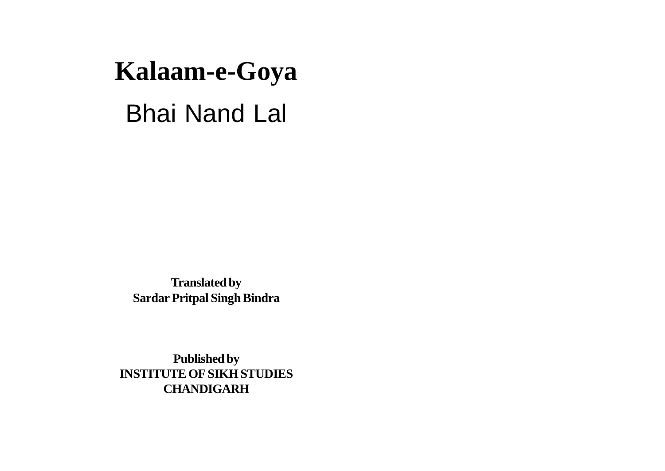# **Kalaam-e-Goya** Bhai Nand Lal

**Translated by Sardar Pritpal Singh Bindra**

**Published by INSTITUTE OF SIKH STUDIES CHANDIGARH**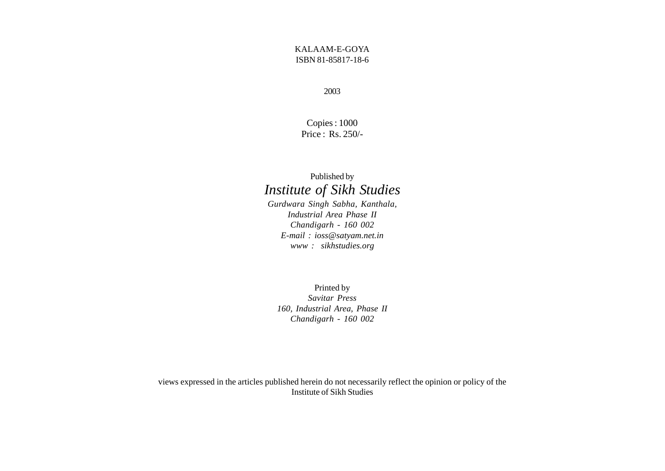#### KALAAM-E-GOYA ISBN 81-85817-18-6

2003

Copies : 1000 Price : Rs. 250/-

#### Published by *Institute of Sikh Studies*

*Gurdwara Singh Sabha, Kanthala, Industrial Area Phase II Chandigarh - 160 002 E-mail : ioss@satyam.net.in www : sikhstudies.org*

Printed by *Savitar Press 160, Industrial Area, Phase II Chandigarh - 160 002*

views expressed in the articles published herein do not necessarily reflect the opinion or policy of the Institute of Sikh Studies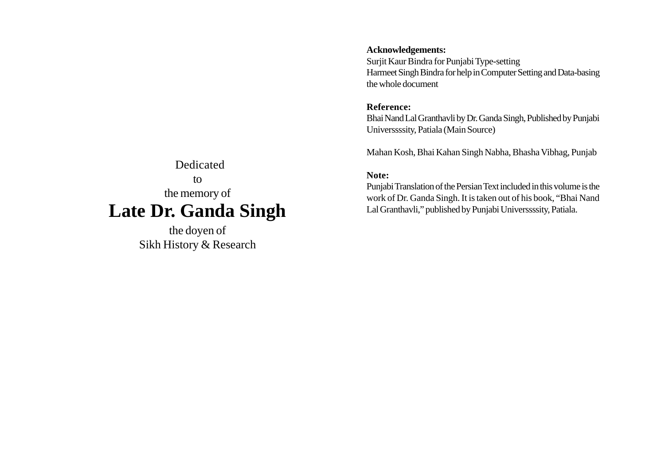#### Dedicated to the memory of **Late Dr. Ganda Singh**

the doyen of Sikh History & Research

#### **Acknowledgements:**

Surjit Kaur Bindra for Punjabi Type-setting Harmeet Singh Bindra for help in Computer Setting and Data-basing the whole document

#### **Reference:**

Bhai Nand Lal Granthavli by Dr. Ganda Singh, Published by Punjabi Universsssity, Patiala (Main Source)

Mahan Kosh, Bhai Kahan Singh Nabha, Bhasha Vibhag, Punjab

#### **Note:**

Punjabi Translation of the Persian Text included in this volume is the work of Dr. Ganda Singh. It is taken out of his book, "Bhai Nand Lal Granthavli," published by Punjabi Universsssity, Patiala.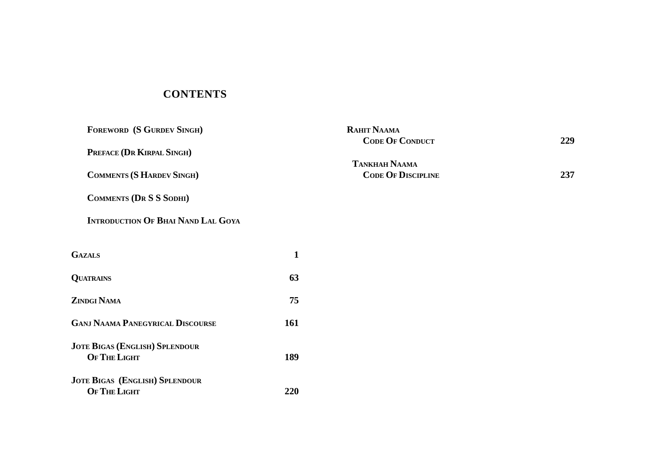#### **CONTENTS**

| FOREWORD (S GURDEV SINGH)                 |              | RAHIT NAAMA<br><b>CODE OF CONDUCT</b> | 229 |
|-------------------------------------------|--------------|---------------------------------------|-----|
| PREFACE (DR KIRPAL SINGH)                 |              |                                       |     |
|                                           |              | <b>TANKHAH NAAMA</b>                  |     |
| <b>COMMENTS (S HARDEV SINGH)</b>          |              | <b>CODE OF DISCIPLINE</b>             | 237 |
| <b>COMMENTS (DR S S SODHI)</b>            |              |                                       |     |
| <b>INTRODUCTION OF BHAI NAND LAL GOYA</b> |              |                                       |     |
| <b>GAZALS</b>                             | $\mathbf{1}$ |                                       |     |
|                                           |              |                                       |     |
| <b>QUATRAINS</b>                          | 63           |                                       |     |
| ZINDGI NAMA                               | 75           |                                       |     |
| <b>GANJ NAAMA PANEGYRICAL DISCOURSE</b>   | 161          |                                       |     |
| <b>JOTE BIGAS (ENGLISH) SPLENDOUR</b>     |              |                                       |     |
| OF THE LIGHT                              | 189          |                                       |     |
| <b>JOTE BIGAS (ENGLISH) SPLENDOUR</b>     |              |                                       |     |
| OF THE LIGHT                              | 220          |                                       |     |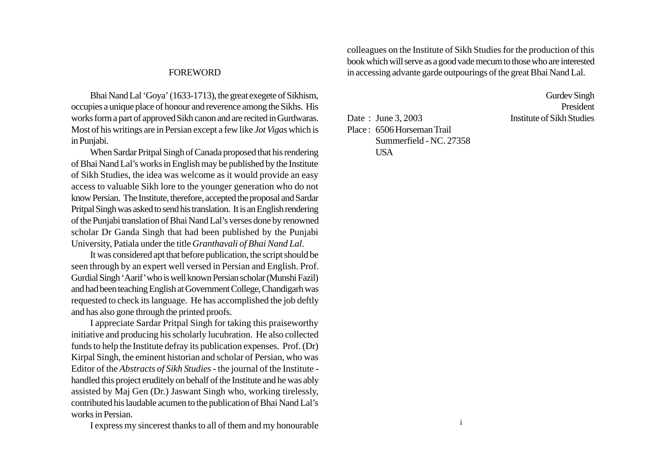#### FOREWORD

Bhai Nand Lal 'Goya' (1633-1713), the great exegete of Sikhism, occupies a unique place of honour and reverence among the Sikhs. His works form a part of approved Sikh canon and are recited in Gurdwaras. Most of his writings are in Persian except a few like *Jot Vigas* which is in Punjabi.

When Sardar Pritpal Singh of Canada proposed that his rendering of Bhai Nand Lal's works in English may be published by the Institute of Sikh Studies, the idea was welcome as it would provide an easy access to valuable Sikh lore to the younger generation who do not know Persian. The Institute, therefore, accepted the proposal and Sardar Pritpal Singh was asked to send his translation. It is an English rendering of the Punjabi translation of Bhai Nand Lal's verses done by renowned scholar Dr Ganda Singh that had been published by the Punjabi University, Patiala under the title *Granthavali of Bhai Nand Lal*.

It was considered apt that before publication, the script should be seen through by an expert well versed in Persian and English. Prof. Gurdial Singh 'Aarif' who is well known Persian scholar (Munshi Fazil) and had been teaching English at Government College, Chandigarh was requested to check its language. He has accomplished the job deftly and has also gone through the printed proofs.

I appreciate Sardar Pritpal Singh for taking this praiseworthy initiative and producing his scholarly lucubration. He also collected funds to help the Institute defray its publication expenses. Prof. (Dr) Kirpal Singh, the eminent historian and scholar of Persian, who was Editor of the *Abstracts of Sikh Studies -* the journal of the Institute handled this project eruditely on behalf of the Institute and he was ably assisted by Maj Gen (Dr.) Jaswant Singh who, working tirelessly, contributed his laudable acumen to the publication of Bhai Nand Lal's works in Persian.

colleagues on the Institute of Sikh Studies for the production of this book which will serve as a good vade mecum to those who are interested in accessing advante garde outpourings of the great Bhai Nand Lal.

> Gurdev Singh President

Date : June 3, 2003 Institute of Sikh Studies Place : 6506 Horseman Trail Summerfield - NC. 27358 USA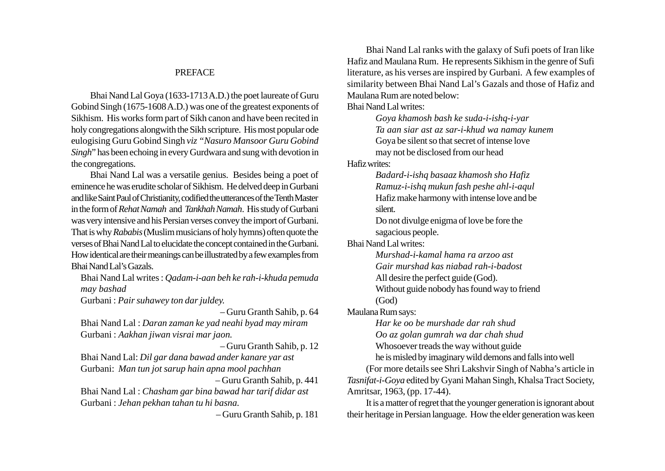#### PREFACE

Bhai Nand Lal Goya (1633-1713 A.D.) the poet laureate of Guru Gobind Singh (1675-1608 A.D.) was one of the greatest exponents of Sikhism. His works form part of Sikh canon and have been recited in holy congregations alongwith the Sikh scripture. His most popular ode eulogising Guru Gobind Singh *viz "Nasuro Mansoor Guru Gobind Singh*" has been echoing in every Gurdwara and sung with devotion in the congregations.

Bhai Nand Lal was a versatile genius. Besides being a poet of eminence he was erudite scholar of Sikhism. He delved deep in Gurbani and like Saint Paul of Christianity, codified the utterances of the Tenth Master in the form of *Rehat Namah* and *Tankhah Namah*. His study of Gurbani was very intensive and his Persian verses convey the import of Gurbani. That is why *Rababis* (Muslim musicians of holy hymns) often quote the verses of Bhai Nand Lal to elucidate the concept contained in the Gurbani. How identical are their meanings can be illustrated by a few examples from Bhai Nand Lal's Gazals.

Bhai Nand Lal writes : *Qadam-i-aan beh ke rah-i-khuda pemuda may bashad*

Gurbani : *Pair suhawey ton dar juldey.*

– Guru Granth Sahib, p. 64

Bhai Nand Lal : *Daran zaman ke yad neahi byad may miram* Gurbani : *Aakhan jiwan visrai mar jaon.*

– Guru Granth Sahib, p. 12

Bhai Nand Lal: *Dil gar dana bawad ander kanare yar ast* Gurbani: *Man tun jot sarup hain apna mool pachhan*

 – Guru Granth Sahib, p. 441 Bhai Nand Lal : *Chasham gar bina bawad har tarif didar ast* Gurbani : *Jehan pekhan tahan tu hi basna.*

 $G = G = 1.6111 - 1.01$ 

Bhai Nand Lal ranks with the galaxy of Sufi poets of Iran like Hafiz and Maulana Rum. He represents Sikhism in the genre of Sufi literature, as his verses are inspired by Gurbani. A few examples of similarity between Bhai Nand Lal's Gazals and those of Hafiz and Maulana Rum are noted below: Bhai Nand Lal writes:

> *Goya khamosh bash ke suda-i-ishq-i-yar Ta aan siar ast az sar-i-khud wa namay kunem* Goya be silent so that secret of intense love may not be disclosed from our head

Hafiz writes:

*Badard-i-ishq basaaz khamosh sho Hafiz Ramuz-i-ishq mukun fash peshe ahl-i-aqul* Hafiz make harmony with intense love and be silent.

Do not divulge enigma of love be fore the sagacious people.

Bhai Nand Lal writes:

*Murshad-i-kamal hama ra arzoo ast Gair murshad kas niabad rah-i-badost*

All desire the perfect guide (God).

Without guide nobody has found way to friend (God)

Maulana Rum says:

*Har ke oo be murshade dar rah shud Oo az golan gumrah wa dar chah shud* Whosoever treads the way without guide

he is misled by imaginary wild demons and falls into well (For more details see Shri Lakshvir Singh of Nabha's article in *Tasnifat-i-Goya* edited by Gyani Mahan Singh, Khalsa Tract Society, Amritsar, 1963, (pp. 17-44).

It is a matter of regret that the younger generation is ignorant about  $t$  their heritage in Persian language. How the elder generation was keen the elder generation was keen generation was keen the elder generation was keen the elder generation was keen the elder generation was keen the eld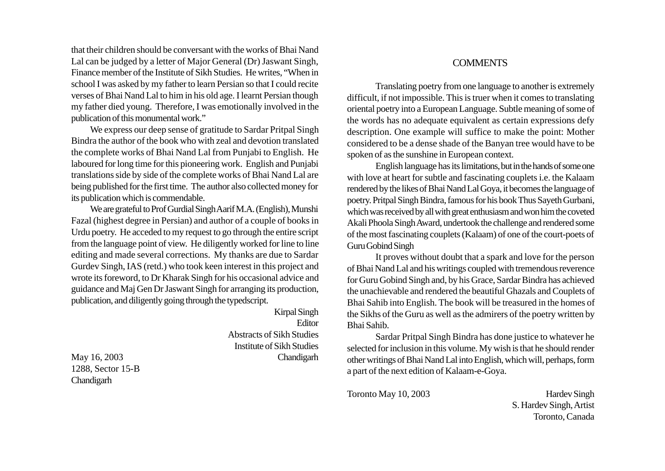that their children should be conversant with the works of Bhai Nand Lal can be judged by a letter of Major General (Dr) Jaswant Singh, Finance member of the Institute of Sikh Studies. He writes, "When in school I was asked by my father to learn Persian so that I could recite verses of Bhai Nand Lal to him in his old age. I learnt Persian though my father died young. Therefore, I was emotionally involved in the publication of this monumental work."

We express our deep sense of gratitude to Sardar Pritpal Singh Bindra the author of the book who with zeal and devotion translated the complete works of Bhai Nand Lal from Punjabi to English. He laboured for long time for this pioneering work. English and Punjabi translations side by side of the complete works of Bhai Nand Lal are being published for the first time. The author also collected money for its publication which is commendable.

We are grateful to Prof Gurdial Singh Aarif M.A. (English), Munshi Fazal (highest degree in Persian) and author of a couple of books in Urdu poetry. He acceded to my request to go through the entire script from the language point of view. He diligently worked for line to line editing and made several corrections. My thanks are due to Sardar Gurdev Singh, IAS (retd.) who took keen interest in this project and wrote its foreword, to Dr Kharak Singh for his occasional advice and guidance and Maj Gen Dr Jaswant Singh for arranging its production, publication, and diligently going through the typedscript.

Kirpal Singh Editor Abstracts of Sikh Studies Institute of Sikh Studies May 16, 2003 Chandigarh **COMMENTS** 

Translating poetry from one language to another is extremely difficult, if not impossible. This is truer when it comes to translating oriental poetry into a European Language. Subtle meaning of some of the words has no adequate equivalent as certain expressions defy description. One example will suffice to make the point: Mother considered to be a dense shade of the Banyan tree would have to be spoken of as the sunshine in European context.

English language has its limitations, but in the hands of some one with love at heart for subtle and fascinating couplets i.e. the Kalaam rendered by the likes of Bhai Nand Lal Goya, it becomes the language of poetry. Pritpal Singh Bindra, famous for his book Thus Sayeth Gurbani, which was received by all with great enthusiasm and won him the coveted Akali Phoola Singh Award, undertook the challenge and rendered some of the most fascinating couplets (Kalaam) of one of the court-poets of Guru Gobind Singh

It proves without doubt that a spark and love for the person of Bhai Nand Lal and his writings coupled with tremendous reverence for Guru Gobind Singh and, by his Grace, Sardar Bindra has achieved the unachievable and rendered the beautiful Ghazals and Couplets of Bhai Sahib into English. The book will be treasured in the homes of the Sikhs of the Guru as well as the admirers of the poetry written by Bhai Sahib.

Sardar Pritpal Singh Bindra has done justice to whatever he selected for inclusion in this volume. My wish is that he should render other writings of Bhai Nand Lal into English, which will, perhaps, form a part of the next edition of Kalaam-e-Goya.

Toronto May 10, 2003 Hardev Singh

S. Hardev Singh, Artist  $\blacksquare$  Toronto,  $\blacksquare$ 

1288, Sector 15-B Chandigarh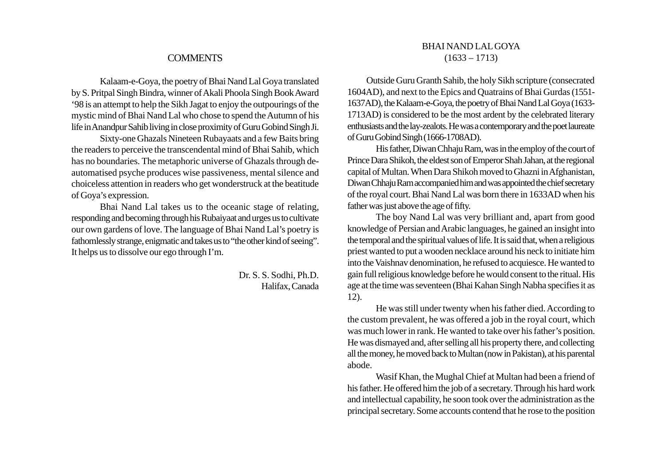#### **COMMENTS**

Kalaam-e-Goya, the poetry of Bhai Nand Lal Goya translated by S. Pritpal Singh Bindra, winner of Akali Phoola Singh Book Award '98 is an attempt to help the Sikh Jagat to enjoy the outpourings of the mystic mind of Bhai Nand Lal who chose to spend the Autumn of his life in Anandpur Sahib living in close proximity of Guru Gobind Singh Ji.

Sixty-one Ghazals Nineteen Rubayaats and a few Baits bring the readers to perceive the transcendental mind of Bhai Sahib, which has no boundaries. The metaphoric universe of Ghazals through deautomatised psyche produces wise passiveness, mental silence and choiceless attention in readers who get wonderstruck at the beatitude of Goya's expression.

Bhai Nand Lal takes us to the oceanic stage of relating, responding and becoming through his Rubaiyaat and urges us to cultivate our own gardens of love. The language of Bhai Nand Lal's poetry is fathomlessly strange, enigmatic and takes us to "the other kind of seeing". It helps us to dissolve our ego through I'm.

> Dr. S. S. Sodhi, Ph.D. Halifax, Canada

#### BHAI NAND LAL GOYA  $(1633 - 1713)$

Outside Guru Granth Sahib, the holy Sikh scripture (consecrated 1604AD), and next to the Epics and Quatrains of Bhai Gurdas (1551- 1637AD), the Kalaam-e-Goya, the poetry of Bhai Nand Lal Goya (1633- 1713AD) is considered to be the most ardent by the celebrated literary enthusiasts and the lay-zealots. He was a contemporary and the poet laureate of Guru Gobind Singh (1666-1708AD).

His father, Diwan Chhaju Ram, was in the employ of the court of Prince Dara Shikoh, the eldest son of Emperor Shah Jahan, at the regional capital of Multan. When Dara Shikoh moved to Ghazni in Afghanistan, Diwan Chhaju Ram accompanied him and was appointed the chief secretary of the royal court. Bhai Nand Lal was born there in 1633AD when his father was just above the age of fifty.

The boy Nand Lal was very brilliant and, apart from good knowledge of Persian and Arabic languages, he gained an insight into the temporal and the spiritual values of life. It is said that, when a religious priest wanted to put a wooden necklace around his neck to initiate him into the Vaishnav denomination, he refused to acquiesce. He wanted to gain full religious knowledge before he would consent to the ritual. His age at the time was seventeen (Bhai Kahan Singh Nabha specifies it as 12).

He was still under twenty when his father died. According to the custom prevalent, he was offered a job in the royal court, which was much lower in rank. He wanted to take over his father's position. He was dismayed and, after selling all his property there, and collecting all the money, he moved back to Multan (now in Pakistan), at his parental abode.

Wasif Khan, the Mughal Chief at Multan had been a friend of his father. He offered him the job of a secretary. Through his hard work and intellectual capability, he soon took over the administration as the principal secretary. Some accounts contend that he rose to the position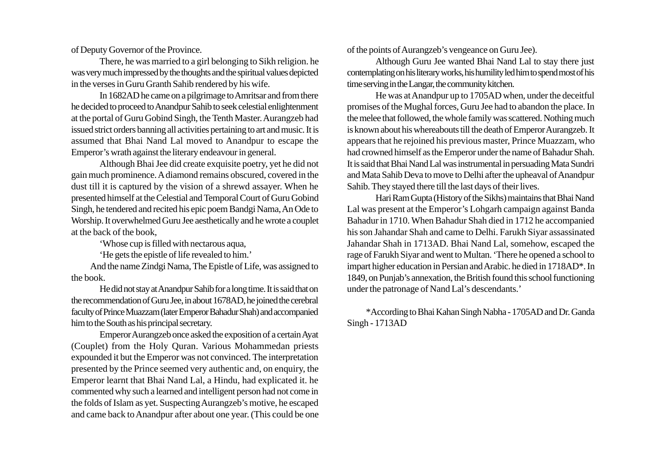of Deputy Governor of the Province.

There, he was married to a girl belonging to Sikh religion. he was very much impressed by the thoughts and the spiritual values depicted in the verses in Guru Granth Sahib rendered by his wife.

In 1682AD he came on a pilgrimage to Amritsar and from there he decided to proceed to Anandpur Sahib to seek celestial enlightenment at the portal of Guru Gobind Singh, the Tenth Master. Aurangzeb had issued strict orders banning all activities pertaining to art and music. It is assumed that Bhai Nand Lal moved to Anandpur to escape the Emperor's wrath against the literary endeavour in general.

Although Bhai Jee did create exquisite poetry, yet he did not gain much prominence. A diamond remains obscured, covered in the dust till it is captured by the vision of a shrewd assayer. When he presented himself at the Celestial and Temporal Court of Guru Gobind Singh, he tendered and recited his epic poem Bandgi Nama, An Ode to Worship. It overwhelmed Guru Jee aesthetically and he wrote a couplet at the back of the book,

'Whose cup is filled with nectarous aqua,

'He gets the epistle of life revealed to him.'

And the name Zindgi Nama, The Epistle of Life, was assigned to the book.

He did not stay at Anandpur Sahib for a long time. It is said that on the recommendation of Guru Jee, in about 1678AD, he joined the cerebral faculty of Prince Muazzam (later Emperor Bahadur Shah) and accompanied him to the South as his principal secretary.

Emperor Aurangzeb once asked the exposition of a certain Ayat (Couplet) from the Holy Quran. Various Mohammedan priests expounded it but the Emperor was not convinced. The interpretation presented by the Prince seemed very authentic and, on enquiry, the Emperor learnt that Bhai Nand Lal, a Hindu, had explicated it. he commented why such a learned and intelligent person had not come in the folds of Islam as yet. Suspecting Aurangzeb's motive, he escaped and the back to  $\alpha$  and  $\alpha$  and  $\alpha$  and  $\alpha$  are  $\alpha$ 

of the points of Aurangzeb's vengeance on Guru Jee).

Although Guru Jee wanted Bhai Nand Lal to stay there just contemplating on his literary works, his humility led him to spend most of his time serving in the Langar, the community kitchen.

He was at Anandpur up to 1705AD when, under the deceitful promises of the Mughal forces, Guru Jee had to abandon the place. In the melee that followed, the whole family was scattered. Nothing much is known about his whereabouts till the death of Emperor Aurangzeb.It appears that he rejoined his previous master, Prince Muazzam, who had crowned himself as the Emperor under the name of Bahadur Shah. It is said that Bhai Nand Lal was instrumental in persuading Mata Sundri and Mata Sahib Deva to move to Delhi after the upheaval of Anandpur Sahib. They stayed there till the last days of their lives.

Hari Ram Gupta (History of the Sikhs) maintains that Bhai Nand Lal was present at the Emperor's Lohgarh campaign against Banda Bahadur in 1710. When Bahadur Shah died in 1712 he accompanied his son Jahandar Shah and came to Delhi. Farukh Siyar assassinated Jahandar Shah in 1713AD. Bhai Nand Lal, somehow, escaped the rage of Farukh Siyar and went to Multan. 'There he opened a school to impart higher education in Persian and Arabic. he died in 1718AD\*. In 1849, on Punjab's annexation, the British found this school functioning under the patronage of Nand Lal's descendants.'

\*According to Bhai Kahan Singh Nabha - 1705AD and Dr. Ganda Singh - 1713AD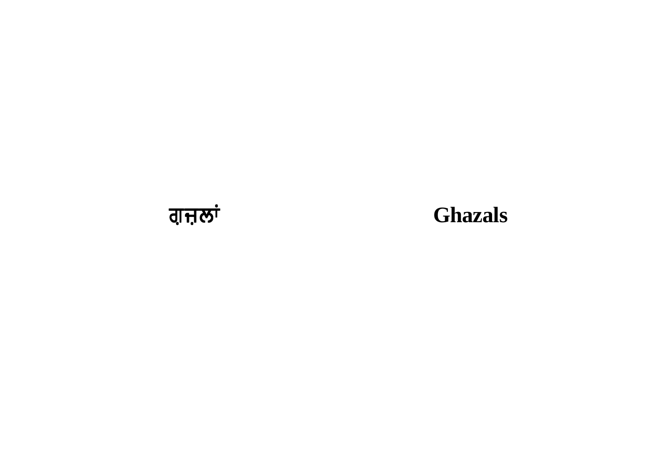

# **Ghazals**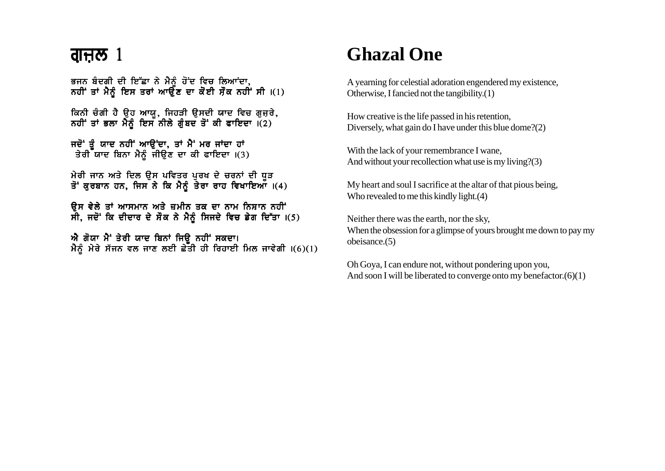ਭਜਨ ਬੰਦਗੀ ਦੀ ਇੱਛਾ ਨੇ ਮੈਨੂੰ ਹੋਂਦ ਵਿਚ ਲਿਆਂਦਾ,<br>ਨਹੀਂ ਤਾਂ ਮੈਨੂੰ ਇਸ ਤਰਾਂ ਆਉਣ ਦਾ ਕੋਈ ਸੌਕ ਨਹੀਂ ਸੀ ।(1)

ਕਿਨੀ ਚੰਗੀ ਹੈ ਉਹ ਆਯੂ, ਜਿਹੜੀ ਉਸਦੀ ਯਾਦ ਵਿਚ ਗੁਜ਼ਰੇ,<br>ਨਹੀਂ ਤਾਂ ਭਲਾ ਮੈਨੂੰ ਇਸ ਨੀਲੇ ਗੁੰਬਦ ਤੋਂ ਕੀ ਫਾਇਦਾ ।(2)

ਜਦੋਂ ਤੂੰ ਯਾਦ ਨਹੀਂ ਆਉਂਦਾ, ਤਾਂ ਮੈਂ ਮਰ ਜਾਂਦਾ ਹਾਂ<br>ਤੇਰੀ ਯਾਦ ਬਿਨਾ ਮੈਨੂੰ ਜੀਉਣ ਦਾ ਕੀ ਫਾਇਦਾ ।(3)

ਮੇਰੀ ਜਾਨ ਅਤੇ ਦਿਲ ਉਸ ਪਵਿਤਰ ਪੁਰਖ ਦੇ ਚਰਨਾਂ ਦੀ ਧੁੜ ਤੋਂ ਕੁਰਬਾਨ ਹਨ, ਜਿਸ ਨੇ ਕਿ ਮੈਨੂੰ ਤੇਰਾ ਰਾਹ ਵਿਖਾਇਆਂ ।(4)

ਉਸ ਵੇਲੇ ਤਾਂ ਆਸਮਾਨ ਅਤੇ ਜ਼ਮੀਨ ਤਕ ਦਾ ਨਾਮ ਨਿਸ਼ਾਨ ਨਹੀਂ ਸੀ, ਜਦੋਂ ਕਿ ਦੀਦਾਰ ਦੇ ਸੌਕ ਨੇ ਮੈਨੂੰ ਸਿਜਦੇ ਵਿਚ ਡੇਗ ਦਿੱਤਾ ।(5)

ਐ ਗੋਯਾ ਮੈਂ ਤੇਰੀ ਯਾਦ ਬਿਨਾਂ ਜਿੳ ਨਹੀਂ ਸਕਦਾ। ਮੈਨੂੰ ਮੇਰੇ ਸੱਜਨ ਵਲ ਜਾਣ ਲਈ ਛੇਤੀ ਹੀ ਰਿਹਾਈ ਮਿਲ ਜਾਵੇਗੀ  $\vert (6)(1) \vert$ 

# **Ghazal One**

A yearning for celestial adoration engendered my existence, Otherwise, I fancied not the tangibility. $(1)$ 

How creative is the life passed in his retention, Diversely, what gain do I have under this blue dome?(2)

With the lack of your remembrance I wane, And without your recollection what use is my living?(3)

My heart and soul I sacrifice at the altar of that pious being, Who revealed to me this kindly light. $(4)$ 

Neither there was the earth, nor the sky, When the obsession for a glimpse of yours brought me down to pay my obeisance. $(5)$ 

Oh Goya, I can endure not, without pondering upon you, And soon I will be liberated to converge onto my benefactor. $(6)(1)$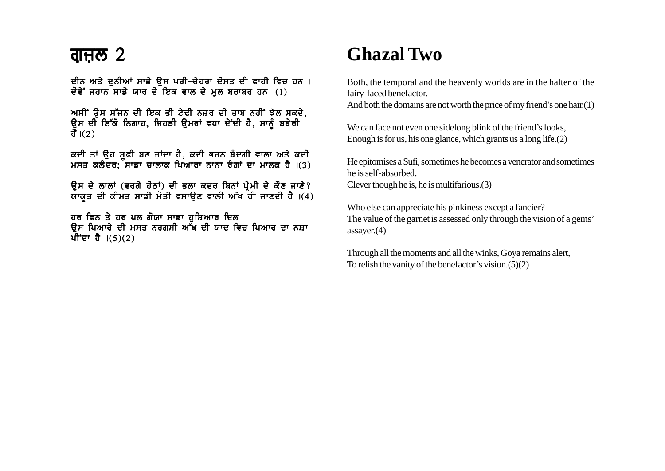ਦੀਨ ਅਤੇ ਦਨੀਆਂ ਸਾਡੇ ੳਸ ਪਰੀ-ਚੇਹਰਾ ਦੋਸਤ ਦੀ ਫਾਹੀ ਵਿਚ ਹਨ। ਦੋਵੇ<sup>:</sup> ਜਹਾਨ ਸਾਡੇ ਯਾਰ ਦੇ ਇਕ ਵਾਲ ਦੇ ਮਲ ਬਰਾਬਰ ਹਨ।(1)

ਅਸੀਂ ਉਸ ਸੱਜਨ ਦੀ ਇਕ ਭੀ ਟੇਢੀ ਨਜ਼ਰ ਦੀ ਤਾਬ ਨਹੀਂ ਝੱਲ ਸਕਦੇ, ਉਸ ਦੀ ਇੱਕੋ ਨਿਗਾਹ, ਜਿਹੜੀ ਉਮਰਾਂ ਵਧਾ ਦੇਂਦੀ ਹੈ, ਸਾਨੂੰ ਬਥੇਰੀ ਹੈ। $(2)$ 

ਕਦੀ ਤਾਂ ਉਹ ਸੁਫੀ ਬਣ ਜਾਂਦਾ ਹੈ, ਕਦੀ ਭਜਨ ਬੰਦਗੀ ਵਾਲਾ ਅਤੇ ਕਦੀ ਮਸਤ ਕਲੰਦਰ; ਸਾਡਾ ਚਾਲਾਕ ਪਿਆਰਾ ਨਾਨਾ ਰੰਗਾਂ ਦਾ ਮਾਲਕ ਹੈ ।(3)

ਉਸ ਦੇ ਲਾਲਾਂ (ਵਰਗੇ ਹੋਠਾਂ) ਦੀ ਭਲਾ ਕਦਰ ਬਿਨਾਂ ਪ੍ਰੇਮੀ ਦੇ ਕੌਣ ਜਾਣੇ? ਯਾਕਤ ਦੀ ਕੀਮਤ ਸਾਡੀ ਮੋਤੀ ਵਸਾਉਣ ਵਾਲੀ ਅੱਖ ਹੀ ਜਾਣਦੀ ਹੈ।(4)

ਹਰ ਛਿਨ ਤੇ ਹਰ ਪਲ ਗੋਯਾ ਸਾਡਾ ਹੁਸ਼ਿਆਰ ਦਿਲ ਉਸ ਪਿਆਰੇ ਦੀ ਮਸਤ ਨਰਗਸੀ ਅੱਖ ਦੀ ਯਾਦ ਵਿਚ ਪਿਆਰ ਦਾ ਨਸ਼ਾ ਪੀਂਦਾ ਹੈ  $(5)(2)$ 

# **Ghazal Two**

Both, the temporal and the heavenly worlds are in the halter of the fairy-faced benefactor.

And both the domains are not worth the price of my friend's one hair. $(1)$ 

We can face not even one sidelong blink of the friend's looks, Enough is for us, his one glance, which grants us a long life. $(2)$ 

He epitomises a Sufi, sometimes he becomes a venerator and sometimes he is self-absorbed. Clever though he is, he is multifarious. $(3)$ 

Who else can appreciate his pinkiness except a fancier? The value of the garnet is assessed only through the vision of a gems'  $assayer. (4)$ 

Through all the moments and all the winks, Goya remains alert, To relish the vanity of the benefactor's vision. $(5)(2)$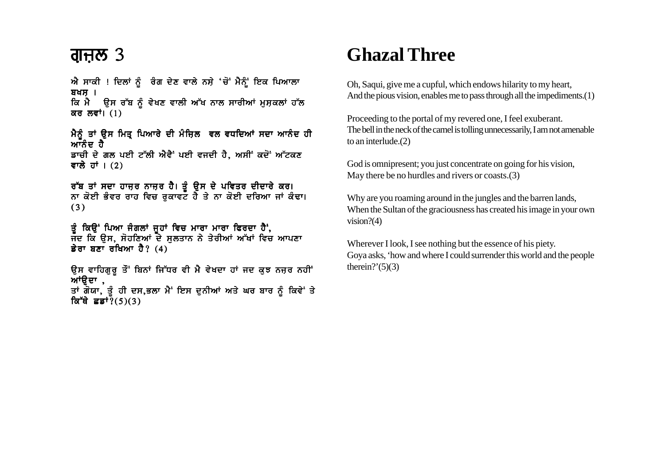ਐ ਸਾਕੀ ! ਦਿਲਾਂ ਨੂੰ ਰੰਗ ਦੇਣ ਵਾਲੇ ਨਸ਼ੇ 'ਚੋਂ ਮੈਨੂੰ ਇਕ ਪਿਆਲਾ  $347$  | ਕਿ ਮੈਂ ਉਸ ਰੱਬ ਨੂੰ ਵੇਖਣ ਵਾਲੀ ਅੱਖ ਨਾਲ ਸਾਰੀਆਂ ਮੁਸ਼ਕਲਾਂ ਹੱਲ ਕਰ ਲਵਾਂ।  $(1)$ 

ਮੈਨੂੰ ਤਾਂ ਉਸ ਮਿਤ੍ਰ ਪਿਆਰੇ ਦੀ ਮੰਜ਼ਿਲ ਵਲ ਵਧਦਿਆਂ ਸਦਾ ਆਨੰਦ ਹੀ<br>ਆਨੰਦ ਹੈ ਡਾਚੀ ਦੇ ਗਲ ਪਈ ਟੱਲੀ ਐਵੈਂ ਪਈ ਵਜਦੀ ਹੈ. ਅਸੀਂ ਕਦੋਂ ਅੱਟਕਣ ਵਾਲੇ ਹਾਂ ।  $(2)$ 

ਰੱਬ ਤਾਂ ਸਦਾ ਹਾਜ਼ਰ ਨਾਜ਼ਰ ਹੈ। ਤੂੰ ਉਸ ਦੇ ਪਵਿਤਰ ਦੀਦਾਰੇ ਕਰ।<br>ਨਾ ਕੋਈ ਭੰਵਰ ਰਾਹ ਵਿਚ ਰੁਕਾਵਟ ਹੈ ਤੇ ਨਾ ਕੋਈ ਦਰਿਆ ਜਾਂ ਕੰਢਾ।  $(3)$ 

ਤੂੰ ਕਿਉਂ ਪਿਆ ਜੰਗਲਾਂ ਜੂਹਾਂ ਵਿਚ ਮਾਰਾ ਮਾਰਾ ਫਿਰਦਾ ਹੈਂ,<br>ਜਦ ਕਿ ਉਸ, ਸੋਹਣਿਆਂ ਦੇ ਸੁਲਤਾਨ ਨੇ ਤੇਰੀਆਂ ਅੱਖਾਂ ਵਿਚ ਆਪਣਾ ਡੇਰਾ ਬਣਾ ਰਖਿਆ ਹੈ?  $(4)$ 

ਉਸ ਵਾਹਿਗੁਰੂ ਤੋਂ ਬਿਨਾਂ ਜਿੱਧਰ ਵੀ ਮੈ ਵੇਖਦਾ ਹਾਂ ਜਦ ਕੁਝ ਨਜ਼ਰ ਨਹੀਂ ਆਂਉਦਾ , ਤਾਂ ਗੋਯਾ, ਤੂੰ ਹੀ ਦਸ,ਭਲਾ ਮੈਂ ਇਸ ਦੁਨੀਆਂ ਅਤੇ ਘਰ ਬਾਰ ਨੂੰ ਕਿਵੇਂ ਤੇ ਕਿੱਥੇ ਛਡਾਂ $\overline{?}(5)(3)$ 

# **Ghazal Three**

Oh, Saqui, give me a cupful, which endows hilarity to my heart, And the pious vision, enables me to pass through all the impediments.(1)

Proceeding to the portal of my revered one, I feel exuberant. The bell in the neck of the camel is tolling unnecessarily, I am not amenable to an interlude. $(2)$ 

God is omnipresent; you just concentrate on going for his vision, May there be no hurdles and rivers or coasts. (3)

Why are you roaming around in the jungles and the barren lands, When the Sultan of the graciousness has created his image in your own vision? $(4)$ 

Wherever I look, I see nothing but the essence of his piety. Goya asks, 'how and where I could surrender this world and the people therein?' $(5)(3)$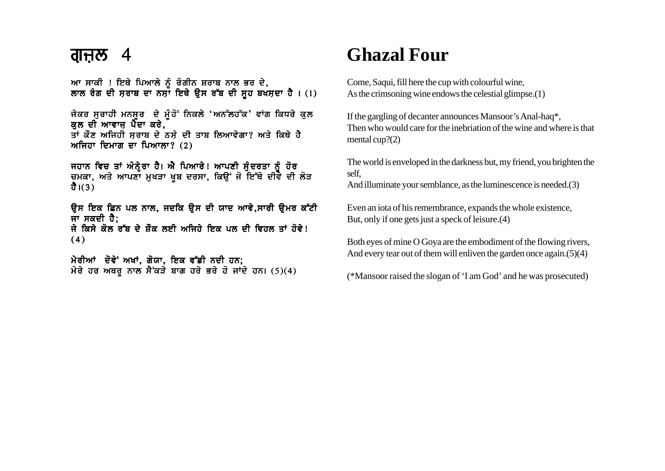ਆ ਸਾਕੀ ! ਇਥੇ ਪਿਆਲੇ ਨੂੰ ਰੰਗੀਨ ਸ਼ਰਾਬ ਨਾਲ ਭਰ ਦੇ, ਲਾਲ ਰੰਗ ਦੀ ਸ਼ਰਾਬ ਦਾ ਨਸ਼ਾ ਇਥੇ ਉਸ ਰੱਬ ਦੀ ਸ਼ਹ ਬਖਸ਼ਦਾ ਹੈ। (1)

ਜੇਕਰ ਸੁਰਾਹੀ ਮਨਸੂਰ ਦੇ ਮੂੰਹੋ ਨਿਕਲੇ 'ਅਨੱਲਹੱਕ' ਵਾਂਗ ਕਿਧਰੇ ਕਲ ਕਲ ਦੀ ਆਵਾਜ਼ ਪੈਦਾ ਕਰੇ, ਤਾਂ ਕੌਣ ਅਜਿਹੀ ਸਰਾਬ ਦੇ ਨਸੇ ਦੀ ਤਾਬ ਲਿਆਵੇਗਾ? ਅਤੇ ਕਿਥੇ ਹੈ ਅਜਿਹਾ ਦਿਮਾਗ ਦਾ ਪਿਆਲਾ? (2)

ਜਹਾਨ ਵਿਚ ਤਾਂ ਅੰਨ੍ਹੇਰਾ ਹੈ। ਐ ਪਿਆਰੇ! ਆਪਣੀ ਸੁੰਦਰਤਾ ਨੂੰ ਹੋਰ<br>ਚਮਕਾ, ਅਤੇ ਆਪਣਾ ਮੁਖੜਾ ਖੂਬ ਦਰਸਾ, ਕਿਉਂ ਜੋ ਇੱਥੇ ਦੀਵੇ ਦੀ ਲੋੜ ਹੈ। $(3)$ 

ਉਸ ਇਕ ਛਿਨ ਪਲ ਨਾਲ, ਜਦਕਿ ਉਸ ਦੀ ਯਾਦ ਆਵੇ,ਸਾਰੀ ਉਮਰ ਕੱਟੀ ਜਾ ਸਕਦੀ ਹੈ: ਜੇ ਕਿਸੇ ਕੋਲ ਰੱਬ ਦੇ ਸ਼ੌਕ ਲਈ ਅਜਿਹੇ ਇਕ ਪਲ ਦੀ ਵਿਹਲ ਤਾਂ ਹੋਵੇ!  $(4)$ 

ਮੇਰੀਆਂ ਦੋਵੇਂ ਅਖਾਂ, ਗੋਯਾ, ਇਕ ਵੱਡੀ ਨਦੀ ਹਨ; ਮੇਰੇ ਹਰ ਅਥਰੂ ਨਾਲ ਸੈਂਕੜੇ ਬਾਗ ਹਰੇ ਭਰੇ ਹੋ ਜਾਂਦੇ ਹਨ। (5)(4)

# **Ghazal Four**

Come, Saqui, fill here the cup with colourful wine. As the crimsoning wine endows the celestial glimpse. $(1)$ 

If the gargling of decanter announces Mansoor's Anal-haq\*, Then who would care for the inebriation of the wine and where is that mental cup? $(2)$ 

The world is enveloped in the darkness but, my friend, you brighten the self.

And illuminate your semblance, as the luminescence is needed.(3)

Even an iota of his remembrance, expands the whole existence, But, only if one gets just a speck of leisure. (4)

Both eyes of mine O Goya are the embodiment of the flowing rivers, And every tear out of them will enliven the garden once again. $(5)(4)$ 

(\*Mansoor raised the slogan of 'I am God' and he was prosecuted)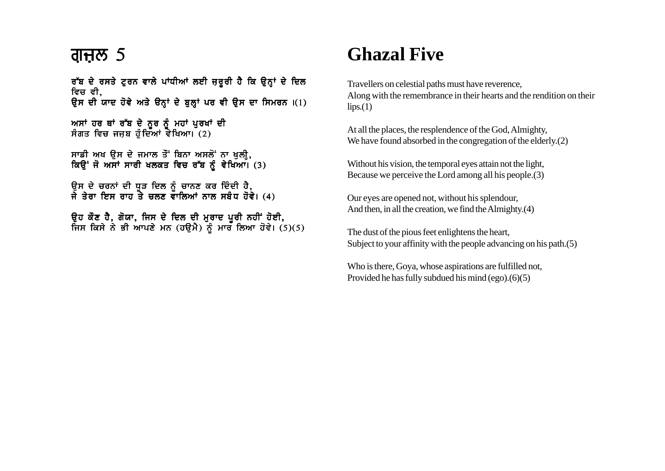### ਗ੍ਜ਼ਲ  $5$

ਰੱਬ ਦੇ ਰਸਤੇ ਟੂਰਨ ਵਾਲੇ ਪਾਂਧੀਆਂ ਲਈ ਜ਼ਰੂਰੀ ਹੈ ਕਿ ਉਨ੍ਹਾਂ ਦੇ ਦਿਲ ਵਿਚ ਵੀ. ਉਸ ਦੀ ਯਾਦ ਹੋਵੇ ਅਤੇ ੳਨ੍ਹਾਂ ਦੇ ਬੁਲ੍ਹਾਂ ਪਰ ਵੀ ਉਸ ਦਾ ਸਿਮਰਨ ।(1)

ਅਸਾਂ ਹਰ ਥਾਂ ਰੱਬ ਦੇ ਨੂਰ ਨੂੰ ਮਹਾਂ ਪੁਰਖਾਂ ਦੀ ਸੰਗਤ ਵਿਚ ਜਜਬ ਹੰਦਿਆਂ ਵੇਖਿਆ। (2)

ਸਾਡੀ ਅਖ ੳਸ ਦੇ ਜਮਾਲ ਤੌਂ ਬਿਨਾ ਅਸਲੋਂ ਨਾ ਖਲੀ, ਕਿੳਂ ਜੋ ਅਸਾਂ ਸਾਰੀ ਖਲਕਤ ਵਿਚ ਰੱਬ ਨੰ ਵੇਖਿਆ। (3)

ੳਸ ਦੇ ਚਰਨਾਂ ਦੀ ਧੜ ਦਿਲ ਨੰ ਚਾਨਣ ਕਰ ਦਿੰਦੀ ਹੈ. ਜੇ ਤੇਰਾ ਇਸ ਰਾਹ ਤੇ ਚਲਣ ਵਾਲਿਆਂ ਨਾਲ ਸਬੰਧ ਹੋਵੇ। (4)

ੳਹ ਕੌਣ ਹੈ. ਗੋਯਾ. ਜਿਸ ਦੇ ਦਿਲ ਦੀ ਮਰਾਦ ਪਰੀ ਨਹੀਂ ਹੋਈ. ਜਿਸ ਕਿਸੇ ਨੇ ਭੀ ਆਪਣੇ ਮਨ (ਹੳਮੈ) ਨੰ ਮਾਰ ਲਿਆ ਹੋਵੇ। (5)(5)

# **Ghazal Five**

Travellers on celestial paths must have reverence, Along with the remembrance in their hearts and the rendition on their  $lips.(1)$ 

At all the places, the resplendence of the God, Almighty, We have found absorbed in the congregation of the elderly. (2)

Without his vision, the temporal eyes attain not the light, Because we perceive the Lord among all his people.(3)

Our eyes are opened not, without his splendour, And then, in all the creation, we find the Almighty.(4)

The dust of the pious feet enlightens the heart, Subject to your affinity with the people advancing on his path.(5)

Who is there, Goya, whose aspirations are fulfilled not, Provided he has fully subdued his mind (ego).(6)(5)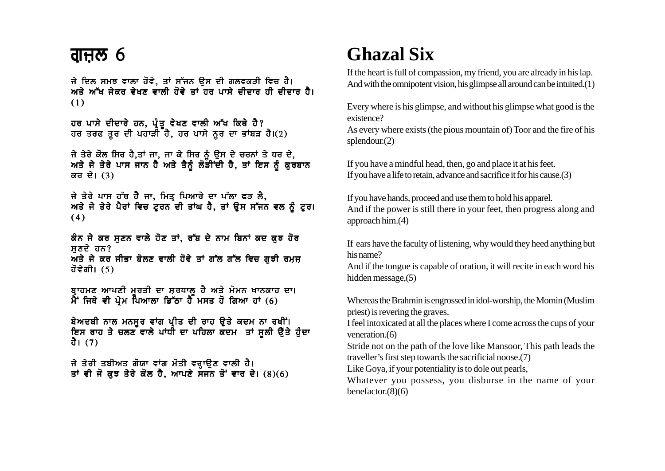ਜੇ ਦਿਲ ਸਮਝ ਵਾਲਾ ਹੋਵੇ, ਤਾਂ ਸੱਜਨ ਉਸ ਦੀ ਗਲਵਕੜੀ ਵਿਚ ਹੈ। ਅਤੇ ਅੱਖ ਜੇਕਰ ਵੇਖਣ ਵਾਲੀ ਹੋਵੇ ਤਾਂ ਹਰ ਪਾਸੇ ਦੀਦਾਰ ਹੀ ਦੀਦਾਰ ਹੈ।  $(1)$ 

ਹਰ ਪਾਸੇ ਦੀਦਾਰੇ ਹਨ, ਪ੍ਰੰਤੂ ਵੇਖਣ ਵਾਲੀ ਅੱਖ ਕਿਥੇ ਹੈ?<br>ਹਰ ਤਰਫ ਤੁਰ ਦੀ ਪਹਾੜੀ ਹੈ, ਹਰ ਪਾਸੇ ਨੁਰ ਦਾ ਭਾਂਬੜ ਹੈ।(2)

ਜੇ ਤੇਰੇ ਕੋਲ ਸਿਰ ਹੈ,ਤਾਂ ਜਾ, ਜਾ ਕੇ ਸਿਰ ਨੂੰ ਉਸ ਦੇ ਚਰਨਾਂ ਤੇ ਧਰ ਦੇ, ਅਤੇ ਜੇ ਤੇਰੇ ਪਾਸ ਜਾਨ ਹੈ ਅਤੇ ਤੈਨੂੰ ਲੋੜੀਂਦੀ ਹੈ, ਤਾਂ ਇਸ ਨੂੰ ਕੁਰਬਾਨ ਕਰ ਦੇ।  $(3)$ 

ਜੇ ਤੇਰੇ ਪਾਸ ਹੱਥ ਹੈੈ ਜਾ, ਮਿਤ੍ਰ ਪਿਆਰੇ ਦਾ ਪੱਲਾ ਫੜ ਲੈ,<br>ਅਤੇ ਜੇ ਤੇਰੇ ਪੈਰਾਂ ਵਿਚ ਟੂਰਨ ਦੀ ਤਾਂਘ ਹੈ, ਤਾਂ ਉਸ ਸੱਜਨ ਵਲ ਨੂੰ ਟੂਰ।  $(4)$ 

ਕੰਨ ਜੇ ਕਰ ਸਣਨ ਵਾਲੇ ਹੋਣ ਤਾਂ, ਰੱਬ ਦੇ ਨਾਮ ਬਿਨਾਂ ਕਦ ਕਝ ਹੋਰ ਸਣਦੇ ਹਨ? ਅਤੇ ਜੇ ਕਰ ਜੀਭਾ ਬੋਲਣ ਵਾਲੀ ਹੋਵੇ ਤਾਂ ਗੱਲ ਗੱਲ ਵਿਚ ਗਝੀ ਰਮਜ ਹੋਵੇਗੀ। (5)

ਬ੍ਰਾਹਮਣ ਆਪਣੀ ਮੁਰਤੀ ਦਾ ਸ਼ਰਧਾਲੂ ਹੈ ਅਤੇ ਮੋਮਨ ਖਾਨਕਾਹ ਦਾ।  $\hat{A}$  ਜਿਥੇ ਵੀ ਪ੍ਰੇਮ ਪਿਆਲਾ ਡਿੱਠਾ ਹੈ ਮਸਤ ਹੋ ਗਿਆ ਹਾਂ (6)

ਬੇਅਦਬੀ ਨਾਲ ਮਨਸੂਰ ਵਾਂਗ ਪ੍ਰੀਤ ਦੀ ਰਾਹ ਉਤੇ ਕਦਮ ਨਾ ਰਖੀਂ। ਇਸ ਰਾਹ ਤੇ ਚਲਣ ਵਾਲੇ ਪਾਂਧੀ ਦਾ ਪਹਿਲਾ ਕਦਮ ਤਾਂ ਸੁਲੀ ਉੱਤੇ ਹੁੰਦਾ ਹੈ।  $(7)$ 

ਜੇ ਤੇਰੀ ਤਬੀਅਤ ਗੋਯਾ ਵਾਂਗ ਮੋਤੀ ਵਰ੍ਹਾਉਣ ਵਾਲੀ ਹੈ।<br>ਤਾਂ ਵੀ ਜੋ ਕੁਝ ਤੇਰੇ ਕੋਲ ਹੈ, ਆਪਣੇ ਸਜਨ ਤੋਂ ਵਾਰ ਦੇ। (8)(6)

# **Ghazal Six**

If the heart is full of compassion, my friend, you are already in his lap. And with the omnipotent vision, his glimpse all around can be intuited.(1)

Every where is his glimpse, and without his glimpse what good is the existence?

As every where exists (the pious mountain of) Toor and the fire of his splendour. $(2)$ 

If you have a mindful head, then, go and place it at his feet. If you have a life to retain, advance and sacrifice it for his cause. (3)

If you have hands, proceed and use them to hold his apparel. And if the power is still there in your feet, then progress along and approach him. $(4)$ 

If ears have the faculty of listening, why would they heed anything but his name?

And if the tongue is capable of oration, it will recite in each word his hidden message, $(5)$ 

Whereas the Brahmin is engrossed in idol-worship, the Momin (Muslim priest) is revering the graves.

I feel intoxicated at all the places where I come across the cups of your veneration. $(6)$ 

Stride not on the path of the love like Mansoor, This path leads the traveller's first step towards the sacrificial noose.(7)

Like Goya, if your potentiality is to dole out pearls,

Whatever you possess, you disburse in the name of your benefactor. $(8)(6)$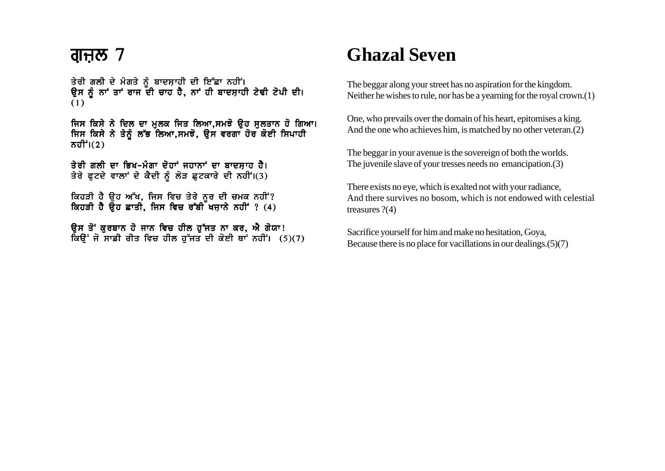#### ਗ੍ਜ਼ਲ  $7$

ਤੇਰੀ ਗਲੀ ਦੇ ਮੰਗਤੇ ਨੰ ਬਾਦਸਾਹੀ ਦੀ ਇੱਛਾ ਨਹੀਂ। ੳਸ ਨੰ ਨਾਂ ਤਾਂ ਰਾਜ ਦੀ ਚਾਹ ਹੈ. ਨਾਂ ਹੀ ਬਾਦਸਾਹੀ ਟੇਢੀ ਟੋਪੀ ਦੀ। (1)

ਜਿਸ ਕਿਸੇ ਨੇ ਦਿਲ ਦਾ ਮੁਲਕ ਜਿਤ ਲਿਆ,ਸਮਝੋ ਉਹ ਸੁਲਤਾਨ ਹੋ ਗਿਆ। ਜਿਸ ਕਿਸੇ ਨੇ ਤੇਨੂੰ ਲੱਭ ਲਿਆ,ਸਮਝੋ, ਉਸ ਵਰਗਾ ਹੋਰ ਕੋਈ ਸਿਪਾਹੀ ਨਹੀ $\dot{\mathsf{f}}$ i $(2)$ 

ਤੇਰੀ ਗਲੀ ਦਾ ਭਿਖ-ਮੰਗਾ ਦੋਹਾਂ ਜਹਾਨਾਂ ਦਾ ਬਾਦਸਾਹ ਹੈ। ਤੇਰੇ ਫਟਦੇ ਵਾਲਾਂ ਦੇ ਕੈਦੀ ਨੰ ਲੋੜ ਛਟਕਾਰੇ ਦੀ ਨਹੀਂ।(3)

ਕਿਹੜੀ ਹੈ ਉਹ ਅੱਖ, ਜਿਸ ਵਿਚ ਤੇਰੇ ਨੂਰ ਦੀ ਚਮਕ ਨਹੀਂ? ਕਿਹੜੀ ਹੈ ਉਹ ਛਾਤੀ, ਜਿਸ ਵਿਚ ਰੱਬੀ ਖਜ਼ਾਨੇ ਨਹੀਂ ? (4)

ਉਸ ਤੋਂ ਕੁਰਬਾਨ ਹੋ ਜਾਨ ਵਿਚ ਹੀਲ ਹੁੱਜਤ ਨਾ ਕਰ, ਐ ਗੋਯਾ!  $\overline{a}$ ਉਂ ਜੋ ਸਾਡੀ ਰੀਤ ਵਿਚ ਹੀਲ ਹੁੱਜਤ ਦੀ ਕੋਈ ਥਾਂ ਨਹੀਂ। (5)(7)

# **Ghazal Seven**

The beggar along your street has no aspiration for the kingdom. Neither he wishes to rule, nor has be a yearning for the royal crown.(1)

One, who prevails over the domain of his heart, epitomises a king. And the one who achieves him, is matched by no other veteran.(2)

The beggar in your avenue is the sovereign of both the worlds. The juvenile slave of your tresses needs no emancipation.(3)

There exists no eye, which is exalted not with your radiance, And there survives no bosom, which is not endowed with celestial treasures ?(4)

Sacrifice yourself for him and make no hesitation, Goya, Because there is no place for vacillations in our dealings.(5)(7)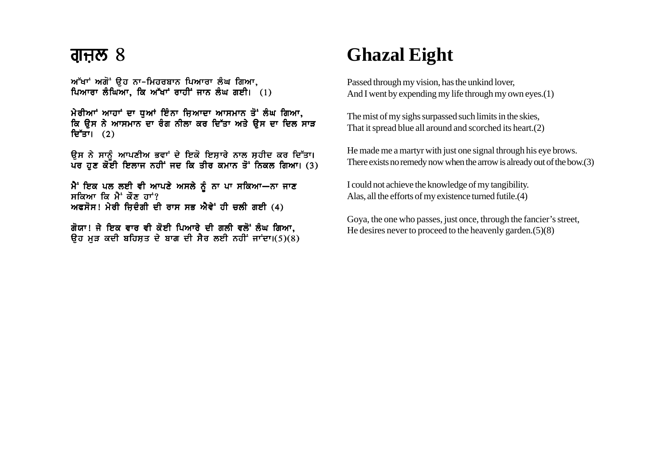#### ਗੁਜ਼ੁਲ  $8$

 $M$ ੱਖਾਂ ਅਗੋਂ ੳਹ ਨਾ-ਮਿਹਰਬਾਨ ਪਿਆਰਾ ਲੰਘ ਗਿਆ. ਪਿਆਰਾ ਲੰਘਿਆ, ਕਿ ਅੱਖਾਂ ਰਾਹੀਂ ਜਾਨ ਲੰਘ ਗਈ।  $(1)$ 

 $n$ ਰੀਆਾਂ ਆਹਾਂ ਦਾ ਧੂਆਂ ਇੰਨਾ ਜਿਆਦਾ ਆਸਮਾਨ ਤੋਂ ਲੰਘ ਗਿਆ, ਕਿ ਉਸ ਨੇ ਆਸਮਾਨ ਦਾ ਰੰਗ ਨੀਲਾ ਕਰ ਦਿੱਤਾ ਅਤੇ ਉਸ ਦਾ ਦਿਲ ਸਾੜ ਦਿੱਤਾ।  $(2)$ 

ੳਸ ਨੇ ਸਾਨੰ ਆਪਣੀਅ ਭਵਾਂ ਦੇ ਇਕੋ ਇਸਾਰੇ ਨਾਲ ਸਹੀਦ ਕਰ ਦਿੱਤਾ। ਪਰ ਹਣ ਕੋਈ ਇਲਾਜ ਨਹੀਂ ਜਦ ਕਿ ਤੀਰ ਕਮਾਨ ਤੋਂ ਨਿਕਲ ਗਿਆ। (3)

ਮੈਂ ਇਕ ਪਲ ਲਈ ਵੀ ਆਪਣੇ ਅਸਲੇ ਨੂੰ ਨਾ ਪਾ ਸਕਿਆ-ਨਾ ਜਾਣ ਸਕਿਆ ਕਿ ਮੈਂ ਕੌਣ ਹਾਂ? ਅਫਸੋਸ! ਮੇਰੀ ਜਿਦੰਗੀ ਦੀ ਰਾਸ ਸਭ ਐਵੇ<sup>:</sup> ਹੀ ਚਲੀ ਗਈ (4)

ਗੋਯਾ! ਜੇ ਇਕ ਵਾਰ ਵੀ ਕੋਈ ਪਿਆਰੇ ਦੀ ਗਲੀ ਵਲੋਂ ਲੰਘ ਗਿਆ,  $\pi$ ਰ ਮੜ ਕਦੀ ਬਹਿਸਤ ਦੇ ਬਾਗ ਦੀ ਸੈਰ ਲਈ ਨਹੀਂ ਜਾਂਦਾ।(5)(8)

# **Ghazal Eight**

Passed through my vision, has the unkind lover, And I went by expending my life through my own eyes.(1)

The mist of my sighs surpassed such limits in the skies, That it spread blue all around and scorched its heart.(2)

He made me a martyr with just one signal through his eye brows. There exists no remedy now when the arrow is already out of the bow.(3)

I could not achieve the knowledge of my tangibility. Alas, all the efforts of my existence turned futile.(4)

Goya, the one who passes, just once, through the fancier's street, He desires never to proceed to the heavenly garden.(5)(8)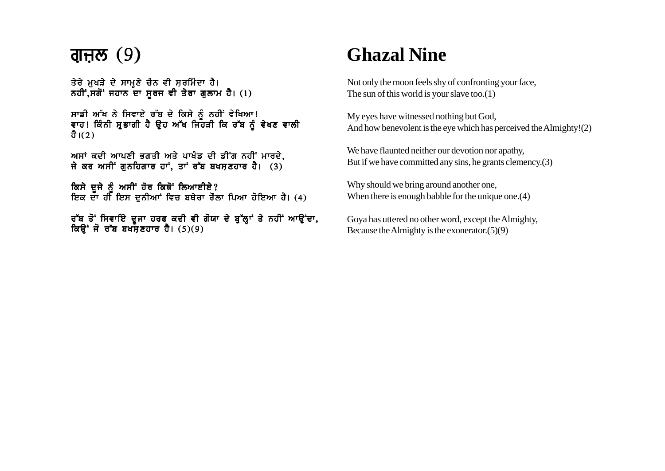# ਗੁਜ਼ਲ $(9)$

ਤੇਰੇ ਮਖੜੇ ਦੇ ਸਾਮਣੇ ਚੰਨ ਵੀ ਸਰਮਿੰਦਾ ਹੈ। ਨਹੀਂ.ਸਗੋਂ ਜਹਾਨ ਦਾ ਸਰਜ ਵੀ ਤੇਰਾ ਗਲਾਮ ਹੈ। (1)

ਸਾਡੀ ਆੱਖ ਨੇ ਸਿਵਾਏ ਰੱਬ ਦੇ ਕਿਸੇ ਨੂੰ ਨਹੀਂ ਵੇਖਿਆ! ਵਾਹ! ਕਿੰਨੀ ਸੁਭਾਗੀ ਹੈ ਉਹ ਅੱਖ ਜਿਹੜੀ ਕਿ ਰੱਬ ਨੂੰ ਵੇਖਣ ਵਾਲੀ ਹੈ। $(2)$ 

ਅਸਾਂ ਕਦੀ ਆਪਣੀ ਭਗਤੀ ਅਤੇ ਪਾਖੰਡ ਦੀ ਡੀਂਗ ਨਹੀਂ ਮਾਰਦੇ. ਜੇ ਕਰ ਅਸੀਂ ਗਨਹਿਗਾਰ ਹਾਂ, ਤਾਂ ਰੱਬ ਬਖਸ਼ਣਹਾਰ ਹੈ।  $(3)$ 

ਕਿਸੇ ਦਜੇ ਨੰ ਅਸੀਂ ਹੋਰ ਕਿਥੋਂ ਲਿਆਈਏ? ਇਕ ਦਾ ਹੀ ਇਸ ਦੁਨੀਆਂ ਵਿਚ ਬਥੇਰਾ ਰੌਲਾ ਪਿਆ ਹੋਇਆ ਹੈ। (4)

ਰੱਬ ਤੋਂ ਸਿਵਾਇੇ ਦਜਾ ਹਰਫ ਕਦੀ ਵੀ ਗੋਯਾ ਦੇ ਬੱਲਾਂ ਤੇ ਨਹੀਂ ਆੳਂਦਾ. ਕਿੳਂ ਜੋ ਰੱਬ ਬਖਸਣਹਾਰ ਹੈ। (5)(9)

# **Ghazal Nine**

Not only the moon feels shy of confronting your face, The sun of this world is your slave too.(1)

My eyes have witnessed nothing but God, And how benevolent is the eye which has perceived the Almighty!(2)

We have flaunted neither our devotion nor apathy, But if we have committed any sins, he grants clemency.(3)

Why should we bring around another one, When there is enough babble for the unique one.<sup>(4)</sup>

Goya has uttered no other word, except the Almighty, Because the Almighty is the exonerator.(5)(9)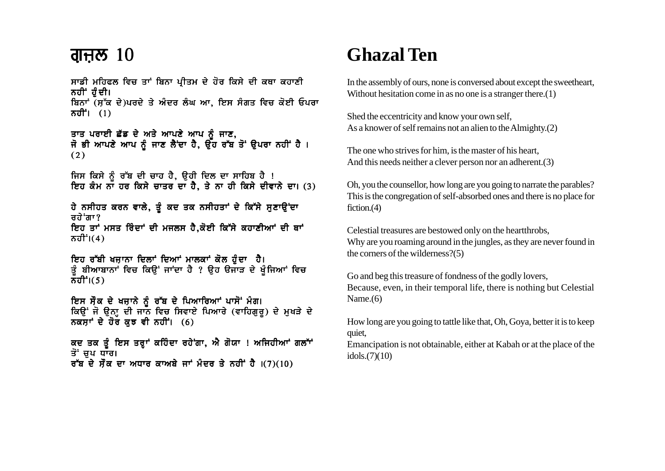ਸਾਡੀ ਮਹਿਫਲ ਵਿਚ ਤਾਂ ਬਿਨਾ ਪ੍ਰੀਤਮ ਦੇ ਹੋਰ ਕਿਸੇ ਦੀ ਕਥਾ ਕਹਾਣੀ ਨਹੀਂ' ਹੰਦੀ। ਬਿਨਾਂ (ਸ਼ੁੱਕ ਦੇ)ਪਰਦੇ ਤੇ ਅੰਦਰ ਲੰਘ ਆ, ਇਸ ਸੰਗਤ ਵਿਚ ਕੋਈ ਓਪਰਾ ਨਹੀਂ।  $(1)$ 

ਤਾਤ ਪਰਾਈ ਛੱਡ ਦੇ ਅਤੇ ਆਪਣੇ ਆਪ ਨੂੰ ਜਾਣ,<br>ਜੋ ਭੀ ਆਪਣੇ ਆਪ ਨੂੰ ਜਾਣ ਲੈਂਦਾ ਹੈ, ਉਹ ਰੱਬ ਤੋਂ ਉਪਰਾ ਨਹੀਂ ਹੈ ।  $(2)$ 

ਜਿਸ ਕਿਸੇ ਨੂੰ ਰੱਬ ਦੀ ਚਾਹ ਹੈ, ਉਹੀ ਦਿਲ ਦਾ ਸਾਹਿਬ ਹੈ ! ਇਹ ਕੰਮ ਨਾਂ ਹਰ ਕਿਸੇ ਚਾਤਰ ਦਾ ਹੈ, ਤੇ ਨਾ ਹੀ ਕਿਸੇ ਦੀਵਾਨੇ ਦਾ। (3)

ਹੇ ਨਸੀਹਤ ਕਰਨ ਵਾਲੇ, ਤੂੰ ਕਦ ਤਕ ਨਸੀਹਤਾਂ ਦੇ ਕਿੱਸੇ ਸੁਣਾਉਂਦਾ ਰਹੇ ਗਾ? ਇਹ ਤਾਂ ਮਸਤ ਰਿੰਦਾਂ ਦੀ ਮਜਲਸ ਹੈ,ਕੋਈ ਕਿੱਸੇ ਕਹਾਣੀਆਂ ਦੀ ਥਾਂ ਨਹੀ $\dot{f}$ i $(4)$ 

ਇਹ ਰੱਬੀ ਖਜ਼ਾਨਾ ਦਿਲਾਂ ਦਿਆਂ ਮਾਲਕਾਂ ਕੋਲ ਹੰਦਾ ਹੈ। ਤੂੰ ਬੀਆਬਾਨਾਂ ਵਿਚ ਕਿਉਂ ਜਾਂਦਾ ਹੈ ? ਉਹ ਉਜਾੜ ਦੇ ਖੁੰਜਿਆਂ ਵਿਚ  $\bar{\sigma}$ ਹੀ $\dot{\sigma}$ 1(5)

ਇਸ ਸੌਕ ਦੇ ਖਜ਼ਾਨੇ ਨੰ ਰੱਬ ਦੇ ਪਿਆਰਿਆਂ ਪਾਸੋਂ ਮੰਗ। ਕਿਉਂ ਜੋ ਉਨ੍ਹਾ ਦੀ ਜਾਨ ਵਿਚ ਸਿਵਾਏ ਪਿਆਰੇ (ਵਾਹਿਗੁਰੂ) ਦੇ ਮੁਖੜੇ ਦੇ ਨਕਸ਼ਾਂ ਦੇ ਹੋਰ ਕਝ ਵੀ ਨਹੀਂ।  $(6)$ 

ਕਦ ਤਕ ਤੂੰ ਇਸ ਤਰ੍ਹਾਂ ਕਹਿੰਦਾ ਰਹੇਂਗਾ, ਐ ਗੋਯਾ ! ਅਜਿਹੀਆਂ ਗਲਾਂਂ ਤੋਂ ਚਪ ਧਾਰ। ਰੱਬ ਦੇ ਸੌਕ ਦਾ ਅਧਾਰ ਕਾਅਬੇ ਜਾਂ ਮੰਦਰ ਤੇ ਨਹੀਂ ਹੈ  $(7)(10)$ 

# **Ghazal Ten**

In the assembly of ours, none is conversed about except the sweetheart, Without hesitation come in as no one is a stranger there.  $(1)$ 

Shed the eccentricity and know your own self, As a knower of self remains not an alien to the Almighty.(2)

The one who strives for him, is the master of his heart, And this needs neither a clever person nor an adherent. $(3)$ 

Oh, you the counsellor, how long are you going to narrate the parables? This is the congregation of self-absorbed ones and there is no place for fiction. $(4)$ 

Celestial treasures are bestowed only on the heartthrobs, Why are you roaming around in the jungles, as they are never found in the corners of the wilderness?(5)

Go and beg this treasure of fondness of the godly lovers, Because, even, in their temporal life, there is nothing but Celestial Name. $(6)$ 

How long are you going to tattle like that, Oh, Goya, better it is to keep quiet,

Emancipation is not obtainable, either at Kabah or at the place of the idols. $(7)(10)$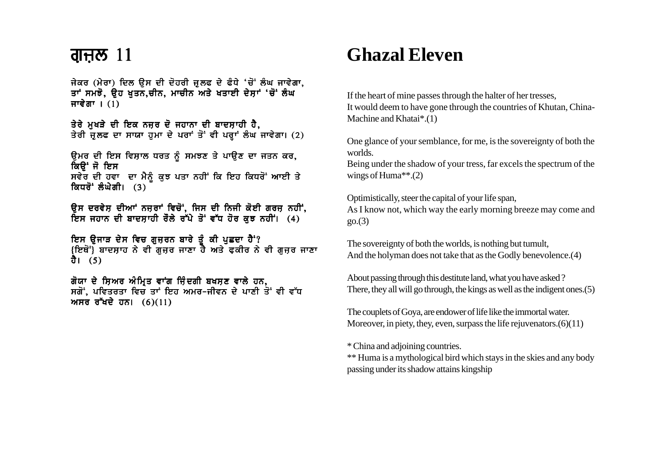#### ਗੁਜ਼ਲ  $11$

ਜੇਕਰ (ਮੇਰਾ) ਦਿਲ ੳਸ ਦੀ ਦੋਹਰੀ ਜ਼ਲਫ ਦੇ ਫੰਧੇ 'ਚੋਂ ਲੰਘ ਜਾਵੇਗਾ, ਤਾਂ ਸਮਝੋ. ਉਹ ਖਤਨ.ਚੀਨ. ਮਾਚੀਨ ਅਤੇ ਖਤਾਈ ਦੇਸਾਂ 'ਚੋਂ ਲੰਘ ਜਾਵੇਗਾ ।  $(1)$ 

ਤੇਰੇ ਮੁਖੜੇ ਦੀ ਇਕ ਨਜ਼ਰ ਦੋ ਜਹਾਨਾ ਦੀ ਬਾਦਸ਼ਾਹੀ ਹੈ, ਤੇਰੀ ਜੁਲਫ ਦਾ ਸਾਯਾ ਹੁਮਾ ਦੇ ਪਰਾਂ ਤੋਂ ਵੀ ਪਰ੍ਹਾਂ ਲੰਘ ਜਾਵੇਗਾ। (2)

ਉਮਰ ਦੀ ਇਸ ਵਿਸ਼ਾਲ ਧਰਤ ਨੂੰ ਸਮਝਣ ਤੇ ਪਾਉਣ ਦਾ ਜਤਨ ਕਰ, ਕਿੳਂਜੋ ਇਸ ਸਵੇਰ ਦੀ ਹਵਾ ਦਾ ਮੈਨੂੰ ਕੁਝ ਪਤਾ ਨਹੀਂ ਕਿ ਇਹ ਕਿਧਰੋਂ ਆਈ ਤੇ ਕਿਧਰੋਂ ਲੰਘੇਗੀ। (3)

ਉਸ ਦਰਵੇਸ਼ ਦੀਆਂ ਨਜ਼ਰਾਂ ਵਿਚੋਂ, ਜਿਸ ਦੀ ਨਿਜੀ ਕੋਈ ਗਰਜ਼ ਨਹੀਂ, ਇਸ ਜਹਾਨ ਦੀ ਬਾਦਸ਼ਾਹੀ ਰੌਲੇ ਰੱਪੇ ਤੋਂ ਵੱਧ ਹੋਰ ਕਝ ਨਹੀਂ। (4)

ਇਸ ੳਜਾੜ ਦੇਸ ਵਿਚ ਗਜ਼ਰਨ ਬਾਰੇ ਤੰ ਕੀ ਪਛਦਾ ਹੈ<sup>:</sup>? <u>{ਇਥੋਂ}</u> ਬਾਦਸ਼ਾਹ ਨੇ ਵੀ ਗਜ਼ਰ ਜਾਣਾ ਹੈ ਅਤੇ ਫ਼ਕੀਰ ਨੇ ਵੀ ਗਜ਼ਰ ਜਾਣਾ ਹੈ। (5)

ਗੋਯਾ ਦੇ ਸ਼ਿਅਰ ਅੰਮ੍ਰਿਤ ਵਾਂਗ ਜ਼ਿੰਦਗੀ ਬਖਸ਼ਣ ਵਾਲੇ ਹਨ, ਸਗੋਂ. ਪਵਿਤਰਤਾ ਵਿਚ ਤਾਂ ਇਹ ਅਮਰ-ਜੀਵਨ ਦੇ ਪਾਣੀ ਤੋਂ ਵੀ ਵੱਧ ਅਸਰ ਰੱਖਦੇ ਹਨ।  $(6)(11)$ 

# **Ghazal Eleven**

If the heart of mine passes through the halter of her tresses, It would deem to have gone through the countries of Khutan, China-Machine and Khatai\*.(1)

One glance of your semblance, for me, is the sovereignty of both the worlds.

Being under the shadow of your tress, far excels the spectrum of the wings of Huma\*\*.(2)

Optimistically, steer the capital of your life span, As I know not, which way the early morning breeze may come and  $go(3)$ 

The sovereignty of both the worlds, is nothing but tumult, And the holyman does not take that as the Godly benevolence.(4)

About passing through this destitute land, what you have asked ? There, they all will go through, the kings as well as the indigent ones.(5)

The couplets of Goya, are endower of life like the immortal water. Moreover, in piety, they, even, surpass the life rejuvenators.  $(6)(11)$ 

\* China and adjoining countries.

\*\* Huma is a mythological bird which stays in the skies and any body passing under its shadow attains kingship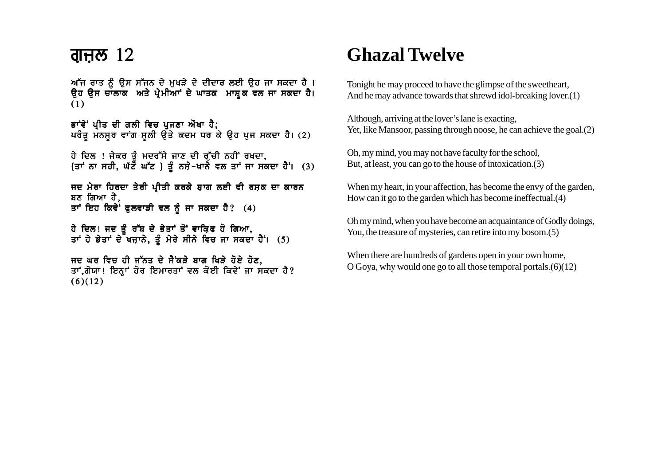### <u>ਗੁਜ਼ਲ 12</u>

ਆੱਜ ਰਾਤ ਨੂੰ ਉਸ ਸੱਜਨ ਦੇ ਮੁਖੜੇ ਦੇ ਦੀਦਾਰ ਲਈ ਉਹ ਜਾ ਸਕਦਾ ਹੈ ।<br>ਉਹ ਉਸ ਚਾਲਾਕ ਅਤੇ ਪ੍ਰੇਮੀਆਾਂ ਦੇ ਘਾਤਕ ਮਾਸ਼੍ਰਕ ਵਲ ਜਾ ਸਕਦਾ ਹੈ।  $(1)$ 

ਭਾਂਵੇਂ ਪ੍ਰੀਤ ਦੀ ਗਲੀ ਵਿਚ ਪੁਜਣਾ ਔਖਾ ਹੈ; ਪਰੰਤੂ ਮੰਨਸੂਰ ਵਾਂਗ ਸੂਲੀ ਉੱਤੇ ਕਦਮ ਧਰ ਕੇ ਉਹ ਪੂਜ ਸਕਦਾ ਹੈ। (2)

ਹੇ ਦਿਲ! ਜੇਕਰ ਤੰ ਮਦਰੱਸੇ ਜਾਣ ਦੀ ਰੱਚੀ ਨਹੀਂ ਰਖਦਾ. {ਤਾਂ ਨਾ ਸਹੀ, ਘੱਟ ਘੱਟ } ਤੂੰ ਨਸ਼ੇ-ਖਾਨ ਵਲ ਤਾਂ ਜਾ ਸਕਦਾ ਹੈ। (3)

ਜਦ ਮੇਰਾ ਹਿਰਦਾ ਤੇਰੀ ਪੀਤੀ ਕਰਕੇ ਬਾਗ ਲਈ ਵੀ ਰਸ਼ਕ ਦਾ ਕਾਰਨ ਬਣ ਗਿਆ ਹੈ. ਤਾਂ ਇਹ ਕਿਵੇਂ ਫੁਲਵਾੜੀ ਵਲ ਨੂੰ ਜਾ ਸਕਦਾ ਹੈ? (4)

ਹੇ ਦਿਲ! ਜਦ ਤੂੰ ਰੱਬ ਦੇ ਭੇਤਾਂ ਤੋਂ ਵਾਕਿਫ ਹੋ ਗਿਆ,<br>ਤਾਂ ਹੇ ਭੇਤਾਂ ਦੇ ਖਜ਼ਾਨੇ, ਤੂੰ ਮੇਰੇ ਸੀਨੇ ਵਿਚ ਜਾ ਸਕਦਾ ਹੈਂ। (5)

ਜਦ ਘਰ ਵਿਚ ਹੀ ਜੱਨਤ ਦੇ ਸੈਂਕੜੇ ਬਾਗ ਖਿੜੇ ਹੋਏ ਹੋਣ. ਤਾਂ,ਗੋਯਾ! ਇਨ੍ਹਾਂ ਹੋਰ ਇਮਾਰਤਾਂ ਵਲ ਕੋਈ ਕਿਵੇਂ ਜਾ ਸਕਦਾ ਹੈ?  $(6)(12)$ 

# **Ghazal Twelve**

Tonight he may proceed to have the glimpse of the sweetheart, And he may advance towards that shrewd idol-breaking lover.(1)

Although, arriving at the lover's lane is exacting, Yet, like Mansoor, passing through noose, he can achieve the goal. (2)

Oh, my mind, you may not have faculty for the school, But, at least, you can go to the house of intoxication.(3)

When my heart, in your affection, has become the envy of the garden, How can it go to the garden which has become ineffectual. (4)

Oh my mind, when you have become an acquaintance of Godly doings, You, the treasure of mysteries, can retire into my bosom. (5)

When there are hundreds of gardens open in your own home, O Goya, why would one go to all those temporal portals.  $(6)(12)$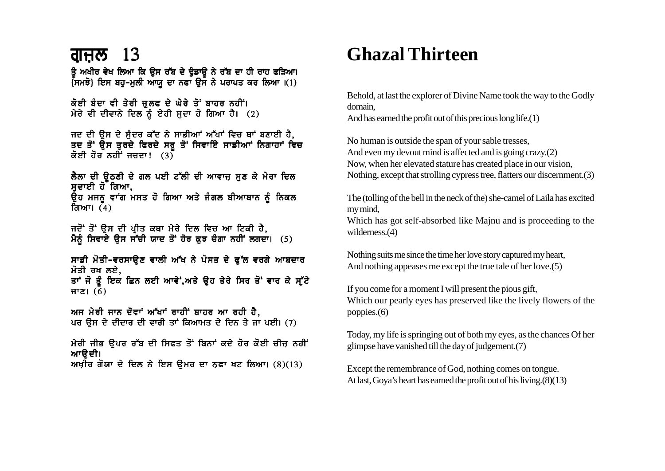### <u>ਗੁਜ਼ਲ 13</u>

ਤੂੰ ਅਖੀਰ ਵੇਖ ਲਿਆ ਕਿ ਉਸ ਰੱਬ ਦੇ ਢੁੰਡਾਉ ਨੇ ਰੱਬ ਦਾ ਹੀ ਰਾਹ ਫੜਿਆ।  $\overline{A}$ ਸਮਝੋ} ਇਸ ਬਹੁ-ਮੁਲੀ ਆਯੂ ਦਾ ਨਫਾ ਉਸ ਨੇ ਪਰਾਪਤ ਕਰ ਲਿਆ  $(1)$ 

ਕੋਈ ਬੰਦਾ ਵੀ ਤੇਰੀ ਜੁਲਫ ਦੇ ਘੇਰੇ ਤੋਂ ਬਾਹਰ ਨਹੀਂ। ਮੇਰੇ ਵੀ ਦੀਵਾਨੇ ਦਿਲ ਨੂੰ ਏਹੀ ਸਦਾ ਹੋ ਗਿਆ ਹੈ। (2)

ਜਦ ਦੀ ਉਸ ਦੇ ਸੁੰਦਰ ਕੱਦ ਨੇ ਸਾਡੀਆਂ ਅੱਖਾਂ ਵਿਚ ਥਾਂ ਬਣਾਈ ਹੈ, ਤਦ ਤੋਂ ਉਸ ਤੁਰਦੇ ਫਿਰਦੇ ਸਰੂ ਤੋਂ ਸਿਵਾਇੇ ਸਾਡੀਆਂ ਨਿਗਾਹਾਂ ਵਿਚ ਕੋਈ ਹੋਰ ਨਹੀਂ ਜ਼ਜ਼ਦਾ!  $(3)$ 

ਲੈਲਾ ਦੀ ੳਠਣੀ ਦੇ ਗਲ ਪਈ ਟੱਲੀ ਦੀ ਆਵਾਜ਼ ਸਣ ਕੇ ਮੇਰਾ ਦਿਲ ਸਦਾਈ ਹੋੱ ਗਿਆ. ਓਹ ਮਜਨ ਵਾਂਗ ਮਸਤ ਹੋ ਗਿਆ ਅਤੇ ਜੰਗਲ ਬੀਆਬਾਨ ਨੰ ਨਿਕਲ ਗਿਆ।  $(4)$ 

ਜਦੋਂ ਤੋਂ ਉਸ ਦੀ ਪ੍ਰੀਤ ਕਥਾ ਮੇਰੇ ਦਿਲ ਵਿਚ ਆ ਟਿਕੀ ਹੈ, ਮੈਨੂੰ ਸਿਵਾਏ ਉਸ ਸੌਂਚੀ ਯਾਦ ਤੋਂ ਹੋਰ ਕੁਝ ਚੰਗਾ ਨਹੀਂ ਲਗਦਾ। (5)

ਸਾਡੀ ਮੋਤੀ-ਵਰਸਾਉਣ ਵਾਲੀ ਅੱਖ ਨੇ ਪੋਸਤ ਦੇ ਫੁੱਲ ਵਰਗੇ ਆਬਦਾਰ ਮੋਤੀ ਰਖ ਲਏ. ਤਾਂ ਜੋ ਤੰ ਇਕ ਛਿਨ ਲਈ ਆਵੇਂ,ਅਤੇ ਉਹ ਤੇਰੇ ਸਿਰ ਤੋਂ ਵਾਰ ਕੇ ਸੱਟੇ  $f(\delta)$ 

ਅਜ ਮੇਰੀ ਜਾਨ ਦੋਵਾਂ ਅੱਖਾਂ ਰਾਹੀਂ ਬਾਹਰ ਆ ਰਹੀ ਹੈ, ਪਰ ਉਸ ਦੇ ਦੀਦਾਰ ਦੀ ਵਾਰੀ ਤਾਂ ਕਿਆਮਤ ਦੇ ਦਿਨ ਤੇ ਜਾ ਪਈ। (7)

ਮੇਰੀ ਜੀਭ ਉਪਰ ਰੱਬ ਦੀ ਸਿਫਤ ਤੋਂ ਬਿਨਾਂ ਕਦੇ ਹੋਰ ਕੋਈ ਚੀਜ਼ ਨਹੀਂ ਆੳਦੀ। ਅਖ਼ੀਰ ਗੋਯਾ ਦੇ ਦਿਲ ਨੇ ਇਸ ਉਮਰ ਦਾ ਨਫਾ ਖਟ ਲਿਆ।  $(8)(13)$ 

# **Ghazal Thirteen**

Behold, at last the explorer of Divine Name took the way to the Godly domain.

And has earned the profit out of this precious long life.  $(1)$ 

No human is outside the span of your sable tresses, And even my devout mind is affected and is going crazy.(2) Now, when her elevated stature has created place in our vision, Nothing, except that strolling cypress tree, flatters our discernment. (3)

The (tolling of the bell in the neck of the) she-camel of Laila has excited my mind.

Which has got self-absorbed like Majnu and is proceeding to the wilderness. $(4)$ 

Nothing suits me since the time her love story captured my heart, And nothing appeases me except the true tale of her love. (5)

If you come for a moment I will present the pious gift, Which our pearly eves has preserved like the lively flowers of the poppies. $(6)$ 

Today, my life is springing out of both my eyes, as the chances Of her glimpse have vanished till the day of judgement.(7)

Except the remembrance of God, nothing comes on tongue. At last, Goya's heart has earned the profit out of his living. (8)(13)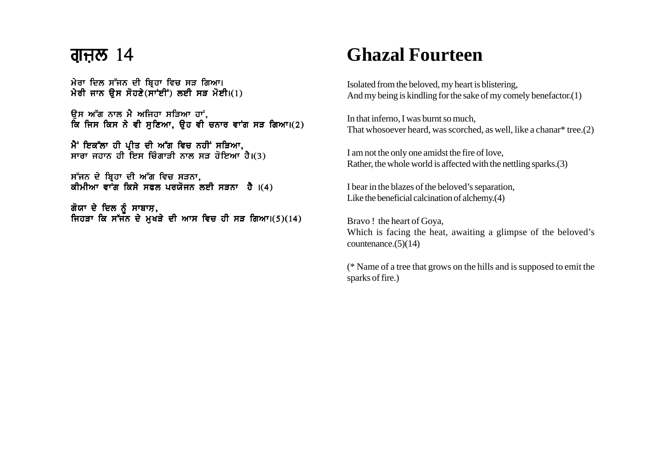#### ਗੁਜ਼ਲ  $14$

ਮੇਰਾ ਦਿਲ ਸੱਜਨ ਦੀ ਬਿਹਾ ਵਿਚ ਸੜ ਗਿਆ। ਮੇਰੀ ਜਾਨ ਉਸ ਸੋਹਣੇ $(\overrightarrow{n}$ ਦੀਂ) ਲਈ ਸੜ ਮੋਈ।(1)

ਉਸ ਅੱਗ ਨਾਲ ਮੈ ਅਜਿਹਾ ਸੜਿਆ ਹਾਂ<u>.</u> ਕਿ ਜਿਸ ਕਿਸ ਨੇ ਵੀ ਸੁਣਿਆ, ਉਹ ਵੀ ਚਨਾਰ ਵਾਂਗ ਸੜ ਗਿਆ।(2)

ਮੈਂ ਇਕੱਲਾ ਹੀ ਪੀਤ ਦੀ ਅੱਗ ਵਿਚ ਨਹੀਂ ਸੜਿਆ. ਸਾਰਾ ਜਹਾਨ ਹੀ ਇਸ ਚਿੰਗਾੜੀ ਨਾਲ ਸੜ ਹੋਇਆ ਹੈ।(3)

ਸੱਜਨ ਦੇ ਬ੍ਰਿਹਾ ਦੀ ਅੱਗ ਵਿਚ ਸੜਨਾ, ਕੀਮੀਆ ਵਾੰਗ ਕਿਸੇ ਸਫਲ ਪਰਯੋਜਨ ਲਈ ਸੜਨਾ ਹੈ ।(4)

ਗੋਯਾ ਦੇ ਦਿਲ ਨੂੰ ਸਾਬਾਸ਼, ਜਿਹੜਾ ਕਿ ਸੱਜਨ ਦੇ ਮੁਖੜੇ ਦੀ ਆਸ ਵਿਚ ਹੀ ਸੜ ਗਿਆ।(5)(14)

# **Ghazal Fourteen**

Isolated from the beloved, my heart is blistering, And my being is kindling for the sake of my comely benefactor.(1)

In that inferno, I was burnt so much, That whosoever heard, was scorched, as well, like a chanar\* tree.(2)

I am not the only one amidst the fire of love, Rather, the whole world is affected with the nettling sparks.(3)

I bear in the blazes of the beloved's separation, Like the beneficial calcination of alchemy.(4)

Bravo ! the heart of Goya, Which is facing the heat, awaiting a glimpse of the beloved's countenance. $(5)(14)$ 

(\* Name of a tree that grows on the hills and is supposed to emit the sparks of fire.)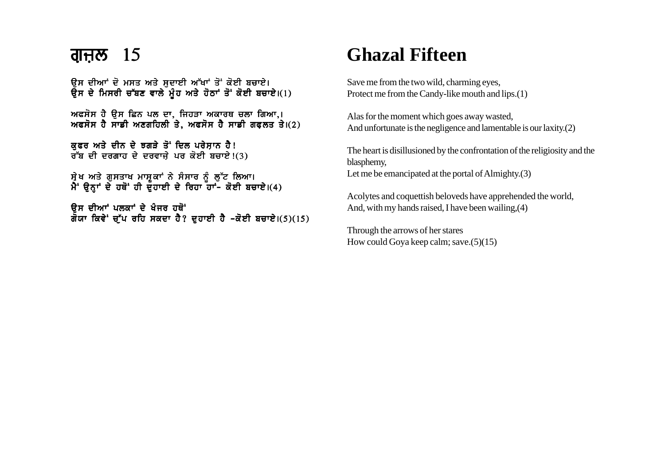ਉਸ ਦੀਆਂ ਦੋ ਮਸਤ ਅਤੇ ਸਦਾਈ ਅੱਖਾਂ ਤੋਂ ਕੋਈ ਬਚਾਏ। ਉਸ ਦੇ ਮਿਸਰੀ ਚੱਬਣ ਵਾਲੇ ਮੂੰਹ ਅਤੇ ਹੋਠਾਂ ਤੋਂ ਕੋਈ ਬਚਾਏ।(1)

ਅਫਸੋਸ ਹੈ ਉਸ ਛਿਨ ਪਲ ਦਾ, ਜਿਹੜਾ ਅਕਾਰਥ ਚਲਾ ਗਿਆ,। ਅਫਸੋਸ ਹੈ ਸਾਡੀ ਅਣਗਹਿਲੀ ਤੇ, ਅਫਸੋਸ ਹੈ ਸਾਡੀ ਗਫਲਤ ਤੇ।(2)

ਕੁਫਰ ਅਤੇ ਦੀਨ ਦੇ ਝਗੜੇ ਤੋਂ ਦਿਲ ਪਰੇਸ਼ਾਨ ਹੈ!  $\overline{d}$ ਬ ਦੀ ਦਰਗਾਹ ਦੇ ਦਰਵਾਜੇ ਪਰ ਕੋਈ ਬਚਾਏ!(3)

```
ਸੇਖ ਅਤੇ ਗਸਤਾਖ ਮਾਸਕਾਂ ਨੇ ਸੰਸਾਰ ਨੂੰ ਲੱਟ ਲਿਆ।
ਮੈਂ ੳਨਾਂ ਦੇ ਹਥੋਂ ਹੀ ਦੌਹਾਈ ਦੇ ਰਿਹਾ ਹਾਂ- ਕੋਈ ਬਚਾਏ।(4)
```
ਉਸ ਦੀਆਂ ਪਲਕਾਂ ਦੇ ਖੰਜਰ ਹਥੋਂ ਗੌਯਾ ਕਿਵੇਂ ਚੁੱਪ ਰਹਿ ਸਕਦਾ ਹੈ? ਦੁਹਾਈ ਹੈ –ਕੋਈ ਬਚਾਏ।(5)(15)

# **Ghazal Fifteen**

Save me from the two wild, charming eyes, Protect me from the Candy-like mouth and lips.(1)

Alas for the moment which goes away wasted, And unfortunate is the negligence and lamentable is our laxity.(2)

The heart is disillusioned by the confrontation of the religiosity and the blasphemy, Let me be emancipated at the portal of Almighty.(3)

Acolytes and coquettish beloveds have apprehended the world, And, with my hands raised, I have been wailing,(4)

Through the arrows of her stares How could Goya keep calm; save.(5)(15)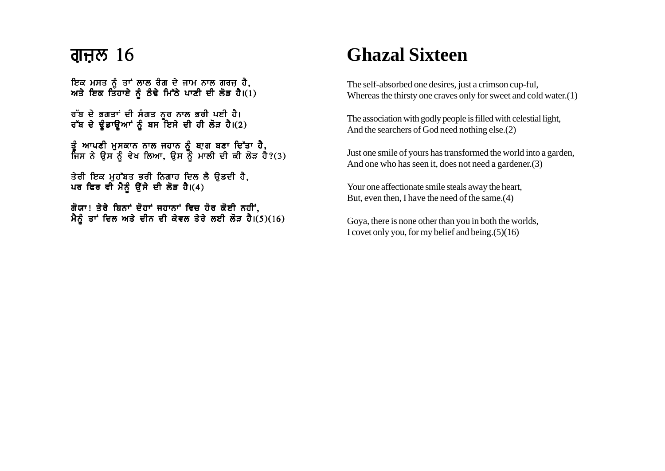### ਗੁਜ਼ੁਲ  $16$

ਇਕ ਮਸਤ ਨੂੰ ਤਾਂ ਲਾਲ ਰੰਗ ਦੇ ਜਾਮ ਨਾਲ ਗਰਜ਼ ਹੈ, ਅਤੇ ਇਕ ਤਿਹਾਏ ਨੂੰ ਠੰਢੇ ਮਿੱਠੇ ਪਾਣੀ ਦੀ ਲੋੜ ਹੈ। $(1)$ 

ਰੱਬ ਦੇ ਭਗਤਾਂ ਦੀ ਸੰਗਤ ਨਰ ਨਾਲ ਭਰੀ ਪਈ ਹੈ। ਰੱਬ ਦੇ ਢੂੰਡਾਉਆਂ ਨੂੰ ਬਸ ਇਸੇ ਦੀ ਹੀ ਲੋੜ ਹੈ।(2)

ਤੰ ਆਪਣੀ ਮਸਕਾਨ ਨਾਲ ਜਹਾਨ ਨੰ ਬਾਗ ਬਣਾ ਦਿੱਤਾ **ਹੈ**. ਜਿਸ ਨੇ ੳਸ ਨੰ ਵੇਖ ਲਿਆ. ੳਸ ਨੌੰ ਮਾਲੀ ਦੀ ਕੀ ਲੋੜ ਹੈ?(3)

ਤੇਰੀ ਇਕ ਮੁਹੱਬਤ ਭਰੀ ਨਿਗਾਹ ਦਿਲ ਲੈ ਉਡਦੀ ਹੈ, ਪਰ ਫਿਰ ਵੀ ਮੈਨੂੰ ਉੱਸੇ ਦੀ ਲੋੜ ਹੈ।(4)

ਗੋਯਾ! ਤੇਰੇ ਬਿਨਾਂ ਦੋਹਾਂ ਜਹਾਨਾਂ ਵਿਚ ਹੋਰ ਕੋਈ ਨਹੀਂ. ਮੈਨੂੰ ਤਾਂ ਦਿਲ ਅਤੇ ਦੀਨ ਦੀ ਕੇਵਲ ਤੇਰੇ ਲਈ ਲੋੜ ਹੈ।(5)(16)

# **Ghazal Sixteen**

The self-absorbed one desires, just a crimson cup-ful, Whereas the thirsty one craves only for sweet and cold water.(1)

The association with godly people is filled with celestial light, And the searchers of God need nothing else.(2)

Just one smile of yours has transformed the world into a garden, And one who has seen it, does not need a gardener.(3)

Your one affectionate smile steals away the heart, But, even then, I have the need of the same.(4)

Goya, there is none other than you in both the worlds, I covet only you, for my belief and being.(5)(16)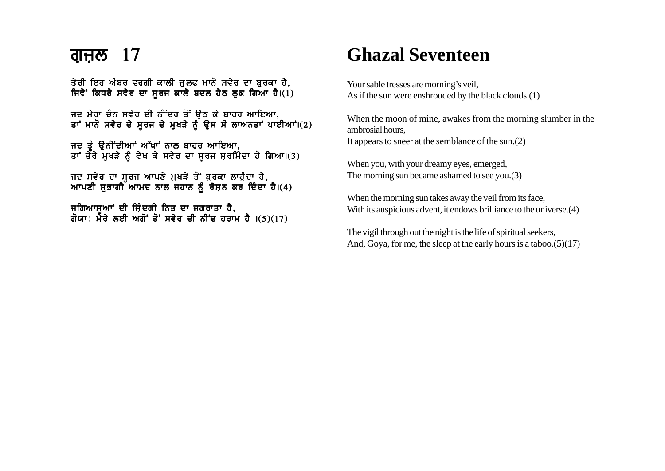ਤੇਰੀ ਇਹ ਅੰਬਰ ਵਰਗੀ ਕਾਲੀ ਜੁਲਫ ਮਾਨੋ ਸਵੇਰ ਦਾ ਬਰਕਾ ਹੈ, ਜਿਵੇਂ ਕਿਧਰੇ ਸਵੇਰ ਦਾ ਸੂਰਜ ਕਾਲੇ ਬਦਲ ਹੇਠ ਲੁਕ ਗਿਆ ਹੈ।(1)

ਜਦ ਮੇਰਾ ਚੰਨ ਸਵੇਰ ਦੀ ਨੀਂਦਰ ਤੋਂ ਉਠ ਕੇ ਬਾਹਰ ਆਇਆ, ਤਾਂ ਮਾਨੋ ਸਵੇਰ ਦੇ ਸੂਰਜ ਦੇ ਮੁਖੜੇ ਨੂੰ ਉਸ ਸੋ ਲਾਅਨਤਾਂ ਪਾਈਆਂ।(2)

ਜਦ ਤੰ ੳਨੀਂਦੀਆਂ ਅੱਖਾਂ ਨਾਲ ਬਾਹਰ ਆਇਆ. ਤਾਂ ਤੌਰੇ ਮਖੜੇ ਨੂੰ ਵੇਖ ਕੇ ਸਵੇਰ ਦਾ ਸਰਜ ਸਰਮਿੰਦਾ ਹੋ ਗਿਆ।(3)

ਜਦ ਸਵੇਰ ਦਾ ਸਰਜ ਆਪਣੇ ਮਖੜੇ ਤੋਂ ਬਰਕਾ ਲਾਹੰਦਾ ਹੈ. ਆਪਣੀ ਸਭਾਗੀ ਆਮਦ ਨਾਲ ਜਹਾਨ ਨੂੰ ਰੋਸਨ ਕਰ ਦਿੰਦਾ ਹੈ।(4)

ਜਗਿਆਸਆਂ ਦੀ ਜਿੰਦਗੀ ਨਿਤ ਦਾ ਜਗਰਾਤਾ ਹੈ. ਗੋਯਾ! ਮੇਰੇ ਲਈ ਅਗੋਂ ਤੋਂ ਸਵੇਰ ਦੀ ਨੀਂਦ ਹਰਾਮ ਹੈ ।(5)(17)

# **Ghazal Seventeen**

Your sable tresses are morning's veil, As if the sun were enshrouded by the black clouds.(1)

When the moon of mine, awakes from the morning slumber in the ambrosial hours, It appears to sneer at the semblance of the sun.(2)

When you, with your dreamy eyes, emerged, The morning sun became ashamed to see you.(3)

When the morning sun takes away the veil from its face, With its auspicious advent, it endows brilliance to the universe.(4)

The vigil through out the night is the life of spiritual seekers, And, Goya, for me, the sleep at the early hours is a taboo.(5)(17)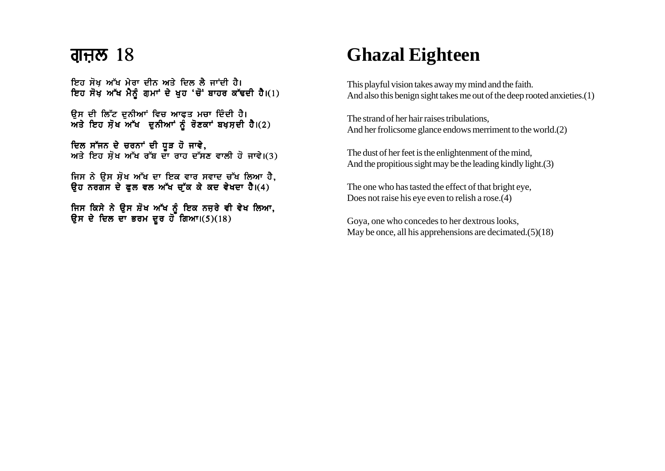#### ਗੁਜ਼ਲ  $18$

ਇਹ ਸੋਖ ਅੱਖ ਮੇਰਾ ਦੀਨ ਅਤੇ ਦਿਲ ਲੈ ਜਾਂਦੀ ਹੈ। ਇਹ ਸੋਖ਼ ਅੱਖ ਮੈਨੂੰ ਗੁਮਾਂ ਦੇ ਖੁਹ 'ਚੋਂ' ਬਾਹਰ ਕੱਢਦੀ ਹੈ।(1)

ਉਸ ਦੀ ਲਿੱਟ ਦਨੀਆਂ ਵਿਚ ਆਫਤ ਮਚਾ ਦਿੰਦੀ ਹੈ।  $m<sub>3</sub>$  ਇਹ ਸ਼ੋਖ ਅੱਖ ਦੁਨੀਆਂ ਨੂੰ ਰੋਣਕਾਂ ਬਖਸ਼ਦੀ ਹੈ।(2)

ਦਿਲ ਸੱਜਨ ਦੇ ਚਰਨਾਂ ਦੀ ਧੜ ਹੋ ਜਾਵੇ. ਅਤੇ ਇਹ ਸੋਖ ਅੱਖ ਰੱਬ ਦਾ ਰਾਹ ਦੱਸਣ ਵਾਲੀ ਹੋ ਜਾਵੇ।(3)

ਜਿਸ ਨੇ ਉਸ ਸੋਖ ਅੱਖ ਦਾ ਇਕ ਵਾਰ ਸਵਾਦ ਚੱਖ ਲਿਆ ਹੈ.  $\theta$ ਹ ਨਰਗਸ ਦੇ ਫਲ ਵਲ ਅੱਖ ਚੱਕ ਕੇ ਕਦ ਵੇਖਦਾ ਹੈ।(4)

ਜਿਸ ਕਿਸੇ ਨੇ ੳਸ ਸ਼ੋਖ ਅੱਖ ਨੰ ਇਕ ਨਜਰੇ ਵੀ ਵੇਖ ਲਿਆ. ੳਸ ਦੇ ਦਿਲ ਦਾ ਭਰਮ ਦਰ ਹੋ ਗਿਆ।(5)(18)

# **Ghazal Eighteen**

This playful vision takes away my mind and the faith. And also this benign sight takes me out of the deep rooted anxieties.(1)

The strand of her hair raises tribulations, And her frolicsome glance endows merriment to the world.(2)

The dust of her feet is the enlightenment of the mind, And the propitious sight may be the leading kindly light.(3)

The one who has tasted the effect of that bright eye, Does not raise his eye even to relish a rose.(4)

Goya, one who concedes to her dextrous looks, May be once, all his apprehensions are decimated.(5)(18)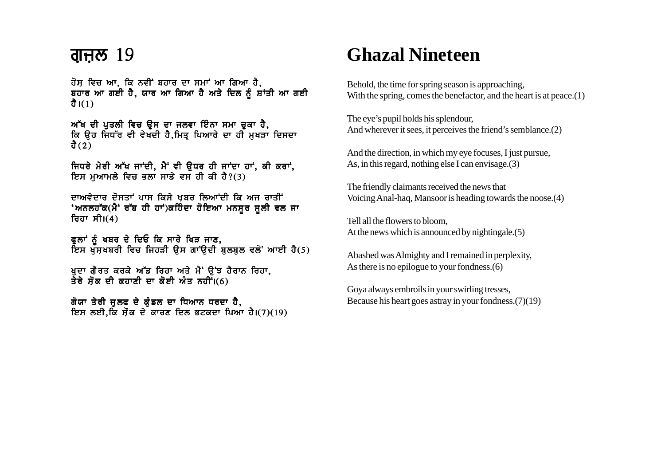#### <u>ਗੁਜ਼ਲ 19</u>

ਹੋਸ਼ ਵਿਚ ਆ, ਕਿ ਨਵੀਂ ਬਹਾਰ ਦਾ ਸਮਾਂ ਆ ਗਿਆ ਹੈ, ਬਹਾਰ ਆ ਗਈ ਹੈ, ਯਾਰ ਆ ਗਿਆ ਹੈ ਅਤੇ ਦਿਲ ਨੂੰ ਸ਼ਾਂਤੀ ਆ ਗਈ  $\frac{3}{2}$ ।(1)

ਅੱਖ ਦੀ ਪੁਤਲੀ ਵਿਚ ਉਸ ਦਾ ਜਲਵਾ ਇੰਨਾ ਸਮਾ ਚੁਕਾ ਹੈ, ਕਿ ੳਹ ਜਿਧੱਰ ਵੀ ਵੇਖਦੀ ਹੈ,ਮਿਤ ਪਿਆਰੇ ਦਾ ਹੀ ਮਖੜਾ ਦਿਸਦਾ ਹੈ $(2)$ 

ਜਿਧਰੇ ਮੇਰੀ ਅੱਖ ਜਾਂਦੀ, ਮੈਂ ਵੀ ਉਧਰ ਹੀ ਜਾਂਦਾ ਹਾਂ, ਕੀ ਕਰਾਂ, ਇਸ ਮਆਮਲੇ ਵਿਚ ਭਲਾ ਸਾਡੇ ਵਸ ਹੀ ਕੀ ਹੈ?(3)

ਦਾਅਵੇਦਾਰ ਦੋਸਤਾਂ ਪਾਸ ਕਿਸੇ ਖਬਰ ਲਿਆਂਦੀ ਕਿ ਅਜ ਰਾਤੀਂ 'ਅਨਲਹੱਕ(ਮੈਂ' ਰੱਬ ਹੀ ਹਾਂ)ਕਹਿੰਦਾ ਹੋਇਆ ਮਨਸੂਰ ਸੂਲੀ ਵਲ ਜਾ ਰਿਹਾ ਸੀ।(4)

ਫੂਲਾਂ ਨੂੰ ਖਬਰ ਦੇ ਦਿਓ ਕਿ ਸਾਰੇ ਖਿੜ ਜਾਣ, ਇਸ ਖੱਸਖਬਰੀ ਵਿਚ ਜਿਹੜੀ ਉਸ ਗਾਂੳਦੀ ਬਲਬਲ ਵਲੋਂ ਆਈ ਹੈ(5)

ਖਦਾ ਗ਼ੈਰਤ ਕਰਕੇ ਅੱਡ ਰਿਹਾ ਅਤੇ ਮੈਂ ੳਂਝ ਹੈਰਾਨ ਰਿਹਾ, ਤੇਰੇ ਸ਼ੋਕ ਦੀ ਕਹਾਣੀ ਦਾ ਕੋਈ ਅੰਤ ਨਹੀਂ। $(6)$ 

ਗੋਯਾ ਤੇਰੀ ਜਲਫ ਦੇ ਕੁੰਡਲ ਦਾ ਧਿਆਨ ਧਰਦਾ ਹੈ, ਇਸ ਲਈ ਕਿ ਸੌਕ ਦੇ ਕਾਰਣ ਦਿਲ ਭਟਕਦਾ ਪਿਆ ਹੈ।(7)(19)

# **Ghazal Nineteen**

Behold, the time for spring season is approaching. With the spring, comes the benefactor, and the heart is at peace. $(1)$ 

The eye's pupil holds his splendour, And wherever it sees, it perceives the friend's semblance. (2)

And the direction, in which my eye focuses, I just pursue, As, in this regard, nothing else I can envisage.  $(3)$ 

The friendly claimants received the news that Voicing Anal-haq, Mansoor is heading towards the noose.(4)

Tell all the flowers to bloom. At the news which is announced by nightingale. (5)

Abashed was Almighty and I remained in perplexity, As there is no epilogue to your fondness. (6)

Gova always embroils in your swirling tresses. Because his heart goes astray in your fondness. $(7)(19)$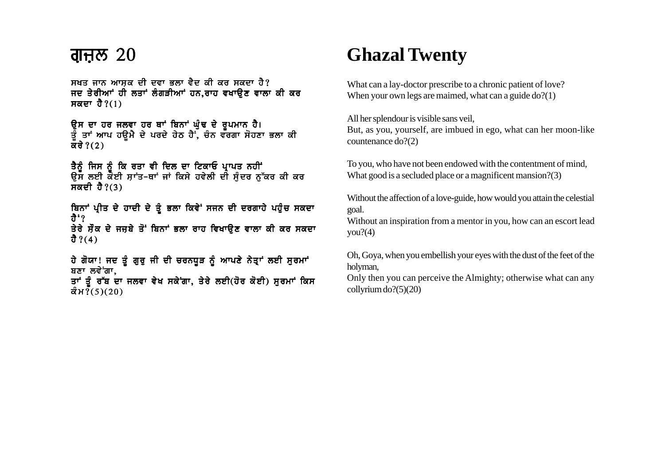#### <u>ਗੁਜ਼ੁਲ 20</u>

ਸਖਤ ਜਾਨ ਆਸਕ ਦੀ ਦਵਾ ਭਲਾ ਵੈਦ ਕੀ ਕਰ ਸਕਦਾ ਹੈ? ਜਦ ਤੇਰੀਆਂ ਹੀ ਲਤਾਂ ਲੰਗੜੀਆਂ ਹਨ.ਰਾਹ ਵਖਾੳਣ ਵਾਲਾ ਕੀ ਕਰ ਸਕਦਾ ਹੈ $?(1)$ 

ਉਸ ਦਾ ਹਰ ਜਲਵਾ ਹਰ ਥਾਂ ਬਿਨਾਂ ਘੁੰਢ ਦੇ ਰੂਪਮਾਨ ਹੈ।<br>ਤੂੰ ਤਾਂ ਆਪ ਹਊਮੈ ਦੇ ਪਰਦੇ ਹੇਠ ਹੈਂ, ਚੰਨ ਵਰਗਾ ਸੋਹਣਾ ਭਲਾ ਕੀ ਕਰੇ ? $(2)$ 

ਤੈਨੰ ਜਿਸ ਨੰ ਕਿ ਰਤਾ ਵੀ ਦਿਲ ਦਾ ਟਿਕਾਓ ਪ੍ਰਾਪਤ ਨਹੀਂ ਉਸ ਲਈ ਕੋਈ ਸ਼ਾਂਤ-ਥਾਂ ਜਾਂ ਕਿਸੇ ਹਵੇਲੀ ਦੀ ਸੁੰਦਰ ਨੁੱਕਰ ਕੀ ਕਰ ਸਕਦੀ ਹੈ?(3)

ਬਿਨਾਂ ਪ੍ਰੀਤ ਦੇ ਹਾਦੀ ਦੇ ਤੂੰ ਭਲਾ ਕਿਵੇਂ ਸਜਨ ਦੀ ਦਰਗਾਹੇ ਪਹੁੰਚ ਸਕਦਾ .<br>ਹੈ<sup>÷</sup>? ਤੇਰੇ ਸੌਕ ਦੇ ਜਜ਼ਬੇ ਤੋਂ ਬਿਨਾਂ ਭਲਾ ਰਾਹ ਵਿਖਾਉਣ ਵਾਲਾ ਕੀ ਕਰ ਸਕਦਾ ਹੈ ? $(4)$ 

ਹੇ ਗੋਯਾ! ਜਦ ਤੂੰ ਗੁਰੁ ਜੀ ਦੀ ਚਰਨਧੁੜ ਨੂੰ ਆਪਣੇ ਨੇਤ੍ਰਾਂ ਲਈ ਸੁਰਮਾਂ ਬਣਾ ਲਵੇਂਗਾ, ਤਾਂ ਤੂੰ ਰੱਬ ਦਾ ਜਲਵਾ ਵੇਖ ਸਕੇਂਗਾ, ਤੇਰੇ ਲਈ (ਹੋਰ ਕੋਈ) ਸੂਰਮਾਂ ਕਿਸ ਕੰਮ $\bar{?}(5)(20)$ 

# **Ghazal Twenty**

What can a lay-doctor prescribe to a chronic patient of love? When your own legs are maimed, what can a guide  $do?(1)$ 

All her splendour is visible sans veil, But, as you, yourself, are imbued in ego, what can her moon-like countenance do?(2)

To you, who have not been endowed with the contentment of mind, What good is a secluded place or a magnificent mansion?(3)

Without the affection of a love-guide, how would you attain the celestial goal.

Without an inspiration from a mentor in you, how can an escort lead  $vou?(4)$ 

Oh, Goya, when you embellish your eyes with the dust of the feet of the holyman,

Only then you can perceive the Almighty; otherwise what can any collyrium  $do? (5)(20)$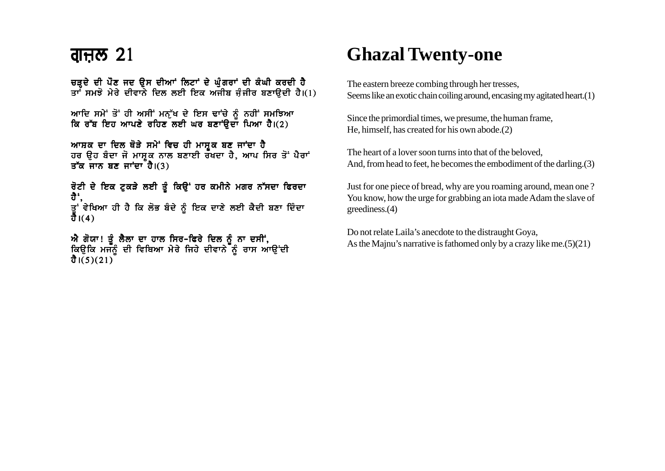### <u>ਗੁਜ਼ਲ 21</u>

ਚੜਦੇ ਦੀ ਪੌਣ ਜਦ ਉਸ ਦੀਆਂ ਲਿਟਾਂ ਦੇ ਘੰਗਰਾਂ ਦੀ ਕੰਘੀ ਕਰਦੀ ਹੈ ਤਾ<sup>:</sup> ਸਮਝੋ ਮੇਰੇ ਦੀਵਾਨੇ ਦਿਲ ਲਈ ਇਕ ਅਜੀਬ ਜੰਜੀਰ ਬਣਾੳਦੀ ਹੈ।(1)

```
ਆਦਿ ਸਮੇਂ ਤੋਂ ਹੀ ਅਸੀਂ ਮਨੁੱਖ ਦੇ ਇਸ ਢਾਂਚੇ ਨੂੰ ਨਹੀਂ ਸਮਝਿਆ
ਕਿ ਰੱਬ ਇਹ ਆਪਣੇ ਰਹਿਣ ਲਈ ਘਰ ਬਣਾਂੳਦਾ ਪਿਆ ਹੈ।(2)
```

```
ਆਸ਼ਕ ਦਾ ਦਿਲ ਥੋੜੇ ਸਮੇਂ ਵਿਚ ਹੀ ਮਾਸ਼ਕ ਬਣ ਜਾਂਦਾ ਹੈ
ਹਰ ਉਹ ਬੰਦਾ ਜੋ ਮਾਸ਼ੂਕ ਨਾਲ ਬਣਾਈ ਰਖਦਾ ਹੈ, ਆਪ ਸਿਰ ਤੋਂ ਪੈਰਾਂ
ਤੱਕ ਜਾਨ ਬਣ ਜਾਂਦਾ ਹੈ।(3)
```
ਰੋਟੀ ਦੇ ਇਕ ਟੁਕੜੇ ਲਈ ਤੂੰ ਕਿਉਂ ਹਰ ਕਮੀਨੇ ਮਗਰ ਨੱਸਦਾ ਫਿਰਦਾ ਹੈਂ. ਤੂ<sup>:</sup> ਵੇਖਿਆ ਹੀ ਹੈ ਕਿ ਲੋਭ ਬੰਦੇ ਨੂੰ ਇਕ ਦਾਣੇ ਲਈ ਕੈਦੀ ਬਣਾ ਦਿੰਦਾ<br>ਹੈ।(4)

```
ਐ ਗੋਯਾ! ਤੂੰ ਲੈਲਾ ਦਾ ਹਾਲ ਸਿਰ–ਫਿਰੇ ਦਿਲ ਨੂੰ ਨਾ ਦਸੀਂ,<br>ਕਿਉਕਿ ਮਜਨੂੰ ਦੀ ਵਿਥਿਆ ਮੇਰੇ ਜਿਹੇ ਦੀਵਾਨੇ ਨੂੰ ਰਾਸ ਆਉਂਦੀ
ਹੈ।(5)(21)
```
# **Ghazal Twenty-one**

The eastern breeze combing through her tresses, Seems like an exotic chain coiling around, encasing my agitated heart. (1)

Since the primordial times, we presume, the human frame, He, himself, has created for his own abode. (2)

The heart of a lover soon turns into that of the beloved. And, from head to feet, he becomes the embodiment of the darling. (3)

Just for one piece of bread, why are you roaming around, mean one? You know, how the urge for grabbing an iota made Adam the slave of greediness. $(4)$ 

Do not relate Laila's anecdote to the distraught Goya, As the Mainu's narrative is fathomed only by a crazy like me.  $(5)(21)$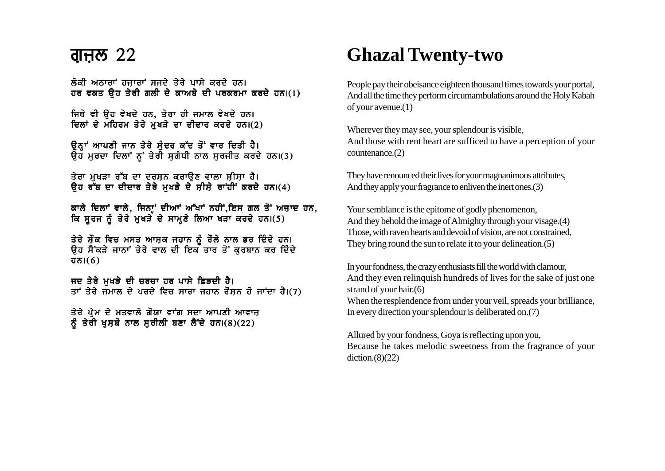#### <u>ਗੁਜ਼ਲ 22</u>

ਲੋਕੀ ਅਨਾਰਾਂ ਹਜਾਰਾਂ ਸਜਦੇ ਤੇਰੇ ਪਾਸੇ ਕਰਦੇ ਹਨ। ਹਰ ਵਕਤ ਉਹ ਤੇਰੀ ਗਲੀ ਦੇ ਕਾਅਬੇ ਦੀ ਪਰਕਰਮਾ ਕਰਦੇ ਹਨ।(1)

ਜਿਥੇ ਵੀ ੳਹ ਵੇਖਦੇ ਹਨ, ਤੇਰਾ ਹੀ ਜਮਾਲ ਵੇਖਦੇ ਹਨ। ਦਿਲਾਂ ਦੇ ਮਹਿਰਮ ਤੇਰੇ ਮੁਖੜੇ ਦਾ ਦੀਦਾਰ ਕਰਦੇ ਹਨ।(2)

ਉਨ੍ਹਾਂ ਆਪਣੀ ਜਾਨ ਤੇਰੇ ਸੁੰਦਰ ਕੱਦ ਤੋਂ ਵਾਰ ਦਿਤੀ ਹੈ। ਉਹ ਮੁਰਦਾ ਦਿਲਾਂ ਨੂਂ ਤੇਰੀ ਸੁਗੰਧੀ ਨਾਲ ਸੁਰਜੀਤ ਕਰਦੇ ਹਨ।(3)

ਤੇਰਾ ਮਖੜਾ ਰੱਬ ਦਾ ਦਰਸ਼ਨ ਕਰਾਉਣ ਵਾਲਾ ਸੀਸ਼ਾ ਹੈ। ਉਹ ਰੁੱਬ ਦਾ ਦੀਦਾਰ ਤੇਰੇ ਮਖੜੇ ਦੇ ਸੀਸੇ ਰਾਂਹੀਂ ਕਰਦੇ ਹਨ।(4)

ਕਾਲੇ ਦਿਲਾਂ ਵਾਲੇ, ਜਿਨਾਂ ਦੀਆਂ ਅੱਖਾਂ ਨਹੀਂ,ਇਸ ਗਲ ਤੋਂ ਅਜ਼ਾਦ ਹਨ, ਕਿ ਸੂਰਜ ਨੂੰ ਤੇਰੇ ਮੁਖੜੇ ਦੇ ਸਾਮਣੇ ਲਿਆ ਖੜਾ ਕਰਦੇ ਹਨ।(5)

ਤੇਰੇ ਸੌਕ ਵਿਚ ਮਸਤ ਆਸ਼ਕ ਜਹਾਨ ਨੂੰ ਰੌਲੇ ਨਾਲ ਭਰ ਦਿੰਦੇ ਹਨ।<br>ਉਹ ਸੈਂਕੜੇ ਜਾਨਾਂ ਤੇਰੇ ਵਾਲ ਦੀ ਇਕ ਤਾਰ ਤੋਂ ਕੁਰਬਾਨ ਕਰ ਦਿੰਦੇ  $\overline{d} \overline{b}$  i(6)

ਜਦ ਤੇਰੇ ਮੁਖੜੇ ਦੀ ਚਰਚਾ ਹਰ ਪਾਸੇ ਛਿੜਦੀ ਹੈ।<br>ਤਾਂ ਤੇਰੇ ਜਮਾਲ ਦੇ ਪਰਦੇ ਵਿਚ ਸਾਰਾ ਜਹਾਨ ਰੌਸ਼ਨ ਹੋ ਜਾਂਦਾ ਹੈ।(7)

ਤੇਰੇ ਪ੍ਰੇਮ ਦੇ ਮਤਵਾਲੇ ਗੋਯਾ ਵਾਂਗ ਸਦਾ ਆਪਣੀ ਆਵਾਜ਼ ਨੂੰ ਤੇਰੀ ਖੁਸ਼ਬੋ ਨਾਲ ਸੁਰੀਲੀ ਬਣਾ ਲੈਂਦੇ ਹਨ।(8)(22)

# **Ghazal Twenty-two**

People pay their obeisance eighteen thousand times towards your portal, And all the time they perform circumambulations around the Holy Kabah of your avenue. $(1)$ 

Wherever they may see, your splendour is visible. And those with rent heart are sufficed to have a perception of your countenance. $(2)$ 

They have renounced their lives for your magnanimous attributes, And they apply your fragrance to enliven the inert ones. (3)

Your semblance is the epitome of godly phenomenon, And they behold the image of Almighty through your visage. (4) Those, with raven hearts and devoid of vision, are not constrained, They bring round the sun to relate it to your delineation. (5)

In your fondness, the crazy enthusiasts fill the world with clamour, And they even relinquish hundreds of lives for the sake of just one strand of your hair. $(6)$ When the resplendence from under your veil, spreads your brilliance,

In every direction your splendour is deliberated on. (7)

Allured by your fondness, Goya is reflecting upon you, Because he takes melodic sweetness from the fragrance of your  $diction.(8)(22)$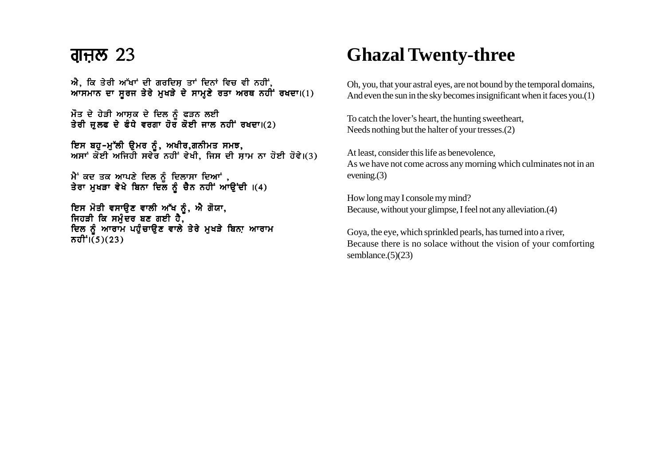#### ਗੁਜ਼ਲ  $23$

ਐ, ਕਿ ਤੇਰੀ ਅੱਖਾਂ ਦੀ ਗਰਦਿਸ਼ ਤਾਂ ਦਿਨਾਂ ਵਿਚ ਵੀ ਨਹੀਂ,  $MTAT$ ਨ ਦਾ ਸੂਰਜ ਤੇਰੇ ਮੁਖੜੇ ਦੇ ਸਾਮਣੇ ਰਤਾ ਅਰਥ ਨਹੀਂ ਰਖਦਾ।(1)

ਮੌਤ ਦੇ ਹੇੜੀ ਆਸ਼ਕ ਦੇ ਦਿਲ ਨੂੰ ਫੜਨ ਲਈ ਤੇਰੀ ਜ਼ੁਲਫ ਦੇ ਫੰਧੇ ਵਰਗਾ ਹੋਰ ਕੋਈ ਜਾਲ ਨਹੀਂ ਰਖਦਾ।(2)

ਇਸ ਬਹ-ਮੱਲੀ ੳਮਰ ਨੰ. ਅਖੀਰ.ਗਨੀਮਤ ਸਮਝ. ਅਸਾਂ ਕੋਈ ਅਜਿਹੀ ਸਵੇਰ ਨਹੀਂ ਵੇਖੀ. ਜਿਸ ਦੀ ਸਾਮ ਨਾ ਹੋਈ ਹੋਵੇ।(3)

ਮੈਂ ਕਦ ਤਕ ਆਪਣੇ ਦਿਲ ਨੰ ਦਿਲਾਸਾ ਦਿਆਂ . ਤੇਰਾ ਮਖੜਾ ਵੇਖੇ ਬਿਨਾ ਦਿਲ ਨੰ ਚੈਨ ਨਹੀਂ ਆੳਂਦੀ ।(4)

ਇਸ ਮੋਤੀ ਵਸਾੳਣ ਵਾਲੀ ਅੱਖ ਨੰ. ਐ ਗੋਯਾ. ਜਿਹੜੀ ਕਿ ਸਮੰਦਰ ਬਣ ਗਈ ਹੈ. ਦਿਲ ਨੂੰ ਆਰਾਮ ਪਹੁੰਚਾਉਣ ਵਾਲੇ ਤੇਰੇ ਮੁਖੜੇ ਬਿਨਾ ਆਰਾਮ  $\overline{\sigma}$ ਹੀ $\overline{\sigma}$  $(\overline{5})(23)$ 

# **Ghazal Twenty-three**

Oh, you, that your astral eyes, are not bound by the temporal domains, And even the sun in the sky becomes insignificant when it faces you.(1)

To catch the lover's heart, the hunting sweetheart, Needs nothing but the halter of your tresses.(2)

At least, consider this life as benevolence, As we have not come across any morning which culminates not in an evening.(3)

How long may I console my mind? Because, without your glimpse, I feel not any alleviation.(4)

Goya, the eye, which sprinkled pearls, has turned into a river, Because there is no solace without the vision of your comforting semblance.(5)(23)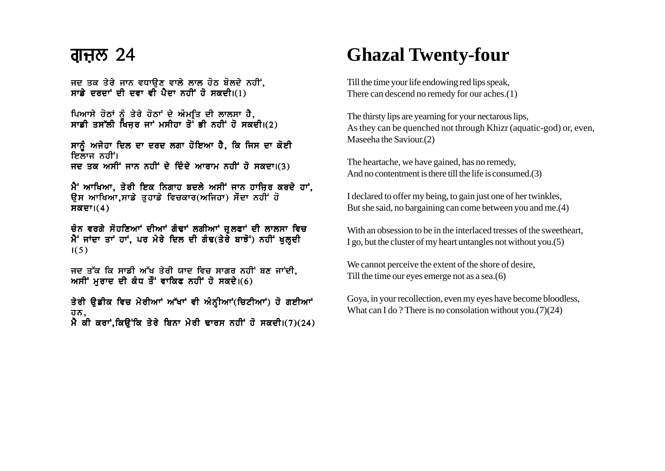#### <u>ਗੁਜ਼ਲ 24</u>

ਜਦ ਤਕ ਤੇਰੇ ਜਾਨ ਵਧਾਉਣ ਵਾਲੇ ਲਾਲ ਹੋਠ ਬੋਲਦੇ ਨਹੀਂ. ਸਾਡੇ ਦਰਦਾਂ ਦੀ ਦਵਾ ਵੀ ਪੈਦਾ ਨਹੀਂ ਹੋ ਸਕਦੀ।(1)

ਪਿਆਸੇ ਹੋਠਾਂ ਨੂੰ ਤੇਰੇ ਹੋਠਾਂ ਦੇ ਅੰਮ੍ਰੀਤ ਦੀ ਲਾਲਸਾ ਹੈ, ਸਾਡੀ ਤਸੱਲੀ ਖਿਜਰ ਜਾਂ ਮਸੀਹਾ ਤੋਂ ਭੀ ਨਹੀਂ ਹੋ ਸਕਦੀ।(?)

ਸਾਨੂੰ ਅਜੇਹਾ ਦਿਲ ਦਾ ਦਰਦ ਲਗਾ ਹੋਇਆ ਹੈ, ਕਿ ਜਿਸ ਦਾ ਕੋਈ ਇਲਾਜ ਨਹੀਂ। ਜਦ ਤਕ ਅਸੀਂ ਜਾਨ ਨਹੀਂ ਦੇ ਦਿੰਦੇ ਆਰਾਮ ਨਹੀਂ ਹੋ ਸਕਦਾ।(3)

ਮੈਂ' ਆਖਿਆ, ਤੇਰੀ ਇਕ ਨਿਗਾਹ ਬਦਲੇ ਅਸੀਂ ਜਾਨ ਹਾਜ਼ਿਰ ਕਰਦੇ ਹਾਂ, ਉਸ ਆਖਿਆ.ਸਾਡੇ ਤਹਾਡੇ ਵਿਚਕਾਰ(ਅਜਿਹਾ) ਸੌਦਾ ਨਹੀਂ ਹੋ  $H\overline{\alpha}$ ਦਾ। $(4)$ 

ਚੰਨ ਵਰਗੇ ਸੋਹਣਿਆਂ ਦੀਆਂ ਗੰਢਾਂ ਲਗੀਆਂ ਜੁਲਫਾਂ ਦੀ ਲਾਲਸਾ ਵਿਚ ਮੈਂ ਜਾਂਦਾ ਤਾਂ ਹਾਂ. ਪਰ ਮੇਰੇ ਦਿਲ ਦੀ ਗੰਢ(ਤੇਰੇ ਬਾਝੋਂ) ਨਹੀਂ ਖਲਦੀ  $1(5)$ 

ਜਦ ਤੱਕ ਕਿ ਸਾਡੀ ਅੱਖ ਤੇਰੀ ਯਾਦ ਵਿਚ ਸਾਗਰ ਨਹੀਂ ਬਣ ਜਾਂਦੀ. ਅਸੀਂ ਮੁਰਾਦ ਦੀ ਕੰਧ ਤੌਂ ਵਾਕਿਫ ਨਹੀਂ ਹੋ ਸਕਦੇ।(6)

ਤੇਰੀ ੳਡੀਕ ਵਿਚ ਮੇਰੀਆਾਂ ਅੱਖਾਂ ਵੀ ਅੰਨ੍ਹੀਆਾਂ(ਚਿਟੀਆਂ) ਹੋ ਗਈਆਾਂ ਹਨ, ਮੈ ਕੀ ਕਰਾਂ, ਕਿਉਂਕਿ ਤੇਰੇ ਬਿਨਾ ਮੇਰੀ ਢਾਰਸ ਨਹੀਂ ਹੋ ਸਕਦੀ।(7)(24)

# **Ghazal Twenty-four**

Till the time your life endowing red lips speak, There can descend no remedy for our aches. $(1)$ 

The thirsty lips are yearning for your nectarous lips. As they can be quenched not through Khizr (aquatic-god) or, even, Maseeha the Saviour.(2)

The heartache, we have gained, has no remedy, And no contentment is there till the life is consumed.(3)

I declared to offer my being, to gain just one of her twinkles, But she said, no bargaining can come between you and me.(4)

With an obsession to be in the interlaced tresses of the sweetheart I go, but the cluster of my heart untangles not without you. (5)

We cannot perceive the extent of the shore of desire, Till the time our eyes emerge not as a sea. $(6)$ 

Goya, in your recollection, even my eyes have become bloodless, What can I do? There is no consolation without you. $(7)(24)$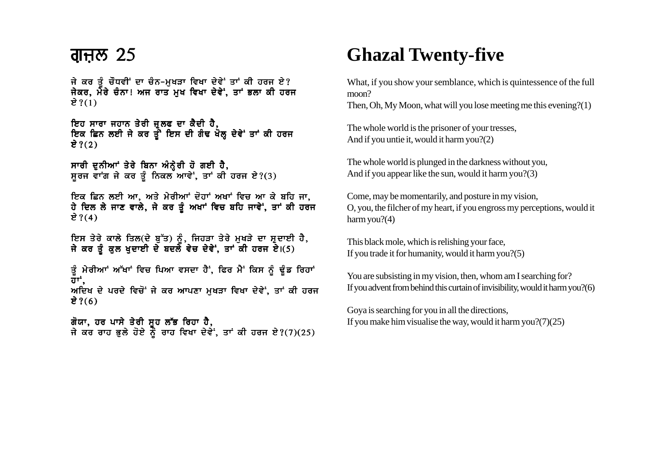#### ਗੁਜ਼ਲ  $25$

ਜੇ ਕਰ ਤੰ ਚੌਧਵੀਂ ਦਾ ਚੰਨ–ਮਖੜਾ ਵਿਖਾ ਦੇਵੇਂ ਤਾਂ ਕੀ ਹਰਜ ਏ? ਜੇਕਰ. ਮੇਂਰੇ ਚੰਨਾ! ਅਜ ਰਾਤ ਮਖ ਵਿਖਾ ਦੇਵੇਂ. ਤਾਂ ਭਲਾ ਕੀ ਹਰਜ ਏ ? $(1)$ 

ਇਹ ਸਾਰਾ ਜਹਾਨ ਤੇਰੀ ਜਲਫ ਦਾ ਕੈਦੀ ਹੈ. ਇਕ ਛਿਨ ਲਈ ਜੇ ਕਰ ਤੰਂ ਇਸ ਦੀ ਗੰਢ ਖੋਲ ਦੇਵੇਂ ਤਾਂ ਕੀ ਹਰਜ ਏ ? $(2)$ 

ਸਾਰੀ ਦਨੀਆ<sup>+</sup> ਤੇਰੇ ਬਿਨਾ ਅੰਨੇਰੀ ਹੋ ਗਈ ਹੈ.  $H$ ਰਜ ਵਾਂਗ ਜੇ ਕਰ ਤੰ ਨਿਕਲ ਆਵੇਂ, ਤਾਂ ਕੀ ਹਰਜ ਏ?(3)

ਇਕ ਛਿਨ ਲਈ ਆ, ਅਤੇ ਮੇਰੀਆਂ ਦੋਹਾਂ ਅਖਾਂ ਵਿਚ ਆ ਕੇ ਬਹਿ ਜਾ, ਹੇ ਦਿਲ ਲੇ ਜਾਣ ਵਾਲੇ, ਜੇ ਕਰ ਤੂੰ ਅਖਾਂ ਵਿਚ ਬਹਿ ਜਾਵੇਂ, ਤਾਂ ਕੀ ਹਰਜ ਏ ? $(4)$ 

ਇਸ ਤੇਰੇ ਕਾਲੇ ਤਿਲ(ਦੇ ਬੱਤ) ਨੰ. ਜਿਹੜਾ ਤੇਰੇ ਮਖੜੇ ਦਾ ਸਦਾਈ ਹੈ. ਜੇ ਕਰ ਤੰ ਕਲ ਖਦਾਈ ਦੇ ਬਦਲੇ ਵੇਚ ਦੇਵੇਂ. ਤਾਂ ਕੀ ਹਰਜ ਏ।(5)

ਤੂੰ ਮੇਰੀਆਾਂ ਆੱਖਾਂ ਵਿਚ ਪਿਆ ਵਸਦਾ ਹੈਂ, ਫਿਰ ਮੈਂ ਕਿਸ ਨੂੰ ਢੂੰਡ ਰਿਹਾਂ  $\bar{\mathbf{d}}$ ਾਂ. ਅਦਿਖ ਦੇ ਪਰਦੇ ਵਿਚੋਂ ਜੇ ਕਰ ਆਪਣਾ ਮੁਖੜਾ ਵਿਖਾ ਦੇਵੇਂ. ਤਾਂ ਕੀ ਹਰਜ ਏ ? $(6)$ 

ਗੋਯਾ. ਹਰ ਪਾਸੇ ਤੇਰੀ ਸਹ ਲੱਭ ਰਿਹਾ ਹੈ. ਜੇ ਕਰ ਰਾਹ ਭਲੇ ਹੋਏ ਨੌਂ ਰਾਹ ਵਿਖਾ ਦੇਵੇਂ. ਤਾਂ ਕੀ ਹਰਜ ਏ?(7)(25)

# **Ghazal Twenty-five**

What, if you show your semblance, which is quintessence of the full moon?

Then, Oh, My Moon, what will you lose meeting me this evening?(1)

The whole world is the prisoner of your tresses, And if you untie it, would it harm you?(2)

The whole world is plunged in the darkness without you, And if you appear like the sun, would it harm you?(3)

Come, may be momentarily, and posture in my vision, O, you, the filcher of my heart, if you engross my perceptions, would it harm you?(4)

This black mole, which is relishing your face, If you trade it for humanity, would it harm you?(5)

You are subsisting in my vision, then, whom am I searching for? If you advent from behind this curtain of invisibility, would it harm you?(6)

Goya is searching for you in all the directions, If you make him visualise the way, would it harm you? $(7)(25)$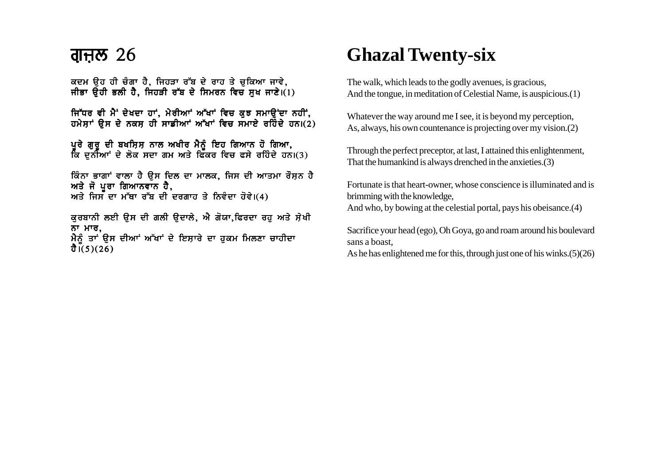ਕਦਮ ਉਹ ਹੀ ਚੰਗਾ ਹੈ, ਜਿਹੜਾ ਰੱਬ ਦੇ ਰਾਹ ਤੇ ਚੁਕਿਆ ਜਾਵੇ, ਜੀਭਾ ਉਹੀ ਭਲੀ ਹੈ, ਜਿਹੜੀ ਰੱਬ ਦੇ ਸਿਮਰਨ ਵਿਚ ਸਖ ਜਾਣੇ।(1)

ਜਿੱਧਰ ਵੀ ਮੈਂ ਦੇਖਦਾ ਹਾਂ. ਮੇਰੀਆਂ ਅੱਖਾਂ ਵਿਚ ਕੁਝ ਸਮਾਉਂਦਾ ਨਹੀਂ, ਹਮੇਸਾਂ ਉਸ ਦੇ ਨਕਸ ਹੀ ਸਾਡੀਆਂ ਅੱਖਾਂ ਵਿਚ ਸਮਾਏ ਰਹਿੰਦੇ ਹਨ।(2)

ਪਰੇ ਗਰ ਦੀ ਬਖਸਿਸ ਨਾਲ ਅਖੀਰ ਮੈਨੰ ਇਹ ਗਿਆਨ ਹੋ ਗਿਆ. ਕਿ ਦਨੀਆਂ ਦੇ ਲੋਕ ਸਦਾ ਗਮ ਅਤੇ ਫਿੱਕਰ ਵਿਚ ਫਸੇ ਰਹਿੰਦੇ ਹਨ।(3)

ਕਿੰਨਾ ਭਾਗਾਂ ਵਾਲਾ ਹੈ ੳਸ ਦਿਲ ਦਾ ਮਾਲਕ, ਜਿਸ ਦੀ ਆਤਮਾ ਰੌਸ਼ਨ ਹੈ ਅਤੇ ਜੋ ਪੂਰਾ ਗਿਆਨਵਾਨ ਹੈ, ਅਤੇ ਜਿਸ ਦਾ ਮੱਥਾ ਰੱਬ ਦੀ ਦਰਗਾਹ ਤੇ ਨਿਵੰਦਾ ਹੋਵੇ।(4)

ਕੁਰਬਾਨੀ ਲਈ ਉਸ ਦੀ ਗਲੀ ਉਦਾਲੇ, ਐ ਗੋਯਾ,ਫਿਰਦਾ ਰਹੂ ਅਤੇ ਸ਼ੇਖੀ ਨਾ ਮਾਰ, ਮੈਨੂੰ ਤਾਂ ਉਸ ਦੀਆਂ ਅੱਖਾਂ ਦੇ ਇਸ਼ਾਰੇ ਦਾ ਹੁਕਮ ਮਿਲਣਾ ਚਾਹੀਦਾ  $\overline{d}$  i(5)(26)

## **Ghazal Twenty-six**

The walk, which leads to the godly avenues, is gracious, And the tongue, in meditation of Celestial Name, is auspicious.(1)

Whatever the way around me I see, it is beyond my perception, As, always, his own countenance is projecting over my vision.(2)

Through the perfect preceptor, at last, I attained this enlightenment, That the humankind is always drenched in the anxieties.(3)

Fortunate is that heart-owner, whose conscience is illuminated and is brimming with the knowledge, And who, by bowing at the celestial portal, pays his obeisance.(4)

Sacrifice your head (ego), Oh Goya, go and roam around his boulevard sans a boast,

As he has enlightened me for this, through just one of his winks.(5)(26)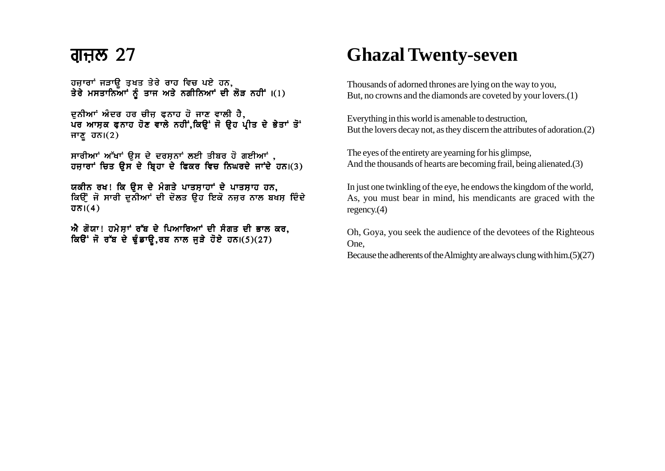ਹਜ਼ਾਰਾਂ ਜੜਾਉ ਤਖਤ ਤੇਰੇ ਰਾਹ ਵਿਚ ਪਏ ਹਨ, ਤੇਰੇ ਮਸਤਾਨਿਆਂ ਨੂੰ ਤਾਜ ਅਤੇ ਨਗੀਨਿਆਂ ਦੀ ਲੋੜ ਨਹੀਂ ।(1)

ਦੁਨੀਆਂ ਅੰਦਰ ਹਰ ਚੀਜ਼ ਫ਼ਨਾਹ ਹੋ ਜਾਣ ਵਾਲੀ ਹੈ, ਪਰ ਆਸਕ ਫਨਾਹ ਹੋਣ ਵਾਲੇ ਨਹੀਂ,ਕਿਉਂ ਜੋ ਉਹ ਪੀਤ ਦੇ ਭੇਤਾਂ ਤੋਂ ਜਾਣੂ ਹਨ। $(2)$ 

ਸਾਰੀਆਂ ਅੱਖਾਂ ਉਸ ਦੇ ਦਰਸ਼ਨਾਂ ਲਈ ਤੀਬਰ ਹੋ ਗਈਆਂ, ਹਜ਼ਾਰਾਂ ਚਿਤ ਉਸ ਦੇ ਬ੍ਰਿਹਾ ਦੇ ਫਿਕਰ ਵਿਚ ਨਿਘਰਦੇ ਜਾਂਦੇ ਹਨ।(3)

ਯਕੀਨ ਰਖ! ਕਿ ੳਸ ਦੇ ਮੰਗਤੇ ਪਾਤਸਾਹਾਂ ਦੇ ਪਾਤਸਾਹ ਹਨ. ਕਿਉਂ ਜੋ ਸਾਰੀ ਦੁਨੀਆਂ ਦੀ ਦੋਲਤ ਉਹ ਇਕੋ ਨਜ਼ਰ ਨਾਲ ਬਖਸ਼ ਦਿੰਦੇ  $\overline{d} \overline{\delta}$ l $(4)$ 

ਐ ਗੋਯਾ! ਹਮੇਸ਼ਾਂ ਰੱਬ ਦੇ ਪਿਆਰਿਆਂ ਦੀ ਸੰਗਤ ਦੀ ਭਾਲ ਕਰ,  $\sqrt{a^2 + b^2}$  ਜੋ ਰੱਬ ਦੇ ਢੰਡਾਓ, ਰਬ ਨਾਲ ਜੜੇ ਹੋਏ ਹਨ।(5)(27)

### **Ghazal Twenty-seven**

Thousands of adorned thrones are lying on the way to you, But, no crowns and the diamonds are coveted by your lovers.(1)

Everything in this world is amenable to destruction, But the lovers decay not, as they discern the attributes of adoration.(2)

The eyes of the entirety are yearning for his glimpse, And the thousands of hearts are becoming frail, being alienated.(3)

In just one twinkling of the eye, he endows the kingdom of the world, As, you must bear in mind, his mendicants are graced with the regency.(4)

Oh, Goya, you seek the audience of the devotees of the Righteous One,

Because the adherents of the Almighty are always clung with him.(5)(27)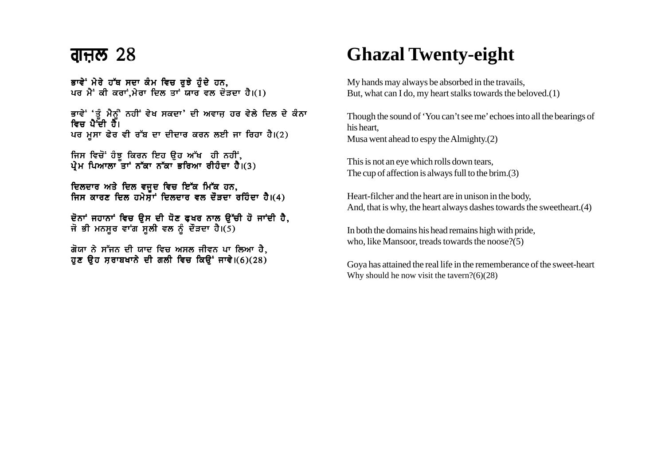#### ਗ੍ਰਜ਼ਲ  $28$

ਭਾਵੇਂ ਮੇਰੇ ਹੱਥ ਸਦਾ ਕੰਮ ਵਿਚ ਰਝੇ ਹੰਦੇ ਹਨ. ਪਰ ਮੈਂ ਕੀ ਕਰਾਂ.ਮੇਰਾ ਦਿਲ ਤਾਂ ਯਾਰ ਵਲ ਦੋੜਦਾ ਹੈ। $(1)$ 

ਭਾਵੇਂ 'ਤੌ ਮੈਨੂੰ ਨਹੀਂ ਵੇਖ ਸਕਦਾ' ਦੀ ਅਵਾਜ ਹਰ ਵੇਲੇ ਦਿਲ ਦੇ ਕੰਨਾ ਵਿਚ ਪੈ<sup>-</sup>ਦੀ ਹੈ। ਪਰ ਮੁਸਾ ਫੇਰ ਵੀ ਰੱਬ ਦਾ ਦੀਦਾਰ ਕਰਨ ਲਈ ਜਾ ਰਿਹਾ ਹੈ।(2)

ਜਿਸ ਵਿਚੋਂ ਹੰਝੂ ਕਿਰਨ ਇਹ ਉਹ ਅੱਖ ੍ਹੀ ਨਹੀਂ, ਪ੍ਰੇਮ ਪਿਆਲਾ ਤਾਂ ਨੱਕਾ ਨੱਕਾ ਭਰਿਆ ਰੀਹੰਦਾ ਹੈ।(3)

ਦਿਲਦਾਰ ਅਤੇ ਦਿਲ ਵਜੂਦ ਵਿਚ ਇੱਕ ਮਿੱਕ ਹਨ, ਜਿਸ ਕਾਰਣ ਦਿਲ ਹਮੇਸਾਂ ਦਿਲਦਾਰ ਵਲ ਦੌੜਦਾ ਰਹਿੰਦਾ ਹੈ।(4)

ਦੋਨਾਂ ਜਹਾਨਾਂ ਵਿਚ ਉਸ ਦੀ ਧੋਣ ਫਖਰ ਨਾਲ ਉੱਚੀ ਹੋ ਜਾਂਦੀ ਹੈ, ਜੋ ਭੀ ਮਨਸੂਰ ਵਾਂਗ ਸੂਲੀ ਵਲ ਨੂੰ ਦੌੜਦਾ ਹੈ।(5)

ਗੋਯਾ ਨੇ ਸੱਜਨ ਦੀ ਯਾਦ ਵਿਚ ਅਸਲ ਜੀਵਨ ਪਾ ਲਿਆ ਹੈ, ਹੁਣ ਉਹ ਸੁਰਾਬਖਾਨੇ ਦੀ ਗਲੀ ਵਿਚ ਕਿਉਂ ਜਾਵੇ।(6)(28)

## **Ghazal Twenty-eight**

My hands may always be absorbed in the travails, But, what can I do, my heart stalks towards the beloved.(1)

Though the sound of 'You can't see me' echoes into all the bearings of his heart, Musa went ahead to espy the Almighty.(2)

This is not an eye which rolls down tears, The cup of affection is always full to the brim.(3)

Heart-filcher and the heart are in unison in the body, And, that is why, the heart always dashes towards the sweetheart.(4)

In both the domains his head remains high with pride, who, like Mansoor, treads towards the noose?(5)

Goya has attained the real life in the rememberance of the sweet-heart Why should he now visit the tavern?(6)(28)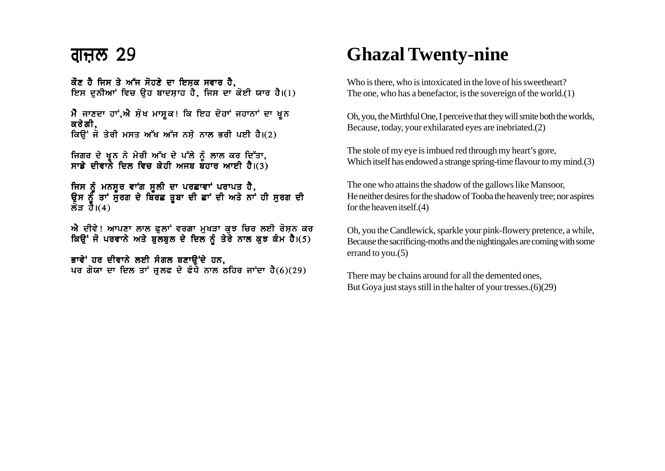ਕੌਣ ਹੈ ਜਿਸ ਤੇ ਅੱਜ ਸੋਹਣੇ ਦਾ ਇਸ਼ਕ ਸਵਾਰ ਹੈ, ਇਸ ਦਨੀਆਂ ਵਿਚ ੳਹ ਬਾਦਸ਼ਾਹ ਹੈ, ਜਿਸ ਦਾ ਕੋਈ ਯਾਰ ਹੈ।(1)

ਮੈ ਜਾਣਦਾ ਹਾਂ,ਐ ਸੋਖ ਮਾਸਕ! ਕਿ ਇਹ ਦੋਹਾਂ ਜਹਾਨਾਂ ਦਾ ਖ਼ੂਨ ਕਰੇਗੀ. ਕਿਉਂ ਜੋ ਤੇਰੀ ਮਸਤ ਅੱਖ ਅੱਜ ਨਸ਼ੇ ਨਾਲ ਭਰੀ ਪਈ ਹੈ।(2)

ਜਿਗਰ ਦੇ ਖੂਨ ਨੇ ਮੇਰੀ ਅੱਖ ਦੇ ਪੱਲੇ ਨੰ ਲਾਲ ਕਰ ਦਿੱਤਾ. ਸਾਡੇ ਦੀਵਾਨੇ ਦਿਲ ਵਿਚ ਕੇਹੀ ਅਜਬ ਬਹਾਰ ਆਈ ਹੈ।(3)

ਜਿਸ ਨੂੰ ਮਨਸਰ ਵਾਂਗ ਸਲੀ ਦਾ ਪਰਛਾਵਾਂ ਪਰਾਪਤ ਹੈ. ੳਸ ਨੂੰ ਤਾਂ ਸੁਰਗ ਦੇ ਬਿੱਰਛ ਤਬਾ ਦੀ ਛਾਂ ਦੀ ਅਤੇ ਨਾਂ ਹੀ ਸਰਗ ਦੀ ਲੌਤ ਹੈ। $(4)$ 

ਐ ਦੀਵੇ! ਆਪਣਾ ਲਾਲ ਫੁਲਾਂ ਵਰਗਾ ਮੁਖੜਾ ਕੁਝ ਚਿਰ ਲਈ ਰੋਸ਼ਨ ਕਰ ਕਿਉਂ ਜੋ ਪਰਵਾਨੇ ਅਤੇ ਬੁਲਬੁਲ ਦੇ ਦਿਲ ਨੂੰ ਤੇਰੇ ਨਾਲ ਕੁਝ ਕੰਮ ਹੈ।(5)

ਭਾਵੇਂ ਹਰ ਦੀਵਾਨੇ ਲਈ ਸੰਗਲ ਬਣਾੳਂਦੇ ਹਨ. ਪਰ ਗੋਯਾ ਦਾ ਦਿਲ ਤਾਂ ਜ਼ੁਲਫ ਦੇ ਫੰਧੇ ਨਾਲ ਠਹਿਰ ਜਾਂਦਾ ਹੈ $(6)(29)$ 

### **Ghazal Twenty-nine**

Who is there, who is intoxicated in the love of his sweetheart? The one, who has a benefactor, is the sovereign of the world.(1)

Oh, you, the Mirthful One, I perceive that they will smite both the worlds, Because, today, your exhilarated eyes are inebriated.(2)

The stole of my eye is imbued red through my heart's gore, Which itself has endowed a strange spring-time flavour to my mind.(3)

The one who attains the shadow of the gallows like Mansoor, He neither desires for the shadow of Tooba the heavenly tree; nor aspires for the heaven itself.(4)

Oh, you the Candlewick, sparkle your pink-flowery pretence, a while, Because the sacrificing-moths and the nightingales are coming with some errand to you.(5)

There may be chains around for all the demented ones, But Goya just stays still in the halter of your tresses.(6)(29)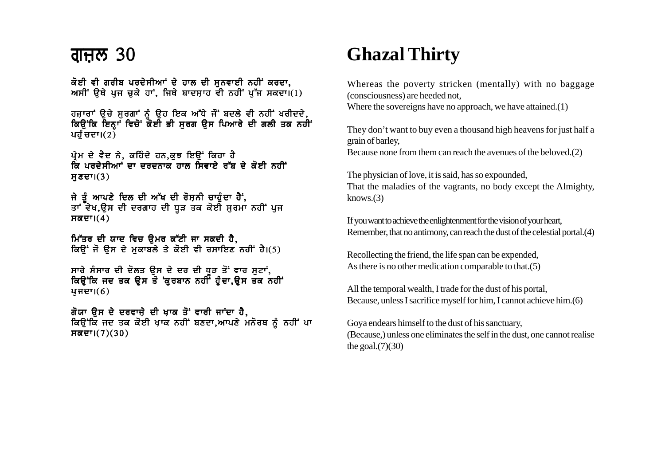### ਗਜ਼ਲ 30

ਕੋਈ ਵੀ ਗਰੀਬ ਪਰਦੇਸੀਆਂ ਦੇ ਹਾਲ ਦੀ ਸਨਵਾਈ ਨਹੀਂ ਕਰਦਾ. ਅਸੀਂ ਉਥੇ ਪਜ ਚਕੇ ਹਾਂ. ਜਿਥੇ ਬਾਦਸਾਹ ਵੀ ਨਹੀਂ ਪੱਜ ਸਕਦਾ।(1)

ਹਜਾਰਾਂ ੳਚੇ ਸਰਗਾਂ ਨੰ ੳਹ ਇਕ ਅੱਧੇ ਜੌਂ ਬਦਲੇ ਵੀ ਨਹੀਂ ਖਰੀਦਦੇ, ਕਿੳਂਕਿ ਇਨ੍ਹਾਂ ਵਿਚੋਂ ਕੋਈ ਭੀ ਸਰਗ ੳਸ ਪਿਆਰੇ ਦੀ ਗਲੀ ਤਕ ਨਹੀਂ ਪਹੰ ਚਦਾ। $(2)$ 

ਪ੍ਰੇਮ ਦੇ ਵੈਦ ਨੇ, ਕਹਿੰਦੇ ਹਨ,ਕੁਝ ਇਉਂ ਕਿਹਾ ਹੈ ਕਿ ਪਰਦੇਸ਼ੀਆਂ ਦਾ ਦਰਦਨਾਕ ਹਾਲ ਸ਼ਿਵਾਏ ਰੱਬ ਦੇ ਕੋਈ ਨਹੀਂ  $H\overline{\mathcal{E}}\overline{\mathcal{E}}^{\dagger}$ l $(3)$ 

ਜੇ ਤੰ ਆਪਣੇ ਦਿਲ ਦੀ ਅੱਖ ਦੀ ਰੋਸ਼ਨੀ ਚਾਹੁੰਦਾ ਹੈ; ਤਾਂ ਵੇਖ,ਉਸ ਦੀ ਦਰਗਾਹ ਦੀ ਧੁੜ ਤਕ ਕੋਈ ਸੂਰਮਾ ਨਹੀਂ ਪੂਜ  $H\overline{\alpha}$ ਦਾ $(4)$ 

ਮਿੱਤਰ ਦੀ ਯਾਦ ਵਿਚ ਉਮਰ ਕੱਟੀ ਜਾ ਸਕਦੀ ਹੈ,<br>ਕਿਉਂ ਜੋ ਉਸ ਦੇ ਮੁਕਾਬਲੇ ਤੇ ਕੋਈ ਵੀ ਰਸਾਇਣ ਨਹੀਂ ਹੈ।(5)

ਸਾਰੇ ਸੰਸਾਰ ਦੀ ਦੋਲਤ ਉਸ ਦੇ ਦਰ ਦੀ ਧੂੜ ਤੋਂ ਵਾਰ ਸੁਟਾਂ,<br>ਕਿਉਂਕਿ ਜਦ ਤਕ ਉਸ ਤੋ 'ਕੁਰਬਾਨ ਨਹੀਂ' ਹੁੰਦਾ,ਉਸ ਤਕ ਨਹੀਂ'  $4HETI(6)$ 

ਗੋਯਾ ਉਸ ਦੇ ਦਰਵਾਜ਼ੇ ਦੀ ਖਾਕ ਤੋਂ ਵਾਰੀ ਜਾਂਦਾ ਹੈ, ਕਿਉਂਕਿ ਜਦ ਤਕ ਕੋਈ ਖਾਕ ਨਹੀਂ ਬਣਦਾ,ਆਪਣੇ ਮਨੋਰਥ ਨੂੰ ਨਹੀਂ ਪਾ ਸਕਦਾ। $(7)(30)$ 

## **Ghazal Thirty**

Whereas the poverty stricken (mentally) with no baggage (consciousness) are heeded not. Where the sovereigns have no approach, we have attained. $(1)$ 

They don't want to buy even a thousand high heavens for just half a grain of barley, Because none from them can reach the avenues of the beloved.(2)

The physician of love, it is said, has so expounded, That the maladies of the vagrants, no body except the Almighty,  $knows.(3)$ 

If you want to achieve the enlightenment for the vision of your heart, Remember, that no antimony, can reach the dust of the celestial portal.(4)

Recollecting the friend, the life span can be expended. As there is no other medication comparable to that. $(5)$ 

All the temporal wealth, I trade for the dust of his portal, Because, unless I sacrifice myself for him, I cannot achieve him. (6)

Goya endears himself to the dust of his sanctuary, (Because,) unless one eliminates the self in the dust, one cannot realise the goal. $(7)(30)$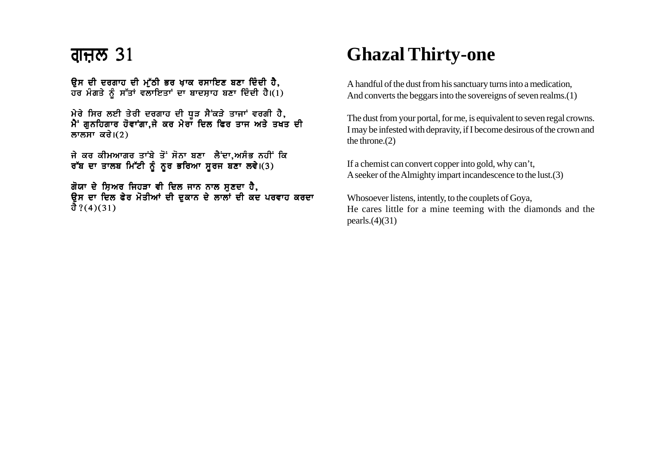ਉਸ ਦੀ ਦਰਗਾਹ ਦੀ ਮੱਠੀ ਭਰ ਖਾਕ ਰਸਾਇਣ ਬਣਾ ਦਿੰਦੀ ਹੈ. ਹਰ ਮੰਗਤੇ ਨੰ ਸੱਤਾਂ ਵਲਾਇਤਾਂ ਦਾ ਬਾਦਸ਼ਾਹ ਬਣਾ ਦਿੰਦੀ ਹੈ।(1)

<u>ਮੇਰੇ ਸਿਰ ਲਈ ਤੇਰੀ ਦਰਗਾਹ ਦੀ ਧੁੜ ਸੈਂਕੜੇ ਤਾਜਾਂ ਵਰਗੀ ਹੈ,</u>  $\mathcal{A}$ ਂ ਗੁਨਹਿਗਾਰ ਹੋਵਾਂਗਾ,ਜੇ ਕਰ ਮੇਰਾਂ ਦਿਲ ਫਿਰ ਤਾਜ ਅਤੇ ਤਖੰਤ ਦੀ ਲਾਲਸਾ ਕਰੇ। $(2)$ 

ਜੇ ਕਰ ਕੀਮਆਗਰ ਤਾਂਬੇ ਤੋਂ ਸੋਨਾ ਬਣਾ ਲੈਂਦਾ,ਅਸੰਭ ਨਹੀਂ ਕਿ ਰੱਬ ਦਾ ਤਾਲਬ ਮਿੱਟੀ ਨੂੰ ਨੂਰ ਭਰਿਆ ਸੂਰਜ ਬਣਾ ਲਵੇ।(3)

ਗੋਯਾ ਦੇ ਸ਼ਿਅਰ ਜਿਹੜਾ ਵੀ ਦਿਲ ਜਾਨ ਨਾਲ ਸੁਣਦਾ ਹੈ, ਉਸ ਦਾ ਦਿਲ ਫੇਰ ਮੋਤੀਆਂ ਦੀ ਦੁਕਾਨ ਦੇ ਲਾਲਾਂ ਦੀ ਕਦ ਪਰਵਾਹ ਕਰਦਾ ਹੈ ?(4)(31)

## **Ghazal Thirty-one**

A handful of the dust from his sanctuary turns into a medication, And converts the beggars into the sovereigns of seven realms.(1)

The dust from your portal, for me, is equivalent to seven regal crowns. I may be infested with depravity, if I become desirous of the crown and the throne.(2)

If a chemist can convert copper into gold, why can't, A seeker of the Almighty impart incandescence to the lust.(3)

Whosoever listens, intently, to the couplets of Goya, He cares little for a mine teeming with the diamonds and the pearls.(4)(31)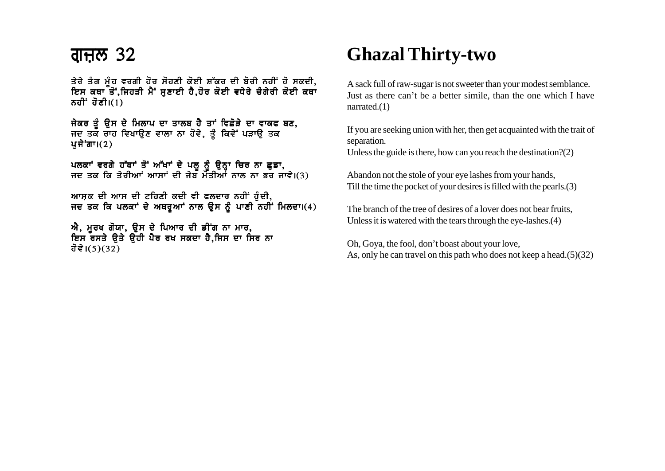### <u>ਗੁਜ਼ਲ 32</u>

ਤੇਰੇ ਤੰਗ ਮੰਹ ਵਰਗੀ ਹੋਰ ਸੋਹਣੀ ਕੋਈ ਸ਼ੱਕਰ ਦੀ ਬੋਰੀ ਨਹੀਂ ਹੋ ਸਕਦੀ, ਇਸ ਕਥਾ ਤੋਂ,ਜਿਹੜੀ ਮੈਂ ਸੁਣਾਈ ਹੈ,ਹੋਰ ਕੋਈ ਵਧੇਰੇ ਚੰਗੇਰੀ ਕੋਈ ਕਥਾ ਨਹੀਂ ਹੋਣੀ $I(1)$ 

ਜੇਕਰ ਤੰ ਉਸ ਦੇ ਮਿਲਾਪ ਦਾ ਤਾਲਬ ਹੈ ਤਾਂ ਵਿਛੋੜੇ ਦਾ ਵਾਕਫ ਬਣ, ਜਦ ਤਕ ਰਾਹ ਵਿਖਾੳਣ ਵਾਲਾ ਨਾ ਹੋਵੇ, ਤੰ ਕਿਵੇਂ ਪੜਾੳ ਤਕ ਪਜੇ<sup>•</sup>ਗਾ। $(2)$ 

ਪਲਕਾਂ ਵਰਗੇ ਹੱਥਾਂ ਤੋਂ ਅੱਖਾਂ ਦੇ ਪਲੂ ਨੂੰ ਉਨ੍ਹਾ ਚਿਰ ਨਾ ਛੁਡਾ,<br>ਜਦ ਤਕ ਕਿ ਤੇਰੀਆਂ ਆਸਾਂ ਦੀ ਜੇਬ ਮੋਤੀਆਂ ਨਾਲ ਨਾ ਭਰ ਜਾਵੇ।(3)

ਆਸ਼ਕ ਦੀ ਆਸ ਦੀ ਟਹਿਣੀ ਕਦੀ ਵੀ ਫਲਦਾਰ ਨਹੀਂ ਹੁੰਦੀ, ਜਦ ਤਕ ਕਿ ਪਲਕਾਂ ਦੇ ਅਥਰਆਂ ਨਾਲ ਉਸ ਨੂੰ ਪਾਣੀ ਨਹੀਂ ਮਿਲਦਾ।(4)

ਐ, ਮੂਰਖ ਗੋਯਾ, ਉਸ ਦੇ ਪਿਆਰ ਦੀ ਡੀਂਗ ਨਾ ਮਾਰ, ਇਸ ਰਸਤੇ ਉਤੇ ਉਹੀ ਪੈਰ ਰਖ ਸਕਦਾ ਹੈ,ਜਿਸ ਦਾ ਸਿਰ ਨਾ ਹੋਵੇ।(5)(32)

## **Ghazal Thirty-two**

A sack full of raw-sugar is not sweeter than your modest semblance. Just as there can't be a better simile, than the one which I have narrated. $(1)$ 

If you are seeking union with her, then get acquainted with the trait of separation.

Unless the guide is there, how can you reach the destination? $(2)$ 

Abandon not the stole of your eye lashes from your hands, Till the time the pocket of your desires is filled with the pearls. (3)

The branch of the tree of desires of a lover does not bear fruits. Unless it is watered with the tears through the eye-lashes. (4)

Oh, Goya, the fool, don't boast about your love, As, only he can travel on this path who does not keep a head. $(5)(32)$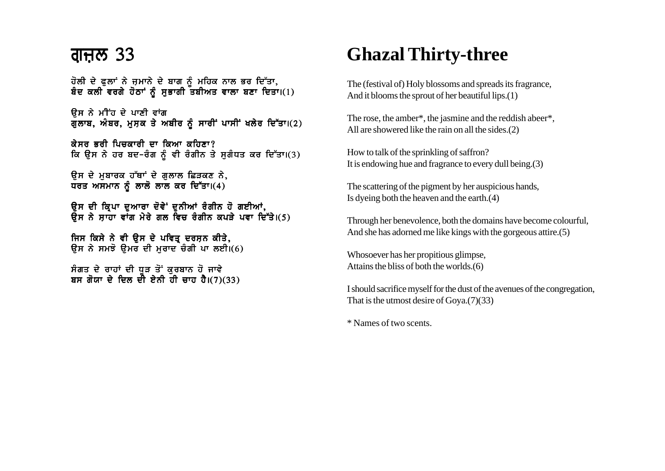### <u>ਗੁਜ਼ਲ 33</u>

ਹੋਲੀ ਦੇ ਫਲਾਂ ਨੇ ਜਮਾਨੇ ਦੇ ਬਾਗ ਨੰ ਮਹਿਕ ਨਾਲ ਭਰ ਦਿੱਤਾ. ਬੰਦ ਕਲੀ ਵਰਗੇ ਹੋਠਾਂ ਨੰ ਸਭਾਗੀ ਤਬੀਅਤ ਵਾਲਾ ਬਣਾ ਦਿਤਾ।(1)

ਓਸ ਨੇ ਮੀਂਹ ਦੇ ਪਾਣੀ ਵਾਂਗ  $\overline{d}$  ਗੁਲਾਬ, ਅੰਬਰ, ਮਸ਼ਕ ਤੇ ਅਬੀਰ ਨੂੰ ਸਾਰੀਂ ਪਾਸੀਂ ਖਲੇਰ ਦਿੱਤਾ।(2)

ਕੇਸਰ ਕਰੀ ਪਿਜਕਾਰੀ ਦਾ ਕਿਆ ਕਹਿਣਾ $\theta$ ਕਿ ਉਸ ਨੇ ਹਰ ਬਦ-ਰੰਗ ਨੂੰ ਵੀ ਰੰਗੀਨ ਤੇ ਸੁਗੰਧਤ ਕਰ ਦਿੱਤਾ।(3)

ਓਸ ਦੇ ਮਬਾਰਕ ਹੱਥਾਂ ਦੇ ਗਲਾਲ ਛਿੜਕਣ ਨੇ, ਧਰਤ ਅਸਮਾਨ ਨੂੰ ਲਾਲੋ ਲਾਲ ਕਰ ਦਿੱਤਾ।(4)

ਉਸ ਦੀ ਕ੍ਰਿਪਾ ਦੁਆਰਾ ਦੋਵੇਂ ਦੁਨੀਆਂ ਰੰਗੀਨ ਹੋ ਗਈਆਂ, ਬੁੱਜ ਤੋਂ ਮੜ੍ਹੋ ਜਾਂ ਤੁੱਕਾ ਤਾਂ ਹੋਰ ਬੁੱਲ ਨੇ ਤੁਹਾਨਾ ਤਾਂ ਤੁਹਾਨਾ,<br>ਉਸ ਨੇ ਸਾਹਾ ਵਾਂਗ ਮੇਰੇ ਗਲ ਵਿਚ ਰੰਗੀਨ ਕਪੜੇ ਪਵਾ ਦਿੱਤੇ।(5)

ਜਿਸ ਕਿਸੇ ਨੇ ਵੀ ਉਸ ਦੇ ਪਵਿਤ੍ਰ ਦਰਸ਼ਨ ਕੀਤੇ, ਉਸ ਨੇ ਸਮਝੋ ਉਮਰ ਦੀ ਮੁਰਾਦ ਚੰਗੀ ਪਾ ਲਈ $\overline{1}$ (6)

ਸੰਗਤ ਦੇ ਰਾਹਾਂ ਦੀ ਧੁੜ ਤੋਂ ਕੁਰਬਾਨ ਹੋ ਜਾਵੇ ਬਸ ਗੋਯਾ ਦੇ ਦਿਲ ਦੀ ਏਨੀ ਹੀ ਚਾਹ ਹੈ।(7)(33)

# **Ghazal Thirty-three**

The (festival of) Holy blossoms and spreads its fragrance, And it blooms the sprout of her beautiful lips.(1)

The rose, the amber\*, the jasmine and the reddish abeer\*, All are showered like the rain on all the sides.(2)

How to talk of the sprinkling of saffron? It is endowing hue and fragrance to every dull being.(3)

The scattering of the pigment by her auspicious hands, Is dyeing both the heaven and the earth.(4)

Through her benevolence, both the domains have become colourful, And she has adorned me like kings with the gorgeous attire.(5)

Whosoever has her propitious glimpse, Attains the bliss of both the worlds.(6)

I should sacrifice myself for the dust of the avenues of the congregation, That is the utmost desire of Goya.(7)(33)

\* Names of two scents.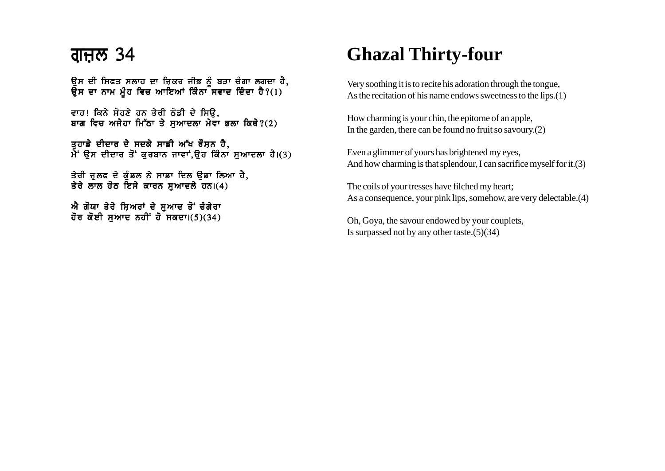### <u>ਗੁਜ਼ਲ 34</u>

ੳਸ ਦੀ ਸਿਫਤ ਸਲਾਹ ਦਾ ਜਿਕਰ ਜੀਭ ਨੰ ਬੜਾ ਚੰਗਾ ਲਗਦਾ ਹੈ. ੳਸ ਦਾ ਨਾਮ ਮੰਹ ਵਿਚ ਆਇਆਂ ਕਿੰਨਾ<sup>ੱ</sup>ਸਵਾਦ ਦਿੰਦਾ ਹੈ?(1)

ਵਾਹ! ਕਿਨੇ ਸੋਹਣੇ ਹਨ ਤੇਰੀ ਠੋਡੀ ਦੇ ਸਿੳ. ਬਾਗ ਵਿਚ ਅਜੇਹਾ ਮਿੱਠਾ ਤੇ ਸਆਦਲਾ ਮੇਵਾ ਭਲਾ ਕਿਥੇ?(2)

ਤੁਹਾਡੇ ਦੀਦਾਰ ਦੇ ਸਦਕੇ ਸਾਡੀ ਅੱਖ ਰੌਸ਼ਨ ਹੈ.  $\hat{A}$ ' ਉਸ ਦੀਦਾਰ ਤੋਂ ਕੁਰਬਾਨ ਜਾਵਾਂ,ਉਹ ਕਿੰਨਾ ਸੁਆਦਲਾ ਹੈ।(3)

ਤੇਰੀ ਜੁਲਫ ਦੇ ਕੰਡਲ ਨੇ ਸਾਡਾ ਦਿਲ ੳਡਾ ਲਿਆ ਹੈ, ਤੇਰੇ ਲਾਲ ਹੋਠ ਇਸੇ ਕਾਰਨ ਸਆਦਲੇ ਹਨ।(4)

ਐ ਗੋਯਾ ਤੇਰੇ ਸ਼ਿਅਰਾਂ ਦੇ ਸਆਦ ਤੋਂ ਚੰਗੇਰਾ ਹੋਰ ਕੋਈ ਸਆਦ ਨਹੀਂ ਹੋ ਸਕਦਾ। $(5)(34)$ 

# **Ghazal Thirty-four**

Very soothing it is to recite his adoration through the tongue, As the recitation of his name endows sweetness to the lips.(1)

How charming is your chin, the epitome of an apple, In the garden, there can be found no fruit so savoury.(2)

Even a glimmer of yours has brightened my eyes, And how charming is that splendour, I can sacrifice myself for it.(3)

The coils of your tresses have filched my heart; As a consequence, your pink lips, somehow, are very delectable.(4)

Oh, Goya, the savour endowed by your couplets, Is surpassed not by any other taste.(5)(34)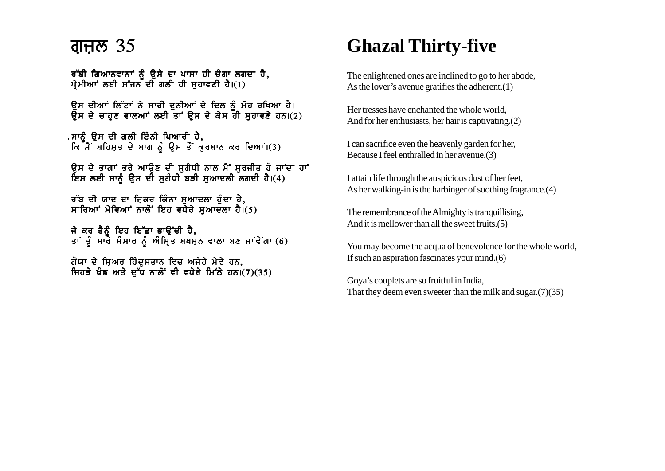### ਗਜਲ 35

ਰੱਬੀ ਗਿਆਨਵਾਨਾਂ ਨੂੰ ਉਸੇ ਦਾ ਪਾਸਾ ਹੀ ਚੰਗਾ ਲਗਦਾ ਹੈ, ਪੇਮੀਆਂ ਲਈ ਸੱਜਨ ਦੀ ਗਲੀ ਹੀ ਸਹਾਵਣੀ ਹੈ। $(1)$ 

ਉਸ ਦੀਆਂ ਲਿੱਟਾਂ ਨੇ ਸਾਰੀ ਦਨੀਆਂ ਦੇ ਦਿਲ ਨੰ ਮੋਹ ਰਖਿਆ ਹੈ। ਉਸ ਦੇ ਚਾਹੁਣ ਵਾਲਆਂ ਲਈ ਤਾਂ ਉਸ ਦੇ ਕੇਸ ਹੀ ਸੁਹਾਵਣੇ ਹਨ।(2)

. ਸਾਨੂੰ ਉਸ ਦੀ ਗਲੀ ਇੰਨੀ ਪਿਆਰੀ ਹੈ, ਕਿ ਮੈਂ ਬਹਿਸਤ ਦੇ ਬਾਗ ਨੂੰ ਉਸ ਤੌਂ ਕੁਰਬਾਨ ਕਰ ਦਿਆਂ।(3)

ਉਸ ਦੇ ਭਾਗਾਂ ਭਰੇ ਆਉਣ ਦੀ ਸੁਗੰਧੀ ਨਾਲ ਮੈਂ ਸੁਰਜੀਤ ਹੋ ਜਾਂਦਾ ਹਾਂ ਇਸ ਲਈ ਸਾਨੂੰ ਉਸ ਦੀ ਸੁਗੰਧੀ ਬੜੀ ਸੁਆਦਲੀ ਲਗਦੀ ਹੈ।(4)

ਰੱਬ ਦੀ ਯਾਦ ਦਾ ਜ਼ਿਕਰ ਕਿੰਨਾ ਸੁਆਦਲਾ ਹੁੰਦਾ ਹੈ, ਸਾਰਿਆਂ ਮੇਵਿਆਂ ਨਾਲੋਂ ਇਹ ਵਧੇਰੇ ਸਆਦਲਾ ਹੈ।(5)

ਜੇ ਕਰ ਤੈਨੰ ਇਹ ਇੱਛਾ ਭਾੳਂਦੀ ਹੈ, ਤਾਂ ਤੂੰ ਸਾਰੇ ਸੰਸਾਰ ਨੂੰ ਅੰਮ੍ਰਿਤ ਬਖਸ਼ਨ ਵਾਲਾ ਬਣ ਜਾਂਵੇਂਗਾ।(6)

ਗੋਯਾ ਦੇ ਸਿਅਰ ਹਿੰਦਸਤਾਨ ਵਿਚ ਅਜੇਹੇ ਮੇਵੇ ਹਨ. ਜਿਹੜੇ ਖੰਡ ਅਤੇ ਦੁੱਧ ਨਾਲੋਂ ਵੀ ਵਧੇਰੇ ਮਿੱਠੇ ਹਨ।(7)(35)

# **Ghazal Thirty-five**

The enlightened ones are inclined to go to her abode, As the lover's avenue gratifies the adherent. $(1)$ 

Her tresses have enchanted the whole world. And for her enthusiasts, her hair is captivating. (2)

I can sacrifice even the heavenly garden for her, Because I feel enthralled in her avenue.(3)

I attain life through the auspicious dust of her feet, As her walking-in is the harbinger of soothing fragrance. (4)

The remembrance of the Almighty is tranquillising. And it is mellower than all the sweet fruits. (5)

You may become the acqua of benevolence for the whole world, If such an aspiration fascinates your mind. $(6)$ 

Goya's couplets are so fruitful in India, That they deem even sweeter than the milk and sugar.  $(7)(35)$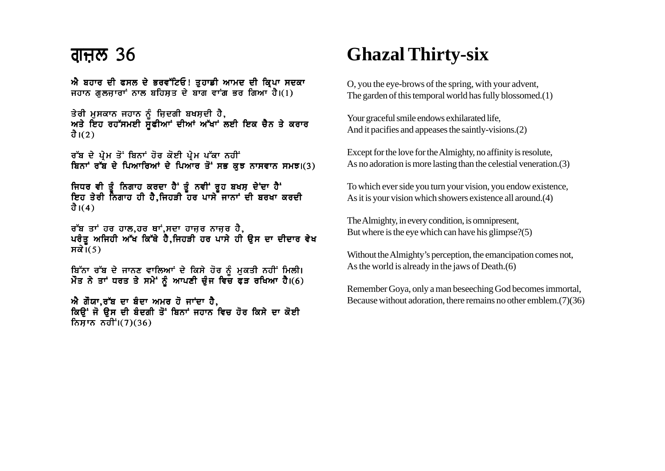### <u>ਗੁਜ਼ਲ 36</u>

ਐ ਬਹਾਰ ਦੀ ਫਸਲ ਦੇ ਭਰਵੱਟਿਓ! ਤਹਾਡੀ ਆਮਦ ਦੀ ਕਿਪਾ ਸਦਕਾ ਜਹਾਨ ਗਲਜਾਰਾਂ ਨਾਲ ਬਹਿਸਤ ਦੇ ਬਾਗ ਵਾਂਗ ਭਰ ਗਿਆ<sup>ਂ</sup>ਹੈ।(1)

ਤੇਰੀ ਮਸਕਾਨ ਜਹਾਨ ਨੰ ਜ਼ਿਦਗੀ ਬਖਸ਼ਦੀ ਹੈ, ਅਤੇ ਇਹ ਰਹੱਸਮਈ ਸਫ਼ੀਆਂ ਦੀਆਂ ਅੱਖਾਂ ਲਈ ਇਕ ਚੈਨ ਤੇ ਕਰਾਰ ਹੈ। $(2)$ 

ਰੱਬ ਦੇ ਪ੍ਰੇਮ ਤੋਂ ਬਿਨਾਂ ਹੋਰ ਕੋਈ ਪ੍ਰੇਮ ਪੱਕਾ ਨਹੀਂ ਬਿਨਾਂ ਰੱਬ ਦੇ ਪਿਆਰਿਆਂ ਦੇ ਪਿਆਰ ਤੋਂ ਸਭ ਕੁਝ ਨਾਸਵਾਨ ਸਮਝ।(3)

ਜਿਧਰ ਵੀ ਤੂੰ ਨਿਗਾਹ ਕਰਦਾ ਹੈਂ ਤੂੰ ਨਵੀਂ ਰੂਹ ਬਖਸ਼ ਦੇਂਦਾ ਹੈਂ<br>ਇਹ ਤੇਰੀ ਨਿਗਾਹ ਹੀ ਹੈ,ਜਿਹੜੀ ਹਰ ਪਾਸੇ ਜਾਨਾਂ ਦੀ ਬਰਖਾ ਕਰਦੀ ਹੈ। $(4)$ 

ਰੱਬ ਤਾਂ ਹਰ ਹਾਲ,ਹਰ ਥਾਂ,ਸਦਾ ਹਾਜ਼ਰ ਨਾਜ਼ਰ ਹੈ,<br>ਪਰੰਤੁ ਅਜਿਹੀ ਅੱਖ ਕਿੱਥੇ ਹੈ,ਜਿਹੜੀ ਹਰ ਪਾਸੇ ਹੀ ਉਸ ਦਾ ਦੀਦਾਰ ਵੇਖ ਸਕੇ $\overline{I(5)}$ 

ਬਿੱਨਾ ਰੱਬ ਦੇ ਜਾਨਣ ਵਾਲਿਆਾਂ ਦੇ ਕਿਸੇ ਹੋਰ ਨੂੰ ਮੁਕਤੀ ਨਹੀਂ ਮਿਲੀ।<br>ਮੌਤ ਨੇ ਤਾਂ ਧਰਤ ਤੇ ਸਮੇਂ ਨੂੰ ਆਪਣੀ ਚੁੰਜ ਵਿਚ ਫੜ ਰਖਿਆ ਹੈ।(6)

ਐ ਗੌਯਾ,ਰੱਬ ਦਾ ਬੰਦਾ ਅਮਰ ਹੋ ਜਾਂਦਾ ਹੈ, ਕਿਉਂ ਜੋ ਉਸ ਦੀ ਬੰਦਗੀ ਤੋਂ ਬਿਨਾਂ ਜਹਾਨ ਵਿਚ ਹੋਰ ਕਿਸੇ ਦਾ ਕੋਈ ਨਿਸਾਨ ਨਹੀਂ  $(7)(36)$ 

## **Ghazal Thirty-six**

O, you the eye-brows of the spring, with your advent, The garden of this temporal world has fully blossomed.(1)

Your graceful smile endows exhilarated life, And it pacifies and appeases the saintly-visions.(2)

Except for the love for the Almighty, no affinity is resolute. As no adoration is more lasting than the celestial veneration. (3)

To which ever side you turn your vision, you endow existence, As it is your vision which showers existence all around.(4)

The Almighty, in every condition, is omnipresent, But where is the eye which can have his glimpse? $(5)$ 

Without the Almighty's perception, the emancipation comes not, As the world is already in the jaws of Death. $(6)$ 

Remember Goya, only a man beseeching God becomes immortal, Because without adoration, there remains no other emblem. $(7)(36)$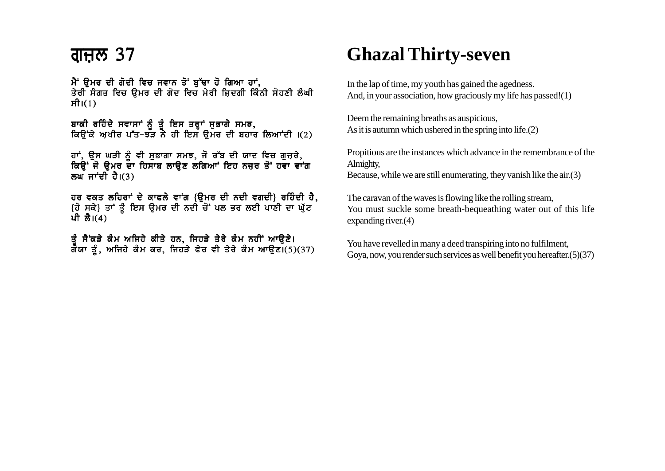### <u>ਗਜ਼ੁਲ 37</u>

ਮੈਂ ਉਮਰ ਦੀ ਗੋਦੀ ਵਿਚ ਜਵਾਨ ਤੋਂ ਬੁੱਢਾ ਹੋ ਗਿਆ ਹਾਂ, ਤੇਰੀ ਸੰਗਤ ਵਿਚ ੳਮਰ ਦੀ ਗੋਦ ਵਿਚ ਮੇਰੀ ਜਿਦਗੀ ਕਿੰਨੀ ਸੋਹਣੀ ਲੰਘੀ ਸੀ। $(1)$ 

ਬਾਕੀ ਰਹਿੰਦੇ ਸਵਾਸਾਂ ਨੂੰ ਤੂੰ ਇਸ ਤਰ੍ਹਾਂ ਸੁਭਾਗੇ ਸਮਝ,<br>ਕਿਉਂਕੇ ਅਖੀਰ ਪੱਤ-ਝੜ ਨੇ ਹੀ ਇਸ ਉਮਰ ਦੀ ਬਹਾਰ ਲਿਆਂਦੀ ।(2)

ਹਾਂ, ਉਸ ਘੜੀ ਨੂੰ ਵੀ ਸੁਭਾਗਾ ਸਮਝ, ਜੋ ਰੱਬ ਦੀ ਯਾਦ ਵਿਚ ਗੁਜ਼ਰੇ,<br>ਕਿਉਂ ਜੋ ਉਮਰ ਦਾ ਹਿਸਾਬ ਲਾਉਣ ਲਗਿਆਾਂ ਇਹ ਨਜ਼ਰ ਤੋਂ ਹਵਾ ਵਾਂਗ ਲਘ ਜਾਂਦੀ ਹੈ। $(3)$ 

ਹਰ ਵਕਤ ਲਹਿਰਾਂ ਦੇ ਕਾਫਲੇ ਵਾਂਗ {ੳਮਰ ਦੀ ਨਦੀ ਵਗਦੀ} ਰਹਿੰਦੀ ਹੈ, {ਹੋ ਸਕੇ} ਤਾਂ ਤੂੰ ਇਸ ਉਮਰ ਦੀ ਨਦੀ ਚੋਂ ਪਲ ਭਰ ਲਈ ਪਾਣੀ ਦਾ ਘੁੱਟ ਪੀ ਲੈ।(4)

ਤੂੰ ਸੈਂਕੜੇ ਕੰਮ ਅਜਿਹੇ ਕੀਤੇ ਹਨ, ਜਿਹੜੇ ਤੇਰੇ ਕੰਮ ਨਹੀਂ ਆਉਣੇ।<br>ਗਯਾ ਤੂੰ, ਅਜਿਹੇ ਕੰਮ ਕਰ, ਜਿਹੜੇ ਫੇਰ ਵੀ ਤੇਰੇ ਕੰਮ ਆਉਣ।(5)(37)

## **Ghazal Thirty-seven**

In the lap of time, my youth has gained the agedness. And, in your association, how graciously my life has passed!(1)

Deem the remaining breaths as auspicious, As it is autumn which ushered in the spring into life. $(2)$ 

Propitious are the instances which advance in the remembrance of the Almighty,

Because, while we are still enumerating, they vanish like the  $air(3)$ 

The caravan of the waves is flowing like the rolling stream, You must suckle some breath-bequeathing water out of this life expanding river. $(4)$ 

You have revelled in many a deed transpiring into no fulfilment, Gova, now, you render such services as well benefit you hereafter. (5) (37)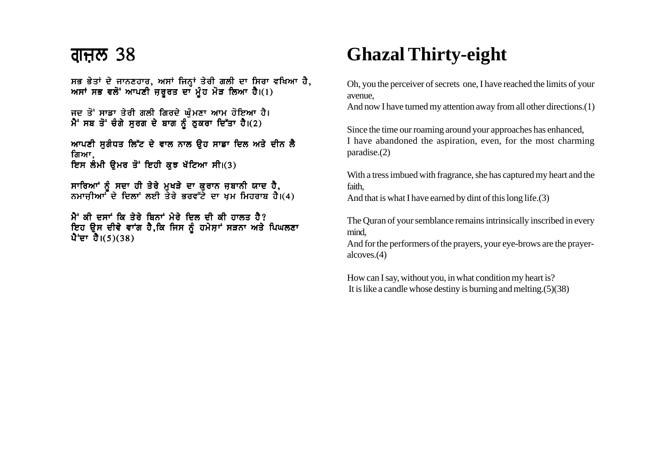ਸਭ ਭੇਤਾਂ ਦੇ ਜਾਨਣਹਾਰ, ਅਸਾਂ ਜਿਨ੍ਹਾਂ ਤੇਰੀ ਗਲੀ ਦਾ ਸਿਰਾ ਵਖਿਆ ਹੈ, ਅਸਾਂ ਸਭ ਵਲੋਂ ਆਪਣੀ ਜ਼ਰੂਰਤ ਦਾ ਮੂੰਹ ਮੋੜ ਲਿਆ ਹੈ।(1)

ਜਦ ਤੋਂ ਸਾਡਾ ਤੇਰੀ ਗਲੀ ਗਿਰਦੇ ਘੁੰਮਣਾ ਆਮ ਹੋਇਆ ਹੈ। ਮੈਂ ਸਬ ਤੋਂ ਚੰਗੇ ਸਰਗ ਦੇ ਬਾਗ ਨੂੰ ਠਕਰਾ ਦਿੱਤਾ ਹੈ। $(2)$ 

<u>ਆਪਣੀ ਸਗੰਧਤ ਲਿੱਟ ਦੇ ਵਾਲ ਨਾਲ ਉਹ ਸਾਡਾ ਦਿਲ ਅਤੇ ਦੀਨ ਲੈ</u> ਗਿਆ. ਇਸ ਲੰਮੀ ਉਮਰ ਤੋਂ ਇਹੀ ਕੁਝ ਖੱਟਿਆ ਸੀ।(3)

ਸਾਰਿਆਂ ਨੰ ਸਦਾ ਹੀ ਤੇਰੇ ਮਖੜੇ ਦਾ ਕਰਾਨ ਜਬਾਨੀ ਯਾਦ ਹੈ. ਨਮਾਜੀਆਾਂ ਦੇ ਦਿਲਾਂ ਲਈ ਤੇਰੇ ਭਰਵੱਟੇ ਦਾ ਖਮ ਮਿਹਰਾਬ ਹੈ।(4)

 $\mathbf{\hat{H}}$  ਕੀ ਦਸਾਂ ਕਿ ਤੇਰੇ ਬਿਨਾਂ ਮੇਰੇ ਦਿਲ ਦੀ ਕੀ ਹਾਲਤ ਹੈ? ਇਹ ਉਸ ਦੀਵੇ ਵਾਂਗ ਹੈ,ਕਿ ਜਿਸ ਨੂੰ ਹਮੇਸ਼ਾਂ ਸੜਨਾ ਅਤੇ ਪਿਘਲਣਾ ਪੈ<sup>+</sup>ਦਾ ਹੈ।(5)(38)

# **Ghazal Thirty-eight**

Oh, you the perceiver of secrets one, I have reached the limits of your avenue,

And now I have turned my attention away from all other directions.(1)

Since the time our roaming around your approaches has enhanced, I have abandoned the aspiration, even, for the most charming paradise.(2)

With a tress imbued with fragrance, she has captured my heart and the faith,

And that is what I have earned by dint of this long life.(3)

The Quran of your semblance remains intrinsically inscribed in every mind,

And for the performers of the prayers, your eye-brows are the prayeralcoves.(4)

How can I say, without you, in what condition my heart is? It is like a candle whose destiny is burning and melting.(5)(38)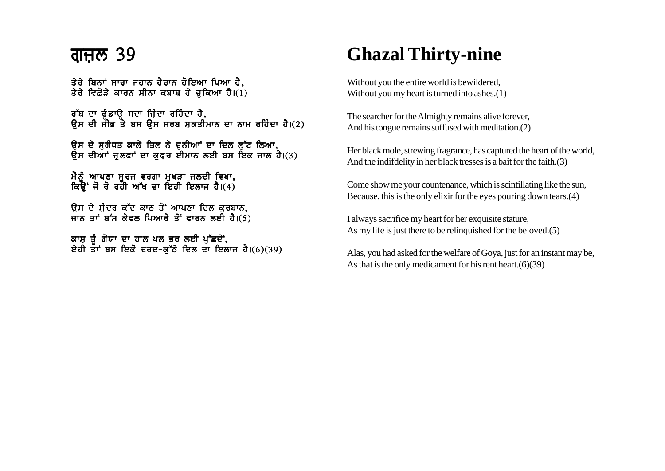### <u>ਗੁਜ਼ਲ 39</u>

ਤੇਰੇ ਬਿਨਾਂ ਸਾਰਾ ਜਹਾਨ ਹੈਰਾਨ ਹੋਇਆ ਪਿਆ ਹੈ. ਤੇਰੇ ਵਿਛੋੜੇ ਕਾਰਨ ਸੀਨਾ ਕਬਾਬ ਹੋ ਚਕਿਆ ਹੈ।(1)

ਰੱਬ ਦਾ ਢੰਡਾੳ ਸਦਾ ਜ਼ਿੰਦਾ ਰਹਿੰਦਾ ਹੈ, ਉਸ ਦੀ ਜੀਭ ਤੋ ਬਸ ਉਸ ਸਰਬ ਸ਼ਕਤੀਮਾਨ ਦਾ ਨਾਮ ਰਹਿੰਦਾ ਹੈ।(2)

ੳਸ ਦੇ ਸਗੰਧਤ ਕਾਲੇ ਤਿਲ ਨੇ ਦਨੀਆਂ ਦਾ ਦਿਲ ਲੱਟ ਲਿਆ**.** ੳਸ ਦੀਆਂ ਜੁਲਫਾਂ ਦਾ ਕਫਰ ਈਮਾਨ ਲਈ ਬਸ ਇਕ ਜਾਲ ਹੈ।(3)

ਮੈਨੰ ਆਪਣਾ ਸਰਜ ਵਰਗਾ ਮਖੜਾ ਜਲਦੀ ਵਿਖਾ, ਕਿਉਂ ਜੋ ਰੋ ਰਹੀ ਅੱਖ ਦਾ ਇਹੀ ਇਲਾਜ ਹੈ।(4)

ਉਸ ਦੇ ਸੁੰਦਰ ਕੱਦ ਕਾਠ ਤੋਂ ਆਪਣਾ ਦਿਲ ਕੁਰਬਾਨ, ਜਾਨ ਤਾਂ ਬੱਸ ਕੇਵਲ ਪਿਆਰੇ ਤੋਂ ਵਾਰਨ ਲਈ ਹੈ।(5)

ਕਾਸ ਤੰ ਗੋਯਾ ਦਾ ਹਾਲ ਪਲ ਭਰ ਲਈ ਪੱਛਦੋਂ. ਏਹੀ ਤਾਂ ਬਸ ਇਕੋ ਦਰਦ-ਕੱਠੇ ਦਿਲ ਦਾ ਇਲਾਜ ਹੈ।(6)(39)

# **Ghazal Thirty-nine**

Without you the entire world is bewildered, Without you my heart is turned into ashes.(1)

The searcher for the Almighty remains alive forever, And his tongue remains suffused with meditation.(2)

Her black mole, strewing fragrance, has captured the heart of the world, And the indifdelity in her black tresses is a bait for the faith.(3)

Come show me your countenance, which is scintillating like the sun, Because, this is the only elixir for the eyes pouring down tears.(4)

I always sacrifice my heart for her exquisite stature, As my life is just there to be relinquished for the beloved.(5)

Alas, you had asked for the welfare of Goya, just for an instant may be, As that is the only medicament for his rent heart.(6)(39)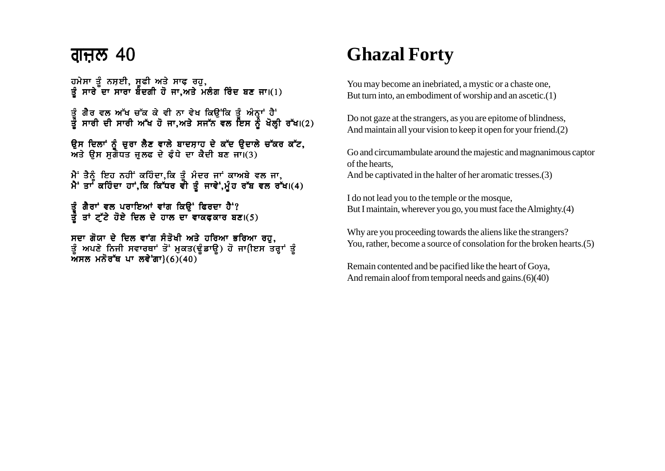### <u>ਗੁਜ਼ਲ 40</u>

ਹਮੇਸਾ ਤੂੰ ਨਸ਼ਈ, ਸੂਫੀ ਅਤੇ ਸਾਫ ਰਹੁ,<br>ਤੂੰ ਸਾਰੇ ਦਾ ਸਾਰਾ ਬੰਦਗੀ ਹੋ ਜਾ,ਅਤੇ ਮਲੰਗ ਰਿੰਦ ਬਣ ਜਾ।(1)

ਤੂੰ ਗੈੈਰ ਵਲ ਅੱਖ ਚੱਕ ਕੇ ਵੀ ਨਾ ਵੇਖ ਕਿਉਂਕਿ ਤੂੰ ਅੰਨ੍ਹਾਂ ਹੈ<sup>:</sup><br>ਤੂੰ ਸਾਰੀ ਦੀ ਸਾਰੀ ਅੱਖ ਹੋ ਜਾ,ਅਤੇ ਸਜੱਨ ਵਲ ਇਸ ਨੂੰ ਖੋਲ੍ਹੀ ਰੱਖ।(2)

ਉਸ ਦਿਲਾਂ ਨੂੰ ਚੁਰਾ ਲੈਣ ਵਾਲੇ ਬਾਦਸ਼ਾਹ ਦੇ ਕੱਦ ਉਦਾਲੇ ਚੱਕਰ ਕੱਟ,<br>ਅਤੇ ਉਸ ਸੁਗੰਧਤ ਜੁਲਫ ਦੇ ਫੰਧੇ ਦਾ ਕੈਦੀ ਬਣ ਜਾ।(3)

ਮੈਂ ਤੈਨੂੰ ਇਹ ਨਹੀਂ ਕਹਿੰਦਾ,ਕਿ ਤੂੰ ਮੰਦਰ ਜਾਂ ਕਾਅਬੇ ਵਲ ਜਾ,<br>ਮੈਂ ਤਾਂ ਕਹਿੰਦਾ ਹਾਂ,ਕਿ ਕਿੱਧਰ ਵੀ ਤੂੰ ਜਾਵੇਂ,ਮੁੰਹ ਰੱਬ ਵਲ ਰੱਖ।(4)

ਤੂੰ ਗੈਰਾਂ ਵਲ ਪਰਾਇਆਂ ਵਾਂਗ ਕਿਉਂ ਫਿਰਦਾ ਹੈਂ'?<br>ਤੂੰ ਤਾਂ ਟ੍ਰੱਟੇ ਹੋਏ ਦਿਲ ਦੇ ਹਾਲ ਦਾ ਵਾਕਫਕਾਰ ਬਣ।(5)

ਸਦਾ ਗੋਯਾ ਦੇ ਦਿਲ ਵਾਂਗ ਸੰਤੋਖੀ ਅਤੇ ਹਰਿਆ ਭਰਿਆ ਰਹੁ, ਤੂੰ ਅਪਣੇ ਨਿਜੀ ਸਵਾਰਥਾਂ ਤੋਂ ਮੁਕਤ(ਢੂੰਡਾਊ) ਹੋ ਜਾ(ਇਸ ਤਰ੍ਹਾਂ ਤੂੰ ਅਸਲ ਮਨੋਰੱਥ ਪਾ ਲਵੇਗਾ $(6)(40)$ 

# **Ghazal Forty**

You may become an inebriated, a mystic or a chaste one, But turn into, an embodiment of worship and an ascetic.(1)

Do not gaze at the strangers, as you are epitome of blindness, And maintain all your vision to keep it open for your friend.(2)

Go and circumambulate around the majestic and magnanimous captor of the hearts.

And be captivated in the halter of her aromatic tresses.(3)

I do not lead you to the temple or the mosque. But I maintain, wherever you go, you must face the Almighty.(4)

Why are you proceeding towards the aliens like the strangers? You, rather, become a source of consolation for the broken hearts. (5)

Remain contented and be pacified like the heart of Goya, And remain aloof from temporal needs and gains. (6)(40)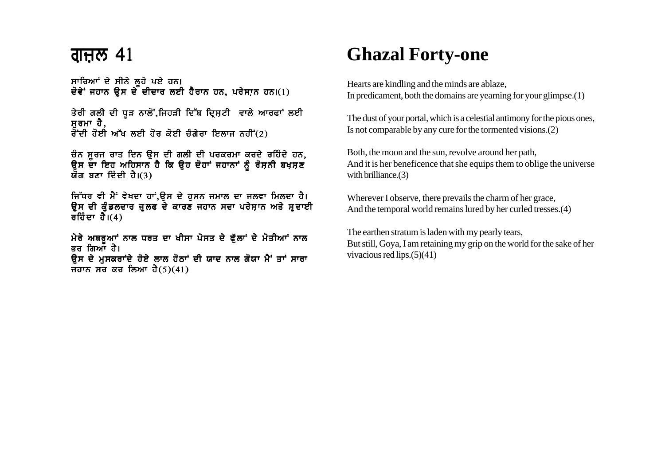### <u>ਗੁਜ਼ਲ 41</u>

ਸਾਰਿਆਂ ਦੇ ਸੀਨੇ ਲੂਹੇ ਪਏ ਹਨ। ਦੋਵੇਂ ਜਹਾਨ ਉਸ ਦੇ ਦੀਦਾਰ ਲਈ ਹੈਰਾਨ ਹਨ, ਪਰੇਸ਼ਾਨ ਹਨ।(1)

ਤੇਰੀ ਗਲੀ ਦੀ ਧੁੜ ਨਾਲੋਂ,ਜਿਹੜੀ ਦਿੱਬ ਦ੍ਰਿਸ਼ਟੀ ਵਾਲੇ ਆਰਫਾਂ ਲਈ ਸਰਮਾ ਹੈ.  $\overline{d}$ ਦੀ ਹੋਈ ਅੱਖ ਲਈ ਹੋਰ ਕੋਈ ਚੰਗੇਰਾ ਇਲਾਜ ਨਹੀਂ (2)

ਚੰਨ ਸੂਰਜ ਰਾਤ ਦਿਨ ਉਸ ਦੀ ਗਲੀ ਦੀ ਪਰਕਰਮਾ ਕਰਦੇ ਰਹਿੰਦੇ ਹਨ, ਉਸ ਦਾ ਇਹ ਅਹਿਸਾਨ ਹੈ ਕਿ ਉਹ ਦੋਹਾਂ ਜਹਾਨਾਂ ਨੂੰ ਰੋਸ਼ਨੀ ਬਖ਼ਸ਼ਣ ਯੋਗ ਬਣਾ ਦਿੰਦੀ ਹੈ।(3)

ਜਿੱਧਰ ਵੀ ਮੈਂ ਵੇਖਦਾ ਹਾਂ,ਉਸ ਦੇ ਹੁਸਨ ਜਮਾਲ ਦਾ ਜਲਵਾ ਮਿਲਦਾ ਹੈ। ਉਸ ਦੀ ਕੁੰਡਲਦਾਰ ਜੁਲਫ ਦੇ ਕਾਰਣ ਜਹਾਨ ਸਦਾ ਪਰੇਸ਼ਾਨ ਅਤੇ ਸਦਾਈ ਰਹਿੰਦਾ ਹੈ। $(4)$ 

ਮੇਰੇ ਅਥਰਆਾਂ ਨਾਲ ਧਰਤ ਦਾ ਖੀਸਾ ਪੋਸਤ ਦੇ ਫੱਲਾਂ ਦੇ ਮੋਤੀਆਂ ਨਾਲ ਭਰ ਗਿਆਂ ਹੈ। ਉਸ ਦੇ ਮਸਕਰਾਂਦੇ ਹੋਏ ਲਾਲ ਹੋਠਾਂ ਦੀ ਯਾਦ ਨਾਲ ਗੋਯਾ ਮੈਂ ਤਾਂ ਸਾਰਾ ਜਹਾਨ ਸਰ ਕਰ ਲਿਆ ਹੈ $(5)(41)$ 

### **Ghazal Forty-one**

Hearts are kindling and the minds are ablaze. In predicament, both the domains are yearning for your glimpse. $(1)$ 

The dust of your portal, which is a celestial antimony for the pious ones, Is not comparable by any cure for the tormented visions. (2)

Both, the moon and the sun, revolve around her path, And it is her beneficence that she equips them to oblige the universe with brilliance. $(3)$ 

Wherever I observe, there prevails the charm of her grace, And the temporal world remains lured by her curled tresses.(4)

The earthen stratum is laden with my pearly tears, But still, Goya, I am retaining my grip on the world for the sake of her vivacious red lips. $(5)(41)$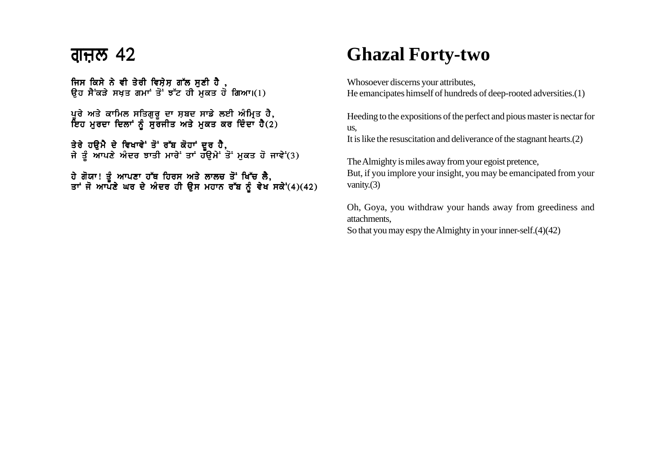### ਗੁਜ਼ਲ 42  $\,$

ਜਿਸ ਕਿਸੇ ਨੇ ਵੀ ਤੇਰੀ ਵਿਸ਼ੇਸ਼ ਗੱਲ ਸੁਣੀ ਹੈ, ਉਹ ਸੈਂਕੜੇ ਸਖਤ ਗਮਾਂ ਤੋ<sup>:</sup> ਝੱਟ ਹੀ ਮਕਤ ਹੋ ਗਿਆ।(1)

ਪੁਰੇ ਅਤੇ ਕਾਮਿਲ ਸਤਿਗੁਰੁ ਦਾ ਸ਼ਬਦ ਸਾਡੇ ਲਈ ਅੰਮ੍ਰਿਤ ਹੈ, ਇਹ ਮੁਰਦਾ ਦਿਲਾਂ ਨੂੰ ਸੁਰਜੀਤ ਅਤੇ ਮੁਕਤ ਕਰ ਦਿੰਦਾ ਹੈ(2)

ਤੇਰੇ ਹੳਮੈ ਦੇ ਵਿਖਾਵੇ' ਤੋਂ ਰੱਬ ਕੋਹਾਂ ਦਰ ਹੈ. ਜੇ ਤੰ ਆਪਣੇ ਅੰਦਰ ਝਾਤੀ ਮਾਰੇ ਤਾਂ ਹੱੳਮੇ ਤੋਂ ਮਕਤ ਹੋ ਜਾਵੇਂ′(3)

ਹੇ ਗੋਯਾ! ਤੰ ਆਪਣਾ ਹੱਥ ਹਿਰਸ ਅਤੇ ਲਾਲਚ ਤੋਂ ਖਿੱਚ ਲੈ. ਤਾਂ ਜੋ ਆਪਣੇ ਘਰ ਦੇ ਅੰਦਰ ਹੀ ੳਸ ਮਹਾਨ ਰੱਬ ਨੰ ਵੇਖ ਸਕੇਂ'(4)(42)

## **Ghazal Forty-two**

Whosoever discerns your attributes, He emancipates himself of hundreds of deep-rooted adversities.(1)

Heeding to the expositions of the perfect and pious master is nectar for us,

It is like the resuscitation and deliverance of the stagnant hearts.(2)

The Almighty is miles away from your egoist pretence, But, if you implore your insight, you may be emancipated from your vanity.(3)

Oh, Goya, you withdraw your hands away from greediness and attachments,

So that you may espy the Almighty in your inner-self.(4)(42)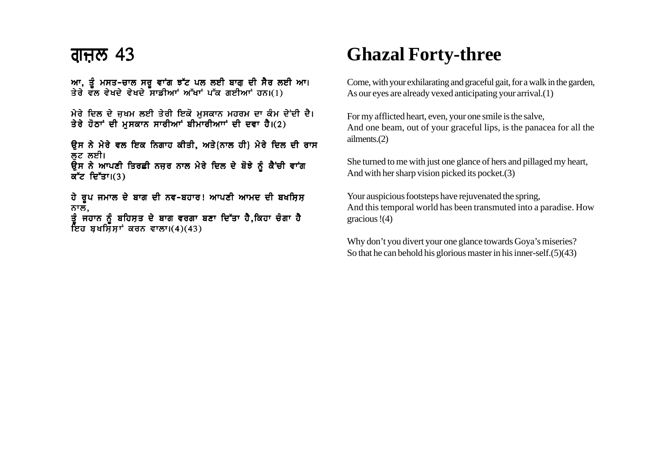ਆ, ਤੂੰ ਮਸਤ-ਚਾਲ ਸਰੂ ਵਾਂਗ ਝੱਟ ਪਲ ਲਈ ਬਾਗ ਦੀ ਸੈਰ ਲਈ ਆ। ਤੇਰੇ ਵਲ ਵੇਖਦੇ ਵੇਖਦੇ ਸਾਡੀਆ ਅੱਖਾਂ ਪੱਕ ਗਈਆਂ ਹਨ।(1)

ਮੇਰੇ ਦਿਲ ਦੇ ਜੁਖਮ ਲਈ ਤੇਰੀ ਇਕੋ ਮਸਕਾਨ ਮਹਰਮ ਦਾ ਕੰਮ ਦੇਂਦੀ ਦੈ। ਤੇਰੇ ਹੋਠਾਂ ਦੀ ਮਸਕਾਨ ਸਾਰੀਆਂ ਬੀਮਾਰੀਆਾਂ ਦੀ ਦਵਾ ਹੈ।(2)

ਉਸ ਨੇ ਮੇਰੇ ਵਲ ਇਕ ਨਿਗਾਹ ਕੀਤੀ, ਅਤੇ{ਨਾਲ ਹੀ} ਮੇਰੇ ਦਿਲ ਦੀ ਰਾਸ ਲਟ ਲਈ। ਓਸ ਨੇ ਆਪਣੀ ਤਿਰਛੀ ਨਜ਼ਰ ਨਾਲ ਮੇਰੇ ਦਿਲ ਦੇ ਬੋਝੇ ਨੂੰ ਕੈਂਚੀ ਵਾਂਗ

ਕੱਟ ਦਿੱਤਾ। $(3)$ 

ਹੇ ਰੂਪ ਜਮਾਲ ਦੇ ਬਾਗ ਦੀ ਨਵ-ਬਹਾਰ! ਆਪਣੀ ਆਮਦ ਦੀ ਬਖਸ਼ਿਸ਼ ਨਾਲ,

ਤੰ ਜਹਾਨ ਨੰ ਬਹਿਸਤ ਦੇ ਬਾਗ ਵਰਗਾ ਬਣਾ ਦਿੱਤਾ ਹੈ.ਕਿਹਾ ਚੰਗਾ **ਹੈ** ਇਹ ਬਖਸਿੱਸਾਂ ਕਰਨ ਵਾਲਾ।(4)(43)

## **Ghazal Forty-three**

Come, with your exhilarating and graceful gait, for a walk in the garden, As our eyes are already vexed anticipating your arrival.(1)

For my afflicted heart, even, your one smile is the salve, And one beam, out of your graceful lips, is the panacea for all the ailments.(2)

She turned to me with just one glance of hers and pillaged my heart, And with her sharp vision picked its pocket.(3)

Your auspicious footsteps have rejuvenated the spring, And this temporal world has been transmuted into a paradise. How gracious !(4)

Why don't you divert your one glance towards Goya's miseries? So that he can behold his glorious master in his inner-self.(5)(43)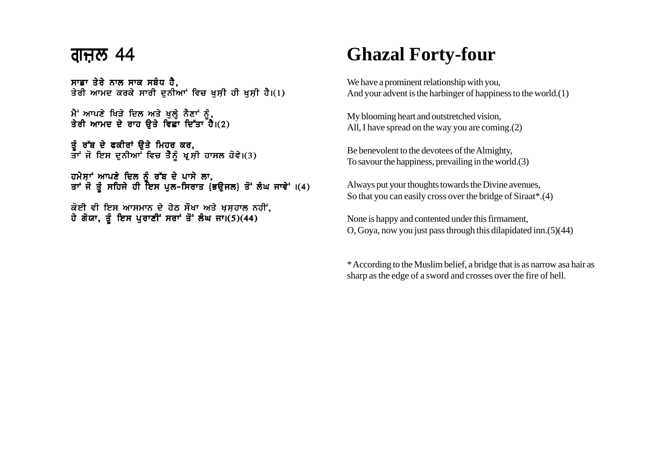#### <u>ਗੁਜ਼ਲ 44</u>

ਸਾਡਾ ਤੇਰੇ ਨਾਲ ਸਾਕ ਸਬੰਧ ਹੈ. ਤੇਰੀ ਆਮਦ ਕਰਕੇ ਸਾਰੀ ਦਨੀਆਂ ਵਿਚ ਖਸੀ ਹੀ ਖਸੀ ਹੈ।(1)

ਮੈਂ ਆਪਣੇ ਖਿੜੇ ਦਿਲ ਅਤੇ ਖੁਲ੍ਹੇ ਨੈਣਾਂ ਨੂੰ, ਤੇਰੀ ਆਮਦ ਦੇ ਰਾਹ ਉਤੇ ਵਿਛਾ ਦਿੱਤਾ ਹੈ। $(2)$ 

ਤੂੰ ਰੁੱਬ ਦੇ ਫਕੀਰਾਂ ਉਤੇ ਮਿਹਰ ਕਰ, ਤਾਂ ਜੋ ਇਸ ਦੁਨੀਆ<sup>ਂ</sup> ਵਿਚ ਤੈਨੂੰ ਖੁਸ਼ੀ ਹਾਸਲ ਹੋਵੇ।(3)

ਹਮੇਸਾਂ ਆਪਣੇ ਦਿਲ ਨੂੰ ਰੱਬ ਦੇ ਪਾਸੇ ਲਾ. ਤਾਂ ਜੋ ਤੂੰ ਸਹਿਜੇ ਹੀ ਇਸ ਪੁਲ-ਸਿਰਾਤ (ਭਉਜਲ) ਤੋਂ ਲੰਘ ਜਾਵੇਂ ।(4)

ਕੋਈ ਵੀ ਇਸ ਆਸਮਾਨ ਦੇ ਹੇਠ ਸੌਖਾ ਅਤੇ ਖ਼ਸ਼ਹਾਲ ਨਹੀਂ, ਹੇ ਗੋਯਾ, ਤੂੰ ਇਸ ਪੁਰਾਣੀ ਸਰਾਂ ਤੋਂ ਲੰਘ ਜਾ।(5)(44)

## **Ghazal Forty-four**

We have a prominent relationship with you, And your advent is the harbinger of happiness to the world.(1)

My blooming heart and outstretched vision, All, I have spread on the way you are coming.(2)

Be benevolent to the devotees of the Almighty, To savour the happiness, prevailing in the world.(3)

Always put your thoughts towards the Divine avenues, So that you can easily cross over the bridge of Siraat\*.(4)

None is happy and contented under this firmament, O, Goya, now you just pass through this dilapidated inn.(5)(44)

\* According to the Muslim belief, a bridge that is as narrow asa hair as sharp as the edge of a sword and crosses over the fire of hell.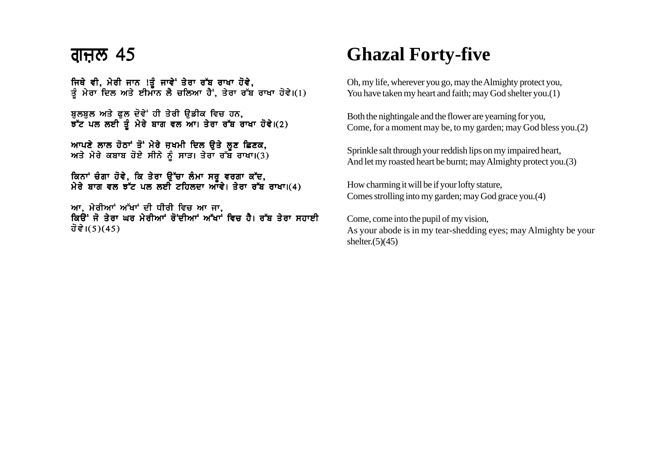#### <u>ਗੁਜ਼ਲ 45</u>

ਜਿਥੇ ਵੀ, ਮੇਰੀ ਜਾਨ !ਤੂੰ ਜਾਵੇਂ ਤੇਰਾ ਰੱਬ ਰਾਖਾ ਹੋਵੇ, ਤੂੰ ਮੇਰਾ ਦਿਲ ਅਤੇ ਈਮਾਨ ਲੈ ਚਲਿਆ ਹੈ, ਤੇਰਾ ਰੱਬ ਰਾਖਾ ਹੋਵੇ।(1)

ਬਲਬਲ ਅਤੇ ਫਲ ਦੋਵੇਂ ਹੀ ਤੇਰੀ ੳਡੀਕ ਵਿਚ ਹਨ,  $\overline{5}$  ਪਲ ਲਈ ਤੂੰ ਮੇਰੇ ਬਾਗ ਵਲ ਆ। ਤੇਰਾ ਰੱਬ ਰਾਖਾ ਹੋਵੇ।(2)

ਆਪਣੇ ਲਾਲ ਹੋਠਾਂ ਤੋਂ ਮੇਰੇ ਜ਼ਖਮੀ ਦਿਲ ੳਤੇ ਲਣ ਛਿਣਕ. ਅਤੇ ਮੇਰੇ ਕਬਾਬ ਹੋਏ ਸੀਨੇ ਨੰ ਸਾੜ। ਤੇਰਾ ਰੱਬ ਰਾਖਾ।(3)

ਕਿਨਾਂ ਚੰਗਾ ਹੋਵੇ. ਕਿ ਤੇਰਾ ੳੱਚਾ ਲੰਮਾ ਸਰ ਵਰਗਾ ਕੱਦ. ਮੇਰੇ ਬਾਗ ਵਲ ਝੱਟ ਪਲ ਲਈ ਟਹਿਲਦਾ ਆੱਵੇ। ਤੇਰਾ ਰੱਬ ਰਾਖਾ।(4)

ਆ, ਮੇਰੀਆਂ ਅੱਖਾਂ ਦੀ ਧੀਰੀ ਵਿਚ ਆ ਜਾ, ਕਿਉਂ ਜੋ ਤੇਰਾ ਘਰ ਮੇਰੀਆਂ ਰੋਂਦੀਆਂ ਅੱਖਾਂ ਵਿਚ ਹੈ। ਰੱਬ ਤੇਰਾ ਸਹਾਈ ਹੋਵੇ।(5)(45)

## **Ghazal Forty-five**

Oh, my life, wherever you go, may the Almighty protect you, You have taken my heart and faith; may God shelter you.(1)

Both the nightingale and the flower are yearning for you, Come, for a moment may be, to my garden; may God bless you.(2)

Sprinkle salt through your reddish lips on my impaired heart, And let my roasted heart be burnt; may Almighty protect you.(3)

How charming it will be if your lofty stature, Comes strolling into my garden; may God grace you.(4)

Come, come into the pupil of my vision, As your abode is in my tear-shedding eyes; may Almighty be your shelter. $(5)(45)$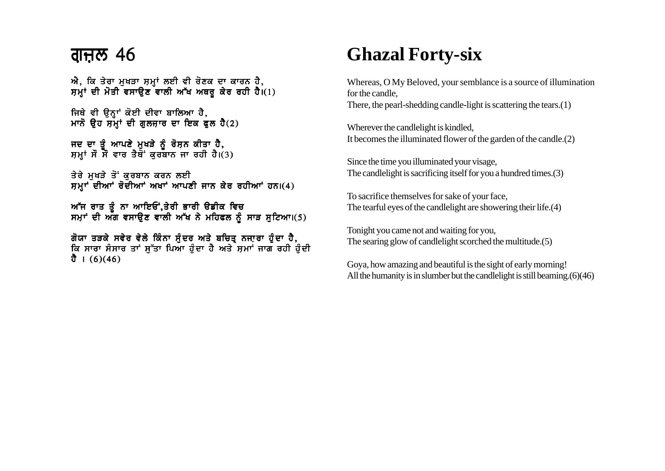### <u>ਗੁਜ਼ਲ 46</u>

 $\vec{n}$ , ਕਿ ਤੇਰਾ ਮਖੜਾ ਸਮਾਂ ਲਈ ਵੀ ਰੋਣਕ ਦਾ ਕਾਰਨ ਹੈ, ਸਮਾਂ ਦੀ ਮੋਤੀ ਵਸਾਉਣ ਵਾਲੀ ਅੱਖ ਅਥਰ ਕੇਰ ਰਹੀ ਹੈ।(1)

ਜਿਥੇ ਵੀ ਉਨ੍ਹਾਂ ਕੋਈ ਦੀਵਾ ਬਾਲਿਆ ਹੈ, ਮਾਨੋ ੳਹ ਸਮਾਂ ਦੀ ਗਲਜਾਰ ਦਾ ਇਕ ਫਲ ਹੈ $(2)$ 

ਜਦ ਦਾ ਤੰ ਆਪਣੇ ਮਖੜੇ ਨੰ ਰੋਸਨ ਕੀਤਾ ਹੈ. ਸਮਾਂ ਸੌ ਸੌਂ ਵਾਰ ਤੈਥੋਂ ਕਰਬਾਨ ਜਾ ਰਹੀ ਹੈ।(3)

ਤੇਰੇ ਮਖੜੇ ਤੋਂ ਕਰਬਾਨ ਕਰਨ ਲਈ  $H$ ਸਮਾਂ ਦੀਆਂ ਰੋਦੀਆਂ ਅਖਾਂ ਆਪਣੀ ਜਾਨ ਕੇਰ ਰਹੀਆਂ ਹਨ।(4)

ਅੱਜ ਰਾਤ ਤੰ ਨਾ ਆਇਓਂ.ਤੇਰੀ ਭਾਰੀ ੳਡੀਕ ਵਿਚ ਸਮਾਂ ਦੀ ਅੱਗ ਵਸਾੳਣ ਵਾਲੀ ਅੱਖ ਨੇ ਮਹਿਫਲ ਨੰ ਸਾੜ ਸਟਿਆ।(5)

ਗੋਯਾ ਤੜਕੇ ਸਵੇਰ ਵੇਲੇ ਕਿੰਨਾ ਸੁੰਦਰ ਅਤੇ ਬਚਿਤ੍ਰ ਨਜਾਰਾ ਹੁੰਦਾ ਹੈ, ਕਿ ਸਾਰਾ ਸੰਸਾਰ ਤਾਂ ਸੁੱਤਾ ਪਿਆ ਹੁੰਦਾ ਹੈ ਅਤੇ ਸਮਾਂ ਜਾਗ ਰਹੀ ਹੁੰਦੀ ਹੈ ।  $(6)(46)$ 

## **Ghazal Forty-six**

Whereas, O My Beloved, your semblance is a source of illumination for the candle,

There, the pearl-shedding candle-light is scattering the tears.(1)

Wherever the candlelight is kindled, It becomes the illuminated flower of the garden of the candle.(2)

Since the time you illuminated your visage, The candlelight is sacrificing itself for you a hundred times.(3)

To sacrifice themselves for sake of your face, The tearful eyes of the candlelight are showering their life.(4)

Tonight you came not and waiting for you, The searing glow of candlelight scorched the multitude.(5)

Goya, how amazing and beautiful is the sight of early morning! All the humanity is in slumber but the candlelight is still beaming.(6)(46)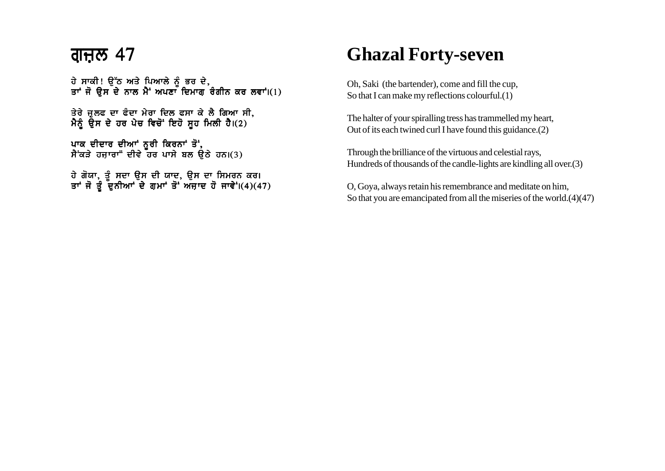ਹੇ ਸਾਕੀ! ੳੱਠ ਅਤੇ ਪਿਆਲੇ ਨੰ ਭਰ ਦੇ. ਤਾਂ ਜੋ ੳਸ ਦੇ ਨਾਲ ਮੈਂ ਅਪਣਾ ਦਿਮਾਗ ਰੰਗੀਨ ਕਰ ਲਵਾਂ।(1)

ਤੇਰੇ ਜਲਫ ਦਾ ਫੰਦਾ ਮੇਰਾ ਦਿਲ ਫਸਾ ਕੇ ਲੈ ਗਿਆ ਸੀ. ਮੈਨੂੰ ਉਸ ਦੇ ਹਰ ਪੇਚ ਵਿਚੋਂ ਇਹੋ ਸੁਹ ਮਿਲੀ ਹੈ।(2)

ਪਾਕ ਦੀਦਾਰ ਦੀਆਂ ਨੂਰੀ ਕਿਰਨਾਂ ਤੋਂ,  $\hbar$ ਂਕੜੇ ਹਜ਼ਾਰਾ" ਦੀਵੇ ਹਰ ਪਾਸੇ ਬਲ ਉਠੇ ਹਨ।(3)

ਹੇ ਗੋਯਾ. ਤੰ ਸਦਾ ੳਸ ਦੀ ਯਾਦ. ੳਸ ਦਾ ਸਿਮਰਨ ਕਰ। ਤਾਂ ਜੋ ਤੰ ਦੁਨੀਆਂ ਦੇ ਗਮਾਂ ਤੋਂ ਅਜਾਦ ਹੋ ਜਾਵੇਂ।(4)(47)

## **Ghazal Forty-seven**

Oh, Saki (the bartender), come and fill the cup, So that I can make my reflections colourful.(1)

The halter of your spiralling tress has trammelled my heart, Out of its each twined curl I have found this guidance.(2)

Through the brilliance of the virtuous and celestial rays, Hundreds of thousands of the candle-lights are kindling all over.(3)

O, Goya, always retain his remembrance and meditate on him, So that you are emancipated from all the miseries of the world.(4)(47)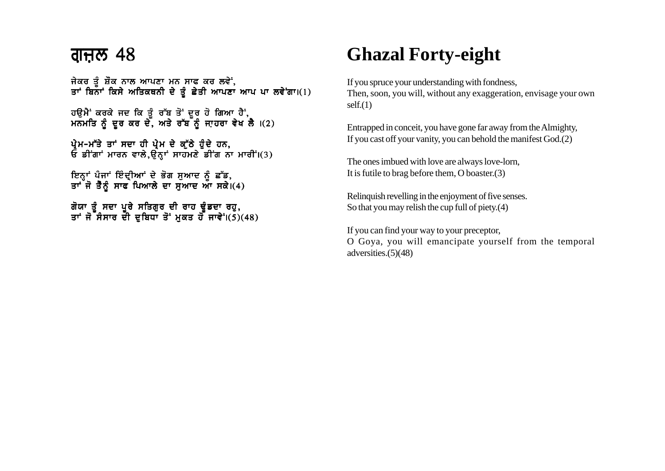ਜੇਕਰ ਤੰ ਸ਼ੌਕ ਨਾਲ ਆਪਣਾ ਮਨ ਸਾਫ ਕਰ ਲਵੇਂ. ਤਾਂ ਬਿਨਾਂ ਕਿਸੇ ਅਤਿਕਥਨੀ ਦੇ ਤੰ ਛੇਤੀ ਆਪਣਾ ਆਪ ਪਾ ਲਵੇਂਗਾ।(1)

ਹੳਮੈਂ ਕਰਕੇ ਜਦ ਕਿ ਤੰ ਰੱਬ ਤੋਂ ਦਰ ਹੋ ਗਿਆ ਹੈਂ. ਮਨਮਤਿ ਨੰ ਦਰ ਕਰ ਦੇ. ਅਤੇ ਰੱਬ ਨੰ ਜਾਹਰਾ ਵੇਖ ਲੈ ।(2)

ਪ੍ਰੇਮ-ਮੱਤੇ ਤਾਂ ਸਦਾ ਹੀ ਪ੍ਰੇਮ ਦੇ ਕੁੱਠੇ ਹੁੰਦੇ ਹਨ,  $\mathbf{\hat{E}}$  ਡੀਂਗਾਂ ਮਾਰਨ ਵਾਲੇ,ਉਨ੍ਹਾਂ ਸਾਹਮਣੇ ਡੀਂਗ ਨਾ ਮਾਰੀ $\mathbf{i}$ (3)

ਇਨ੍ਹਾਂ ਪੰਜਾਂ ਇੰਦ੍ਰੀਆਂ ਦੇ ਭੋਗ ਸੁਆਦ ਨੂੰ ਛੱਡ, ਤਾਂ ਜੋ ਤੈਨੂੰ ਸਾਫ ਪਿਆਲੇ ਦਾ ਸੁਆਦ ਆ ਸਕੇ।(4)

ਗੋਯਾ ਤੰ ਸਦਾ ਪਰੇ ਸਤਿਗਰ ਦੀ ਰਾਹ ਢੰਡਦਾ ਰਹ. ਤਾਂ ਜੋ ਸੰਸਾਰ ਦੀ ਦਬਿਧਾ ਤੋਂ ਮਕਤ ਹੋ ਜਾਵੇਂ।(5)(48)

# **Ghazal Forty-eight**

If you spruce your understanding with fondness, Then, soon, you will, without any exaggeration, envisage your own self.(1)

Entrapped in conceit, you have gone far away from the Almighty, If you cast off your vanity, you can behold the manifest God.(2)

The ones imbued with love are always love-lorn, It is futile to brag before them, O boaster.(3)

Relinquish revelling in the enjoyment of five senses. So that you may relish the cup full of piety.(4)

If you can find your way to your preceptor, O Goya, you will emancipate yourself from the temporal adversities.(5)(48)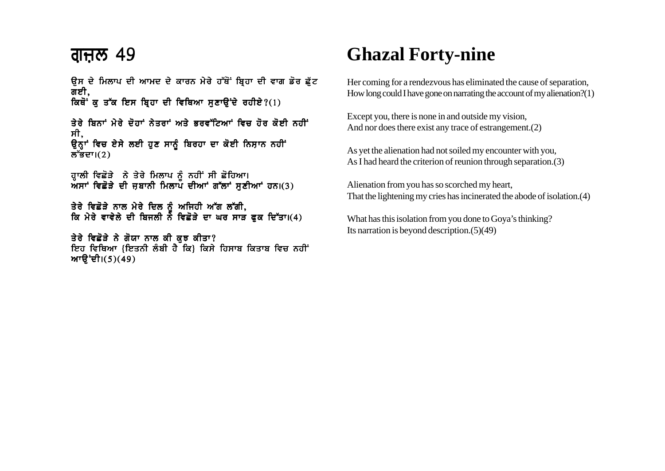ਉਸ ਦੇ ਮਿਲਾਪ ਦੀ ਆਮਦ ਦੇ ਕਾਰਨ ਮੇਰੇ ਹੱਥੋਂ ਬਿਹਾ ਦੀ ਵਾਗ ਡੋਰ ਛੱਟ ਗਈ. ਕਿਥੋਂ ਕ ਤੱਕ ਇਸ ਬਿਹਾ ਦੀ ਵਿਥਿਆ ਸਣਾੳਂਦੇ ਰਹੀਏ?(1)

<u>ਤੇਰੇ ਬਿਨਾਂ ਮੇਰੇ ਦੋਹਾਂ ਨੇਤਰਾਂ ਅਤੇ ਕਰਵੱਟਿਆਂ ਵਿਚ ਹੋਰ ਕੋਈ ਨਹੀਂ</u> ਸੀ. ਉਨ੍ਹਾਂ ਵਿਚ ਏਸੇ ਲਈ ਹੁਣ ਸਾਨੂੰ ਬਿਰਹਾ ਦਾ ਕੋਈ ਨਿਸ਼ਾਨ ਨਹੀਂ ਲੱਭਦਾ। $(2)$ 

ਜ਼ਾਲੀ ਵਿਛੋੜੇ ਨੇ ਤੇਰੇ ਮਿਲਾਪ ਨੂੰ ਨਹੀਂ ਸੀ ਛੋਹਿਆ।  $\bm{v}$ ਅੱਸਾਂ ਵਿਛੋੜੇ ਦੀ ਜਬਾਨੀ ਮਿਲਾਪ ਦੀਆਂ ਗੱਲਾਂ ਸਣੀਆਂ ਹਨ।(3)

ਤੇਰੇ ਵਿਛੋੜੇ ਨਾਲ ਮੇਰੇ ਦਿਲ ਨੂੰ ਅਜਿਹੀ ਅੱਗ ਲੱਗੀ. ਕਿ ਮੇਰੇ ਵਾਵੇਲੇ ਦੀ ਬਿਜਲੀ ਨੇ ਵਿਛੋੜੇ ਦਾ ਘਰ ਸਾੜ ਫਕ ਦਿੱਤਾ।(4)

ਤੇਰੇ ਵਿਛੋੜੇ ਨੇ ਗੋਯਾ ਨਾਲ ਕੀ ਕਝ ਕੀਤਾ? ਇਹ ਵਿਥਿਆ {ਇਤਨੀ ਲੰਬੀ ਹੈ ਕਿ} ਕਿਸੇ ਹਿਸਾਬ ਕਿਤਾਬ ਵਿਚ ਨਹੀਂ ਆੳਂਦੀ।(5)(49)

# **Ghazal Forty-nine**

Her coming for a rendezvous has eliminated the cause of separation, How long could I have gone on narrating the account of my alienation?(1)

Except you, there is none in and outside my vision, And nor does there exist any trace of estrangement.(2)

As yet the alienation had not soiled my encounter with you, As I had heard the criterion of reunion through separation.(3)

Alienation from you has so scorched my heart, That the lightening my cries has incinerated the abode of isolation.(4)

What has this isolation from you done to Goya's thinking? Its narration is beyond description.(5)(49)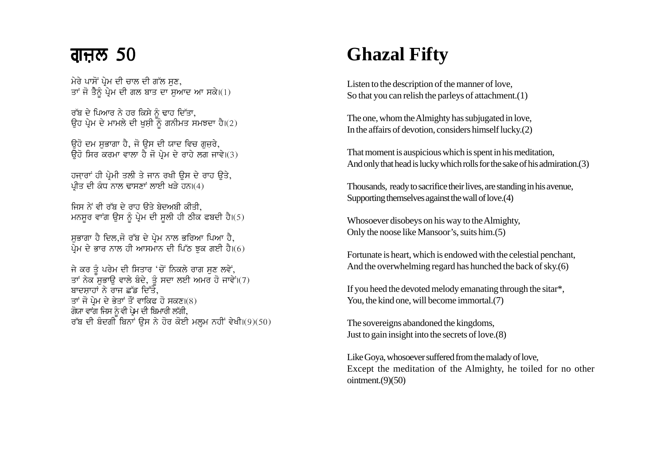#### ਗਜ਼ਲ 50

ਮੇਰੇ ਪਾਸੋਂ ਪ੍ਰੇਮ ਦੀ ਚਾਲ ਦੀ ਗੱਲ ਸਣ, ... ... ... ... ... ... ... ... ...<br>ਤਾਂ ਜੋ ਤੈਨੂੰ ਪ੍ਰੇਮ ਦੀ ਗਲ ਬਾਤ ਦਾ ਸੁਆਦ ਆ ਸਕੇ।(1)

ਰੁੱਬ ਦੇ ਪਿਆਰ ਨੇ ਹਰ ਕਿਸੇ ਨੂੰ ਢਾਹ ਦਿੱਤਾ. ਉਹ ਪੇਮ ਦੇ ਮਾਮਲੇ ਦੀ ਖਸ਼ੀ ਨੌ ਗਨੀਮਤ ਸਮਝਦਾ ਹੈ।(2)

ਉਹੋ ਦਮ ਸਭਾਗਾ ਹੈ. ਜੋ ਉਸ ਦੀ ਯਾਦ ਵਿਚ ਗਜਰੇ. ਉਹੋ ਸਿਰ ਕਰਮਾ ਵਾਲਾ ਹੈ ਜੋ ਪੇਮ ਦੇ ਰਾਹੇ ਲਗ ਜਾਵੇ।(3)

ਹਜਾਰਾਂ ਹੀ ਪੇਮੀ ਤਲੀ ਤੇ ਜਾਨ ਰਖੀ ਉਸ ਦੇ ਰਾਹ ਉਤੇ. ਪੀਤ ਦੀ ਕੰਧ ਨਾਲ ਢਾਸਣਾਂ ਲਾਈ ਖੜੇ ਹਨ।(4)

ਜਿਸ ਨੇਂ ਵੀ ਰੱਬ ਦੇ ਰਾਹ ਉਤੇ ਬੇਦਅਬੀ ਕੀਤੀ. ਮਨਸਰ ਵਾਂਗ ਉਸ ਨੂੰ ਪ੍ਰੇਮ ਦੀ ਸੂਲੀ ਹੀ ਠੀਕ ਫਬਦੀ ਹੈ।(5)

ਸਭਾਗਾ ਹੈ ਦਿਲ,ਜੋ ਰੱਬ ਦੇ ਪ੍ਰੇਮ ਨਾਲ ਭਰਿਆ ਪਿਆ ਹੈ, ਪ੍ਰੇਮ ਦੇ ਭਾਰ ਨਾਲ ਹੀ ਆਸਮਾਨ ਦੀ ਪਿੱਠ ਝੁਕ ਗਈ ਹੈ।(6)

ਜੇ ਕਰ ਤੂੰ ਪਰੇਮ ਦੀ ਸਿਤਾਰ 'ਚੋਂ ਨਿਕਲੇ ਰਾਗ ਸੁਣ ਲਵੇਂ, ਤਾਂ ਨੇਕ ਸੁਭਾਉ ਵਾਲੇ ਬੇਦੇ, ਤੂੰ ਸਦਾ ਲਈ ਅਮਰ ਹੋ ਜਾਵੇਂ।(7) ਬਾਦਸਾਹਾਂ ਨੇ ਰਾਜ ਛੱਡ ਦਿੱਤੇ. ਤਾਂ ਜੋ ਪ੍ਰੇਮ ਦੇ ਭੇਤਾਂ ਤੌਂ ਵਾਕਿਫ ਹੋ ਸਕਣ।(8) ਗੋਯਾ ਵਾਂਗ ਜਿਸ ਨੂੰ ਵੀ ਪੇਮ ਦੀ ਬਿਮਾਰੀ ਲੱਗੀ, ਰੱਬ ਦੀ ਬੰਦਗੀ ਬਿਨਾਂ ਉਸ ਨੇ ਹੋਰ ਕੋਈ ਮਲਮ ਨਹੀਂ ਵੇਖੀ।(9)(50)

# **Ghazal Fifty**

Listen to the description of the manner of love, So that you can relish the parleys of attachment. $(1)$ 

The one, whom the Almighty has subjugated in love, In the affairs of devotion, considers himself lucky. $(2)$ 

That moment is auspicious which is spent in his meditation, And only that head is lucky which rolls for the sake of his admiration. (3)

Thousands, ready to sacrifice their lives, are standing in his avenue, Supporting themselves against the wall of love. (4)

Whosoever disobeys on his way to the Almighty, Only the noose like Mansoor's, suits him. (5)

Fortunate is heart, which is endowed with the celestial penchant, And the overwhelming regard has hunched the back of sky.(6)

If you heed the devoted melody emanating through the sitar\*, You, the kind one, will become immortal.(7)

The sovereigns abandoned the kingdoms, Just to gain insight into the secrets of love. (8)

Like Goya, whosoever suffered from the malady of love, Except the meditation of the Almighty, he toiled for no other ointment. $(9)(50)$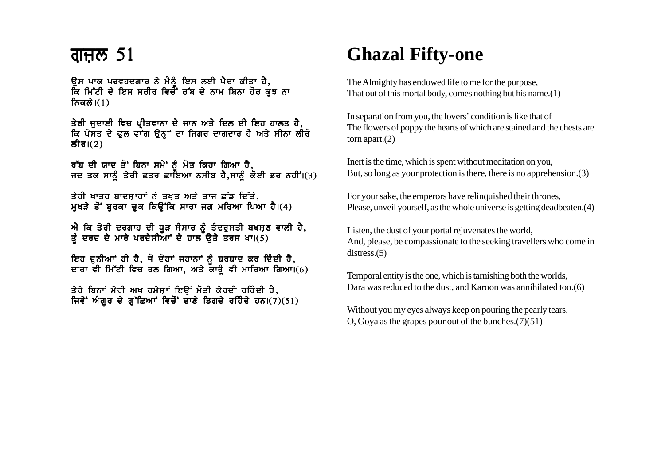### <u>ਗੁਜ਼ਲ 51</u>

ਉਸ ਪਾਕ ਪਰਵਹਦਗਾਰ ਨੇ ਮੈਨੂੰ ਇਸ ਲਈ ਪੈਦਾ ਕੀਤਾ ਹੈ,<br>ਕਿ ਮਿੱਟੀ ਦੇ ਇਸ ਸਰੀਰ ਵਿਚੋਂ ਰੱਬ ਦੇ ਨਾਮ ਬਿਨਾ ਹੋਰ ਕੁਝ ਨਾ ਨਿਕਲੇ। $(1)$ 

ਤੇਰੀ ਜੁਦਾਈ ਵਿਚ ਪ੍ਰੀਤਵਾਨਾ ਦੇ ਜਾਨ ਅਤੇ ਦਿਲ ਦੀ ਇਹ ਹਾਲਤ ਹੈ,<br>ਕਿ ਪੋਸਤ ਦੇ ਫੁਲ ਵਾਂਗ ਉਨ੍ਹਾਂ ਦਾ ਜਿਗਰ ਦਾਗਦਾਰ ਹੈ ਅਤੇ ਸੀਨਾ ਲੀਰੋ ਲੀਰ।(2)

ਰੱਬ ਦੀ ਯਾਦ ਤੋਂ ਬਿਨਾ ਸਮੇਂ ਨੂੰ ਮੋਤ ਕਿਹਾ ਗਿਆ ਹੈ,<br>ਜਦ ਤਕ ਸਾਨੂੰ ਤੇਰੀ ਛਤਰ ਛਾਇਆ ਨਸੀਬ ਹੈ,ਸਾਨੂੰ ਕੋਈ ਡਰ ਨਹੀਂ।(3)

ਤੇਰੀ ਖਾਤਰ ਬਾਦਸ਼ਾਹਾਂ ਨੇ ਤਖਤ ਅਤੇ ਤਾਜ ਛੱਡ ਦਿੱਤੇ. ਮਖੜੇ ਤੋਂ ਬਰਕਾ ਚਕ ਕਿਉਂਕਿ ਸਾਰਾ ਜਗ ਮਰਿਆ ਪਿਆ ਹੈ।(4)

ਐ ਕਿ ਤੇਰੀ ਦਰਗਾਹ ਦੀ ਧੂੜ ਸੰਸਾਰ ਨੂੰ ਤੰਦਰੁਸਤੀ ਬਖਸ਼ਣ ਵਾਲੀ ਹੈ,<br>ਤੂੰ ਦਰਦ ਦੇ ਮਾਰੇ ਪਰਦੇਸੀਆਾਂ ਦੇ ਹਾਲ ਉਤੇ ਤਰਸ ਖਾ।(5)

ਇਹ ਦੁਨੀਆਂ ਹੀ ਹੈ, ਜੋ ਦੋਹਾਂ ਜਹਾਨਾਂ ਨੂੰ ਬਰਬਾਦ ਕਰ ਦਿੰਦੀ ਹੈ, ਦਾਰਾ ਵੀ ਮਿੱਟੀ ਵਿਚ ਰਲ ਗਿਆ, ਅਤੇ ਕਾਰੂੰ ਵੀ ਮਾਰਿਆ ਗਿਆ।(6)

ਤੇਰੇ ਬਿਨਾਂ ਮੇਰੀ ਅਖ ਹਮੇਸ਼ਾਂ ਇੳਂ ਮੋਤੀ ਕੇਰਦੀ ਰਹਿੰਦੀ ਹੈ, ਜਿਵੇਂ ਅੰਗਰ ਦੇ ਗੁੱਛਿਆਂ ਵਿਚੌਂ ਦਾਣੇ ਡਿਗਦੇ ਰਹਿੰਦੇ ਹਨ।(7)(51)

## **Ghazal Fifty-one**

The Almighty has endowed life to me for the purpose, That out of this mortal body, comes nothing but his name. $(1)$ 

In separation from you, the lovers' condition is like that of The flowers of poppy the hearts of which are stained and the chests are torn apart. $(2)$ 

Inert is the time, which is spent without meditation on you, But, so long as your protection is there, there is no apprehension. (3)

For your sake, the emperors have relinquished their thrones, Please, unveil yourself, as the whole universe is getting deadbeaten.(4)

Listen, the dust of your portal rejuvenates the world, And, please, be compassionate to the seeking travellers who come in  $distress.(5)$ 

Temporal entity is the one, which is tarnishing both the worlds, Dara was reduced to the dust, and Karoon was annihilated too.(6)

Without you my eyes always keep on pouring the pearly tears, O, Goya as the grapes pour out of the bunches. $(7)(51)$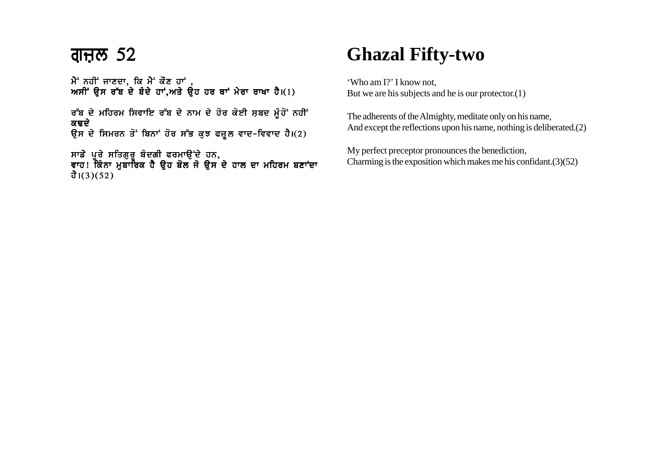ਮੈਂ ਨਹੀਂ ਜਾਣਦਾ, ਕਿ ਮੈਂ ਕੌਣ ਹਾਂ, ਅਸੀਂ ਉਸ ਰੱਬ ਦੇ ਬੰਦੇ ਹਾਂ,ਅਤੇ ਉਹ ਹਰ ਥਾਂ ਮੇਰਾ ਰਾਖਾ ਹੈ।(1)

ਰੱਬ ਦੇ ਮਹਿਰਮ ਸਿਵਾਇ ਰੱਬ ਦੇ ਨਾਮ ਦੇ ਹੋਰ ਕੋਈ ਸ਼ਬਦ ਮੂੰਹੋਂ ਨਹੀਂ ਕਢਦੇ ਉਸ ਦੇ ਸਿਮਰਨ ਤੋਂ ਬਿਨਾਂ ਹੋਰ ਸੱਭ ਕੁਝ ਫਜ਼ੂਲ ਵਾਦ-ਵਿਵਾਦ ਹੈ।(2)

ਸਾਡੇ ਪੂਰੇ ਸਤਿਗੁਰੂ ਬੰਦਗੀ ਫਰਮਾਉਂਦੇ ਹਨ, ਵਾਹ! ਕਿੰਨਾ ਮੁਬਾਰਿਕ ਹੈ ਉਹ ਬੋਲ ਜੋ ਉਸ ਦੇ ਹਾਲ ਦਾ ਮਹਿਰਮ ਬਣਾਂਦਾ ਹੈ।(3)(52)

### **Ghazal Fifty-two**

'Who am I?' I know not, But we are his subjects and he is our protector.(1)

The adherents of the Almighty, meditate only on his name, And except the reflections upon his name, nothing is deliberated.(2)

My perfect preceptor pronounces the benediction, Charming is the exposition which makes me his confidant.(3)(52)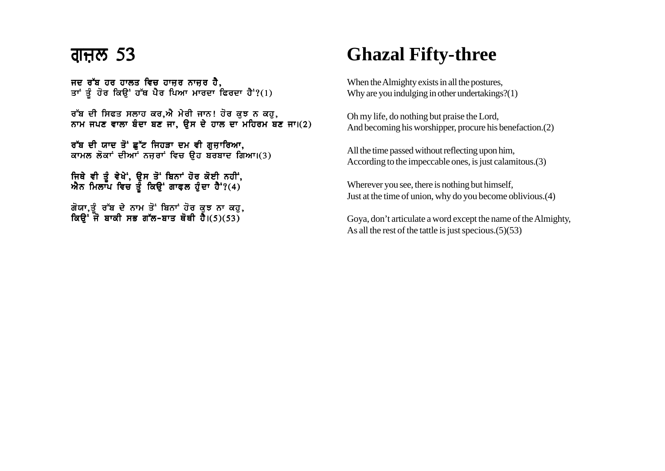ਜਦ ਰੱਬ ਹਰ ਹਾਲਤ ਵਿਚ ਹਾਜਰ ਨਾਜਰ ਹੈ. ਤਾਂ ਤੂੰ ਹੋਰ ਕਿਉਂ ਹੱਥ ਪੈਰ ਪਿਆ ਮਾਰਦਾ ਫਿਰਦਾ ਹੈ<sup>:</sup>?(1)

ਰੱਬ ਦੀ ਸਿਫਤ ਸਲਾਹ ਕਰ.ਐ ਮੇਰੀ ਜਾਨ! ਹੋਰ ਕਝ ਨ ਕਹ. ਨਾਮ ਜਪਣ ਵਾਲਾ ਬੰਦਾ ਬਣ ਜਾ, ਉਸ ਦੇ ਹਾਲ ਦਾ ਮਹਿਰਮ ਬਣ ਜਾ।(2)

ਰੱਬ ਦੀ ਯਾਦ ਤੋਂ ਛੁੱਟ ਜਿਹੜਾ ਦਮ ਵੀ ਗੁਜ਼ਾਰਿਆ, ਕਾਮਲ ਲੋਕਾਂ ਦੀਆਂ ਨਜ਼ਰਾਂ ਵਿਚ ਉਹ ਬਰਬਾਦ ਗਿਆ।(3)

ਜਿਥੇ ਵੀ ਤੌ ਵੇਖੇ, ੳਸ ਤੋਂ ਬਿਨਾਂ ਹੋਰ ਕੋਈ ਨਹੀਂ,  $\vec{M}$ ਨ ਮਿਲਾਪ ਵਿਚ ਤੂੰ ਕਿਉਂ ਗਾਫਲ ਹੁੰਦਾ ਹੈ<sup>:</sup>?(4)

ਗੋਯਾ.ਤੰ ਰੱਬ ਦੇ ਨਾਮ ਤੋਂ ਬਿਨਾਂ ਹੋਰ ਕਝ ਨਾ ਕਹ. ਕਿੳਂ ਜੋ ਬਾਕੀ ਸਭ ਗੱਲ-ਬਾਤ ਥੋਥੀ ਹੈ।(5)(53)

## **Ghazal Fifty-three**

When the Almighty exists in all the postures, Why are you indulging in other undertakings?(1)

Oh my life, do nothing but praise the Lord, And becoming his worshipper, procure his benefaction.(2)

All the time passed without reflecting upon him, According to the impeccable ones, is just calamitous.(3)

Wherever you see, there is nothing but himself, Just at the time of union, why do you become oblivious.(4)

Goya, don't articulate a word except the name of the Almighty, As all the rest of the tattle is just specious.(5)(53)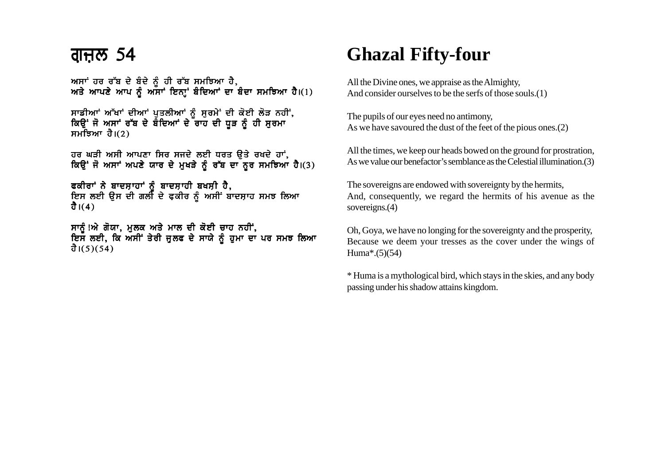ਅਸਾਂ ਹਰ ਰੱਬ ਦੇ ਬੰਦੇ ਨੰ ਹੀ ਰੱਬ ਸਮਝਿਆ ਹੈ. ਅਤੇ ਆਪਣੇ ਆਪ ਨੰ ਅੱਸਾਂ ਇਨਾਂ ਬੰਦਿਆਂ ਦਾ ਬੰਦਾ ਸਮਝਿਆ ਹੈ।(1)

ਸਾਡੀਆਂ ਅੱਖਾਂ ਦੀਆਂ ਪੁਤਲੀਆਂ ਨੂੰ ਸੁਰਮੇਂ ਦੀ ਕੋਈ ਲੋੜ ਨਹੀਂ, ਕਿਉਂ ਜੋ ਅਸਾਂ ਰੱਬ ਦੇ ਬੈਦਿਆਂ ਦੇ ਰਾਹ ਦੀ ਧੁੜ ਨੂੰ ਹੀ ਸਰਮਾ ਸਮਝਿਆ ਹੈ। $(2)$ 

ਹਰ ਘੜੀ ਅਸੀ ਆਪਣਾ ਸਿਰ ਸਜਦੇ ਲਈ ਧਰਤ ੳਤੇ ਰਖਦੇ ਹਾਂ,  $\frac{1}{6}$   $\frac{1}{6}$   $\frac{1}{6}$   $\frac{1}{6}$   $\frac{1}{6}$   $\frac{1}{6}$   $\frac{1}{6}$   $\frac{1}{6}$   $\frac{1}{6}$   $\frac{1}{6}$   $\frac{1}{6}$   $\frac{1}{6}$   $\frac{1}{6}$   $\frac{1}{6}$   $\frac{1}{6}$   $\frac{1}{6}$   $\frac{1}{6}$   $\frac{1}{6}$   $\frac{1}{6}$   $\frac{1}{6}$   $\frac{1}{6}$   $\frac{1}{6}$ 

ਫਕੀਰਾਂ ਨੇ ਬਾਦਸ਼ਾਹਾਂ ਨੂੰ ਬਾਦਸ਼ਾਹੀ ਬਖਸ਼ੀ ਹੈ, ਇਸ ਲਈ ਉਸ ਦੀ ਗਲੀ ਦੇ ਫ਼ਕੀਰ ਨੂੰ ਅਸੀਂ ਬਾਦਸ਼ਾਹ ਸਮਝ ਲਿਆ ਹੈ। $(4)$ 

ਸਾਨੂੰ!ਐ ਗੋਯਾ, ਮੁਲਕ ਅਤੇ ਮਾਲ ਦੀ ਕੋਈ ਚਾਹ ਨਹੀਂ, ਇਸ ਲਈ, ਕਿ ਅਸੀਂ ਤੇਰੀ ਜੁਲਫ ਦੇ ਸਾਯੇ ਨੂੰ ਹੁਮਾ ਦਾ ਪਰ ਸਮਝ ਲਿਆ ਹੈ।(5)(54)

# **Ghazal Fifty-four**

All the Divine ones, we appraise as the Almighty, And consider ourselves to be the serfs of those souls.(1)

The pupils of our eyes need no antimony, As we have savoured the dust of the feet of the pious ones.(2)

All the times, we keep our heads bowed on the ground for prostration, As we value our benefactor's semblance as the Celestial illumination.(3)

The sovereigns are endowed with sovereignty by the hermits, And, consequently, we regard the hermits of his avenue as the sovereigns.(4)

Oh, Goya, we have no longing for the sovereignty and the prosperity, Because we deem your tresses as the cover under the wings of Huma\*.(5)(54)

\* Huma is a mythological bird, which stays in the skies, and any body passing under his shadow attains kingdom.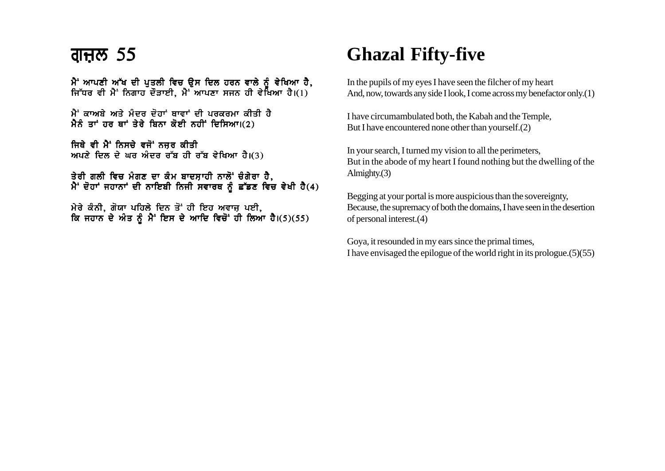$\hat{A}$ ' ਆਪਣੀ ਅੱਖ ਦੀ ਪਤਲੀ ਵਿਚ ਉਸ ਦਿਲ ਹਰਨ ਵਾਲੇ ਨੰ ਵੇਖਿਆ ਹੈ. ਜਿੱਧਰ ਵੀ ਮੈਂ ਨਿਗਾਹ ਦੌੜਾਈ, ਮੈ<sup>:</sup> ਆਪਣਾ ਸਜਨ ਹੀ ਵੇਖਿਆ ਹੈ। $(1)$ 

 $\hat{A}$ ਂ ਕਾਅਬੇ ਅਤੇ ਮੰਦਰ ਦੋਹਾਂ ਥਾਵਾਂ ਦੀ ਪਰਕਰਮਾ ਕੀਤੀ ਹੈ ਮੈਨੂੰ ਤਾਂ ਹਰ ਥਾਂ ਤੇਰੇ ਬਿਨਾ ਕੋਈ ਨਹੀਂ ਦਿਸਿਆ।(2)

ਜਿਥੇ ਵੀ ਮੈਂ ਨਿਸਚੇ ਵਜੋਂ ਨਜਰ ਕੀਤੀ  $m$ ਪਣੇ ਦਿਲ ਦੇ ਘਰ ਅੰਦਰ ਰੱਬ ਹੀ ਰੱਬ ਵੇਖਿਆ ਹੈ।(3)

ਤੇਰੀ ਗਲੀ ਵਿਚ ਮੰਗਣ ਦਾ ਕੰਮ ਬਾਦਸ਼ਾਹੀ ਨਾਲੋਂ ਚੰਗੇਰਾ ਹੈ,  $\hat{A}$  ਦੋਹਾਂ ਜਹਾਨਾਂ ਦੀ ਨਾਇਬੀ ਨਿਜੀ ਸਵਾਰਥ ਨੂੰ ਛੱਡਣ ਵਿਚ ਵੇਖੀ ਹੈ(4)

ਮੇਰੇ ਕੰਨੀ, ਗੋਯਾ ਪਹਿਲੇ ਦਿਨ ਤੋਂ ਹੀ ਇਹ ਅਵਾਜ਼ ਪਈ, ਕਿ ਜਹਾਨ ਦੇ ਅੰਤ ਨੂੰ ਮੈਂ ਇਸ ਦੇ ਆਦਿ ਵਿਚੋਂ ਹੀ ਲਿਆ ਹੈ।(5)(55)

# **Ghazal Fifty-five**

In the pupils of my eyes I have seen the filcher of my heart And, now, towards any side I look, I come across my benefactor only.(1)

I have circumambulated both, the Kabah and the Temple, But I have encountered none other than yourself.(2)

In your search, I turned my vision to all the perimeters, But in the abode of my heart I found nothing but the dwelling of the Almighty.(3)

Begging at your portal is more auspicious than the sovereignty, Because, the supremacy of both the domains, I have seen in the desertion of personal interest.(4)

Goya, it resounded in my ears since the primal times, I have envisaged the epilogue of the world right in its prologue.(5)(55)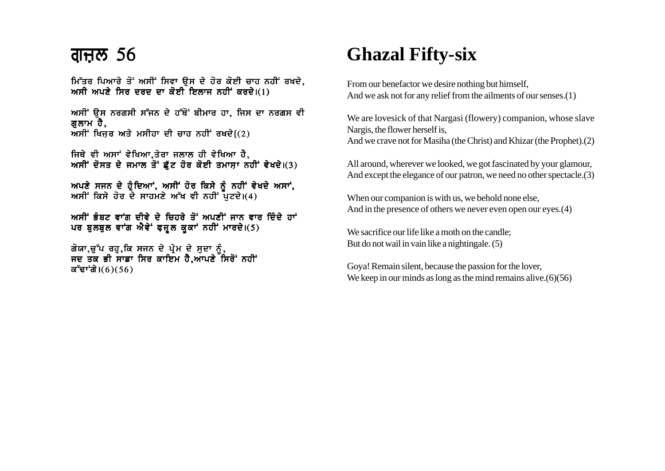### <u>ਗੁਜ਼ਲ 56</u>

ਮਿੱਤਰ ਪਿਆਰੇ ਤੋਂ ਅਸੀਂ ਸਿਵਾ ੳਸ ਦੇ ਹੋਰ ਕੋਈ ਚਾਹ ਨਹੀਂ ਰਖਦੇ, ਅਸੀ ਅਪਣੇ ਸਿਰ ਦਰਦ ਦਾ ਕੋਈ ਇਲਾਜ ਨਹੀਂ ਕਰਦੇ।(1)

ਅਸੀਂ ਉਸ ਨਰਗਸੀ ਸੱਜਨ ਦੇ ਹੱਥੋਂ ਬੀਮਾਰ ਹਾ, ਜਿਸ ਦਾ ਨਰਗਸ ਵੀ ਗਲਾਮ ਹੈ. ਅਸੀਂ ਖਿਜਰ ਅਤੇ ਮਸੀਹਾ ਦੀ ਚਾਹ ਨਹੀਂ ਰਖਦੇ $(2)$ 

ਜਿਥੇ ਵੀ ਅਸਾਂ ਵੇਖਿਆ,ਤੇਰਾ ਜਲਾਲ ਹੀ ਵੇਖਿਆ ਹੈ, ਅਸੀਂ ਦੋਸਤ ਦੇ ਜਮਾਲ ਤੋਂ ਛੱਟ ਹੋਰ ਕੋਈ ਤਮਾਸਾ ਨਹੀਂ ਵੇਖਦੇ।(3)

ਅਪਣੇ ਸਜਨ ਦੇ ਹੁੰਦਿਆਂ, ਅਸੀਂ ਹੋਰ ਕਿਸੇ ਨੂੰ ਨਹੀਂ ਵੇਖਦੇ ਅਸਾਂ, ਅਸੀਂ ਕਿਸੇ ਹੋਰ ਦੇ ਸਾਹਮਣੇ ਅੱਖ ਵੀ ਨਹੀਂ ਪਟਦੇ।(4)

ਅਸੀਂ ਭੰਬਟ ਵਾਂਗ ਦੀਵੇ ਦੇ ਚਿਹਰੇ ਤੋਂ ਅਪਣੀਂ ਜਾਨ ਵਾਰ ਦਿੰਦੇ ਹਾਂ ਪਰ ਬੁਲਬੁਲ ਵਾਂਗ ਐਵੇਂ ਫ਼ਜ਼ੁਲ ਕੁਕਾਂ ਨਹੀਂ ਮਾਰਦੇ।(5)

ਗੋਯਾ,ਚੁੱਪ ਰਹੁ,ਕਿ ਸਜਨ ਦੇ ਪ੍ਰੇਮ ਦੇ ਸੁਦਾ ਨੂੰ,<br>ਜਦ ਤਕ ਭੀ ਸਾਡਾ ਸਿਰ ਕਾਇਮ ਹੈ,ਆਪਣੇ ਸਿਰੋਂ ਨਹੀਂ ਕੱਢਾਂਗੇ। $(6)(56)$ 

## **Ghazal Fifty-six**

From our benefactor we desire nothing but himself, And we ask not for any relief from the ailments of our senses.(1)

We are lovesick of that Nargasi (flowery) companion, whose slave Nargis, the flower herself is, And we crave not for Masiha (the Christ) and Khizar (the Prophet). (2)

All around, wherever we looked, we got fascinated by your glamour, And except the elegance of our patron, we need no other spectacle. (3)

When our companion is with us, we behold none else, And in the presence of others we never even open our eyes. (4)

We sacrifice our life like a moth on the candle: But do not wail in vain like a nightingale. (5)

Gova! Remain silent, because the passion for the lover, We keep in our minds as long as the mind remains alive.  $(6)(56)$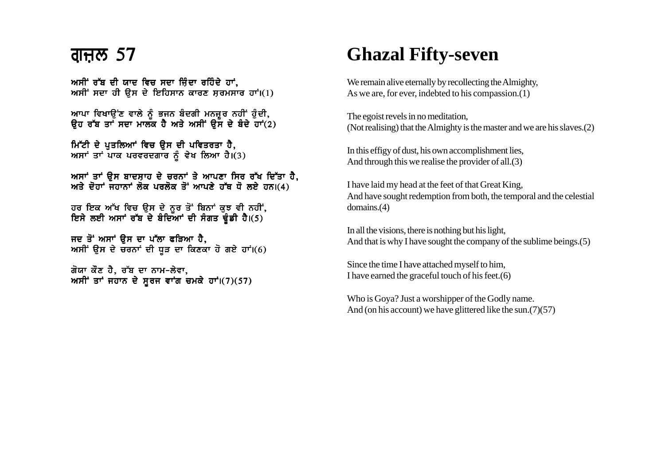### <u>ਗਜਲ 57</u>

ਅਸੀਂ ਰੱਬ ਦੀ ਯਾਦ ਵਿਚ ਸਦਾ ਜਿੰਦਾ ਰਹਿੰਦੇ ਹਾਂ. ਅਸੀਂ ਸਦਾ ਹੀ ਉਸ ਦੇ ਇਹਿਸਾਨ ਕਾਰਣ ਸਰਮਸਾਰ ਹਾਂ।(1)

ਆਪਾ ਵਿਖਾਉਂਣ ਵਾਲੇ ਨੂੰ ਭਜਨ ਬੰਦਗੀ ਮਨਜ਼ੂਰ ਨਹੀਂ ਹੁੰਦੀ, ਉਹ ਰੱਬ ਤਾਂ ਸਦਾ ਮਾਲਕ ਹੈ ਅਤੇ ਅਸੀਂ ਉਸ ਦੇ ਬੰਦੇ ਹਾਂ $(2)$ 

ਮਿੱਟੀ ਦੇ ਪਤਲਿਆਂ ਵਿਚ ਉਸ ਦੀ ਪਵਿਤਰਤਾ ਹੈ, ਆਸਾਂ ਤਾਂ ਪਾਕ ਪਰਵਰਦਗਾਰ ਨੂੰ ਵੇਖ ਲਿਆ ਹੈ।  $(3)$ 

ਅਸਾਂ ਤਾਂ ਉਸ ਬਾਦਸਾਹ ਦੇ ਚਰਨਾਂ ਤੇ ਆਪਣਾ ਸਿਰ ਰੱਖ ਦਿੱਤਾ ਹੈ. ਅਤੇ ਦੋਹਾਂ ਜਹਾਨਾਂ ਲੋਕ ਪਰਲੋਕ ਤੋਂ ਆਪਣੇ ਹੱਥ ਧੋ ਲਏ ਹਨ।(4)

ਹਰ ਇਕ ਅੱਖ ਵਿਚ ਉਸ ਦੇ ਨੂਰ ਤੋਂ ਬਿਨਾਂ ਕੁਝ ਵੀ ਨਹੀਂ,<br>ਇਸੇ ਲਈ ਅਸਾਂ ਰੱਬ ਦੇ ਬੰਦਿਆਂ ਦੀ ਸੰਗਤ ਢੂੰਡੀ ਹੈ।(5)

ਜਦ ਤੋਂ ਅਸਾਂ ਉਸ ਦਾ ਪੱਲਾ ਫੜਿਆ ਹੈ, ਅਸੀਂ ਉਸ ਦੇ ਚਰਨਾਂ ਦੀ ਧੜ ਦਾ ਕਿਣਕਾ ਹੋ ਗਏ ਹਾਂ।(6)

ਗੋਯਾ ਕੌਣ ਹੈ. ਰੱਬ ਦਾ ਨਾਮ-ਲੇਵਾ. ਅਸੀਂ ਤਾਂ ਜਹਾਨ ਦੇ ਸੂਰਜ ਵਾਂਗ ਚਮਕੇ ਹਾਂ। $(7)(57)$ 

# **Ghazal Fifty-seven**

We remain alive eternally by recollecting the Almighty, As we are, for ever, indebted to his compassion. $(1)$ 

The egoist revels in no meditation. (Not realising) that the Almighty is the master and we are his slaves. (2)

In this effigy of dust, his own accomplishment lies, And through this we realise the provider of all.(3)

I have laid my head at the feet of that Great King, And have sought redemption from both, the temporal and the celestial  $domains.(4)$ 

In all the visions, there is nothing but his light, And that is why I have sought the company of the sublime beings. (5)

Since the time I have attached myself to him, I have earned the graceful touch of his feet. $(6)$ 

Who is Goya? Just a worshipper of the Godly name. And (on his account) we have glittered like the sun.  $(7)(57)$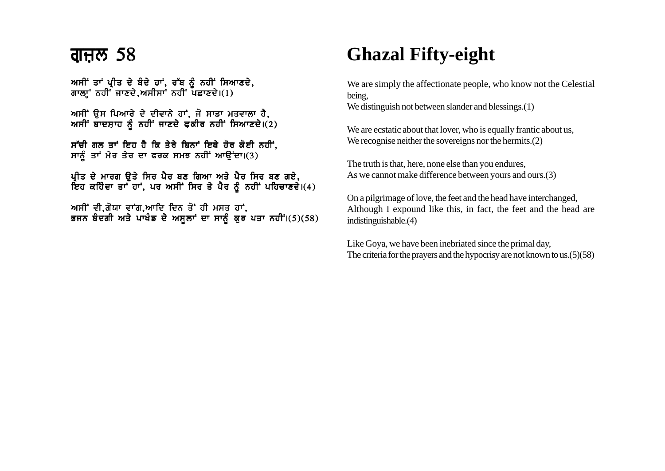ਅਸੀਂ ਤਾਂ ਪੀਤ ਦੇ ਬੰਦੇ ਹਾਂ. ਰੱਬ ਨੂੰ ਨਹੀਂ ਸਿਆਣਦੇ. ਗਾਲਾ਼ੂ' ਨਹੀਂ ਜਾਣਦੇ,ਅਸੀਸਾਂ ਨਹੀਂ ਪਛਾਣਦੇ। $(1)$ 

ਅਸੀਂ ਉਸ ਪਿਆਰੇ ਦੇ ਦੀਵਾਨੇ ਹਾਂ, ਜੋ ਸਾਡਾ ਮਤਵਾਲਾ ਹੈ,  $m$ ਸੀਂ ਬਾਦਸ਼ਾਹ ਨੂੰ ਨਹੀਂ ਜਾਣਦੇ ਫ਼ਕੀਰ ਨਹੀਂ ਸਿਆਣਦੇ।(2)

<u>ਸੱਚੀ ਗਲ ਤਾਂ ਇਹ ਹੈ ਕਿ ਤੇਰੇ ਬਿਨਾਂ ਇਥੇ ਹੋਰ ਕੋਈ ਨਹੀਂ.</u> ਸਾਨੂੰ ਤਾਂ ਮੇਰ ਤੇਰ ਦਾ ਫਰਕ ਸਮਝ ਨਹੀਂ ਆਉਂਦਾ।(3)

ਪੀਤ ਦੇ ਮਾਰਗ ੳਤੇ ਸਿਰ ਪੈਰ ਬਣ ਗਿਆ ਅਤੇ ਪੈਰ ਸਿਰ ਬਣ ਗਏ, ਇਹ ਕਹਿੰਦਾ ਤਾਂ ਹਾਂ, ਪਰ ਅਸੀਂ ਸਿਰ ਤੇ ਪੈਰ ਨੂੰ ਨਹੀਂ ਪਹਿਚਾਣਦੇ।(4)

ਅਸੀਂ ਵੀ,ਗੋਯਾ ਵਾਂਗ,ਆਦਿ ਦਿਨ ਤੋਂ ਹੀ ਮਸਤ ਹਾਂ, ਭਜਨ ਬੰਦਗੀ ਅਤੇ ਪਾਖੰਡ ਦੇ ਅਸੁਲਾਂ ਦਾ ਸਾਨੂੰ ਕੁਝ ਪਤਾ ਨਹੀਂ।(5)(58)

# **Ghazal Fifty-eight**

We are simply the affectionate people, who know not the Celestial being,

We distinguish not between slander and blessings.(1)

We are ecstatic about that lover, who is equally frantic about us, We recognise neither the sovereigns nor the hermits.<sup>(2)</sup>

The truth is that, here, none else than you endures, As we cannot make difference between yours and ours.(3)

On a pilgrimage of love, the feet and the head have interchanged, Although I expound like this, in fact, the feet and the head are indistinguishable.(4)

Like Goya, we have been inebriated since the primal day, The criteria for the prayers and the hypocrisy are not known to us.(5)(58)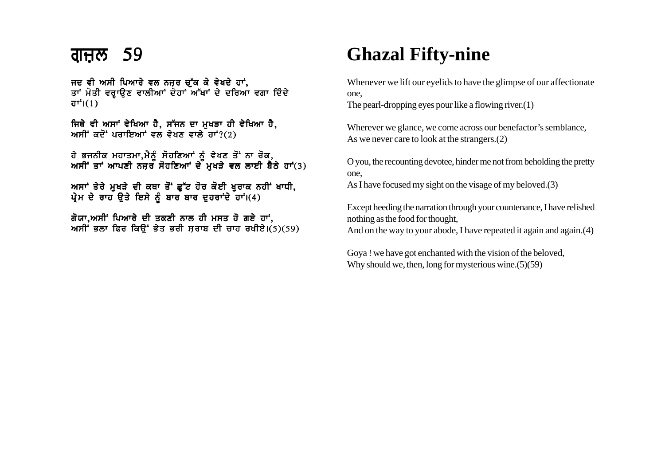ਜਦ ਵੀ ਅਸੀ ਪਿਆਰੇ ਵਲ ਨਜ਼ਰ ਚੱਕ ਕੇ ਵੇਖਦੇ ਹਾਂ. ਤਾਂ ਮੋਤੀ ਵਰਾਉਣ ਵਾਲੀਆਂ ਦੋਹਾਂ ਅੱਖਾਂ ਦੇ ਦਰਿਆ ਵਗਾ ਦਿੰਦੇ  $\overline{d}$  $\overline{r}$  $\overline{r}$  $(1)$ 

ਜਿਥੇ ਵੀ ਅਸਾਂ ਵੇਖਿਆ ਹੈ, ਸੱਜਨ ਦਾ ਮਖੜਾ ਹੀ ਵੇਖਿਆ ਹੈ, ਅਸੀਂ ਕਦੋਂ ਪਰਾਇਆਂ ਵਲ ਵੇਖਣ ਵਾਲੇ ਹਾਂ? $(2)$ 

ਹੇ ਭਜਨੀਕ ਮਹਾਤਮਾ.ਮੈਨੰ ਸੋਹਣਿਆਂ ਨੰ ਵੇਖਣ ਤੋਂ ਨਾ ਰੋਕ. ਅਸੀਂ ਤਾਂ ਆਪਣੀ ਨਜਰ ਸੋਹਣਿਆਂ ਦੇ ਮਖੜੇ ਵਲ ਲਾਈ ਬੈਠੇ ਹਾਂ(3)

ਅਸਾਂ ਤੇਰੇ ਮੁਖੜੇ ਦੀ ਕਥਾ ਤੌਂ ਛੁੱਟ ਹੋਰ ਕੋਈ ਖੁਰਾਕ ਨਹੀਂ ਖਾਧੀ, ਪ੍ਰੇਮ ਦੇ ਰਾਹ ੳਤੇ ਇਸੇ ਨੂੰ ਬਾਰ ਬਾਰ ਦਹਰਾਂਦੇ ਹਾਂ।(4)

ਗੋਯਾ,ਅਸੀਂ ਪਿਆਰੇ ਦੀ ਤਕਣੀ ਨਾਲ ਹੀ ਮਸਤ ਹੋ ਗਏ ਹਾਂ, ਅਸੀਂ ਭਲਾ ਫਿਰ ਕਿਉਂ ਭੇਤ ਭਰੀ ਸਰਾਬ ਦੀ ਚਾਹ ਰਖੀਏ।(5)(59)

## **Ghazal Fifty-nine**

Whenever we lift our eyelids to have the glimpse of our affectionate one,

The pearl-dropping eyes pour like a flowing river.(1)

Wherever we glance, we come across our benefactor's semblance, As we never care to look at the strangers.(2)

O you, the recounting devotee, hinder me not from beholding the pretty one,

As I have focused my sight on the visage of my beloved.(3)

Except heeding the narration through your countenance, I have relished nothing as the food for thought, And on the way to your abode, I have repeated it again and again.(4)

Goya ! we have got enchanted with the vision of the beloved, Why should we, then, long for mysterious wine.(5)(59)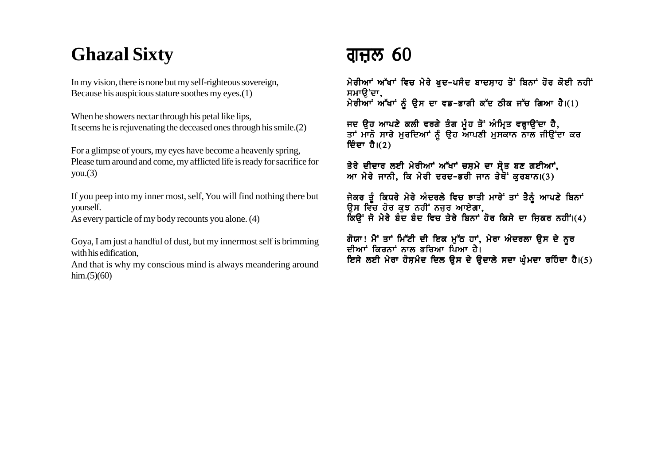# **Ghazal Sixty**

In my vision, there is none but my self-righteous sovereign, Because his auspicious stature soothes my eyes.(1)

When he showers nectar through his petal like lips, It seems he is rejuvenating the deceased ones through his smile. (2)

For a glimpse of yours, my eyes have become a heavenly spring, Please turn around and come, my afflicted life is ready for sacrifice for  $you.(3)$ 

If you peep into my inner most, self, You will find nothing there but vourself.

As every particle of my body recounts you alone. (4)

Goya, I am just a handful of dust, but my innermost self is brimming with his edification.

And that is why my conscious mind is always meandering around  $\lim(5)(60)$ 

### ਗਜ਼ਲ 60

ਮੇਰੀਆਂ ਅੱਖਾਂ ਵਿਚ ਮੇਰੇ ਖਦ-ਪਸੰਦ ਬਾਦਸ਼ਾਹ ਤੋਂ ਬਿਨਾਂ ਹੋਰ ਕੋਈ ਨਹੀਂ ਸਮਾੳਂਦਾ. ਮੇਰੀਆਂ ਅੱਖਾਂ ਨੂੰ ਉਸ ਦਾ ਵਡ-ਭਾਗੀ ਕੱਦ ਠੀਕ ਜੱਚ ਗਿਆ ਹੈ।(1)

ਜਦ ਉਹ ਆਪਣੇ ਕਲੀ ਵਰਗੇ ਤੰਗ ਮੂੰਹ ਤੋਂ ਅੰਮ੍ਰਿਤ ਵਰ੍ਹਾਉਂਦਾ ਹੈ,<br>ਤਾਂ ਮਾਨੋ ਸਾਰੇ ਮੁਰਦਿਆਂ ਨੂੰ ਉਹ ਆਪਣੀ ਮੁਸਕਾਨ ਨਾਲ ਜੀਉਂਦਾ ਕਰ ਦਿੰਦਾ ਹੈ।(2)

ਤੇਰੇ ਦੀਦਾਰ ਲਈ ਮੇਰੀਆਂ ਅੱਖਾਂ ਚਸ਼ਮੇ ਦਾ ਸੋਤ ਬਣ ਗਈਆਂ, ਆ ਮੇਰੇ ਜਾਨੀ, ਕਿ ਮੇਰੀ ਦਰਦ–ਭਰੀ ਜਾਨ ਤੇਥੋਂ ਕਰਬਾਨ।(3)

ਜੇਕਰ ਤੂੰ ਕਿਧਰੇ ਮੇਰੇ ਅੰਦਰਲੇ ਵਿਚ ਝਾਤੀ ਮਾਰੇ ਤਾਂ ਤੈਨੂੰ ਆਪਣੇ ਬਿਨਾਂ ਉਸ ਵਿੱਚ ਹੋਰ ਕੁਝ ਨਹੀਂ ਨਜ਼ਰ ਆਏਗਾ, ਕਿਉਂ ਜੋ ਮੇਰੇ ਬੰਦ ਬੰਦ ਵਿਚ ਤੇਰੇ ਬਿਨਾਂ ਹੋਰ ਕਿਸੇ ਦਾ ਜਿਕਰ ਨਹੀਂ।(4)

ਗੋਯਾ! ਮੈਂ ਤਾਂ ਮਿੱਟੀ ਦੀ ਇਕ ਮੁੱਠ ਹਾਂ, ਮੇਰਾ ਅੰਦਰਲਾ ਉਸ ਦੇ ਨੂਰ ਦੀਆਂ ਕਿਰਨਾਂ ਨਾਲ ਭਰਿਆ ਪਿਆ ਹੈ। ਇਸੇ ਲਈ ਮੇਰਾ ਹੋਸ਼ਮੰਦ ਦਿਲ ਉਸ ਦੇ ਉਦਾਲੇ ਸਦਾ ਘੁੰਮਦਾ ਰਹਿੰਦਾ ਹੈ।(5)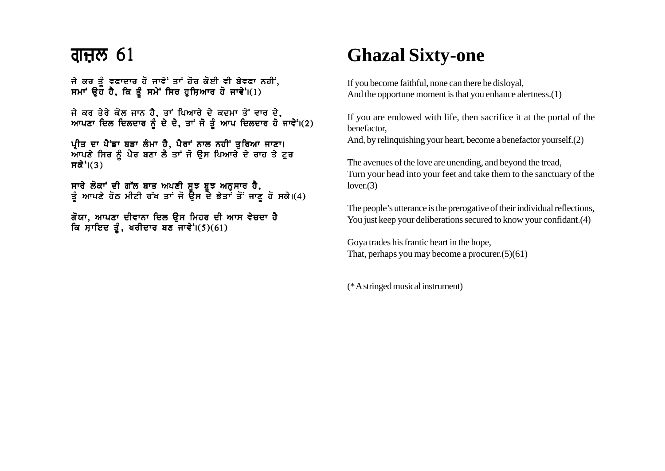ਜੇ ਕਰ ਤੂੰ ਵਫਾਦਾਰ ਹੋ ਜਾਵੇਂ ਤਾਂ ਹੋਰ ਕੋਈ ਵੀ ਬੇਵਫਾ ਨਹੀਂ, ਸਮਾਂ ਉਹ ਹੈ, ਕਿ ਤੂੰ ਸਮੇਂ ਸਿਰ ਹੁਸ਼ਿਆਰ ਹੋ ਜਾਵੇਂ। $(1)$ 

ਜੇ ਕਰ ਤੇਰੇ ਕੋਲ ਜਾਨ ਹੈ, ਤਾਂ ਪਿਆਰੇ ਦੇ ਕਦਮਾ ਤੋਂ ਵਾਰ ਦੇ, ਆਪਣਾ ਦਿਲ ਦਿਲਦਾਰ ਨੂੰ ਦੇ ਦੇ, ਤਾਂ ਜੋ ਤੂੰ ਆਪ ਦਿਲਦਾਰ ਹੋ ਜਾਵੇਂ।(2)

ਪੀਤ ਦਾ ਪੈਂਡਾ ਬੜਾ ਲੰਮਾ ਹੈ. ਪੈਰਾਂ ਨਾਲ ਨਹੀਂ ਤਰਿਆ ਜਾਣਾ। ਆਪਣੇ ਸਿਰ ਨੂੰ ਪੈਰ ਬਣਾ ਲੈ ਤਾਂ ਜੋ ਉਸ ਪਿਆਰੇ ਦੇ ਰਾਹ ਤੇ ਟੂਰ ਸਕੇ $\dot{\mathsf{s}}$ । $(3)$ 

ਸਾਰੇ ਲੋਕਾਂ ਦੀ ਗੱਲ ਬਾਤ ਅਪਣੀ ਸਝ ਬਝ ਅਨਸਾਰ ਹੈ. ਤੰ ਆਪਣੇ ਹੋਠ ਮੀਟੀ ਰੱਖ ਤਾਂ ਜੋ ਉਸ ਦੇ ਭੇਤਾਂ ਤੋਂ ਜਾਣ ਹੋ ਸਕੇ।(4)

ਗੋਯਾ, ਆਪਣਾ ਦੀਵਾਨਾ ਦਿਲ ਉਸ ਮਿਹਰ ਦੀ ਆਸ ਵੇਚਦਾ ਹੈ ਕਿ ਸ਼ਾਇਦ ਤੂੰ, ਖਰੀਦਾਰ ਬਣ ਜਾਵੇ<sup>:</sup> $(5)(61)$ 

### **Ghazal Sixty-one**

If you become faithful, none can there be disloyal, And the opportune moment is that you enhance alertness.(1)

If you are endowed with life, then sacrifice it at the portal of the benefactor,

And, by relinquishing your heart, become a benefactor yourself.(2)

The avenues of the love are unending, and beyond the tread, Turn your head into your feet and take them to the sanctuary of the  $lover(3)$ 

The people's utterance is the prerogative of their individual reflections, You just keep your deliberations secured to know your confidant. (4)

Goya trades his frantic heart in the hope, That, perhaps you may become a procurer.(5)(61)

(\* A stringed musical instrument)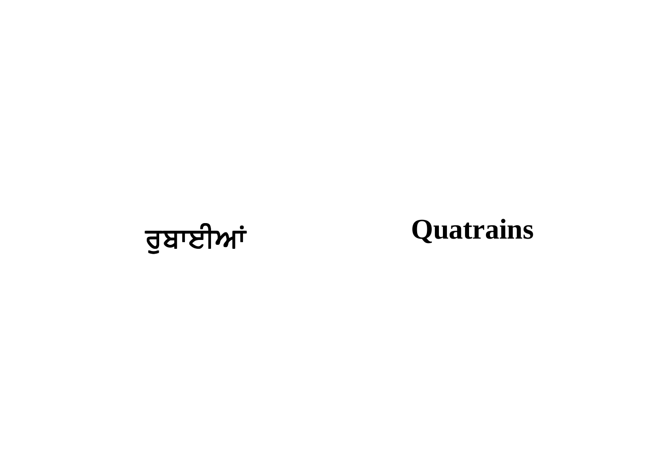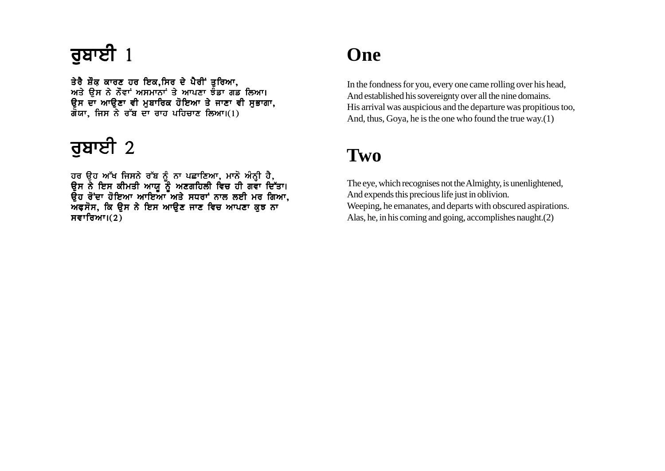ਤੇਰੈ ਸ਼ੌਕ ਕਾਰਣ ਹਰ ਇਕ,ਸਿਰ ਦੇ ਪੈਰੀਂ ਤੁਰਿਆ, ਅਤੇ ਉਸ ਨੇ ਨੌਵਾਂ ਅਸਮਾਨਾਂ ਤੇ ਆਪਣਾ ਝੌਡਾ ਗਡ ਲਿਆ। ਉਸ ਦਾ ਆਉਣਾ ਵੀ ਮੁਬਾਰਿਕ ਹੋਇਆ ਤੇ ਜਾਣਾ ਵੀ ਸੁਭਾਗਾ,  $\vec{a}$ ਯਾ, ਜਿਸ ਨੇ ਰੱਬ ਦਾ ਰਾਹ ਪਹਿਚਾਣ ਲਿਆ।(1)

# ਰੁਬਾਈ  $2$

ਹਰ ੳਹ ਅੱਖ ਜਿਸਨੇ ਰੱਬ ਨੰ ਨਾ ਪਛਾਣਿਆ. ਮਾਨੋ ਅੰਨੀ ਹੈ. ੳਸ ਨੇ ਇਸ ਕੀਮਤੀ ਆਯ ਨੌੰ ਅਣਗਹਿਲੀ ਵਿਚ ਹੀ ਗਵਾ ਦਿੱਤਾ। ੳਹ ਰੋਂਦਾ ਹੋਇਆ ਆਇਆ<sup>-</sup>ਅਤੇ ਸਧਰਾਂ ਨਾਲ ਲਈ ਮਰ ਗਿਆ. ਅਫਸੋਸ, ਕਿ ੳਸ ਨੇ ਇਸ ਆੳਣ ਜਾਣ ਵਿਚ ਆਪਣਾ ਕਝ ਨਾ ਸਵਾਰਿਆ $I(2)$ 

#### **One**

In the fondness for you, every one came rolling over his head, And established his sovereignty over all the nine domains. His arrival was auspicious and the departure was propitious too, And, thus, Goya, he is the one who found the true way.(1)

#### **Two**

The eye, which recognises not the Almighty, is unenlightened, And expends this precious life just in oblivion. Weeping, he emanates, and departs with obscured aspirations. Alas, he, in his coming and going, accomplishes naught.(2)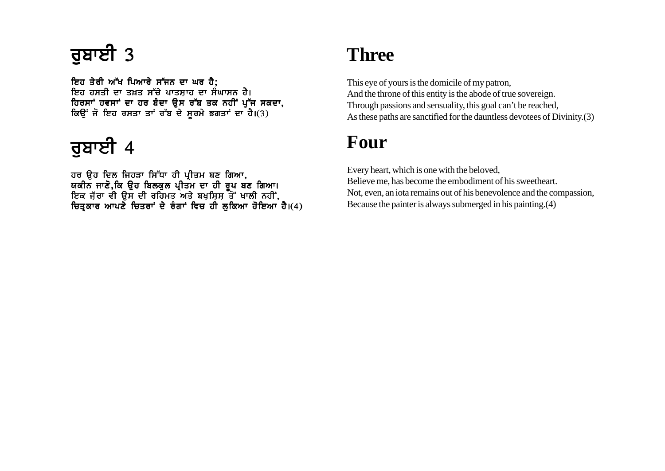## $772$  3

ਇਹ ਤੇਰੀ ਅੱਖ ਪਿਆਰੇ ਸੱਜਨ ਦਾ ਘਰ ਹੈ: ਇਹ ਹਸਤੀ ਦਾ ਤਖ਼ਤ ਸੱਚੇ ਪਾਤਸਾਹ ਦਾ ਸੰਘਾਸਨ ਹੈ। issed the contraction of the set of the set of the set of the set of the set of the set of the set of the set  $\sim$ ਕਿਉਂ ਜੋ ਇਹ ਰਸਤਾ ਤਾਂ ਰੱਬ ਦੇ ਸੂਰਮੇ ਭਗਤਾਂ ਦਾ ਹੈ।(3)

# ਰੁਬਾਈ 4

ਹਰ ੳਹ ਦਿਲ ਜਿਹੜਾ ਸਿੱਧਾ ਹੀ ਪੀਤਮ ਬਣ ਗਿਆ. ਯਕੀਨ ਜਾਣੋ.ਕਿ ੳਹ ਬਿਲਕਲ ਪੀਤਮ ਦਾ ਹੀ ਰਪ ਬਣ ਗਿਆ। ਇਕ ਜੱਰਾ ਵੀ ੳਸ ਦੀ ਰਹਿਮਤ ਅਤੇ ਬਖਸਿਸ ਤੋਂ ਖਾਲੀ ਨਹੀਂ. ਚਿਤਕਾਰ ਆਪਣੇ ਚਿਤਰਾਂ ਦੇ ਰੰਗਾਂ ਵਿਚ ਹੀ ਲਕਿਆ ਹੋਇਆ ਹੈ।(4)

## **Three**

This eye of yours is the domicile of my patron, And the throne of this entity is the abode of true sovereign. Through passions and sensuality, this goal can't be reached, As these paths are sanctified for the dauntless devotees of Divinity.(3)

#### **Four**

Every heart, which is one with the beloved, Believe me, has become the embodiment of his sweetheart. Not, even, an iota remains out of his benevolence and the compassion, Because the painter is always submerged in his painting.(4)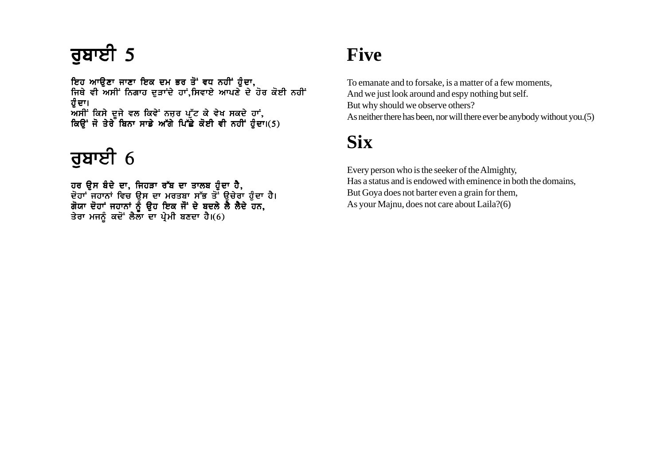ਇਹ ਆੳਣਾ ਜਾਣਾ ਇਕ ਦਮ ਭਰ ਤੋਂ ਵਧ ਨਹੀਂ ਹੰਦਾ. ਜਿਥੇ ਵੀ ਅਸੀਂ ਨਿਗਾਹ ਦੜਾਂਦੇ ਹਾਂ.ਸਿਵਾਏ ਆਪਣੇ ਦੇ ਹੋਰ ਕੋਈ ਨਹੀਂ ਹੰ ਦਾ। ਅਸੀਂ ਕਿਸੇ ਦਜੇ ਵਲ ਕਿਵੇਂ ਨਜਰ ਪੱਟ ਕੇ ਵੇਖ ਸਕਦੇ ਹਾਂ. ਕਿੳਂ ਜੋ ਤੇਰੇ ਬਿਨਾ ਸਾਡੇ ਅੱਗੇ ਪਿੱਛੇ ਕੋਈ ਵੀ ਨਹੀਂ ਹੰਦਾ।(5)

# ਰਬਾਈ  $6$

ਹਰ ੳਸ ਬੰਦੇ ਦਾ. ਜਿਹੜਾ ਰੱਬ ਦਾ ਤਾਲਬ ਹੰਦਾ ਹੈ. ਦੋਹਾਂ ਜਹਾਨਾਂ ਵਿਚ ੳਸ ਦਾ ਮਰਤਬਾ ਸੱਭ ਤੋਂ ੳਚੇਰਾ ਹੈਦਾ ਹੈ। ਗੋਯਾ ਦੋਹਾਂ ਜਹਾਨਾਂ ਨੰ ੳਹ ਇਕ ਜੋਂ ਦੇ ਬਦਲੇ ਲੈ ਲੈਦੇ ਹਨ. ਤੇਰਾ ਮਜਨੂੰ ਕਦੋਂ ਲੈਲਾ ਦਾ ਪ੍ਰੇਮੀ ਬਣਦਾ ਹੈ।(6)

## **Five**

To emanate and to forsake, is a matter of a few moments, And we just look around and espy nothing but self. But why should we observe others? As neither there has been, nor will there ever be anybody without you.(5)

## **Six**

Every person who is the seeker of the Almighty, Has a status and is endowed with eminence in both the domains, But Goya does not barter even a grain for them, As your Majnu, does not care about Laila?(6)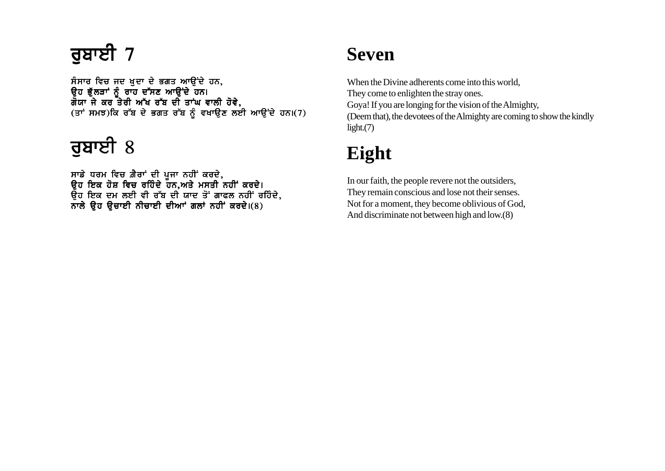## ਰੁਬਾਈ  $7$

ਸੰਸਾਰ ਵਿਚ ਜਦ ਖੁਦਾ ਦੇ ਭਗਤ ਆਉਂਦੇ ਹਨ, ੳਹ ਭੱਲੜਾਂ ਨੰ ਰਾਹ ਦੱਸਣ ਆੳਂਦੇ ਹਨ। ਗੋਯਾ ਜੇ ਕਰ ਤੇਰੀ ਅੱਖ ਰੱਬ ਦੀ ਤਾਂਘ ਵਾਲੀ ਹੋਵੇ.  $(\vec{a}^T, \vec{b})$ ਕ ਰੱਬ ਦੇ ਭਗਤ ਰੱਬ ਨੂੰ ਵਖਾਉਣ ਲਈ ਆਉਂਦੇ ਹਨ। $(7)$ 

# $\bar{a}$ ਬਾਈ 8

ਸਾਡੇ ਧਰਮ ਵਿਚ ਗ਼ੈਰਾਂ ਦੀ ਪਜਾ ਨਹੀਂ ਕਰਦੇ. ੳਹ ਇਕ ਹੋਸ਼ ਵਿਚ ਰਹਿੰਦੇ ਹਨ.ਅਤੇ ਮਸਤੀ ਨਹੀਂ ਕਰਦੇ। ਉਹ ਇਕ ਦਮ ਲਈ ਵੀ ਰੱਬ ਦੀ ਯਾਦ ਤੋਂ ਗਾਫਲ ਨਹੀਂ ਰਹਿੰਦੇ,  $\overline{a}$ ਾਲੇ ਉਹ ਉਚਾਈ ਨੀਚਾਈ ਦੀਆਂ ਗਲਾਂ ਨਹੀਂ ਕਰਦੇ।(8)

#### **Seven**

When the Divine adherents come into this world, They come to enlighten the stray ones. Goya! If you are longing for the vision of the Almighty, (Deem that), the devotees of the Almighty are coming to show the kindly light.(7)

## **Eight**

In our faith, the people revere not the outsiders, They remain conscious and lose not their senses. Not for a moment, they become oblivious of God, And discriminate not between high and low.(8)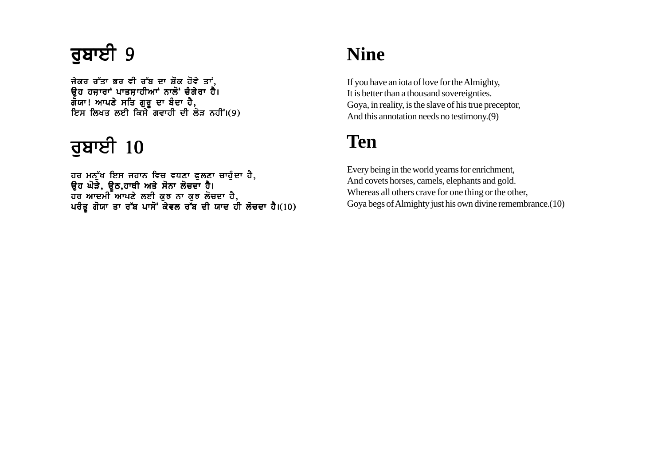## <u>ਰ</u>ਬਾਈ 9

ਜੇਕਰ ਰੱਤਾ ਭਰ ਵੀ ਰੱਬ ਦਾ ਸ਼ੌਕ ਹੋਵੇ ਤਾਂ, ਉਹ ਹਜ਼ਾਰਾਂ ਪਾਤਸ਼ਾਹੀਆਂ ਨਾਲੋਂ ਚੰਗੇਰਾ ਹੈ। ਗੌਯਾ! ਆਪਣੇ ਸਤਿ ਗੁਰੂ ਦਾ ਬੰਦਾ ਹੈ,  $\overline{E}$ ਸ ਲਿਖਤ ਲਈ ਕਿਸੇ ਗਵਾਹੀ ਦੀ ਲੋੜ ਨਹੀਂ।(9)

# ਰੁਬਾਈ  $10$

ਹਰ ਮਨੁੱਖ ਇਸ ਜਹਾਨ ਵਿਚ ਵਧਣਾ ਫੁਲਣਾ ਚਾਹੁੰਦਾ ਹੈ, ੳਹ ਘੋੜੇ. ੳਠ.ਹਾਥੀ ਅਤੇ ਸੋਨਾ ਲੋਚਦਾ ਹੈ। ਹਰ ਆਦਮੀ ਆਪਣੇ ਲਈ ਕਝ ਨਾ ਕਝ ਲੋਚਦਾ ਹੈ. ਪਰੰਤ ਗੋਯਾ ਤਾ ਰੱਬ ਪਾਸੋਂ ਕੇਵਲ ਰੱਬ ਦੀ ਯਾਦ ਹੀ ਲੋਚਦਾ ਹੈ।(10)

### **Nine**

If you have an iota of love for the Almighty, It is better than a thousand sovereignties. Goya, in reality, is the slave of his true preceptor, And this annotation needs no testimony.(9)

## **Ten**

Every being in the world yearns for enrichment, And covets horses, camels, elephants and gold. Whereas all others crave for one thing or the other, Goya begs of Almighty just his own divine remembrance.(10)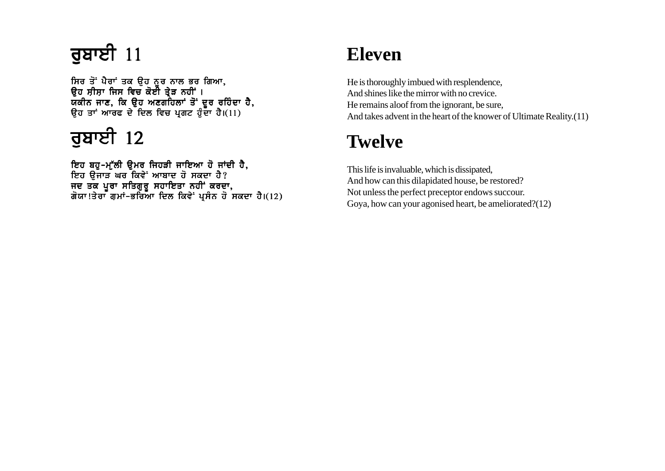ਸਿਰ ਤੋਂ ਪੈਰਾਂ ਤਕ ੳਹ ਨਰ ਨਾਲ ਭਰ ਗਿਆ. ੳਹ ਸੀਸਾ ਜਿਸ ਵਿਚ ਕੋਈ ਤੇੜ ਨਹੀਂ । ਯਕੀਨ ਜਾਣ. ਕਿ ੳਹ ਅਣਗਹਿਲਾਂ ਤੋਂ ਦਰ ਰਹਿੰਦਾ ਹੈ. ਉਹ ਤਾਂ ਆਰਫ ਦੇ ਦਿਲ ਵਿਚ ਪ੍ਰਗਟ ਹੁੰਦਾ ਹੈ। $(11)$ 

# ਰੁਬਾਈ  $12$

ਇਹ ਬਹ-ਮੱਲੀ ੳਮਰ ਜਿਹੜੀ ਜਾਇਆ ਹੋ ਜਾਂਦੀ ਹੈ. ਇਹ ੳਜਾੜ ਘਰ ਕਿਵੇ<sup>:</sup> ਆਬਾਦ ਹੋ ਸਕਦਾ ਹੈ? ਜਦ ਤਕ ਪਰਾ ਸਤਿਗਰ ਸਹਾਇਤਾ ਨਹੀਂ ਕਰਦਾ. ਗੋਯਾ!ਤੇਰਾ ਗਮਾਂ-ਭਰਿਆ ਦਿਲ ਕਿਵੇਂ ਪਸੰਨ ਹੋ ਸਕਦਾ ਹੈ।(12)

### **Eleven**

He is thoroughly imbued with resplendence, And shines like the mirror with no crevice. He remains aloof from the ignorant, be sure, And takes advent in the heart of the knower of Ultimate Reality.(11)

## **Twelve**

This life is invaluable, which is dissipated, And how can this dilapidated house, be restored? Not unless the perfect preceptor endows succour. Goya, how can your agonised heart, be ameliorated?(12)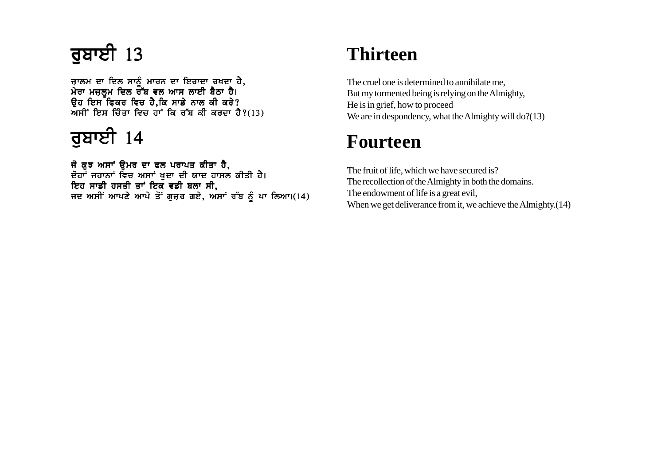ਜਾਲਮ ਦਾ ਦਿਲ ਸਾਨੰ ਮਾਰਨ ਦਾ ਇਰਾਦਾ ਰਖਦਾ ਹੈ. ਮੇਰਾ ਮਜਲਮ ਦਿਲ ਰੱਬ ਵਲ ਆਸ ਲਾਈ ਬੈਠਾ ਹੈ। ੳਹ ਇਸ ਫਿਕਰ ਵਿਚ ਹੈ.ਕਿ ਸਾਡੇ ਨਾਲ ਕੀ ਕਰੇ?  $\overline{M}$ ਸੀਂ ਇਸ ਚਿੰਤਾ ਵਿਚ ਹਾਂ ਕਿ ਰੱਬ ਕੀ ਕਰਦਾ ਹੈ?(13)

## ਰੁਬਾਈ  $14$

ਜੋ ਕੁਝ ਅਸਾਂ ਉਮਰ ਦਾ ਫਲ ਪਰਾਪਤ ਕੀਤਾ ਹੈ, ਦੋਹਾਂ ਜਹਾਨਾਂ ਵਿਚ ਅਸਾਂ ਖੁਦਾ ਦੀ ਯਾਦ ਹਾਸਲ ਕੀਤੀ ਹੈ। ਇਹ ਸਾਡੀ ਹਸਤੀ ਤਾਂ ਇਕ ਵਡੀ ਬਲਾ ਸੀ, ਜਦ ਅਸੀਂ ਆਪਣੇ ਆਪੇ ਤੋਂ ਗੁਜ਼ਰ ਗਏ, ਅਸਾਂ ਰੱਬ ਨੂੰ ਪਾ ਲਿਆ।(14)

## **Thirteen**

The cruel one is determined to annihilate me, But my tormented being is relying on the Almighty, He is in grief, how to proceed We are in despondency, what the Almighty will do?(13)

#### **Fourteen**

The fruit of life, which we have secured is? The recollection of the Almighty in both the domains. The endowment of life is a great evil, When we get deliverance from it, we achieve the Almighty.(14)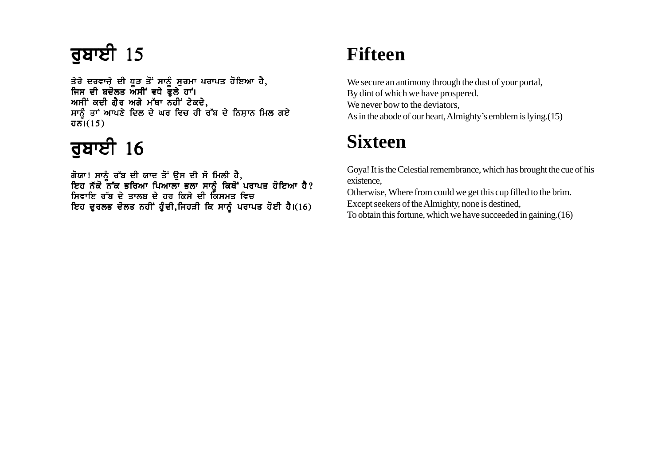ਤੇਰੇ ਦਰਵਾਜ਼ੇ ਦੀ ਧੂੜ ਤੋਂ ਸਾਨੂੰ ਸੁਰਮਾ ਪਰਾਪਤ ਹੋਇਆ ਹੈ, ਜਿਸ ਦੀ ਬਦੋਲਤ ਅਸੀਂ ਵਧੇ ਫੁਲੇ ਹਾਂ। ਅਸੀਂ ਕਦੀ ਗੈਰ ਅਗੇ ਮੱਥਾ ਨਹੀਂ ਟੇਕਦੇ, ਸਾਨੂੰ ਤਾਂ ਆਪਣੇ ਦਿਲ ਦੇ ਘਰ ਵਿਚ ਹੀ ਰੱਬ ਦੇ ਨਿਸ਼ਾਨ ਮਿਲ ਗਏ  $\overline{d}$  $\overline{b}$  $\overline{b}$  $\overline{b}$  $\overline{c}$  $\overline{c}$  $\overline{c}$  $\overline{c}$  $\overline{c}$  $\overline{c}$ 

# ਰਬਾਈ  $16$

ਗੋਯਾ! ਸਾਨੰ ਰੱਬ ਦੀ ਯਾਦ ਤੋਂ ੳਸ ਦੀ ਸੋ ਮਿਲੀ ਹੈ. ਇਹ ਨੱਕੋ ਨੱਕ ਭਰਿਆ ਪਿਆਲਾ ਭਲਾ ਸਾਨੰ ਕਿਥੋਂ ਪਰਾਪਤ ਹੋਇਆ ਹੈ? ਸਿਵਾਇ ਰੱਬ ਦੇ ਤਾਲਬ ਦੇ ਹਰ ਕਿਸੇ ਦੀ ਕਿਸਮਤ ਵਿਚ ਇਹ ਦੁਰਲਭ ਦੋਲਤ ਨਹੀਂ ਹੁੰਦੀ,ਜਿਹੜੀ ਕਿ ਸਾਨੂੰ ਪਰਾਪਤ ਹੋਈ ਹੈ।(16)

## **Fifteen**

We secure an antimony through the dust of your portal, By dint of which we have prospered. We never bow to the deviators. As in the abode of our heart, Almighty's emblem is lying.(15)

## **Sixteen**

Goya! It is the Celestial remembrance, which has brought the cue of his existence,

Otherwise, Where from could we get this cup filled to the brim. Except seekers of the Almighty, none is destined, To obtain this fortune, which we have succeeded in gaining.(16)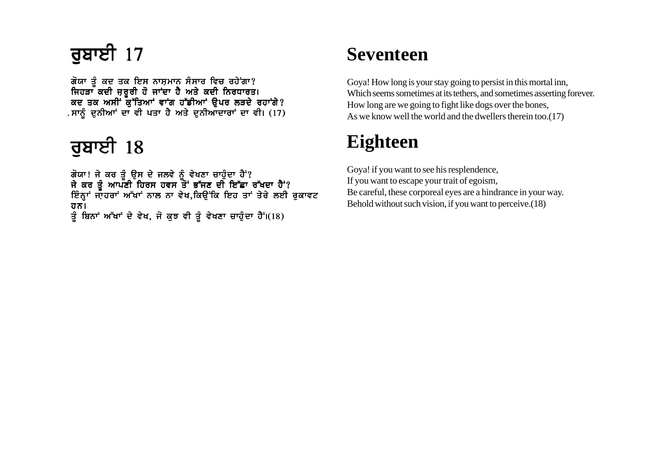## ਰੁਬਾਈ  $17$

ਗੋਯਾ ਤੰ ਕਦ ਤਕ ਇਸ ਨਾਸਮਾਨ ਸੰਸਾਰ ਵਿਚ ਰਹੇਂਗਾ? ਜਿਹੜਾ ਕਦੀ ਜਰਰੀ ਹੋ ਜਾਂਦਾ ਹੈ ਅਤੇ ਕਦੀ ਨਿਰਧਾਰਤ। ਕਦ ਤਕ ਅਸੀਂ ਕੱਤਿਆਂ ਵਾਂਗ ਹੱਡੀਆਂ ੳਪਰ ਲੜਦੇ ਰਹਾਂਗੇ? . ਸਾਨੂੰ ਦੁਨੀਆਂ ਦਾ ਵੀ ਪਤਾ ਹੈ ਅਤੇ ਦੁਨੀਆਦਾਰਾਂ ਦਾ ਵੀ। (17)

# <u>ਰੁ</u>ਬਾਈ  $18$

ਗੋਯਾ! ਜੇ ਕਰ ਤੰ ੳਸ ਦੇ ਜਲਵੇ ਨੰ ਵੇਖਣਾ ਚਾਹੰਦਾ ਹੈਂ? ਜੇ ਕਰ ਤੰ ਆਪਣੀ ਹਿਰਸ ਹਵਸ ਤੋਂ ਭੱਜਣ ਦੀ ਇੱਛਾ ਰੱਖਦਾ ਹੈਂ? ਇੰਨਾਂ ਜਾਹਰਾਂ ਅੱਖਾਂ ਨਾਲ ਨਾ ਵੇਖ.ਕਿੳਂਕਿ ਇਹ ਤਾਂ ਤੇਰੇ ਲਈ ਰਕਾਵਟ ਹਨ। ਤੂੰ ਬਿਨਾਂ ਅੱਖਾਂ ਦੇ ਵੇਖ, ਜੋ ਕੁਝ ਵੀ ਤੂੰ ਵੇਖਣਾ ਚਾਹੁੰਦਾ ਹੈ<sup>:</sup>।(18)

#### **Seventeen**

Goya! How long is your stay going to persist in this mortal inn, Which seems sometimes at its tethers, and sometimes asserting forever. How long are we going to fight like dogs over the bones, As we know well the world and the dwellers therein too.(17)

## **Eighteen**

Goya! if you want to see his resplendence, If you want to escape your trait of egoism, Be careful, these corporeal eyes are a hindrance in your way. Behold without such vision, if you want to perceive.(18)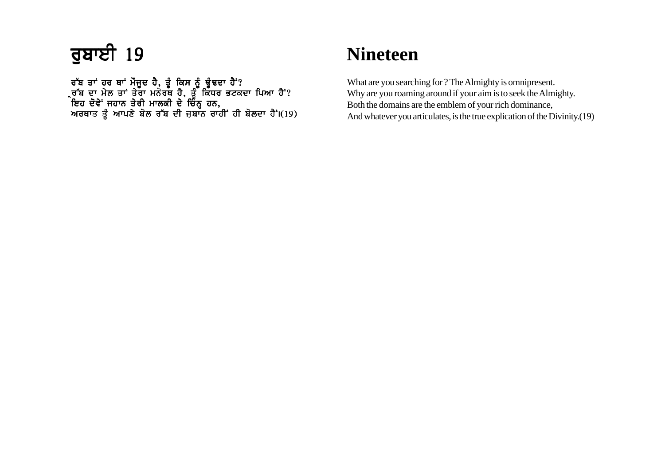## ਰੁਬਾਈ 19

ਰੱਬ ਤਾਂ ਹਰ ਥਾਂ ਮੌਜਦ ਹੈ. ਤੰ ਕਿਸ ਨੰ ਢੰਢਦਾ ਹੈਂ'? ਰੱਬ ਦਾ ਮੇਲ ਤਾਂ ਤੇਰਾ ਮਨੋਰਥ ਹੈ. ਤੌ ਕਿੱਧਰ ਭਟਕਦਾ ਪਿਆ ਹੈ<sup>:</sup>? ਇਹ ਦੋਵੇਂ ਜਹਾਨ ਤੇਰੀ ਮਾਲਕੀ ਦੇ ਚਿੰਨ ਹਨ. ਅਰਥਾਤ ਤੰ ਆਪਣੇ ਬੋਲ ਰੱਬ ਦੀ ਜਬਾਨ ਰਾਹੀਂ ਹੀ ਬੋਲਦਾ ਹੈਂ।(19)

#### **Nineteen**

What are you searching for ? The Almighty is omnipresent. Why are you roaming around if your aim is to seek the Almighty. Both the domains are the emblem of your rich dominance, And whatever you articulates, is the true explication of the Divinity.(19)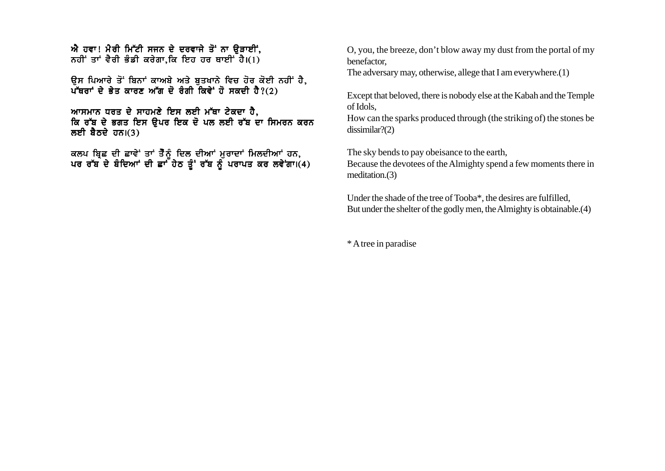$\vec{w}$  ਹਵਾ! ਮੈਰੀ ਮਿੱਟੀ ਸਜਨ ਦੇ ਦਰਵਾਜੇ ਤੋਂ ਨਾ ਉਤਾਈਂ. ਨਹੀਂ ਤਾਂ ਵੈਰੀ ਭੰਡੀ ਕਰੇਗਾ.ਕਿ ਇਹ ਹਰ ਥਾਈਂ ਹੈ। $(1)$ 

ਉਸ ਪਿਆਰੇ ਤੋਂ ਬਿਨਾਂ ਕਾਅਬੇ ਅਤੇ ਬਤਖਾਨੇ ਵਿਚ ਹੋਰ ਕੋਈ ਨਹੀਂ ਹੈ,  $\mu$ ੱਥਰਾਂ ਦੇ ਭੇਤ ਕਾਰਣ ਅੱਗ ਦੋ ਰੰਗੀ ਕਿਵੇਂ ਹੋ ਸਕਦੀ ਹੈ?(2)

ਆਸਮਾਨ ਧਰਤ ਦੇ ਸਾਹਮਣੇ ਇਸ ਲਈ ਮੱਥਾ ਟੇਕਦਾ ਹੈ, ਕਿ ਰੱਬ ਦੇ ਭਗਤ ਇਸ ੳਪਰ ਇਕ ਦੋ ਪਲ ਲਈ ਰੱਬ ਦਾ ਸਿਮਰਨ ਕਰਨ ਲਈ ਬੈਠਦੇ ਹਨ। $(3)$ 

ਕਲਪ ਬਿਛ ਦੀ ਛਾਵੇਂ ਤਾਂ ਤੈੈਨੰ ਦਿਲ ਦੀਆਂ ਮਰਾਦਾਂ ਮਿਲਦੀਆਂ ਹਨ. ਪਰ ਰੱਬ ਦੇ ਬੰਦਿਆਂ ਦੀ ਛਾਂ ਹੇਠ ਤੰ' ਰੱਬ ਨੰ ਪਰਾਪਤ ਕਰ ਲਵੇਂਗਾ।(4) O, you, the breeze, don't blow away my dust from the portal of my benefactor,

The adversary may, otherwise, allege that I am everywhere.(1)

Except that beloved, there is nobody else at the Kabah and the Temple of Idols,

How can the sparks produced through (the striking of) the stones be dissimilar?(2)

The sky bends to pay obeisance to the earth,

Because the devotees of the Almighty spend a few moments there in meditation.(3)

Under the shade of the tree of Tooba\*, the desires are fulfilled, But under the shelter of the godly men, the Almighty is obtainable.(4)

\* A tree in paradise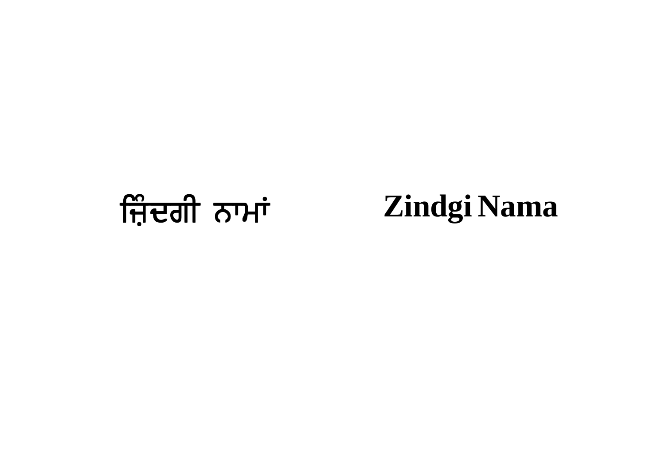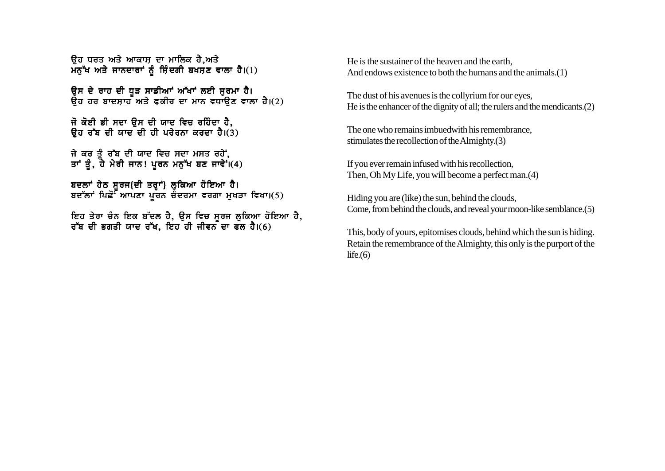<u>ਉਹ ਧਰਤ ਅਤੇ ਆਕਾਸ ਦਾ ਮਾਲਿਕ ਹੈ.ਅਤੇ</u> ਮਨੁੱਖ ਅਤੇ ਜਾਨਦਾਰਾਂ ਨੂੰ ਜ਼ਿੰਦਗੀ ਬਖਸ਼ਣ ਵਾਲਾ ਹੈ।(1)

ਉਸ ਦੇ ਰਾਹ ਦੀ ਧੁੜ ਸਾਡੀਆਂ ਅੱਖਾਂ ਲਈ ਸੂਰਮਾ ਹੈ। ਉਹ ਹਰ ਬਾਦਸਾਹ ਅਤੇ ਫਕੀਰ ਦਾ ਮਾਨ ਵਧਾਉਣ ਵਾਲਾ ਹੈ।(2)

ਜੋ ਕੋਈ ਭੀ ਸਦਾ ਉਸ ਦੀ ਯਾਦ ਵਿਚ ਰਹਿੰਦਾ ਹੈ, ਉਹ ਰੱਬ ਦੀ ਯਾਦ ਦੀ ਹੀ ਪਰੇਰਨਾ ਕਰਦਾ ਹੈ। $(3)$ 

ਜੇ ਕਰ ਤੂੰ ਰੱਬ ਦੀ ਯਾਦ ਵਿਚ ਸਦਾ ਮਸਤ ਰਹੇਂ,<br>ਤਾਂ ਤੂੰ, ਹੇ ਮੇਰੀ ਜਾਨ! ਪੁਰਨ ਮਨੁੱਖ ਬਣ ਜਾਵੇਂ।(4)

ਬਦਲਾਂ ਹੇਠ ਸੁਰਜ{ਦੀ ਤਰ੍ਹਾਂ} ਲੁਕਿਆ ਹੋਇਆ ਹੈ। ਬਦੱਲਾਂ ਪਿਛੋਂ ਆਪਣਾ ਪੂਰਨ ਚੰਦਰਮਾ ਵਰਗਾ ਮੁਖੜਾ ਵਿਖਾ।(5)

ਇਹ ਤੇਰਾ ਚੰਨ ਇਕ ਬੱਦਲ ਹੈ, ਉਸ ਵਿਚ ਸੁਰਜ ਲੁਕਿਆ ਹੋਇਆ ਹੈ, ਰੱਬ ਦੀ ਭਗਤੀ ਯਾਦ ਰੱਖ, ਇਹ ਹੀ ਜੀਵਨ ਦਾ ਫਲ ਹੈ।(6)

He is the sustainer of the heaven and the earth. And endows existence to both the humans and the animals.(1)

The dust of his avenues is the collyrium for our eyes, He is the enhancer of the dignity of all: the rulers and the mendicants. $(2)$ 

The one who remains imbued with his remembrance. stimulates the recollection of the Almighty. $(3)$ 

If you ever remain infused with his recollection, Then, Oh My Life, you will become a perfect man. (4)

Hiding you are (like) the sun, behind the clouds, Come, from behind the clouds, and reveal your moon-like semblance. (5)

This, body of yours, epitomises clouds, behind which the sun is hiding. Retain the remembrance of the Almighty, this only is the purport of the life. $(6)$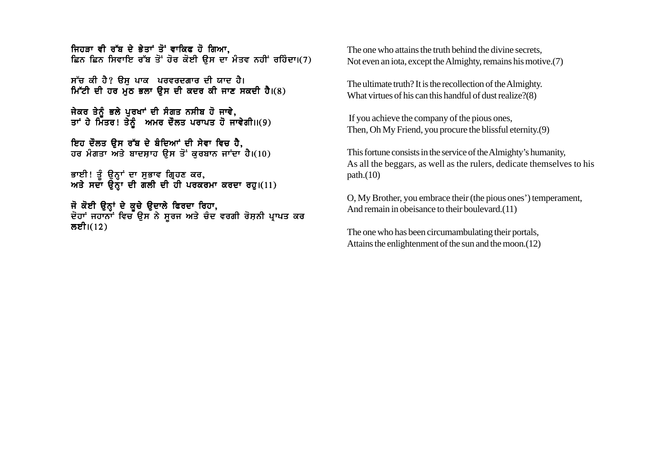ਜਿਹਤਾ ਵੀ ਰੱਬ ਦੇ ਭੇਤਾਂ ਤੋਂ ਵਾਕਿਫ ਹੋ ਗਿਆ. ਛਿਨ ਛਿਨ ਸਿਵਾਇ ਰੱਬ ਤੋਂ ਹੋਰ ਕੋਈ ੳਸ ਦਾ ਮੰਤਵ ਨਹੀਂ ਰਹਿੰਦਾ।(7)

ਸੱਚ ਕੀ ਹੈ? ਉਸ ਪਾਕ ਪਰਵਰਦਗਾਰ ਦੀ ਯਾਦ ਹੈ। <u>ਮਿੱਟੀ ਦੀ ਹਰ ਮੌਠ ਭਲਾ ਉਸ ਦੀ ਕਦਰ ਕੀ ਜਾਣ ਸਕਦੀ ਹੈ।(8)</u>

ਜੇਕਰ ਤੇਨੰ ਭਲੇ ਪਰਖਾਂ ਦੀ ਸੰਗਤ ਨਸੀਬ ਹੋ ਜਾਵੇ. ਤਾਂ ਹੇ ਮਿੱਤਰ! ਤੇਨੰ ਅਮਰ ਦੌਲਤ ਪਰਾਪਤ ਹੋ ਜਾਵੇਗੀ।।(9)

ਇਹ ਦੌਲਤ ਉਸ ਰੱਬ ਦੇ ਬੰਦਿਆਂ ਦੀ ਸੇਵਾ ਵਿਚ ਹੈ, ਹਰ ਮੰਗਤਾ ਅਤੇ ਬਾਦਸ਼ਾਹ ਉਸ ਤੋਂ ਕੁਰਬਾਨ ਜਾਂਦਾ ਹੈ।(10)

ਭਾਈ! ਤੂੰ ਉਨ੍ਹਾਂ ਦਾ ਸੁਭਾਵ ਗ੍ਰਿਹਣ ਕਰ, ਅਤੇ ਸਦਾ ਉਨਾ ਦੀ ਗੱਲੀ ਦੀ ਹੀ ਪਰਕਰਮਾ ਕਰਦਾ ਰਹ।(11)

ਜੋ ਕੋਈ ਉਨ੍ਹਾਂ ਦੇ ਕੂਚੇ ਉਦਾਲੇ ਫਿਰਦਾ ਰਿਹਾ, ਦੋਹਾਂ ਜਹਾਨਾਂ ਵਿਚ ਉਸ ਨੇ ਸੂਰਜ ਅਤੇ ਚੋਦ ਵਰਗੀ ਰੋਸ਼ਨੀ ਪ੍ਰਾਪਤ ਕਰ ਲਈ। $(12)$ 

The one who attains the truth behind the divine secrets, Not even an iota, except the Almighty, remains his motive.(7)

The ultimate truth? It is the recollection of the Almighty. What virtues of his can this handful of dust realize?(8)

 If you achieve the company of the pious ones, Then, Oh My Friend, you procure the blissful eternity.(9)

This fortune consists in the service of the Almighty's humanity, As all the beggars, as well as the rulers, dedicate themselves to his path. $(10)$ 

O, My Brother, you embrace their (the pious ones') temperament, And remain in obeisance to their boulevard.(11)

The one who has been circumambulating their portals, Attains the enlightenment of the sun and the moon.(12)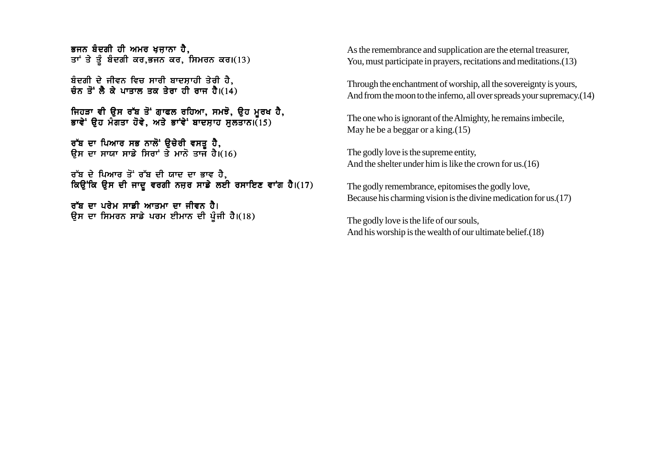ਭਜਨ ਬੰਦਗੀ ਹੀ ਅਮਰ ਖੁਜ਼ਾਨਾ ਹੈ. ਤਾਂ ਤੇ ਤੂੰ ਬੰਦਗੀ ਕਰ,ਭਜਨ ਕਰ, ਸਿਮਰਨ ਕਰ।(13)

ਬੰਦਗੀ ਦੇ ਜੀਵਨ ਵਿਚ ਸਾਰੀ ਬਾਦਸ਼ਾਹੀ ਤੇਰੀ ਹੈ, ਚੰਨ ਤੋਂ ਲੈ ਕੇ ਪਾਤਾਲ ਤਕ ਤੇਰਾ ਹੀ ਰਾਜ ਹੈ। $(14)$ 

ਜਿਹੜਾ ਵੀ ੳਸ ਰੱਬ ਤੋਂ ਗਾਫਲ ਰਹਿਆ, ਸਮਝੋ, ੳਹ ਮਰਖ ਹੈ, ਭਾਵੇ<sup>:</sup> ੳਹ ਮੰਗਤਾ ਹੋਵੇ, ਅਤੇ ਭਾਵੇ<sup>:</sup> ਬਾਦਸਾਹ ਸਲਤਾਨ।(15)

ਰੱਬ ਦਾ ਪਿਆਰ ਸਭ ਨਾਲੋਂ ੳਚੇਰੀ ਵਸਤ ਹੈ. ੳਸ ਦਾ ਸਾਯਾ ਸਾਡੇ ਸਿਰਾਂ ਤੇ ਮਾਨੋ ਤਾਜ ਹੈ।(16)

```
ਰੱਬ ਦੇ ਪਿਆਰ ਤੋਂ ਰੱਬ ਦੀ ਯਾਦ ਦਾ ਭਾਵ ਹੈ.
ਕਿਉਂਕਿ ਉਸ ਦੀ ਜਾਦੂ ਵਰਗੀ ਨਜ਼ਰ ਸਾਡੇ ਲਈ ਰਸਾਇਣ ਵਾਂਗ ਹੈ।(17)
```
ਰੱਬ ਦਾ ਪਰੇਮ ਸਾਡੀ ਆਤਮਾ ਦਾ ਜੀਵਨ ਹੈ। ਉਸ ਦਾ ਸਿਮਰਨ ਸਾਡੇ ਪਰਮ ਈਮਾਨ ਦੀ ਪੂੰਜੀ ਹੈ।(18) As the remembrance and supplication are the eternal treasurer, You, must participate in prayers, recitations and meditations.(13)

Through the enchantment of worship, all the sovereignty is yours, And from the moon to the inferno, all over spreads your supremacy.  $(14)$ 

The one who is ignorant of the Almighty, he remains imbecile, May he be a beggar or a king.(15)

The godly love is the supreme entity, And the shelter under him is like the crown for us.(16)

The godly remembrance, epitomises the godly love, Because his charming vision is the divine medication for us.(17)

The godly love is the life of our souls, And his worship is the wealth of our ultimate belief.(18)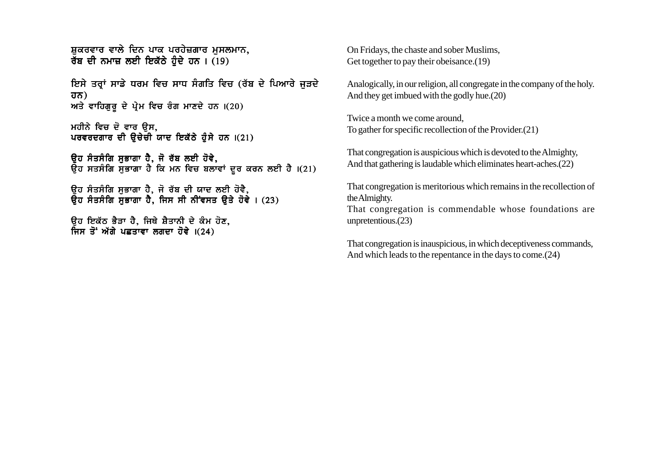ਸ਼ਕਰਵਾਰ ਵਾਲੇ ਦਿਨ ਪਾਕ ਪਰਹੇਜ਼ਗਾਰ ਮੁਸਲਮਾਨ, ਰੱਬ ਦੀ ਨਮਾਜ਼ ਲਈ ਇਕੱਠੇ ਹੰਦੇ ਹਨ। (19)

ਇਸੇ ਤਰਾਂ ਸਾਡੇ ਧਰਮ ਵਿਚ ਸਾਧ ਸੰਗਤਿ ਵਿਚ (ਰੱਬ ਦੇ ਪਿਆਰੇ ਜੜਦੇ ਹਨ) ਅਤੇ ਵਾਹਿਗੁਰੂ ਦੇ ਪ੍ਰੇਮ ਵਿਚ ਰੰਗ ਮਾਣਦੇ ਹਨ। $(20)$ 

ਮਹੀਨੇ ਵਿਚ ਦੋ ਵਾਰ ਉਸ, ਪਰਵਰਦਗਾਰ ਦੀ ਉਚੇਚੀ ਯਾਦ ਇਕੱਠੇ ਹੰਸੇ ਹਨ ।(21)

ਉਹ ਸੰਤਸੰਗਿ ਸੁਭਾਗਾ ਹੈ, ਜੋ ਰੱਬ ਲਈ ਹੋਵੇ, ਉਹ ਸਤਸੰਗਿ ਸੁਭਾਗਾ ਹੈ ਕਿ ਮਨ ਵਿਚ ਬਲਾਵਾਂ ਦੂਰ ਕਰਨ ਲਈ ਹੈ।(21)

ਉਹ ਸੰਤਸੰਗਿ ਸਭਾਗਾ ਹੈ, ਜੋ ਰੱਬ ਦੀ ਯਾਦ ਲਈ ਹੋਵੈ,  $\overline{a}$ ਹ ਸੰਤਸੰਗਿ ਸਭਾਗਾ ਹੈ, ਜਿਸ ਸੀ ਨੀਂਵਸਤ ੳਤੇ ਹੋਵੇ । (23)

ਓਹ ਇਕੱਠ ਭੈੜਾ ਹੈ, ਜਿਥੇ ਸ਼ੈਤਾਨੀ ਦੇ ਕੰਮ ਹੋਣ, ਜਿਸ ਤੋਂ ਅੱਗੇ ਪਛਤਾਵਾ ਲਗਦਾ ਹੋਵੇ ।(24)

On Fridays, the chaste and sober Muslims, Get together to pay their obeisance. (19)

Analogically, in our religion, all congregate in the company of the holy. And they get imbued with the godly hue.(20)

Twice a month we come around, To gather for specific recollection of the Provider.(21)

That congregation is auspicious which is devoted to the Almighty, And that gathering is laudable which eliminates heart-aches.(22)

That congregation is meritorious which remains in the recollection of the Almighty.

That congregation is commendable whose foundations are unpretentious.(23)

That congregation is inauspicious, in which deceptiveness commands, And which leads to the repentance in the days to come.(24)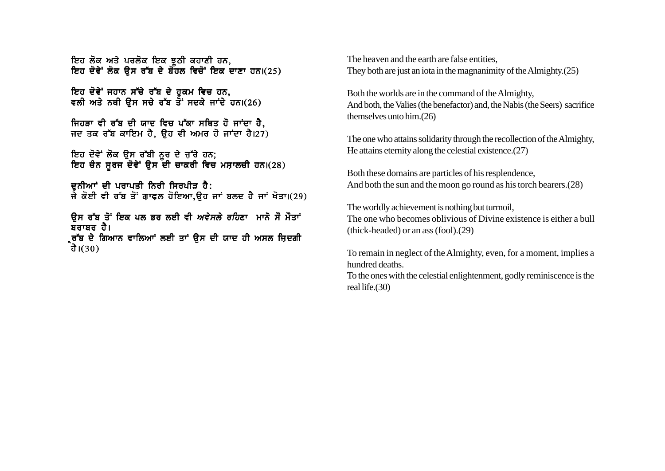ਇਹ ਲੋਕ ਅਤੇ ਪਰਲੋਕ ਇਕ ਝਠੀ ਕਹਾਣੀ ਹਨ. ਇਹ ਦੋਵੇਂ ਲੋਕ ੳਸ ਰੱਬ ਦੇ ਬੋਹਲ ਵਿਚੋਂ ਇਕ ਦਾਣਾ ਹਨ।(25)

ਇਹ ਦੋਵੇਂ ਜਹਾਨ ਸੱਚੇ ਰੱਬ ਦੇ ਹੁਕਮ ਵਿਚ ਹਨ, ਵਲੀ ਅਤੇ ਨਥੀ ੳਸ ਸਚੇ ਰੱਬ ਤੋਂ ਸਦਕੇ ਜਾਂਦੇ ਹਨ।(26)

ਜਿਹੜਾ ਵੀ ਰੱਬ ਦੀ ਯਾਦ ਵਿਚ ਪੱਕਾ ਸਥਿਤ ਹੋ ਜਾਂਦਾ ਹੈ. ਜਦ ਤਕ ਰੱਬ ਕਾਇਮ ਹੈ, ੳਹ ਵੀ ਅਮਰ ਹੋ ਜਾਂਦਾ ਹੈ।27)

ਇਹ ਦੋਵੇਂ ਲੋਕ ੳਸ ਰੱਬੀ ਨਰ ਦੇ ਜੱਰੇ ਹਨ: ਇਹ ਚੰਨ ਸੂਰਜ ਦੋਵੇਂ ਉਸ ਦੀ ਚਾਕਰੀ ਵਿਚ ਮਸ਼ਾਲਚੀ ਹਨ।(28)

ਦਨੀਆਂ ਦੀ ਪਰਾਪਤੀ ਨਿਰੀ ਸਿਰਪੀੜ ਹੈ: ਜੇ ਕੋਈ ਵੀ ਰੱਬ ਤੋਂ ਗਾਫਲ ਹੋਇਆ,ਉਹ ਜਾਂ ਬਲਦ ਹੈ ਜਾਂ ਖੋਤਾ।(29)

<u>ਉਸ ਰੱਬ ਤੋਂ ਇਕ ਪਲ ਭਰ ਲਈ ਵੀ *ਅਵੇਸਲੇ ਰਹਿ*ਣਾ ਮਾਨੋ ਸੌ ਮੌਤਾਂ</u> ਬਰਾਬਰ ਹੈ।

ੁਰੱਬ ਦੇ ਗਿਆਨ ਵਾਲਿਆਂ ਲਈ ਤਾਂ ੳਸ ਦੀ ਯਾਦ ਹੀ ਅਸਲ ਜ਼ਿਦਗੀ ਹੈ। $(30)$ 

The heaven and the earth are false entities, They both are just an iota in the magnanimity of the Almighty.(25)

Both the worlds are in the command of the Almighty, And both, the Valies (the benefactor) and, the Nabis (the Seers) sacrifice themselves unto him.(26)

The one who attains solidarity through the recollection of the Almighty, He attains eternity along the celestial existence.(27)

Both these domains are particles of his resplendence, And both the sun and the moon go round as his torch bearers.(28)

The worldly achievement is nothing but turmoil, The one who becomes oblivious of Divine existence is either a bull (thick-headed) or an ass (fool).(29)

To remain in neglect of the Almighty, even, for a moment, implies a hundred deaths.

To the ones with the celestial enlightenment, godly reminiscence is the real life.(30)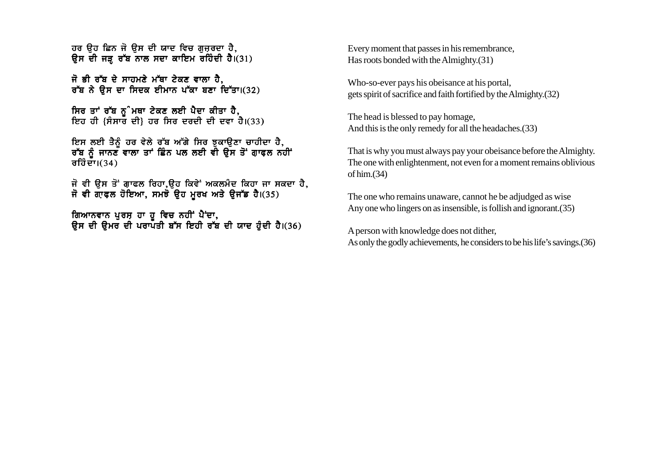ਹਰ ਉਹ ਛਿਨ ਜੋ ਉਸ ਦੀ ਯਾਦ ਵਿਚ ਗੁਜ਼ਰਦਾ ਹੈ, ਉਸ ਦੀ ਜੜ ਰੱਬ ਨਾਲ ਸਦਾ ਕਾਇਮ ਰਹਿੰਦੀ ਹੈ।(31)

ਜੋ ਭੀ ਰੱਬ ਦੇ ਸਾਹਮਣੇ ਮੱਥਾ ਟੇਕਣ ਵਾਲਾ ਹੈ. ਰੱਬ ਨੇ ਉਸ ਦਾ ਸਿਦਕ ਈਮਾਨ ਪੱਕਾ ਬਣਾ ਦਿੱਤਾ।(32)

ਸਿਰ ਤਾਂ ਰੱਬ ਨੂੰ ਮਥਾ ਟੇਕਣ ਲਈ ਪੈਦਾ ਕੀਤਾ ਹੈ, ਇਹ ਹੀ {ਸੰਸਾਰ ਦੀ} ਹਰ ਸਿਰ ਦਰਦੀ ਦੀ ਦਵਾ ਹੈ।(33)

ਇਸ ਲਈ ਤੈਨੂੰ ਹਰ ਵੇਲੇ ਰੱਬ ਅੱਗੇ ਸਿਰ ਝੁਕਾਉਣਾ ਚਾਹੀਦਾ ਹੈ,<br>ਰੱਬ ਨੂੰ ਜਾਨਣ ਵਾਲਾ ਤਾਂ ਛਿੰਨ ਪਲ ਲਈ ਵੀ ਉਸ ਤੋਂ ਗ਼ਾਫਲ ਨਹੀਂ ਰਹਿੰਦਾ। $(34)$ 

ਜੋ ਵੀ ਉਸ ਤੋਂ ਗਾਫਲ ਰਿਹਾ,ਉਹ ਕਿਵੇਂ ਅਕਲਮੰਦ ਕਿਹਾ ਜਾ ਸਕਦਾ ਹੈ,<br>ਜੋ ਵੀ ਗਾਫ਼ਲ ਹੋਇਆ, ਸਮਝੋ ਉਹ ਮੁਰਖ ਅਤੇ ਉਜੱਡ ਹੈ।(35)

ਗਿਆਨਵਾਨ ਪੁਰਸ਼ ਹਾ ਹੂ ਵਿਚ ਨਹੀਂ ਪੈਂਦਾ,<br>ਉਸ ਦੀ ਉਮਰ ਦੀ ਪਰਾਪਤੀ ਬੱਸ ਇਹੀ ਰੱਬ ਦੀ ਯਾਦ ਹੁੰਦੀ ਹੈ।(36)

Every moment that passes in his remembrance, Has roots bonded with the Almighty. (31)

Who-so-ever pays his obeisance at his portal. gets spirit of sacrifice and faith fortified by the Almighty. (32)

The head is blessed to pay homage, And this is the only remedy for all the headaches. (33)

That is why you must always pay your obeisance before the Almighty. The one with enlightenment, not even for a moment remains oblivious of him. $(34)$ 

The one who remains unaware, cannot he be adjudged as wise Any one who lingers on as insensible, is follish and ignorant. (35)

A person with knowledge does not dither, As only the godly achievements, he considers to be his life's savings. (36)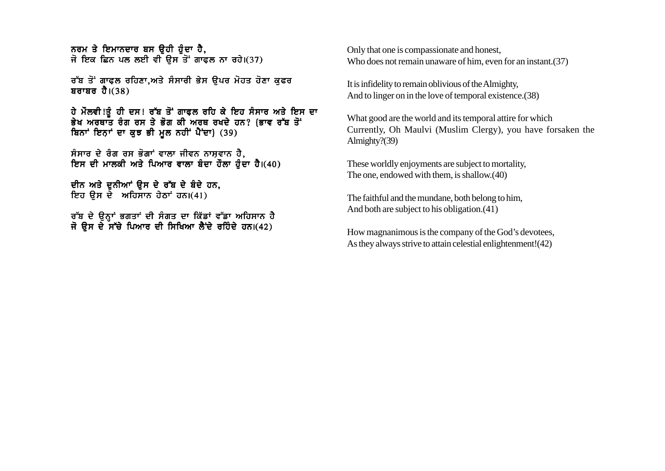ਨਰਮ ਤੇ ਇਮਾਨਦਾਰ ਬਸ ੳਹੀ ਹੋਦਾ ਹੈ. ਜੋ ਇਕ ਛਿਨ ਪਲ ਲਈ ਵੀ ਉਸ ਤੋਂ ਗਾਫਲ ਨਾ ਰਹੇ।(37)

ਰੱਬ ਤੋਂ ਗਾਫਲ ਰਹਿਣਾ.ਅਤੇ ਸੰਸਾਰੀ ਭੇਸ ੳਪਰ ਮੋਹਤ ਹੋਣਾ ਕਫਰ ਬਰਾਬਰ ਹੈ। $(38)$ 

ਹੇ ਮੌਲਵੀ!ਤੂੰ ਹੀ ਦਸ! ਰੱਬ ਤੋਂ ਗਾਫ਼ਲ ਰਹਿ ਕੇ ਇਹ ਸੰਸਾਰ ਅਤੇ ਇਸ ਦਾ ਭੇਖ ਅਰਥਾਤ ਰੰਗ ਰਸ ਤੇ ਭੋਗ ਕੀ ਅਰਥ ਰਖਦੇ ਹਨ? {ਭਾਵ ਰੱਬ ਤੋਂ ਬਿਨਾਂ ਇਨਾਂ ਦਾ ਕੁਝ ਭੀ ਮਲ ਨਹੀਂ ਪੈਂਦਾ} (39)

ਸੰਸਾਰ ਦੇ ਰੰਗ ਰਸ ਭੋਗਾਂ ਵਾਲਾ ਜੀਵਨ ਨਾਸ਼ਵਾਨ ਹੈ, ਇਸ ਦੀ ਮਾਲਕੀ ਅਤੇ ਪਿਆਰ ਵਾਲਾ ਬੰਦਾ ਹੌਲਾ ਹੰਦਾ ਹੈ।(40)

ਦੀਨ ਅਤੇ ਦੁਨੀਆਂ ਉਸ ਦੇ ਰੱਬ ਦੇ ਬੰਦੇ ਹਨ. ਇਹ ਉਸ ਦੇ ਅਹਿਸਾਨ ਹੇਠਾਂ ਹਨ।(41)

ਰੱਬ ਦੇ ਉਨ੍ਹਾਂ ਭਗਤਾਂ ਦੀ ਸੰਗਤ ਦਾ ਕਿੱਡਾਂ ਵੱਡਾ ਅਹਿਸਾਨ ਹੈ ਜੋ ਉਸ ਦੇ ਸੱਚੇ ਪਿਆਰ ਦੀ ਸਿਖਿਆ ਲੈਂਦੇ ਰਹਿੰਦੇ ਹਨ।(42)

Only that one is compassionate and honest, Who does not remain unaware of him, even for an instant.(37)

It is infidelity to remain oblivious of the Almighty, And to linger on in the love of temporal existence.(38)

What good are the world and its temporal attire for which Currently, Oh Maulvi (Muslim Clergy), you have forsaken the Almighty?(39)

These worldly enjoyments are subject to mortality, The one, endowed with them, is shallow.(40)

The faithful and the mundane, both belong to him, And both are subject to his obligation.(41)

How magnanimous is the company of the God's devotees, As they always strive to attain celestial enlightenment! (42)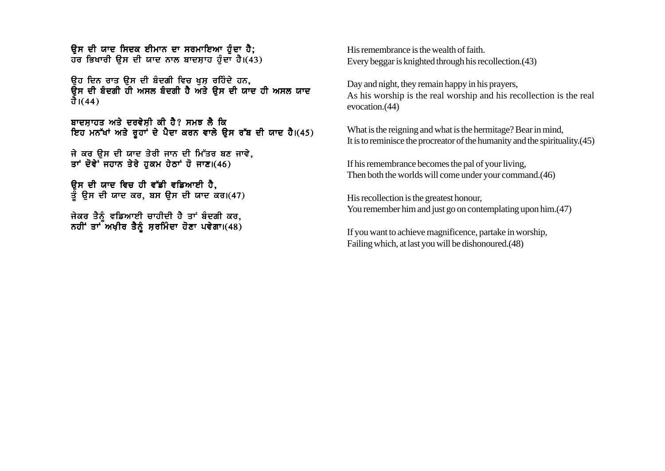<u>ਉਸ ਦੀ ਯਾਦ ਸਿਦਕ ਈਮਾਨ ਦਾ ਸਰਮਾਇਆ ਹੈਦਾ ਹੈ:</u>  $\overline{d}$ ਰ ਭਿਖਾਰੀ ੳਸ ਦੀ ਯਾਦ ਨਾਲ ਬਾਦਸ਼ਾਹ ਹੰਦਾ ਹੈ।(43)

ਉਹ ਦਿਨ ਰਾਤ ਉਸ ਦੀ ਬੰਦਗੀ ਵਿਚ ਖਸ਼ ਰਹਿੰਦੇ ਹਨ, ਉਸ ਦੀ ਬੰਦਗੀ ਹੀ ਅਸਲ ਬੰਦਗੀ ਹੈ ਅਤੇ ਉਸ ਦੀ ਯਾਦ ਹੀ ਅਸਲ ਯਾਦ ਹੈ। $(44)$ 

ਬਾਦਸਾਹਤ ਅਤੇ ਦਰਵੇਸ਼ੀ ਕੀ ਹੈ? ਸਮਝ ਲੈ ਕਿ ਇਹ ਮਨੱਖਾਂ ਅਤੇ ਰੂਹਾਂ ਦੇ ਪੈਦਾ ਕਰਨ ਵਾਲੇ ਉਸ ਰੱਬ ਦੀ ਯਾਦ ਹੈ।(45)

ਜੇ ਕਰ ਉਸ ਦੀ ਯਾਦ ਤੇਰੀ ਜਾਨ ਦੀ ਮਿੱਤਰ ਬਣ ਜਾਵੇ, ਤਾਂ ਦੋਵੇ<sup>:</sup> ਜਹਾਨ ਤੇਰੇ ਹਕਮ ਹੇਠਾਂ ਹੋ ਜਾਣ।(46)

<u>ਉਸ ਦੀ ਯਾਦ ਵਿਚ ਹੀ ਵੱਡੀ ਵਡਿਆਈ ਹੈ.</u> ਤੰ ੳਸ ਦੀ ਯਾਦ ਕਰ, ਬਸ ੳਸ ਦੀ ਯਾਦ ਕਰ।(47)

ਜੇਕਰ ਤੈਨੰ ਵਡਿਆਈ ਚਾਹੀਦੀ ਹੈ ਤਾਂ ਬੰਦਗੀ ਕਰ, ਨਹੀਂ ਤਾਂ ਅਖ਼ੀਰ ਤੈਨੂੰ ਸਰਮਿੰਦਾ ਹੋਣਾ ਪਵੇਗਾ। $(48)$  His remembrance is the wealth of faith. Every beggar is knighted through his recollection.(43)

Day and night, they remain happy in his prayers, As his worship is the real worship and his recollection is the real evocation.(44)

What is the reigning and what is the hermitage? Bear in mind, It is to reminisce the procreator of the humanity and the spirituality.(45)

If his remembrance becomes the pal of your living, Then both the worlds will come under your command.(46)

His recollection is the greatest honour, You remember him and just go on contemplating upon him. (47)

If you want to achieve magnificence, partake in worship, Failing which, at last you will be dishonoured.(48)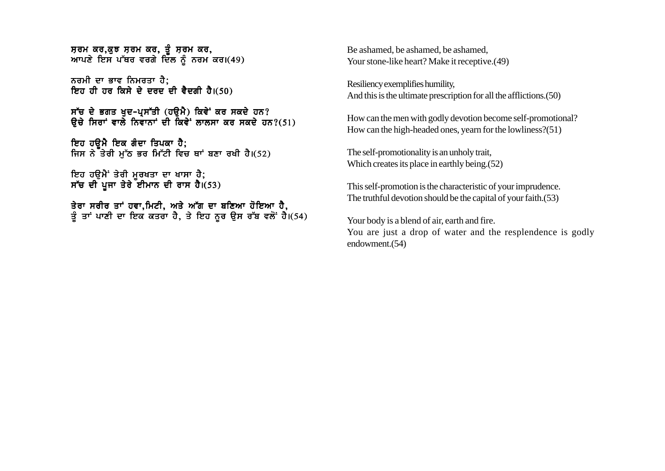ਸਰਮ ਕਰ.ਕਝ ਸਰਮ ਕਰ. ਤੰਸਰਮ ਕਰ. ਆਪਣੇ ਇਸ ਪੱਥਰ ਵਰਗੇ ਦਿੱਲ ਨੰ ਨਰਮ ਕਰ।(49)

ਨਰਮੀ ਦਾ ਭਾਵ ਨਿਮਰਤਾ ਹੈ; ਇਹ ਹੀ ਹਰ ਕਿਸੇ ਦੇ ਦਰਦ<sup>ੰ</sup>ਦੀ ਵੈਦਗੀ ਹੈ।(50)

ਸੱਚ ਦੇ ਭਗਤ ਖੁਦ-ਪ੍ਰਸੱਤੀ (ਹਉਮੈ) ਕਿਵੇਂ ਕਰ ਸਕਦੇ ਹਨ?  $\theta$ ਚੇ ਸਿਰਾਂ ਵਾਲੇ ਨਿਵਾਨਾਂ ਦੀ ਕਿਵੇਂ ਲਾਲਸਾ ਕਰ ਸਕਦੇ ਹਨ?(51)

ਇਹ ਹੳਮੈ ਇਕ ਗੰਦਾ ਤਿਪਕਾ ਹੈ; ਜਿਸ ਨੇ ਤੇਰੀ ਮੁੱਠ ਭਰ ਮਿੱਟੀ ਵਿਚ ਥਾਂ ਬਣਾ ਰਖੀ ਹੈ।(52)

ਇਹ ਹੳਮੈਂ ਤੇਰੀ ਮਰਖਤਾ ਦਾ ਖਾਸਾ ਹੈ: ਸੱਚ ਦੀ ਪਜਾ ਤੇਰੇ ਈਮਾਨ ਦੀ ਰਾਸ ਹੈ।(53)

ਤੇਰਾ ਸਰੀਰ ਤਾਂ ਹਵਾ.ਮਿਟੀ. ਅਤੇ ਅੱਗ ਦਾ ਬਣਿਆ ਹੋਇਆ ਹੈ. ਤੰ ਤਾਂ ਪਾਣੀ ਦਾ ਇਕ ਕਤਰਾ ਹੈ. ਤੇ ਇਹ ਨਰ ੳਸ ਰੱਬ ਵਲੋਂ ਹੈ।(54) Be ashamed, be ashamed, be ashamed, Your stone-like heart? Make it receptive.(49)

Resiliency exemplifies humility, And this is the ultimate prescription for all the afflictions.(50)

How can the men with godly devotion become self-promotional? How can the high-headed ones, yearn for the lowliness?(51)

The self-promotionality is an unholy trait, Which creates its place in earthly being.(52)

This self-promotion is the characteristic of your imprudence. The truthful devotion should be the capital of your faith.(53)

Your body is a blend of air, earth and fire. You are just a drop of water and the resplendence is godly endowment.(54)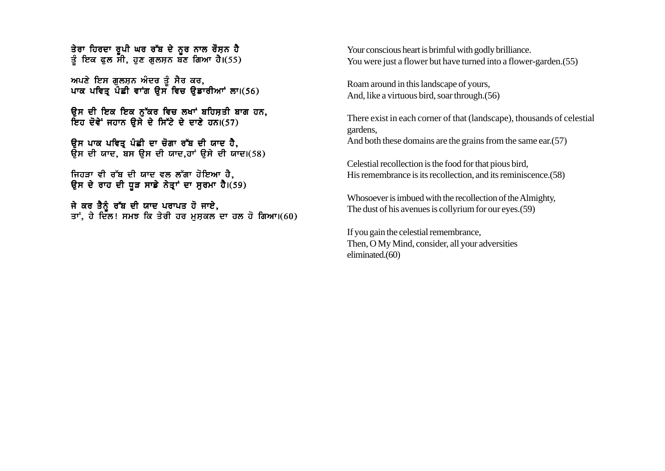ਤੇਰਾ ਹਿਰਦਾ ਰਪੀ ਘਰ ਰੱਬ ਦੇ ਨਰ ਨਾਲ ਰੌਸਨ ਹੈ ਤੰ ਇਕ ਫਲ ਸੀ. ਹਣ ਗਲਸਨ ਬਣ ਗਿਆ ਹੈ।(55)

ਅਪਣੇ ਇਸ ਗਲਸਨ ਅੰਦਰ ਤੰ ਸੈਰ ਕਰ, ਪਾਕ ਪਵਿਤ ਪੌਛੀ ਵਾਂਗ ਉਸ ਵਿਚ ਉਡਾਰੀਆਂ ਲਾ।(56)

ਉਸ ਦੀ ਇਕ ਇਕ ਨੱਕਰ ਵਿਚ ਲਖਾਂ ਬਹਿਸਤੀ ਬਾਗ ਹਨ, ਇਹ ਦੋਵੇਂ ਜਹਾਨ ਉਸੇ ਦੇ ਸਿੱਟੇ ਦੇ ਦਾਣੇ ਹਨ।(57)

ਉਸ ਪਾਕ ਪਵਿਤ ਪੰਛੀ ਦਾ ਚੋਗਾ ਰੱਬ ਦੀ ਯਾਦ ਹੈ**.**  $\overline{B}$ ਸ ਦੀ ਯਾਦ. ਬਸ ੳਸ ਦੀ ਯਾਦ.ਹਾਂ ੳਸੇ ਦੀ ਯਾਦ।(58)

ਜਿਹੜਾ ਵੀ ਰੱਬ ਦੀ ਯਾਦ ਵਲ ਲੱਗਾ ਹੋਇਆ ਹੈ. ਉਸ ਦੇ ਰਾਹ ਦੀ ਧੁੜ ਸਾਡੇ ਨੇਤਾਂ ਦਾ ਸੂਰਮਾ ਹੈ।(59)

ਜੇ ਕਰ ਤੈਨੰ ਰੱਬ ਦੀ ਯਾਦ ਪਰਾਪਤ ਹੋ ਜਾਏ. ਤਾਂ. ਹੇ ਦਿੱਲ! ਸਮਝ ਕਿ ਤੇਰੀ ਹਰ ਮਸਕਲ ਦਾ ਹਲ ਹੋ ਗਿਆ।(60) Your conscious heart is brimful with godly brilliance. You were just a flower but have turned into a flower-garden.(55)

Roam around in this landscape of yours, And, like a virtuous bird, soar through.(56)

There exist in each corner of that (landscape), thousands of celestial gardens, And both these domains are the grains from the same ear.(57)

Celestial recollection is the food for that pious bird, His remembrance is its recollection, and its reminiscence.(58)

Whosoever is imbued with the recollection of the Almighty, The dust of his avenues is collyrium for our eyes.(59)

If you gain the celestial remembrance, Then, O My Mind, consider, all your adversities eliminated.(60)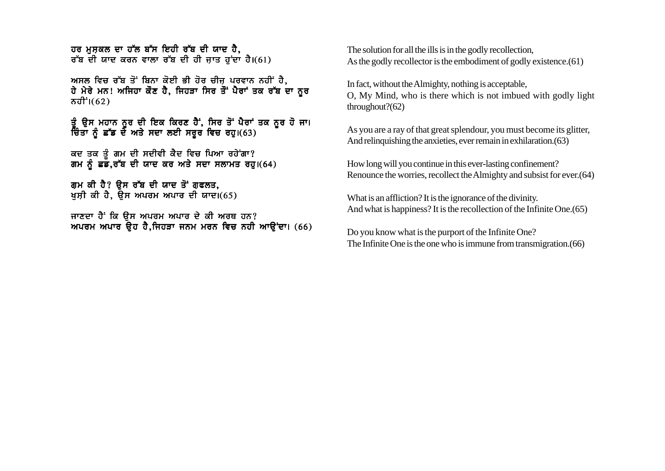ਹਰ ਮਸ਼ਕਲ ਦਾ ਹੱਲ ਬੱਸ ਇਹੀ ਰੱਬ ਦੀ ਯਾਦ ਹੈ. ਰੱਬ ਦੀ ਯਾਦ ਕਰਨ ਵਾਲਾ ਰੱਬ ਦੀ ਹੀ ਜਾਤ ਹਾਂਦਾ ਹੈ।(61)

ਅਸਲ ਵਿਚ ਰੱਬ ਤੋਂ ਬਿਨਾ ਕੋਈ ਭੀ ਹੋਰ ਚੀਜ ਪਰਵਾਨ ਨਹੀਂ ਹੈ. ਹੇ ਮੇਰੇ ਮਨ! ਅਜਿਹਾ ਕੌਣ ਹੈ, ਜਿਹੜਾ ਸਿਰ ਤੌਂ ਪੈਰਾਂ ਤਕ ਰੱਬ ਦਾ ਨੂਰ  $\pi$ ਹੀ $^{\dagger}$ i $(62)$ 

ਤੂੰ ਉਸ ਮਹਾਨ ਨੂਰ ਦੀ ਇਕ ਕਿਰਣ ਹੈਂ, ਸਿਰ ਤੋਂ ਪੈਰਾਂ ਤਕ ਨੂਰ ਹੋ ਜਾ।<br>ਚਿੰਤਾ ਨੂੰ ਛੱਡ ਦੇ ਅਤੇ ਸਦਾ ਲਈ ਸਰੂਰ ਵਿਚ ਰਹੂ।(63)

ਕਦ ਤਕ ਤੂੰ ਗਮ ਦੀ ਸਦੀਵੀ ਕੈਦ ਵਿਚ ਪਿਆ ਰਹੇਂਗਾ?<br>ਗਮ ਨੂੰ ਛਡ,ਰੱਬ ਦੀ ਯਾਦ ਕਰ ਅਤੇ ਸਦਾ ਸਲਾਮਤ ਰਹੁ।(64)

ਗਮ ਕੀ ਹੈ? ਉਸ ਰੱਬ ਦੀ ਯਾਦ ਤੋਂ ਗਫਲਤ, ਖਸ਼ੀ ਕੀ ਹੈ, ਉਸ ਅਪਰਮ ਅਪਾਰ ਦੀ ਯਾਦ।(65)

ਜਾਣਦਾ ਹੈਂ ਕਿ ਉਸ ਅਪਰਮ ਅਪਾਰ ਦੇ ਕੀ ਅਰਥ ਹਨ? ਅਪਰਮ ਅਪਾਰ ਉਹ ਹੈ,ਜਿਹੜਾ ਜਨਮ ਮਰਨ ਵਿਚ ਨਹੀ ਆਉਂਦਾ। (66) The solution for all the ills is in the godly recollection. As the godly recollector is the embodiment of godly existence. (61)

In fact, without the Almighty, nothing is acceptable, O, My Mind, who is there which is not imbued with godly light throughout?(62)

As you are a ray of that great splendour, you must become its glitter, And relinquishing the anxieties, ever remain in exhilaration. (63)

How long will you continue in this ever-lasting confinement? Renounce the worries, recollect the Almighty and subsist for ever. (64)

What is an affliction? It is the ignorance of the divinity. And what is happiness? It is the recollection of the Infinite One. (65)

Do you know what is the purport of the Infinite One? The Infinite One is the one who is immune from transmigration. (66)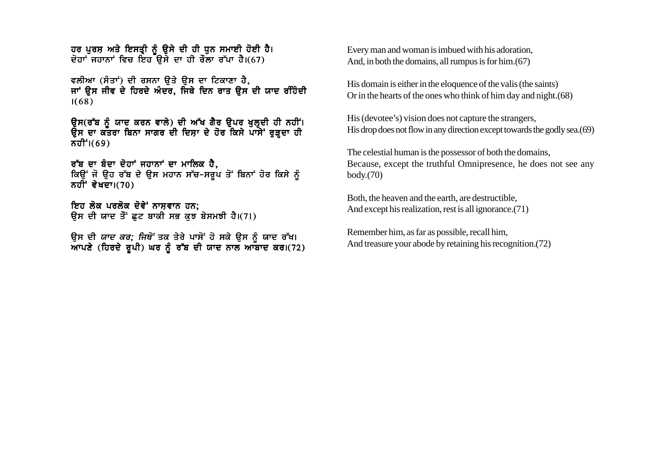ਹਰ ਪੂਰਸ਼ ਅਤੇ ਇਸਤ੍ਰੀ ਨੂੰ ਉਸੇ ਦੀ ਹੀ ਧੂਨ ਸਮਾਈ ਹੋਈ ਹੈ। ਦੋਹਾਂ ਜਹਾਨਾਂ ਵਿਚ ਇਹ ਉਸੇ ਦਾ ਹੀ ਰੌਲਾ ਰੱਪਾ ਹੈ।(67)

ਵਲੀਆ (ਸੰਤਾਂ) ਦੀ ਰਸਨਾ ਉਤੇ ਉਸ ਦਾ ਟਿਕਾਣਾ ਹੈ. ਜਾਂ ੳਸ ਜੀਵ ਦੇ ਹਿਰਦੇ ਅੰਦਰ. ਜਿਥੇ ਦਿਨ ਰਾਤ ੳਸ ਦੀ ਯਾਦ ਰੰਹਿੰਦੀ  $1(68)$ 

ਉਸ(ਰੱਬ ਨੂੰ ਯਾਦ ਕਰਨ ਵਾਲੇ) ਦੀ ਅੱਖ ਗੈਰ ਉਪਰ ਖੁਲ੍ਹਦੀ ਹੀ ਨਹੀਂ।<br>ਉਸ ਦਾ ਕਤਰਾ ਬਿਨਾ ਸਾਗਰ ਦੀ ਦਿਸ਼ਾ ਦੇ ਹੋਰ ਕਿਸੇ ਪਾਸੇਂ ਰੁੜ੍ਹਦਾ ਹੀ ਨਹੀਂ 1(69)

ਰੱਬ ਦਾ ਬੰਦਾ ਦੋਹਾਂ ਜਹਾਨਾਂ ਦਾ ਮਾਲਿਕ ਹੈ. ਕਿਉਂ ਜੋ ਉਹ ਰੱਬ ਦੇ ਉਸ ਮਹਾਨ ਸੱਚ-ਸਰੂਪ ਤੋਂ ਬਿਨਾਂ ਹੋਰ ਕਿਸੇ ਨੂੰ ਨਹੀ<sup>:</sup> ਵੇਖਦਾ। $(70)$ 

ਇਹ ਲੋਕ ਪਰਲੋਕ ਦੋਵੇਂ ਨਾਸਵਾਨ ਹਨ: ਉਸ ਦੀ ਯਾਦ ਤੋਂ ਛਟ ਬਾਕੀ ਸਭ ਕਝ ਬੇਸਮਝੀ ਹੈ।(71)

ਉਸ ਦੀ *ਯਾਦ ਕਰ; ਜਿਥੋਂ* ਤਕ ਤੇਰੇ ਪਾਸੋਂ ਹੋ ਸਕੇ ਉਸ ਨੂੰ ਯਾਦ ਰੱਖ।<br>ਆਪਣੇ (ਹਿਰਦੇ ਰੂਪੀ) ਘਰ ਨੂੰ ਰੱਬ ਦੀ ਯਾਦ ਨਾਲ ਆਬਾਦ ਕਰ।(72)

Every man and woman is imbued with his adoration. And, in both the domains, all rumpus is for him. (67)

His domain is either in the eloquence of the valis (the saints) Or in the hearts of the ones who think of him day and night. (68)

His (devotee's) vision does not capture the strangers, His drop does not flow in any direction except towards the godly sea. (69)

The celestial human is the possessor of both the domains, Because, except the truthful Omnipresence, he does not see any  $body.(70)$ 

Both, the heaven and the earth, are destructible. And except his realization, rest is all ignorance. (71)

Remember him, as far as possible, recall him, And treasure your abode by retaining his recognition. (72)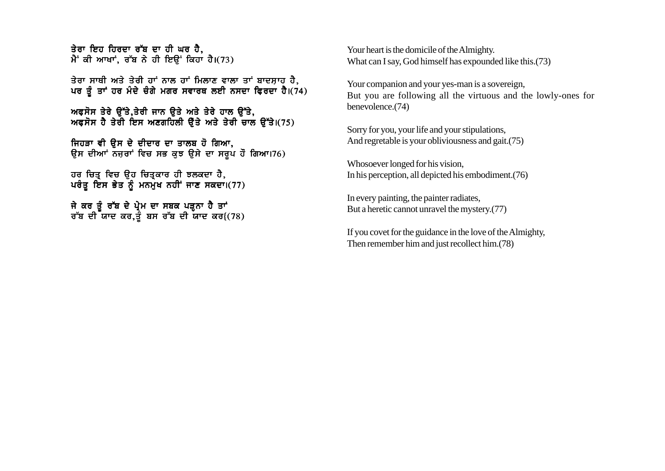ਤੇਰਾ ਇਹ ਹਿਰਦਾ ਰੱਬ ਦਾ ਹੀ ਘਰ ਹੈ. ਮੈਂ ਕੀ ਆਖਾਂ, ਰੱਬ ਨੇ ਹੀ ਇੳਂ ਕਿਹਾ ਹੈ।(73)

ਤੇਰਾ ਸਾਥੀ ਅਤੇ ਤੇਰੀ ਹਾਂ ਨਾਲ ਹਾਂ ਮਿਲਾਣ ਵਾਲਾ ਤਾਂ ਬਾਦਸਾਹ ਹੈ. ਪਰ ਤੂੰ ਤਾਂ ਹਰ ਮੰਦੇ ਚੰਗੇ ਮਗਰ ਸਵਾਰਥ ਲਈ ਨਸਦਾ ਫ਼ਿਰਦਾ ਹੈ।(74)

ਅਫਸੋਸ ਤੇਰੇ ਉੱਤੇ,ਤੇਰੀ ਜਾਨ ਉਤੇ ਅਤੇ ਤੇਰੇ ਹਾਲ ਉੱਤੇ,  $m$ ਫਸੋਸ ਹੈ ਤੇਰੀ ਇਸ ਅਣਗਹਿਲੀ ਉੱਤੇ ਅਤੇ ਤੇਰੀ ਚਾਲ ਉੱਤੇ।(75)

ਜਿਹੜਾ ਵੀ ੳਸ ਦੇ ਦੀਦਾਰ ਦਾ ਤਾਲਬ ਹੋ ਗਿਆ, ਉਸ ਦੀਆਂ ਨਜ਼ਰਾਂ ਵਿਚ ਸਭ ਕੁਝ ਉਸੇ ਦਾ ਸਰੁਪ ਹੌ ਗਿਆ।76)

ਹਰ ਚਿਤ੍ਰ ਵਿਚ ਉਹ ਚਿਤ੍ਰਕਾਰ ਹੀ ਝਲਕਦਾ ਹੈ,  $\nu$ ਰੰਤ ਇਸ ਭੇਤ ਨੂੰ ਮਨਮੇਖ ਨਹੀਂ ਜਾਣ ਸਕਦਾ।(77)

ਜੇ ਕਰ ਤੂੰ ਰੱਬ ਦੇ ਪ੍ਰੇਮ ਦਾ ਸਬਕ ਪੜ੍ਹਨਾ ਹੈ ਤਾਂ ਰੱਬ ਦੀ ਯਾਦ ਕਰ,ਤੂੰ ਬਸ ਰੱਬ ਦੀ ਯਾਦ ਕਰ $(78)$ 

Your heart is the domicile of the Almighty. What can I say, God himself has expounded like this.(73)

Your companion and your yes-man is a sovereign, But you are following all the virtuous and the lowly-ones for benevolence.(74)

Sorry for you, your life and your stipulations, And regretable is your obliviousness and gait.(75)

Whosoever longed for his vision, In his perception, all depicted his embodiment.(76)

In every painting, the painter radiates, But a heretic cannot unravel the mystery.(77)

If you covet for the guidance in the love of the Almighty, Then remember him and just recollect him.(78)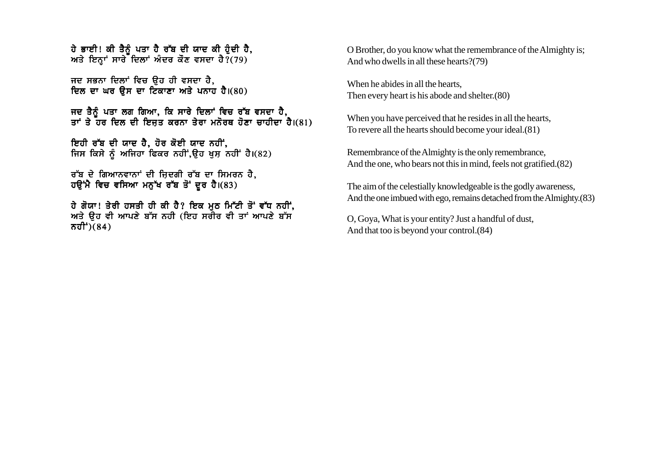ਹੇ ਭਾਈ! ਕੀ ਤੈਨੰ ਪਤਾ ਹੈ ਰੱਬ ਦੀ ਯਾਦ ਕੀ ਹੋਦੀ ਹੈ. ਅਤੇ ਇਨ੍ਹਾਂ ਸਾਰੇ ਦਿਲਾਂ ਅੰਦਰ ਕੌਣ ਵਸਦਾ ਹੈ? (79)

ਜਦ ਸਭਨਾ ਦਿਲਾਂ ਵਿਚ ਉਹ ਹੀ ਵਸਦਾ ਹੈ. ਦਿਲ ਦਾ ਘਰ ਉਸ ਦਾ ਟਿਕਾਣਾ ਅਤੇ ਪਨਾਹ ਹੈ।(80)

ਜਦ ਤੈਨੂੰ ਪਤਾ ਲਗ ਗਿਆ, ਕਿ ਸਾਰੇ ਦਿਲਾਂ ਵਿਚ ਰੱਬ ਵਸਦਾ ਹੈ, ਤਾਂ ਤੇ ਹਰ ਦਿਲ ਦੀ ਇਜ਼ਤ ਕਰਨਾ ਤੇਰਾ ਮਨੋਰਥ ਹੋਣਾ ਚਾਹੀਦਾ ਹੈ।(81)

ਇਹੀ ਰੱਬ ਦੀ ਯਾਦ ਹੈ, ਹੋਰ ਕੋਈ ਯਾਦ ਨਹੀਂ, ਜਿਸ ਕਿਸੇ ਨੂੰ ਅਜਿਹਾ ਫਿਕਰ ਨਹੀਂ ਉਹ ਖੁਸ਼ ਨਹੀਂ ਹੈ।(82)

ਰੱਬ ਦੇ ਗਿਆਨਵਾਨਾਂ ਦੀ ਜ਼ਿਦਗੀ ਰੱਬ ਦਾ ਸਿਮਰਨ ਹੈ, ਹੳਂਮੈ ਵਿਚ ਵਸਿਆ ਮਨੱਖ ਰੱਬ ਤੋਂ ਦਰ ਹੈ।(83)

ਹੇ ਗੋਯਾ! ਤੇਰੀ ਹਸਤੀ ਹੀ ਕੀ ਹੈ? ਇਕ ਮੂਠ ਮਿੱਟੀ ਤੋਂ ਵੱਧ ਨਹੀਂ, ਅਤੇ ਉਹ ਵੀ ਆਪਣੇ ਬੱਸ ਨਹੀ (ਇਹ ਸਰੀਰ ਵੀ ਤਾਂ ਆਪਣੇ ਬੱਸ ਨਹੀ<sup>÷</sup>)(84)

O Brother, do you know what the remembrance of the Almighty is: And who dwells in all these hearts?(79)

When he abides in all the hearts. Then every heart is his abode and shelter. (80)

When you have perceived that he resides in all the hearts, To revere all the hearts should become your ideal. (81)

Remembrance of the Almighty is the only remembrance, And the one, who bears not this in mind, feels not gratified. (82)

The aim of the celestially knowledgeable is the godly awareness, And the one imbued with ego, remains detached from the Almighty. (83)

O, Goya, What is your entity? Just a handful of dust, And that too is beyond your control. (84)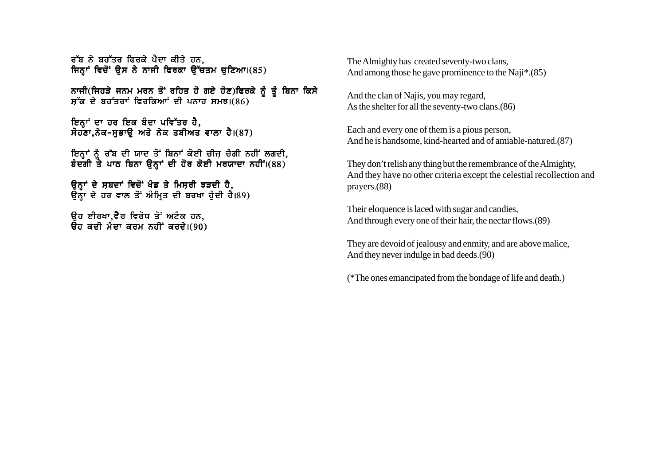ਰੱਬ ਨੇ ਬਹੱਤਰ ਫਿਰਕੇ ਪੈਦਾ ਕੀਤੇ ਹਨ. ਜਿਨ੍ਹਾਂ ਵਿਚੋਂ ਉਸ ਨੇ ਨਾਜੀ ਫਿਰਕਾ ਉੱਚਤਮ ਚੁਣਿਆ।(85)

ਨਾਜੀ(ਜਿਹੜੇ ਜਨਮ ਮਰਨ ਤੋਂ ਰਹਿਤ ਹੋ ਗਏ ਹੋਣ)ਫਿਰਕੇ ਨੂੰ ਤੂੰ ਬਿਨਾ ਕਿਸੇ  $\overline{a}$   $\overline{b}$  ਬਹੁੱਤਰਾਂ ਫਿਰਕਿਆਂ ਦੀ ਪਨਾਹ ਸਮਝ।(86)

ਇਨ੍ਹਾਂ ਦਾ ਹਰ ਇਕ ਬੰਦਾ ਪਵਿੱਤਰ ਹੈ,  $\vec{B}$ ਹੁਣਾ.ਨੇਕ-ਸਭਾੳ ਅਤੇ ਨੇਕ ਤਬੀਅਤ ਵਾਲਾ ਹੈ।(87)

ਇਨਾਂ ਨੰ ਰੱਬ ਦੀ ਯਾਦ ਤੋਂ ਬਿਨਾਂ ਕੋਈ ਚੀਜ ਚੰਗੀ ਨਹੀਂ ਲਗਦੀ**.** ਬੰਦਗੀ ਤੇ ਪਾਠ ਬਿਨਾ ੳਨਾਂ ਦੀ ਹੋਰ ਕੋਈ ਮਰਯਾਦਾ ਨਹੀਂ।(88)

ਉਨ੍ਹਾਂ ਦੇ ਸ਼ਬਦਾਂ ਵਿਚੋਂ ਖੰਡ ਤੇ ਮਿਸਰੀ ਝੜਦੀ ਹੈ,  $\overline{6}$ ਨ੍ਹਾ ਦੇ ਹਰ ਵਾਲ ਤੋਂ ਅੰਮ੍ਰਿਤ ਦੀ ਬਰਖਾ ਹੰਦੀ ਹੈ।89)

ਉਹ ਈਰਖਾ.ਵੈਰ ਵਿਰੋਧ ਤੋਂ ਅਟੰਕ ਹਨ.  $\overline{a}$ ਰ ਕਦੀ ਮੰਦਾ ਕਰਮ ਨਹੀਂ ਕਰਦੇ। $(90)$  The Almighty has created seventy-two clans, And among those he gave prominence to the Naji\*.(85)

And the clan of Najis, you may regard, As the shelter for all the seventy-two clans.(86)

Each and every one of them is a pious person, And he is handsome, kind-hearted and of amiable-natured.(87)

They don't relish any thing but the remembrance of the Almighty, And they have no other criteria except the celestial recollection and prayers.(88)

Their eloquence is laced with sugar and candies, And through every one of their hair, the nectar flows.(89)

They are devoid of jealousy and enmity, and are above malice, And they never indulge in bad deeds.(90)

(\*The ones emancipated from the bondage of life and death.)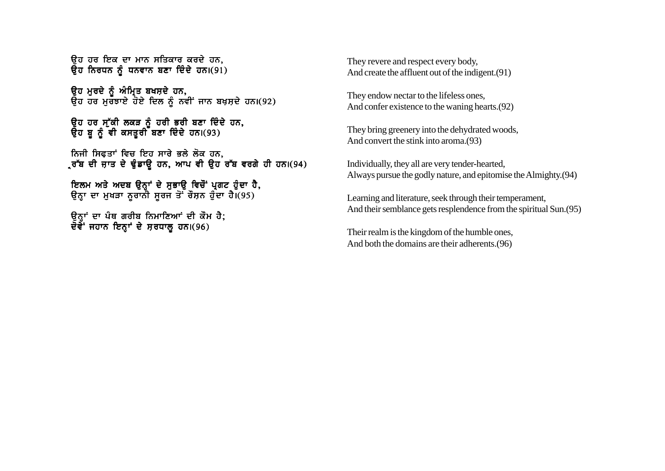<u>ਿਚ ਹਰ ਇਕ ਦਾ ਮਾਨ ਸਤਿਕਾਰ ਕਰਦੇ ਹਨ.</u> ਉਹ ਨਿਰਧਨ ਨੂੰ ਧਨਵਾਨ ਬਣਾ ਦਿੰਦੇ ਹਨ। $(91)$ 

ਉਹ ਮੁਰਦੇ ਨੂੰ ਅੰਮ੍ਰਿਤ ਬਖਸ਼ਦੇ ਹਨ. ਉਹ ਹਰ ਮੁਰਤਾਏ ਹੋਏ ਦਿਲ ਨੂੰ ਨਵੀਂ ਜਾਨ ਬਖ਼ਸ਼ਦੇ ਹਨ।(92)

ੳਹ ਹਰ ਸੱਕੀ ਲਕੜ ਨੰ ਹਰੀ ਭਰੀ ਬਣਾ ਦਿੰਦੇ ਹਨ**.** ੳਹ ਬ ਨੂੰ ਵੀ ਕਸਤਰੀ ਬਣਾ ਦਿੰਦੇ ਹਨ।(93)

ਨਿਜੀ ਸਿਫਤਾਂ ਵਿਚ ਇਹ ਸਾਰੇ ਭਲੇ ਲੋਕ ਹਨ, ੍ਰਰੱਬ ਦੀ ਜਾਤ ਦੇ ਢੁੰਡਾਉ ਹਨ, ਆਪ ਵੀ ਉਹ ਰੱਬ ਵਰਗੇ ਹੀ ਹਨ।(94)

ਇਲਮ ਅਤੇ ਅਦਬ ੳਨਾਂ ਦੇ ਸਭਾੳ ਵਿਚੌਂ ਪਗਟ ਹੰਦਾ ਹੈ. ੳਨਾ ਦਾ ਮਖੜਾ ਨਰਾਨੀ ਸਰਜ ਤੋਂ ਰੌਸਨ ਹੰਦਾ ਹੈ।(95)

ਓਨਾਂ ਦਾ ਪੰਥ ਗਰੀਬ ਨਿਮਾਣਿਆਂ ਦੀ ਕੌਮ ਹੈ**:** ਦੋਵੇਂ ਜਹਾਨ ਇਨਾਂ ਦੇ ਸਰਧਾਲ ਹਨ।(96)

They revere and respect every body, And create the affluent out of the indigent.(91)

They endow nectar to the lifeless ones, And confer existence to the waning hearts.(92)

They bring greenery into the dehydrated woods, And convert the stink into aroma.(93)

Individually, they all are very tender-hearted, Always pursue the godly nature, and epitomise the Almighty.(94)

Learning and literature, seek through their temperament, And their semblance gets resplendence from the spiritual Sun.(95)

Their realm is the kingdom of the humble ones, And both the domains are their adherents.(96)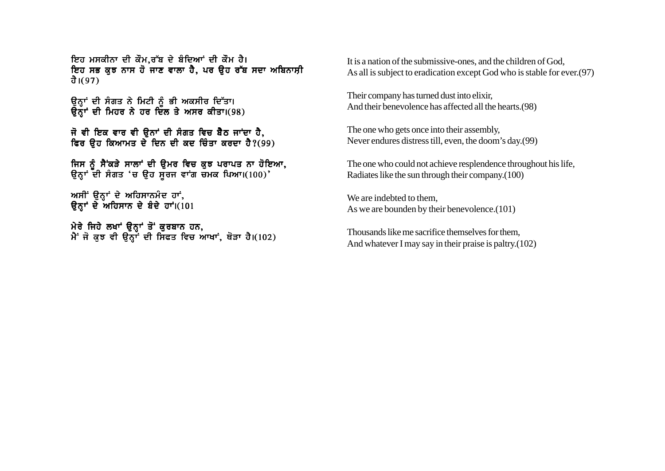ਇਹ ਮਸਕੀਨਾ ਦੀ ਕੌਮ,ਰੱਬ ਦੇ ਬੰਦਿਆਂ ਦੀ ਕੌਮ ਹੈ। ਇਹ ਸਭ ਕੁਝ ਨਾਸ ਹੋ ਜਾਣ ਵਾਲਾ ਹੈ. ਪਰ ਉਹ ਰੱਬ ਸਦਾ ਅਬਿਨਾਸੀ ਹੈ।(97)

ਉਨ੍ਹਾਂ ਦੀ ਸੰਗਤ ਨੇ ਮਿਟੀ ਨੂੰ ਭੀ ਅਕਸੀਰ ਦਿੱਤਾ। ਉਨ੍ਹਾਂ ਦੀ ਮਿਹਰ ਨੇ ਹਰ ਦਿੱਲ ਤੇ ਅਸਰ ਕੀਤਾ।(98)

ਜੋ ਵੀ ਇਕ ਵਾਰ ਵੀ ਉਨਾਂ ਦੀ ਸੰਗਤ ਵਿਚ ਬੈਠ ਜਾਂਦਾ ਹੈ, ਵਿਰ ਉਹ ਕਿਆਮਤ ਦੇ ਦਿਨ ਦੀ ਕਦ ਚਿੰਤਾ ਕਰਦਾ ਹੈ?(99)

ਜਿਸ ਨੂੰ ਸੈਂਕੜੇ ਸਾਲਾਂ ਦੀ ਉਮਰ ਵਿਚ ਕੁਝ ਪਰਾਪਤ ਨਾ ਹੋਇਆ, ਉਨ੍ਹਾਂ ਦੀ ਸੰਗਤ 'ਚ ਉਹ ਸੁਰਜ ਵਾਂਗ ਚਮਕ ਪਿਆ।(100)'

ਅਸੀਂ ਉਨ੍ਹਾਂ ਦੇ ਅਹਿਸਾਨਮੰਦ ਹਾਂ, ਉਨ੍ਹਾਂ ਦੇ ਅਹਿਸਾਨ ਦੇ ਬੰਦੇ ਹਾਂ। $(101$ 

ਮੇਰੇ ਜਿਹੇ ਲਖਾਂ ਉਨ੍ਹਾਂ ਤੋਂ ਕੁਰਬਾਨ ਹਨ, ਮੈਂ ਜੋ ਕੁਝ ਵੀ ਉਨ੍ਹਾਂ ਦੀ ਸਿਫਤ ਵਿਚ ਆਖਾਂ, ਥੋੜਾ ਹੈ।(102) It is a nation of the submissive-ones, and the children of God, As all is subject to eradication except God who is stable for ever.(97)

Their company has turned dust into elixir, And their benevolence has affected all the hearts.(98)

The one who gets once into their assembly, Never endures distress till, even, the doom's day.(99)

The one who could not achieve resplendence throughout his life, Radiates like the sun through their company.(100)

We are indebted to them. As we are bounden by their benevolence.(101)

Thousands like me sacrifice themselves for them, And whatever I may say in their praise is paltry.(102)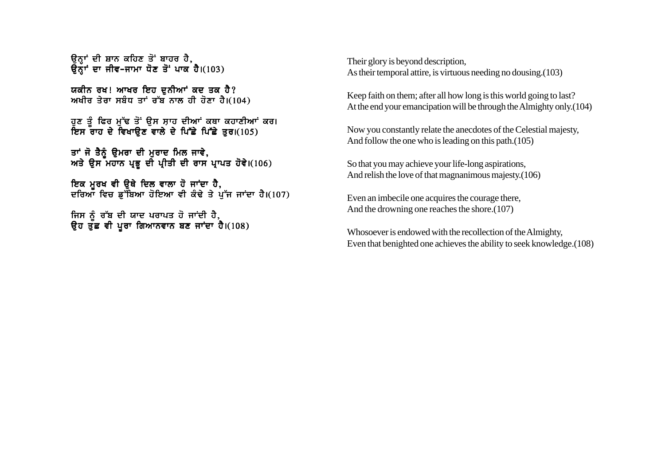ਉਨ੍ਹਾਂ ਦੀ ਸ਼ਾਨ ਕਹਿਣ ਤੋਂ ਬਾਹਰ ਹੈ,  $\overline{3}$ ਨੌਾਂ ਦਾ ਜੀਵ-ਜਾਮਾ ਧੋਣ ਤੋਂ ਪਾਕ ਹੈ। $(103)$ 

ਯਕੀਨ ਰਖ! ਆਖਰ ਇਹ ਦਨੀਆਂ ਕਦ ਤਕ ਹੈ? ਅਖੀਰ ਤੇਰਾ ਸਬੰਧ ਤਾਂ ਰੱਬ ਨਾਲ ਹੀ ਹੋਣਾ ਹੈ। $(104)$ 

ਹੁਣ ਤੂੰ ਫਿਰ ਮੁੱਢ ਤੋਂ ਉਸ ਸ਼ਾਹ ਦੀਆਂ ਕਥਾ ਕਹਾਣੀਆਂ ਕਰ। ਇਸ ਰਾਹ ਦੇ ਵਿਖਾਉਣ ਵਾਲੇ ਦੇ ਪਿੱਛੇ ਪਿੱਛੇ ਤੁਰ।(105)

ਤਾਂ ਜੋ ਤੈਨੂੰ ਉਮਰਾ ਦੀ ਮੁਰਾਦ ਮਿਲ ਜਾਵੇ, ਅਤੇ ਉਸ ਮਹਾਨ ਪ੍ਰਭੂ ਦੀ ਪ੍ਰੀਤੀ ਦੀ ਰਾਸ ਪ੍ਰਾਪਤ ਹੋਵੇ।(106)

ਇਕ ਮੁਰਖ ਵੀ ਉਥੇ ਦਿਲ ਵਾਲਾ ਹੋ ਜਾਂਦਾ ਹੈ, ਦਰਿਆ ਵਿਚ ਡ<sup>ਜ਼</sup>ਬਿਆ ਹੋਇਆ ਵੀ ਕੰਢੇ ਤੇ ਪੱਜ ਜਾਂਦਾ ਹੈ।(107)

ਜਿਸ ਨੰ ਰੱਬ ਦੀ ਯਾਦ ਪਰਾਪਤ ਹੋ ਜਾਂਦੀ ਹੈ. ੳਹ ਤੱਛ ਵੀ ਪਰਾ ਗਿਆਨਵਾਨ ਬਣ ਜਾਂਦਾ ਹੈ।(108) Their glory is beyond description, As their temporal attire, is virtuous needing no dousing.(103)

Keep faith on them; after all how long is this world going to last? At the end your emancipation will be through the Almighty only.(104)

Now you constantly relate the anecdotes of the Celestial majesty, And follow the one who is leading on this path.(105)

So that you may achieve your life-long aspirations, And relish the love of that magnanimous majesty.(106)

Even an imbecile one acquires the courage there, And the drowning one reaches the shore.(107)

Whosoever is endowed with the recollection of the Almighty, Even that benighted one achieves the ability to seek knowledge.(108)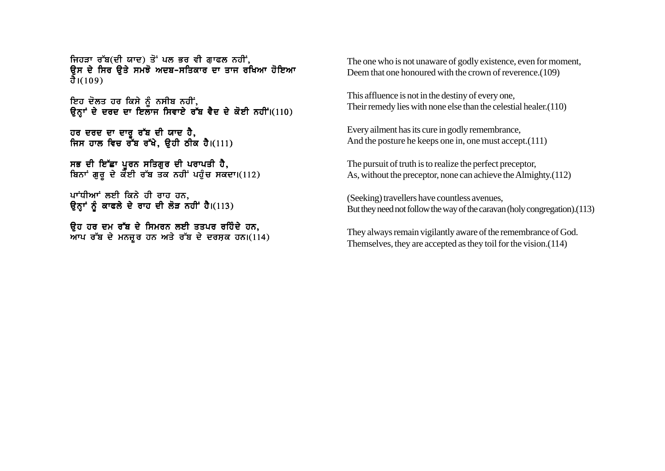ਜਿਹੜਾ ਰੱਬ(ਦੀ ਯਾਦ) ਤੋ<sup>:</sup> ਪਲ ਭਰ ਵੀ ਗਾਫਲ ਨਹੀਂ, <u>ਉਸ ਦੇ ਸਿਰ ਉਤੇ ਸਮਝੋ ਅਦਬ-ਸਤਿਕਾਰ ਦਾ ਤਾਜ ਰਖਿਆ ਹੋਇਆ</u> ਹੈ। $(109)$ 

ਇਹ ਦੋਲਤ ਹਰ ਕਿਸੇ ਨੂੰ ਨਸੀਬ ਨਹੀਂ. ੳਨਾਂ ਦੇ ਦਰਦ ਦਾ ਇਲਾਜ ਸਿਵਾਏ ਰੱਬ ਵੈਦ ਦੇ ਕੋਈ ਨਹੀਂ।(110)

ਹਰ ਦਰਦ ਦਾ ਦਾਰੂ ਰੱਬ ਦੀ ਯਾਦ ਹੈ, ਜਿਸ ਹਾਲ ਵਿਚ ਰੱਬ ਰੱਖੇ, ਉਹੀ ਠੀਕ ਹੈ।(111)

ਸਭ ਦੀ ਇੱਛਾ ਪਰਨ ਸਤਿਗਰ ਦੀ ਪਰਾਪਤੀ ਹੈ, ਬਿਨਾਂ ਗੁਰੂ ਦੇ ਕੋਈ ਰੱਬ ਤਕ ਨਹੀਂ ਪਹੁੰਚ ਸਕਦਾ।(112)

ਪਾਂਧੀਆਂ ਲਈ ਕਿਨੇ ਹੀ ਰਾਹ ਹਨ. ਉਨ੍ਹਾਂ ਨੂੰ ਕਾਫਲੇ ਦੇ ਰਾਹ ਦੀ ਲੋੜ ਨਹੀਂ ਹੈ।(113)

ਉਹ ਹਰ ਦਮ ਰੱਬ ਦੇ ਸਿਮਰਨ ਲਈ ਤਤਪਰ ਰਹਿੰਦੇ ਹਨ,  $\overline{M}$ ਪ ਰੱਬ ਦੇ ਮਨਜ਼ੂਰ ਹਨ ਅਤੇ ਰੱਬ ਦੇ ਦਰਸ਼ਕ ਹਨ।(114) The one who is not unaware of godly existence, even for moment, Deem that one honoured with the crown of reverence.(109)

This affluence is not in the destiny of every one, Their remedy lies with none else than the celestial healer.(110)

Every ailment has its cure in godly remembrance, And the posture he keeps one in, one must accept.(111)

The pursuit of truth is to realize the perfect preceptor, As, without the preceptor, none can achieve the Almighty.(112)

(Seeking) travellers have countless avenues, But they need not follow the way of the caravan (holy congregation).(113)

They always remain vigilantly aware of the remembrance of God. Themselves, they are accepted as they toil for the vision.(114)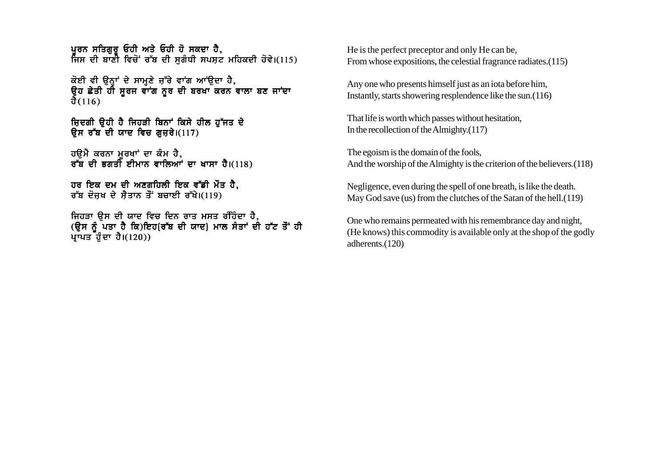ਪਰਨ ਸਤਿਗਰ ਓਹੀ ਅਤੇ ਓਹੀ ਹੋ ਸਕਦਾ ਹੈ. ਜਿਸ ਦੀ ਬਾਣੀ ਵਿਚੋਂ ਰੱਬ ਦੀ ਸਗੰਧੀ ਸਪਸ਼ਟ ਮਹਿਕਦੀ ਹੋਵੇ।(115)

ਕੋਈ ਵੀ ਉਨ੍ਹਾਂ ਦੇ ਸਾਮ੍ਹਣੇ ਜ਼ੱਰੇ ਵਾਂਗ ਆਂਉਦਾ ਹੈ, ਉਹ ਛੇਤੀ ਹੀ ਸੂਰਜ ਵਾਂਗ ਨੂਰ ਦੀ ਬਰਖਾ ਕਰਨ ਵਾਲਾ ਬਣ ਜਾਂਦਾ ਹੈ $(116)$ 

ਜ਼ਿਦਗੀ ਉਹੀ ਹੈ ਜਿਹੜੀ ਬਿਨਾਂ ਕਿਸੇ ਹੀਲ ਹੁੱਜਤ ਦੇ ਉਸ ਰੱਬ ਦੀ ਯਾਦ ਵਿਚ ਗਜ਼ਰੇ।(117)

ਹਉਮੈ ਕਰਨਾ ਮੂਰਖਾਂ ਦਾ ਕੰਮ ਹੈ,<br>ਰੱਬ ਦੀ ਭਗਤੀ ਈਮਾਨ ਵਾਲਿਆਂ ਦਾ ਖਾਸਾ ਹੈ।(118)

ਹਰ ਇਕ ਦਮ ਦੀ ਅਣਗਹਿਲੀ ਇਕ ਵੱਡੀ ਮੌਤ ਹੈ. ਰੱਬ ਦੋਜਖ ਦੇ ਸੈਤਾਨ ਤੌਂ ਬਚਾਈ ਰੱਖੇ।(119)

ਜਿਹੜਾ ੳਸ ਦੀ ਯਾਦ ਵਿਚ ਦਿਨ ਰਾਤ ਮਸਤ ਰੰਹਿੰਦਾ ਹੈ. (ਉਸ ਨੂੰ ਪਤਾ ਹੈ ਕਿ)ਇਹ{ਰੱਬ ਦੀ ਯਾਦ} ਮਾਲ ਸੰਤਾਂ ਦੀ ਹੱਟ ਤੌਂ ਹੀ ਪ੍ਰਾਪਤ ਹੁੰਦਾ ਹੈ।(120))

He is the perfect preceptor and only He can be. From whose expositions, the celestial fragrance radiates. (115)

Any one who presents himself just as an iota before him, Instantly, starts showering resplendence like the sun. (116)

That life is worth which passes without hesitation, In the recollection of the Almighty. $(117)$ 

The egoism is the domain of the fools, And the worship of the Almighty is the criterion of the believers. (118)

Negligence, even during the spell of one breath, is like the death. May God save (us) from the clutches of the Satan of the hell. (119)

One who remains permeated with his remembrance day and night, (He knows) this commodity is available only at the shop of the godly adherents.(120)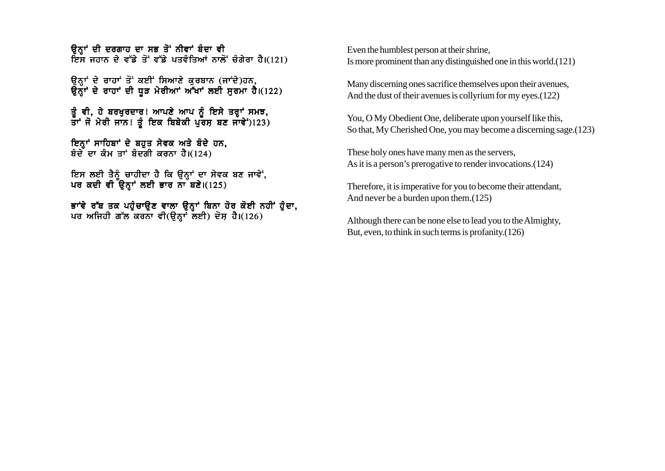ਉਨਾਂ ਦੀ ਦਰਗਾਹ ਦਾ ਸਭ ਤੋਂ ਨੀਵਾਂ ਬੰਦਾ ਵੀ ਸਿੰਸ ਜਹਾਨ ਦੇ ਵੱਡੇ ਤੋਂ ਵੱਡੇ ਪਤਵੰਤਿਆਂ ਨਾਲੋਂ ਚੰਗੇਰਾ ਹੈ।(121)

*ਉਨਾਂ ਦੇ ਰਾਹਾਂ ਤੋਂ ਕਈਂ ਸਿਆਣੇ ਕਰਬਾਨ (ਜਾਂਦੇ)ਹਨ*,  $\overline{a}$ ਨ੍ਹਾਂ ਦੇ ਰਾਹਾਂ ਦੀ ਧੜ ਮੇਰੀਆਂ ਅੱਖਾਂ ਲਈ ਸਰਮਾ ਹੈ।(122)

ੜੂੰ ਵੀ, ਹੇ ਬਰਖੁਰਦਾਰ! ਆਪਣੇ ਆਪ ਨੂੰ ਇਸੇ ਤਰ੍ਹਾਂ ਸਮਝ,  $\frac{1}{3}$ ਸੰ ਮੇਰੀ ਜਾਨ! ਤੂੰ ਇਕ ਬਿਬੇਕੀ ਪੂਰਸ ਬਣ ਜਾਵੇਂ)123)

ਇਨ੍ਹਾਂ ਸਾਹਿਬਾਂ ਦੇ ਬਹਤ ਸੇਵਕ ਅਤੇ ਬੰਦੇ ਹਨ, ਬੰਦੇ ਦਾ ਕੰਮ ਤਾਂ ਬੰਦਗੀ ਕਰਨਾ ਹੈ। $(124)$ 

ਇਸ ਲਈ ਤੈਨੂੰ ਚਾਹੀਦਾ ਹੈ ਕਿ ਉਨ੍ਹਾਂ ਦਾ ਸੇਵਕ ਬਣ ਜਾਵੇਂ, ਪਰ ਕਦੀ ਵੀ ਉਨ੍ਹਾਂ ਲਈ ਭਾਰ ਨਾ ਬਣੇ।(125)

ਭਾਂਵੇ ਰੱਬ ਤਕ ਪਹੁੰਚਾਉਣ ਵਾਲਾ ਉਨ੍ਹਾਂ ਬਿਨਾ ਹੋਰ ਕੋਈ ਨਹੀਂ ਹੁੰਦਾ, ਪਰ ਅਜਿਹੀ ਗੱਲ ਕਰਨਾ ਵੀ(ੳਨਾ ਲਈ) ਦੋਸ਼ ਹੈ।(126)

Even the humblest person at their shrine, Is more prominent than any distinguished one in this world.(121)

Many discerning ones sacrifice themselves upon their avenues, And the dust of their avenues is collyrium for my eyes.(122)

You, O My Obedient One, deliberate upon yourself like this, So that, My Cherished One, you may become a discerning sage.(123)

These holy ones have many men as the servers, As it is a person's prerogative to render invocations.(124)

Therefore, it is imperative for you to become their attendant, And never be a burden upon them.(125)

Although there can be none else to lead you to the Almighty, But, even, to think in such terms is profanity.(126)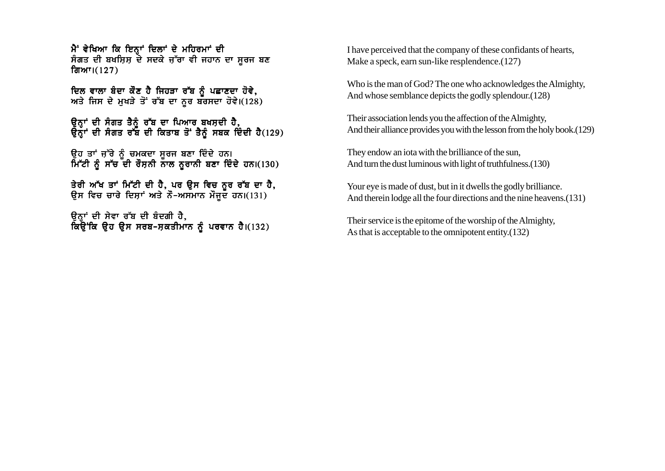ਮੈਂ ਵੇਖਿਆ ਕਿ ਇਨਾਂ ਦਿਲਾਂ ਦੇ ਮਹਿਰਮਾਂ ਦੀ ਸੰਗਤ ਦੀ ਬਖਸ਼ਿਸ਼ ਦੇ ਸਦਕੇ ਜੁੱਰਾ ਵੀ ਜਹਾਨ ਦਾ ਸਰਜ ਬਣ ਗਿਆ। $(127)$ 

ਦਿਲ ਵਾਲਾ ਬੰਦਾ ਕੌਣ ਹੈ ਜਿਹੜਾ ਰੱਬ ਨੂੰ ਪਛਾਣਦਾ ਹੋਵੇ, ਅਤੇ ਜਿਸ ਦੇ ਮੁਖੜੇ ਤੋਂ ਰੱਬ ਦਾ ਨੂਰ ਬਰਸਦਾ ਹੋਵੇ।(128)

ੳਨਾਂ ਦੀ ਸੰਗਤ ਤੈਨੰ ਰੱਬ ਦਾ ਪਿਆਰ ਬਖਸਦੀ ਹੈ**.** ੳਨਾਂ ਦੀ ਸੰਗਤ ਰੱਬ ਦੀ ਕਿਤਾਬ ਤੋਂ ਤੈਨੰ ਸਬਕ ਦਿੰਦੀ ਹੈ(129)

ੳਹ ਤਾਂ ਜੱਰੇ ਨੰ ਚਮਕਦਾ ਸਰਜ ਬਣਾ ਦਿੰਦੇ ਹਨ। ਮਿੱਟੀ ਨੰ ਸੱਚ ਦੀ ਰੋਸ਼ਨੀ ਨਾਲ ਨਰਾਨੀ ਬਣਾ ਦਿੰਦੇ ਹਨ।(130)

ਤੇਰੀ ਅੱਖ ਤਾਂ ਮਿੱਟੀ ਦੀ ਹੈ, ਪਰ ਉਸ ਵਿਚ ਨੂਰ ਰੱਬ ਦਾ ਹੈ, ਉਸ ਵਿਚ ਚਾਰੇ ਦਿਸ਼ਾਂ ਅਤੇ ਨੌ-ਅਸਮਾਨ ਮੌਜੂਦ ਹਨ।(131)

ਓਨਾਂ ਦੀ ਸੇਵਾ ਰੱਬ ਦੀ ਬੰਦਗੀ ਹੈ**.** ਕਿਉਂਕਿ ੳਹ ੳਸ ਸਰਬ-ਸਕਤੀਮਾਨ ਨੰ ਪਰਵਾਨ ਹੈ।(132) I have perceived that the company of these confidants of hearts, Make a speck, earn sun-like resplendence.(127)

Who is the man of God? The one who acknowledges the Almighty, And whose semblance depicts the godly splendour.(128)

Their association lends you the affection of the Almighty, And their alliance provides you with the lesson from the holy book.(129)

They endow an iota with the brilliance of the sun, And turn the dust luminous with light of truthfulness.(130)

Your eye is made of dust, but in it dwells the godly brilliance. And therein lodge all the four directions and the nine heavens.(131)

Their service is the epitome of the worship of the Almighty, As that is acceptable to the omnipotent entity.(132)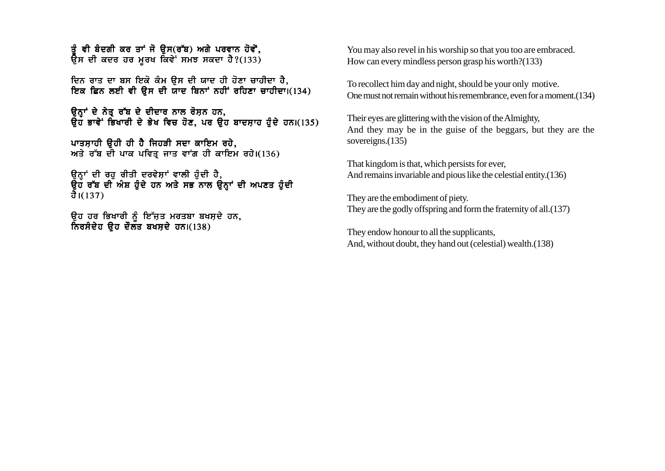ਤੰ ਵੀ ਬੰਦਗੀ ਕਰ ਤਾਂ ਜੋ ਉਸ(ਰੱਬ) ਅਗੇ ਪਰਵਾਨ ਹੋਵੋਂ.  $\frac{1}{2}$ ਸ ਦੀ ਕਦਰ ਹਰ ਮੁਰਖ ਕਿਵੇਂ ਸਮਝ ਸਕਦਾ ਹੈ?(133)

<u>ਦਿਨ ਰਾਤ ਦਾ ਬਸ ਇਕੋ ਕੰਮ ਉਸ ਦੀ ਯਾਦ ਹੀ ਹੋਣਾ ਚਾਹੀਦਾ ਹੈ.</u> ਇਕ ਛਿਨ ਲਈ ਵੀ ਉਸ ਦੀ ਯਾਦ ਬਿਨਾਂ ਨਹੀਂ ਰਹਿਣਾ ਚਾਹੀਦਾ। (134)

ਕਿਹਾਂ ਦੇ ਨੇਤ ਰੱਬ ਦੇ ਦੀਦਾਰ ਨਾਲ ਰੋਸ਼ਨ ਹਨ, ਉਹ ਭਾਵੇਂ ਭਿਖਾਰੀ ਦੇ ਭੇਖ ਵਿਚ ਹੋਣ, ਪਰ ਉਹ ਬਾਦਸ਼ਾਹ ਹੁੰਦੇ ਹਨ।(135)

ਪਾਤਸ਼ਾਹੀ ੳਹੀ ਹੀ ਹੈ ਜਿਹੜੀ ਸਦਾ ਕਾਇਮ ਰਹੇ, ਅਤੇ ਰੱਬ ਦੀ ਪਾਕ ਪਵਿਤ੍ਰ ਜਾਤ ਵਾਂਗ ਹੀ ਕਾਇਮ ਰਹੇ।(136)

ਉਨ੍ਹਾਂ ਦੀ ਰਹੁ ਰੀਤੀ ਦਰਵੇਸ਼ਾਂ ਵਾਲੀ ਹੁੰਦੀ ਹੈ,  $\tilde{B}$ ਹ ਰੱਬ ਦੀ ਅੰਸ਼ ਹੋਦੇ ਹਨ ਅਤੇ ਸਭ ਨਾਲ ਉਨਾਂ ਦੀ ਅਪਣਤ ਹੋਦੀ ਹੈ। $(137)$ 

ਓਹ ਹਰ ਭਿਖਾਰੀ ਨੂੰ ਇੱਜੂਤ ਮਰਤਬਾ ਬਖਸ<u>਼</u>ਦੇ ਹਨ, ਨਿਰਸੰਦੇਹ ਉਹ ਦੌਲਤ ਬਖਸ਼ਦੇ ਹਨ।(138)

You may also revel in his worship so that you too are embraced. How can every mindless person grasp his worth?(133)

To recollect him day and night, should be your only motive. One must not remain without his remembrance, even for a moment.(134)

Their eyes are glittering with the vision of the Almighty, And they may be in the guise of the beggars, but they are the sovereigns.<sup>(135)</sup>

That kingdom is that, which persists for ever, And remains invariable and pious like the celestial entity.(136)

They are the embodiment of piety. They are the godly offspring and form the fraternity of all.(137)

They endow honour to all the supplicants, And, without doubt, they hand out (celestial) wealth.(138)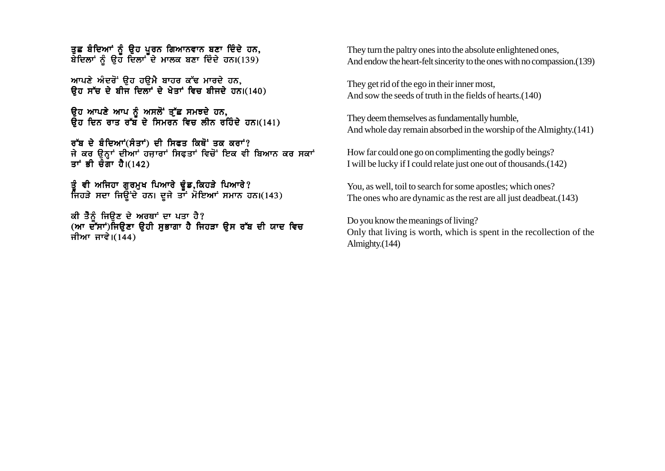ਤਛ ਬੰਦਿਆਂ ਨੂੰ ਉਹ ਪੂਰਨ ਗਿਆਨਵਾਨ ਬਣਾ ਦਿੰਦੇ ਹਨ. ਬੇਦਿਲਾਂ ਨੂੰ ਉਹ ਦਿਲਾਂ ਦੇ ਮਾਲਕ ਬਣਾ ਦਿੰਦੇ ਹਨ। $(139)$ 

ਆਪਣੇ ਅੰਦਰੋਂ ਉਹ ਹਉਮੈ ਬਾਹਰ ਕੱਢ ਮਾਰਦੇ ਹਨ, ਉਹ ਸੱਚ ਦੇ ਬੀਜ ਦਿਲਾਂ ਦੇ ਖੇਤਾਂ ਵਿਚ ਬੀਜਦੇ ਹਨ।(140)

ਉਹ ਆਪਣੇ ਆਪ ਨੂੰ ਅਸਲੋਂ ਤੁੱਛ ਸਮਝਦੇ ਹਨ,  $\bar{R}$ ਹ ਦਿਨ ਰਾਤ ਰੱਬ ਦੇ ਸਿਮਰਨ ਵਿਚ ਲੀਨ ਰਹਿੰਦੇ ਹਨ।(141)

ਰੱਬ ਦੇ ਬੰਦਿਆਂ(ਸੰਤਾਂ) ਦੀ ਸਿਫਤ ਕਿਥੋਂ ਤਕ ਕਰਾਂ? ਜੇ ਕਰ ਉਨ੍ਹਾਂ ਦੀਆਂ ਹਜ਼ਾਰਾਂ ਸਿਫਤਾਂ ਵਿਚੋਂ ਇਕ ਵੀ ਬਿਆਨ ਕਰ ਸਕਾਂ ਤਾਂ ਭੀ ਚੌਗਾ ਹੈ। $(142)$ 

ਤੂੰ ਵੀ ਅਜਿਹਾ ਗੁਰਮੁਖ ਪਿਆਰੇ ਢੁੰਡ,ਕਿਹੜੇ ਪਿਆਰੇ? ਜਿਹੜੇ ਸਦਾ ਜਿਉਂਦੇ ਹਨ। ਦੂਜੇ ਤਾਂ ਮੋਇਆਂ ਸਮਾਨ ਹਨ।(143)

ਕੀ ਤੈਨੂੰ ਜਿਉਣ ਦੇ ਅਰਥਾਂ ਦਾ ਪਤਾ ਹੈ? (ਆ ਦੱੱਸਾਂ)ਜਿਉਣਾ ਉਹੀ ਸੁਭਾਗਾ ਹੈ ਜਿਹੜਾ ਉਸ ਰੱਬ ਦੀ ਯਾਦ ਵਿਚ ਜੀਆ ਜਾਵੇ। $(144)$ 

They turn the paltry ones into the absolute enlightened ones, And endow the heart-felt sincerity to the ones with no compassion.(139)

They get rid of the ego in their inner most, And sow the seeds of truth in the fields of hearts.(140)

They deem themselves as fundamentally humble, And whole day remain absorbed in the worship of the Almighty.(141)

How far could one go on complimenting the godly beings? I will be lucky if I could relate just one out of thousands.(142)

You, as well, toil to search for some apostles; which ones? The ones who are dynamic as the rest are all just deadbeat.(143)

Do you know the meanings of living? Only that living is worth, which is spent in the recollection of the Almighty.(144)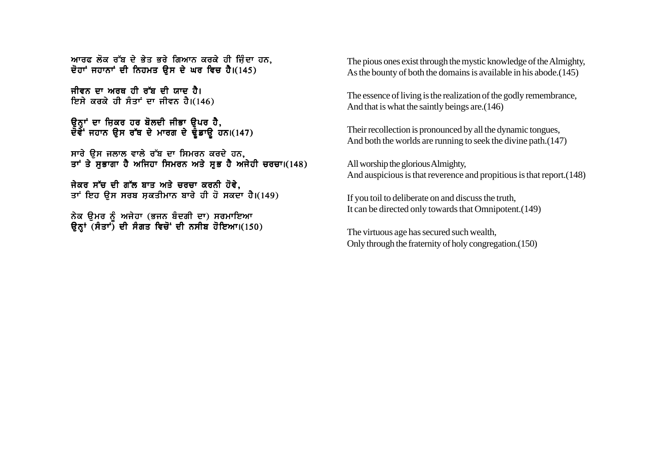ਆਰਫ ਲੋਕ ਰੱਬ ਦੇ ਭੇਤ ਭਰੇ ਗਿਆਨ ਕਰਕੇ ਹੀ ਜਿੰਦਾ ਹਨ. ਦੋਹਾਂ ਜਹਾਨਾਂ ਦੀ ਨਿਹਮਤ ਉਸ ਦੇ ਘਰ ਵਿਚ ਹੈ।(145)

ਜੀਵਨ ਦਾ ਅਰਥ ਹੀ ਰੱਬ ਦੀ ਯਾਦ ਹੈ। ਇਸੇ ਕਰਕੇ ਹੀ ਸੰਤਾਂ ਦਾ ਜੀਵਨ ਹੈ।(146)

ਓਨਾਂ ਦਾ ਜਿਕਰ ਹਰ ਬੋਲਦੀ ਜੀਭਾ **ੳਪਰ ਹੈ**. ਦੋਵੇਂ ਜਹਾਨ ੳਸ ਰੱਥ ਦੇ ਮਾਰਗ ਦੇ ਢੰਡਾੳ ਹਨ।(147)

ਸਾਰੇ ਉਸ ਜਲਾਲ ਵਾਲੇ ਰੱਬ ਦਾ ਸਿਮਰਨ ਕਰਦੇ ਹਨ, ਤਾਂ ਤੇ ਸਭਾਗਾ ਹੈ ਅਜਿਹਾ ਸਿਮਰਨ ਅਤੇ ਸਭ ਹੈ ਅਜੇਹੀ ਚਰਚਾ।(148)

ਜੇਕਰ ਸੱਚ ਦੀ ਗੱਲ ਬਾਤ ਅਤੇ ਚਰਚਾ ਕਰਨੀ ਹੋਵੇ. ਤਾਂ ਇਹ ਉਸ ਸਰਬ ਸਕਤੀਮਾਨ ਬਾਰੇ ਹੀ ਹੋ ਸਕਦਾ ਹੈ।(149)

ਨੇਕ ੳਮਰ ਨੰ ਅਜੇਹਾ (ਭਜਨ ਬੰਦਗੀ ਦਾ) ਸਰਮਾਇਆ ਉਨ੍ਹਾਂ (ਸੰਤਾਂ) ਦੀ ਸੰਗਤ ਵਿਚੋਂ ਦੀ ਨਸੀਬ ਹੋਇਆ।(150) The pious ones exist through the mystic knowledge of the Almighty, As the bounty of both the domains is available in his abode.(145)

The essence of living is the realization of the godly remembrance, And that is what the saintly beings are.(146)

Their recollection is pronounced by all the dynamic tongues, And both the worlds are running to seek the divine path.(147)

All worship the glorious Almighty, And auspicious is that reverence and propitious is that report.(148)

If you toil to deliberate on and discuss the truth, It can be directed only towards that Omnipotent.(149)

The virtuous age has secured such wealth, Only through the fraternity of holy congregation.(150)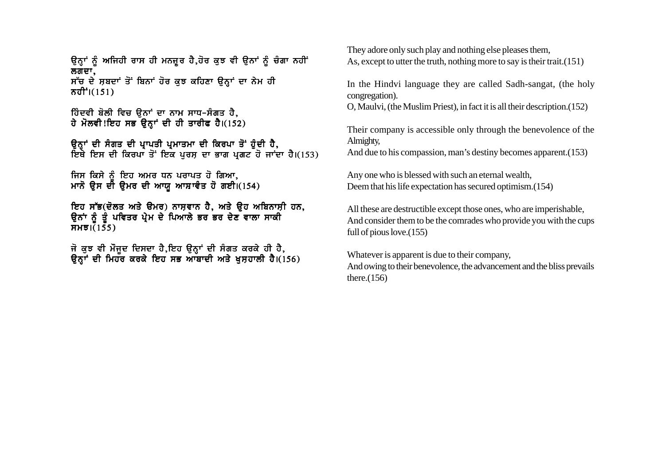ਉਨ੍ਹਾਂ ਨੂੰ ਅਜਿਹੀ ਰਾਸ ਹੀ ਮਨਜੂਰ ਹੈ,ਹੋਰ ਕੁਝ ਵੀ ਉਨਾਂ ਨੂੰ ਚੰਗਾ ਨਹੀਂ ਲਗਦਾ. ਸੱਚ ਦੇ ਸ਼ਬਦਾਂ ਤੋਂ ਬਿਨਾਂ ਹੋਰ ਕਝ ਕਹਿਣਾ ੳਨ੍ਹਾਂ ਦਾ ਨੇਮ ਹੀ ਨਹੀਂ ੋ। (151)

ਹਿੰਦਵੀ ਬੋਲੀ ਵਿਚ ੳਨਾਂ ਦਾ ਨਾਮ ਸਾਧ-ਸੰਗਤ ਹੈ. ਹੇ ਮੋਲਵੀ!ਇਹ ਸਭ ਉਨਾਂ ਦੀ ਹੀ ਤਾਰੀਫ ਹੈ।(152)

ਉਨ੍ਹਾਂ ਦੀ ਸੰਗਤ ਦੀ ਪ੍ਰਾਪਤੀ ਪ੍ਰਮਾਤਮਾ ਦੀ ਕਿਰਪਾ ਤੋਂ ਹੁੰਦੀ ਹੈ,<br>ਇਥੇ ਇਸ ਦੀ ਕਿਰਪਾ ਤੋਂ ਇਕ ਪੂਰਸ਼ ਦਾ ਭਾਗ ਪ੍ਰਗਟ ਹੋ ਜਾਂਦਾ ਹੈ।(153)

ਜਿਸ ਕਿਸੇ ਨੂੰ ਇਹ ਅਮਰ ਧਨ ਪਰਾਪਤ ਹੋ ਗਿਆ, ਮਾਨੋ ਉਸ ਦੀ ਉਮਰ ਦੀ ਆਯੂ ਆਸ਼ਾਵੰਤ ਹੋ ਗਈ।(154)

ਇਹ ਸੱਭ(ਦੋਲਤ ਅਤੇ ਉਮਰ) ਨਾਸ਼ਵਾਨ ਹੈ, ਅਤੇ ਉਹ ਅਬਿਨਾਸ਼ੀ ਹਨ, ਉਨਾਂ ਨੂੰ ਤੂੰ ਪਵਿਤਰ ਪ੍ਰੇਮ ਦੇ ਪਿਆਲੇ ਭਰ ਭਰ ਦੇਣ ਵਾਲਾ ਸਾਕੀ  $THH31(155)$ 

ਜੋ ਕੁਝ ਵੀ ਮੌਜੂਦ ਦਿਸਦਾ ਹੈ,ਇਹ ਉਨ੍ਹਾਂ ਦੀ ਸੰਗਤ ਕਰਕੇ ਹੀ ਹੈ,<br>ਉਨ੍ਹਾਂ ਦੀ ਮਿਹਰ ਕਰਕੇ ਇਹ ਸਭ ਆਬਾਦੀ ਅਤੇ ਖੁਸ਼ਹਾਲੀ ਹੈ।(156)

They adore only such play and nothing else pleases them. As, except to utter the truth, nothing more to say is their trait. (151)

In the Hindvi language they are called Sadh-sangat, (the holy congregation).

O. Maulvi, (the Muslim Priest), in fact it is all their description. (152)

Their company is accessible only through the benevolence of the Almighty,

And due to his compassion, man's destiny becomes apparent. (153)

Any one who is blessed with such an eternal wealth, Deem that his life expectation has secured optimism. (154)

All these are destructible except those ones, who are imperishable. And consider them to be the comrades who provide you with the cups full of pious love. $(155)$ 

Whatever is apparent is due to their company, And owing to their benevolence, the advancement and the bliss prevails there. $(156)$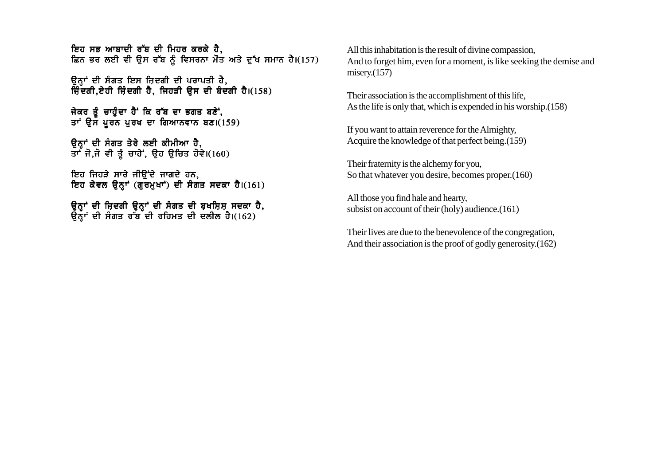ਇਹ ਸਭ ਆਬਾਦੀ ਰੱਬ ਦੀ ਮਿਹਰ ਕਰਕੇ ਹੈ. ਛਿਨ ਭਰ ਲਈ ਵੀ ਉਸ ਰੱਬ ਨੂੰ ਵਿਸਰਨਾ ਮੌਤ ਅਤੇ ਦੁੱਖ ਸਮਾਨ ਹੈ।(157)

ਉਨ੍ਹਾਂ ਦੀ ਸੰਗਤ ਇਸ ਜ਼ਿਦਗੀ ਦੀ ਪਰਾਪਤੀ ਹੈ, ਜ਼ਿੰਦਗੀ.ਏਹੀ ਜ਼ਿੰਦਗੀ ਹੈ. ਜਿਹੜੀ ਉਸ ਦੀ ਬੰਦਗੀ ਹੈ।(158)

ਜੇਕਰ ਤੰਚਾਹੰਦਾ ਹੈ ਕਿ ਰੱਬ ਦਾ ਭਗਤ ਬਣੇ, ਤਾਂ ਉਸ ਪੂਰਨ ਪੂਰਖ ਦਾ ਗਿਆਨਵਾਨ ਬਣ।(159)

ਓਨਾਂ ਦੀ ਸੰਗਤ ਤੇਰੇ ਲਈ ਕੀਮੀਆ **ਹੈ.** ਤਾ ਜੋ.ਜੋ ਵੀ ਤੰ ਚਾਹੇ ਉਹ ੳਿਚਤ ਹੋਵੇ।(160)

ਇਹ ਜਿਹੜੇ ਸਾਰੇ ਜੀਉਂਦੇ ਜਾਗਦੇ ਹਨ, ਇਹ ਕੇਵਲ ਉਨਾਂ (ਗਰਮਖਾਂ) ਦੀ ਸੰਗਤ ਸਦਕਾ ਹੈ।(161)

ੳਨਾਂ ਦੀ ਜਿਦਗੀ ੳਨਾਂ ਦੀ ਸੰਗਤ ਦੀ ਬਖਸਿਸ ਸਦਕਾ ਹੈ. ੳਨੌਾਂ ਦੀ ਸੰਗਤ ਰੱਬ ਦੀ ਰਹਿਮਤ ਦੀ ਦਲੀਲ ਹੈ।(162)

All this inhabitation is the result of divine compassion, And to forget him, even for a moment, is like seeking the demise and misery.(157)

Their association is the accomplishment of this life, As the life is only that, which is expended in his worship.(158)

If you want to attain reverence for the Almighty, Acquire the knowledge of that perfect being.(159)

Their fraternity is the alchemy for you, So that whatever you desire, becomes proper.(160)

All those you find hale and hearty, subsist on account of their (holy) audience.(161)

Their lives are due to the benevolence of the congregation, And their association is the proof of godly generosity.(162)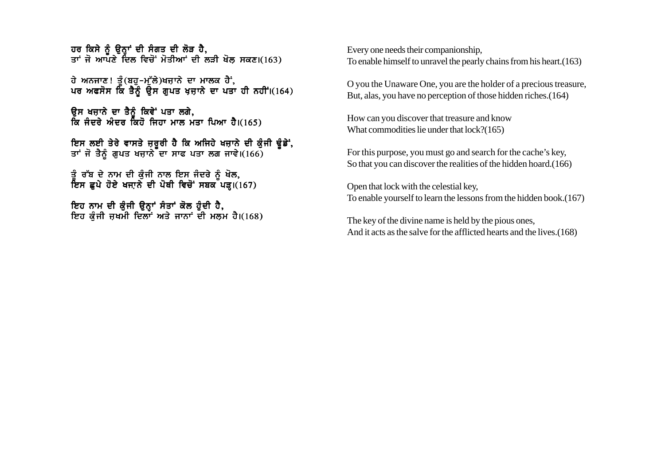ਹਰ ਕਿਸੇ ਨੂੰ ਉਨ੍ਹਾਂ ਦੀ ਸੰਗਤ ਦੀ ਲੋੜ ਹੈ, ਹਰ :....<br>ਕਾਂ ਜੋ ਆਪਣੇ ਦਿਲ ਵਿਚੋਂ ਮੋਤੀਆਂ ਦੀ ਲੜੀ ਖੋਲ ਸਕਣ।(163)

 $\vec{a}$  ਅਨਜਾਣ! ਤੰ(ਬਹ-ਮੱਲੇ)ਖਜਾਨੇ ਦਾ ਮਾਲਕ ਹੈ; ਪਰ ਅਫਸੋਸ ਕਿ ਤੈਨੂੰ ਉਸ ਗੁਪਤ ਖ਼ਜ਼ਾਨੇ ਦਾ ਪਤਾ ਹੀ ਨਹੀਂ।(164)

ਓਸ ਖਜ਼ਾਨੇ ਦਾ ਤੈਨੰ ਕਿਵੇਂ ਪਤਾ ਲਗੇ, ਕਿ ਜੰਦਰੇ ਅੰਦਰ ਕਿਹੋ ਜਿਹਾ ਮਾਲ ਮੰਤਾ ਪਿਆ ਹੈ।(165)

ਇਸ ਲਈ ਤੇਰੇ ਵਾਸਤੇ ਜਰਰੀ ਹੈ ਕਿ ਅਜਿਹੇ ਖਜਾਨੇ ਦੀ ਕੰਜੀ ਢੰਡੇਂ. ਤਾਂ ਜੋ ਤੈਨੰ ਗਪਤ ਖਜਾਨੇ ਦਾ ਸਾਫ ਪਤਾ ਲਗ ਜਾਵੇ।(166)

ਤੰ ਰੱਬ ਦੇ ਨਾਮ ਦੀ ਕੰਜੀ ਨਾਲ ਇਸ ਜੰਦਰੇ ਨੰ ਖੋਲ. ਇਸ ਛਪੇ ਹੋਏ ਖਜਾਨੇ ਦੀ ਪੋਥੀ ਵਿਚੋਂ ਸਬਕ ਪੜ।(167)

ਇਹ ਨਾਮ ਦੀ ਕੰਜੀ ੳਨਾਂ ਸੰਤਾਂ ਕੋਲ ਹੰਦੀ ਹੈ. ਇਹ ਕੰਜੀ ਜ਼ਖਮੀ ਦਿਲਾਂ ਅਤੇ ਜਾਨਾਂ ਦੀ ਮਲਮ ਹੈ।(168) Every one needs their companionship, To enable himself to unravel the pearly chains from his heart.(163)

O you the Unaware One, you are the holder of a precious treasure, But, alas, you have no perception of those hidden riches.(164)

How can you discover that treasure and know What commodities lie under that lock?(165)

For this purpose, you must go and search for the cache's key, So that you can discover the realities of the hidden hoard.(166)

Open that lock with the celestial key, To enable yourself to learn the lessons from the hidden book.(167)

The key of the divine name is held by the pious ones, And it acts as the salve for the afflicted hearts and the lives.(168)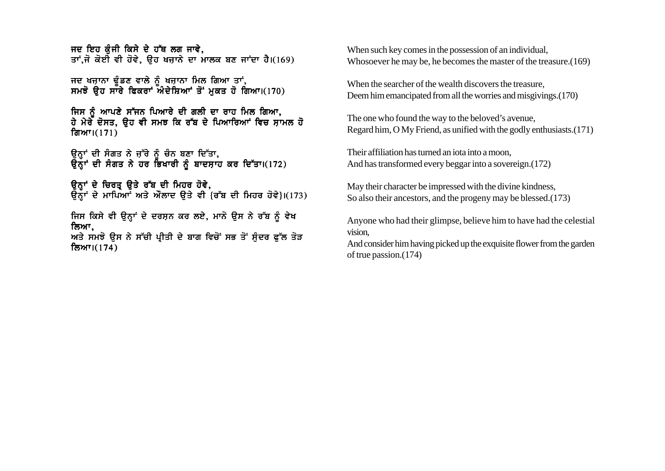ਜਦ ਇਹ ਕੰਜੀ ਕਿਸੇ ਦੇ ਹੱਥ ਲਗ ਜਾਵੇ. ਤਾਂ.ਜੋ ਕੋਈ ਵੀ ਹੋਵੇ. ਉਹ ਖਜਾਨੇ ਦਾ ਮਾਲਕ ਬਣ ਜਾਂਦਾ ਹੈ।(169)

ਜਦ ਖਜਾਨਾ ਢੰਡਣ ਵਾਲੇ ਨੂੰ ਖਜਾਨਾ ਮਿਲ ਗਿਆ ਤਾਂ. ਸਮਝੋ ਉਹ ਸਾਰੇ ਫਿਕਰਾਂ ਅੰਦੇਸ਼ਿਆਂ ਤੋਂ ਮਕਤ ਹੋ ਗਿਆ।(170)

ਜਿਸ ਨੂੰ ਆਪਣੇ ਸੱਜਨ ਪਿਆਰੇ ਦੀ ਗਲੀ ਦਾ ਰਾਹ ਮਿਲ ਗਿਆ, <u>ਹੇ ਮੇਰੇ ਦੋਸਤ. ੳਹ ਵੀ ਸਮਝ ਕਿ ਰੱਬ ਦੇ ਪਿਆਰਿਆਂ ਵਿਚ ਸਾਮਲ ਹੋ</u> ਗਿਆ। $(171)$ 

ਓਨਾਂ ਦੀ ਸੰਗਤ ਨੇ ਜੱਚੇ ਨੰ ਚੰਨ ਬਣਾ ਦਿੱਤਾ**.** ੳਨੌਾਂ ਦੀ ਸੰਗਤ ਨੇ ਹਰ ਭਿਖਾਰੀ ਨੰ ਬਾਦਸਾਹ ਕਰ ਦਿੱਤਾ।(172)

ਉਨਾਂ ਦੇ ਚਿਰਤ ਉਤੇ ਰੱਬ ਦੀ ਮਿਹਰ ਹੋਵੇ,  $\overline{a}$ ਨਾਂ ਦੇ ਮਾਪਿਆਂ ਅਤੇ ਔਲਾਦ ੳਤੇ ਵੀ {ਰੱਬ ਦੀ ਮਿਹਰ ਹੋਵੇ} $(173)$ 

ਜਿਸ ਕਿਸੇ ਵੀ ੳਨ੍ਹਾਂ ਦੇ ਦਰਸ਼ਨ ਕਰ ਲਏ, ਮਾਨੋ ੳਸ ਨੇ ਰੱਬ ਨੂੰ ਵੇਖ ਲਿਆ,

ਅਤੇ ਸਮਝੋ ਉਸ ਨੇ ਸੱਚੀ ਪ੍ਰੀਤੀ ਦੇ ਬਾਗ ਵਿਚੋਂ ਸਭ ਤੋਂ ਸੁੰਦਰ ਫੁੱਲ ਤੋੜ ਲਿਆ। $(174)$ 

When such key comes in the possession of an individual, Whosoever he may be, he becomes the master of the treasure.(169)

When the searcher of the wealth discovers the treasure, Deem him emancipated from all the worries and misgivings.(170)

The one who found the way to the beloved's avenue, Regard him, O My Friend, as unified with the godly enthusiasts.(171)

Their affiliation has turned an iota into a moon, And has transformed every beggar into a sovereign.(172)

May their character be impressed with the divine kindness, So also their ancestors, and the progeny may be blessed.(173)

Anyone who had their glimpse, believe him to have had the celestial vision,

And consider him having picked up the exquisite flower from the garden of true passion.(174)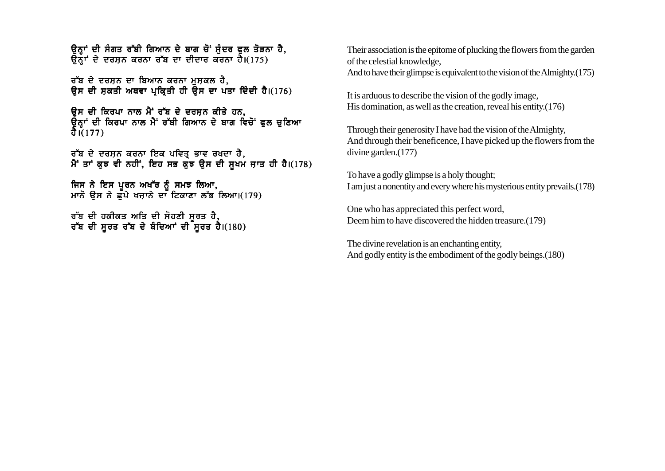ਉਨ੍ਹਾਂ ਦੀ ਸੰਗਤ ਰੱਬੀ ਗਿਆਨ ਦੇ ਬਾਗ ਚੋਂ ਸੁੰਦਰ ਫੁਲ ਤੋੜਨਾ ਹੈ,  $\overline{65}$ ਾਂ ਦੇ ਦਰਸ਼ਨ ਕਰਨਾ ਰੱਬ ਦਾ ਦੀਦਾਰ ਕਰਨਾ ਹੈ।(175)

ਰੱਬ ਦੇ ਦਰਸ਼ਨ ਦਾ ਬਿਆਨ ਕਰਨਾ ਮਸ਼ਕਲ ਹੈ, ਉਸ ਦੀ ਸਕਤੀ ਅਥਵਾ ਪਕਿਤੀ ਹੀ ਉਸ ਦਾ ਪਤਾ ਦਿੰਦੀ ਹੈ।(176)

ਉਸ ਦੀ ਕਿਰਪਾ ਨਾਲ ਮੈਂ ਰੱਬ ਦੇ ਦਰਸ਼ਨ ਕੀਤੇ ਹਨ, ਉਨ੍ਹਾਂ ਦੀ ਕਿਰਪਾ ਨਾਲ ਮੈਂ ਰੱਬੀ ਗਿਆਨ ਦੇ ਬਾਗ ਵਿਚੋਂ ਫੂਲ ਚੁਣਿਆ  $\frac{3}{1}(177)$ 

ਰੱਬ ਦੇ ਦਰਸ਼ਨ ਕਰਨਾ ਇਕ ਪਵਿਤ੍ਰ ਭਾਵ ਰਖ਼ਦਾ ਹੈ, ਮੈਂ ਤਾਂ ਕੁਝ ਵੀ ਨਹੀਂ, ਇਹ ਸਭ ਕੁਝ ਉਸ ਦੀ ਸੁਖਮ ਜਾਤ ਹੀ ਹੈ।(178)

ਜਿਸ ਨੇ ਇਸ ਪਰਨ ਅਖੱਰ ਨੰ ਸਮਝ ਲਿਆ. ਮਾਨੋ ੳਸ ਨੇ ਛੱਪੇ ਖਜਾਨੇ ਦਾ ਟਿਕਾਣਾ ਲੱਭ ਲਿਆ।(179)

ਰੱਬ ਦੀ ਹਕੀਕਤ ਅਤਿ ਦੀ ਸੋਹਣੀ ਸੂਰਤ ਹੈ, ਰੱਬ ਦੀ ਸੂਰਤ ਰੱਬ ਦੇ ਬੰਦਿਆਂ ਦੀ ਸੂਰਤ ਹੈ।(180) Their association is the epitome of plucking the flowers from the garden of the celestial knowledge, And to have their glimpse is equivalent to the vision of the Almighty.(175)

It is arduous to describe the vision of the godly image, His domination, as well as the creation, reveal his entity.(176)

Through their generosity I have had the vision of the Almighty, And through their beneficence, I have picked up the flowers from the divine garden.(177)

To have a godly glimpse is a holy thought; I am just a nonentity and every where his mysterious entity prevails.(178)

One who has appreciated this perfect word, Deem him to have discovered the hidden treasure.(179)

The divine revelation is an enchanting entity, And godly entity is the embodiment of the godly beings.(180)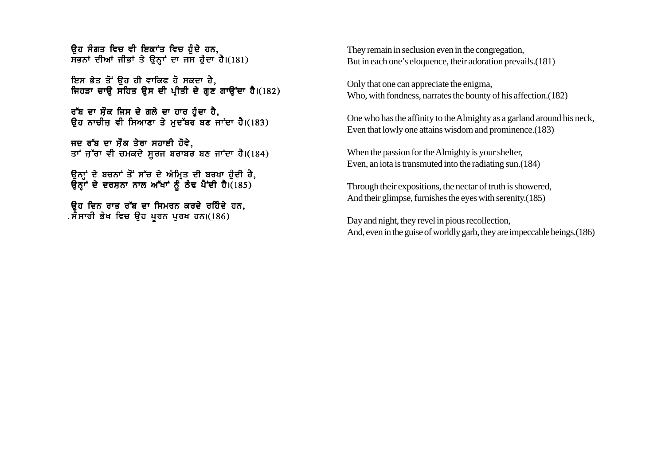ਉਹ ਸੰਗਤ ਵਿਚ ਵੀ ਇਕਾਂਤ ਵਿਚ ਹ<del>ੈ</del>ਦੇ ਹਨ.  $\overline{H}$ ਭਨਾਂ ਦੀਆਂ ਜੀਭਾਂ ਤੇ ਉਨ੍ਹਾਂ ਦਾ ਜਸ ਹੰਦਾ ਹੈ।(181)

ਇਸ ਭੇਤ ਤੋਂ ਉਹ ਹੀ ਵਾਕਿਫ ਹੋ ਸਕਦਾ ਹੈ. ਜਿਹੜਾ ਚਾੳ ਸਹਿਤ ੳਸ ਦੀ ਪੀਤੀ ਦੇ ਗਣ ਗਾੳਂਦਾ ਹੈ।(182)

ਰੱਬ ਦਾ ਸੌਕ ਜਿਸ ਦੇ ਗਲੇ ਦਾ ਹਾਰ ਹੰਦਾ ਹੈ. ਉਹ ਨਾਚੀਜ਼ ਵੀ ਸਿਆਣਾ ਤੇ ਮਦੱਬਰ ਬਣ ਜਾਂਦਾ ਹੈ।(183)

ਜਦ ਰੱਬ ਦਾ ਸੌਕ ਤੇਰਾ ਸਹਾਈ ਹੋਵੇ. ਤਾਂ ਜੁੱਰਾ ਵੀ ਚਮਕਦੇ ਸੂਰਜ ਬਰਾਬਰ ਬਣ ਜਾਂਦਾ ਹੈ।(184)

ੳਨਾਂ ਦੇ ਬਚਨਾਂ ਤੋਂ ਸੱਚ ਦੇ ਅੰਮਿਤ ਦੀ ਬਰਖਾ ਹੰਦੀ ਹੈ. ੳਨਾਂ ਦੇ ਦਰਸਨਾ ਨਾਲ ਅੱਖਾਂ ਨੂੰ ਠੰਢ ਪੈਂਦੀ ਹੈ।(185)

ਉਹ ਦਿਨ ਰਾਤ ਰੱਬ ਦਾ ਸਿਮਰਨ ਕਰਦੇ ਰਹਿੰਦੇ ਹਨ. . ਸੈਸਾਰੀ ਭੇਖ ਵਿਚ ਉਹ ਪੂਰਨ ਪੂਰਖ ਹਨ।(186)

They remain in seclusion even in the congregation, But in each one's eloquence, their adoration prevails.(181)

Only that one can appreciate the enigma, Who, with fondness, narrates the bounty of his affection.(182)

One who has the affinity to the Almighty as a garland around his neck, Even that lowly one attains wisdom and prominence.(183)

When the passion for the Almighty is your shelter, Even, an iota is transmuted into the radiating sun.(184)

Through their expositions, the nectar of truth is showered, And their glimpse, furnishes the eyes with serenity.(185)

Day and night, they revel in pious recollection, And, even in the guise of worldly garb, they are impeccable beings.(186)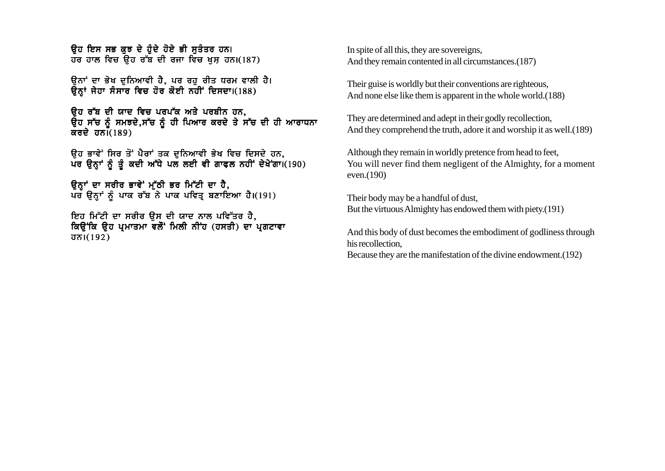ਉਹ ਇਸ ਸਭ ਕੁਝ ਦੇ ਹੋਦੇ ਹੋਏ ਭੀ ਸਤੰਤਰ ਹਨ। ਹਰ ਹਾਲ ਵਿਚ ਉਹ ਰੱਬ ਦੀ ਰਜਾ ਵਿਚ ਖਸ ਹਨ।(187)

ਉਨਾਂ ਦਾ ਭੇਖ ਦਨਿਆਵੀ ਹੈ. ਪਰ ਰਹ ਰੀਤ ਧਰਮ ਵਾਲੀ ਹੈ। ਉਨਾਂ ਜੇਹਾ ਸੰਸਾਰ ਵਿਚ ਹੋਰ ਕੋਈ ਨਹੀਂ ਦਿਸਦਾ।(188)

ਉਹ ਰੱਬ ਦੀ ਯਾਦ ਵਿਚ ਪਰਪੱਕ ਅਤੇ ਪਰਬੀਨ ਹਨ. ਉਹ ਸੱਚ ਨੂੰ ਸਮਝਦੇ,ਸੱਚ ਨੂੰ ਹੀ ਪਿਆਰ ਕਰਦੇ ਤੇ ਸੱਚ ਦੀ ਹੀ ਆਰਾਧਨਾ ਕਰਦੇ ਹਨ $\tilde{1}(189)$ 

ਉਹ ਭਾਵੇਂ ਸਿਰ ਤੋਂ ਪੈਰਾਂ ਤਕ ਦੁਨਿਆਵੀ ਭੇਖ ਵਿਚ ਦਿਸਦੇ ਹਨ, ਪਰ ਉਨ੍ਹਾਂ ਨੂੰ ਤੂੰ ਕਦੀ ਅੱਧੇ ਪਲ ਲਈ ਵੀ ਗਾਫਲ ਨਹੀਂ ਦੇਖੇਗਾ। (190)

ਉਨਾਂ ਦਾ ਸਰੀਰ ਭਾਵੇਂ ਮੱਠੀ ਭਰ ਮਿੱਟੀ ਦਾ ਹੈ, ਪਰ ਉਨ੍ਹਾਂ ਨੂੰ ਪਾਕ ਰੱਬ ਨੇ ਪਾਕ ਪਵਿਤ੍ਰ ਬਣਾਇਆ ਹੈ।(191)

ਇਹ ਮਿੱਟੀ ਦਾ ਸਰੀਰ ੳਸ ਦੀ ਯਾਦ ਨਾਲ ਪਵਿੱਤਰ ਹੈ, ਕਿਉਂਕਿ ਉਹ ਪ੍ਰਮਾਤਮਾ ਵਲੋਂ ਮਿਲੀ ਨੀਂਹ (ਹਸਤੀ) ਦਾ ਪ੍ਰਗਟਾਵਾ  $\overline{J} \overline{D}$ |(192)

In spite of all this, they are sovereigns. And they remain contented in all circumstances. (187)

Their guise is worldly but their conventions are righteous, And none else like them is apparent in the whole world. (188)

They are determined and adept in their godly recollection, And they comprehend the truth, adore it and worship it as well. (189)

Although they remain in worldly pretence from head to feet, You will never find them negligent of the Almighty, for a moment even. $(190)$ 

Their body may be a handful of dust, But the virtuous Almighty has endowed them with piety.(191)

And this body of dust becomes the embodiment of godliness through his recollection.

Because they are the manifestation of the divine endowment. (192)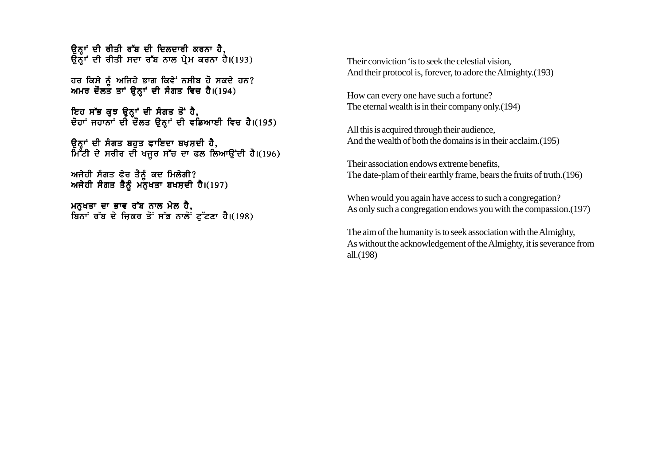ਉਨ੍ਹਾਂ ਦੀ ਰੀਤੀ ਰੱਬ ਦੀ ਦਿਲਦਾਰੀ ਕਰਨਾ ਹੈ, ਉਨ੍ਹਾਂ ਦੀ ਰੀਤੀ ਸਦਾ ਰੱਬ ਨਾਲ ਪੇਮ ਕਰਨਾ ਹੈ।(193)

ਹਰ ਕਿਸੇ ਨੂੰ ਅਜਿਹੇ ਭਾਗ ਕਿਵੇਂ ਨਸੀਬ ਹੋ ਸਕਦੇ ਹਨ? ਅਮਰ ਦੌਲਤ ਤਾਂ ਉਨ੍ਹਾਂ ਦੀ ਸੰਗਤ ਵਿਚ ਹੈ।(194)

ਇਹ ਸੱਭ ਕੁਝ ਉਨ੍ਹਾਂ ਦੀ ਸੰਗਤ ਤੋਂ ਹੈ, ਦੋਹਾਂ ਜਹਾਨਾਂ ਦੀ ਦੌਲਤ ਉਨ੍ਹਾਂ ਦੀ ਵਡਿਆਈ ਵਿਚ ਹੈ।(195)

ਓਨਾਂ ਦੀ ਸੰਗਤ ਬਹਤ ਫਾਇਦਾ ਬਖਸਦੀ **ਹੈ**. ਮਿੱੱਟੀ ਦੇ ਸਰੀਰ ਦੀ ਖਜਰ ਸੱਚ ਦਾ ਫਲ ਲਿਆੳਂਦੀ ਹੈ।(196)

ਅਜੇਹੀ ਸੰਗਤ ਫੇਰ ਤੈਨੰ ਕਦ ਮਿਲੇਗੀ? ਅਜੇਹੀ ਸੰਗਤ ਤੈਨੰ ਮਨਖਤਾ ਬਖਸਦੀ ਹੈ।(197)

ਮਨੁਖਤਾ ਦਾ ਭਾਵ ਰੱਬ ਨਾਲ ਮੇਲ ਹੈ, ਬਿੰਨਾਂ ਰੱਬ ਦੇ ਜ਼ਿਕਰ ਤੋਂ ਸੱਭ ਨਾਲੋ<sup>ਂ</sup> ਟੱਟਣਾ ਹੈ।(198) Their conviction 'is to seek the celestial vision, And their protocol is, forever, to adore the Almighty.(193)

How can every one have such a fortune? The eternal wealth is in their company only.(194)

All this is acquired through their audience, And the wealth of both the domains is in their acclaim.(195)

Their association endows extreme benefits, The date-plam of their earthly frame, bears the fruits of truth.(196)

When would you again have access to such a congregation? As only such a congregation endows you with the compassion.(197)

The aim of the humanity is to seek association with the Almighty, As without the acknowledgement of the Almighty, it is severance from all.(198)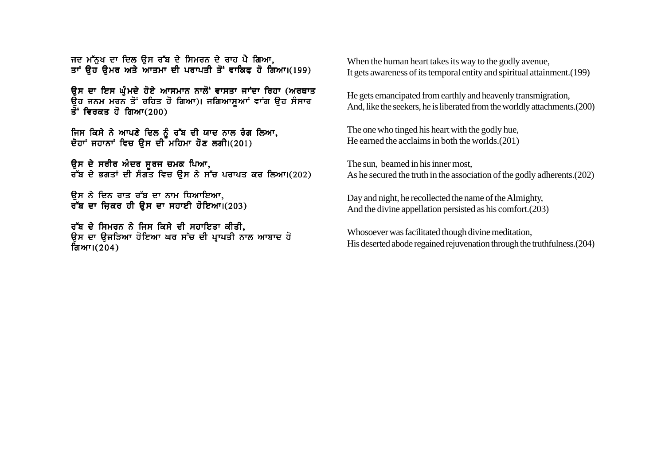ਜਦ ਮੱਨਖ ਦਾ ਦਿਲ ੳਸ ਰੱਬ ਦੇ ਸਿਮਰਨ ਦੇ ਰਾਹ ਪੈ ਗਿਆ. ਤਾਂ ੳਹ ੳਮਰ ਅਤੇ ਆਤਮਾ ਦੀ ਪਰਾਪਤੀ ਤੋਂ ਵਾਕਿਫ ਹੋ ਗਿਆ।(199)

ਉਸ ਦਾ ਇਸ ਘੰਮਦੇ ਹੋਏ ਆਸਮਾਨ ਨਾਲੋਂ ਵਾਸਤਾ ਜਾਂਦਾ ਰਿਹਾ (ਅਰਥਾਤ ਉਹ ਜਨਮ ਮਰਨ ਤੋਂ ਰਹਿਤ ਹੋ ਗਿਆ)। ਜਗਿਆਸੁਆਂ ਵਾਂਗ ਉਹ ਸੰਸਾਰ  $\overline{3}$ : ਵਿਰਕਤ ਹੋ ਗਿਆ $(200)$ 

ਜਿਸ ਕਿਸੇ ਨੇ ਆਪਣੇ ਦਿਲ ਨੰ ਰੱਬ ਦੀ ਯਾਦ ਨਾਲ ਰੰਗ ਲਿਆ, ਦੋਹਾਂ ਜਹਾਨਾਂ ਵਿਚ ਉਸ ਦੀ ਮਹਿਮਾ ਹੋਣ ਲਗੀ।(201)

ੳਸ ਦੇ ਸਰੀਰ ਅੰਦਰ ਸਰਜ ਚਮਕ ਪਿ<mark>ਆ.</mark> ਰੱਬ ਦੇ ਭਗਤਾਂ ਦੀ ਸੰਗਤ ਵਿਚ ੳਸ ਨੇ ਸੱਚ ਪਰਾਪਤ ਕਰ ਲਿਆ।(202)

ਉਸ ਨੇ ਦਿਨ ਰਾਤ ਰੱਬ ਦਾ ਨਾਮ ਧਿਆਇਆ**.** ਰੱਬ ਦਾ ਜ਼ਿਕਰ ਹੀ ੳਸ ਦਾ ਸਹਾਈ ਹੋਇਆ। (203)

ਰੱਬ ਦੇ ਸਿਮਰਨ ਨੇ ਜਿਸ ਕਿਸੇ ਦੀ ਸਹਾਇਤਾ ਕੀਤੀ. ਉਸ ਦਾ ਉਜੜਿਆ ਹੋਇਆ ਘਰ ਸੱਚ ਦੀ ਪ੍ਰਾਪਤੀ ਨਾਲ ਆਬਾਦ ਹੋ ਗਿਆ। $(204)$ 

When the human heart takes its way to the godly avenue, It gets awareness of its temporal entity and spiritual attainment.(199)

He gets emancipated from earthly and heavenly transmigration, And, like the seekers, he is liberated from the worldly attachments.(200)

The one who tinged his heart with the godly hue, He earned the acclaims in both the worlds.(201)

The sun, beamed in his inner most, As he secured the truth in the association of the godly adherents.(202)

Day and night, he recollected the name of the Almighty, And the divine appellation persisted as his comfort.(203)

Whosoever was facilitated though divine meditation, His deserted abode regained rejuvenation through the truthfulness.(204)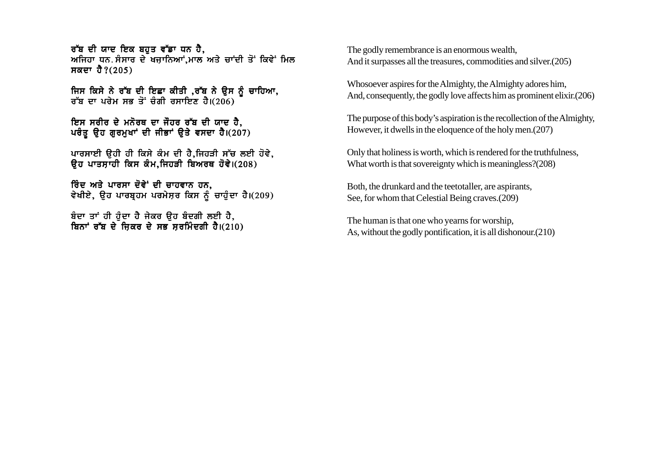ਰੱਬ ਦੀ ਯਾਦ ਇਕ ਬਹੁਤ ਵੱਡਾ ਧਨ ਹੈ. ਅਜਿਹਾ ਧਨ ਸੰਸਾਰ ਦੇ ਖਜਾਨਿਆਂ ਮਾਲ ਅਤੇ ਚਾਂਦੀ ਤੋਂ ਕਿਵੇਂ ਮਿਲ ਸਕਦਾ ਹੈ? $(205)$ 

ਜਿਸ ਕਿਸੇ ਨੇ ਰੱਬ ਦੀ ਇਛਾ ਕੀਤੀ ,ਰੱਬ ਨੇ ਉਸ ਨੂੰ ਚਾਹਿਆ, ਰੱਬ ਦਾ ਪਰੇਮ ਸਭ ਤੋਂ ਚੰਗੀ ਰਸਾਇਣ ਹੈ। $(206)$ 

ਇਸ ਸਰੀਰ ਦੇ ਮਨੋਰਥ ਦਾ ਜੌਹਰ ਰੱਬ ਦੀ ਯਾਦ ਹੈ. ਪਰੰਤ ਉਹ ਗਰਮਖਾਂ ਦੀ ਜੀਭਾਂ ਉਤੇ ਵਸਦਾ ਹੈ।(207)

ਪਾਰਸਾਈ ਉਹੀ ਹੀ ਕਿਸੇ ਕੰਮ ਦੀ ਹੈ,ਜਿਹੜੀ ਸੱਚ ਲਈ ਹੋਵੇ, ਉਹ ਪਾਤਸਾਹੀ ਕਿਸ ਕੰਮ.ਜਿਹੜੀ ਬਿਅਰਥ ਹੋਵੇ।(208)

ਰਿੰਦ ਅਤੇ ਪਾਰਸਾ ਦੋਵੇ<sup>:</sup> ਦੀ ਚਾਹਵਾਨ ਹਨ. ਵੇਖੀਏ, ਉਹ ਪਾਰਬ੍ਰਹਮ ਪਰਮੇਸ਼ਰ ਕਿਸ ਨੂੰ ਚਾਹੁੰਦਾ ਹੈ।(209)

ਬੰਦਾ ਤਾਂ ਹੀ ਹੰਦਾ ਹੈ ਜੇਕਰ ੳਹ ਬੰਦਗੀ ਲਈ ਹੈ, ਬਿਨਾਂ ਰੱਬ ਦੇ ਜਿਕਰ ਦੇ ਸਭ ਸਰਮਿੰਦਗੀ ਹੈ। $(210)$  The godly remembrance is an enormous wealth, And it surpasses all the treasures, commodities and silver.(205)

Whosoever aspires for the Almighty, the Almighty adores him, And, consequently, the godly love affects him as prominent elixir.(206)

The purpose of this body's aspiration is the recollection of the Almighty, However, it dwells in the eloquence of the holy men.(207)

Only that holiness is worth, which is rendered for the truthfulness, What worth is that sovereignty which is meaningless?(208)

Both, the drunkard and the teetotaller, are aspirants, See, for whom that Celestial Being craves.(209)

The human is that one who yearns for worship, As, without the godly pontification, it is all dishonour.(210)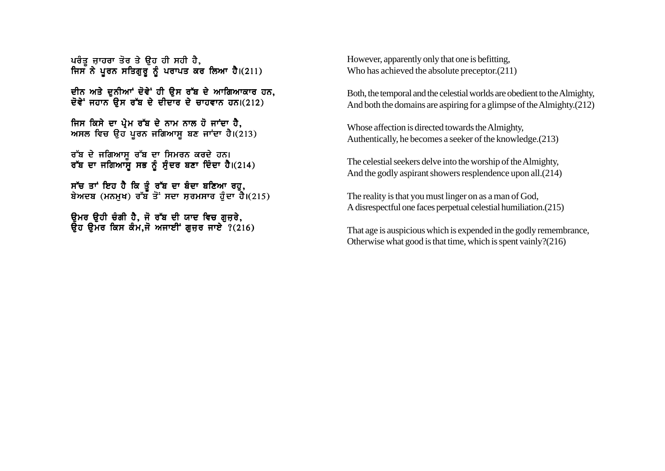ਪਰੰਤ ਜਾਹਰਾ ਤੋਰ ਤੇ ੳਹ ਹੀ ਸਹੀ ਹੈ. ਜਿਸ ਨੇ ਪਰਨ ਸਤਿਗਰ ਨੰ ਪਰਾਪਤ ਕਰ ਲਿਆ ਹੈ।(211)

ਦੀਨ ਅਤੇ ਦਨੀਆਂ ਦੋਵੇਂ ਹੀ ਉਸ ਰੱਬ ਦੇ ਆਗਿਆਕਾਰ ਹਨ, ਦੋਵੇਂ ਜਹਾਨ ਉਸ ਰੱਬ ਦੇ ਦੀਦਾਰ ਦੇ ਚਾਹਵਾਨ ਹਨ।(212)

ਜਿਸ ਕਿਸੇ ਦਾ ਪੇਮ ਰੱਬ ਦੇ ਨਾਮ ਨਾਲ ਹੋ ਜਾਂਦਾ ਹੈ. ਅਸਲ ਵਿਚ ਉਹ ਪਰਨ ਜਗਿਆਸ ਬਣ ਜਾਂਦਾ ਹੈ।(213)

ਰੱਬ ਦੇ ਜਗਿਆਸ ਰੱਬ ਦਾ ਸਿਮਰਨ ਕਰਦੇ ਹਨ। ਰੱਬ ਦਾ ਜਗਿਆਸ ਸਭ ਨੂੰ ਸੂੰਦਰ ਬਣਾ ਦਿੰਦਾ ਹੈ।(214)

ਸੱਚ ਤਾਂ ਇਹ ਹੈ ਕਿ ਤੰ ਰੱਬ ਦਾ ਬੰਦਾ ਬਣਿਆ ਰਹ, ਬੇਅਦਬ (ਮਨਮਖ) ਰੱਬ ਤੋਂ ਸਦਾ ਸਰਮਸਾਰ ਹੰਦਾ ਹੈ।(215)

ਉਮਰ ਉਹੀ ਚੰਗੀ ਹੈ, ਜੋ ਰੱਬ ਦੀ ਯਾਦ ਵਿਚ ਗੁਜਰੇ,  $\overline{a}$ ਚ ਉਮਰ ਕਿਸ ਕੰਮ.ਜੋ ਅਜਾਈਂ ਗਜ਼ਰ ਜਾਏ ?(216) However, apparently only that one is befitting, Who has achieved the absolute preceptor.(211)

Both, the temporal and the celestial worlds are obedient to the Almighty, And both the domains are aspiring for a glimpse of the Almighty.(212)

Whose affection is directed towards the Almighty, Authentically, he becomes a seeker of the knowledge.(213)

The celestial seekers delve into the worship of the Almighty, And the godly aspirant showers resplendence upon all.(214)

The reality is that you must linger on as a man of God, A disrespectful one faces perpetual celestial humiliation.(215)

That age is auspicious which is expended in the godly remembrance, Otherwise what good is that time, which is spent vainly?(216)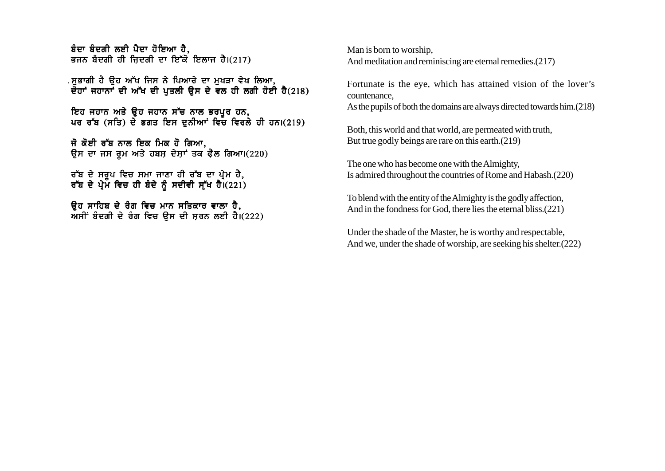ਬੰਦਾ ਬੰਦਗੀ ਲਈ ਪੈਦਾ ਹੋਇਆ **ਹੈ**. ਭਜਨ ਬੰਦਗੀ ਹੀ ਜਿਦਗੀ ਦਾ ਇੱਕੋ ਇਲਾਜ ਹੈ।(217)

.ਸਭਾਗੀ ਹੈ ਉਹ ਅੱਖ ਜਿਸ ਨੇ ਪਿਆਰੇ ਦਾ ਮਖੜਾ ਵੇਖ ਲਿਆ.  $\frac{1}{2}$ ਦੌਹਾਂ ਜਹਾਨਾਂ ਦੀ ਅੱਖ ਦੀ ਪਤਲੀ ੳਸ ਦੇ ਵਲ ਹੀ ਲਗੀ ਹੋਈ ਹੈ(218)

ਇਹ ਜਹਾਨ ਅਤੇ ੳਹ ਜਹਾਨ ਸੱਚ ਨਾਲ ਭਰਪਰ ਹਨ, ਪਰ ਰੱਬ (ਸਤਿ) ਦੇ ਭਗਤ ਇਸ ਦਨੀਆਂ ਵਿੱਚ ਵਿਰਲੇ ਹੀ ਹਨ।(219)

ਜੋ ਕੋਈ ਰੱਬ ਨਾਲ ਇਕ ਮਿਕ ਹੋ ਗਿਆ, ਉਸ ਦਾ ਜਸ ਰੂਮ ਅਤੇ ਹਬਸ ਦੇਸ਼ਾਂ ਤਕ ਫੈਲ ਗਿਆ।(220)

ਰੱਬ ਦੇ ਸਰਪ ਵਿਚ ਸਮਾ ਜਾਣਾ ਹੀ ਰੱਬ ਦਾ ਪੇਮ ਹੈ. ਰੱਬ ਦੇ ਪੇਮ ਵਿਚ ਹੀ ਬੰਦੇ ਨੰ ਸਦੀਵੀ ਸੱਖ ਹੈ।(221)

ਉਹ ਸਾਹਿਬ ਦੇ ਰੰਗ ਵਿਚ ਮਾਨ ਸਤਿਕਾਰ ਵਾਲਾ ਹੈ,  $\overline{M}$ ਸੀਂ ਬੰਦਗੀ ਦੇ ਰੰਗ ਵਿਚ ੳਸ ਦੀ ਸੂਰਨ ਲਈ ਹੈ।(222) Man is born to worship, And meditation and reminiscing are eternal remedies.(217)

Fortunate is the eye, which has attained vision of the lover's countenance,

As the pupils of both the domains are always directed towards him.(218)

Both, this world and that world, are permeated with truth, But true godly beings are rare on this earth.(219)

The one who has become one with the Almighty, Is admired throughout the countries of Rome and Habash.(220)

To blend with the entity of the Almighty is the godly affection, And in the fondness for God, there lies the eternal bliss.(221)

Under the shade of the Master, he is worthy and respectable, And we, under the shade of worship, are seeking his shelter.(222)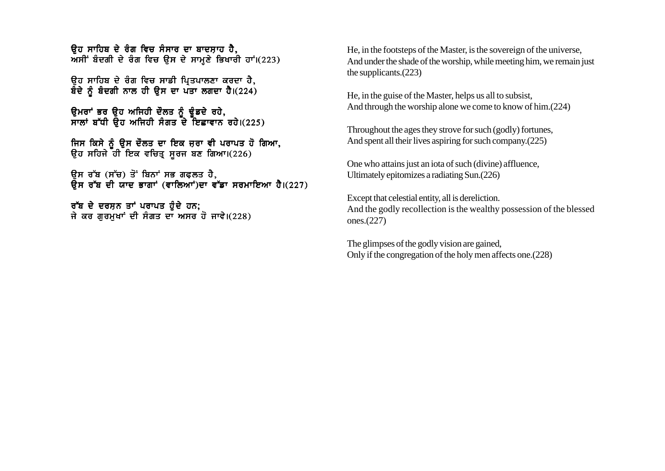<u>ਉਹ ਸਾਹਿਬ ਦੇ ਰੰਗ ਵਿਚ ਸੰਸਾਰ ਦਾ ਬਾਦਸਾਹ ਹੈ.</u>  $m$ ਸੀਂ ਬੰਦਗੀ ਦੇ ਰੰਗ ਵਿਚ ਉਸ ਦੇ ਸਾਮਣੇ ਭਿਖਾਰੀ ਹਾਂ।(223)

ਉਹ ਸਾਹਿਬ ਦੇ ਰੰਗ ਵਿਚ ਸਾਡੀ ਪਿਤਪਾਲਣਾ ਕਰਦਾ ਹੈ, ਬੌਦੇ ਨੂੰ ਬੰਦਗੀ ਨਾਲ ਹੀ ਉਸ ਦਾ ਪੌਤਾ ਲਗਦਾ ਹੈ।(224)

ਉਮਰਾਂ ਭਰ ਉਹ ਅਜਿਹੀ ਦੌਲਤ ਨੂੰ ਢੁੰਡਦੇ ਰਹੇ,  $\overline{r}$ ਲਾਂ ਬੱਧੀ ਉਹ ਅਜਿਹੀ ਸੰਗਤ ਦੇ ਇਛਾਵਾਨ ਰਹੇ।(225)

ਜਿਸ ਕਿਸੇ ਨੂੰ ਉਸ ਦੌਲਤ ਦਾ ਇਕ ਜ਼ਰਾ ਵੀ ਪਰਾਪਤ ਹੋ ਗਿਆ, ਉਹ ਸਹਿਜੇ ਹੀ ਇਕ ਵਚਿਤ ਸੂਰਜ ਬਣ ਗਿਆ।(226)

ਉਸ ਰੱਬ (ਸੱਚ) ਤੋਂ ਬਿਨਾਂ ਸਭ ਗਫਲਤ ਹੈ.  $\overline{R}$ ਸ ਰੱਬ ਦੀ ਯਾਦ ਭਾਗਾਂ (ਵਾਲਿਆਂ)ਦਾ ਵੱਡਾ ਸਰਮਾਇਆ ਹੈ।(227)

ਰੱਬ ਦੇ ਦਰਸ਼ਨ ਤਾਂ ਪਰਾਪਤ ਹੁੰਦੇ ਹਨ; ਜੇ ਕਰ ਗਰਮਖਾਂ ਦੀ ਸੰਗਤ ਦਾ ਅਸਰ ਹੋ ਜਾਵੇ।(228) He, in the footsteps of the Master, is the sovereign of the universe, And under the shade of the worship, while meeting him, we remain just the supplicants.(223)

He, in the guise of the Master, helps us all to subsist, And through the worship alone we come to know of him.(224)

Throughout the ages they strove for such (godly) fortunes, And spent all their lives aspiring for such company.(225)

One who attains just an iota of such (divine) affluence, Ultimately epitomizes a radiating Sun.(226)

Except that celestial entity, all is dereliction. And the godly recollection is the wealthy possession of the blessed ones.(227)

The glimpses of the godly vision are gained, Only if the congregation of the holy men affects one.(228)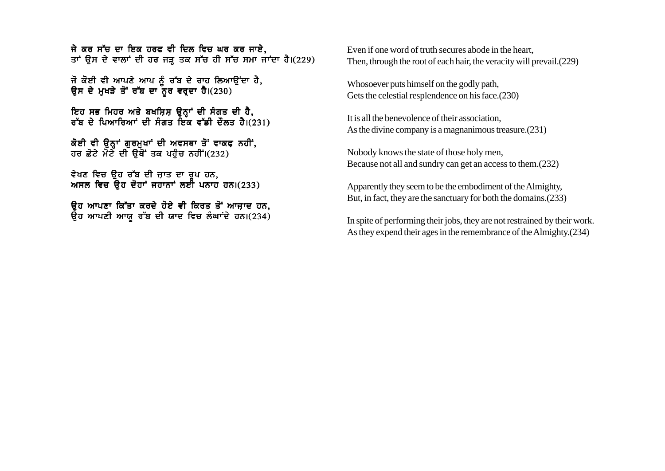ਜੇ ਕਰ ਸੱਚ ਦਾ ਇਕ ਹਰਫ ਵੀ ਦਿਲ ਵਿਚ ਘਰ ਕਰ ਜਾਏ. ਤਾਂ ਉਸ ਦੇ ਵਾਲਾਂ ਦੀ ਹਰ ਜੜ ਤਕ ਸੱਚ ਹੀ ਸੱਚ ਸਮਾ ਜਾਂਦਾ ਹੈ।(229)

ਜੋ ਕੋਈ ਵੀ ਆਪਣੇ ਆਪ ਨੂੰ ਰੱਬ ਦੇ ਰਾਹ ਲਿਆਉਂਦਾ ਹੈ, ਉਸ ਦੇ ਮਖੜੇ ਤੋਂ ਰੱਬ ਦਾ ਨਰ ਵਰਦਾ ਹੈ।(230)

ਇਹ ਸਭ ਮਿਹਰ ਅਤੇ ਬਖਸ਼ਿਸ਼ ਉਨ੍ਹਾਂ ਦੀ ਸੰਗਤ ਦੀ ਹੈ, ਰੱਬ ਦੇ ਪਿਆਰਿਆਂ ਦੀ ਸੰਗਤ ਇਕ ਵੱਡੀ ਦੌਲਤ ਹੈ। $(231)$ 

ਕੋਈ ਵੀ ੳਨਾਂ ਗਰਮਖਾਂ ਦੀ ਅਵਸਥਾ ਤੋਂ ਵਾਕਫ ਨਹੀਂ. ਹਰ ਛੋਟੇ ਮੋਟੇ ਦੀ ੳਥੋਂ ਤਕ ਪਹੰਚ ਨਹੀਂ।(232)

ਵੇਖਣ ਵਿਚ ੳਹ ਰੱਬ ਦੀ ਜਾਤ ਦਾ ਰਪ ਹਨ<mark>.</mark> ਅਸਲ ਵਿਚ ੳਹ ਦੋਹਾਂ ਜਹਾਨਾਂ ਲਈ ਪਨਾਹ ਹਨ।(233)

ਉਹ ਆਪਣਾ ਕਿੱਤਾ ਕਰਦੇ ਹੋਏ ਵੀ ਕਿਰਤ ਤੋਂ ਆਜ਼ਾਦ ਹਨ.  $\overline{a}$ ਹ ਆਪਣੀ ਆਯ ਰੱਬ ਦੀ ਯਾਦ ਵਿਚ ਲੰਘਾਂਦੇ ਹਨ।(234) Even if one word of truth secures abode in the heart Then, through the root of each hair, the veracity will prevail.(229)

Whosoever puts himself on the godly path, Gets the celestial resplendence on his face.(230)

It is all the benevolence of their association, As the divine company is a magnanimous treasure.(231)

Nobody knows the state of those holy men, Because not all and sundry can get an access to them.(232)

Apparently they seem to be the embodiment of the Almighty, But, in fact, they are the sanctuary for both the domains.(233)

In spite of performing their jobs, they are not restrained by their work. As they expend their ages in the remembrance of the Almighty.(234)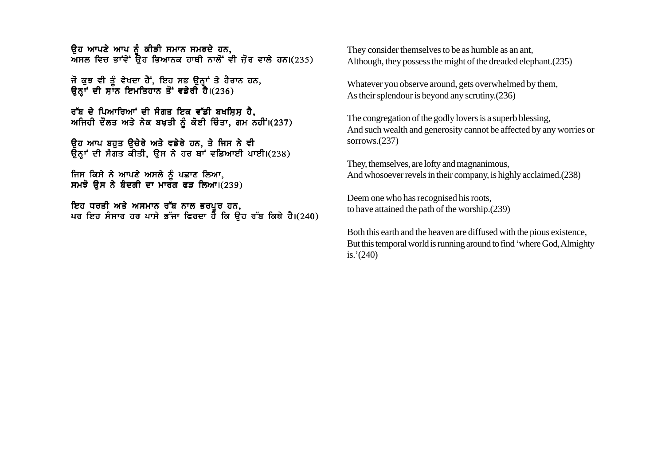ਕਿਹ ਆਪਣੇ ਆਪ ਨੂੰ ਕੀਤੀ ਸਮਾਨ ਸਮਝਦੇ ਹਨ,  $\overline{M}$ ਸਲ ਵਿਚ ਭਾਵੇਂ ਉਹ ਭਿਆਨਕ ਹਾਥੀ ਨਾਲੋਂ ਵੀ ਜੋਰ ਵਾਲੇ ਹਨ।(235)

ਜੋ ਕੁਝ ਵੀ ਤੂੰ ਵੇਖਦਾ ਹੈ; ਇਹ ਸਭ ਉਨ੍ਹਾਂ ਤੇ ਹੈਰਾਨ ਹਨ, ਉਨ੍ਹਾਂ ਦੀ ਸ਼ਾਨ ਇਮਤਿਹਾਨ ਤੋਂ ਵਡੇਰੀ ਹੈ।(236)

ਰੱਬ ਦੇ ਪਿਆਰਿਆਂ ਦੀ ਸੰਗਤ ਇਕ ਵੱਡੀ ਬਖਸ਼ਿਸ਼ ਹੈ, ਅਜਿਹੀ ਦੌਲਤ ਅਤੇ ਨੇਕ ਬਖ਼ਤੀ ਨੂੰ ਕੋਈ ਚਿੰਤਾ, ਗਮ ਨਹੀਂ।(237)

ਉਹ ਆਪ ਬਹਤ ਉਚੇਰੇ ਅਤੇ ਵਡੇਰੇ ਹਨ, ਤੇ ਜਿਸ ਨੇ ਵੀ ਉਨ੍ਹਾਂ ਦੀ ਸੰਗਤ ਕੀਤੀ, ਉਸ ਨੇ ਹਰ ਥਾਂ ਵਡਿਆਈ ਪਾਈ।(238)

ਜਿਸ ਕਿਸੇ ਨੇ ਆਪਣੇ ਅਸਲੇ ਨੂੰ ਪਛਾਣ ਲਿਆ, ਸਮਝੋ ਉਸ ਨੇ ਬੰਦਗੀ ਦਾ ਮਾਰੰਗ ਫੜ ਲਿਆ। $(239)$ 

ਇਹ ਧਰਤੀ ਅਤੇ ਅਸਮਾਨ ਰੱਬ ਨਾਲ ਭਰਪਰ ਹਨ. ਪਰ ਇਹ ਸੰਸਾਰ ਹਰ ਪਾਸੇ ਭੱਜਾ ਫਿਰਦਾ ਹੈ ਕਿ ਉਹ ਰੱਬ ਕਿਥੇ ਹੈ।(240) They consider themselves to be as humble as an ant, Although, they possess the might of the dreaded elephant.(235)

Whatever you observe around, gets overwhelmed by them, As their splendour is beyond any scrutiny.(236)

The congregation of the godly lovers is a superb blessing, And such wealth and generosity cannot be affected by any worries or sorrows.(237)

They, themselves, are lofty and magnanimous, And whosoever revels in their company, is highly acclaimed.(238)

Deem one who has recognised his roots, to have attained the path of the worship.(239)

Both this earth and the heaven are diffused with the pious existence, But this temporal world is running around to find 'where God, Almighty is.'(240)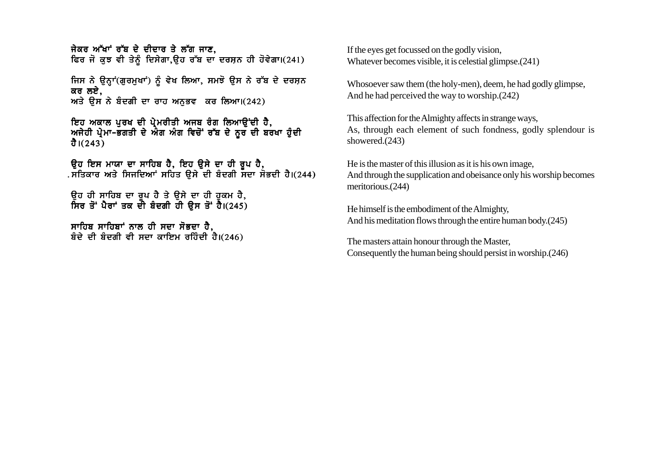ਜੇਕਰ ਅੱਖਾਂ ਰੱਬ ਦੇ ਦੀਦਾਰ ਤੇ ਲੱਗ ਜਾਣ, ਫਿਰ ਜੋ ਕੁਝ ਵੀ ਤੇਨੂੰ ਦਿਸੇਗਾ,ਉਹ ਰੱਬ ਦਾ ਦਰਸ਼ਨ ਹੀ ਹੋਵੇਗਾ।(241)

ਜਿਸ ਨੇ ਉਨ੍ਹਾਂ(ਗੁਰਮੁਖਾਂ) ਨੂੰ ਵੇਖ ਲਿਆ, ਸਮਝੋ ਉਸ ਨੇ ਰੱਬ ਦੇ ਦਰਸ਼ਨ ਕਰ ਲਏ.  $m\overrightarrow{a}$  ਉਸ ਨੇ ਬੰਦਗੀ ਦਾ ਰਾਹ ਅਨਭਵ ਕਰ ਲਿਆ।(242)

ਇਹ ਅਕਾਲ ਪੁਰਖ ਦੀ ਪ੍ਰੇਮਰੀਤੀ ਅਜਬ ਰੰਗ ਲਿਆਉਂਦੀ ਹੈ, ਅਜੇਹੀ ਪ੍ਰੇਮਾ-ਭਗਤੀ ਦੇ ਐਗ ਅੰਗ ਵਿਚੋਂ ਰੱਬ ਦੇ ਨੂਰ ਦੀ ਬਰਖਾ ਹੁੰਦੀ ਹੈ। $(243)$ 

ੳਹ ਇਸ ਮਾਯਾ ਦਾ ਸਾਹਿਬ ਹੈ. ਇਹ ੳਸੇ ਦਾ ਹੀ ਰਪ ਹੈ. ਸਤਿਕਾਰ ਅਤੇ ਸਿਜਦਿਆਂ ਸਹਿਤ ੳਸੇ ਦੀ ਬੈਦਗੀ ਸਦਾ ਸੋਭਦੀ ਹੈ।(244)

ੳਹ ਹੀ ਸਾਹਿਬ ਦਾ ਰਪ ਹੈ ਤੇ ੳਸੇ ਦਾ ਹੀ ਹਕਮ ਹੈ. ਸਿਰ ਤੋਂ ਪੈਰਾਂ ਤਕ ਦੀ ਬੰਦਗੀ ਹੀ ੳਸ ਤੋਂ ਹੈ।(245)

ਸਾਹਿਬ ਸਾਹਿਬਾਂ ਨਾਲ ਹੀ ਸਦਾ ਸੋਭਦਾ ਹੈ, ਬੰਦੇ ਦੀ ਬੰਦਗੀ ਵੀ ਸਦਾ ਕਾਇਮ ਰਹਿੰਦੀ ਹੈ।(246) If the eyes get focussed on the godly vision, Whatever becomes visible, it is celestial glimpse.(241)

Whosoever saw them (the holy-men), deem, he had godly glimpse, And he had perceived the way to worship.(242)

This affection for the Almighty affects in strange ways, As, through each element of such fondness, godly splendour is showered.(243)

He is the master of this illusion as it is his own image, And through the supplication and obeisance only his worship becomes meritorious.(244)

He himself is the embodiment of the Almighty, And his meditation flows through the entire human body.(245)

The masters attain honour through the Master, Consequently the human being should persist in worship.(246)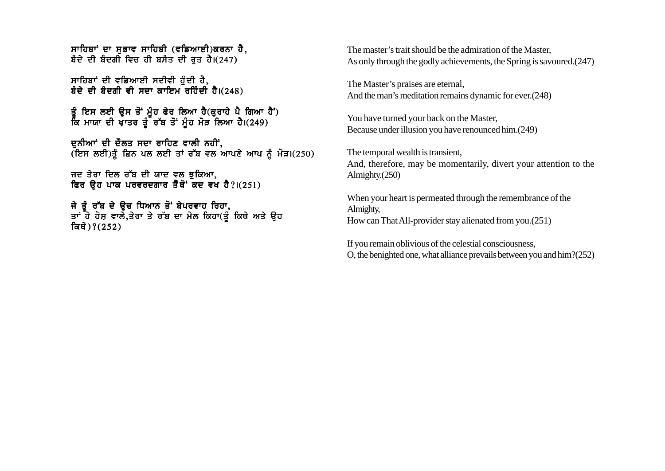ਸਾਹਿਬਾਂ ਦਾ ਸਭਾਵ ਸਾਹਿਬੀ (ਵਡਿਆਈ)ਕਰਨਾ ਹੈ, ਬੰਦੇ ਦੀ ਬੰਦਗੀ ਵਿਚ ਹੀ ਬਸੰਤ ਦੀ ਰਤ ਹੈ।(247)

ਸਾਹਿਬਾਂ ਦੀ ਵਡਿਆਈ ਸਦੀਵੀ ਹੈਦੀ ਹੈ. ਬੰਦੇ ਦੀ ਬੰਦਗੀ ਵੀ ਸਦਾ ਕਾਇਮ ਰਹਿੰਦੀ ਹੈ।(248)

ਤੰ ਇਸ ਲਈ ਉਸ ਤੋਂ ਮੰਹ ਫੇਰ ਲਿਆ ਹੈ(ਕਰਾਹੇ ਪੈ ਗਿਆ ਹੈ<sup>:</sup>) ਕਿ ਮਾਯਾ ਦੀ ਖਾਤਰ ਤੂੰ ਰੱਬ ਤੋਂ ਮੂੰਹ ਮੋੜ ਲਿਆ ਹੈ।(249)

ਦੁਨੀਆਂ ਦੀ ਦੌਲਤ ਸਦਾ ਰਾਹਿਣ ਵਾਲੀ ਨਹੀਂ,  $(\text{fzH } \text{wzH})$ ਤੂੰ ਛਿਨ ਪਲ ਲਈ ਤਾਂ ਰੱਬ ਵਲ ਆਪਣੇ ਆਪ ਨੂੰ ਮੋੜ।(250)

ਜਦ ਤੇਰਾ ਦਿਲ ਰੱਬ ਦੀ ਯਾਦ ਵਲ ਝੁਕਿਆ, ਫਿਰ ੳਹ ਪਾਕ ਪਰਵਰਦਗਾਰ ਤੈਂਥੋਂ ਕਦ ਵਖ ਹੈ?।(251)

ਜੇ ਤੰ ਰੱਬ ਦੇ ੳਚ ਧਿਆਨ ਤੋਂ ਬੇਪਰਵਾਹ ਰਿਹਾ. ਤਾਂ ਹੇ ਹੋਸ ਵਾਲੇ.ਤੇਰਾ ਤੇ ਰੱਬ ਦਾ ਮੇਲ ਕਿਹਾ(ਤੰ ਕਿਥੇ ਅਤੇ ੳਹ ਕਿਥੇ)?(252)

The master's trait should be the admiration of the Master, As only through the godly achievements, the Spring is savoured.(247)

The Master's praises are eternal, And the man's meditation remains dynamic for ever.(248)

You have turned your back on the Master, Because under illusion you have renounced him.(249)

The temporal wealth is transient, And, therefore, may be momentarily, divert your attention to the Almighty.(250)

When your heart is permeated through the remembrance of the Almighty, How can That All-provider stay alienated from you.(251)

If you remain oblivious of the celestial consciousness, O, the benighted one, what alliance prevails between you and him?(252)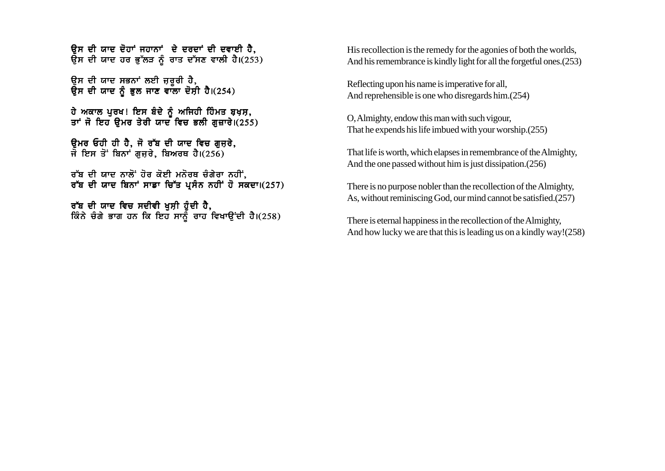ਉਸ ਦੀ ਯਾਦ ਦੋਹਾਂ ਜਹਾਨਾਂ ਦੇ ਦਰਦਾਂ ਦੀ ਦਵਾਈ ਹੈ. ਉਸ ਦੀ ਯਾਦ ਹਰ ਭੱਲੜ ਨੂੰ ਰਾਤ ਦੱਸਣ ਵਾਲੀ ਹੈ।(253)

ਉਸ ਦੀ ਯਾਦ ਸਭਨਾਂ ਲਈ ਜ਼ਰੂਰੀ ਹੈ, ਉਸ ਦੀ ਯਾਦ ਨੂੰ ਭੁਲ ਜਾਣ ਵਾਲਾ ਦੋਸ਼ੀ ਹੈ।(254)

ਹੇ ਅਕਾਲ ਪਰਖ! ਇਸ ਬੰਦੇ ਨੰ ਅਜਿਹੀ ਹਿੰਮਤ ਬਖ਼ਸ਼, ਤਾਂ ਜੋ ਇਹ ਉਮਰ ਤੇਰੀ ਯਾਦ ਵਿਚ ਭਲੀ ਗਜ਼ਾਰੇ।(255)

ਉਮਰ ਓਹੀ ਹੀ ਹੈ, ਜੋ ਰੱਬ ਦੀ ਯਾਦ ਵਿਚ ਗਜ਼ਰੇ, ਜੋ ਇਸ ਤੋਂ ਬਿਨਾਂ ਗੁਜ਼ਰੇ, ਬਿਅਰਥ ਹੈ।(256)

ਰੱਬ ਦੀ ਯਾਦ ਨਾਲੋਂ ਹੋਰ ਕੋਈ ਮਨੋਰਥ ਚੰਗੇਰਾ ਨਹੀਂ, ਰੱਬ ਦੀ ਯਾਦ ਬਿਨਾਂ ਸਾਡਾ ਚਿੱਤ ਪਸੰਨ ਨਹੀਂ ਹੋ ਸਕਦਾ।(257)

ਰੱਬ ਦੀ ਯਾਦ ਵਿਚ ਸਦੀਵੀ ਖੁਸ਼ੀ ਹੁੰਦੀ ਹੈ, ਕਿੰਨੇ ਚੰਗੇ ਭਾਗ ਹਨ ਕਿ ਇਹ ਸਾਨੂੰ ਰਾਹ ਵਿਖਾਉਂਦੀ ਹੈ।(258) His recollection is the remedy for the agonies of both the worlds. And his remembrance is kindly light for all the forgetful ones. (253)

Reflecting upon his name is imperative for all, And reprehensible is one who disregards him. (254)

O, Almighty, endow this man with such vigour, That he expends his life imbued with your worship. (255)

That life is worth, which elapses in remembrance of the Almighty, And the one passed without him is just dissipation. (256)

There is no purpose nobler than the recollection of the Almighty, As, without reminiscing God, our mind cannot be satisfied. (257)

There is eternal happiness in the recollection of the Almighty, And how lucky we are that this is leading us on a kindly way! (258)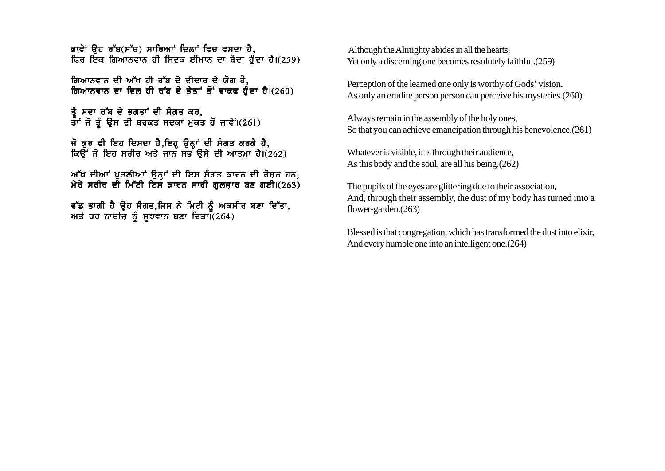ਭਾਵੇ<sup>:</sup> ਉਹ ਰੱਬ(ਸੱਚ) ਸਾਰਿਆਂ ਦਿਲਾਂ ਵਿਚ ਵਸਦਾ ਹੈ. <u>ਵਿਰ ਇੱਕ ਗਿਆਨਵਾਨ ਹੀ ਸਿਦਕ ਈਮਾਨ ਦਾ ਬੰਦਾ ਹੁੰਦਾ ਹੈ।(259)</u>

ਗਿਆਨਵਾਨ ਦੀ ਅੱਖ ਹੀ ਰੱਬ ਦੇ ਦੀਦਾਰ ਦੇ ਯੋਗ ਹੈ*.* ਗਿਆਨਵਾਨ ਦਾ ਦਿਲ ਹੀ ਰੱਬ ਦੇ ਭੇਤਾਂ ਤੋਂ ਵਾਕਫ ਹੰਦਾ ਹੈ।(260)

ਤੰ ਸਦਾ ਰੱਬ ਦੇ ਭਗਤਾਂ ਦੀ ਸੰਗਤ ਕਰ, ਤਾਂ ਜੋ ਤੂੰ ਉਸ ਦੀ ਬਰਕਤ ਸਦਕਾ ਮੁਕਤ ਹੋ ਜਾਵੇ<sup>:</sup> (261)

ਜੋ ਕੁਝ ਵੀ ਇਹ ਦਿਸਦਾ ਹੈ,ਇਹ੍ਹ ਉਨ੍ਹਾਂ ਦੀ ਸੰਗਤ ਕਰਕੇ ਹੈ, ਕਿਉਂ ਜੋ ਇਹ ਸਰੀਰ ਅਤੇ ਜਾਨ ਸਭ ਉਸੇ ਦੀ ਆਤਮਾ ਹੈ।(262)

ਅੱਖ ਦੀਆਂ ਪੁਤਲੀਆਂ ਉਨ੍ਹਾਂ ਦੀ ਇਸ ਸੰਗਤ ਕਾਰਨ ਦੀ ਰੋਸ਼ਨ ਹਨ, ਮੇਰੇ ਸਰੀਰ ਦੀ ਮਿੱਟੀ ਇਸ ਕਾਰਨ ਸਾਰੀ ਗਲਜਾਰ ਬਣ ਗਈ।(263)

ਵੱਡ ਭਾਗੀ ਹੈ ਉਹ ਸੰਗਤ,ਜਿਸ ਨੇ ਮਿਟੀ ਨੂੰ ਅਕਸੀਰ ਬਣਾ ਦਿੱਤਾ, ਅਤੇ ਹਰ ਨਾਚੀਜ਼ ਨੂੰ ਸੁਝਵਾਨ ਬਣਾ ਦਿਤਾ। (264)

 Although the Almighty abides in all the hearts, Yet only a discerning one becomes resolutely faithful.(259)

Perception of the learned one only is worthy of Gods' vision, As only an erudite person person can perceive his mysteries.(260)

Always remain in the assembly of the holy ones, So that you can achieve emancipation through his benevolence.(261)

Whatever is visible, it is through their audience, As this body and the soul, are all his being.(262)

The pupils of the eyes are glittering due to their association, And, through their assembly, the dust of my body has turned into a flower-garden.(263)

Blessed is that congregation, which has transformed the dust into elixir, And every humble one into an intelligent one.(264)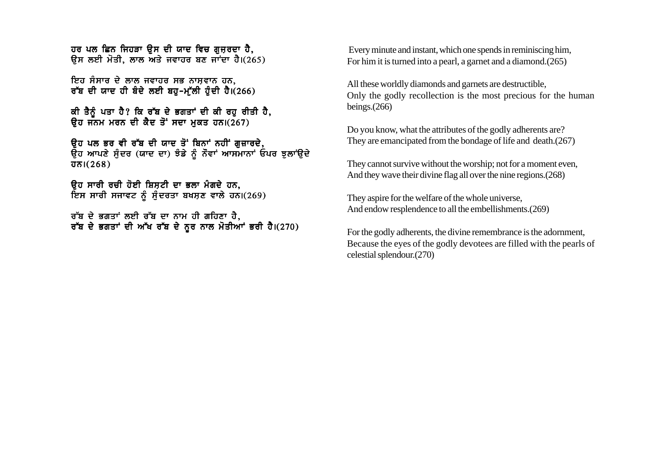ਹਰ ਪਲ ਛਿਨ ਜਿਹੜਾ ਉਸ ਦੀ ਯਾਦ ਵਿਚ ਗਜਰਦਾ ਹੈ. ਉਸ ਲਈ ਮੋਤੀ, ਲਾਲ ਅਤੇ ਜਵਾਹਰ ਬਣ ਜਾਂਦਾ ਹੈ।(265)

ਇਹ ਸੰਸਾਰ ਦੇ ਲਾਲ ਜਵਾਹਰ ਸਭ ਨਾਸਵਾਨ ਹਨ. ਰੱਬ ਦੀ ਯਾਦ ਹੀ ਬੰਦੇ ਲਈ ਬਹ-ਮੱਲੀ ਹੰਦੀ ਹੈ।(266)

ਕੀ ਤੈਨੂੰ ਪਤਾ ਹੈ? ਕਿ ਰੱਬ ਦੇ ਭਗਤਾਂ ਦੀ ਕੀ ਰਹੂ ਰੀਤੀ ਹੈ, ਉਹ ਜਨਮ ਮਰਨ ਦੀ ਕੈਦ ਤੋਂ ਸਦਾ ਮਕਤ ਹਨ।(267)

ਉਹ ਪਲ ਭਰ ਵੀ ਰੱਬ ਦੀ ਯਾਦ ਤੋਂ ਬਿਨਾਂ ਨਹੀਂ ਗਜ਼ਾਰਦੇ, ਉਹ ਆਪਣੇ ਸੁੰਦਰ (ਯਾਦ ਦਾ) ਝੰਡੇ ਨੂੰ ਨੌਵਾਂ ਆਸਮਾਨਾਂ ਓਪਰ ਝੁਲਾਂਉਦੇ  $\overline{351}(268)$ 

<u>ਉਹ ਸਾਰੀ ਰਚੀ ਹੋਈ ਸ਼ਿਸਟੀ ਦਾ ਭਲਾ ਮੰਗਦੇ ਹਨ.</u> ਇਸ ਸਾਰੀ ਸਜਾਵਟ ਨੂੰ ਸੁੰਦਰਤਾ ਬਖਸ਼ਣ ਵਾਲੇ ਹਨ।(269)

ਰੱਬ ਦੇ ਭਗਤਾਂ ਲਈ ਰੱਬ ਦਾ ਨਾਮ ਹੀ ਗਹਿਣਾ ਹੈ, ਰੱਬ ਦੇ ਭਗਤਾਂ ਦੀ ਅੱਖ ਰੱਬ ਦੇ ਨੂਰ ਨਾਲ ਮੋਤੀਆਂ ਭਰੀ ਹੈ।(270)

Every minute and instant, which one spends in reminiscing him. For him it is turned into a pearl, a garnet and a diamond. (265)

All these worldly diamonds and garnets are destructible, Only the godly recollection is the most precious for the human beings. $(266)$ 

Do you know, what the attributes of the godly adherents are? They are emancipated from the bondage of life and death. (267)

They cannot survive without the worship; not for a moment even, And they wave their divine flag all over the nine regions. (268)

They aspire for the welfare of the whole universe, And endow resplendence to all the embellishments. (269)

For the godly adherents, the divine remembrance is the adornment, Because the eyes of the godly devotees are filled with the pearls of celestial splendour.(270)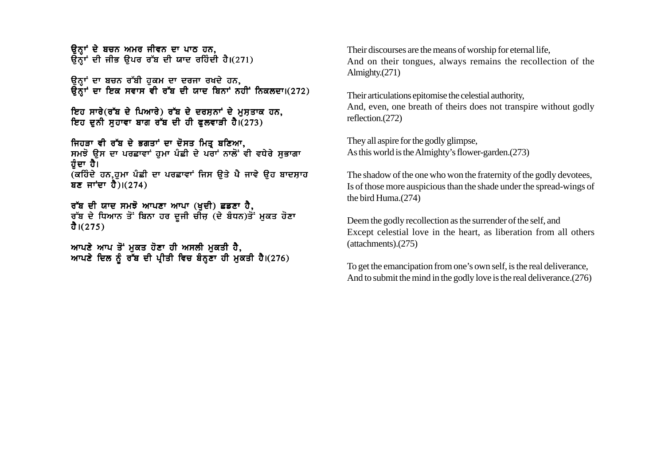ਉਨ੍ਹਾਂ ਦੇ ਬਚਨ ਅਮਰ ਜੀਵਨ ਦਾ ਪਾਠ ਹਨ, ਉਨ੍ਹਾਂ ਦੀ ਜੀਭ ਉਪਰ ਰੱਬ ਦੀ ਯਾਦ ਰਹਿੰਦੀ ਹੈ।(271)

ਉਨਾਂ ਦਾ ਬਚਨ ਰੱਬੀ ਹਕਮ ਦਾ ਦਰਜਾ ਰਖਦੇ ਹਨ,  $\overline{6}$ ਨਾਂ ਦਾ ਇਕ ਸਵਾਸ ਵੀ ਰੱਬ ਦੀ ਯਾਦ ਬਿਨਾਂ ਨਹੀਂ ਨਿਕਲਦਾ।(272)

ਇਹ ਸਾਰੇ(ਰੱਬ ਦੇ ਪਿਆਰੇ) ਰੱਬ ਦੇ ਦਰਸ਼ਨਾਂ ਦੇ ਮੁਸ਼ਤਾਕ ਹਨ, ਇਹ ਦਨੀ ਸਹਾਵਾ ਬਾਗ ਰੱਬ ਦੀ ਹੀ ਫਲਵਾੜੀ ਹੈ।(273)

ਜਿਹੜਾ ਵੀ ਰੱਬ ਦੇ ਭਗਤਾਂ ਦਾ ਦੋਸਤ ਮਿਤ੍ਰ ਬਣਿਆ, ਸਮਝੋ ਉਸ ਦਾ ਪਰਛਾਵਾਂ ਹੁਮਾ ਪੰਛੀ ਦੇ ਪਰਾਂ ਨਾਲੋਂ ਵੀ ਵਧੇਰੇ ਸੁਭਾਗਾ ਹੰਦਾ ਹੈ। (ਕਹਿੰਦੇ ਹਨ,ਹੁਮਾ ਪੰਛੀ ਦਾ ਪਰਛਾਵਾਂ ਜਿਸ ਉਤੇ ਪੈ ਜਾਵੇ ਉਹ ਬਾਦਸ਼ਾਹ ਬਣ ਜਾਂਦਾ ਹੈ) $(274)$ 

ਰੱਬ ਦੀ ਯਾਦ ਸਮਝੋ ਆਪਣਾ ਆਪਾ (ਖੁਦੀ) ਛਡਣਾ ਹੈ, ਰੱਬ ਦੇ ਧਿਆਨ ਤੋਂ ਬਿਨਾ ਹਰ ਦੂਜੀ ਚੀਜ਼ (ਦੇ ਬੈਧਨ)ਤੋਂ ਮੁਕਤ ਹੋਣਾ ਹੈ।(275)

ਆਪਣੇ ਆਪ ਤੋਂ ਮਕਤ ਹੋਣਾ ਹੀ ਅਸਲੀ ਮਕਤੀ ਹੈ, ਆਪਣੇ ਦਿਲ ਨੂੰ ਰੱਬ ਦੀ ਪ੍ਰੀਤੀ ਵਿਚ ਬੰਨ੍ਹਣਾ ਹੀ ਮੁਕਤੀ ਹੈ।(276) Their discourses are the means of worship for eternal life, And on their tongues, always remains the recollection of the Almighty.(271)

Their articulations epitomise the celestial authority, And, even, one breath of theirs does not transpire without godly reflection.(272)

They all aspire for the godly glimpse, As this world is the Almighty's flower-garden.(273)

The shadow of the one who won the fraternity of the godly devotees, Is of those more auspicious than the shade under the spread-wings of the bird Huma.(274)

Deem the godly recollection as the surrender of the self, and Except celestial love in the heart, as liberation from all others (attachments).(275)

To get the emancipation from one's own self, is the real deliverance, And to submit the mind in the godly love is the real deliverance.(276)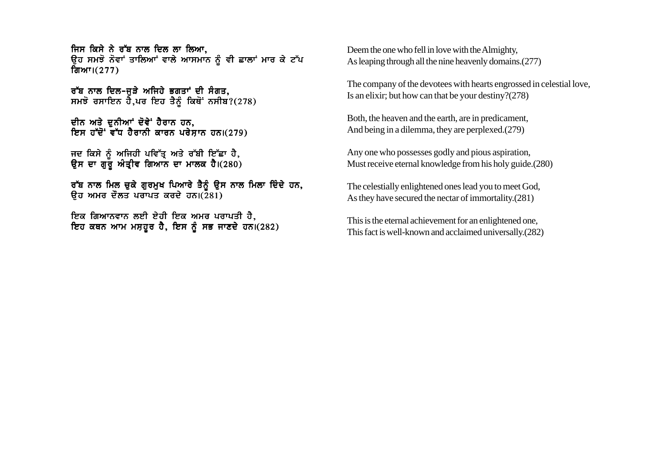ਜਿਸ ਕਿਸੇ ਨੇ ਰੱਬ ਨਾਲ ਦਿਲ ਲਾ ਲਿਆ. ਉਹ ਸਮਝੋ ਨੋਵਾਂ ਤਾਲਿਆਂ ਵਾਲੇ ਆਸਮਾਨ ਨੂੰ ਵੀ ਛਾਲਾਂ ਮਾਰ ਕੇ ਟੱਪ ਗਿਆ। $(277)$ 

ਰੱਬ ਨਾਲ ਦਿਲ-ਜੜੇ ਅਜਿਹੇ ਭਗਤਾਂ ਦੀ ਸੰਗਤ.  $m\bar{z}$  ਰਸਾਇਨ ਹੈ,ਪਰ ਇਹ ਤੈਨੂੰ ਕਿਥੋਂ ਨਸੀਬ?(278)

ਦੀਨ ਅਤੇ ਦੁਨੀਆਂ ਦੋਵੇਂ ਹੈਰਾਨ ਹਨ, ਇਸ ਹੱਦੋਂ ਵੱਧ ਹੈਰਾਨੀ ਕਾਰਨ ਪਰੇਸਾਨ ਹਨ।(279)

ਜਦ ਕਿਸੇ ਨੂੰ ਅਜਿਹੀ ਪਵਿੱਤ੍ਰ ਅਤੇ ਰੱਬੀ ਇੱਛਾ ਹੈ, ਉਸ ਦਾ ਗੁਰੂ ਅੰਤ੍ਰੀਵ ਗਿਆਨ ਦਾ ਮਾਲਕ ਹੈ।(280)

ਰੱਬ ਨਾਲ ਮਿਲ ਚੁਕੇ ਗੁਰਮੁਖ ਪਿਆਰੇ ਤੈਨੂੰ ਉਸ ਨਾਲ ਮਿਲਾ ਦਿੰਦੇ ਹਨ,  $\overline{a}$ ਰ ਅਮਰ ਦੌਲਤ ਪਰਾਪਤ ਕਰਦੇ ਹਨ। $(281)$ 

<u>ਇਕ ਗਿਆਨਵਾਨ ਲਈ ਏਹੀ ਇਕ ਅਮਰ ਪਰਾਪਤੀ ਹੈ,</u> ਇਹ ਕਥਨ ਆਮ ਮਸ਼ਹੂਰ ਹੈ, ਇਸ ਨੂੰ ਸਭ ਜਾਣਦੇ ਹਨ।(282) Deem the one who fell in love with the Almighty, As leaping through all the nine heavenly domains.(277)

The company of the devotees with hearts engrossed in celestial love, Is an elixir; but how can that be your destiny?(278)

Both, the heaven and the earth, are in predicament, And being in a dilemma, they are perplexed.(279)

Any one who possesses godly and pious aspiration, Must receive eternal knowledge from his holy guide.(280)

The celestially enlightened ones lead you to meet God, As they have secured the nectar of immortality.(281)

This is the eternal achievement for an enlightened one, This fact is well-known and acclaimed universally.(282)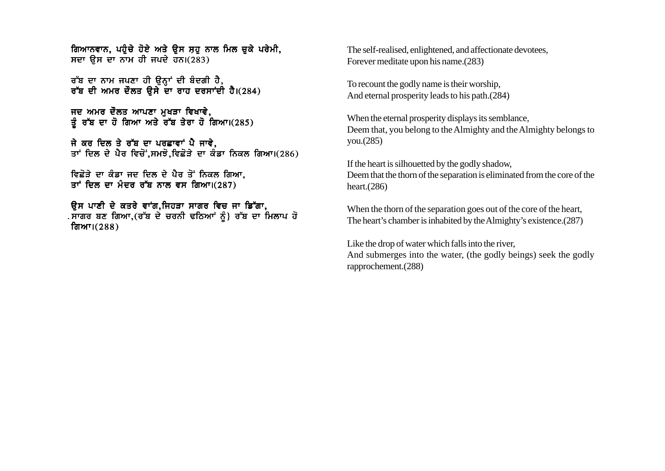ਗਿਆਨਵਾਨ, ਪਹੁੰਚੇ ਹੋਏ ਅਤੇ ਉਸ ਸ਼ਹ ਨਾਲ ਮਿਲ ਚਕੇ ਪਰੇਮੀ, ਸਦਾ ਉਸ ਦਾ ਨਾਮ ਹੀ ਜਪਦੇ ਹਨ। $(283)$ 

ਰੱਬ ਦਾ ਨਾਮ ਜਪਣਾ ਹੀ ਉਨਾਂ ਦੀ ਬੰਦਗੀ ਹੈ, ਰੱਬ ਦੀ ਅਮਰ ਦੌਲਤ ਉਸੇ ਦਾ ਰਾਹ ਦਰਸਾਂਦੀ ਹੈ।(284)

ਜਦ ਅਮਰ ਦੌਲਤ ਆਪਣਾ ਮਖੜਾ ਵਿਖਾਵੇ. ਤੂੰ ਰੱਬ ਦਾ ਹੋ ਗਿਆ ਅਤੇ ਰੱਬ ਤੇਰਾ ਹੋ ਗਿਆ।(285)

ਜੇ ਕਰ ਦਿਲ ਤੇ ਰੱਬ ਦਾ ਪਰਛਾਵਾਂ ਪੈ ਜਾਵੇ, ਤਾਂ ਦਿਲ ਦੇ ਪੈਰ ਵਿਚੋਂ ਸਮਝੋ ਵਿਛੋੜੇ ਦਾ ਕੰਡਾ ਨਿਕਲ ਗਿਆ।(286)

ਵਿਛੋੜੇ ਦਾ ਕੰਡਾ ਜਦ ਦਿਲ ਦੇ ਪੈਰ ਤੋਂ ਨਿਕਲ ਗਿਆ. ਤਾਂ ਦਿਲ ਦਾ ਮੰਦਰ ਰੱਬ ਨਾਲ ਵਸ ਗਿਆ।(287)

ਓਸ ਪਾਣੀ ਦੇ ਕਤਰੇ ਵਾਂਗ,ਜਿਹੜਾ ਸਾਗਰ ਵਿਚ ਜਾ ਡਿੱਗਾ, . ਸਾਗਰ ਬਣ ਗਿਆ.(ਰੱਬ ਦੇ ਚਰਨੀ ਢਠਿਆਂ ਨੰ} ਰੱਬ ਦਾ ਮਿਲਾਪ ਹੋ ਗਿਆ। $(288)$ 

The self-realised, enlightened, and affectionate devotees, Forever meditate upon his name.(283)

To recount the godly name is their worship, And eternal prosperity leads to his path.(284)

When the eternal prosperity displays its semblance, Deem that, you belong to the Almighty and the Almighty belongs to you.(285)

If the heart is silhouetted by the godly shadow, Deem that the thorn of the separation is eliminated from the core of the heart.(286)

When the thorn of the separation goes out of the core of the heart, The heart's chamber is inhabited by the Almighty's existence.(287)

Like the drop of water which falls into the river, And submerges into the water, (the godly beings) seek the godly rapprochement.(288)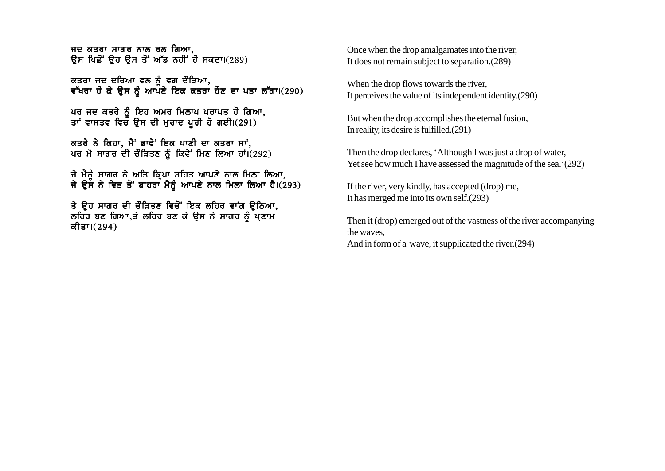ਜਦ ਕਤਰਾ ਸਾਗਰ ਨਾਲ ਰਲ ਗਿਆ, ਉਸ ਪਿਛੋਂ ਉਹ ਉਸ ਤੋਂ ਅੱਡ ਨਹੀਂ ਹੋ ਸਕਦਾ।(289)

ਕਤਰਾ ਜਦ ਦਰਿਆ ਵਲ ਨੰ ਵਗ ਦੌੜਿਆ, ਵੱਖਰਾ ਹੋ ਕੇ ਉਸ ਨੂੰ ਆਪਣੇ ਇਕ ਕਤਰਾ ਹੋਣ ਦਾ ਪਤਾ ਲੱਗਾ।(290)

ਪਰ ਜਦ ਕਤਰੇ ਨੰ ਇਹ ਅਮਰ ਮਿਲਾਪ ਪਰਾਪਤ ਹੋ ਗਿਆ. ਤਾਂ ਵਾਸਤਵ ਵਿਚ ਉਸ ਦੀ ਮੁਰਾਦ ਪੂਰੀ ਹੋ ਗਈ।(291)

ਕਤਰੇ ਨੇ ਕਿਹਾ, ਮੈਂ ਭਾਵੇਂ ਇਕ ਪਾਣੀ ਦਾ ਕਤਰਾ ਸਾਂ, ਪਰ ਮੈ ਸਾਗਰ ਦੀ ਚੌੜਿਤਣ ਨੂੰ ਕਿਵੇ<sup>:</sup> ਮਿਣ ਲਿਆ ਹਾਂ।(292)

ਜੇ ਮੈਨੰ ਸਾਗਰ ਨੇ ਅਤਿ ਕਿਪਾ ਸਹਿਤ ਆਪਣੇ ਨਾਲ ਮਿਲਾ ਲਿਆ. ਜੇ ਉਸ ਨੇ ਵਿਤ ਤੋਂ ਬਾਹਰਾ ਮੈਨੰ ਆਪਣੇ ਨਾਲ ਮਿਲਾ ਲਿਆ ਹੈ।(293)

ਤੇ ਉਹ ਸਾਗਰ ਦੀ ਚੌੜਿਤਣ ਵਿਚੋਂ ਇਕ ਲਹਿਰ ਵਾਂਗ ਉਠਿਆ, ਲਹਿਰ ਬਣ ਗਿਆ,ਤੇ ਲਹਿਰ ਬਣ ਕੇ ਉਸ ਨੇ ਸਾਗਰ ਨੂੰ ਪ੍ਰਣਾਮ ਕੀਤਾ।(294)

Once when the drop amalgamates into the river, It does not remain subject to separation.(289)

When the drop flows towards the river, It perceives the value of its independent identity.(290)

But when the drop accomplishes the eternal fusion, In reality, its desire is fulfilled.(291)

Then the drop declares, 'Although I was just a drop of water, Yet see how much I have assessed the magnitude of the sea.'(292)

If the river, very kindly, has accepted (drop) me, It has merged me into its own self.(293)

Then it (drop) emerged out of the vastness of the river accompanying the waves,

And in form of a wave, it supplicated the river.(294)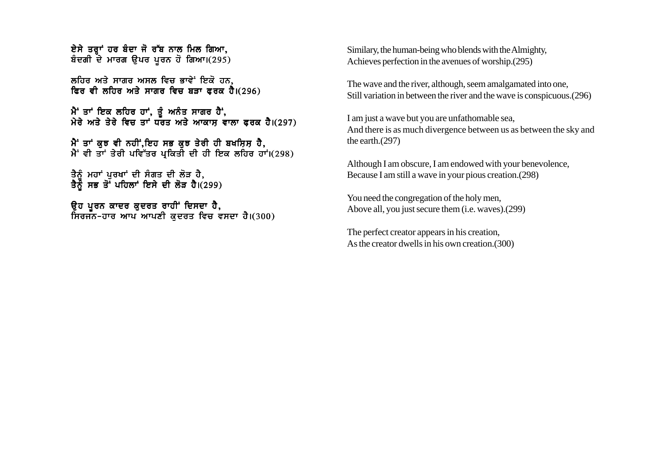ਏਸੇ ਤਰਾਂ ਹਰ ਬੰਦਾ ਜੋ ਰੱਬ ਨਾਲ ਮਿਲ ਗਿਆ. ਬੰਦਗੀ ਦੇ ਮਾਰਗ ਉਪਰ ਪੂਰਨ ਹੋ ਗਿਆ।(295)

ਲਹਿਰ ਅਤੇ ਸਾਗਰ ਅਸਲ ਵਿਚ ਭਾਵੇ<sup>:</sup> ਇਕੋ ਹਨ, ਫਿਰ ਵੀ ਲਹਿਰ ਅਤੇ ਸਾਗਰ ਵਿਚ ਬੜਾ ਫਰਕ ਹੈ। $(296)$ 

ਮੈਂ ਤਾਂ ਇਕ ਲਹਿਰ ਹਾਂ, ਤੂੰ ਅਨੰਤ ਸਾਗਰ ਹੈਂ, ਮੇਰੇ ਅਤੇ ਤੇਰੇ ਵਿਚ ਤਾ<sup>ਂ</sup> ਧਰਤ ਅਤੇ ਆਕਾਸ ਵਾਲਾ ਫਰਕ ਹੈ।(297)

ਮੈਂ ਤਾਂ ਕਝ ਵੀ ਨਹੀਂ,ਇਹ ਸਭ ਕਝ ਤੇਰੀ ਹੀ ਬਖਸ਼ਿਸ਼ ਹੈ,  $\hat{A}$  ਵੀ ਤਾਂ ਤੇਰੀ ਪਵਿੱਤਰ ਪ੍ਰਕਿਤੀ ਦੀ ਹੀ ਇਕ ਲਹਿਰ ਹਾਂ।(298)

ਤੈਨੰ ਮਹਾਂ ਪਰਖਾਂ ਦੀ ਸੰਗਤ ਦੀ ਲੋੜ ਹੈ. ਤੈਨੌ ਸਭ ਤੋਂ ਪਹਿਲਾਂ ਇਸੇ ਦੀ ਲੋੜ ਹੈ।(299)

ਉਹ ਪੂਰਨ ਕਾਦਰ ਕੁਦਰਤ ਰਾਹੀਂ ਦਿਸਦਾ ਹੈ,  $\overline{h}$ ਰਜਨ-ਹਾਰ ਆਪ ਆਪਣੀ ਕਦਰਤ ਵਿਚ ਵਸਦਾ ਹੈ।(300) Similary, the human-being who blends with the Almighty, Achieves perfection in the avenues of worship.(295)

The wave and the river, although, seem amalgamated into one, Still variation in between the river and the wave is conspicuous.(296)

I am just a wave but you are unfathomable sea, And there is as much divergence between us as between the sky and the earth.(297)

Although I am obscure, I am endowed with your benevolence, Because I am still a wave in your pious creation.(298)

You need the congregation of the holy men, Above all, you just secure them (i.e. waves).(299)

The perfect creator appears in his creation, As the creator dwells in his own creation.(300)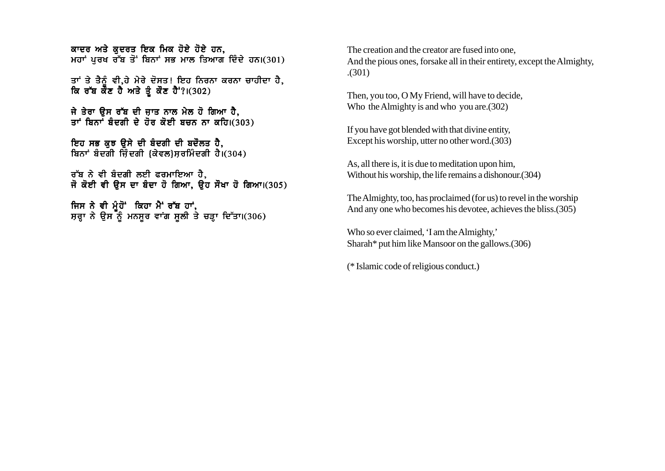ਕਾਦਰ ਅਤੇ ਕਦਰਤ ਇਕ ਮਿਕ ਹੋਏ ਹੋਏ ਹਨ. ਮਹਾਂ ਪਰਖ ਰੱਬ ਤੋਂ ਬਿਨਾਂ ਸਭ ਮਾਲ ਤਿਆਗ ਦਿੰਦੇ ਹਨ। $(301)$ 

ਤਾਂ ਤੇ ਤੈਨੰ ਵੀ.ਹੇ ਮੇਰੇ ਦੋਸਤ! ਇਹ ਨਿਰਨਾ ਕਰਨਾ ਚਾਹੀਦਾ ਹੈ. ਕਿ ਰੱਬ ਕੌਣ ਹੈ ਅਤੇ ਤੰ ਕੌਣ ਹੈਂ?।(302)

ਜੇ ਤੇਰਾ ੳਸ ਰੱਬ ਦੀ ਜ਼ਾਤ ਨਾਲ ਮੇਲ ਹੋ ਗਿਆ ਹੈ, ਤਾਂ ਬਿਨਾਂ ਬੰਦਗੀ ਦੇ ਹੋਰ ਕੋਈ ਬਚਨ ਨਾ ਕਹਿ।(303)

ਇਹ ਸਭ ਕਝ ੳਸੇ ਦੀ ਬੰਦਗੀ ਦੀ ਬਦੌਲਤ ਹੈ. ਬਿਨਾਂ ਬੰਦਗੀ ਜ਼ਿੰਦਗੀ (ਕੇਵਲ)ਸਰਮਿੰਦਗੀ ਹੈ। $(304)$ 

ਰੱਬ ਨੇ ਵੀ ਬੰਦਗੀ ਲਈ ਫਰਮਾਇਆ ਹੈ. ਜੋ ਕੋਈ ਵੀ ੳਸ ਦਾ ਬੰਦਾ ਹੋ ਗਿਆ, ੳਹ ਸੌਖਾ ਹੋ ਗਿਆ।(305)

ਜਿਸ ਨੇ ਵੀ ਮੂੰਹੋਂ ਕਿਹਾ ਮੈਂ ਰੱਬ ਹਾਂ, ਸ਼ਰਾ ਨੇ ਉਸ ਨੂੰ ਮਨਸੂਰ ਵਾਂਗ ਸੂਲੀ ਤੇ ਚੜ੍ਹਾ ਦਿੱਤਾ।(306) The creation and the creator are fused into one, And the pious ones, forsake all in their entirety, except the Almighty, .(301)

Then, you too, O My Friend, will have to decide, Who the Almighty is and who you are.(302)

If you have got blended with that divine entity, Except his worship, utter no other word.(303)

As, all there is, it is due to meditation upon him, Without his worship, the life remains a dishonour.(304)

The Almighty, too, has proclaimed (for us) to revel in the worship And any one who becomes his devotee, achieves the bliss.(305)

Who so ever claimed, 'I am the Almighty,' Sharah\* put him like Mansoor on the gallows.(306)

(\* Islamic code of religious conduct.)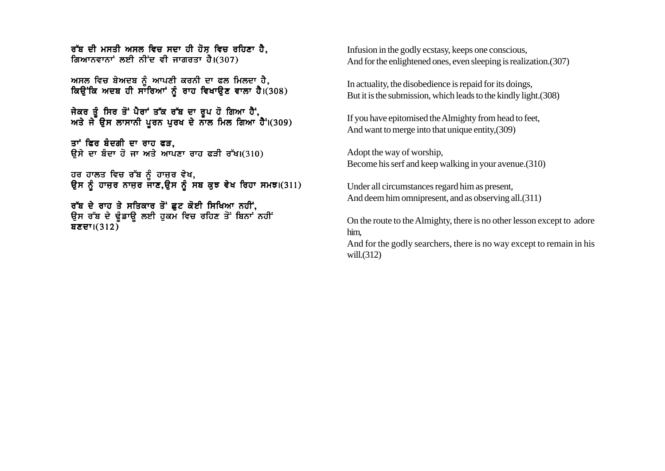ਰੱਬ ਦੀ ਮਸਤੀ ਅਸਲ ਵਿਚ ਸਦਾ ਹੀ ਹੋਸ ਵਿਚ ਰਹਿਣਾ ਹੈ. ਗਿਆਨਵਾਨਾਂ ਲਈ ਨੀਂਦ ਵੀ ਜਾਗਰਤਾ ਹੈ।(307)

ਅਸਲ ਵਿਚ ਬੇਅਦਬ ਨੂੰ ਆਪਣੀ ਕਰਨੀ ਦਾ ਫਲ ਮਿਲਦਾ ਹੈ, ਕਿਉਂਕਿ ਅਦਬ ਹੀ ਸਾਰਿਆਂ ਨੂੰ ਰਾਹ ਵਿਖਾਉਣ ਵਾਲਾ ਹੈ।(308)

ਜੇਕਰ ਤੰ ਸਿਰ ਤੋਂ ਪੈਰਾਂ ਤੱਕ ਰੱਬ ਦਾ ਰਪ ਹੋ ਗਿਆ ਹੈਂ. ਅਤੇ ਜੇ ੳਸ ਲਾਸਾਨੀ ਪਰਨ ਪਰਖ ਦੇ ਨਾਲ ਮਿਲ ਗਿਆ ਹੈ ।(309)

ਤਾਂ ਫਿਰ ਬੰਦਗੀ ਦਾ ਰਾਹ ਫੜ. ਉਸੇ ਦਾ ਬੰਦਾ ਹੋ ਜਾ ਅਤੇ ਆਪਣਾ ਰਾਹ ਫੜੀ ਰੱਖ।(310)

ਹਰ ਹਾਲਤ ਵਿਚ ਰੱਬ ਨੰ ਹਾਜਰ ਵੇਖ. ੳਸ ਨੰ ਹਾਜਰ ਨਾਜਰ ਜਾਣ.ੳਸ ਨੰ ਸਬ ਕਝ ਵੇਖ ਰਿਹਾ ਸਮਝ।(311)

ਰੱਬ ਦੇ ਰਾਹ ਤੇ ਸਤਿਕਾਰ ਤੋਂ ਛੁਟ ਕੋਈ ਸਿਖਿਆ ਨਹੀਂ, ਉਸ ਰੱਬ ਦੇ ਢੰਡਾਉ ਲਈ ਹਕਮ ਵਿਚ ਰਹਿਣ ਤੋਂ ਬਿਨਾਂ ਨਹੀਂ ਬਣਦਾ। $(312)$ 

Infusion in the godly ecstasy, keeps one conscious, And for the enlightened ones, even sleeping is realization.(307)

In actuality, the disobedience is repaid for its doings, But it is the submission, which leads to the kindly light.(308)

If you have epitomised the Almighty from head to feet, And want to merge into that unique entity,(309)

Adopt the way of worship, Become his serf and keep walking in your avenue.(310)

Under all circumstances regard him as present, And deem him omnipresent, and as observing all.(311)

On the route to the Almighty, there is no other lesson except to adore him,

And for the godly searchers, there is no way except to remain in his will.(312)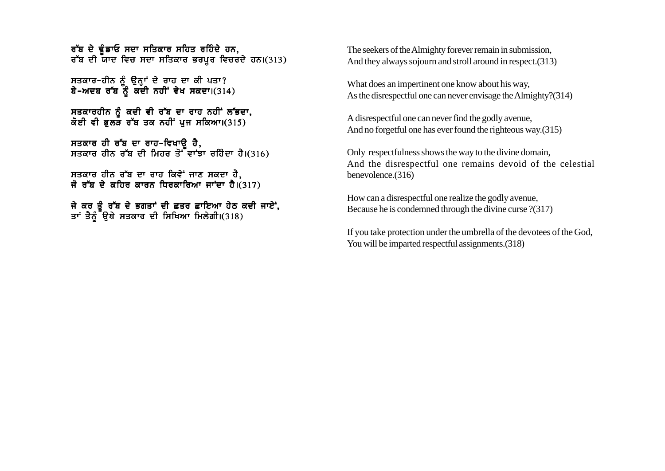ਰੱਬ ਦੇ ਢੰਡਾਓ ਸਦਾ ਸਤਿਕਾਰ ਸਹਿਤ ਰਹਿੰਦੇ ਹਨ. ਰੱਬ ਦੀ ਯਾਦ ਵਿਚ ਸਦਾ ਸਤਿਕਾਰ ਭਰਪਰ ਵਿਚਰਦੇ ਹਨ।(313)

ਸਤਕਾਰ-ਹੀਨ ਨੂੰ ਉਨ੍ਹਾਂ ਦੇ ਰਾਹ ਦਾ ਕੀ ਪਤਾ? ਬੇ-ਅਦਬ ਰੱਬ ਨੂੰ ਕਦੀ ਨਹੀਂ ਵੇਖ ਸਕਦਾ।(314)

ਸਤਕਾਰਹੀਨ ਨੰ ਕਦੀ ਵੀ ਰੱਬ ਦਾ ਰਾਹ ਨਹੀਂ ਲੱਭਦਾ, ਕੋਈ ਵੀ ਭਲੜ ਰੱਬ ਤਕ ਨਹੀਂ ਪਜ ਸਕਿਆ।(315)

ਸਤਕਾਰ ਹੀ ਰੱਬ ਦਾ ਰਾਹ-ਵਿਖਾੳ ਹੈ, ਸਤਕਾਰ ਹੀਨ ਰੱਬ ਦੀ ਮਿਹਰ ਤੋ<sup>-</sup> ਵਾਂਝਾ ਰਹਿੰਦਾ ਹੈ।(316)

ਸਤਕਾਰ ਹੀਨ ਰੱਬ ਦਾ ਰਾਹ ਕਿਵੇਂ ਜਾਣ ਸਕਦਾ ਹੈ, ਜੋ ਰੱਬ ਦੇ ਕਹਿਰ ਕਾਰਨ ਧਿਰਕਾਰਿਆ ਜਾਂਦਾ ਹੈ। $(317)$ 

ਜੇ ਕਰ ਤੰ ਰੱਬ ਦੇ ਭਗਤਾਂ ਦੀ ਛਤਰ ਛਾਇਆ ਹੇਠ ਕਦੀ ਜਾਏਂ. ਤਾਂ ਤੈਨੰ<sup>ੱ</sup>ੳਥੇ ਸਤਕਾਰ ਦੀ ਸਿਖਿਆ ਮਿਲੇਗੀ।(318)

The seekers of the Almighty forever remain in submission, And they always sojourn and stroll around in respect.(313)

What does an impertinent one know about his way, As the disrespectful one can never envisage the Almighty?(314)

A disrespectful one can never find the godly avenue, And no forgetful one has ever found the righteous way.(315)

Only respectfulness shows the way to the divine domain, And the disrespectful one remains devoid of the celestial benevolence.(316)

How can a disrespectful one realize the godly avenue, Because he is condemned through the divine curse ?(317)

If you take protection under the umbrella of the devotees of the God, You will be imparted respectful assignments. (318)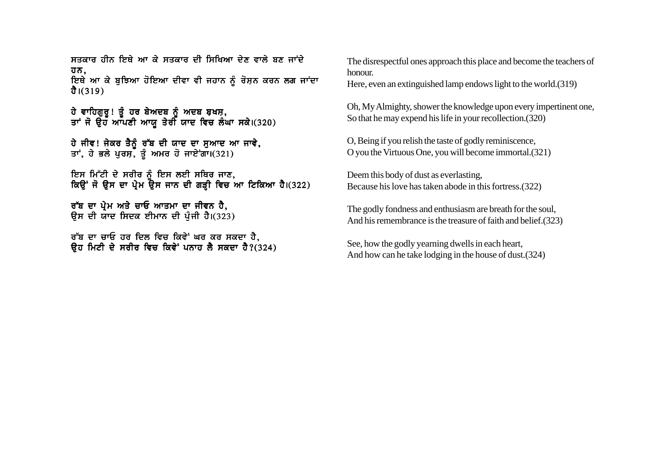ਸਤਕਾਰ ਹੀਨ ਇਥੇ ਆ ਕੇ ਸਤਕਾਰ ਦੀ ਸਿਖਿਆ ਦੇਣ ਵਾਲੇ ਸੁਣ ਜਾਂਦੇ ਹਨ, ਇਥੇ ਆ ਕੇ ਬੁਝਿਆ ਹੋਇਆ ਦੀਵਾ ਵੀ ਜਹਾਨ ਨੂੰ ਰੋਸ਼ਨ ਕਰਨ ਲਗ ਜਾਂਦਾ ਹੈ। $(319)$ 

ਹੇ ਵਾਹਿਗਰ**! ਤੰ ਹਰ ਬੇਅਦਬ ਨੰ ਅਦਬ ਬਖਸ.** ਤਾਂ ਜੋ ੳਹੌ ਆੱਪਣੀ ਆਯ ਤੇਰੀ ਯਾਦ ਵਿਚ ਲੰਘਾ ਸਕੇ।(320)

ਹੇ ਜੀਵ! ਜੇਕਰ ਤੈਨੂੰ ਰੱਬ ਦੀ ਯਾਦ ਦਾ ਸੁਆਦ ਆ ਜਾਵੇ, ਤਾਂ, ਹੇ ਭਲੇ ਪੂਰਸ, ਤੂੰ ਅਮਰ ਹੋ ਜਾਏਗਾ।(321)

ਇਸ ਮਿੱਟੀ ਦੇ ਸਰੀਰ ਨੂੰ ਇਸ ਲਈ ਸਥਿਰ ਜਾਣ, ਕਿਉਂ ਜੋ ਉਸ ਦਾ ਪ੍ਰੇਮ ਉਸ ਜਾਨ ਦੀ ਗੜ੍ਹੀ ਵਿਚ ਆ ਟਿਕਿਆ ਹੈ।(322)

ਰੱਬ ਦਾ ਪ੍ਰੇਮ ਅਤੇ ਚਾਓ ਆਤਮਾ ਦਾ ਜੀਵਨ ਹੈ. ਉਸ ਦੀ ਯਾਦ ਸਿਦਕ ਈਮਾਨ ਦੀ ਪੰਜੀ ਹੈ।(323)

ਰੱਬ ਦਾ ਚਾਓ ਹਰ ਦਿਲ ਵਿਚ ਕਿਵੇਂ ਘਰ ਕਰ ਸਕਦਾ ਹੈ,  $\overline{a}$  ਰਿਟੀ ਦੇ ਸਰੀਰ ਵਿਚ ਕਿਵੇਂ ਪਨਾਹ ਲੈ ਸਕਦਾ ਹੈ?(324) The disrespectful ones approach this place and become the teachers of honour.

Here, even an extinguished lamp endows light to the world.(319)

Oh, My Almighty, shower the knowledge upon every impertinent one, So that he may expend his life in your recollection.(320)

O, Being if you relish the taste of godly reminiscence, O you the Virtuous One, you will become immortal.(321)

Deem this body of dust as everlasting, Because his love has taken abode in this fortress.(322)

The godly fondness and enthusiasm are breath for the soul, And his remembrance is the treasure of faith and belief.(323)

See, how the godly yearning dwells in each heart, And how can he take lodging in the house of dust.(324)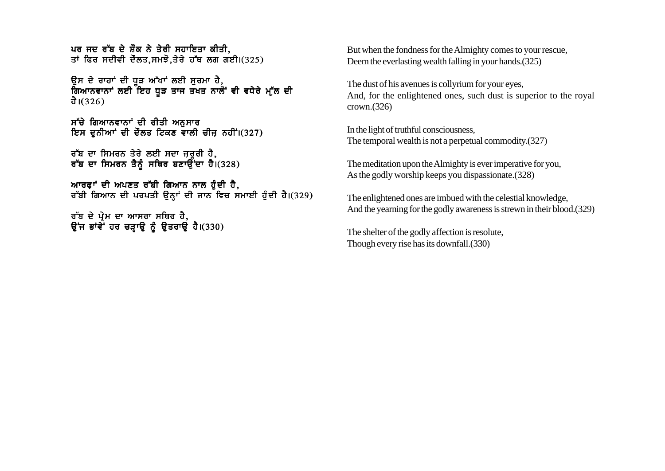ਪਰ ਜਦ ਰੱਬ ਦੇ ਸ਼ੌਕ ਨੇ ਤੇਰੀ ਸਹਾਇਤਾ ਕੀਤੀ. ਤਾਂ ਫਿਰ ਸਦੀਵੀ ਦੌਲਤ.ਸਮਝੋ.ਤੇਰੇ ਹੱਥ ਲਗ ਗਈ।(325)

ਉਸ ਦੇ ਰਾਹਾਂ ਦੀ ਧੜ ਅੱਖਾਂ ਲਈ ਸਰਮਾ ਹੈ**.** ਗਿਆਨਵਾਨਾਂ ਲਈ ਇਹ ਧੜ ਤਾਜ ਤਖਤ ਨਾਲੋਂ ਵੀ ਵਧੇਰੇ ਮੱਲ ਦੀ ਹੈ। $(326)$ 

ਸੱਚੇ ਗਿਆਨਵਾਨਾਂ ਦੀ ਰੀਤੀ ਅਨੁਸਾਰ ਇਸ ਦਨੀਆਂ ਦੀ ਦੌਲਤ ਟਿਕਣ ਵਾਲੀ ਚੀਜ਼ ਨਹੀਂ।(327)

ਰੱਬ ਦਾ ਸਿਮਰਨ ਤੇਰੇ ਲਈ ਸਦਾ ਜਰ**ਰੀ ਹੈ.** ਰੱਬ ਦਾ ਸਿਮਰਨ ਤੈਨੰ ਸਥਿਰ ਬਣਾਉਂਦਾ ਹੈ।(328)

ਆਰਫਾਂ ਦੀ ਅਪਣਤ ਰੱਬੀ ਗਿਆਨ ਨਾਲ ਹੰਦੀ ਹੈ, ਰੱਬੀ ਗਿਆਨ ਦੀ ਪਰਪਤੀ ਉਨ੍ਹਾਂ ਦੀ ਜਾਨ ਵਿਚ ਸਮਾਈ ਹੈਦੀ ਹੈ।(329)

ਰੱਬ ਦੇ ਪ੍ਰੇਮ ਦਾ ਆਸਰਾ ਸਥਿਰ ਹੈ, ਉਂਜ ਭਾਂਵੇ<sup>:</sup> ਹਰ ਚੜ੍ਹਾਉ ਨੂੰ ਉਤਰਾਉ ਹੈ।(330) But when the fondness for the Almighty comes to your rescue, Deem the everlasting wealth falling in your hands.(325)

The dust of his avenues is collyrium for your eyes, And, for the enlightened ones, such dust is superior to the royal crown.(326)

In the light of truthful consciousness, The temporal wealth is not a perpetual commodity.(327)

The meditation upon the Almighty is ever imperative for you, As the godly worship keeps you dispassionate.(328)

The enlightened ones are imbued with the celestial knowledge, And the yearning for the godly awareness is strewn in their blood.(329)

The shelter of the godly affection is resolute, Though every rise has its downfall.(330)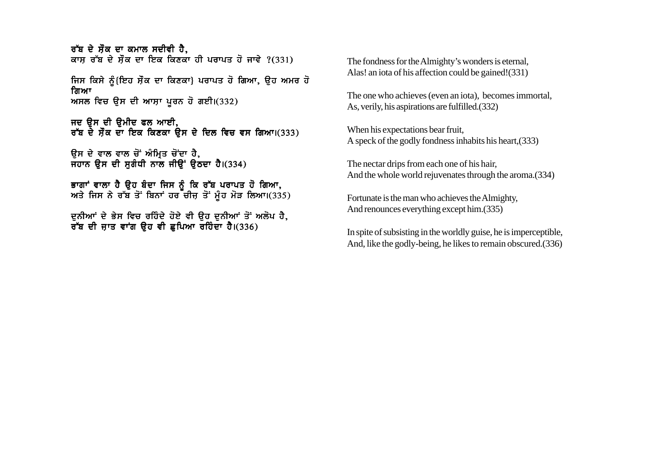<u>ਰੱਬ ਦੇ ਸੌਕ ਦਾ ਕਮਾਲ ਸਦੀਵੀ ਹੈ.</u> ਕਾਸ ਰੱਬ ਦੇ ਸੌਕ ਦਾ ਇਕ ਕਿਣਕਾ ਹੀ ਪਰਾਪਤ ਹੋ ਜਾਵੇ ?(331)

ਜਿਸ ਕਿਸੇ ਨੰ{ਇਹ ਸੌਕ ਦਾ ਕਿਣਕਾ} ਪਰਾਪਤ ਹੋ ਗਿਆ, ੳਹ ਅਮਰ ਹੋ ਜਿਆ ਅਸਲ ਵਿਚ ਉਸ ਦੀ ਆਸ਼ਾ ਪੂਰਨ ਹੋ ਗਈ।(332)

ਜਦ ਉਸ ਦੀ ਉਮੀਦ ਫਲ ਆਈ, ਰੱਬ ਦੇ ਸੌਕ ਦਾ ਇਕ ਕਿਣਕਾ ਉਸ ਦੇ ਦਿਲ ਵਿਚ ਵਸ ਗਿਆ।(333)

ਉਸ ਦੇ ਵਾਲ ਵਾਲ ਚੋਂ ਅੰਮ੍ਰਿਤ ਚੋਂਦਾ ਹੈ,  $\overline{H}$ ਹਾਨ ੳਸ ਦੀ ਸਗੰਧੀ ਨਾਲ ਜੀੳਂ ੳਠਦਾ ਹੈ।(334)

ਭਾਗਾਂ ਵਾਲਾ ਹੈ ੳਹ ਬੰਦਾ ਜਿਸ ਨੂੰ ਕਿ ਰੱਬ ਪਰਾਪਤ ਹੋ ਗਿਆ, ਅਤੇ ਜਿਸ ਨੇ ਰੱਬ ਤੋਂ ਬਿਨਾਂ ਹਰ ਚੀਜ਼ ਤੋਂ ਮੂੰਹ ਮੋੜ ਲਿਆ।(335)

ਦਨੀਆਂ ਦੇ ਭੇਸ ਵਿਚ ਰਹਿੰਦੇ ਹੋਏ ਵੀ ੳਹ ਦਨੀਆਂ ਤੋਂ ਅਲੋਪ ਹੈ, ਰੱਬ ਦੀ ਜਾਤ ਵਾਂਗ ੳਹ ਵੀ ਛਪਿਆ ਰਹਿੰਦਾ ਹੈ।(336)

The fondness for the Almighty's wonders is eternal, Alas! an iota of his affection could be gained!(331)

The one who achieves (even an iota), becomes immortal, As, verily, his aspirations are fulfilled.(332)

When his expectations bear fruit, A speck of the godly fondness inhabits his heart,(333)

The nectar drips from each one of his hair, And the whole world rejuvenates through the aroma.(334)

Fortunate is the man who achieves the Almighty, And renounces everything except him.(335)

In spite of subsisting in the worldly guise, he is imperceptible, And, like the godly-being, he likes to remain obscured.(336)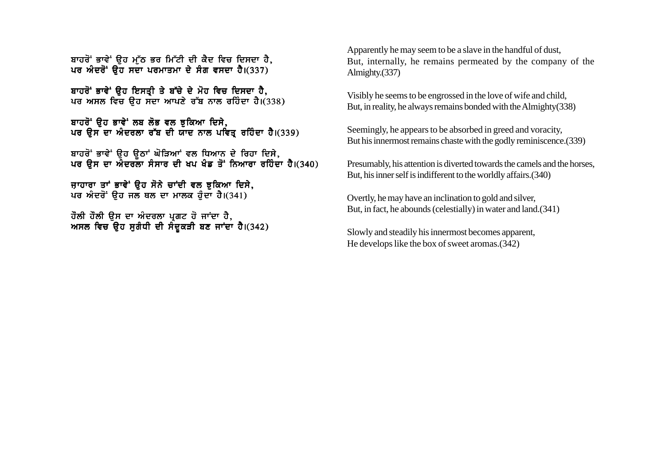ਬਾਹਰੋਂ ਭਾਵੇਂ ੳਹ ਮੱਠ ਭਰ ਮਿੱਟੀ ਦੀ ਕੈਦ ਵਿਚ ਦਿਸਦਾ ਹੈ, ਪਰ ਅੰਦਰੋਂ ਉਹ ਸਦਾ ਪਰਮਾਤਮਾ ਦੇ ਸੰਗ ਵਸਦਾ ਹੈ।(337)

<u>ਬਾਹਰੋਂ ਭਾਵੇਂ ਉਹ ਇਸਤੀ ਤੇ ਬੱਚੇ ਦੇ ਮੋਹ ਵਿਚ ਦਿਸਦਾ ਹੈ.</u> ਪਰ ਅਸਲ ਵਿਚ ਉਹ ਸਦਾ ਆਪਣੇ ਰੱਬ ਨਾਲ ਰਹਿੰਦਾ ਹੈ।(338)

ਬਾਹਰੋਂ ਉਹ ਭਾਵੇਂ ਲਬ ਲੋਭ ਵਲ ਝੁਕਿਆ ਦਿਸੇ, ਪਰ ੳਸ ਦਾ ਅੰਦਰਲਾ ਰੱਬ ਦੀ ਯਾਦ ਨਾਲ ਪਵਿਤ ਰਹਿੰਦਾ ਹੈ।(339)

ਬਾਹਰੋਂ ਭਾਵੇਂ ੳਹ ੳਠਾਂ ਘੋੜਿਆਂ ਵਲ ਧਿਆਨ ਦੇ ਰਿਹਾ ਦਿਸੇ. ਪਰ ੳਸ ਦਾ ਅੰਦਰਲਾ ਸੰਸਾਰ ਦੀ ਖਪ ਖੰਡ ਤੋਂ ਨਿਆਰਾ ਰਹਿੰਦਾ ਹੈ।(340)

ਜ਼ਾਹਾਰਾ ਤਾਂ ਭਾਵੇਂ ਉਹ ਸੋਨੇ ਚਾਂਦੀ ਵਲ ਝਕਿਆ ਦਿਸੇ, ਪਰ ਅੰਦਰੋਂ ੳਹ ਜਲ ਥਲ ਦਾ ਮਾਲਕ ਹੰਦਾ ਹੈ।(341)

ਰੌਲੀ ਹੌਲੀ ੳਸ ਦਾ ਅੰਦਰਲਾ ਪੁਗਟ ਹੋ ਜਾਂਦਾ ਹੈ, ਅਸਲ ਵਿਚ ਉਹ ਸੁਗੰਧੀ ਦੀ ਸੰਦੁਕੜੀ ਬਣ ਜਾਂਦਾ ਹੈ।(342) Apparently he may seem to be a slave in the handful of dust, But, internally, he remains permeated by the company of the Almighty.(337)

Visibly he seems to be engrossed in the love of wife and child, But, in reality, he always remains bonded with the Almighty(338)

Seemingly, he appears to be absorbed in greed and voracity, But his innermost remains chaste with the godly reminiscence.(339)

Presumably, his attention is diverted towards the camels and the horses, But, his inner self is indifferent to the worldly affairs.(340)

Overtly, he may have an inclination to gold and silver, But, in fact, he abounds (celestially) in water and land.(341)

Slowly and steadily his innermost becomes apparent, He develops like the box of sweet aromas.(342)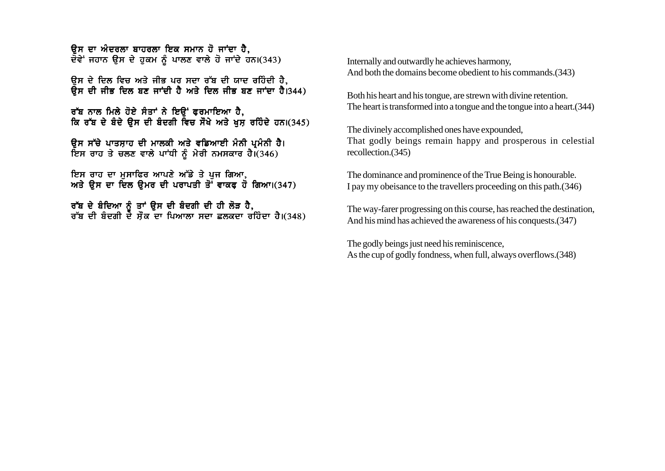ਉਸ ਦਾ ਅੰਦਰਲਾ ਬਾਹਰਲਾ ਇਕ ਸਮਾਨ ਹੋ ਜਾਂਦਾ ਹੈ. ਦੋਵੇਂ ਜਹਾਨ ਉਸ ਦੇ ਹੁਕਮ ਨੂੰ ਪਾਲਣ ਵਾਲੇ ਹੋ ਜਾਂਦੇ ਹਨ।(343)

ਉਸ ਦੇ ਦਿਲ ਵਿਚ ਅਤੇ ਜੀਭ ਪਰ ਸਦਾ ਰੱਬ ਦੀ ਯਾਦ ਰਹਿੰਦੀ ਹੈ. ਉਸ ਦੀ ਜੀਭ ਦਿਲ ਬਣ ਜਾਂਦੀ ਹੈ ਅਤੇ ਦਿਲ ਜੀਭ ਬਣ ਜਾਂਦਾ ਹੈ।344)

ਰੱਬ ਨਾਲ ਮਿਲੇ ਹੋਏ ਸੰਤਾਂ ਨੇ ਇੳਂ ਫਰਮਾਇਆ ਹੈ, ਕਿ ਰੱਬ ਦੇ ਬੰਦੇ ਉਸ ਦੀ ਬੰਦਗੀ ਵਿਚ ਸੌਖੇ ਅਤੇ ਖਸ ਰਹਿੰਦੇ ਹਨ।(345)

ਉਸ ਸੱਚੇ ਪਾਤਸ਼ਾਹ ਦੀ ਮਾਲਕੀ ਅਤੇ ਵਡਿਆਈ ਮੰਨੀ ਪ੍ਰਮੰਨੀ ਹੈ। ਇਸ ਰਾਹ ਤੇ ਚਲਣ ਵਾਲੇ ਪਾਂਧੀ ਨੂੰ ਮੇਰੀ ਨਮਸਕਾਰ ਹੈ।(346)

ਇਸ ਰਾਹ ਦਾ ਮੁਸਾਫਿਰ ਆਪਣੇ ਅੱਡੇ ਤੇ ਪੂਜ ਗਿਆ, ਅਤੇ ਉਸ ਦਾ ਦਿਲ ਉਮਰ ਦੀ ਪਰਾਪਤੀ ਤੋਂ ਵਾਕਫ ਹੋ ਗਿਆ।(347)

ਰੱਬ ਦੇ ਬੰਦਿਆ ਨੂੰ ਤਾਂ ਉਸ ਦੀ ਬੰਦਗੀ ਦੀ ਹੀ ਲੋੜ ਹੈ,<br>ਰੱਬ ਦੀ ਬੰਦਗੀ ਦੇ ਸ਼ੌਕ ਦਾ ਪਿਆਲਾ ਸਦਾ ਛਲਕਦਾ ਰਹਿੰਦਾ ਹੈ।(348)

Internally and outwardly he achieves harmony, And both the domains become obedient to his commands. (343)

Both his heart and his tongue, are strewn with divine retention. The heart is transformed into a tongue and the tongue into a heart. (344)

The divinely accomplished ones have expounded, That godly beings remain happy and prosperous in celestial recollection.(345)

The dominance and prominence of the True Being is honourable. I pay my obeisance to the travellers proceeding on this path. (346)

The way-farer progressing on this course, has reached the destination, And his mind has achieved the awareness of his conquests. (347)

The godly beings just need his reminiscence, As the cup of godly fondness, when full, always overflows. (348)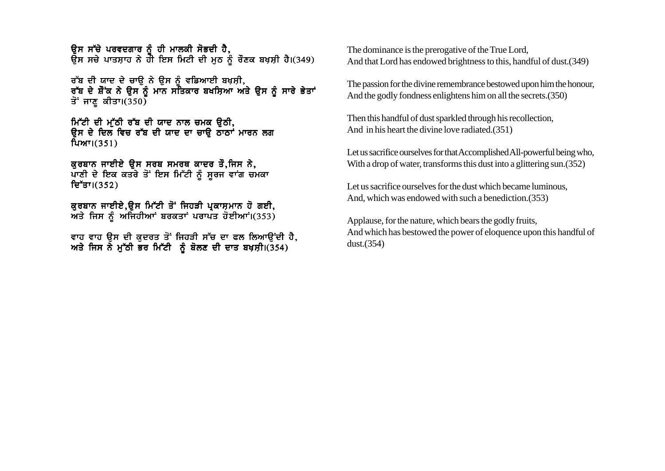ਉਸ ਸੱਚੇ ਪਰਵਦਗਾਰ ਨੂੰ ਹੀ ਮਾਲਕੀ ਸੋਭਦੀ ਹੈ. ਉਸ ਸਚੇ ਪਾਤਸ਼ਾਹ ਨੇ ਹੀ ਇਸ ਮਿਟੀ ਦੀ ਮੂਠ ਨੂੰ ਰੌਣਕ ਬਖ਼ਸ਼ੀ ਹੈ।(349)

ਰੱਬ ਦੀ ਯਾਦ ਦੇ ਚਾੳ ਨੇ ੳਸ ਨੰ ਵਡਿਆਈ ਬਖਸ਼ੀ, ਰੱਬ ਦੇ ਸ਼ੌਂਕ ਨੇ ਉਸ ਨੂੰ ਮਾਨ ਸਤਿਕਾਰ ਬਖਸ਼ਿਆ ਅਤੇ ਉਸ ਨੂੰ ਸਾਰੇ ਭੇਤਾਂ ਤੋਂ ਜਾਣੂ ਕੀਤਾ।(350)

ਮਿੱਟੀ ਦੀ ਮੁੱਠੀ ਰੱਬ ਦੀ ਯਾਦ ਨਾਲ ਚਮਕ ਉਠੀ, ਉਸ ਦੇ ਦਿਲ ਵਿਚ ਰੱਬ ਦੀ ਯਾਦ ਦਾ ਚਾ**ਉ ਨਾਨਾਂ ਮਾਰਨ ਲਗ**  $fum1(351)$ 

ਕੁਰਬਾਨ ਜਾਈਏ ਉਸ ਸਰਬ ਸਮਰਥ ਕਾਦਰ ਤੌ,ਜਿਸ ਨੇ, ਪਾਣੀ ਦੇ ਇਕ ਕਤਰੇ ਤੋਂ ਇਸ ਮਿੱਟੀ ਨੂੰ ਸੂਰਜ ਵਾਂਗ ਚਮਕਾ ਦਿੱਤਾ।(352)

ਕੁਰਬਾਨ ਜਾਈਏ,ਉਸ ਮਿੱਟੀ ਤੋਂ ਜਿਹੜੀ ਪ੍ਰਕਾਸ਼ਮਾਨ ਹੋ ਗਈ, ਅਤੇ ਜਿਸ ਨੰ ਅਜਿਹੀਆਂ ਬਰਕਤਾਂ ਪਰਾਪਤ ਹੋਈਆਂ।(353)

ਵਾਹ ਵਾਹ ਉਸ ਦੀ ਕੁਦਰਤ ਤੋਂ ਜਿਹੜੀ ਸੱਚ ਦਾ ਫਲ ਲਿਆਉਂਦੀ ਹੈ, ਅਤੇ ਜਿਸ ਨੇ ਮੁੱਠੀ ਭਰ ਮਿੱਟੀ ਨੂੰ ਬੋਲਣ ਦੀ ਦਾਤ ਬਖ਼ਸ਼ੀ।(354)

The dominance is the prerogative of the True Lord. And that Lord has endowed brightness to this, handful of dust. (349)

The passion for the divine remembrance bestowed upon him the honour, And the godly fondness enlightens him on all the secrets. (350)

Then this handful of dust sparkled through his recollection, And in his heart the divine love radiated. (351)

Let us sacrifice ourselves for that Accomplished All-powerful being who, With a drop of water, transforms this dust into a glittering sun. (352)

Let us sacrifice ourselves for the dust which became luminous. And, which was endowed with such a benediction. (353)

Applause, for the nature, which bears the godly fruits, And which has bestowed the power of eloquence upon this handful of dust. $(354)$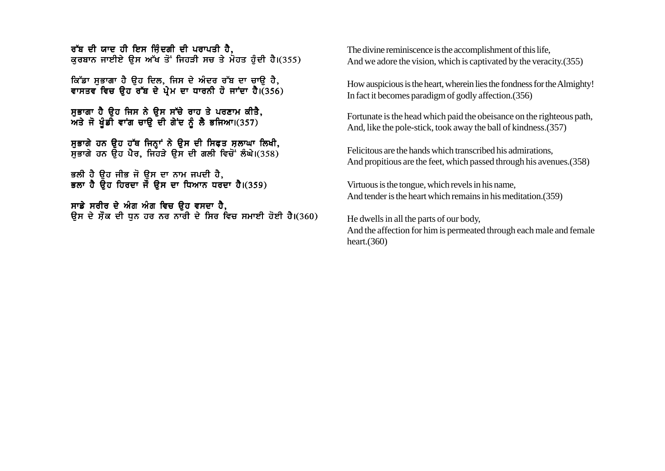<u>ਰੱਬ ਦੀ ਯਾਦ ਹੀ ਇਸ ਜਿੰਦਗੀ ਦੀ ਪਰਾਪਤੀ ਹੈ.</u> ਕਰਬਾਨ ਜਾਈਏ ਉਸ ਅੱਖ ਤੋਂ ਜਿਹੜੀ ਸਚ ਤੇ ਮੋਹਤ ਹੰਦੀ ਹੈ।(355)

ਕਿੱਡਾ ਸਭਾਗਾ ਹੈ ਉਹ ਦਿਲ, ਜਿਸ ਦੇ ਅੰਦਰ ਰੱਬ ਦਾ ਚਾਉ ਹੈ, ਵਾਸਤਵ ਵਿਚ ਉਹ ਰੱਬ ਦੇ ਪੇਮ ਦਾ ਧਾਰਨੀ ਹੋ ਜਾਂਦਾ ਹੈ।(356)

ਸਭਾਗਾ ਹੈ ੳਹ ਜਿਸ ਨੇ ੳਸ ਸੱਚੇ ਰਾਹ ਤੇ ਪਰਣਾਮ ਕੀਤੈ, ਅਤੇ ਜੋ ਖੰਡੀ ਵਾਂਗ ਚਾਉ ਦੀ ਗੇਂਦ ਨੂੰ ਲੈ ਭਜਿਆ।(357)

ਸੁਭਾਗੇ ਹਨ ਉਹ ਹੱਥ ਜਿਨ੍ਹਾਂ ਨੇ ਉਸ ਦੀ ਸਿਫ਼ਤ ਸ਼ਲਾਘਾ ਲਿਖੀ, ਸਭਾਗੇ ਹਨ ਉਹ ਪੈਰ. ਜਿਹੜੇ ਉਸ ਦੀ ਗਲੀ ਵਿਚੋਂ ਲੰਘੇ।(358)

ਭਲੀ ਹੈ ਉਹ ਜੀਭ ਜੋ ਉਸ ਦਾ ਨਾਮ ਜਪਦੀ ਹੈ, ਭਲਾ ਹੈ ਉਹ ਹਿਰਦਾ ਜੌ ਉਸ ਦਾ ਧਿਆਨ ਧਰਦਾ ਹੈ।(359)

ਸਾਡੇ ਸਰੀਰ ਦੇ ਅੰਗ ਅੰਗ ਵਿਚ ਉਹ ਵਸਦਾ ਹੈ, ਉਸ ਦੇ ਸ਼ੌਕ ਦੀ ਧਨ ਹਰ ਨਰ ਨਾਰੀ ਦੇ ਸਿਰ ਵਿਚ ਸਮਾਈ ਹੋਈ ਹੈ।(360) The divine reminiscence is the accomplishment of this life, And we adore the vision, which is captivated by the veracity.(355)

How auspicious is the heart, wherein lies the fondness for the Almighty! In fact it becomes paradigm of godly affection.(356)

Fortunate is the head which paid the obeisance on the righteous path, And, like the pole-stick, took away the ball of kindness.(357)

Felicitous are the hands which transcribed his admirations, And propitious are the feet, which passed through his avenues.(358)

Virtuous is the tongue, which revels in his name, And tender is the heart which remains in his meditation.(359)

He dwells in all the parts of our body, And the affection for him is permeated through each male and female heart.(360)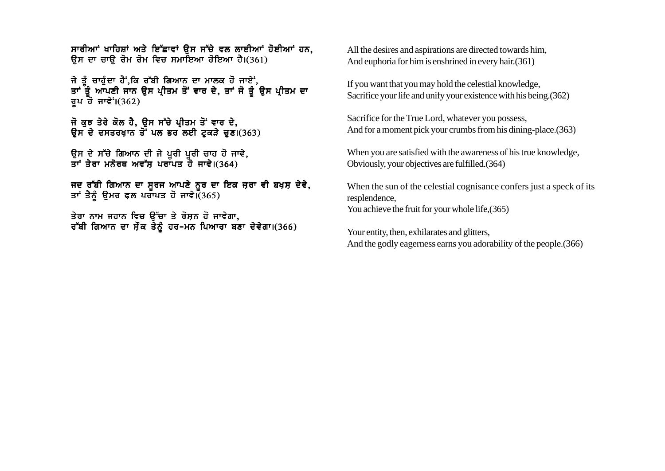ਸਾਰੀਆਂ ਖਾਹਿਸ਼ਾਂ ਅਤੇ ਇੱਛਾਵਾਂ ਉਸ ਸੱਚੇ ਵਲ ਲਾਈਆਂ ਹੋਈਆਂ ਹਨ. ਉਸ ਦਾ ਚਾਉ ਰੋਮ ਰੋਮ ਵਿਚ ਸਮਾਇਆ ਹੋਇਆ ਹੈ।(361)

ਜੇ ਤੰ ਚਾਹੰਦਾ ਹੈਂ.ਕਿ ਰੱਬੀ ਗਿਆਨ ਦਾ ਮਾਲਕ ਹੋ ਜਾਏਂ. ਤਾਂ ਤੌਂ ਆਪਣੀ ਜਾਨ ੳਸ ਪੀਤਮ ਤੋਂ ਵਾਰ ਦੇ. ਤਾਂ ਜੋ ਤੰ ੳਸ ਪੀਤਮ ਦਾ ਰੁਪ ਹੋ ਜਾਵੇ<sup>:</sup>  $(362)$ 

ਜੋ ਕੁਝ ਤੇਰੇ ਕੋਲ ਹੈ, ਉਸ ਸੱਚੇ ਪ੍ਰੀਤਮ ਤੋਂ ਵਾਰ ਦੇ, ਉਸ ਦੇ ਦਸਤਰਖਾਨ ਤੋਂ ਪਲ ਭਰ ਲਈ ਟਕੜੇ ਚਣ। $(363)$ 

ਉਸ ਦੇ ਸੱਚੇ ਗਿਆਨ ਦੀ ਜੇ ਪਰੀ ਪਰੀ ਚਾਹ ਹੋ ਜਾਵੇ. ਤਾਂ ਤੇਰਾ ਮਨੋਰਥ ਅਵੱਸ ਪਰਾਪਤ ਹੋ ਜਾਵੇ।(364)

ਜਦ ਰੱਬੀ ਗਿਆਨ ਦਾ ਸੂਰਜ ਆਪਣੇ ਨੂਰ ਦਾ ਇਕ ਜ਼ਰਾ ਵੀ ਬਖ਼ਸ਼ ਦੇਵੇ, ਤਾਂ ਤੈਨੂੰ ਉਮਰ ਫਲ ਪਰਾਪਤ ਹੋ ਜਾਵੇ। (365)

ਤੇਰਾ ਨਾਮ ਜਹਾਨ ਵਿਚ ਉੱਚਾ ਤੇ ਰੋਸ਼ਨ ਹੋ ਜਾਵੇਗਾ, ਰੱਬੀ ਗਿਆਨ ਦਾ ਸੌਕ ਤੇਨੂੰ ਹਰ-ਮਨ ਪਿਆਰਾ ਬਣਾ ਦੇਵੇਗਾ।(366) All the desires and aspirations are directed towards him, And euphoria for him is enshrined in every hair.(361)

If you want that you may hold the celestial knowledge, Sacrifice your life and unify your existence with his being.(362)

Sacrifice for the True Lord, whatever you possess, And for a moment pick your crumbs from his dining-place.(363)

When you are satisfied with the awareness of his true knowledge, Obviously, your objectives are fulfilled.(364)

When the sun of the celestial cognisance confers just a speck of its resplendence, You achieve the fruit for your whole life,(365)

Your entity, then, exhilarates and glitters, And the godly eagerness earns you adorability of the people.(366)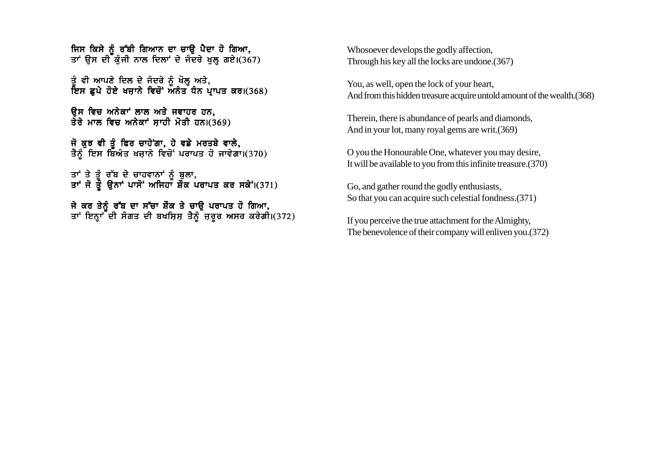ਜਿਸ ਕਿਸੇ ਨੂੰ ਰੱਬੀ ਗਿਆਨ ਦਾ ਚਾੳ ਪੈਦਾ ਹੋ ਗਿਆ. ਤਾਂ ੳਸ ਦੀ ਕੰਜੀ ਨਾਲ ਦਿਲਾਂ ਦੇ ਜੈਦਰੇ ਖਲ ਗਏ।(367)

ਤੂੰ ਵੀ ਆਪਣੇ ਦਿਲ ਦੇ ਜੰਦਰੇ ਨੂੰ ਖੋਲ੍ਹ ਅਤੇ, ਇਸ ਛਪੇ ਹੋਏ ਖਜ਼ਾਨੇ ਵਿਚੋਂ ਅਨੰਤ ਧੰਨ ਪ੍ਰਾਪਤ ਕਰ।(368)

ਓਸ ਵਿਚ ਅਨੇਕਾਂ ਲਾਲ ਅਤੇ ਜਵਾਹਰ ਹਨ, ਤੇਰੇ ਮਾਲ ਵਿਚ ਅਨੇਕਾਾਂ ਸਾਹੀ ਮੋਤੀ ਹਨ।(369)

ਜੋ ਕਝ ਵੀ ਤੋ ਫਿਰ ਚਾਹੇਂਗਾ, ਹੇ ਵਡੇ ਮਰਤਬੇ ਵਾਲੇ, ਤੈਨੂੰ ਇਸ ਬਿਅੰਤ ਖਜ਼ਾਨੇ ਵਿਚੋਂ ਪਰਾਪਤ ਹੋ ਜਾਵੇਗਾ।(370)

ਤਾਂ ਤੇ ਤੰ ਰੱਬ ਦੇ ਚਾਹਵਾਨਾਂ ਨ<mark>ੰ</mark> ਬਲਾ. ਤਾਂ ਜੋ ਤੌੇ ੳਨਾਂ ਪਾਸੋਂ ਅਜਿਹਾ ਸ਼ੌਂਕ ਪਰਾਪਤ ਕਰ ਸਕੇਂ।(371)

ਜੇ ਕਰ ਤੇਨੰ ਰੱਬ ਦਾ ਸੱਚਾ ਸ਼ੌਂਕ ਤੇ ਚਾੳ ਪਰਾਪਤ ਹੋ ਗਿਆ. ਤਾਂ ਇਨਾਂ ਦੀ ਸੰਗਤ ਦੀ ਬਖਸਿਸ ਤੈਨੰ ਜਰਰ ਅਸਰ ਕਰੇਗੀ।(372) Whosoever develops the godly affection, Through his key all the locks are undone.(367)

You, as well, open the lock of your heart, And from this hidden treasure acquire untold amount of the wealth.(368)

Therein, there is abundance of pearls and diamonds, And in your lot, many royal gems are writ.(369)

O you the Honourable One, whatever you may desire, It will be available to you from this infinite treasure.(370)

Go, and gather round the godly enthusiasts, So that you can acquire such celestial fondness.(371)

If you perceive the true attachment for the Almighty, The benevolence of their company will enliven you.(372)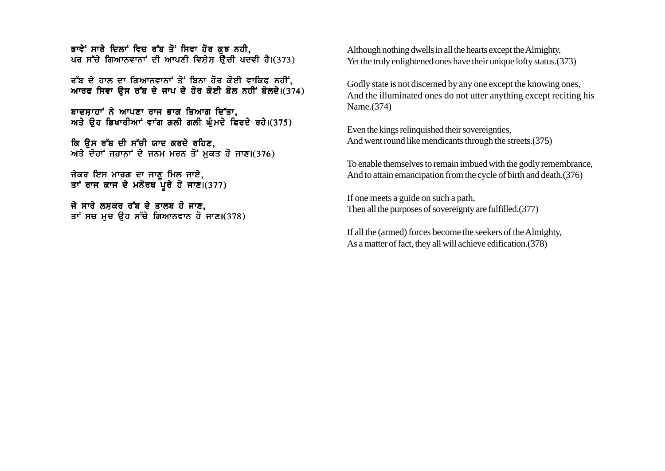ਭਾਵੇਂ ਸਾਰੇ ਦਿਲਾਂ ਵਿਚ ਰੱਬ ਤੋਂ ਸਿਵਾ ਹੋਰ ਕਝ ਨਹੀ. ਪਰ ਸੱਚੇ ਗਿਆਨਵਾਨਾਂ ਦੀ ਆਪਣੀ ਵਿਸੇਸ ਉੱਚੀ ਪਦਵੀ ਹੈ।(373)

ਰੱਬ ਦੇ ਹਾਲ ਦਾ ਗਿਆਨਵਾਨਾਂ ਤੋਂ ਬਿਨਾ ਹੋਰ ਕੋਈ ਵਾਕਿ**ਫ ਨਹੀਂ**. ਆਰਫ ਸਿਵਾ ਉਸ ਰੱਬ ਦੇ ਜਾਪ ਦੇ ਹੋਰ ਕੋਈ ਬੋਲ ਨਹੀਂ ਬੋਲਦੇ।(374)

ਬਾਦਸਾਹਾਂ ਨੇ ਆਪਣਾ ਰਾਜ ਭਾਗ ਤਿਆਗ ਦਿੱਤਾ. ਅਤੇ ਉਹ ਭਿਖਾਰੀਆਂ ਵਾਂਗ ਗਲੀ ਗਲੀ ਘੰਮਦੇ ਫਿਰਦੇ ਰਹੇ।(375)

ਕਿ ਉਸ ਰੱਬ ਦੀ ਸੱਚੀ ਯਾਦ ਕਰਦੇ ਰਹਿਣ. ਅਤੇ ਦੋਹਾਂ ਜਹਾਨਾਂ ਦੇ ਜਨਮ ਮਰਨ ਤੋਂ ਮੁਕਤ ਹੋ ਜਾਣ।(376)

ਜੇਕਰ ਇਸ ਮਾਰਗ ਦਾ ਜਾਣ ਮਿਲ ਜਾਏ. ਤਾਂ ਰਾਜ ਕਾਜ ਦੇ ਮਨੋਰਥ ਪਰੇ ਹੋ ਜਾਣ।(377)

ਜੇ ਸਾਰੇ ਲਸ਼ਕਰ ਰੱਬ ਦੇ ਤਾਲਬ ਹੋ ਜਾਣ. ਤਾਂ ਸਚ ਮਚ ੳਹ ਸੱਚੇ ਗਿਆਨਵਾਨ ਹੋ ਜਾਣ।(378) Although nothing dwells in all the hearts except the Almighty, Yet the truly enlightened ones have their unique lofty status.(373)

Godly state is not discerned by any one except the knowing ones, And the illuminated ones do not utter anything except reciting his Name.(374)

Even the kings relinquished their sovereignties, And went round like mendicants through the streets.(375)

To enable themselves to remain imbued with the godly remembrance, And to attain emancipation from the cycle of birth and death.(376)

If one meets a guide on such a path, Then all the purposes of sovereignty are fulfilled.(377)

If all the (armed) forces become the seekers of the Almighty, As a matter of fact, they all will achieve edification.(378)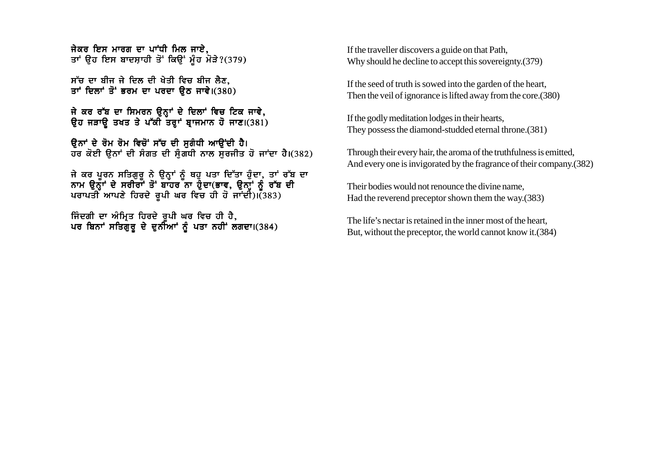ਜੇਕਰ ਇਸ ਮਾਰਗ ਦਾ ਪਾਂਧੀ ਮਿਲ ਜਾਏ. ਤਾਂ ੳਹ ਇਸ ਬਾਦਸ਼ਾਹੀ ਤੋਂ ਕਿੳਂ ਮੰਹ ਮੋੜੇ?(379)

ਸੱਚ ਦਾ ਬੀਜ ਜੇ ਦਿਲ ਦੀ ਖੇਤੀ ਵਿਚ ਬੀਜ ਲੈਣ, ਤਾਂ ਦਿਲਾਂ ਤੋਂ ਭਰਮ ਦਾ ਪਰਦਾ ੳਠ ਜਾਵੇ।(380)

ਜੇ ਕਰ ਰੱਬ ਦਾ ਸਿਮਰਨ ੳਨ੍ਹਾਂ ਦੇ ਦਿਲਾਂ ਵਿਚ ਟਿਕ ਜਾਵੇ, ਉਹ ਜੜਾਉ ਤਖਤ ਤੇ ਪੱਕੀ ਤਰ੍ਹਾਂ ਬਾਜਮਾਨ ਹੋ ਜਾਣ।(381)

ਉਨਾਂ ਦੇ ਰੋਮ ਰੋਮ ਵਿਚੋਂ ਸੱਚ ਦੀ ਸਗੰਧੀ ਆਉਂਦੀ ਹੈ। ਹਰ ਕੋਈ ੳਨਾਂ ਦੀ ਸੰਗਤ ਦੀ ਸੰਗਧੀ ਨਾਲ ਸਰਜੀਤ ਹੋ ਜਾਂਦਾ ਹੈ।(382)

ਜੇ ਕਰ ਪਰਨ ਸਤਿਗਰ ਨੇ ੳਨਾਂ ਨੰ ਥਹ ਪਤਾ ਦਿੱਤਾ ਹੰਦਾ. ਤਾਂ ਰੱਬ ਦਾ ਨਾਮ ੳਨੌਾਂ ਦੇ ਸਰੀਰਾਂ ਤੋਂ ਬਾਹਰ ਨਾ ਹੈਦਾ(ਭਾਵ. ੳਨਾਂ ਨੰ ਰੱਬ ਦੀ ਪਰਾਪਤੀ ਆਪਣੇ ਹਿਰਦੇ ਰਪੀ ਘਰ ਵਿਚ ਹੀ ਹੋ ਜਾਂਦੀ)।(383)

ਜਿੰਦਗੀ ਦਾ ਅੰਮ੍ਰਿਤ ਹਿਰਦੇ ਰਪੀ ਘਰ ਵਿਚ ਹੀ ਹੈ, ਪਰ ਬਿਨਾਂ ਸਤਿਗੁਰੂ ਦੇ ਦੁਨੀਆਂ ਨੂੰ ਪਤਾ ਨਹੀਂ ਲਗਦਾ।(384) If the traveller discovers a guide on that Path, Why should he decline to accept this sovereignty.(379)

If the seed of truth is sowed into the garden of the heart, Then the veil of ignorance is lifted away from the core.(380)

If the godly meditation lodges in their hearts, They possess the diamond-studded eternal throne.(381)

Through their every hair, the aroma of the truthfulness is emitted, And every one is invigorated by the fragrance of their company.(382)

Their bodies would not renounce the divine name, Had the reverend preceptor shown them the way.(383)

The life's nectar is retained in the inner most of the heart, But, without the preceptor, the world cannot know it.(384)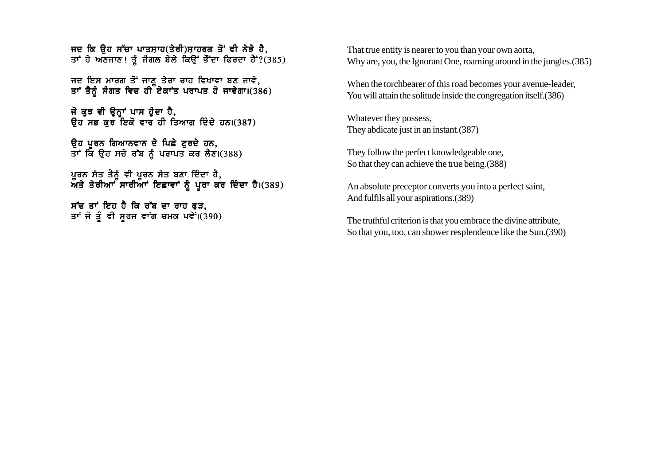ਜਦ ਕਿ ਉਹ ਸੱਚਾ ਪਾਤਸ਼ਾਹ(ਤੇਰੀ)ਸ਼ਾਹਰਗ ਤੋਂ ਵੀ ਨੇੜੇ ਹੈ. ਤਾਂ ਹੇ ਅਣਜਾਣ! ਤੂੰ ਜੰਗਲ ਬੇਲੇ ਕਿਉਂ ਭੌਂਦਾ ਫਿਰਦਾ ਹੈ<sup>:</sup>?(385)

ਜਦ ਇਸ ਮਾਰਗ ਤੋਂ ਜਾਣ ਤੇਰਾ ਰਾਹ ਵਿਖਾਵਾ ਬਣ ਜਾਵੇ, ਤਾਂ ਤੈਨੂੰ ਸੰਗਤ ਵਿਚ ਹੀ ਏਕਾਂਤ ਪਰਾਪਤ ਹੋ ਜਾਵੇਗਾ।(386)

ਜੋ ਕਝ ਵੀ ੳਨਾਂ ਪਾਸ ਹੰਦਾ ਹੈ, ਉਹ ਸਭ ਕੁਝ ਇਕੋ ਵਾਰ ਹੀ ਤਿਆਗ ਦਿੰਦੇ ਹਨ।(387)

ਉਹ ਪੂਰਨ ਗਿਆਨਵਾਨ ਦੇ ਪਿਛੇ ਟੂਰਦੇ ਹਨ, ਤਾਂ ਕਿ ਉਹ ਸਚੇ ਰੱਬ ਨੂੰ ਪਰਾਪਤ ਕਰ ਲੈਣ।(388)

ਪਰਨ ਸੰਤ ਤੈਨੰ ਵੀ ਪਰਨ ਸੰਤ ਬਣਾ ਦਿੰਦਾ ਹੈ. ਅਤੇ ਤੇਰੀਆ ਸਾਰੀਆ ਇਛਾਵਾਂ ਨੰ ਪਰਾ ਕਰ ਦਿੰਦਾ ਹੈ।(389)

ਸੱਚ ਤਾਂ ਇਹ ਹੈ ਕਿ ਰੱਬ ਦਾ ਰਾਹ ਫੜ. ਤਾਂ ਜੋ ਤੂੰ ਵੀ ਸੂਰਜ ਵਾਂਗ ਚਮਕ ਪਵੇਂ।(390) That true entity is nearer to you than your own aorta, Why are, you, the Ignorant One, roaming around in the jungles.(385)

When the torchbearer of this road becomes your avenue-leader, You will attain the solitude inside the congregation itself.(386)

Whatever they possess, They abdicate just in an instant.(387)

They follow the perfect knowledgeable one, So that they can achieve the true being.(388)

An absolute preceptor converts you into a perfect saint, And fulfils all your aspirations.(389)

The truthful criterion is that you embrace the divine attribute, So that you, too, can shower resplendence like the Sun.(390)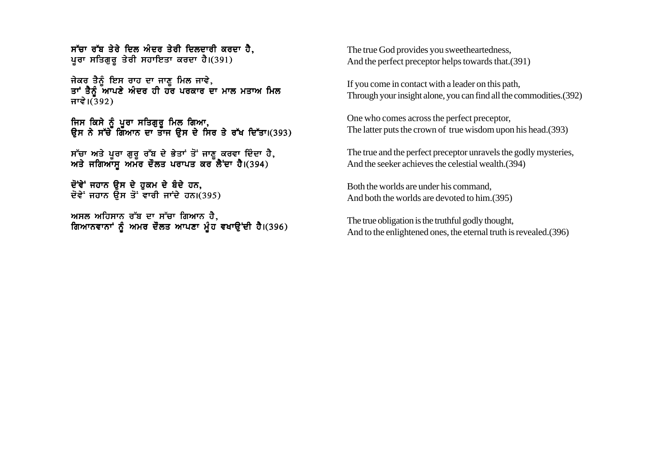$n<sub>tr</sub>$ ਚਾ ਰੱਬ ਤੇਰੇ ਦਿਲ ਅੰਦਰ ਤੇਰੀ ਦਿਲਦਾਰੀ ਕਰਦਾ ਹੈ. ਪੁਰਾ ਸਤਿਗੁਰੂ ਤੇਰੀ ਸਹਾਇਤਾ ਕਰਦਾ ਹੈ।(391)

ਜੇਕਰ ਤੈਨੰ ਇਸ ਰਾਹ ਦਾ ਜਾਣ ਮਿਲ ਜਾਵੇ. ਤਾਂ ਤੈਨੰ ਆਪਣੇ ਅੰਦਰ ਹੀ ਹੱਰ ਪਰਕਾਰ ਦਾ ਮਾਲ ਮਤਾਅ ਮਿਲ ਜਾਵੇ। $(392)$ 

ਜਿਸ ਕਿਸੇ ਨੂੰ ਪੂਰਾ ਸਤਿਗੁਰੂ ਮਿਲ ਗਿਆ, ਉਸ ਨੇ ਸੱਚੇ ਗਿਆਨ ਦਾ ਤਾਜ ਉਸ ਦੇ ਸਿਰ ਤੇ ਰੱਖ ਦਿੱਤਾ।(393)

ਸੱਚਾ ਅਤੇ ਪਰਾ ਗਰ ਰੱਬ ਦੇ ਭੇਤਾਂ ਤੋਂ ਜਾਣ ਕਰਵਾ ਦਿੰਦਾ ਹੈ. ਅਤੇ ਜਗਿਆੱਸ ਅਮੱਰ ਦੌਲਤ ਪਰਾਪਤ ਕਰ ਲੈਂਦਾ ਹੈ।(394)

ਦੋਂਵੇਂ ਜਹਾਨ ਉਸ ਦੇ ਹਕਮ ਦੇ ਬੰਦੇ ਹਨ, ਦੋਵੇਂ ਜਹਾਨ ਉਸ ਤੋਂ ਵਾਰੀ ਜਾਂਦੇ ਹਨ।(395)

ਅਸਲ ਅਹਿਸਾਨ ਰੱਬ ਦਾ ਸੱਚਾ ਗਿਆਨ ਹੈ. ਗਿਆਨਵਾਨਾਂ ਨੂੰ ਅਮਰ ਦੌਲਤ ਆਪਣਾ ਮੂੰਹ ਵਖਾਉਂਦੀ ਹੈ।(396) The true God provides you sweetheartedness, And the perfect preceptor helps towards that.(391)

If you come in contact with a leader on this path, Through your insight alone, you can find all the commodities.(392)

One who comes across the perfect preceptor, The latter puts the crown of true wisdom upon his head.(393)

The true and the perfect preceptor unravels the godly mysteries, And the seeker achieves the celestial wealth.(394)

Both the worlds are under his command, And both the worlds are devoted to him.(395)

The true obligation is the truthful godly thought, And to the enlightened ones, the eternal truth is revealed.(396)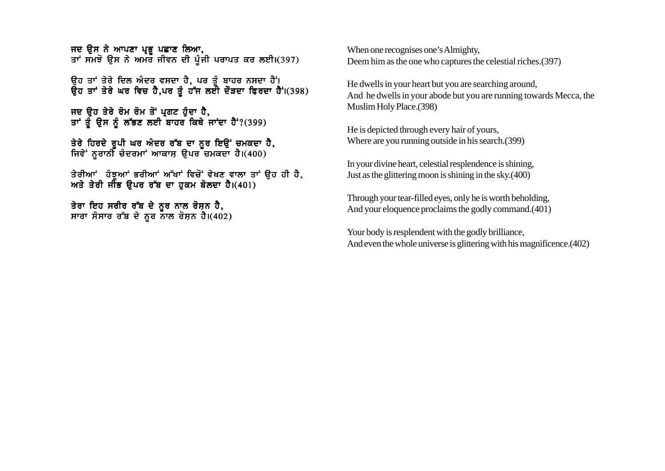ਜਦ ਉਸ ਨੇ ਆਪਣਾ ਪ੍ਰਭੁ ਪਛਾਣ ਲਿਆ, ਤਾਂ ਸਮਝੋ ਉਸ ਨੇ ਅਮੌਰ ਜੀਵਨ ਦੀ ਪੂੰਜੀ ਪਰਾਪਤ ਕਰ ਲਈ।(397)

ਉਹ ਤਾਂ ਤੇਰੇ ਦਿਲ ਅੰਦਰ ਵਸਦਾ ਹੈ. ਪਰ ਤੰ ਬਾਹਰ ਨਸਦਾ ਹੈਂ। ਉਹ ਤਾਂ ਤੇਰੇ ਘਰ ਵਿਚ ਹੈ,ਪਰ ਤੂੰ ਹੱਜ ਲਈ ਦੌੜਦਾ ਫ਼ਿਰਦਾ ਹੈ<sup>:</sup>।(398)

ਜਦ ਉਹ ਤੇਰੇ ਰੋਮ ਰੋਮ ਤੋਂ ਪ੍ਰਗਟ ਹੁੰਦਾ ਹੈ, ਤਾਂ ਤੂੰ ਉਸ ਨੂੰ ਲੱਭਣ ਲਈ ਬਾਹਰ ਕਿਥੇ ਜਾਂਦਾ ਹੈ<sup>:</sup>?(399)

ਤੇਰੇ ਹਿਰਦੇ ਰਪੀ ਘਰ ਅੰਦਰ ਰੱਬ ਦਾ ਨਰ ਇੳਂ ਚਮਕਦਾ ਹੈ. ਜਿਵੇਂ ਨਰਾਨੀ ਚੰਦਰਮਾਂ ਆਕਾਸ ੳਪਰ ਚਮਕਦਾ ਹੈ।(400)

ਤੇਰੀਆਂ ਹੰਝਆਂ ਭਰੀਆਂ ਅੱਖਾਂ ਵਿਚੋਂ ਵੇਖਣ ਵਾਲਾ ਤਾਂ ੳਹ ਹੀ ਹੈ. ਅਤੇ ਤੇਰੀ ਜੀਭ ੳਪਰ ਰੱਬ ਦਾ ਹਕਮ ਬੋਲਦਾ ਹੈ।(401)

ਤੇਰਾ ਇਹ ਸਰੀਰ ਰੱਬ ਦੇ ਨੂਰ ਨਾਲ ਰੋਸ਼ਨ ਹੈ, ਸਾਰਾ ਸੰਸਾਰ ਰੱਬ ਦੇ ਨੂਰ ਨਾਲ ਰੋਸ਼ਨ ਹੈ। $(402)$  When one recognises one's Almighty, Deem him as the one who captures the celestial riches.(397)

He dwells in your heart but you are searching around, And he dwells in your abode but you are running towards Mecca, the Muslim Holy Place.(398)

He is depicted through every hair of yours, Where are you running outside in his search.(399)

In your divine heart, celestial resplendence is shining, Just as the glittering moon is shining in the sky.(400)

Through your tear-filled eyes, only he is worth beholding, And your eloquence proclaims the godly command.(401)

Your body is resplendent with the godly brilliance, And even the whole universe is glittering with his magnificence.(402)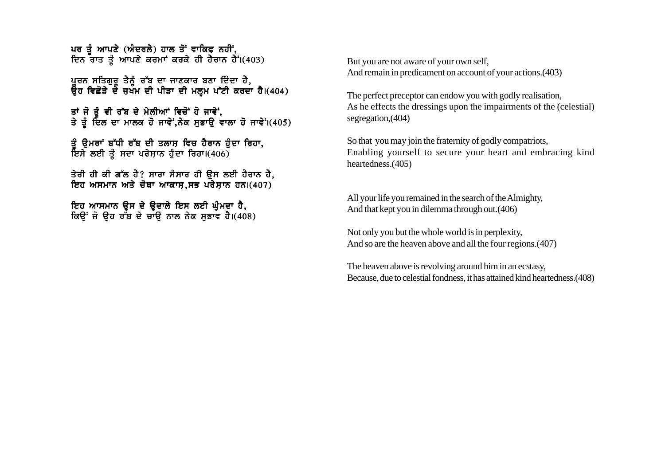ਪਰ ਤੋਂ ਆਪਣੇ (ਅੰਦਰਲੇ) ਹਾਲ ਤੋਂ ਵਾਕਿਫ ਨਹੀਂ. ਦਿਨ ਰਾਤ ਤੂੰ ਆਪਣੇ ਕਰਮਾਂ ਕਰਕੇ ਹੀ ਹੈਰਾਨ ਹੈ<sup>:</sup> (403)

ਪਰਨ ਸਤਿਗੁਰੁ ਤੈਨੂੰ ਰੱਬ ਦਾ ਜਾਣਕਾਰ ਬਣਾ ਦਿੰਦਾ ਹੈ, ਉਹ ਵਿਛੋੜੇ ਦੇ ਜੁਖੱਮ ਦੀ ਪੀੜਾ ਦੀ ਮਲੂਮ ਪੱਟੀ ਕਰਦਾ ਹੈ।(404)

ਤਾਂ ਜੋ ਤੋ ਵੀ ਰੱਬ ਦੇ ਮੇਲੀਆਂ ਵਿਚੋਂ ਹੋ ਜਾਵੇਂ, ਤੇ ਤੂੰ ਦਿਲ ਦਾ ਮਾਲਕ ਹੋ ਜਾਵੇ,ਨੇਕ ਸੁਭਾਉ ਵਾਲਾ ਹੋ ਜਾਵੇ।(405)

ਤੰ ੳਮਰਾਂ ਬੱਧੀ ਰੱਬ ਦੀ ਤਲਾਸ਼ ਵਿਚ ਹੈਰਾਨ ਹੰਦਾ ਰਿਹਾ. ਇਸੇ ਲਈ ਤੂੰ ਸਦਾ ਪਰੇਸ਼ਾਨ ਹੁੰਦਾ ਰਿਹਾ। $(406)$ 

ਤੇਰੀ ਹੀ ਕੀ ਗੱਲ ਹੈ? ਸਾਰਾ ਸੰਸਾਰ ਹੀ ਉਸ ਲਈ ਹੈਰਾਨ ਹੈ, ਇਹ ਅਸਮਾਨ ਅਤੇ ਚੋਥਾ ਆਕਾਸ.ਸਭ ਪਰੇਸ਼ਾਨ ਹਨ।(407)

ਇਹ ਆਸਮਾਨ ਉਸ ਦੇ ਉਦਾਲੇ ਇਸ ਲਈ ਘੁੰਮਦਾ ਹੈ, ਕਿੳਂ ਜੋ ੳਹ ਰੱਬ ਦੇ ਚਾੳ ਨਾਲ ਨੇਕ ਸਭਾਵ ਹੈ।(408) But you are not aware of your own self, And remain in predicament on account of your actions.(403)

The perfect preceptor can endow you with godly realisation, As he effects the dressings upon the impairments of the (celestial) segregation,(404)

So that you may join the fraternity of godly compatriots, Enabling yourself to secure your heart and embracing kind heartedness.(405)

All your life you remained in the search of the Almighty, And that kept you in dilemma through out.(406)

Not only you but the whole world is in perplexity, And so are the heaven above and all the four regions.(407)

The heaven above is revolving around him in an ecstasy, Because, due to celestial fondness, it has attained kind heartedness.(408)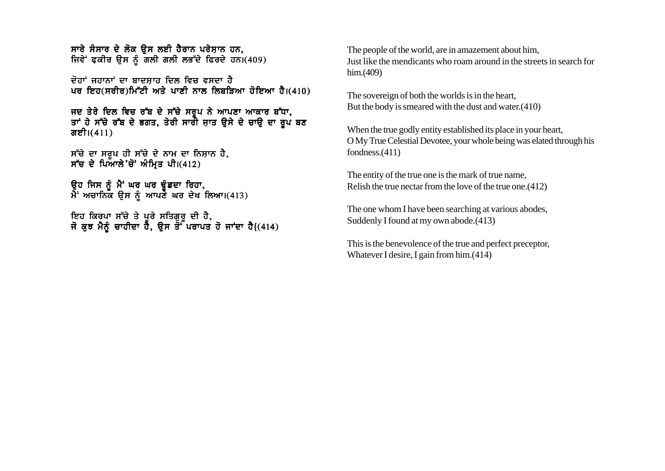ਸਾਰੇ ਸੰਸਾਰ ਦੇ ਲੋਕ ਉਸ ਲਈ ਹੈਰਾਨ ਪਰੇਸਾਨ ਹਨ. ਜਿਵੇਂ ਫ਼ਕੀਰ ਉਸ ਨੂੰ ਗਲੀ ਗਲੀ ਲਭੱਦੇ ਫਿਰਦੇ ਹਨ।(409)

 $\vec{r}$ ਰਾਂ ਜਹਾਨਾਂ ਦਾ ਬਾਦਸਾਹ ਦਿਲ ਵਿਚ ਵਸਦਾ ਹੈ ਪਰ ਇਹ(ਸਰੀਰ)ਮਿੱਟੀ ਅਤੇ ਪਾਣੀ ਨਾਲ ਲਿਬੜਿਆ ਹੋਇਆ ਹੈ।(410)

ਜਦ ਤੇਰੇ ਦਿਲ ਵਿਚ ਰੱਬ ਦੇ ਸੱਚੇ ਸਰੂਪ ਨੇ ਆਪਣਾ ਆਕਾਰ ਬੱਧਾ. ਤਾਂ ਹੇ ਸੱਚੇ ਰੱਬ ਦੇ ਭਗਤ, ਤੇਰੀ ਸਾਰੀ ਜਾਤ ਉਸੇ ਦੇ ਚਾਉ ਦਾ ਰੂਪ ਬਣ ਗਈ। $(411)$ 

ਸੱਚੇ ਦਾ ਸਰੂਪ ਹੀ ਸੱਚੇ ਦੇ ਨਾਮ ਦਾ ਨਿਸ਼ਾਨ ਹੈ, ਸੱਚ ਦੇ ਪਿਆਲੇ'ਚੋਂ ਅੰਮ੍ਰਿਤ ਪੀ।(412)

ਉਹ ਜਿਸ ਨੂੰ ਮੈਂ ਘਰ ਘਰ ਢੁੰਡਦਾ ਰਿਹਾ,  $\hat{A}$ ਂ ਅਚਾਨਿਕ ਉਸ ਨੂੰ ਆਪਣੇ ਘਰ ਦੇਖ ਲਿਆ।(413)

ਇਹ ਕਿਰਪਾ ਸੱਚੇ ਤੇ ਪਰੇ ਸਤਿਗਰ ਦੀ ਹੈ. ਜੋ ਕਝ ਮੈਨੰ ਚਾਹੀਦਾ ਹੈ. ੳਸ ਤੋ<sup>:</sup>ੱਪਰਾਪਤ ਹੋ ਜਾਂਦਾ ਹੈ{(414) The people of the world, are in amazement about him, Just like the mendicants who roam around in the streets in search for him.(409)

The sovereign of both the worlds is in the heart, But the body is smeared with the dust and water.(410)

When the true godly entity established its place in your heart, O My True Celestial Devotee, your whole being was elated through his fondness.(411)

The entity of the true one is the mark of true name, Relish the true nectar from the love of the true one.(412)

The one whom I have been searching at various abodes, Suddenly I found at my own abode.(413)

This is the benevolence of the true and perfect preceptor, Whatever I desire, I gain from him.(414)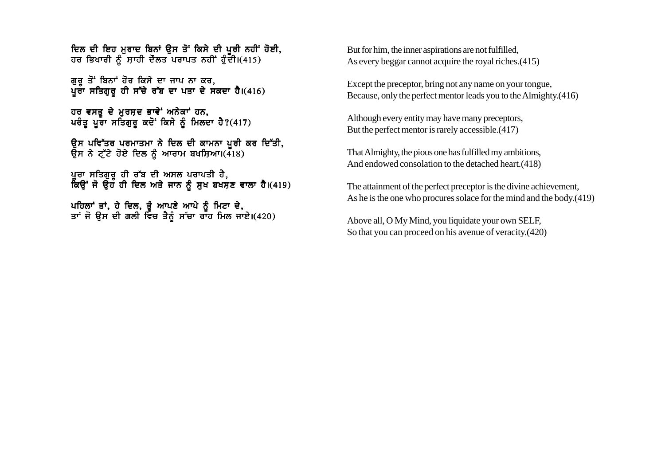ਦਿਲ ਦੀ ਇਹ ਮਰਾਦ ਬਿਨਾਂ ੳਸ ਤੋਂ ਕਿਸੇ ਦੀ ਪਰੀ ਨਹੀਂ ਹੋਈ. ਹਰ ਭਿਖਾਰੀ ਨੂੰ ਸਾਹੀ ਦੌਲਤ ਪਰਾਪਤ ਨਹੀਂ ਹੁੰਦੀ।(415)

ਗਰ ਤੋਂ ਬਿਨਾਂ ਹੋਰ ਕਿਸੇ ਦਾ ਜਾਪ ਨਾ ਕਰ. ਪਰਾ ਸਤਿਗਰ ਹੀ ਸੱਚੇ ਰੱਬ ਦਾ ਪਤਾ ਦੇ ਸਕਦਾ ਹੈ।(416)

ਹਰ ਵਸਤੂ ਦੇ ਮੁਰਸ਼ਦ ਭਾਵੇਂ ਅਨੇਕਾਂ ਹਨ, ਪਰੰਤ ਪੂਰਾ ਸਤਿਗੁਰ ਕਦੋਂ ਕਿਸੇ ਨੂੰ ਮਿਲਦਾ ਹੈ?(417)

ਉਸ ਪਵਿੱਤਰ ਪਰਮਾਤਮਾ ਨੇ ਦਿਲ ਦੀ ਕਾਮਨਾ ਪੂਰੀ ਕਰ ਦਿੱਤੀ, ਉਸ ਨੇ ਟ੍ਰੱਟੇ ਹੋਏ ਦਿਲ ਨੂੰ ਆਰਾਮ ਬਖਸ਼ਿਆ।(418)

ਪੁਰਾ ਸਤਿਗੁਰੂ ਹੀ ਰੱਬ ਦੀ ਅਸਲ ਪਰਾਪਤੀ ਹੈ, ਨਿਊਂ ਜੋ ਉਹ ਹੀ ਦਿਲ ਅਤੇ ਜਾਨ ਨੂੰ ਸੁਖ ਬਖਸਣ ਵਾਲਾ ਹੈ।(419)

ਪਹਿਲਾਂ ਤਾਂ. ਹੇ ਦਿਲ, ਤੰ ਆਪਣੇ ਆਪੇ ਨੰ ਮਿਟਾ ਦੇ. ਤਾਂ ਜੋ ੳਸ ਦੀ ਗਲੀ ਵਿੱਚ ਤੈਨੰ ਸੱਚਾ ਰਾੱਹ ਮਿਲ ਜਾਏ।(420) But for him, the inner aspirations are not fulfilled, As every beggar cannot acquire the royal riches.(415)

Except the preceptor, bring not any name on your tongue, Because, only the perfect mentor leads you to the Almighty.(416)

Although every entity may have many preceptors, But the perfect mentor is rarely accessible.(417)

That Almighty, the pious one has fulfilled my ambitions, And endowed consolation to the detached heart.(418)

The attainment of the perfect preceptor is the divine achievement, As he is the one who procures solace for the mind and the body.(419)

Above all, O My Mind, you liquidate your own SELF, So that you can proceed on his avenue of veracity.(420)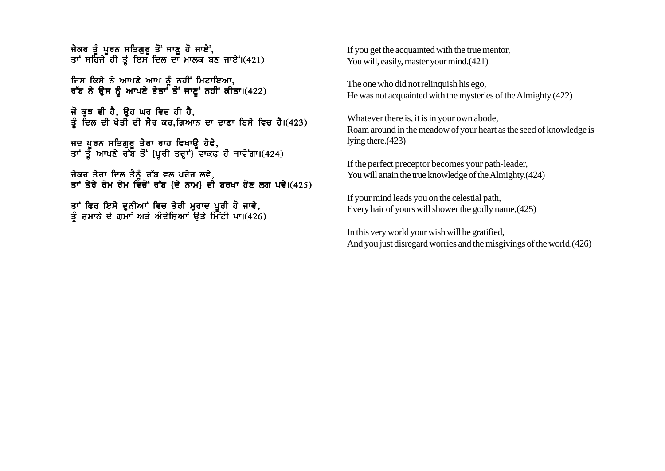ਜੇਕਰ ਤੰ ਪਰਨ ਸਤਿਗਰ ਤੋਂ ਜਾਣ ਹੋ ਜਾਏਂ. ਤਾਂ ਸਹਿਜੇ ਹੀ ਤੰ ਇਸ ਦਿਲ ਦਾ ਮਾਲਕ ਬਣ ਜਾਏਂ।(421)

ਜਿਸ ਕਿਸੇ ਨੇ ਆਪਣੇ ਆਪ ਨੂੰ ਨਹੀਂ ਮਿਟਾਇਆ. ਰੱਬ ਨੇ ਉਸ ਨੂੰ ਆਪਣੇ ਭੇਤਾ<sup>ਂ</sup> ਤੋਂ ਜਾਣੂਂ ਨਹੀਂ ਕੀਤਾ।(422)

ਜੋ ਕਝ ਵੀ ਹੈ, ੳਹ ਘਰ ਵਿਚ ਹੀ ਹੈ, ਤੂੰ ਦਿਲ ਦੀ ਖੇਤੀ ਦੀ ਸੈਰ ਕਰ,ਗਿਆਨ ਦਾ ਦਾਣਾ ਇਸੇ ਵਿਚ ਹੈ।(423)

ਜਦ ਪਰਨ ਸਤਿਗਰ ਤੇਰਾ ਰਾਹ ਵਿਖਾੳ ਹੋਵੇ. ਤਾਂ ਤੋੰ ਆਪਣੇ ਰੱਬ ਤੋਂ {ਪਰੀ ਤਰਾਂ} ਵਾਕਫ ਹੋ ਜਾਵੇਂਗਾ।(424)

ਜੇਕਰ ਤੇਰਾ ਦਿਲ ਤੈਨੰ ਰੱਬ ਵਲ ਪਰੇਰ ਲਵੇ. ਤਾਂ ਤੇਰੇ ਰੋਮ ਰੋਮ ਵਿਚੋਂ ਰੱਬ {ਦੇ ਨਾਮ} ਦੀ ਬਰਖਾ ਹੋਣ ਲਗ ਪਵੇ।(425)

ਤਾਂ ਫਿਰ ਇਸੇ ਦਨੀਆਂ ਵਿਚ ਤੇਰੀ ਮਰਾਦ ਪਰੀ ਹੋ ਜਾਵੇ**.** ਤੰ ਜਮਾਨੇ ਦੇ ਗਮਾਂ ਅਤੇ ਅੰਦੇਸਿਆਂ ੳਤੇ ਮਿੱੱਟੀ ਪਾ।(426) If you get the acquainted with the true mentor, You will, easily, master your mind.(421)

The one who did not relinquish his ego, He was not acquainted with the mysteries of the Almighty.(422)

Whatever there is, it is in your own abode, Roam around in the meadow of your heart as the seed of knowledge is lying there.(423)

If the perfect preceptor becomes your path-leader, You will attain the true knowledge of the Almighty.(424)

If your mind leads you on the celestial path, Every hair of yours will shower the godly name,(425)

In this very world your wish will be gratified, And you just disregard worries and the misgivings of the world.(426)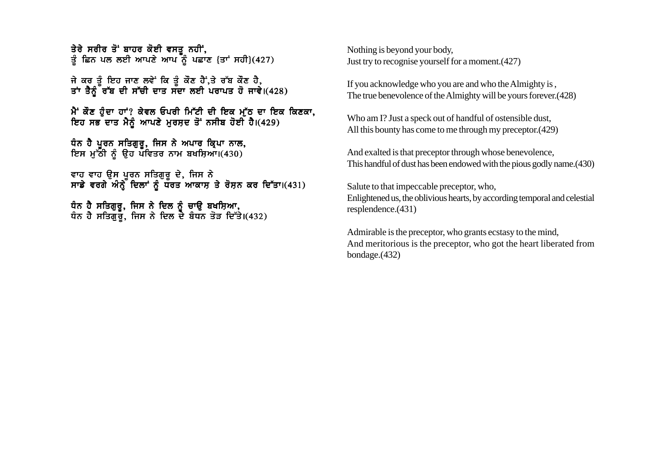ਤੇਰੇ ਸਰੀਰ ਤੋਂ ਬਾਹਰ ਕੋਈ ਵਸਤੂ ਨਹੀਂ, ਤ ਹਿੰਦੇ ਹੋਣ ਕੀਤਾ ਕਰ ਵਿੱਚ ਹੀ ਹੈ।<br>ਤੂੰ ਛਿਨ ਪਲ ਲਈ ਆਪਣੇ ਆਪ ਨੂੰ ਪਛਾਣ {ਤਾਂ ਸਹੀ}(427)

ਜੇ ਕਰ ਤੰ ਇਹ ਜਾਣ ਲਵੇਂ ਕਿ ਤੰ ਕੌਣ ਹੈਂ.ਤੇ ਰੱਬ ਕੌਣ ਹੈ. ਤਾਂ ਤੈਨੰ ਰੱਬ ਦੀ ਸੱਚੀ ਦਾਤ ਸੱਦਾ ਲਈ ਪਰਾਪਤ ਹੋ ਜਾਵੇ।(428)

ਮੈਂ ਕੌਣ ਹੰਦਾ ਹਾਂ? ਕੇਵਲ ਓਪਰੀ ਮਿੱਟੀ ਦੀ ਇਕ ਮੱਠ ਦਾ ਇਕ ਕਿਣਕਾ, ਇਹ ਸਭ ਦਾਤ ਮੈਨੂੰ ਆਪਣੇ ਮੁਰਸੂਦ ਤੋਂ ਨਸੀਬ ਹੋਈ ਹੈ।(429)

ਧੰਨ ਹੈ ਪਰਨ ਸਤਿਗਰ. ਜਿਸ ਨੇ ਅਪਾਰ ਕਿਪਾ ਨਾਲ. ਇਸ ਮੱਠੀ ਨੰ ੳਹ ਪਵਿਤਰ ਨਾਮ ਬਖਸਿਆ।(430)

ਵਾਹ ਵਾਹ ੳਸ ਪਰਨ ਸਤਿਗਰ ਦੇ. ਜਿਸ ਨੇ ਸਾਡੇ ਵਰਗੇ ਅੰਨੇ ਦਿਲਾਂ ਨੰ ਧਰਤ ਆਕਾਸ ਤੇ ਰੋਸਨ ਕਰ ਦਿੱਤਾ।(431)

ਧੰਨ ਹੈ ਸਤਿਗਰ. ਜਿਸ ਨੇ ਦਿਲ ਨੰ ਚਾੳ ਬਖਸਿਆ. ਧੰਨ ਹੈ ਸਤਿਗਰ. ਜਿਸ ਨੇ ਦਿਲ ਦੇ ਬੰਧਨ ਤੋੜ ਦਿੱਤੇ।(432) Nothing is beyond your body, Just try to recognise yourself for a moment.(427)

If you acknowledge who you are and who the Almighty is , The true benevolence of the Almighty will be yours forever.(428)

Who am I? Just a speck out of handful of ostensible dust, All this bounty has come to me through my preceptor.(429)

And exalted is that preceptor through whose benevolence, This handful of dust has been endowed with the pious godly name.(430)

Salute to that impeccable preceptor, who, Enlightened us, the oblivious hearts, by according temporal and celestial resplendence.(431)

Admirable is the preceptor, who grants ecstasy to the mind, And meritorious is the preceptor, who got the heart liberated from bondage.(432)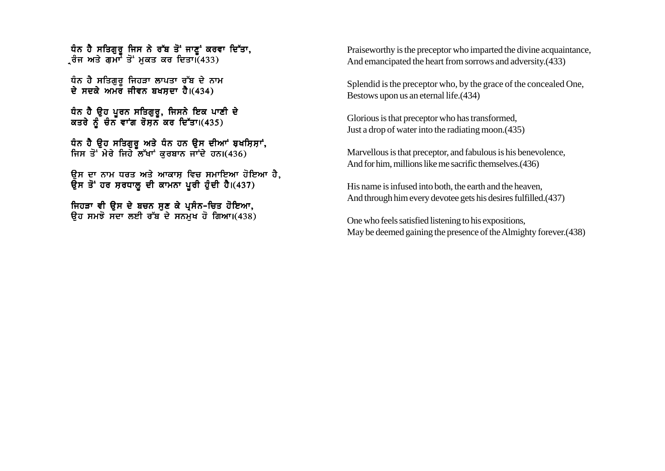ਧੰਨ ਹੈ ਸਤਿਗੁਰੁ ਜਿਸ ਨੇ ਰੱਬ ਤੋਂ ਜਾਣੂਂ ਕਰਵਾ ਦਿੱਤਾ, ੍ਰਰੰਜ ਅਤੇ ਗ<sup>੍ਰਜੌ</sup> ਤੋਂ ਮੁਕਤ ਕਰ ਦਿਤਾ।ਁ(433)

ਧੰਨ ਹੈ ਸਤਿਗਰ ਜਿਹੜਾ ਲਾਪਤਾ ਰੱਬ ਦੇ ਨਾਮ ਦੇ ਸਦਕੇ ਅਮਰ ਜੀਵਨ ਬਖਸਦਾ ਹੈ। $(434)$ 

ਧੰਨ ਹੈ ੳਹ ਪਰਨ ਸਤਿਗਰ, ਜਿਸਨੇ ਇਕ ਪਾਣੀ ਦੇ ਕਤਰੇ ਨੂੰ ਚੰਨ ਵਾਂਗ ਰੋਸ਼ਨ ਕਰ ਦਿੱਤਾ।(435)

ਧੰਨ ਹੈ ਉਹ ਸਤਿਗੁਰੂ ਅਤੇ ਧੰਨ ਹਨ ਉਸ ਦੀਆਂ ਬਖਸ਼ਿਸ਼ਾਂ, ਜਿਸ ਤੋਂ ਮੇਰੇ ਜਿਹੇ ਲੱਖਾਂ ਕਰਬਾਨ ਜਾਂਦੇ ਹਨ। $(436)$ 

ਉਸ ਦਾ ਨਾਮ ਧਰਤ ਅਤੇ ਆਕਾਸ਼ ਵਿਚ ਸਮਾਇਆ ਹੋਇਆ ਹੈ, ਉਸ ਤੋਂ ਹਰ ਸਰਧਾਲ ਦੀ ਕਾਮਨਾ ਪੂਰੀ ਹੁੰਦੀ ਹੈ।(437)

ਜਿਹੜਾ ਵੀ ਉਸ ਦੇ ਬਚਨ ਸੁਣ ਕੇ ਪ੍ਰਸੰਨ-ਚਿਤ ਹੋਇਆ, ਉਹ ਸਮਝੋ ਸਦਾ ਲਈ ਰੱਬ ਦੇ ਸਨਮਖ ਹੋ ਗਿਆ।(438) Praiseworthy is the preceptor who imparted the divine acquaintance, And emancipated the heart from sorrows and adversity.(433)

Splendid is the preceptor who, by the grace of the concealed One, Bestows upon us an eternal life.(434)

Glorious is that preceptor who has transformed, Just a drop of water into the radiating moon.(435)

Marvellous is that preceptor, and fabulous is his benevolence, And for him, millions like me sacrific themselves.(436)

His name is infused into both, the earth and the heaven, And through him every devotee gets his desires fulfilled.(437)

One who feels satisfied listening to his expositions, May be deemed gaining the presence of the Almighty forever.(438)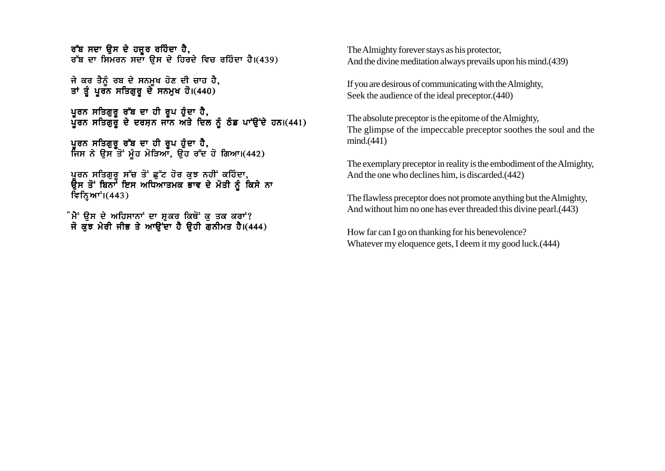ਰੱਬ ਸਦਾ ੳਸ ਦੇ ਹਜ਼ਰ ਰਹਿੰਦਾ ਹੈ. ਰੱਬ ਦਾ ਸਿਮਰਨ ਸਦਾ ੳਸ ਦੇ ਹਿਰਦੇ ਵਿਚ ਰਹਿੰਦਾ ਹੈ।(439)

ਜੇ ਕਰ ਤੈਨੂੰ ਰਬ ਦੇ ਸਨਮੁਖ ਹੋਣ ਦੀ ਚਾਹ ਹੈ, ਤਾਂ ਤੂੰ ਪੂਰਨ ਸਤਿਗੁਰੂ ਦੇ ਸਨਮੁਖ ਹੋ।(440)

ਪਰਨ ਸਤਿਗਰ ਰੱਬ ਦਾ ਹੀ ਰਪ ਹੰਦਾ ਹੈ, ਪੂਰਨ ਸਤਿਗੁਰੂ ਦੇ ਦਰਸ਼ਨ ਜਾਨ ਅਤੇ ਦਿਲ ਨੂੰ ਠੰਡ ਪਾਉਂਦੇ ਹਨ।(441)

ਪੁਰਨ ਸਤਿਗੁਰੂ ਰੱਬ ਦਾ ਹੀ ਰੂਪ ਹੁੰਦਾ ਹੈ, ਜਿਸ ਨੇ ਉਸ ਤੋਂ ਮੂੰਹ ਮੋੜਿਆ, ਉਹ ਰੱਦ ਹੋ ਗਿਆ।(442)

ਪਰਨ ਸਤਿਗਰ ਸੱਚ ਤੋਂ ਛੱਟ ਹੋਰ ਕਝ ਨਹੀਂ ਕਹਿੰਦਾ. ਉਸ ਤੋਂ ਬਿਨਾ<sup>ਂ</sup> ਇਸ ਅਧਿਆਤਮਕ ਭਾਵ ਦੇ ਮੋਤੀ ਨੰ ਕਿਸੇ ਨਾ ਵਿਨਿਆਾਂ। $(443)$ 

ੰਮੈਂ ੳਸ ਦੇ ਅਹਿਸਾਨਾਂ ਦਾ ਸ਼ਕਰ ਕਿਥੋਂ ਕ ਤਕ ਕਰਾਂ? ਜੋ ਕੁਝ ਮੇਰੀ ਜੀਭ ਤੇ ਆਉਂਦਾ ਹੈ ਉਹੀ ਗੁਨੀਮਤ ਹੈ।(444) The Almighty forever stays as his protector, And the divine meditation always prevails upon his mind.(439)

If you are desirous of communicating with the Almighty, Seek the audience of the ideal preceptor.(440)

The absolute preceptor is the epitome of the Almighty, The glimpse of the impeccable preceptor soothes the soul and the mind.(441)

The exemplary preceptor in reality is the embodiment of the Almighty, And the one who declines him, is discarded.(442)

The flawless preceptor does not promote anything but the Almighty, And without him no one has ever threaded this divine pearl.(443)

How far can I go on thanking for his benevolence? Whatever my eloquence gets, I deem it my good luck.(444)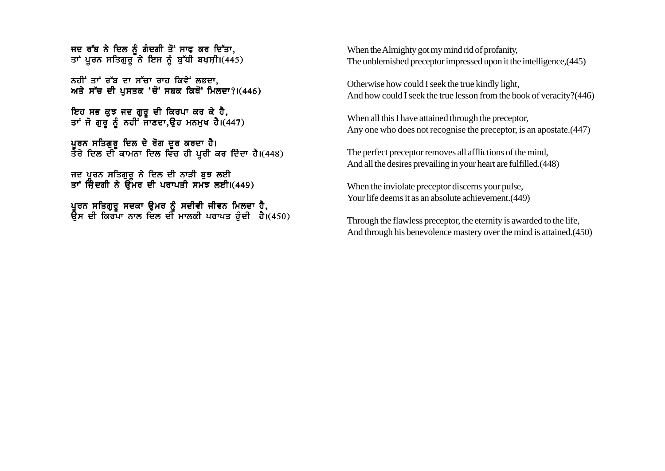ਜਦ ਰੱਬ ਨੇ ਦਿਲ ਨੰ ਗੰਦਗੀ ਤੋਂ ਸਾਫ ਕਰ ਦਿੱਤਾ. ਤਾਂ ਪੂਰਨ ਸਤਿਗੁਰੂ ਨੇ ਇਸ ਨੂੰ ਬੁੱਧੀ ਬਖ਼ਸ਼ੀ।(445)

ਨਹੀਂ ਤਾਂ ਰੱਬ ਦਾ ਸੱਚਾ ਰਾਹ ਕਿਵੇਂ ਲਭਦਾ. ਅਤੇ ਸੱਚ ਦੀ ਪਸਤਕ 'ਚੋਂ' ਸਬਕ ਕਿਥੋਂ' ਮਿਲਦਾ? $(446)$ 

ਇਹ ਸਭ ਕਝ ਜਦ ਗਰ ਦੀ ਕਿਰਪਾ ਕਰ ਕੇ ਹੈ, ਤਾਂ ਜੋ ਗੁਰੂ ਨੂੰ ਨਹੀਂ ਜਾਣਦਾ,ਉਹ ਮਨਮੁਖ ਹੈ।(447)

ਪਰਨ ਸਤਿਗਰ ਦਿਲ ਦੇ ਰੋਗ ਦਰ ਕਰਦਾ ਹੈ। ਤੇਰੇ ਦਿਲ ਦੀ ਕਾਮਨਾ ਦਿਲ ਵਿੱਚ ਹੀ ਪਰੀ ਕਰ ਦਿੰਦਾ ਹੈ।(448)

ਜਦ ਪੂਰਨ ਸਤਿਗੁਰੂ ਨੇ ਦਿਲ ਦੀ ਨਾੜੀ ਬੁਝ ਲਈ ਤਾਂ ਜਿੰਦਗੀ ਨੇ ਉਮਰ ਦੀ ਪਰਾਪਤੀ ਸਮਝ ਲਈ।(449)

ਪਰਨ ਸਤਿਗਰ ਸਦਕਾ ੳਮਰ ਨੰ ਸਦੀਵੀ ਜੀਵਨ ਮਿਲਦਾ ਹੈ. ਓੇਸ ਦੀ ਕਿਰਪਾ ਨਾਲ ਦਿਲ ਦੀ ਮਾਲਕੀ ਪਰਾਪਤ ਹੰਦੀ ਹੈ।(450) When the Almighty got my mind rid of profanity, The unblemished preceptor impressed upon it the intelligence,(445)

Otherwise how could I seek the true kindly light, And how could I seek the true lesson from the book of veracity?(446)

When all this I have attained through the preceptor, Any one who does not recognise the preceptor, is an apostate.(447)

The perfect preceptor removes all afflictions of the mind, And all the desires prevailing in your heart are fulfilled.(448)

When the inviolate preceptor discerns your pulse, Your life deems it as an absolute achievement. (449)

Through the flawless preceptor, the eternity is awarded to the life, And through his benevolence mastery over the mind is attained.(450)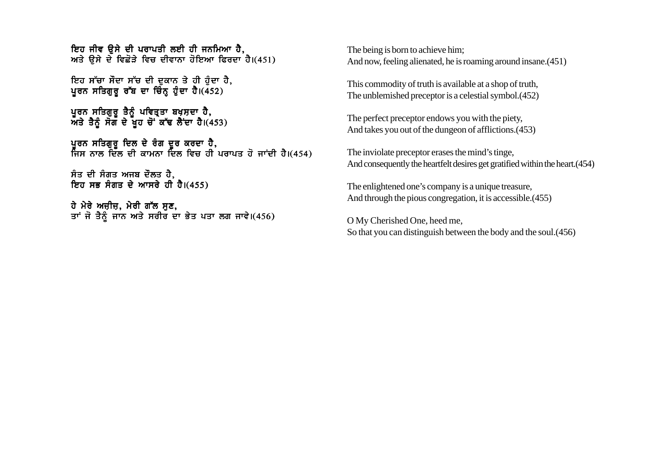ਇਹ ਜੀਵ ੳਸੇ ਦੀ ਪਰਾਪਤੀ ਲਈ ਹੀ ਜਨਮਿਆ ਹੈ. ਅਤੇ ਉਸੇ ਦੇ ਵਿਛੋੜੇ ਵਿਚ ਦੀਵਾਨਾ ਹੋਇਆ ਫਿਰਦਾ ਹੈ।(451)

ਇਹ ਸੱਚਾ ਸੌਦਾ ਸੱਚ ਦੀ ਦਕਾਨ ਤੇ ਹੀ ਹੰਦਾ ਹੈ. ਪਰਨ ਸਤਿਗਰ ਰੱਬ ਦਾ ਚਿੰਨ ਹੰਦਾ ਹੈ।(452)

ਪੁਰਨ ਸਤਿਗੁਰੁ ਤੈਨੂੰ ਪਵਿਤ੍ਰਤਾ ਬਖ਼ਸ਼ਦਾ ਹੈ,  $\overline{M}$ ਤੇ ਤੈਨੂੰ ਸੋਗ ਦੇ ਖੁਹ ਚੋਂ ਕੱਢ ਲੈਂਦਾ ਹੈ। $(453)$ 

ਪਰਨ ਸਤਿਗਰ ਦਿਲ ਦੇ ਰੰਗ ਦਰ ਕਰਦਾ ਹੈ. ਜਿਸ ਨਾਲ ਦਿੱਲ ਦੀ ਕਾਮਨਾ ਦਿਲ ਵਿਚ ਹੀ ਪਰਾਪਤ ਹੋ ਜਾਂਦੀ ਹੈ।(454)

ਸੰਤ ਦੀ ਸੰਗਤ ਅਜਬ ਦੌਲਤ ਹੈ, ਇਹ ਸਭ ਸੰਗਤ ਦੇ ਆਸਰੇ ਹੀ ਹੈ।(455)

ਹੇ ਮੇਰੇ ਅਜ਼ੀਜ਼, ਮੇਰੀ ਗੱਲ ਸੁਣ, ਤਾਂ ਜੋ ਤੈਨੂੰ ਜਾਨ ਅਤੇ ਸਰੀਰ ਦਾ ਭੇਤ ਪਤਾ ਲਗ ਜਾਵੇ।(456) The being is born to achieve him; And now, feeling alienated, he is roaming around insane.(451)

This commodity of truth is available at a shop of truth, The unblemished preceptor is a celestial symbol.(452)

The perfect preceptor endows you with the piety, And takes you out of the dungeon of afflictions.(453)

The inviolate preceptor erases the mind's tinge, And consequently the heartfelt desires get gratified within the heart.(454)

The enlightened one's company is a unique treasure, And through the pious congregation, it is accessible.(455)

O My Cherished One, heed me, So that you can distinguish between the body and the soul.(456)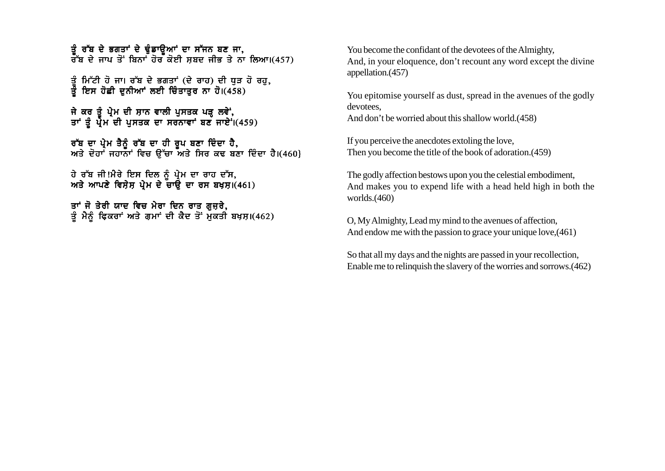ਤੂੰ ਰੱਬ ਦੇ ਭਗਤਾਂ ਦੇ ਢੁੰਡਾਉਆਂ ਦਾ ਸੱਜਨ ਬਣ ਜਾ, ਰੱਬ ਦੇ ਜਾਪ ਤੋਂ ਬਿਨਾਂ ਹੋਰ ਕੋਈ ਸਬਦ ਜੀਭ ਤੇ ਨਾ ਲਿਆ।(457)

ਤੂੰ ਮਿੱਟੀ ਹੋ ਜਾ। ਰੱਬ ਦੇ ਭਗਤਾਂ (ਦੇ ਰਾਹ) ਦੀ ਧੁੜ ਹੋ ਰਹ, ਤੂੰ ਇਸ ਹੋਛੀ ਦੁਨੀਆਂ ਲਈ ਚਿੰਤਾਤੁਰ ਨਾ ਹੋ।(458)

ਜੇ ਕਰ ਤੰ ਪ੍ਰੇਮ ਦੀ ਸ਼ਾਨ ਵਾਲੀ ਪਸਤਕ ਪੜ ਲਵੇਂ. ਤਾਂ ਤੂੰ ਪ੍ਰੇਮ ਦੀ ਪੁਸਤਕ ਦਾ ਸਰਨਾਵਾਂ ਬਣ ਜਾਏ<sup>:</sup>।(459)

ਰੱਬ ਦਾ ਪੇਮ ਤੈਨੰ ਰੱਬ ਦਾ ਹੀ ਰਪ ਬਣਾ ਦਿੰਦਾ ਹੈ. ਅਤੇ ਦੋਹਾਂ ਜਹਾਨਾਂ ਵਿਚ ੳੱਚਾ ਅਤੇ ਸਿਰ ਕਢ ਬਣਾ ਦਿੰਦਾ ਹੈ।(460}

ਹੇ ਰੱਬ ਜੀ!ਮੈਰੇ ਇਸ ਦਿਲ ਨੰ ਪੇਮ ਦਾ ਰਾਹ ਦੱਸ. ਅਤੇ ਆਪਣੇ ਵਿਸੇਸ ਪੇਮ ਦੇ ਚਾੳਂ ਦਾ ਰਸ ਬਖਸ।(461)

ਤਾਂ ਜੋ ਤੇਰੀ ਯਾਦ ਵਿਚ ਮੇਰਾ ਦਿਨ ਰਾਤ ਗੁਜ਼ਰੇ, ਤੂੰ ਮੈਨੂੰ ਫ਼ਿਕਰਾਂ ਅਤੇ ਗੁਮਾਂ ਦੀ ਕੈਦ ਤੋਂ ਮੁਕਤੀ ਬਖ਼ਸ਼।(462) You become the confidant of the devotees of the Almighty, And, in your eloquence, don't recount any word except the divine appellation.(457)

You epitomise yourself as dust, spread in the avenues of the godly devotees,

And don't be worried about this shallow world.(458)

If you perceive the anecdotes extoling the love, Then you become the title of the book of adoration.(459)

The godly affection bestows upon you the celestial embodiment, And makes you to expend life with a head held high in both the worlds.(460)

O, My Almighty, Lead my mind to the avenues of affection, And endow me with the passion to grace your unique love,(461)

So that all my days and the nights are passed in your recollection, Enable me to relinquish the slavery of the worries and sorrows.(462)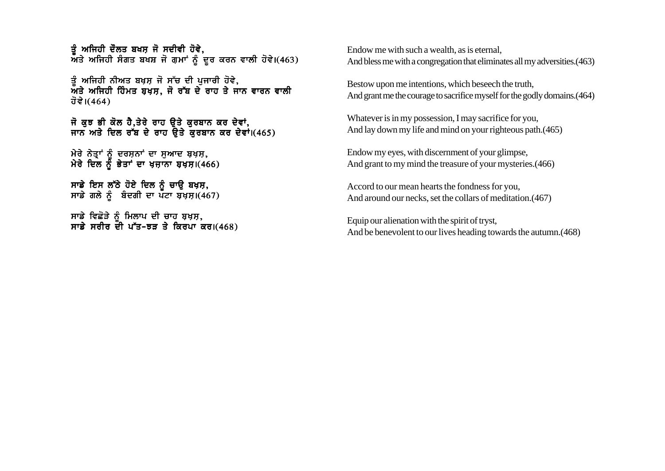ਤੰ ਅਜਿਹੀ ਦੌਲਤ ਬਖਸ ਜੋ ਸਦੀਵੀ ਹੋਵੇ.  $\bar{M}$ ਤੇ ਅਜਿਹੀ ਸੰਗਤ ਬਖਸ਼ ਜੋ ਗੁਮਾਂ ਨੂੰ ਦੂਰ ਕਰਨ ਵਾਲੀ ਹੋਵੇ।(463)

ਤੰ ਅਜਿਹੀ ਨੀਅਤ ਬਖੁਸ਼ ਜੋ ਸੱਚ ਦੀ ਪਜਾਰੀ ਹੋਵੇ,  $\bar{M}$ ਤੇ ਅਜਿਹੀ ਹਿੰਮਤ ਬਖਸ. ਜੋ ਰੱਬ ਦੇ ਰਾਹ ਤੇ ਜਾਨ ਵਾਰਨ ਵਾਲੀ ਹੋਵੇ। $(464)$ 

ਜੋ ਕੁਝ ਭੀ ਕੋਲ ਹੈ,ਤੇਰੇ ਰਾਹ ਉਤੇ ਕੁਰਬਾਨ ਕਰ ਦੇਵਾਂ, ਜਾਨ ਅਤੇ ਦਿਲ ਰੱਬ ਦੇ ਰਾਹ ਉਤੇ ਕਰਬਾਨ ਕਰ ਦੇਵਾਂ।(465)

ਮੇਰੇ ਨੇਤਾਂ ਨੰ ਦਰਸਨਾਂ ਦਾ ਸਆਦ ਬਖਸ. ਮੇਰੇ ਦਿਲ ਨੂੰ ਭੇਤਾਂ ਦਾ ਖਜਾਨਾ ਬਖਸ।(466)

ਸਾਡੇ ਇਸ ਲੱਠੇ ਹੋਏ ਦਿਲ ਨੂੰ ਚਾਉ ਬਖ਼ਸ਼, ਸਾਡੇ ਗਲੇ ਨੂੰ ਬੰਦਗੀ ਦਾ ਪਟਾ ਬਖ਼ਸ਼।(467)

ਸਾਡੇ ਵਿਛੋੜੇ ਨੰ ਮਿਲਾਪ ਦੀ ਚਾਹ ਬਖ਼ਸ, ਸਾਡੇ ਸਰੀਰ ਦੀ ਪੱਤ-ਝਤ ਤੇ ਕਿਰਪਾ ਕਰ। $(468)$  Endow me with such a wealth, as is eternal, And bless me with a congregation that eliminates all my adversities.(463)

Bestow upon me intentions, which beseech the truth, And grant me the courage to sacrifice myself for the godly domains.(464)

Whatever is in my possession, I may sacrifice for you, And lay down my life and mind on your righteous path.(465)

Endow my eyes, with discernment of your glimpse, And grant to my mind the treasure of your mysteries.(466)

Accord to our mean hearts the fondness for you, And around our necks, set the collars of meditation.(467)

Equip our alienation with the spirit of tryst, And be benevolent to our lives heading towards the autumn.(468)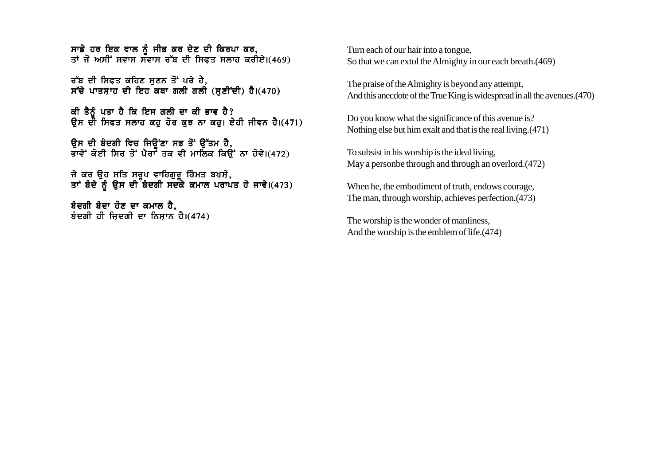ਸਾਡੇ ਹਰ ਇਕ ਵਾਲ ਨੂੰ ਜੀਭ ਕਰ ਦੇਣ ਦੀ ਕਿਰਪਾ ਕਰ, ਤਾਂ ਜੋ ਅਸੀਂ ਸਵਾਸ ਸਵਾਸ ਰੱਬ ਦੀ ਸਿਫਤ ਸਲਾਹ ਕਰੀਏ।(469)

ਰੱਬ ਦੀ ਸਿਫਤ ਕਹਿਣ ਸਣਨ ਤੋਂ ਪਰੇ ਹੈ, ਸੱਚੇ ਪਾਤਸਾਹ ਦੀ ਇਹ ਕਥਾ ਗਲੀ ਗਲੀ (ਸਣੀਂਦੀ) ਹੈ।(470)

ਕੀ ਤੈਨੂੰ ਪਤਾ ਹੈ ਕਿ ਇਸ ਗਲੀ ਦਾ ਕੀ ਭਾਵ ਹੈ? ਉਸ ਦੀ ਸਿਫਤ ਸਲਾਹ ਕਹੁ ਹੋਰ ਕੁਝ ਨਾ ਕਹੁ। ਏਹੀ ਜੀਵਨ ਹੈ।(471)

ਉਸ ਦੀ ਬੈਦਗੀ ਵਿਚ ਜਿਉਂਣਾ ਸਭ ਤੋਂ ਉੱਤਮ ਹੈ, ਭਾਵੇਂ ਕੋਈ ਸਿਰ ਤੋਂ ਪੈਰਾਂ ਤਕ ਵੀ ਮਾਲਿਕ ਕਿਉਂ ਨਾ ਹੋਵੇ।(472)

ਜੇ ਕਰ ੳਹ ਸਤਿ ਸਰਪ ਵਾਹਿਗਰ ਹਿੰਮਤ ਬਖਸੇ. ਤਾਂ ਬੰਦੇ ਨੂੰ ੳਸ ਦੀ ਬੰਦਗੀ ਸਦਕੇ ਕਮਾਲ ਪਰਾਪਤ ਹੋ ਜਾਵੇ।(473)

ਬੰਦਗੀ ਬੰਦਾ ਹੋਣ ਦਾ ਕਮਾਲ ਹੈ, ਬੰਦਗੀ ਹੀ ਜਿਦਗੀ ਦਾ ਨਿਸਾਨ ਹੈ। $(474)$  Turn each of our hair into a tongue, So that we can extol the Almighty in our each breath.(469)

The praise of the Almighty is beyond any attempt, And this anecdote of the True King is widespread in all the avenues.(470)

Do you know what the significance of this avenue is? Nothing else but him exalt and that is the real living.(471)

To subsist in his worship is the ideal living, May a personbe through and through an overlord.(472)

When he, the embodiment of truth, endows courage, The man, through worship, achieves perfection.(473)

The worship is the wonder of manliness, And the worship is the emblem of life.(474)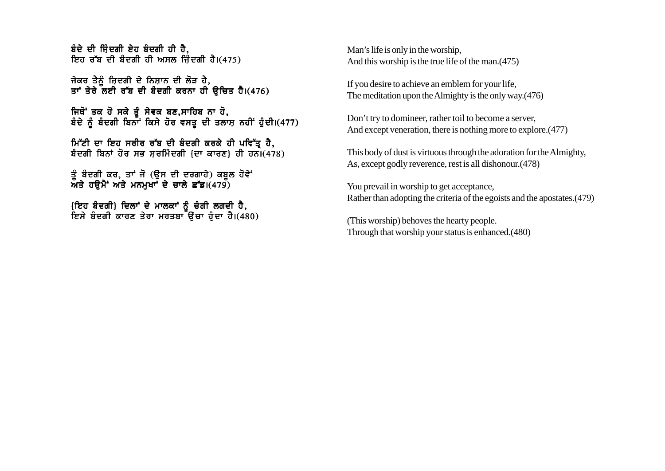ਬੰਦੇ ਦੀ ਜਿੰਦਗੀ ਏਹ ਬੰਦਗੀ ਹੀ ਹੈ. ਇਹ ਰੱਬ ਦੀ ਬੰਦਗੀ ਹੀ ਅਸਲ ਜਿੰਦਗੀ ਹੈ।(475)

ਜੇਕਰ ਤੈਨੰ ਜ਼ਿਦਗੀ ਦੇ ਨਿਸ਼ਾਨ ਦੀ ਲੋੜ ਹੈ, ਤਾਂ ਤੇਰੇ ਲਈ ਰੱਬ ਦੀ ਬੰਦਗੀ ਕਰਨਾ ਹੀ ੳਿਚਤ ਹੈ।(476)

ਜਿਥੋਂ ਤਕ ਹੋ ਸਕੇ ਤੰ ਸੇਵਕ ਬਣ,ਸਾਹਿਬ ਨਾ ਹੋ, ਬੰਦੇ ਨੂੰ ਬੰਦਗੀ ਬਿਨਾਂ ਕਿਸੇ ਹੋਰ ਵਸਤੂ ਦੀ ਤਲਾਸ ਨਹੀਂ ਹੁੰਦੀ।(477)

ਮਿੱਟੀ ਦਾ ਇਹ ਸਰੀਰ ਰੱਬ ਦੀ ਬੰਦਗੀ ਕਰਕੇ ਹੀ ਪਵਿੱਤ੍ਰ ਹੈ, ਬੰਦਗੀ ਬਿਨਾਂ ਹੋਰ ਸਭ ਸੁਰਮਿੰਦਗੀ {ਦਾ ਕਾਰਣ} ਹੀ ਹਨ।(478)

ਤੂੰ ਬੰਦਗੀ ਕਰ, ਤਾਂ ਜੋ (ਉਸ ਦੀ ਦਰਗਾਹੇ) ਕਬੂਲ ਹੋਵੇ<sup>:</sup> ਅਤੇ ਹੳਮੈਂ ਅਤੇ ਮਨਮਖਾਂ ਦੇ ਚਾਲੇ ਛੱਡ। $(479)$ 

<u>{ਇਹ ਬੰਦਗੀ} ਦਿਲਾਂ ਦੇ ਮਾਲਕਾਂ ਨੂੰ ਚੰਗੀ ਲਗਦੀ ਹੈ.</u> ਇਸੇ ਬੰਦਗੀ ਕਾਰਣ ਤੇਰਾ ਮਰਤਬਾ ਓਿੱਚਾ ਹੈਦਾ ਹੈ।(480) Man's life is only in the worship, And this worship is the true life of the man.(475)

If you desire to achieve an emblem for your life, The meditation upon the Almighty is the only way.(476)

Don't try to domineer, rather toil to become a server, And except veneration, there is nothing more to explore.(477)

This body of dust is virtuous through the adoration for the Almighty, As, except godly reverence, rest is all dishonour.(478)

You prevail in worship to get acceptance, Rather than adopting the criteria of the egoists and the apostates.(479)

(This worship) behoves the hearty people. Through that worship your status is enhanced.(480)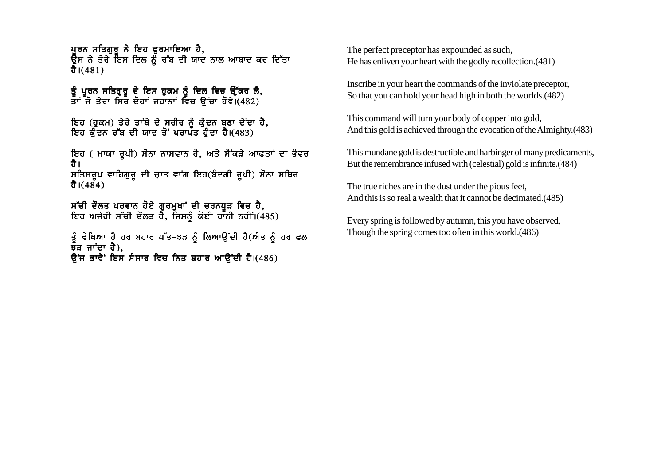ਪਰਨ ਸਤਿਗਰ ਨੇ ਇਹ ਫੁਰਮਾਇਆ ਹੈ, ਉਸ ਨੇ ਤੇਰੇ ਇਸ ਦਿਲ ਨੂੰ ਰੱਬ ਦੀ ਯਾਦ ਨਾਲ ਆਬਾਦ ਕਰ ਦਿੱਤਾ ਹੈ। $(481)$ 

ਤੰ ਪਰਨ ਸਤਿਗਰ ਦੇ ਇਸ ਹਕਮ ਨੰ ਦਿਲ ਵਿਚ ੳੱਕਰ ਲੈ. ਤਾਂ ਜੋ ਤੇਰਾ ਸਿਰ ਦੋਹਾਂ ਜਹਾਨਾਂ ਵਿਚ ਉੱਚਾ ਹੋਵੇ।(482)

ਇਹ (ਹਕਮ) ਤੇਰੇ ਤਾਂਬੇ ਦੇ ਸਰੀਰ ਨੰ ਕੰਦਨ ਬਣਾ ਦੇਂਦਾ ਹੈ. ਇਹ ਕੰਦਨ ਰੱਬ ਦੀ ਯਾਦ ਤੋਂ ਪਰਾਪਤ ਹੰਦਾ ਹੈ।(483)

ਇਹ (ਮਾਯਾ ਰੂਪੀ) ਸੋਨਾ ਨਾਸ਼ਵਾਨ ਹੈ, ਅਤੇ ਸੈਂਕੜੇ ਆਫਤਾਂ ਦਾ ਭੰਵਰ ਹੈ। ਸਤਿਸਰੂਪ ਵਾਹਿਗੁਰੂ ਦੀ ਜ਼ਾਤ ਵਾਂਗ ਇਹ(ਬੰਦਗੀ ਰੂਪੀ) ਸੋਨਾ ਸਥਿਰ ਹੈ।(484)

ਸੱਚੀ ਦੌਲਤ ਪਰਵਾਨ ਹੋਏ ਗੁਰਮੁਖਾਂ ਦੀ ਚਰਨਧੁੜ ਵਿਚ ਹੈ, ਇਹ ਅਜੇਹੀ ਸੱਚੀ ਦੌਲਤ ਹੈ, ਜਿਸਨੰ ਕੋਈ ਹਾਨੀ ਨਹੀਂ।(485)

ਤੂੰ ਵੇਖਿਆ ਹੈ ਹਰ ਬਹਾਰ ਪੱਤ-ਝੜ ਨੂੰ ਲਿਆਉਂਦੀ ਹੈ(ਅੰਤ ਨੂੰ ਹਰ ਫਲ  $\bar{z}$ ੜ ਜਾਂਦਾ ਹੈ), ਉਂਜ ਭਾਵੇਂ ਇਸ ਸੰਸਾਰ ਵਿਚ ਨਿਤ ਬਹਾਰ ਆਉਂਦੀ ਹੈ।(486)

The perfect preceptor has expounded as such, He has enliven your heart with the godly recollection.(481)

Inscribe in your heart the commands of the inviolate preceptor, So that you can hold your head high in both the worlds.(482)

This command will turn your body of copper into gold, And this gold is achieved through the evocation of the Almighty.(483)

This mundane gold is destructible and harbinger of many predicaments, But the remembrance infused with (celestial) gold is infinite.(484)

The true riches are in the dust under the pious feet, And this is so real a wealth that it cannot be decimated.(485)

Every spring is followed by autumn, this you have observed, Though the spring comes too often in this world.(486)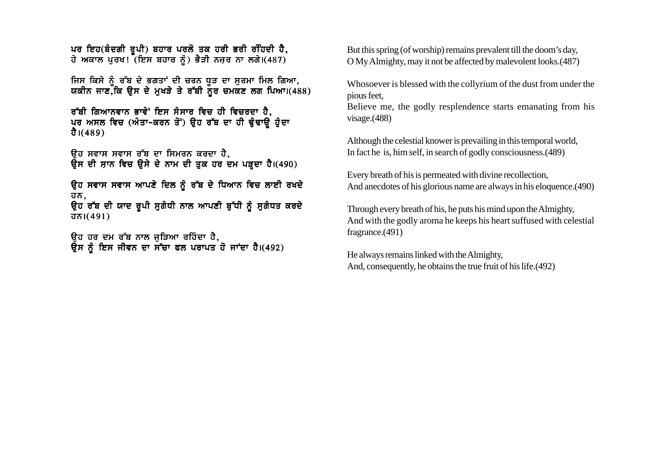ਪਰ ਇਹ(ਬੰਦਗੀ ਰਪੀ) ਬਹਾਰ ਪਰਲੋ ਤਕ ਹਰੀ ਭਰੀ ਰਹਿਦੀ ਹੈ. ਹੇ ਅਕਾਲ ਪਰਖ! (ਇਸ ਬਹਾਰ ਨੂੰ) ਭੈੜੀ ਨਜ਼ਰ ਨਾ ਲਗੇ।(487)

ਜਿਸ ਕਿਸੇ ਨੰ ਰੱਬ ਦੇ ਭਗਤਾਂ ਦੀ ਚਰਨ ਧੜ ਦਾ ਸਰਮਾ ਮਿਲ ਗਿਆ. ਯਕੀਨ ਜਾਣ.ੌਕਿ ੳਸ ਦੇ ਮਖੜੇ ਤੇ ਰੱਬੀ ਨੌਰ ਚਮਕਣ ਲਗ ਪਿਆ।(488)

ਰੱਬੀ ਗਿਆਨਵਾਨ ਭਾਵੇ<sup>:</sup> ਇਸ ਸੰਸਾਰ ਵਿਚ ਹੀ ਵਿਚਰਦਾ ਹੈ, ਪਰ ਅਸਲ ਵਿਚ (ਅੰਤਾ-ਕਰਨ ਤੋਂ) ਉਹ ਰੱਬ ਦਾ ਹੀ ਢੁੰਢਾਉ ਹੁੰਦਾ ਹੈ। $(489)$ 

ਉਹ ਸਵਾਸ ਸਵਾਸ ਰੱਬ ਦਾ ਸਿਮਰਨ ਕਰਦਾ ਹੈ, ਓਸ ਦੀ ਸਾਨ ਵਿਚ ਉਸੇ ਦੇ ਨਾਮ ਦੀ ਤੁਕ ਹਰ ਦਮ ਪੜ੍ਹਦਾ ਹੈ।(490)

ਉਹ ਸਵਾਸ ਸਵਾਸ ਆਪਣੇ ਦਿਲ ਨੂੰ ਰੱਬ ਦੇ ਧਿਆਨ ਵਿਚ ਲਾਈ ਰਖਦੇ ਹਨ,

ਉਹ ਰੱਬ ਦੀ ਯਾਦ ਰੁਪੀ ਸੁਗੰਧੀ ਨਾਲ ਆਪਣੀ ਬੁੱਧੀ ਨੂੰ ਸੁਗੰਧਤ ਕਰਦੇ  $\overline{d}$  $\overline{b}$  $\overline{b}$  $\overline{d}$  $\overline{d}$  $\overline{d}$  $\overline{d}$  $\overline{d}$ 

ੳਹ ਹਰ ਦਮ ਰੱਬ ਨਾਲ ਜੜਿਆ ਰਹਿੰਦਾ ਹੈ. ੳਸ ਨੰ ਇਸ ਜੀਵਨ ਦਾ ਸੱਚਾ ਫਲ ਪਰਾਪਤ ਹੋ ਜਾਂਦਾ ਹੈ।(492) But this spring (of worship) remains prevalent till the doom's day, O My Almighty, may it not be affected by malevolent looks.(487)

Whosoever is blessed with the collyrium of the dust from under the pious feet,

Believe me, the godly resplendence starts emanating from his visage.(488)

Although the celestial knower is prevailing in this temporal world, In fact he is, him self, in search of godly consciousness.(489)

Every breath of his is permeated with divine recollection, And anecdotes of his glorious name are always in his eloquence.(490)

Through every breath of his, he puts his mind upon the Almighty, And with the godly aroma he keeps his heart suffused with celestial fragrance.(491)

He always remains linked with the Almighty, And, consequently, he obtains the true fruit of his life.(492)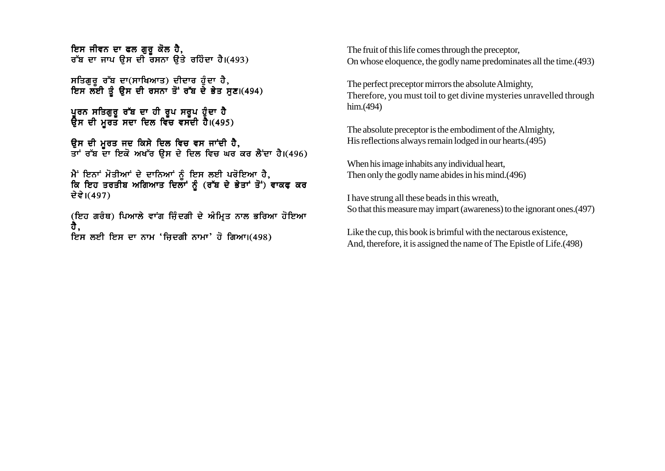ਇਸ ਜੀਵਨ ਦਾ ਫਲ ਗਰ ਕੋਲ ਹੈ. ਰੱਬ ਦਾ ਜਾਪ ੳਸ ਦੀ ਰਸਨਾ ੳਤੇ ਰਹਿੰਦਾ ਹੈ।(493)

ਸਤਿਗਰ ਰੱਬ ਦਾ(ਸਾਖਿਆਤ) ਦੀਦਾਰ ਹੰਦਾ ਹੈ, ਇਸ ਲਈ ਤੂੰ ਉਸ ਦੀ ਰਸਨਾ ਤੋਂ ਰੱਬ ਦੇ ਭੇਤ ਸੁਣ।(494)

ਪਰਨ ਸਤਿਗਰ ਰੱਬ ਦਾ ਹੀ ਰਪ ਸਰਪ ਹੰਦਾ ਹੈ ਉਸ ਦੀ ਮਰਤ ਸਦਾ ਦਿਲ ਵਿੱਚ ਵਸੱਦੀ ਹੈ।(495)

ੳਸ ਦੀ ਮਰਤ ਜਦ ਕਿਸੇ ਦਿਲ ਵਿਚ ਵਸ ਜਾਂਦੀ ਹੈ. ਤਾਂ ਰੱਬ ਦਾ ਇਕੋ ਅਖੱਰ ੳਸ ਦੇ ਦਿਲ ਵਿਚ ਘਰ ਕਰ ਲੈਂਦਾ ਹੈ।(496)

ਮੈਂ ਇਨਾਂ ਮੋਤੀਆਂ ਦੇ ਦਾਨਿਆਂ ਨੰ ਇਸ ਲਈ ਪਰੋਇਆ ਹੈ. ਕਿ ਇਹ ਤਰਤੀਬ ਅਗਿਆਤ ਦਿਲਾਂ ਨੰ (ਰੱਬ ਦੇ ਭੇਤਾਂ ਤੋਂ) ਵਾਕਫ ਕਰ ਦੇਵੇ।(497)

(ਇਹ ਗਰੰਥ) ਪਿਆਲੇ ਵਾਂਗ ਜ਼ਿੰਦਗੀ ਦੇ ਅੰਮ੍ਰਿਤ ਨਾਲ ਭਰਿਆ ਹੋਇਆ ਹੈ, ਇਸ ਲਈ ਇਸ ਦਾ ਨਾਮ 'ਜਿਦਗੀ ਨਾਮਾ' ਹੋ ਗਿਆ।(498)

The fruit of this life comes through the preceptor, On whose eloquence, the godly name predominates all the time.(493)

The perfect preceptor mirrors the absolute Almighty, Therefore, you must toil to get divine mysteries unravelled through him.(494)

The absolute preceptor is the embodiment of the Almighty, His reflections always remain lodged in our hearts.(495)

When his image inhabits any individual heart, Then only the godly name abides in his mind.(496)

I have strung all these beads in this wreath, So that this measure may impart (awareness) to the ignorant ones.(497)

Like the cup, this book is brimful with the nectarous existence, And, therefore, it is assigned the name of The Epistle of Life.(498)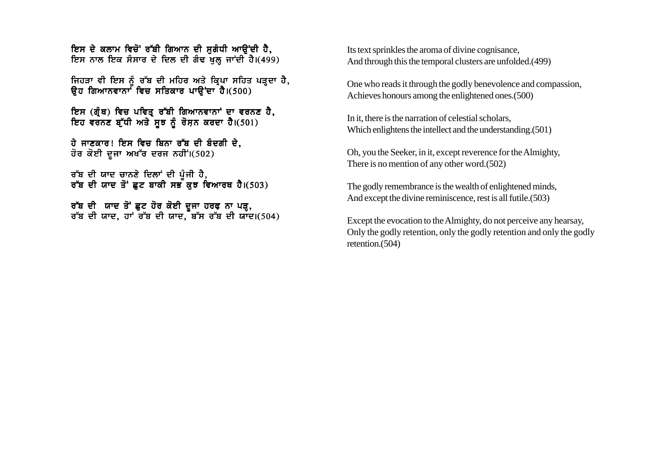<u>ਇਸ ਦੇ ਕਲਾਮ ਵਿਚੋਂ ਰੱਬੀ ਗਿਆਨ ਦੀ ਸਗੰਧੀ ਆਉਂਦੀ ਹੈ.</u> ਇਸ ਨਾਲ ਇਕ ਸੰਸਾਰ ਦੇ ਦਿਲ ਦੀ ਗੰਢ ਖਲ ਜਾਂਦੀ ਹੈ।(499)

ਜਿਹੜਾ ਵੀ ਇਸ ਨੂੰ ਰੱਬ ਦੀ ਮਹਿਰ ਅਤੇ ਕਿਪਾ ਸਹਿਤ ਪੜਦਾ ਹੈ, ਉਹ ਗਿਆਨਵਾਨਾ<sup>ਂ</sup> ਵਿਚ ਸਤਿਕਾਰ ਪਾੳਂਦਾ<sup>ੋ</sup>ਹੈ।(500)

ਇਸ (ਗ੍ਰੰਥ) ਵਿਚ ਪਵਿਤੂ ਰੱਬੀ ਗਿਆਨਵਾਨਾਂ ਦਾ ਵਰਨਣ ਹੈ, ਇਹ ਵਰਨਣ ਬੁੱਧੀ ਅਤੇ ਸੂਝ ਨੂੰ ਰੋਸ਼ਨ ਕਰਦਾ ਹੈ।(501)

ਹੇ ਜਾਣਕਾਰ! ਇਸ ਵਿਚ ਬਿਨਾ ਰੱਬ ਦੀ ਬੰਦਗੀ ਦੇ, ਹੋਰ ਕੋਈ ਦੂਜਾ ਅਖੱਰ ਦਰਜ ਨਹੀਂ।(502)

ਰੱਬ ਦੀ ਯਾਦ ਚਾਨਣੇ ਦਿਲਾਂ ਦੀ ਪੂੰਜੀ ਹੈ, ਰੱਬ ਦੀ ਯਾਦ ਤੋਂ ਛਟ ਬਾਕੀ ਸਭ ਕੁਝ ਵਿਆਰਥ ਹੈ।(503)

ਰੱਬ ਦੀ ਯਾਦ ਤੋਂ ਛੁਟ ਹੋਰ ਕੋਈ ਦੂਜਾ ਹਰਫ਼ ਨਾ ਪੜ੍ਹ,  $\sigma$  ਰੱਬ ਦੀ ਯਾਦ, ਹਾਂ ਰੱਬ ਦੀ ਯਾਦ, ਬੱਸ ਰੱਬ ਦੀ ਯਾਦ।(504) Its text sprinkles the aroma of divine cognisance, And through this the temporal clusters are unfolded.(499)

One who reads it through the godly benevolence and compassion, Achieves honours among the enlightened ones.(500)

In it, there is the narration of celestial scholars, Which enlightens the intellect and the understanding.(501)

Oh, you the Seeker, in it, except reverence for the Almighty, There is no mention of any other word.(502)

The godly remembrance is the wealth of enlightened minds, And except the divine reminiscence, rest is all futile.(503)

Except the evocation to the Almighty, do not perceive any hearsay, Only the godly retention, only the godly retention and only the godly retention.(504)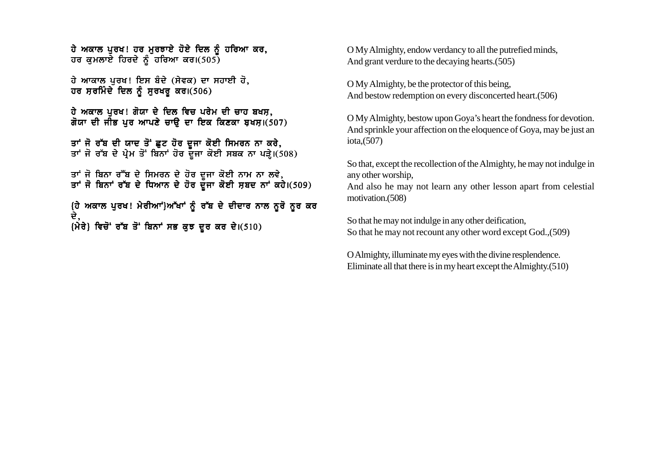ਹੇ ਅਕਾਲ ਪੂਰਖ! ਹਰ ਮੁਰਝਾਏ ਹੋਏ ਦਿਲ ਨੂੰ ਹਰਿਆ ਕਰ, ਹਰ ਕਮਲਾਏ ਹਿਰਦੇ ਨੂੰ ਹਰਿਆ ਕਰ। $(505)$ 

ਹੇ ਆਕਾਲ ਪਰਖ! ਇਸ ਬੰਦੇ (ਸੇਵਕ) ਦਾ ਸਹਾਈ ਹੋ, ਹਰ ਸਰਮਿੰਦੇ ਦਿਲ ਨੂੰ ਸੁਰਖਰੂ ਕਰ। $(506)$ 

ਹੇ ਅਕਾਲ ਪਰਖ! ਗੋਯਾ ਦੇ ਦਿਲ ਵਿਚ ਪਰੇਮ ਦੀ ਚਾਹ ਬਖਸ, ਗੋਯਾ ਦੀ ਜੀਭ ਪਰ ਆਪਣੇ ਚਾੳ ਦਾ ਇਕ ਕਿਣਕਾ ਬਖਸ਼।(507)

ਤਾਂ ਜੋ ਰੱਬ ਦੀ ਯਾਦ ਤੋਂ ਛਟ ਹੋਰ ਦਜਾ ਕੋਈ ਸਿਮਰਨ ਨਾ ਕਰੇ. ਤਾਂ ਜੋ ਰੱਬ ਦੇ ਪੇਮ ਤੋਂ ਬਿਨਾਂ ਹੋਰ ਦਜਾ ਕੋਈ ਸਬਕ ਨਾ ਪੜੇ।(508)

ਤਾਂ ਜੋ ਬਿਨਾ ਰੱੱਬ ਦੇ ਸਿਮਰਨ ਦੇ ਹੋਰ ਦਜਾ ਕੋਈ ਨਾਮ ਨਾ ਲਵੇ. ਤਾਂ ਜੋ ਬਿਨਾਂ ਰੱਬ ਦੇ ਧਿਆਨ ਦੇ ਹੋਰ ਦੌਜਾ ਕੋਈ ਸਬਦ ਨਾਂ ਕਹੇ।(509)

{ਹੇ ਅਕਾਲ ਪਰਖ! ਮੇਰੀਆਂ**\ਆੱਖਾਂ ਨੰ ਰੱਬ ਦੇ ਦੀਦਾਰ ਨਾਲ ਨਰੋ ਨਰ** ਕਰ ਦੇ.  ${\hat{m}}$ ਰੇ} ਵਿਚੋਂ ਰੱਬ ਤੋਂ ਬਿਨਾਂ ਸਭ ਕੁਝ ਦੂਰ ਕਰ ਦੇ।(510)

O My Almighty, endow verdancy to all the putrefied minds, And grant verdure to the decaying hearts.(505)

O My Almighty, be the protector of this being, And bestow redemption on every disconcerted heart.(506)

O My Almighty, bestow upon Goya's heart the fondness for devotion. And sprinkle your affection on the eloquence of Goya, may be just an iota,(507)

So that, except the recollection of the Almighty, he may not indulge in any other worship,

And also he may not learn any other lesson apart from celestial motivation.(508)

So that he may not indulge in any other deification, So that he may not recount any other word except God.,(509)

O Almighty, illuminate my eyes with the divine resplendence. Eliminate all that there is in my heart except the Almighty.(510)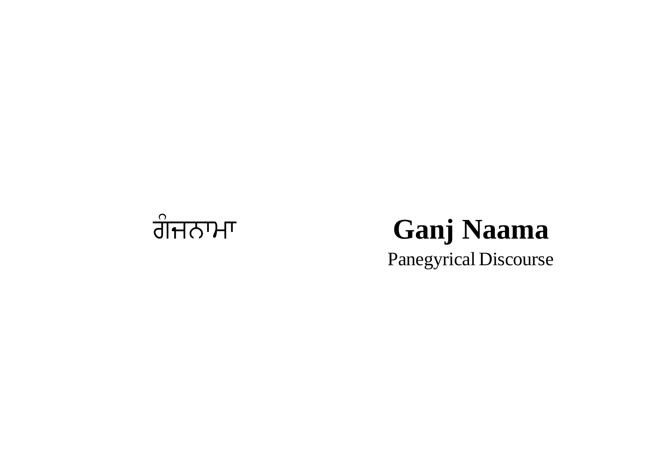

## ਗੰਜਨਾਮਾ Ganj Naama Panegyrical Discourse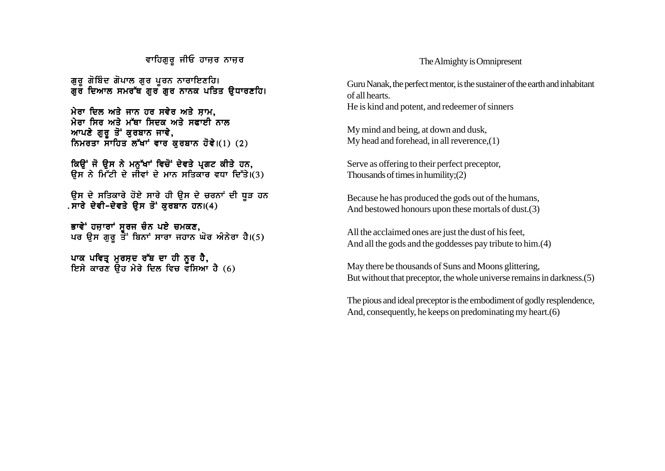ਵਾਹਿਗਰ ਜੀਓ ਹਾਜ਼ਰ ਨਾਜ਼ਰ

ਗੁਰੂ ਗੋਬਿੰਦ ਗੋਪਾਲ ਗੁਰ ਪੂਰਨ ਨਾਰਾਇਣਹਿ। ਗਰ ਦਿਆਲ ਸਮਰੱਥ ਗਰ ਗਰ ਨਾਨਕ ਪਤਿਤ ੳਧਾਰਣਹਿ।

ਮੇਰਾ ਦਿਲ ਅਤੇ ਜਾਨ ਹਰ ਸਵੇਰ ਅਤੇ ਸਾਮ. ਮੇਰਾ ਸਿਰ ਅਤੇ ਮੱਥਾ ਸਿਦਕ ਅਤੇ ਸਫਾਈ ਨਾਲ ਆਪਣੇ ਗੁਰੁ ਤੋਂ ਕੁਰਬਾਨ ਜਾਵੇ, ਨਿਮਰਤਾ ਸਾਹਿਤ ਲੱਖਾਂ ਵਾਰ ਕਰਬਾਨ ਹੋਵੇ।(1) (2)

ਕਿਉਂ ਜੋ ਉਸ ਨੇ ਮਨੁੱਖਾਂ ਵਿਚੋਂ ਦੇਵਤੇ ਪ੍ਰਗਟ ਕੀਤੇ ਹਨ, ਉਸ ਨੇ ਮਿੱਟੀ ਦੇ ਜੀਵਾਂ ਦੇ ਮਾਨ ਸਤਿਕਾਰ ਵਧਾ ਦਿੱਤੇ।(3)

ਉਸ ਦੇ ਸਤਿਕਾਰੇ ਹੋਏ ਸਾਰੇ ਹੀ ਉਸ ਦੇ ਚਰਨਾਂ ਦੀ ਧੂੜ ਹਨ . ਸਾਰੇ ਦੇਵੀ-ਦੇਵਤੇ ੳਸ ਤੋਂ ਕਰਬਾਨ ਹਨ। $(4)$ 

ਭਾਵੇਂ ਹਜ਼ਾਰਾਂ ਸਰਜ ਚੰਨ ਪਏ ਚਮਕਣ. ਪਰ ੳਸ ਗਰ ਤੋਂ ਬਿਨਾਂ ਸਾਰਾ ਜਹਾਨ ਘੋਰ ਅੰਨੇਰਾ ਹੈ।(5)

ਪਾਕ ਪਵਿਤ ਮਰਸਦ ਰੱਬ ਦਾ ਹੀ ਨਰ ਹੈ. ਇਸੇ ਕਾਰਣ ੳਹ ਮੇਰੇ ਦਿਲ ਵਿਚ ਵਸਿਆ ਹੈ (6)

## The Almighty is Omnipresent

Guru Nanak, the perfect mentor, is the sustainer of the earth and inhabitant of all hearts. He is kind and potent, and redeemer of sinners

My mind and being, at down and dusk, My head and forehead, in all reverence,(1)

Serve as offering to their perfect preceptor, Thousands of times in humility;(2)

Because he has produced the gods out of the humans, And bestowed honours upon these mortals of dust.(3)

All the acclaimed ones are just the dust of his feet, And all the gods and the goddesses pay tribute to him.(4)

May there be thousands of Suns and Moons glittering, But without that preceptor, the whole universe remains in darkness.(5)

The pious and ideal preceptor is the embodiment of godly resplendence, And, consequently, he keeps on predominating my heart.(6)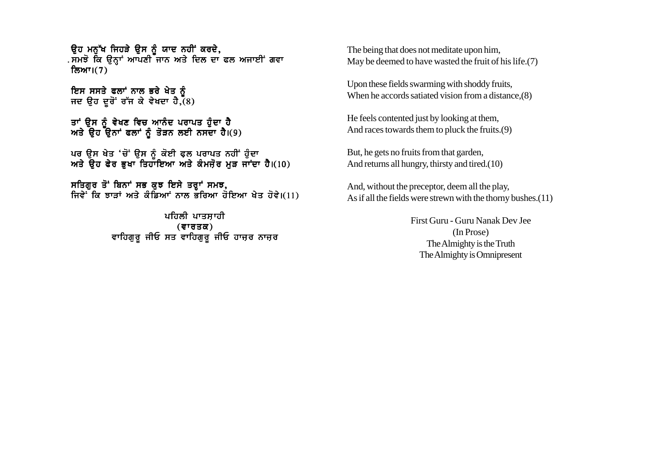ਉਹ ਮਨੁੱਖ ਜਿਹੜੇ ਉਸ ਨੂੰ ਯਾਦ ਨਹੀਂ ਕਰਦੇ, . ਸਮਝੋ ਕਿ ਉਨ੍ਹਾਂ ਆਪਣੀ ਜਾਨ ਅਤੇ ਦਿਲ ਦਾ ਫਲ ਅਜਾਈਂ ਗਵਾ ਲਿਆ।(7)

ਇਸ ਸਸਤੇ ਫਲਾਂ ਨਾਲ ਭਰੇ ਖੇਤ ਨੰ ਜਦ ਉਹ ਦੂਰੋਂ ਰੱਜ ਕੇ ਵੇਖਦਾ ਹੈ,  $(8)$ 

ਤਾਂ ੳਸ ਨੰ ਵੇਖਣ ਵਿਚ ਆਨੰਦ ਪਰਾਪਤ ਹੰਦਾ ਹ<del>ੈ</del> ਅਤੇ ੳਹ ੳਨਾਂ ਫਲਾਂ ਨੰ ਤੋੜਨ ਲਈ ਨਸਦਾ ਹੈ।(9)

ਪਰ ੳਸ ਖੇਤ 'ਚੋਂ' ੳਸ ਨੰ ਕੋਈ ਫਲ ਪਰਾਪਤ ਨਹੀਂ ਹੰਦਾ ਅਤੇ ੳਹ ਫੇਰ ਭਖਾ ਤਿਹਾਇਆ ਅਤੇ ਕੰਮਜੋਰ ਮੜ ਜਾਂਦਾ ਹੈ।(10)

ਸਤਿਗੁਰ ਤੋਂ ਬਿਨਾਂ ਸਭ ਕੁਝ ਇਸੇ ਤਰ੍ਹਾਂ ਸਮਝ, ਜਿਵੇਂ ਕਿ ਝਾਤਾਂ ਅਤੇ ਕੰਡਿਆਂ ਨਾਲ ਭੌਰਿਆ ਹੋਇਆ ਖੇਤ ਹੋਵੇ।(11)

> ਪਹਿਲੀ ਪਾਤਸ਼ਾਹੀ  $($ ਵਾਰਤਕ $)$ ਵਾਹਿਗੁਰੂ ਜੀਓ ਸਤ ਵਾਹਿਗੁਰੂ ਜੀਓ ਹਾਜ਼ਰ ਨਾਜ਼ਰ

The being that does not meditate upon him, May be deemed to have wasted the fruit of his life.(7)

Upon these fields swarming with shoddy fruits, When he accords satiated vision from a distance,(8)

He feels contented just by looking at them, And races towards them to pluck the fruits.(9)

But, he gets no fruits from that garden, And returns all hungry, thirsty and tired.(10)

And, without the preceptor, deem all the play, As if all the fields were strewn with the thorny bushes.(11)

> First Guru - Guru Nanak Dev Jee (In Prose) The Almighty is the Truth The Almighty is Omnipresent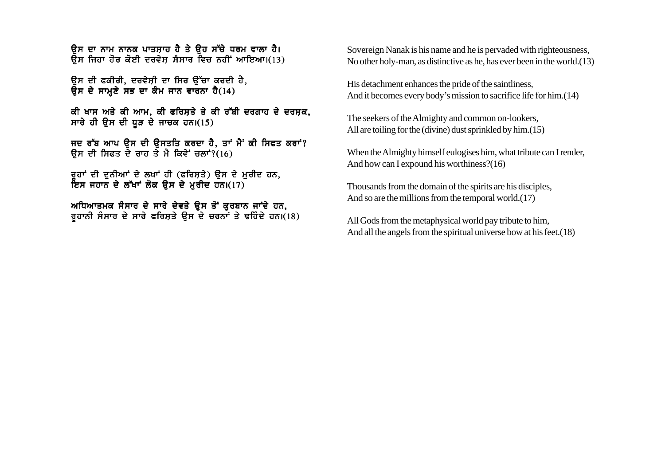ਉਸ ਦਾ ਨਾਮ ਨਾਨਕ ਪਾਤਸਾਹ ਹੈ ਤੇ ਉਹ ਸੱਚੇ ਧਰਮ ਵਾਲਾ ਹੈ।  $\overline{R}$ ਸ ਜਿਹਾ ਹੋਰ ਕੋਈ ਦਰਵੇਸ ਸੰਸਾਰ ਵਿਚ ਨਹੀਂ ਆਇਆ।(13)

ਉਸ ਦੀ ਫਕੀਰੀ, ਦਰਵੇਸੀ ਦਾ ਸਿਰ ਉੱਚਾ ਕਰਦੀ ਹੈ,  $R$ ਸ ਦੇ ਸਾਮਣੇ ਸਭ ਦਾ ਕੰਮ ਜਾਨ ਵਾਰਨਾ ਹੈ(14)

ਕੀ ਖਾਸ ਅਤੇ ਕੀ ਆਮ, ਕੀ ਫਰਿਸ਼ਤੇ ਤੇ ਕੀ ਰੱਬੀ ਦਰਗਾਹ ਦੇ ਦਰਸ਼ਕ, ਸਾਰੇ ਹੀ ਉਸ ਦੀ ਧੂੜ ਦੇ ਜਾਚਕ ਹਨ। $(15)$ 

ਜਦ ਰੱਬ ਆਪ ੳਸ ਦੀ ੳਸਤਤਿ ਕਰਦਾ ਹੈ, ਤਾਂ ਮੈਂ ਕੀ ਸਿਫਤ ਕਰਾਂ?  $R$ ਸ ਦੀ ਸਿਫਤ ਦੇ ਰਾਹ ਤੇ ਮੈ ਕਿਵੇਂ ਚਲਾਂ? $(16)$ 

ਰੁਹਾਂ ਦੀ ਦੁਨੀਆਂ ਦੇ ਲਖਾਂ ਹੀ (ਫਰਿਸ਼ਤੇ) ਉਸ ਦੇ ਮੁਰੀਦ ਹਨ, <u>ਇਸ ਜਹਾਨ ਦੇ ਲੱਖਾਂ ਲੋਕ ਉਸ ਦੇ ਮਰੀਦ ਹਨ।(17)</u>

ਅਧਿਆਤਮਕ ਸੰਸਾਰ ਦੇ ਸਾਰੇ ਦੇਵਤੇ ਉਸ ਤੋਂ ਕੁਰਬਾਨ ਜਾਂਦੇ ਹਨ, ਰੁਹਾਨੀ ਸੰਸਾਰ ਦੇ ਸਾਰੇ ਫਰਿਸ਼ਤੇ ਉਸ ਦੇ ਚਰਨਾਂ ਤੇ ਢਹਿੰਦੇ ਹਨ।(18) Sovereign Nanak is his name and he is pervaded with righteousness, No other holy-man, as distinctive as he, has ever been in the world.(13)

His detachment enhances the pride of the saintliness, And it becomes every body's mission to sacrifice life for him.(14)

The seekers of the Almighty and common on-lookers, All are toiling for the (divine) dust sprinkled by him.(15)

When the Almighty himself eulogises him, what tribute can I render, And how can I expound his worthiness?(16)

Thousands from the domain of the spirits are his disciples, And so are the millions from the temporal world.(17)

All Gods from the metaphysical world pay tribute to him, And all the angels from the spiritual universe bow at his feet.(18)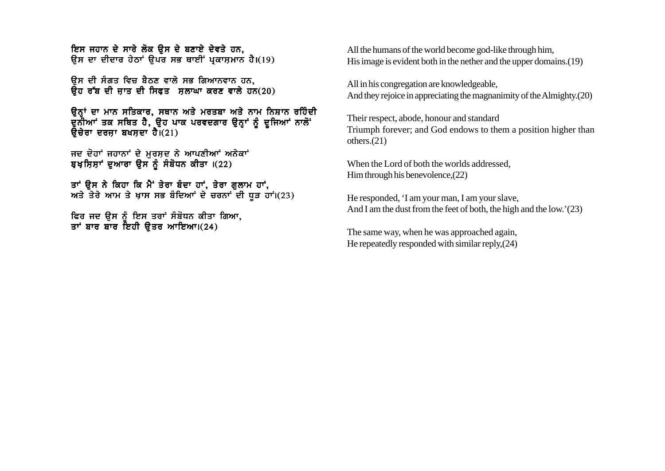ਇਸ ਜਹਾਨ ਦੇ ਸਾਰੇ ਲੋਕ ਉਸ ਦੇ ਬਣਾਏ ਦੇਵਤੇ ਹਨ. ਉਸ ਦਾ ਦੀਦਾਰ ਹੇਠਾਂ ਉਪਰ ਸਭ ਥਾਈਂ ਪ੍ਰਕਾਸ਼ਮਾਨ ਹੈ।(19)

ਉਸ ਦੀ ਸੰਗਤ ਵਿਚ ਬੈਠਣ ਵਾਲੇ ਸਭ ਗਿਆਨਵਾਨ ਹਨ.  $\overline{a}$ ਰ ਰੱਬ ਦੀ ਜਾਤ ਦੀ ਸਿਫਤ ਸੁਲਾਘਾ ਕਰਣ ਵਾਲੇ ਹਨ(20)

ਉਨ੍ਹਾਂ ਦਾ ਮਾਨ ਸਤਿਕਾਰ, ਸਥਾਨ ਅਤੇ ਮਰਤਬਾ ਅਤੇ ਨਾਮ ਨਿਸ਼ਾਨ ਰਹਿੰਦੀ ਦੁਨੀਆ' ਤਕ ਸਥਿਤ ਹੈ, ਉਹ ਪਾਕ ਪਰਵਦਗਾਰ ਉਨ੍ਹਾਂ ਨੂੰ ਦੂਜਿਆ' ਨਾਲੋਂ<sup>.</sup>  $\theta$ ਚੇਰਾ ਦਰਜਾ ਬਖਸਦਾ ਹੈ। $(21)$ 

ਜਦ ਦੋਹਾਂ ਜਹਾਨਾਂ ਦੇ ਮੁਰਸ਼ਦ ਨੇ ਆਪਣੀਆਂ ਅਨੇਕਾਂ ਬੁਖਸ਼ਿਸ਼ਾਂ ਦੁਆਰਾ ੳਸ ਨੂੰ ਸੰਬੋਧਨ ਕੀਤਾ ।(22)

ਤਾਂ ਉਸ ਨੇ ਕਿਹਾ ਕਿ ਮੈਂ ਤੇਰਾ ਬੰਦਾ ਹਾਂ, ਤੇਰਾ ਗੁਲਾਮ ਹਾਂ,  $m3$  ਤੇਰੇ ਆਮ ਤੇ ਖ਼ਾਸ ਸਭ ਬੰਦਿਆਂ ਦੇ ਚਰਨਾਂ ਦੀ ਧੜ ਹਾਂ।(23)

ਫਿਰ ਜਦ ੳਸ ਨੰ ਇਸ ਤਰਾਂ ਸੰਬੋਧਨ ਕੀਤਾ ਗਿਆ, ਤਾਂ ਬਾਰ ਬਾਰ ਇਹੀ ੳਤਰ ਆਇਆ।(24)

All the humans of the world become god-like through him, His image is evident both in the nether and the upper domains.(19)

All in his congregation are knowledgeable, And they rejoice in appreciating the magnanimity of the Almighty.(20)

Their respect, abode, honour and standard Triumph forever; and God endows to them a position higher than others.(21)

When the Lord of both the worlds addressed, Him through his benevolence,(22)

He responded, 'I am your man, I am your slave, And I am the dust from the feet of both, the high and the low.'(23)

The same way, when he was approached again, He repeatedly responded with similar reply,(24)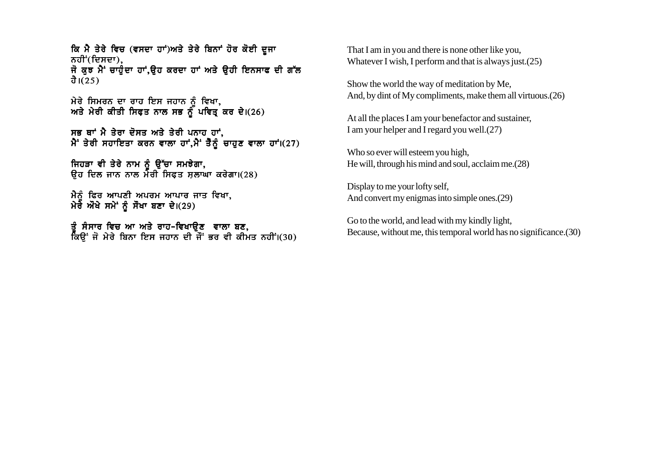ਕਿ ਮੈ ਤੇਰੇ ਵਿਚ (ਵਸਦਾ ਹਾਂ)ਅਤੇ ਤੇਰੇ ਬਿਨਾਂ ਹੋਰ ਕੋਈ ਦਜਾ ਨਹੀਂ (ਦਿਸਦਾ), ਜੋ ਕੁਝ ਮੈਂ ਚਾਹੁੰਦਾ ਹਾਂ,ਉਹ ਕਰਦਾ ਹਾਂ ਅਤੇ ਉਹੀ ਇਨਸਾਫ ਦੀ ਗੱਲ ਹੈ। $(25)$ 

ਮੇਰੇ ਸਿਮਰਨ ਦਾ ਰਾਹ ਇਸ ਜਹਾਨ ਨੰ ਵਿਖਾ. ਅਤੇ ਮੇਰੀ ਕੀਤੀ ਸਿਫਤ ਨਾਲ ਸਭ ਨੌਂ ਪਵਿਤ ਕਰ ਦੇ।(26)

ਸਭ ਥਾਂ ਮੈ ਤੇਰਾ ਦੋਸਤ ਅਤੇ ਤੇਰੀ ਪਨਾਹ ਹਾਂ,  $\hat{A}$  ਤੇਰੀ ਸਹਾਇਤਾ ਕਰਨ ਵਾਲਾ ਹਾਂ,ਮੈਂ ਤੈਨੂੰ ਚਾਹੁਣ ਵਾਲਾ ਹਾਂ।(27)

ਜਿਹੜਾ ਵੀ ਤੇਰੇ ਨਾਮ ਨੂੰ ਉੱਚਾ ਸਮਝੇਗਾ,  $\overline{a}$  if  $\overline{b}$  is a real matrix  $\overline{b}$  is  $\overline{b}$  if  $\overline{b}$  is  $\overline{c}$  if  $\overline{c}$  is  $\overline{c}$  if  $\overline{c}$  is  $\overline{c}$  if  $\overline{c}$  is  $\overline{c}$  if  $\overline{c}$  is  $\overline{c}$  if  $\overline{c}$  is  $\overline{c}$  if  $\overline{c}$  is  $\over$ 

ਮੈਨੰ ਫਿਰ ਆਪਣੀ ਅਪਰਮ ਆਪਾਰ ਜਾਤ ਵਿਖਾ, ਮੇਰੇ ਔਖੇ ਸਮੇਂ ਨੂੰ ਸੌਖਾ ਬਣਾ ਦੇ।(29)

ਤੰ ਸੰਸਾਰ ਵਿਚ ਆ ਅਤੇ ਰਾਹ-ਵਿਖਾੳਣ ਵਾਲਾ ਬਣ. ਕਿੳਂ ਜੋ ਮੇਰੇ ਬਿਨਾ ਇਸ ਜਹਾਨ ਦੀ ਜੌਂ ਭਰ ਵੀ ਕੀਮਤ ਨਹੀਂ।(30) That I am in you and there is none other like you, Whatever I wish, I perform and that is always just.(25)

Show the world the way of meditation by Me, And, by dint of My compliments, make them all virtuous.(26)

At all the places I am your benefactor and sustainer, I am your helper and I regard you well.(27)

Who so ever will esteem you high, He will, through his mind and soul, acclaim me.(28)

Display to me your lofty self, And convert my enigmas into simple ones.(29)

Go to the world, and lead with my kindly light, Because, without me, this temporal world has no significance.(30)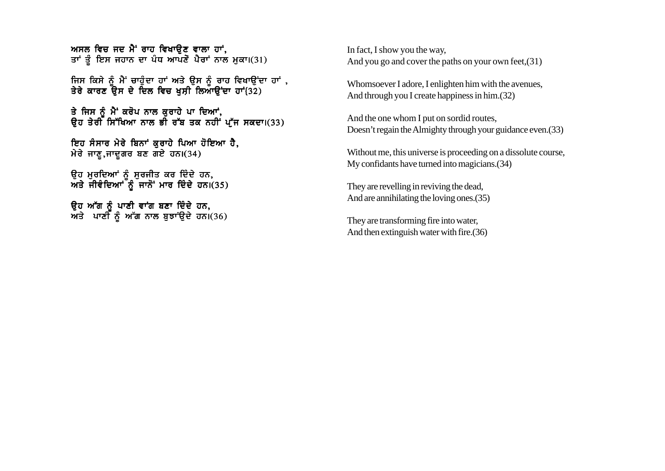ਅਸਲ ਵਿਚ ਜਦ ਮੈਂ ਰਾਹ ਵਿਖਾਉਣ ਵਾਲਾ ਹਾਂ. ਤਾਂ ਤੂੰ ਇਸ ਜਹਾਨ ਦਾ ਪੰਧ ਆਪਣੋ ਪੈਰਾਂ ਨਾਲ ਮੁਕਾ।(31)

ਜਿਸ ਕਿਸੇ ਨੰ ਮੈਂ ਚਾਹੰਦਾ ਹਾਂ ਅਤੇ ੳਸ ਨੰ ਰਾਹ ਵਿਖਾੳਂਦਾ ਹਾਂ . ਤੇਰੇ ਕਾਰਣ ਓੇਸ ਦੇ ਦਿਲ ਵਿਚ ਖਸੀ ਲਿਆੳਂਦਾ ਹਾਂ{32)

ਤੇ ਜਿਸ ਨੰ ਮੈਂ ਕਰੋਪ ਨਾਲ ਕਰਾਹੇ ਪਾ ਦਿਆਂ, ਉਹ ਤੇਰੀ ਸਿੱਖਿਆ ਨਾਲ ਭੀ ਰੱਬ ਤਕ ਨਹੀਂ ਪੱਜ ਸਕਦਾ।(33)

ਇਹ ਸੰਸਾਰ ਮੇਰੇ ਬਿਨਾਂ ਕਰਾਹੇ ਪਿਆ ਹੋਇਆ ਹੈ, ਮੇਰੇ ਜਾਣੂ,ਜਾਦੂਗਰ ਬਣ ਗਏ ਹਨ। $(34)$ 

ਉਹ ਮੁਰਦਿਆਂ ਨੂੰ ਸੁਰਜੀਤ ਕਰ ਦਿੰਦੇ ਹਨ,  $\overline{M}$ ਤੇ ਜੀਵੰਦਿਆਂ ਨੂੰ ਜਾਨੋਂ ਮਾਰ ਦਿੰਦੇ ਹਨ। $(35)$ 

ਓਹ ਅੱਗ ਨੰ ਪਾਣੀ ਵਾਂਗ ਬਣਾ ਦਿੰਦੇ ਹਨ**.** ਅਤੇ ਪਾਣੀ ਨੰ ਅੱਗ ਨਾਲ ਬਝਾਂੳਦੇ ਹਨ।(36) In fact, I show you the way, And you go and cover the paths on your own feet,(31)

Whomsoever I adore, I enlighten him with the avenues, And through you I create happiness in him.(32)

And the one whom I put on sordid routes, Doesn't regain the Almighty through your guidance even.(33)

Without me, this universe is proceeding on a dissolute course, My confidants have turned into magicians.(34)

They are revelling in reviving the dead, And are annihilating the loving ones.(35)

They are transforming fire into water, And then extinguish water with fire.(36)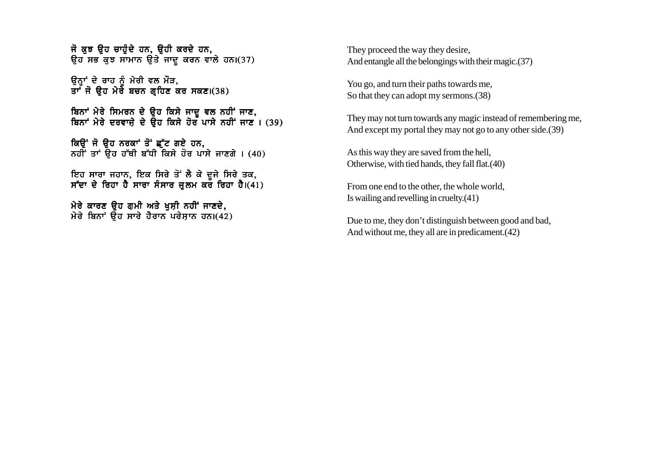ਜੋ ਕੁਝ ਉਹ ਚਾਹੁੰਦੇ ਹਨ, ਉਹੀ ਕਰਦੇ ਹਨ,  $\theta$ ਹ ਸਭ ਕਝ ਸਾਮਾਨ ੳਤੇ ਜਾਦ ਕਰਨ ਵਾਲੇ ਹਨ।(37)

ਉਨ੍ਹਾਂ ਦੇ ਰਾਹ ਨੂੰ ਮੇਰੀ ਵਲ ਮੌੜ, ਤਾ ਜੋ ਉਹ ਮੇਰੇ ਬਚਨ ਗਹਿਣ ਕਰ ਸਕਣ।(38)

ਬਿਨਾਂ ਮੇਰੇ ਸਿਮਰਨ ਦੇ ੳਹ ਕਿਸੇ ਜਾਦ ਵਲ ਨਹੀਂ ਜਾਣ, ਬਿਨਾਂ ਮੇਰੇ ਦਰਵਾਜ਼ੇ ਦੇ ਉਹ ਕਿਸੇ ਹੋਰ ਪਾਸੇ ਨਹੀਂ ਜਾਣ । (39)

ਕਿੳਂ ਜੋ ੳਹ ਨਰਕਾਂ ਤੋਂ ਛੱਟ ਗਏ ਹਨ, ਨਹੀਂ ਤਾਂ ਉਹ ਹੱਥੀ ਬੱਧੀ ਕਿਸੇ ਹੋਰ ਪਾਸੇ ਜਾਣਗੇ । (40)

ਇਹ ਸਾਰਾ ਜਹਾਨ. ਇਕ ਸਿਰੇ ਤੋਂ ਲੈ ਕੇ ਦਜੇ ਸਿਰੇ ਤਕ. ਸੱਦਾ ਦੇ ਰਿਹਾ ਹੈ ਸਾਰਾ ਸੰਸਾਰ ਜਲਮ ਕਰ ਰਿਹਾ ਹੈ।(41)

ਮੇਰੇ ਕਾਰਣ ਉਹ ਗੁਮੀ ਅਤੇ ਖੁਸ਼ੀ ਨਹੀਂ ਜਾਣਦੇ,  $\hat{H}$ ਰੇ ਬਿਨਾਂ ਉਹ ਸਾਰੇ ਹੈਰਾਨ ਪਰੇਸ਼ਾਨ ਹਨ।(42) They proceed the way they desire, And entangle all the belongings with their magic.(37)

You go, and turn their paths towards me, So that they can adopt my sermons.(38)

They may not turn towards any magic instead of remembering me, And except my portal they may not go to any other side.(39)

As this way they are saved from the hell, Otherwise, with tied hands, they fall flat.(40)

From one end to the other, the whole world, Is wailing and revelling in cruelty.(41)

Due to me, they don't distinguish between good and bad, And without me, they all are in predicament.(42)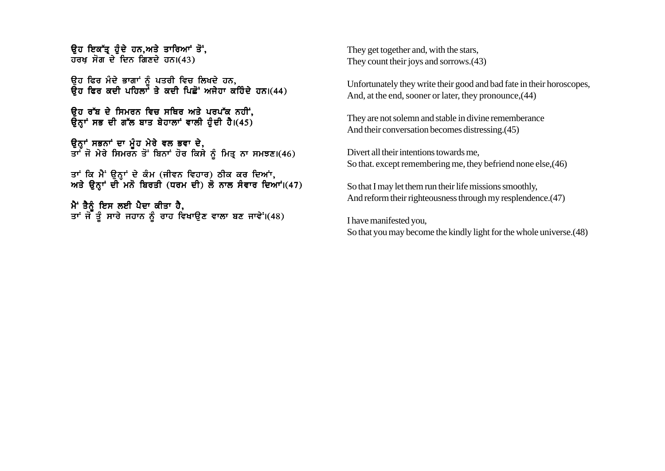ਓਹ ਇਕੱਤ ਹੰਦੇ ਹਨ.ਅਤੇ ਤਾਰਿਆਂ ਤੋਂ. ਹਰਖ ਸੋਗ<sup>ੋ</sup>ਦੇ ਦਿਨ ਗਿਣਦੇ ਹਨ।(43)

ਉਹ ਫਿਰ ਮੰਦੇ ਭਾਗਾਂ ਨੂੰ ਪਤਰੀ ਵਿਚ ਲਿਖਦੇ ਹਨ,  $\vec{R}$ ਹ ਫਿਰ ਕਦੀ ਪਹਿਲਾਂ ਤੇ ਕਦੀ ਪਿਛੋਂ ਅਜੇਹਾ ਕਹਿੰਦੇ ਹਨ।(44)

ਓਹ ਰੱਬ ਦੇ ਸਿਮਰਨ ਵਿਚ ਸਥਿਰ ਅਤੇ ਪਰਪ<u>ੱ</u>ਕ ਨਹੀਂ, ਉਨ੍ਹਾਂ ਸਭ ਦੀ ਗੱਲ ਬਾਤ ਬੇਹਾਲਾਂ ਵਾਲੀ ਹੁੰਦੀ ਹੈ।(45)

ਉਨਾਂ ਸਭਨਾਂ ਦਾ ਮੰਹ ਮੇਰੇ ਵਲ ਭਵਾ ਦੇ**.** ਤਾ ਜੋ ਮੇਰੇ ਸਿਮਰਨ ਤੋਂ ਬਿਨਾਂ ਹੋਰ ਕਿਸੇ ਨੂੰ ਮਿਤ ਨਾ ਸਮਝਣ।(46)

ਤਾਂ ਕਿ ਮੈਂ ੳਨਾਂ ਦੇ ਕੰਮ (ਜੀਵਨ ਵਿਹਾਰ) ਠੀਕ ਕਰ ਦਿਆਂ. ਅਤੇ ੳਨਾਂ ਦੀ ਮਨੋ ਬਿਰਤੀ (ਧਰਮ ਦੀ) ਲੋ ਨਾਲ ਸੰਵਾਰ ਦਿਆਂ।(47)

ਮੈਂ ਤੈਨੰ ਇਸ ਲਈ ਪੈਦਾ ਕੀਤਾ ਹੈ. ਤਾਂ ਜੋ ਤੰ ਸਾਰੇ ਜਹਾਨ ਨੰ ਰਾਹ ਵਿਖਾੳਣ ਵਾਲਾ ਬਣ ਜਾਵੇਂ।(48) They get together and, with the stars, They count their joys and sorrows.(43)

Unfortunately they write their good and bad fate in their horoscopes, And, at the end, sooner or later, they pronounce,(44)

They are not solemn and stable in divine rememberance And their conversation becomes distressing.(45)

Divert all their intentions towards me, So that. except remembering me, they befriend none else,(46)

So that I may let them run their life missions smoothly, And reform their righteousness through my resplendence.(47)

I have manifested you, So that you may become the kindly light for the whole universe.(48)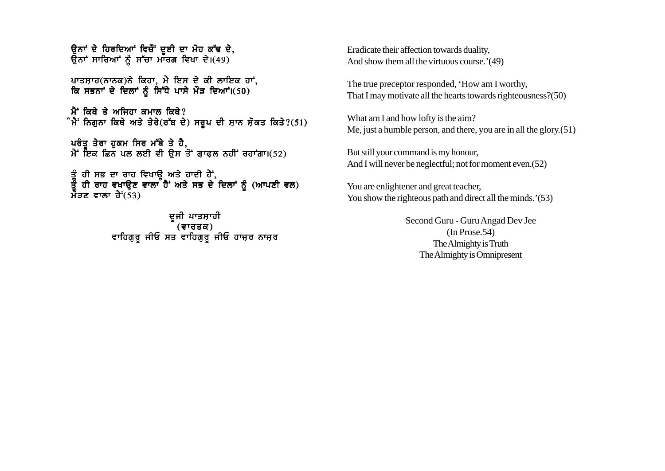ਉਨਾਂ ਦੇ ਹਿਰਦਿਆਂ ਵਿਚੌਂ ਦੁਈ ਦਾ ਮੋਹ ਕੱਢ ਦੇ, ਉਨਾਂ ਸਾਰਿਆਂ ਨੂੰ ਸੱਚਾ ਮਾਰਗ ਵਿਖਾ ਦੇ।(49)

ਪਾਤਸ਼ਾਹ(ਨਾਨਕ)ਨੇ ਕਿਹਾ, ਮੈ ਇਸ ਦੇ ਕੀ ਲਾਇਕ ਹਾਂ, ਕਿ ਸਭਨਾਂ ਦੇ ਦਿਲਾਂ ਨੰ ਸਿੱਧੇ ਪਾਸੇ ਮੌੜ ਦਿਆਂ।(50)

 $\mathbf{\hat{H}}$  ਕਿਥੇ ਤੇ ਅਜਿਹਾ ਕਮਾਲ ਕਿਥੇ? ੰਮੈਂ ਨਿਗੁਨਾ ਕਿਥੇ ਅਤੇ ਤੇਰੇ(ਰੱਬ ਦੇ) ਸਰੂਪ ਦੀ ਸ਼ਾਨ ਸ਼ੋਕਤ ਕਿਤੇ?(51)

ਪਰੰਤੂ ਤੇਰਾ ਹੁਕਮ ਸਿਰ ਮੱਥੇ ਤੇ ਹੈ,  $\hat{A}$  ਇਕ ਛਿਨ ਪਲ ਲਈ ਵੀ ਉਸ ਤੋਂ ਗਾਫਲ ਨਹੀਂ ਰਹਾਂਗਾ।(52)

ਤੰ ਹੀ ਸਭ ਦਾ ਰਾਹ ਵਿਖਾੳ ਅਤੇ ਹਾਦੀ ਹੈਂ. ਤੇ ਹੀ ਰਾਹ ਵਖਾੳਣ ਵਾਲਾ ਹੈ<sup>:</sup> ਅਤੇ ਸਭ ਦੇ ਦਿਲਾਂ ਨੰ (ਆਪਣੀ ਵਲ) ਮੈਂ**ੜਣ ਵਾਲਾ ਹੈ<sup>:</sup>(53)** 

> ਦਜੀ ਪਾਤਸ਼ਾਹੀ  $($ ਵਾਰਤਕ $)$ ਵਾਹਿਗੁਰੂ ਜੀਓ ਸਤ ਵਾਹਿਗੁਰੂ ਜੀਓ ਹਾਜ਼ਰ ਨਾਜ਼ਰ

Eradicate their affection towards duality, And show them all the virtuous course.'(49)

The true preceptor responded, 'How am I worthy, That I may motivate all the hearts towards righteousness?(50)

What am I and how lofty is the aim? Me, just a humble person, and there, you are in all the glory.(51)

But still your command is my honour, And I will never be neglectful; not for moment even.  $(52)$ 

You are enlightener and great teacher, You show the righteous path and direct all the minds.'(53)

> Second Guru - Guru Angad Dev Jee (In Prose.54) The Almighty is Truth The Almighty is Omnipresent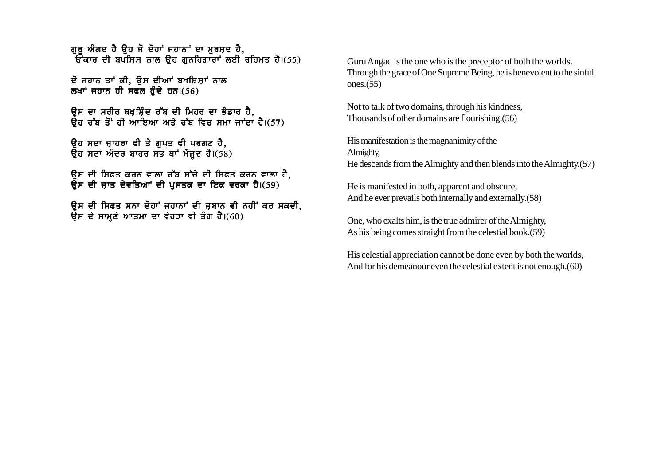ਗਰ ਅੰਗਦ ਹੈ ਉਹ ਜੋ ਦੋਹਾਂ ਜਹਾਨਾਂ ਦਾ ਮੁਰਸ਼ਦ ਹੈ, ਦਵੂੰ ਕਿਸਟਾਂ ਦੀ ਕੁਰਤਿਆ ਕਰ ਕਰ ਕਰ ਕਰ ਹੈ।<br>ਇੱਕਾਰ ਦੀ ਬਖਸਿਸ ਨਾਲ ਉਹ ਗਨਹਿਗਾਰਾਂ ਲਈ ਰਹਿਮਤ ਹੈ।(55)

ਦੋ ਜਹਾਨ ਤਾਂ ਕੀ. ਉਸ ਦੀਆਂ ਬਖਸ਼ਿਸਾਂ ਨਾਲ ਲਖਾਂ ਜਹਾਨ ਹੀ ਸਫਲ ਹੰਦੇ ਹਨ। $(56)$ 

ਉਸ ਦਾ ਸਰੀਰ ਬਖਸ਼ਿੰਦ ਰੱਬ ਦੀ ਮਿਹਰ ਦਾ ਭੰਡਾਰ ਹੈ, ਉਹ ਰੱਬ ਤੋਂ ਹੀ ਆਇਆ ਅਤੇ ਰੱਬ ਵਿਚ ਸਮਾ ਜਾਂਦਾ ਹੈ।(57)

ਉਹ ਸਦਾ ਜ਼ਾਹਰਾ ਵੀ ਤੇ ਗੁਪਤ ਵੀ ਪਰਗਟ ਹੈ. ਉਹ ਸਦਾ ਅੰਦਰ ਬਾਹਰ ਸਭ ਥਾਂ ਮੌਜੂਦ ਹੈ।(58)

ਉਸ ਦੀ ਸਿਫਤ ਕਰਨ ਵਾਲਾ ਰੱਬ ਸੱਚੇ ਦੀ ਸਿਫਤ ਕਰਨ ਵਾਲਾ ਹੈ,  $\overline{R}$ ਸ ਦੀ ਜਾਤ ਦੇਵਤਿਆਂ ਦੀ ਪਸਤਕ ਦਾ ਇਕ ਵਰਕਾ ਹੈ।(59)

ਉਸ ਦੀ ਸਿਫਤ ਸਨਾ ਦੋਹਾਂ ਜਹਾਨਾਂ ਦੀ ਜ਼ਬਾਨ ਵੀ ਨਹੀਂ ਕਰ ਸਕਦੀ,  $\overline{R}$ ਸ ਦੇ ਸਾਮਣੇ ਆਤਮਾ ਦਾ ਵੇਹੜਾ ਵੀ ਤੰਗ ਹੈ।(60)

Guru Angad is the one who is the preceptor of both the worlds. Through the grace of One Supreme Being, he is benevolent to the sinful ones.(55)

Not to talk of two domains, through his kindness, Thousands of other domains are flourishing.(56)

His manifestation is the magnanimity of the Almighty, He descends from the Almighty and then blends into the Almighty.(57)

He is manifested in both, apparent and obscure, And he ever prevails both internally and externally.(58)

One, who exalts him, is the true admirer of the Almighty, As his being comes straight from the celestial book.(59)

His celestial appreciation cannot be done even by both the worlds, And for his demeanour even the celestial extent is not enough.(60)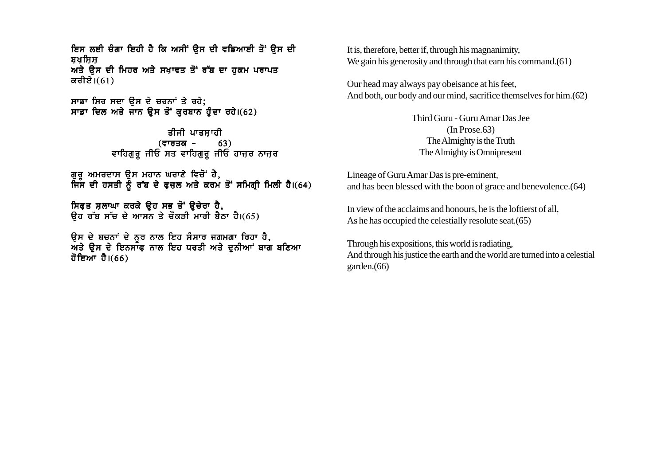ਇਸ ਲਈ ਚੰਗਾ ਇਹੀ ਹੈ ਕਿ ਅਸੀਂ ਉਸ ਦੀ ਵਡਿਆਈ ਤੋਂ ਉਸ ਦੀ ਬਖਸਿਸ ਅਤੇ ਉਸ ਦੀ ਮਿਹਰ ਅਤੇ ਸਖ਼ਾਵਤ ਤੋਂ ਰੱਬ ਦਾ ਹੁਕਮ ਪਰਾਪਤ ਕਰੀਏ। $(61)$ 

ਸਾਡਾ ਸਿਰ ਸਦਾ ਉਸ ਦੇ ਚਰਨਾਂ ਤੇ ਰਹੇ: ਸਾਡਾ ਦਿਲ ਅਤੇ ਜਾਨ ਉਸ ਤੋਂ ਕਰਬਾਨ ਹੋਦਾ ਰਹੇ।(62)

> ਤੀਜੀ ਪਾਤਸਾਹੀ (ਵਾਰਤਕ - 63)<br>ਵਾਹਿਗੁਰੂ ਜੀਓ ਸਤ ਵਾਹਿਗੁਰੂ ਜੀਓ ਹਾਜ਼ਰ ਨਾਜ਼ਰ

ਗੁਰੂ ਅਮਰਦਾਸ ਉਸ ਮਹਾਨ ਘਰਾਣੇ ਵਿਚੋਂ ਹੈ,<br>ਜਿਸ ਦੀ ਹਸਤੀ ਨੂੰ ਰੱਬ ਦੇ ਫ਼ਜ਼ਲ ਅਤੇ ਕਰਮ ਤੋਂ ਸਮਿਗ੍ਰੀ ਮਿਲੀ ਹੈ।(64)

ਸਿਫ਼ਤ ਸਲਾਘਾ ਕਰਕੇ ਉਹ ਸਭ ਤੋਂ ਉਚੇਰਾ ਹੈ, ਉਹ ਰੱਬ ਸੱਚ ਦੇ ਆਸਨ ਤੇ ਚੌਕੜੀ ਮਾਰੀ ਬੈਠਾ ਹੈ।(65)

ਉਸ ਦੇ ਬਚਨਾਂ ਦੇ ਨੂਰ ਨਾਲ ਇਹ ਸੰਸਾਰ ਜਗਮਗਾ ਰਿਹਾ ਹੈ, ਅਤੇ ੳਸ ਦੇ ਇਨਸਾਫ ਨਾਲ ਇਹ ਧਰਤੀ ਅਤੇ ਦਨੀਆਂ ਬਾਗ ਬਣਿਆ ਹੋਇਆ ਹੈ।(66)

It is, therefore, better if, through his magnanimity. We gain his generosity and through that earn his command. $(61)$ 

Our head may always pay obeisance at his feet, And both, our body and our mind, sacrifice themselves for him. (62)

> Third Guru - Guru Amar Das Jee  $(In Prose. 63)$ The Almighty is the Truth The Almighty is Omnipresent

Lineage of Guru Amar Das is pre-eminent, and has been blessed with the boon of grace and benevolence. (64)

In view of the acclaims and honours, he is the loftierst of all. As he has occupied the celestially resolute seat. (65)

Through his expositions, this world is radiating, And through his justice the earth and the world are turned into a celestial garden. $(66)$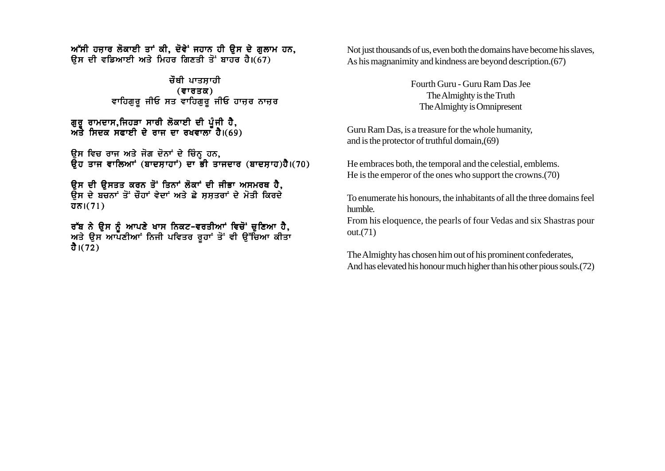$m$ ੱਸੀ ਹਜਾਰ ਲੋਕਾਈ ਤਾਂ ਕੀ, ਦੋਵੇਂ ਜਹਾਨ ਹੀ ੳਸ ਦੇ ਗਲਾਮ ਹਨ, ਉਸ ਦੀ ਵਡਿਆਈ ਅਤੇ ਮਿਹਰ ਗਿਣਤੀ ਤੋਂ ਬਾਹਰ ਹੈ।(67)

> ਚੌਥੀ ਪਾਤਸਾਹੀ  $($ ਵਾਰਤਕ $)$ ਵਾਹਿਗੁਰੂ ਜੀਓ ਸਤ ਵਾਹਿਗੁਰੂ ਜੀਓ ਹਾਜ਼ਰ ਨਾਜ਼ਰ

ਗਰ ਰਾਮਦਾਸ.ਜਿਹੜਾ ਸਾਰੀ ਲੋਕਾਈ ਦੀ ਪੰਜੀ ਹੈ. ਅਤੇ ਸਿਦਕ ਸਫਾਈ ਦੇ ਰਾਜ ਦਾ ਰਖਵਾਲਾ ਹੈ।(69)

ਉਸ ਵਿਚ ਰਾਜ ਅਤੇ ਜੋਗ ਦੋਨਾਂ ਦੇ ਚਿੰਨ੍ਹ ਹਨ,  $\overline{a}$ ਹ ਤਾਜ ਵਾਲਿਆਂ (ਬਾਦਸਾਹਾਂ) ਦਾ ਭੀ ਤਾਜਦਾਰ (ਬਾਦਸਾਹ)ਹੈ।(70)

ਉਸ ਦੀ ਉਸਤਤ ਕਰਨ ਤੋਂ ਤਿਨਾਂ ਲੋਕਾਂ ਦੀ ਜੀਭਾ ਅਸਮਰਥ ਹੈ, ਉਸ ਦੇ ਬਚਨਾਂ ਤੋਂ ਚੌਹਾਂ ਵੇਦਾਂ ਅਤੇ ਛੇ ਸਸਤਰਾਂ ਦੇ ਮੋਤੀ ਕਿਰਦੇ  $\overline{d}$ ਨ। $(71)$ 

ਰੱਬ ਨੇ ੳਸ ਨੰ ਆਪਣੇ ਖਾਸ ਨਿਕਟ-ਵਰਤੀਆਂ ਵਿਚੋਂ ਚਣਿਆ ਹੈ. ਅਤੇ ੳਸ ਆਪਣੀਆਾਂ ਨਿਜੀ ਪਵਿਤਰ ਰਹਾਂ ਤੋਂ ਵੀ ੳੱਚਿਆ ਕੀਤਾ ਹੈ। $(72)$ 

Not just thousands of us, even both the domains have become his slaves, As his magnanimity and kindness are beyond description.(67)

> Fourth Guru - Guru Ram Das Jee The Almighty is the Truth The Almighty is Omnipresent

Guru Ram Das, is a treasure for the whole humanity, and is the protector of truthful domain,(69)

He embraces both, the temporal and the celestial, emblems. He is the emperor of the ones who support the crowns.(70)

To enumerate his honours, the inhabitants of all the three domains feel humble.

From his eloquence, the pearls of four Vedas and six Shastras pour out.(71)

The Almighty has chosen him out of his prominent confederates, And has elevated his honour much higher than his other pious souls.(72)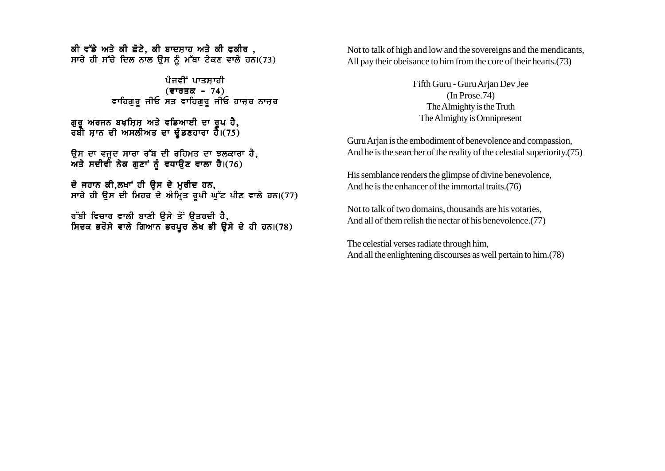ਕੀ ਵੱਡੇ ਅਤੇ ਕੀ ਛੋਟੇ, ਕੀ ਬਾਦਸ਼ਾਹ ਅਤੇ ਕੀ ਫਕੀਰ , ਸਾਰੇ ਹੀ ਸੱਚੇ ਦਿਲ ਨਾਲ ਉਸ ਨੂੰ ਮੱਥਾ ਟੇਕਣ ਵਾਲੇ ਹਨ।(73)

> ਪੰਜਵੀਂ ਪਾਤਸਾਹੀ  $($ ਵਾਰਤਕ - 74) ਵਾਹਿਗੁਰੂ ਜੀਓ ਸਤ ਵਾਹਿਗੁਰੂ ਜੀਓ ਹਾਜ਼ਰ ਨਾਜ਼ਰ

ਗਰ ਅਰਜਨ ਬਖਸਿਸ ਅਤੇ ਵਡਿਆਈ ਦਾ ਰਪ ਹੈ. ਰਬੀ ਸਾਨ ਦੀ ਅਸਲੀਅਤ ਦਾ ਢੰਡਣਹਾਰਾ ਹੈ।(75)

ੳਸ ਦਾ ਵਜਦ ਸਾਰਾ ਰੱਬ ਦੀ ਰਹਿਮਤ ਦਾ ਝਲਕਾਰਾ ਹੈ. ਅਤੇ ਸਦੀਵੀ ਨੇਕ ਗਣਾਂ ਨੰ ਵਧਾੳਣ ਵਾਲਾ ਹੈ।(76)

ਦੋ ਜਹਾਨ ਕੀ,ਲਖਾਂ ਹੀ ਉਸ ਦੇ ਮਰੀਦ ਹਨ, ਸਾਰੇ ਹੀ ਉਸ ਦੀ ਮਿਹਰ ਦੇ ਅੰਮ੍ਰਿਤ ਰਪੀ ਘੱਟ ਪੀਣ ਵਾਲੇ ਹਨ।(77)

ਰੱਬੀ ਵਿਚਾਰ ਵਾਲੀ ਬਾਣੀ ੳਸੇ ਤੋਂ ੳਤਰਦੀ ਹੈ, ਸਿਦਕ ਭਰੋਸੇ ਵਾਲੇ ਗਿਆਨ ਭਰਪੂਰ ਲੇਖ ਭੀ ਉਸੇ ਦੇ ਹੀ ਹਨ।(78) Not to talk of high and low and the sovereigns and the mendicants, All pay their obeisance to him from the core of their hearts.(73)

> Fifth Guru - Guru Arjan Dev Jee (In Prose.74) The Almighty is the Truth The Almighty is Omnipresent

Guru Arjan is the embodiment of benevolence and compassion, And he is the searcher of the reality of the celestial superiority.(75)

His semblance renders the glimpse of divine benevolence, And he is the enhancer of the immortal traits.(76)

Not to talk of two domains, thousands are his votaries, And all of them relish the nectar of his benevolence.(77)

The celestial verses radiate through him, And all the enlightening discourses as well pertain to him.(78)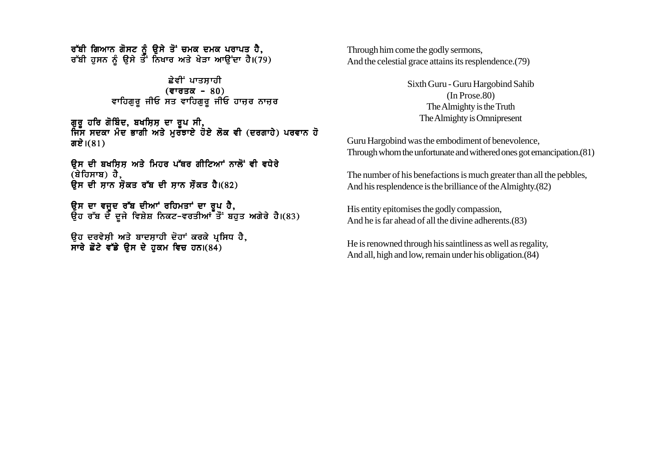ਰੱਬੀ ਗਿਆਨ ਗੋਸਟ ਨੂੰ ਉਸੇ ਤੋਂ ਚਮਕ ਦਮਕ ਪਰਾਪਤ ਹੈ. ਰੱਬੀ ਹੁਸਨ ਨੂੰ ਉਸੇ ਤੌੌਂ ਨਿਖਾਰ ਅਤੇ ਖੇੜਾ ਆਉਂਦਾ ਹੈ।(79)

### ਛੇਵੀਂ ਪਾਤਸਾਹੀ  $($ ਵਾਰਤਕ - 80) ਵਾਹਿਗੁਰੂ ਜੀਓ ਸਤ ਵਾਹਿਗੁਰੂ ਜੀਓ ਹਾਜ਼ਰ ਨਾਜ਼ਰ

ਗੁਰੂ ਹਰਿ ਗੋਬਿੰਦ, ਬਖਸ਼ਿਸ਼ ਦਾ ਰੂਪ ਸੀ, ਜਿਸ ਸਦਕਾ ਮੰਦ ਭਾਗੀ ਅਤੇ ਮਰਤਾਏ ਹੋਏ ਲੋਕ ਵੀ (ਦਰਗਾਹੇ) ਪਰਵਾਨ ਹੋ ਗਏ। $(81)$ 

<u>ਉਸ ਦੀ ਬਖਸਿਸ ਅਤੇ ਮਿਹਰ ਪੱਥਰ ਗੀਟਿਆਂ ਨਾਲੋਂ ਵੀ ਵਧੇਰੇ</u>  $(\hat{a}$ ਹਿਸਾਬ) ਹੈ,  $R$ ਸ ਦੀ ਸਾਨ ਸ਼ੋਕਤ ਰੱਬ ਦੀ ਸਾਨ ਸੌਕਤ ਹੈ।(82)

ਉਸ ਦਾ ਵਜਦ ਰੱਬ ਦੀਆਂ ਰਹਿਮਤਾਂ ਦਾ ਰਪ ਹੈ. ੳਹ ਰੱਬ ਦੇ ਦਜੇ ਵਿਸ਼ੇਸ਼ ਨਿਕਟ-ਵਰਤੀਆਂ ਤੋਂ ਬਹਤ ਅਗੇਰੇ ਹੈ।(83)

ਉਹ ਦਰਵੇਸ਼ੀ ਅਤੇ ਬਾਦਸ਼ਾਹੀ ਦੋਹਾਂ ਕਰਕੇ ਪ੍ਰਸਿਧ ਹੈ, ਸਾਰੇ ਛੋਟੇ ਵੱਡੇ ਉਸ ਦੇ ਹਕਮ ਵਿਚ ਹਨ। $(84)$ 

Through him come the godly sermons, And the celestial grace attains its resplendence.(79)

> Sixth Guru - Guru Hargobind Sahib (In Prose.80) The Almighty is the Truth The Almighty is Omnipresent

Guru Hargobind was the embodiment of benevolence, Through whom the unfortunate and withered ones got emancipation.(81)

The number of his benefactions is much greater than all the pebbles, And his resplendence is the brilliance of the Almighty.(82)

His entity epitomises the godly compassion, And he is far ahead of all the divine adherents.(83)

He is renowned through his saintliness as well as regality, And all, high and low, remain under his obligation.(84)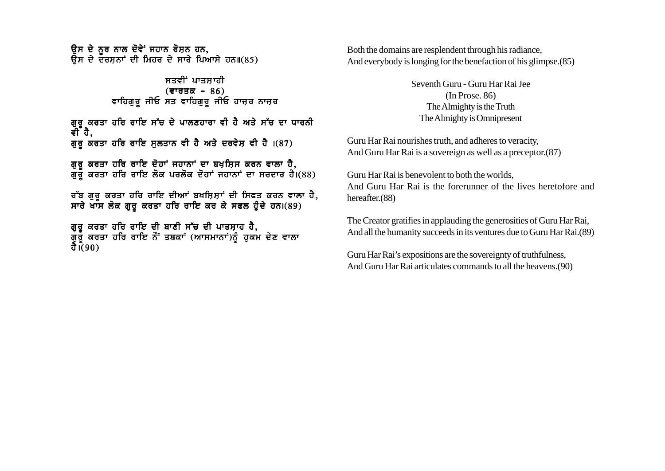ਉਸ ਦੇ ਨੂਰ ਨਾਲ ਦੋਵੇਂ ਜਹਾਨ ਰੋਸ਼ਨ ਹਨ, ਕੁੰਸ ਦੇ ਦਰਸ਼ਨਾਂ ਦੀ ਮਿਹਰ ਦੇ ਸਾਰੇ ਪਿਆਸੇ ਹਨ॥(85)

> ਸਤਵੀਂ ਪਾਤਸਾਹੀ  $($ ਵਾਰਤਕ - 86) ਵਾਹਿਗੁਰੂ ਜੀਓ ਸਤ ਵਾਹਿਗੁਰੂ ਜੀਓ ਹਾਜ਼ਰ ਨਾਜ਼ਰ

#### ਗੁਰੂ ਕਰਤਾ ਹਰਿ ਰਾਇ ਸੱਚ ਦੇ ਪਾਲਣਹਾਰਾ ਵੀ ਹੈ ਅਤੇ ਸੱਚ ਦਾ ਧਾਰਨੀ ਵੀ ਹੈ. ਗਰ ਕਰਤਾ ਹਰਿ ਰਾਇ ਸਲਤਾਨ ਵੀ ਹੈ ਅਤੇ ਦਰਵੇਸ਼ ਵੀ ਹੈ  $(87)$

ਗਰ ਕਰਤਾ ਹਰਿ ਰਾਇ ਦੋਹਾਂ ਜਹਾਨਾਂ ਦਾ ਬਖਸਿਸ ਕਰਨ ਵਾਲਾ ਹੈ. ਗਰ ਕਰਤਾ ਹਰਿ ਰਾਇ ਲੋਕ ਪਰਲੋਕ ਦੋਹਾਂ ਜਹਾਨਾਂ ਦਾ ਸਰਦਾਰ ਹੈ।(88)

ਰੱਬ ਗੁਰੂ ਕਰਤਾ ਹਰਿ ਰਾਇ ਦੀਆਂ ਬਖਸ਼ਿਸ਼ਾਂ ਦੀ ਸਿਫਤ ਕਰਨ ਵਾਲਾ ਹੈ,  $\overline{R}$  ਸਾਰੇ ਖਾਸ ਲੋਕ ਗੁਰੂ ਕਰਤਾ ਹਰਿ ਰਾਇ ਕਰ ਕੇ ਸਫਲ ਹੁੰਦੇ ਹਨ।(89)

ਗੁਰੂ ਕਰਤਾ ਹਰਿ ਰਾਇ ਦੀ ਬਾਣੀ ਸੱਚ ਦੀ ਪਾਤਸ਼ਾਹ ਹੈ, ਰਾਂ ਕਰਤਾ ਹਰਿ ਰਾਇ ਨੌਂ ਤਬਕਾਂ (ਆਸਮਾਨਾਂ)ਨੂੰ ਹੁਕਮ ਦੇਣ ਵਾਲਾ ਹੈ। $(90)$ 

Both the domains are resplendent through his radiance, And everybody is longing for the benefaction of his glimpse.(85)

> Seventh Guru - Guru Har Rai Jee (In Prose. 86) The Almighty is the Truth The Almighty is Omnipresent

Guru Har Rai nourishes truth, and adheres to veracity, And Guru Har Rai is a sovereign as well as a preceptor.(87)

Guru Har Rai is benevolent to both the worlds, And Guru Har Rai is the forerunner of the lives heretofore and hereafter.(88)

The Creator gratifies in applauding the generosities of Guru Har Rai, And all the humanity succeeds in its ventures due to Guru Har Rai.(89)

Guru Har Rai's expositions are the sovereignty of truthfulness, And Guru Har Rai articulates commands to all the heavens.(90)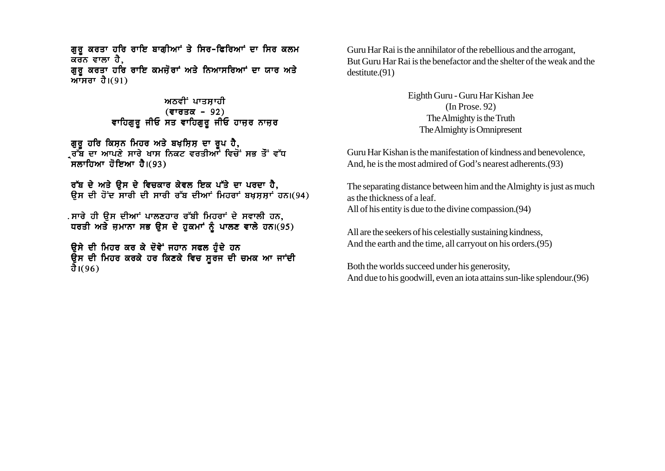ਗਰ ਕਰਤਾ ਹਰਿ ਰਾਇ ਬਾਗੀਆਂ ਤੇ ਸਿਰ-ਫਿਰਿਆਂ ਦਾ ਸਿਰ ਕਲਮ ਕਰਨ ਵਾਲਾ ਹੈ, ਗੁਰੂ ਕਰਤਾ ਹਰਿ ਰਾਇ ਕਮਜ਼ੋਰਾਂ ਅਤੇ ਨਿਆਸਰਿਆਂ ਦਾ ਯਾਰ ਅਤੇ ਆਸਰਾ ਹੈ। $(91)$ 

### ਅਨਵੀਂ ਪਾਤਸਾਹੀ (ਵਾਰਤਕ – 92) ਵਾਹਿਗਰ ਜੀਓ ਸਤ ਵਾਹਿਗੁਰੂ ਜੀਓ ਹਾਜ਼ਰ ਨਾਜ਼ਰ

ਗੁਰੂ ਹਰਿ ਕਿਸ਼ਨ ਮਿਹਰ ਅਤੇ ਬਖ਼ਸ਼ਿਸ਼ ਦਾ ਰੂਪ ਹੈ,<br>੍ਰਰੱਬ ਦਾ ਆਪਣੇ ਸਾਰੇ ਖਾਸ ਨਿਕਟ ਵਰਤੀਆਾਂ ਵਿਚੋਂ ਸਭ ਤੌਂ ਵੱਧ ਼ੌਸਲਾਹਿਆ ਹੋਇਆ ਹੈ।(93)

ਰੱਬ ਦੇ ਅਤੇ ਉਸ ਦੇ ਵਿਚਕਾਰ ਕੇਵਲ ਇਕ ਪੱਤੇ ਦਾ ਪਰਦਾ ਹੈ. ਉਸ ਦੀ ਹੋਂਦ ਸਾਰੀ ਦੀ ਸਾਰੀ ਰੱਬ ਦੀਆਂ ਮਿਹਰਾਂ ਬਖਸਸਾਂ ਹਨ।(94)

. ਸਾਰੇ ਹੀ ੳਸ ਦੀਆਂ ਪਾਲਣਹਾਰ ਰੱਬੀ ਮਿਹਰਾਂ ਦੇ ਸਵਾਲੀ ਹਨ. ਧਰਤੀ ਅਤੇ ਜ਼ਮਾਨਾ ਸਭ ਉਸ ਦੇ ਹੁਕਮਾਂ ਨੂੰ ਪਾਲਣ ਵਾਲੇ ਹਨ।(95)

ਉਸੇ ਦੀ ਮਿਹਰ ਕਰ ਕੇ ਦੋਵੇ<sup>:</sup> ਜਹਾਨ ਸਫਲ ਹੰਦੇ ਹਨ ਉਸ ਦੀ ਮਿਹਰ ਕਰਕੇ ਹਰ ਕਿਣਕੇ ਵਿਚ ਸੁਰਜ ਦੀ ਚਮਕ ਆ ਜਾਂਦੀ ਹੈ।(96)

Guru Har Rai is the annihilator of the rebellious and the arrogant. But Guru Har Rai is the benefactor and the shelter of the weak and the  $destitute.(91)$ 

> Eighth Guru - Guru Har Kishan Jee  $(In Prose. 92)$ The Almighty is the Truth The Almighty is Omnipresent

Guru Har Kishan is the manifestation of kindness and benevolence, And, he is the most admired of God's nearest adherents. (93)

The separating distance between him and the Almighty is just as much as the thickness of a leaf. All of his entity is due to the divine compassion. (94)

All are the seekers of his celestially sustaining kindness, And the earth and the time, all carryout on his orders. (95)

Both the worlds succeed under his generosity. And due to his goodwill, even an iota attains sun-like splendour. (96)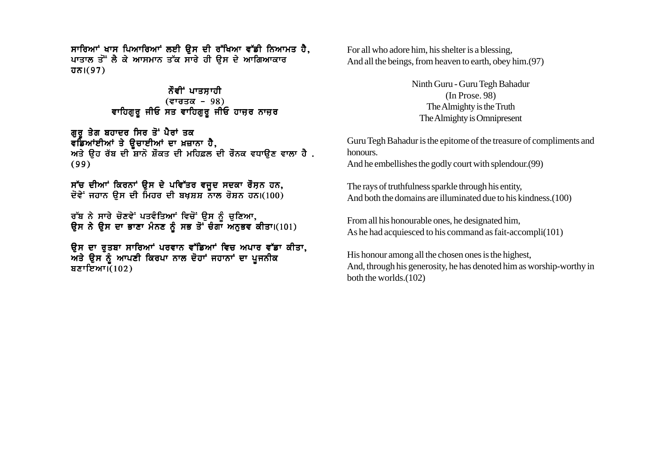ਸਾਰਿਆਂ ਖਾਸ ਪਿਆਰਿਆਂ ਲਈ ਉਸ ਦੀ ਰੱਖਿਆ ਵੱਡੀ ਨਿਆਮਤ ਹੈ, ਪਾਤਾਲ ਤੋਂ ਲੈ ਕੇ ਆਸਮਾਨ ਤੱਕ ਸਾਰੇ ਹੀ ਉਸ ਦੇ ਆਗਿਆਕਾਰ  $\overline{d} \overline{b}$  |  $(97)$ 

> ਨੌਵੀਂ ਪਾਤਸਾਹੀ  $($ ਵਾਰਤਕ - 98) ਵਾਹਿਗੁਰੂ ਜੀਓ ਸਤ ਵਾਹਿਗੁਰੂ ਜੀਓ ਹਾਜ਼ਰ ਨਾਜ਼ਰ

ਗਰ ਤੇਗ ਬਹਾਦਰ ਸਿਰ ਤੋਂ ਪੈਰਾਂ ਤਕ ਵਡਿਆਂਈਆਂ ਤੇ ਊਚਾਈਆਂ ਦਾ ਖ਼ਜ਼ਾਨਾ ਹੈ,<br>ਅਤੇ ਉਹ ਰੱਬ ਦੀ ਸ਼ਾਨੋ ਸ਼ੌਕਤ ਦੀ ਮਹਿਫ਼ਲ ਦੀ ਰੌਨਕ ਵਧਾਉਣ ਵਾਲਾ ਹੈ .  $(99)$ 

ਸੱਚ ਦੀਆਂ ਕਿਰਨਾਂ ਉਸ ਦੇ ਪਵਿੱਤਰ ਵਜਦ ਸਦਕਾ ਰੌਸਨ ਹਨ, ਦੋਵੇ<sup>:</sup> ਜਹਾਨ ੳਸ ਦੀ ਮਿਹਰ ਦੀ ਬਖਸ਼ਸ਼ ਨਾਲ ਰੋਸ਼ਨ ਹਨ।(100)

ਰੱਬ ਨੇ ਸਾਰੇ ਚੋਣਵੇਂ ਪਤਵੰਤਿਆਂ ਵਿਚੋਂ ਉਸ ਨੂੰ ਚੁਣਿਆ, ਉਸ ਨੇ ਉਸ ਦਾ ਭਾਣਾ ਮੰਨਣ ਨੂੰ ਸਭ ਤੋਂ ਚੰਗਾ ਅਨੁਭਵ ਕੀਤਾ।(101)

ਉਸ ਦਾ ਰੁਤਬਾ ਸਾਰਿਆਂ ਪਰਵਾਨ ਵੱਡਿਆਂ ਵਿਚ ਅਪਾਰ ਵੱਡਾ ਕੀਤਾ, ਅਤੇ ਉਸ ਨੂੰ ਆਪਣੀ ਕਿਰਪਾ ਨਾਲ ਦੋਹਾਂ ਜਹਾਨਾਂ ਦਾ ਪੁਜਨੀਕ ਬਣਾਇਆ $\tilde{1}$  $(102)$ 

For all who adore him, his shelter is a blessing. And all the beings, from heaven to earth, obey him. (97)

> Ninth Guru - Guru Tegh Bahadur  $(In Prose. 98)$ The Almighty is the Truth The Almighty is Omnipresent

Guru Tegh Bahadur is the epitome of the treasure of compliments and honours. And he embellishes the godly court with splendour. (99)

The rays of truthfulness sparkle through his entity, And both the domains are illuminated due to his kindness. (100)

From all his honourable ones, he designated him, As he had acquiesced to his command as fait-accompli(101)

His honour among all the chosen ones is the highest, And, through his generosity, he has denoted him as worship-worthy in both the worlds. $(102)$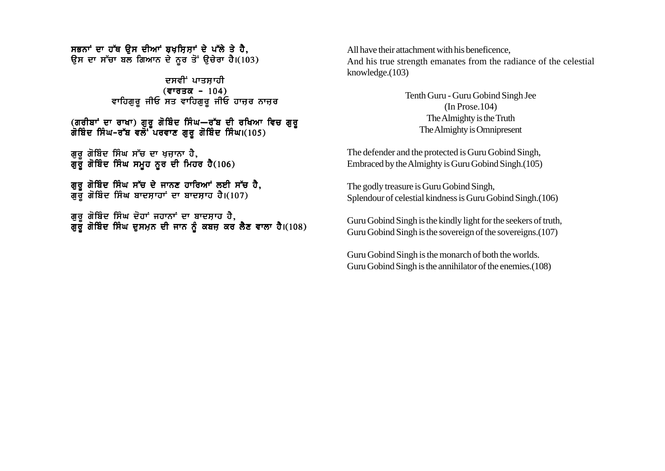ਸਭਨਾਂ ਦਾ ਹੱਥ ਉਸ ਦੀਆਂ ਬਖਸਿਸਾਂ ਦੇ ਪੱਲੇ ਤੇ ਹੈ. ਉਸ ਦਾ ਸੱਚਾ ਬਲ ਗਿਆਨ ਦੇ ਨਰ ਤੋਂ ਉਚੇਰਾ ਹੈ।(103)

> ਦਸਵੀਂ ਪਾਤਸਾਹੀ  $($ ਵਾਰਤਕ - 104) ਵਾਹਿਗੁਰੂ ਜੀਓ ਸਤ ਵਾਹਿਗੁਰੂ ਜੀਓ ਹਾਜ਼ਰ ਨਾਜ਼ਰ

(ਗਰੀਬਾਂ ਦਾ ਰਾਖਾ) ਗੁਰੂ ਗੋਬਿੰਦ ਸਿੰਘ—ਰੱਬ ਦੀ ਰਖਿਆ ਵਿਚ ਗੁਰੂ ਗੋਬਿੰਦ ਸਿੰਘ–ਰੱਬ ਵਲੋਂ ਪਰਵਾਣ ਗੁਰੂ ਗੋਬਿੰਦ ਸਿੰਘ।(105)

ਗੁਰੂ ਗੋਬਿੰਦ ਸਿੰਘ ਸੱਚ ਦਾ ਖ਼ਜ਼ਾਨਾ ਹੈ, ਗੁਰੂ ਗੋਬਿੰਦ ਸਿੰਘ ਸਮੂਹ ਨੂਰ ਦੀ ਮਿਹਰ ਹੈ $(106)$ 

ਗਰ ਗੋਬਿੰਦ ਸਿੰਘ ਸੱਚ ਦੇ ਜਾਨਣ ਹਾਰਿਆਂ ਲਈ ਸੱਚ ਹੈ, ਗੁਰੁੱਗੋਬਿੰਦ ਸਿੰਘ ਬਾਦਸ਼ਾਹਾਂ ਦਾ ਬਾਦਸ਼ਾਹ ਹੈ।(107)

ਗੁਰੂ ਗੋਬਿੰਦ ਸਿੰਘ ਦੋਹਾਂ ਜਹਾਨਾਂ ਦਾ ਬਾਦਸ਼ਾਹ ਹੈ, ਗੁਰੂ ਗੋਬਿੰਦ ਸਿੰਘ ਦੁਸਮਨ ਦੀ ਜਾਨ ਨੂੰ ਕਬਜ਼ ਕਰ ਲੈਣ ਵਾਲਾ ਹੈ।(108) All have their attachment with his beneficence, And his true strength emanates from the radiance of the celestial knowledge.(103)

> Tenth Guru - Guru Gobind Singh Jee (In Prose.104) The Almighty is the Truth The Almighty is Omnipresent

The defender and the protected is Guru Gobind Singh, Embraced by the Almighty is Guru Gobind Singh.(105)

The godly treasure is Guru Gobind Singh, Splendour of celestial kindness is Guru Gobind Singh.(106)

Guru Gobind Singh is the kindly light for the seekers of truth, Guru Gobind Singh is the sovereign of the sovereigns.(107)

Guru Gobind Singh is the monarch of both the worlds. Guru Gobind Singh is the annihilator of the enemies.(108)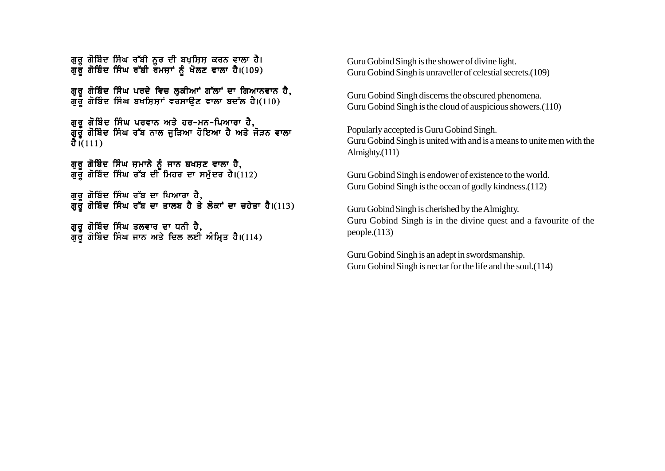ਗਰ ਗੋਬਿੰਦ ਸਿੰਘ ਰੱਬੀ ਨਰ ਦੀ ਬਖਸਿਸ ਕਰਨ ਵਾਲਾ ਹੈ। ਗਰੌ ਗੋਬਿੰਦ ਸਿੰਘ ਰੱਬੀ ਰੌਮਜ਼ਾਂ ਨੰ ਖੋਲਣ ਵਾਲਾ ਹੈ।(109)

ਗੁਰੂ ਗੋਬਿੰਦ ਸਿੰਘ ਪਰਦੇ ਵਿਚ ਲੁਕੀਆਂ ਗੱਲਾਂ ਦਾ ਗਿਆਨਵਾਨ ਹੈ, ਗੁਰੁ ਗੋਬਿੰਦ ਸਿੰਘ ਬਖਸ਼ਿਸ਼ਾਂ ਵਰਸਾਉਣ ਵਾਲਾ ਬਦੱਲ ਹੈ।(110)

ਗਰ ਗੋਬਿੰਦ ਸਿੰਘ ਪਰਵਾਨ ਅਤੇ ਹਰ-ਮਨ-ਪਿਆਰਾ ਹੈ. ਗਰੌ ਗੋਬਿੰਦ ਸਿੰਘ ਰੱਬ ਨਾਲ ਜੜਿਆ ਹੋਇਆ ਹੈ ਅਤੇ ਜੋੜਨ ਵਾਲਾ  $\bar{d}$ เ(ี้111)

ਗਰ ਗੋਬਿੰਦ ਸਿੰਘ ਜੁਮਾਨੇ ਨੰ ਜਾਨ ਬਖਸਣ ਵਾਲਾ ਹੈ. ਗਰ ਗੋਬਿੰਦ ਸਿੰਘ ਰੱਬ ਦੀ ਮਿਹਰ ਦਾ ਸਮੰਦਰ ਹੈ।(112)

ਗੁਰੂ ਗੋਬਿੰਦ ਸਿੰਘ ਰੱਬ ਦਾ ਪਿਆਰਾ ਹੈ, ਗੁਰੂ ਗੋਬਿੰਦ ਸਿੰਘ ਰੱਬ ਦਾ ਤਾਲਬ ਹੈ ਤੇ ਲੋਕਾਂ ਦਾ ਚਹੇਤਾ ਹੈ।(113)

ਗੁਰੂ ਗੋਬਿੰਦ ਸਿੰਘ ਤਲਵਾਰ ਦਾ ਧਨੀ ਹੈ, ਗੁਰੂ ਗੋਬਿੰਦ ਸਿੰਘ ਜਾਨ ਅਤੇ ਦਿਲ ਲਈ ਅੰਮ੍ਰਿਤ ਹੈ।(114) Guru Gobind Singh is the shower of divine light. Guru Gobind Singh is unraveller of celestial secrets.(109)

Guru Gobind Singh discerns the obscured phenomena. Guru Gobind Singh is the cloud of auspicious showers.(110)

Popularly accepted is Guru Gobind Singh. Guru Gobind Singh is united with and is a means to unite men with the Almighty.(111)

Guru Gobind Singh is endower of existence to the world. Guru Gobind Singh is the ocean of godly kindness.(112)

Guru Gobind Singh is cherished by the Almighty. Guru Gobind Singh is in the divine quest and a favourite of the people.(113)

Guru Gobind Singh is an adept in swordsmanship. Guru Gobind Singh is nectar for the life and the soul.(114)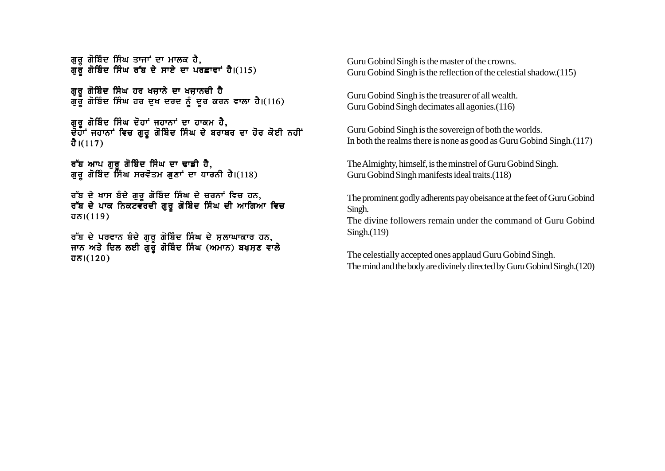ਗੁਰੂ ਗੋਬਿੰਦ ਸਿੰਘ ਤਾਜਾਂ ਦਾ ਮਾਲਕ ਹੈ, ਗੁਰੂ ਗੋਬਿੰਦ ਸਿੰਘ ਰੱਬ ਦੇ ਸਾਏ ਦਾ ਪਰਛਾਵਾਂ ਹੈ।(115)

ਗੁਰੂ ਗੋਬਿੰਦ ਸਿੰਘ ਹਰ ਖਜ਼ਾਨੇ ਦਾ ਖਜ਼ਾਨਚੀ ਹੈ ਗੁਰੁੱਗੋਬਿੰਦ ਸਿੰਘ ਹਰ ਦੁਖ ਦਰਦ ਨੂੰ ਦੂਰ ਕਰਨ ਵਾਲਾ ਹੈ।(116)

ਗਰ ਗੋਬਿੰਦ ਸਿੰਘ ਦੋਹਾਂ ਜਹਾਨਾਂ ਦਾ ਹਾਕਮ ਹੈ. ਦੋਹਾਂ ਜਹਾਨਾਂ ਵਿਚ ਗਰ ਗੋਬਿੰਦ ਸਿੰਘ ਦੇ ਬਰਾਬਰ ਦਾ ਹੋਰ ਕੋਈ ਨਹੀਂ ਹੈ। $(117)$ 

ਰੱਬ ਆਪ ਗਰ ਗੋਬਿੰਦ ਸਿੰਘ ਦਾ ਢਾਡੀ ਹੈ, ਗੁਰੂ ਗੋਬਿੰਦ ਸਿੰਘ ਸਰਵੋਤਮ ਗੁਣਾਂ ਦਾ ਧਾਰਨੀ ਹੈ।(118)

ਰੱਬ ਦੇ ਖਾਸ ਬੰਦੇ ਗਰ ਗੋਬਿੰਦ ਸਿੰਘ ਦੇ ਚਰਨਾਂ ਵਿਚ ਹਨ. ਰੱਬ ਦੇ ਪਾਕ ਨਿਕਟਵਰਦੀ ਗਰ ਗੋਬਿੰਦ ਸਿੰਘ ਦੀ ਆਗਿਆ ਵਿਚ  $\overline{d}$ ਨ।(119)

ਰੱਬ ਦੇ ਪਰਵਾਨ ਬੰਦੇ ਗੁਰੂ ਗੋਬਿੰਦ ਸਿੰਘ ਦੇ ਸ਼ਲਾਘਾਕਾਰ ਹਨ, ਜਾਨ ਅਤੇ ਦਿਲ ਲਈ ਗੁਰੂ ਗੋਬਿੰਦ ਸਿੰਘ (ਅਮਾਨ) ਬਖਸ਼ਣ ਵਾਲੇ  $\overline{d}$ ਨ।(120)

Guru Gobind Singh is the master of the crowns. Guru Gobind Singh is the reflection of the celestial shadow.(115)

Guru Gobind Singh is the treasurer of all wealth. Guru Gobind Singh decimates all agonies.(116)

Guru Gobind Singh is the sovereign of both the worlds. In both the realms there is none as good as Guru Gobind Singh.(117)

The Almighty, himself, is the minstrel of Guru Gobind Singh. Guru Gobind Singh manifests ideal traits.(118)

The prominent godly adherents pay obeisance at the feet of Guru Gobind Singh.

The divine followers remain under the command of Guru Gobind Singh.(119)

The celestially accepted ones applaud Guru Gobind Singh. The mind and the body are divinely directed by Guru Gobind Singh.(120)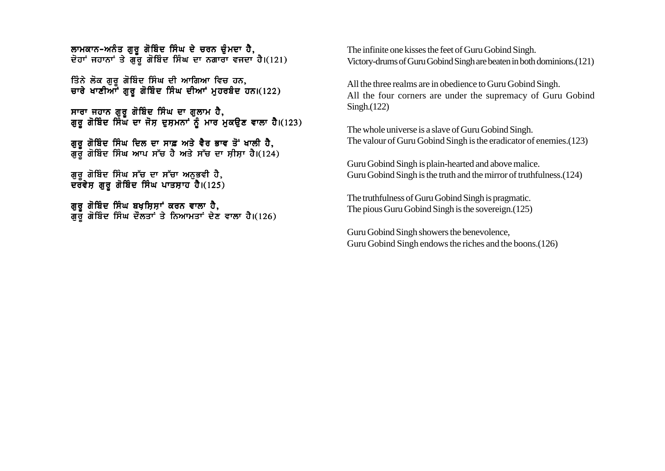ਲਾਮਕਾਨ-ਅਨੰਤ ਗਰ ਗੋਬਿੰਦ ਸਿੰਘ ਦੇ ਚਰਨ ਚੰਮਦਾ ਹੈ. ਦੋਹਾਂ ਜਹਾਨਾਂ ਤੇ ਗੱਰ ਗੋਬਿੰਦ ਸਿੰਘ ਦਾ ਨਗਾਰਾ ਵਜਦਾ ਹੈ।(121)

ਤਿੰਨੇ ਲੋਕ ਗਰ ਗੋਬਿੰਦ ਸਿੰਘ ਦੀ ਆਗਿਆ ਵਿਚ ਹਨ. ਚਾਰੇ ਖਾਣੀਆਂ ਗੁਰੂ ਗੋਬਿੰਦ ਸਿੰਘ ਦੀਆਂ ਮੁਹਰਬੰਦ ਹਨ।(122)

ਸਾਰਾ ਜਹਾਨ ਗਰ ਗੋਬਿੰਦ ਸਿੰਘ ਦਾ ਗਲਾਮ ਹੈ. ਗਰ ਗੋਬਿੰਦ ਸਿੰਘ ਦਾ ਜੋਸ ਦਸਮਨਾਂ ਨੰ ਮਾਰ ਮਕੳਣ ਵਾਲਾ ਹੈ।(123)

ਗਰ ਗੋਬਿੰਦ ਸਿੰਘ ਦਿਲ ਦਾ ਸਾਫ਼ ਅਤੇ ਵੈਰ ਭਾਵ ਤੋਂ ਖਾਲੀ ਹੈ. ਗਰੌ ਗੋਬਿੰਦ ਸਿੰਘ ਆਪ ਸੱਚ ਹੈ ਅਤੇ ਸੱਚ ਦਾ ਸੀਸਾ ਹੈ।(124)

ਗਰ ਗੋਬਿੰਦ ਸਿੰਘ ਸੱਚ ਦਾ ਸੱਚਾ ਅਨਭਵੀ ਹੈ. ਦਰੌਵੇਸ ਗਰ ਗੋਬਿੰਦ ਸਿੰਘ ਪਾਤਸਾਹ ਹੈ।(125)

ਗਰ ਗੋਬਿੰਦ ਸਿੰਘ ਬਖਸਿਸਾਂ ਕਰਨ ਵਾਲਾ ਹੈ. ਗਰ ਗੋਬਿੰਦ ਸਿੰਘ ਦੌਲਤਾਂ ਤੇ ਨਿਆਮਤਾਂ ਦੇਣ ਵਾਲਾ ਹੈ।(126) The infinite one kisses the feet of Guru Gobind Singh. Victory-drums of Guru Gobind Singh are beaten in both dominions.(121)

All the three realms are in obedience to Guru Gobind Singh. All the four corners are under the supremacy of Guru Gobind Singh.(122)

The whole universe is a slave of Guru Gobind Singh. The valour of Guru Gobind Singh is the eradicator of enemies.(123)

Guru Gobind Singh is plain-hearted and above malice. Guru Gobind Singh is the truth and the mirror of truthfulness.(124)

The truthfulness of Guru Gobind Singh is pragmatic. The pious Guru Gobind Singh is the sovereign.(125)

Guru Gobind Singh showers the benevolence, Guru Gobind Singh endows the riches and the boons.(126)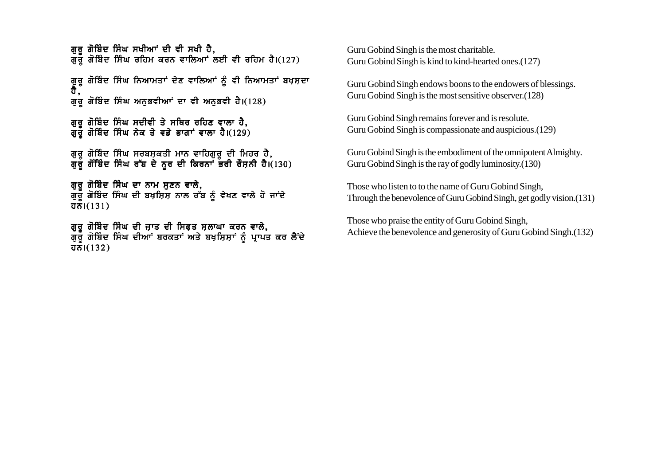ਗਰ ਗੋਬਿੰਦ ਸਿੰਘ ਸਖੀਆਂ ਦੀ ਵੀ ਸਖੀ ਹੈ. ਗੁਰੂ ਗੋਬਿੰਦ ਸਿੰਘ ਰਹਿਮ ਕਰਨ ਵਾਲਿਆਂ ਲਈ ਵੀ ਰਹਿਮ ਹੈ।(127)

ਗਰ ਗੋਬਿੰਦ ਸਿੰਘ ਨਿਆਮਤਾਂ ਦੇਣ ਵਾਲਿਆਂ ਨੰ ਵੀ ਨਿਆਮਤਾਂ ਬਖਸਦਾ ਹੈ . ਗੁਰੂ ਗੋਬਿੰਦ ਸਿੰਘ ਅਨੁਭਵੀਆਂ ਦਾ ਵੀ ਅਨੁਭਵੀ ਹੈ।(128)

ਗਰ ਗੋਬਿੰਦ ਸਿੰਘ ਸਦੀਵੀ ਤੇ ਸਥਿਰ ਰਹਿਣ ਵਾਲਾ ਹੈ. ਗਰੌ ਗੋਬਿੰਦ ਸਿੰਘ ਨੇਕ ਤੇ ਵਡੇ ਭਾਗਾਂ ਵਾਲਾ ਹੈ।(129)

ਗਰ ਗੋਬਿੰਦ ਸਿੰਘ ਸਰਬਸਕਤੀ ਮਾਨ ਵਾਹਿਗਰ ਦੀ ਮਿਹਰ ਹੈ. ਗਰ ਗੋਂਬਿੰਦ ਸਿੰਘ ਰੱਬ ਦੇ ਨਰ ਦੀ ਕਿਰਨਾਂ ਭਰੀ ਰੌਸਨੀ ਹੈ।(130)

ਗੁਰੂ ਗੋਬਿੰਦ ਸਿੰਘ ਦਾ ਨਾਮ ਸੁਣਨ ਵਾਲੇ, ਗੁਰੁੱ ਗੋਬਿੰਦ ਸਿੰਘ ਦੀ ਬਖ਼ਸ਼ਿਸ਼ ਨਾਲ ਰੱਬ ਨੂੰ ਵੇਖਣ ਵਾਲੇ ਹੋ ਜਾਂਦੇ  $\overline{d\pi}$  $(131)$ 

ਗਰ ਗੋਬਿੰਦ ਸਿੰਘ ਦੀ ਜਾਤ ਦੀ ਸਿਫਤ ਸਲਾਘਾ ਕਰਨ ਵਾਲੇ. ਗਰ ਗੋਬਿੰਦ ਸਿੰਘ ਦੀਆਂ ਬਰਕਤਾਂ ਅਤੇ ਬਖਸਿਸਾਂ ਨੰ ਪਾਪਤ ਕਰ ਲੈਂਦੇ  $\overline{d}$ ਨ। $(132)$ 

Guru Gobind Singh is the most charitable. Guru Gobind Singh is kind to kind-hearted ones.(127)

Guru Gobind Singh endows boons to the endowers of blessings. Guru Gobind Singh is the most sensitive observer.(128)

Guru Gobind Singh remains forever and is resolute. Guru Gobind Singh is compassionate and auspicious.(129)

Guru Gobind Singh is the embodiment of the omnipotent Almighty. Guru Gobind Singh is the ray of godly luminosity.(130)

Those who listen to to the name of Guru Gobind Singh, Through the benevolence of Guru Gobind Singh, get godly vision.(131)

Those who praise the entity of Guru Gobind Singh, Achieve the benevolence and generosity of Guru Gobind Singh.(132)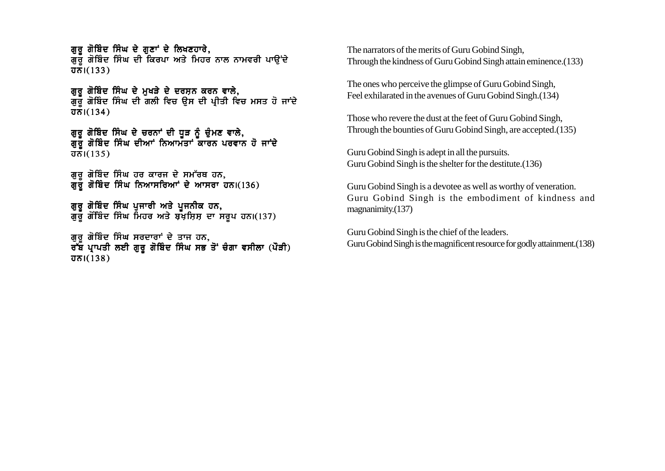ਗਰ ਗੋਬਿੰਦ ਸਿੰਘ ਦੇ ਗਣਾਂ ਦੇ ਲਿਖਣਹਾਰੇ. ਗੁਰੂ ਗੋਬਿੰਦ ਸਿੰਘ ਦੀ ਕਿਰਪਾ ਅਤੇ ਮਿਹਰ ਨਾਲ ਨਾਮਵਰੀ ਪਾਉਂਦੇ  $\overline{d} \overline{h}$  $(133)$ 

ਗੁਰੂ ਗੋਬਿੰਦ ਸਿੰਘ ਦੇ ਮੁਖੜੇ ਦੇ ਦਰਸ਼ਨ ਕਰਨ ਵਾਲੇ, ਗੁਰੁੱ ਗੋਬਿੰਦ ਸਿੰਘ ਦੀ ਗਲੀ ਵਿਚ ਉਸ ਦੀ ਪ੍ਰੀਤੀ ਵਿਚ ਮਸਤ ਹੋ ਜਾਂਦੇ  $\overline{d}$ ਨ। $(134)$ 

ਗਰ ਗੋਬਿੰਦ ਸਿੰਘ ਦੇ ਚਰਨਾਂ ਦੀ ਧੜ ਨੰ ਚੰਮਣ ਵਾਲੇ. ਗਰ ਗੋਬਿੰਦ ਸਿੰਘ ਦੀਆਂ ਨਿਆਮੱਤਾਂ ਕਾਰਨ ਪਰਵਾਨ ਹੋ ਜਾਂਦੇ  $\overline{d}$ ਨ।(135)

ਗੁਰੂ ਗੋਬਿੰਦ ਸਿੰਘ ਹਰ ਕਾਰਜ ਦੇ ਸਮੱਰਥ ਹਨ, ਗੁਰੁ ਗੋਬਿੰਦ ਸਿੰਘ ਨਿਆਸਰਿਆਾਂ ਦੇ ਆਸਰਾ ਹਨ।(136)

ਗੁਰੂ ਗੋਬਿੰਦ ਸਿੰਘ ਪੁਜਾਰੀ ਅਤੇ ਪੁਜਨੀਕ ਹਨ, ਗੁਰੂ ਗੋਬਿੰਦ ਸਿੰਘ ਮਿਹਰ ਅਤੇ ਬਖ਼ਸ਼ਿਸ਼ ਦਾ ਸਰੂਪ ਹਨ।(137)

ਗਰ ਗੋਬਿੰਦ ਸਿੰਘ ਸਰਦਾਰਾਂ ਦੇ ਤਾਜ ਹਨ. ਰੱਬ ਪਾਪਤੀ ਲਈ ਗਰ ਗੋਬਿੰਦ ਸਿੰਘ ਸਭ ਤੋਂ ਚੰਗਾ ਵਸੀਲਾ (ਪੌੜੀ) ਹਨ। $(138)$ 

The narrators of the merits of Guru Gobind Singh, Through the kindness of Guru Gobind Singh attain eminence.(133)

The ones who perceive the glimpse of Guru Gobind Singh, Feel exhilarated in the avenues of Guru Gobind Singh.(134)

Those who revere the dust at the feet of Guru Gobind Singh, Through the bounties of Guru Gobind Singh, are accepted.(135)

Guru Gobind Singh is adept in all the pursuits. Guru Gobind Singh is the shelter for the destitute.(136)

Guru Gobind Singh is a devotee as well as worthy of veneration. Guru Gobind Singh is the embodiment of kindness and magnanimity.(137)

Guru Gobind Singh is the chief of the leaders. Guru Gobind Singh is the magnificent resource for godly attainment.(138)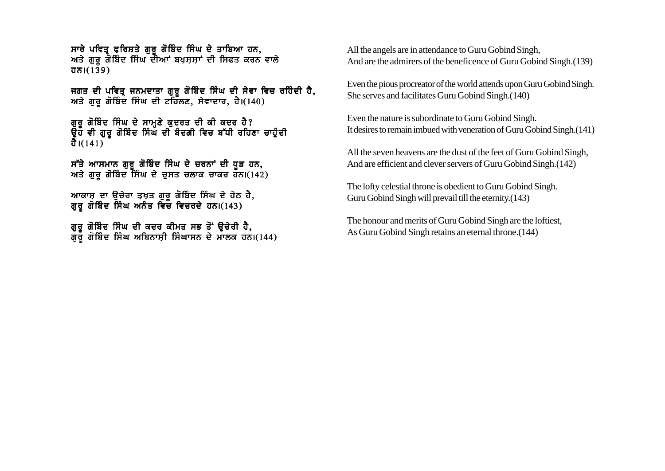ਸਾਰੇ ਪਵਿਤ੍ਰ ਫ਼ਰਿਸ਼ਤੇ ਗੁਰੂ ਗੋਬਿੰਦ ਸਿੰਘ ਦੇ ਤਾਬਿਆ ਹਨ, ਅਤੇ ਗੁਰੂ ਗੋਬਿੰਦ ਸਿੰਘ ਦੀਆਂ ਬਖਸ਼ਸ਼ਾਂ ਦੀ ਸਿਫਤ ਕਰਨ ਵਾਲੇ  $\overline{d}$  $\overline{d}$  $(139)$ 

ਜਗਤ ਦੀ ਪਵਿਤ੍ਰ ਜਨਮਦਾਤਾ ਗੁਰੂ ਗੋਬਿੰਦ ਸਿੰਘ ਦੀ ਸੇਵਾ ਵਿਚ ਰਹਿੰਦੀ ਹੈ, ਅਤੇ ਗੁਰੂ ਗੋਬਿੰਦ ਸਿੰਘ ਦੀ ਟਹਿੱਲਣ, ਸੇਵਾਦਾਰ, ਹੈ। $(140)$ 

ਗਰ ਗੋਬਿੰਦ ਸਿੰਘ ਦੇ ਸਾਮਣੇ ਕਦਰਤ ਦੀ ਕੀ ਕਦਰ ਹੈ? ੳਹ ਵੀ ਗਰ ਗੋਬਿੰਦ ਸਿੰਘ ਦੀ ਬੰਦਗੀ ਵਿਚ ਬੱਧੀ ਰਹਿਣਾ ਚਾਹੰਦੀ ਹੈ। $(141)$ 

ਸੱਤੇ ਆਸਮਾਨ ਗਰ ਗੋਬਿੰਦ ਸਿੰਘ ਦੇ ਚਰਨਾਂ ਦੀ ਧੜ ਹਨ. ਅਤੇ ਗਰ ਗੋਬਿੰਦ ਸਿੰਘ ਦੇ ਚਸਤ ਚਲਾਕ ਚਾਕਰ ਹਨ।(142)

ਆਕਾਸ ਦਾ ੳਚੇਰਾ ਤਖਤ ਗਰ ਗੋਬਿੰਦ ਸਿੰਘ ਦੇ ਹੇਠ ਹੈ. ਗਰ ਗੋਬਿੰਦ ਸਿੰਘ ਅਨੰਤ ਵਿਚੌ ਵਿਚਰਦੇ ਹਨ।(143)

ਗੁਰੂ ਗੋਬਿੰਦ ਸਿੰਘ ਦੀ ਕਦਰ ਕੀਮਤ ਸਭ ਤੋਂ ਉਚੇਰੀ ਹੈ, ਗੁਰੂ ਗੋਬਿੰਦ ਸਿੰਘ ਅਬਿਨਾਸ਼ੀ ਸਿੰਘਾਸਨ ਦੇ ਮਾਲਕ ਹਨ।(144) All the angels are in attendance to Guru Gobind Singh, And are the admirers of the beneficence of Guru Gobind Singh.(139)

Even the pious procreator of the world attends upon Guru Gobind Singh. She serves and facilitates Guru Gobind Singh.(140)

Even the nature is subordinate to Guru Gobind Singh. It desires to remain imbued with veneration of Guru Gobind Singh.(141)

All the seven heavens are the dust of the feet of Guru Gobind Singh, And are efficient and clever servers of Guru Gobind Singh.(142)

The lofty celestial throne is obedient to Guru Gobind Singh. Guru Gobind Singh will prevail till the eternity.(143)

The honour and merits of Guru Gobind Singh are the loftiest, As Guru Gobind Singh retains an eternal throne.(144)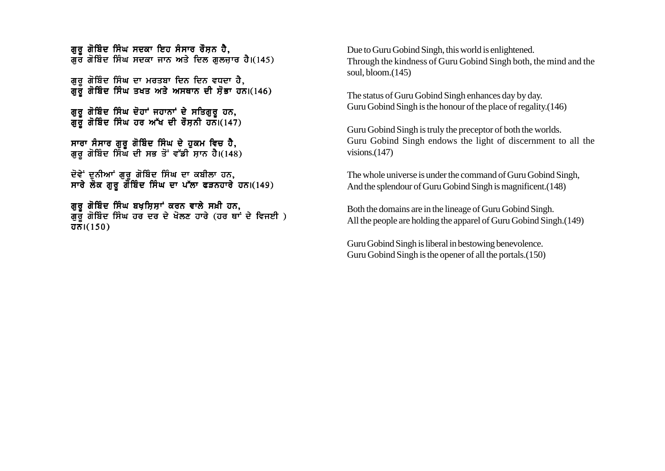ਗਰ ਗੋਬਿੰਦ ਸਿੰਘ ਸਦਕਾ ਇਹ ਸੰਸਾਰ ਰੌਸ਼ਨ ਹੈ. ਗੌਰ ਗੋਬਿੰਦ ਸਿੰਘ ਸਦਕਾ ਜਾਨ ਅਤੇ ਦਿਲ ਗਲਜਾਰ ਹੈ। $(145)$ 

ਗਰ ਗੋਬਿੰਦ ਸਿੰਘ ਦਾ ਮਰਤਬਾ ਦਿਨ ਦਿਨ ਵਧਦਾ ਹੈ. ਗੁਰੁੱਗੋਬਿੰਦ ਸਿੰਘ ਤਖਤ ਅਤੇ ਅਸਥਾਨ ਦੀ ਸੋਭਾ ਹਨ।(146)

ਗੁਰੂ ਗੋਬਿੰਦ ਸਿੰਘ ਦੋਹਾਂ ਜਹਾਨਾਂ ਦੇ ਸਤਿਗੁਰੂ ਹਨ, ਗੁਰੁੱ ਗੋਬਿੰਦ ਸਿੰਘ ਹਰ ਅੱਖ ਦੀ ਰੌਸ਼ਨੀ ਹਨ।(147)

ਸਾਰਾ ਸੰਸਾਰ ਗਰ ਗੋਬਿੰਦ ਸਿੰਘ ਦੇ ਹਕਮ ਵਿਚ ਹੈ. ਗਰ ਗੋਬਿੰਦ ਸਿੰਘ ਦੀ ਸਭ ਤੋਂ ਵੱਡੀ ਸਾਨ ਹੈ।(148)

ਦੋਵੇਂ ਦਨੀਆਂ ਗਰ ਗੋਬਿੰਦ ਸਿੰਘ ਦਾ ਕਬੀਲਾ ਹਨ. ਸਾਰੇ ਲੋਕ ਗਰ ਗੋਬਿੰਦ ਸਿੰਘ ਦਾ ਪੱਲਾ ਫੜਨਹਾਰੇ ਹਨ।(149)

ਗਰ ਗੋਬਿੰਦ ਸਿੰਘ ਬਖਸਿਸਾਂ ਕਰਨ ਵਾਲੇ ਸਖ਼ੀ ਹਨ. ਗਰੌ ਗੋਬਿੰਦ ਸਿੰਘ ਹਰ ਦਰ ਦੇ ਖੋਲਣ ਹਾਰੇ (ਹਰ ਥਾਂ ਦੇ ਵਿਜਈ )  $\overline{d\pi}$  $(150)$ 

Due to Guru Gobind Singh, this world is enlightened. Through the kindness of Guru Gobind Singh both, the mind and the soul, bloom.(145)

The status of Guru Gobind Singh enhances day by day. Guru Gobind Singh is the honour of the place of regality.(146)

Guru Gobind Singh is truly the preceptor of both the worlds. Guru Gobind Singh endows the light of discernment to all the visions.(147)

The whole universe is under the command of Guru Gobind Singh, And the splendour of Guru Gobind Singh is magnificent.(148)

Both the domains are in the lineage of Guru Gobind Singh. All the people are holding the apparel of Guru Gobind Singh.(149)

Guru Gobind Singh is liberal in bestowing benevolence. Guru Gobind Singh is the opener of all the portals.(150)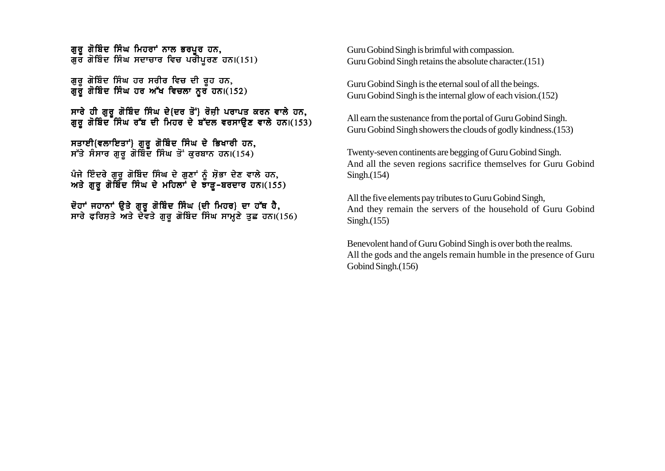ਗੁਰੂ ਗੋਬਿੰਦ ਸਿੰਘ ਮਿਹਰਾਂ ਨਾਲ ਭਰਪੂਰ ਹਨ, ਗੁਰ ਗੋਬਿੰਦ ਸਿੰਘ ਸਦਾਚਾਰ ਵਿਚ ਪਰੀਪੁਰਣ ਹਨ।(151)

ਗੁਰੁ ਗੋਬਿੰਦ ਸਿੰਘ ਹਰ ਸਰੀਰ ਵਿਚ ਦੀ ਰੁਹ ਹਨ, ਗਰ ਗੋਬਿੰਦ ਸਿੰਘ ਹਰ ਅੱਖ ਵਿਚਲਾ ਨਰ ਹਨ।(152)

ਸਾਰੇ ਹੀ ਗਰ ਗੋਬਿੰਦ ਸਿੰਘ ਦੇ{ਦਰ ਤੋਂ`} ਰੋਜ਼ੀ ਪਰਾਪਤ ਕਰਨ ਵਾਲੇ ਹਨ, ਗੁਰੂ ਗੋਬਿੰਦ<sup>ਰ</sup>ਸਿੰਘ ਰੱਬ ਦੀ ਮਿਹਰ ਦੇ ਬੱਦਲ ਵਰਸਾਉਣ ਵਾਲੇ ਹਨ।(153)

ਸਤਾਈ{ਵਲਾਇਤਾਂ} ਗੁਰੂ ਗੋਬਿੰਦ ਸਿੰਘ ਦੇ ਭਿਖਾਰੀ ਹਨ,  $\overrightarrow{H}$ ਤੇ ਸੰਸਾਰ ਗੁਰੂ ਗੋਬਿੰਦ ਸਿੰਘ ਤੋਂ ਕੁਰਬਾਨ ਹਨ।(154)

ਪੰਜੇ ਇੰਦਰੇ ਗਰ ਗੋਬਿੰਦ ਸਿੰਘ ਦੇ ਗਣਾਂ ਨੰ ਸੋਭਾ ਦੇਣ ਵਾਲੇ ਹਨ. ਅਤੇ ਗਰ ਗੋਬਿੰਦ ਸਿੰਘ ਦੇ ਮਹਿਲਾਂ ਦੇ ਝਾੜ-ਬਰਦਾਰ ਹਨ।(155)

ਦੋਹਾਂ ਜਹਾਨਾਂ ਉਤੇ ਗੁਰੂ ਗੋਬਿੰਦ ਸਿੰਘ (ਦੀ ਮਿਹਰ) ਦਾ ਹੱਥ ਹੈ, ਸਾਰੇ ਫ਼ਰਿਸ਼ਤੇ ਅਤੇ ਦੇਵਤੇ ਗੁਰੂ ਗੋਬਿੰਦ ਸਿੰਘ ਸਾਮਣੇ ਤੁਛ ਹਨ।(156) Guru Gobind Singh is brimful with compassion. Guru Gobind Singh retains the absolute character.(151)

Guru Gobind Singh is the eternal soul of all the beings. Guru Gobind Singh is the internal glow of each vision.(152)

All earn the sustenance from the portal of Guru Gobind Singh. Guru Gobind Singh showers the clouds of godly kindness.(153)

Twenty-seven continents are begging of Guru Gobind Singh. And all the seven regions sacrifice themselves for Guru Gobind Singh.(154)

All the five elements pay tributes to Guru Gobind Singh, And they remain the servers of the household of Guru Gobind Singh.(155)

Benevolent hand of Guru Gobind Singh is over both the realms. All the gods and the angels remain humble in the presence of Guru Gobind Singh.(156)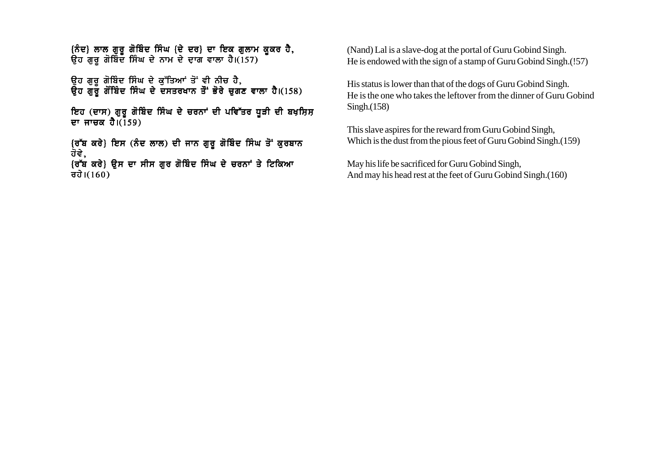{ਨੰਦ} ਲਾਲ ਗੁਰੂ ਗੋਬਿੰਦ ਸਿੰਘ {ਦੇ ਦਰ} ਦਾ ਇਕ ਗੁਲਾਮ ਕੁਕਰ ਹੈ, ਿੱਤੇ ਜਾਂ ਦਿੱਤੂ ਜਿੱਤੇ ਜਾਂ ਜਾਂਦੇ ਤੱਕ ਤਾਜਰ ਦਾ ਰਹੇ।<br>ਉਹ ਗੁਰੂ ਗੋਬਿੰਦ ਸਿੰਘ ਦੇ ਨਾਮ ਦੇ ਦਾਗ ਵਾਲਾ ਹੈ।(157)

ਉਹ ਗੁਰੂ ਗੋਬਿੰਦ ਸਿੰਘ ਦੇ ਕੁੱਤਿਆਂ ਤੋਂ ਵੀ ਨੀਚ ਹੈ, ਉਹ ਗੁਰੂ ਗੋਬਿੰਦ ਸਿੰਘ ਦੇ ਦਸਤਰਖਾਨ ਤੋਂ ਭੋਰੇ ਚੁਗਣ ਵਾਲਾ ਹੈ।(158)

ਇਹ (ਦਾਸ) ਗੁਰੂ ਗੋਬਿੰਦ ਸਿੰਘ ਦੇ ਚਰਨਾਂ ਦੀ ਪਵਿੱਤਰ ਧੁੜੀ ਦੀ ਬਖ਼ਸ਼ਿਸ਼ ਦਾ ਜਾਚਕ ਹੈ। $(159)$ 

{ਰੱਬ ਕਰੇ} ਇਸ (ਨੰਦ ਲਾਲ) ਦੀ ਜਾਨ ਗੁਰੂ ਗੋਬਿੰਦ ਸਿੰਘ ਤੋਂ ਕੁਰਬਾਨ ਹੋਵੇ,

```
{ਰੱਬ ਕਰੇ} ਉਸ ਦਾ ਸੀਸ ਗੁਰ ਗੋਬਿੰਦ ਸਿੰਘ ਦੇ ਚਰਨਾਂ ਤੇ ਟਿਕਿਆ
त्त्वे।(160)
```
(Nand) Lal is a slave-dog at the portal of Guru Gobind Singh. He is endowed with the sign of a stamp of Guru Gobind Singh.(!57)

His status is lower than that of the dogs of Guru Gobind Singh. He is the one who takes the leftover from the dinner of Guru Gobind Singh.(158)

This slave aspires for the reward from Guru Gobind Singh, Which is the dust from the pious feet of Guru Gobind Singh.(159)

May his life be sacrificed for Guru Gobind Singh, And may his head rest at the feet of Guru Gobind Singh.(160)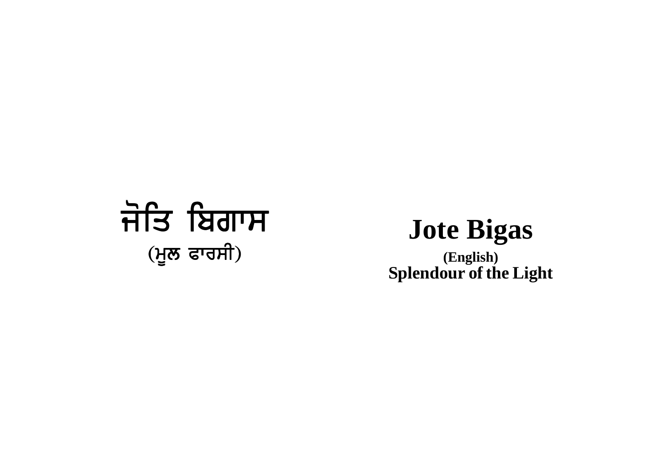# ਜੋਤਿ ਬਿਗਾਸ (ਮੂਲ ਫਾਰਸੀ)

## **Jote Bigas**

**(English) Splendour of the Light**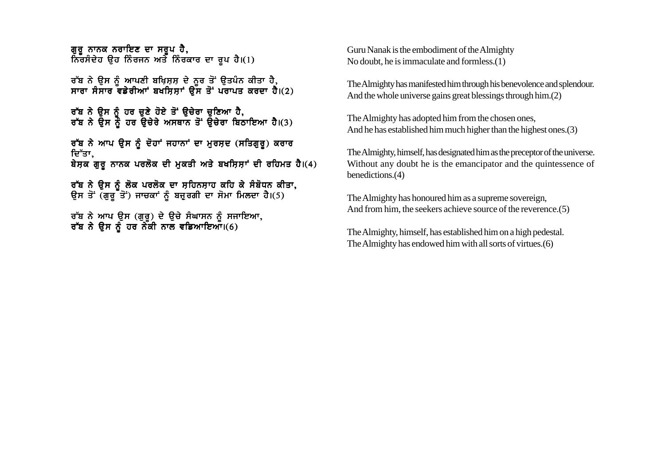ਗਰ ਨਾਨਕ ਨਰਾਇਣ ਦਾ ਸਰਪ ਹੈ. ਨਿਰਸੰਦੇਹ ੳਹ ਨਿੰਰਜਨ ਅਤੇ ਨਿੰਰਕਾਰ ਦਾ ਰਪ ਹੈ।(1)

ਰੱਬ ਨੇ ੳਸ ਨੰ ਆਪਣੀ ਬਖਿਸਸ ਦੇ ਨਰ ਤੋਂ ੳਤਪੰਨ ਕੀਤਾ ਹੈ. ਸਾਰਾ ਸੰਸਾਰ ਵਡੇਰੀਆਾਂ ਬਖਸਿਸਾਂ ਉੱਸ ਤੋਂ ਪਰਾਪਤ ਕਰਦਾ ਹੈ।(2)

ਰੱਬ ਨੇ ਉਸ ਨੂੰ ਹਰ ਚੁਣੇ ਹੋਏ ਤੋਂ ਉਚੇਰਾ ਚੁਣਿਆ ਹੈ, ਰੱਬ ਨੇ ਉਸ ਨੂੰ ਹਰ ਉਚੇਰੇ ਅਸਥਾਨ ਤੋਂ ਉਚੇਰਾ ਬਿਠਾਇਆ ਹੈ।(3)

ਰੱਬ ਨੇ ਆਪ ਉਸ ਨੂੰ ਦੋਹਾਂ ਜਹਾਨਾਂ ਦਾ ਮੁਰਸ਼ਦ (ਸਤਿਗੁਰੂ) ਕਰਾਰ ਦਿੱਤਾ, ਬੇਸ਼ਕ ਗੁਰੂ ਨਾਨਕ ਪਰਲੋਕ ਦੀ ਮੁਕਤੀ ਅਤੇ ਬਖਸ਼ਿਸ਼ਾਂ ਦੀ ਰਹਿਮਤ ਹੈ।(4)

ਰੱਬ ਨੇ ਉਸ ਨੂੰ ਲੋਕ ਪਰਲੋਕ ਦਾ ਸਹਿਨਸਾਹ ਕਹਿ ਕੇ ਸੰਬੋਧਨ ਕੀਤਾ, ਉਸ ਤੋਂ (ਗੁਰੂ ਤੋਂ) ਜਾਚਕਾਂ ਨੂੰ ਬਜੁਰਗੀ ਦਾ ਸੋਮਾ ਮਿਲਦਾ ਹੈ।(5)

ਰੱਬ ਨੇ ਆਪ ਉਸ (ਗੁਰੂ) ਦੇ ਉਚੇ ਸੰਘਾਸਨ ਨੂੰ ਸਜਾਇਆ, ਰੱਬ ਨੇ ਉਸ ਨੂੰ ਹਰ ਨੇਕੀ ਨਾਲ ਵਡਿਆਇਆ।(6)

Guru Nanak is the embodiment of the Almighty No doubt, he is immaculate and formless.(1)

The Almighty has manifested him through his benevolence and splendour. And the whole universe gains great blessings through him.(2)

The Almighty has adopted him from the chosen ones, And he has established him much higher than the highest ones.(3)

The Almighty, himself, has designated him as the preceptor of the universe. Without any doubt he is the emancipator and the quintessence of benedictions.(4)

The Almighty has honoured him as a supreme sovereign, And from him, the seekers achieve source of the reverence.(5)

The Almighty, himself, has established him on a high pedestal. The Almighty has endowed him with all sorts of virtues.(6)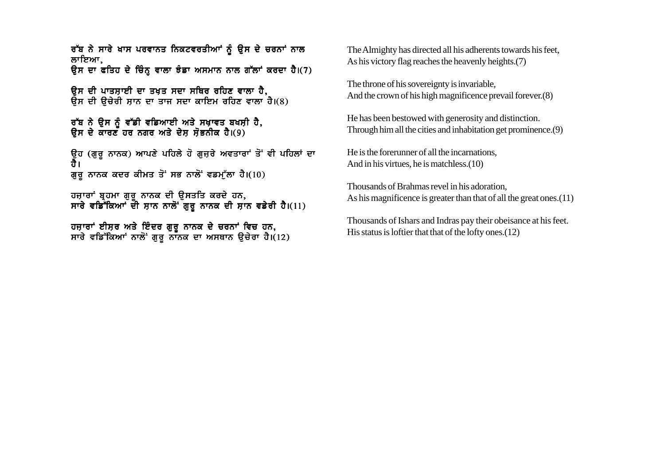ਰੱਬ ਨੇ ਸਾਰੇ ਖਾਸ ਪਰਵਾਨਤ ਨਿਕਟਵਰਤੀਆਂ ਨੂੰ ਉਸ ਦੇ ਚਰਨਾਂ ਨਾਲ ਲਾਇਆ. ਉਸ ਦਾ ਫਤਿਹ ਦੇ ਚਿੰਨ੍ਹ ਵਾਲਾ ਝੰਡਾ ਅਸਮਾਨ ਨਾਲ ਗੱਲਾਂ ਕਰਦਾ ਹੈ।(7)

ਉਸ ਦੀ ਪਾਤਸ਼ਾਈ ਦਾ ਤਖ਼ਤ ਸਦਾ ਸਥਿਰ ਰਹਿਣ ਵਾਲਾ ਹੈ, ਉਸ ਦੀ ਉਚੇਰੀ ਸ਼ਾਨ ਦਾ ਤਾਜ ਸਦਾ ਕਾਇਮ ਰਹਿਣ ਵਾਲਾ ਹੈ।(8)

ਰੱਬ ਨੇ ਉਸ ਨੂੰ ਵੱਡੀ ਵਡਿਆਈ ਅਤੇ ਸਖ਼ਾਵਤ ਬਖਸ਼ੀ ਹੈ, ਉਸ ਦੇ ਕਾਰਣ ਹਰ ਨਗਰ ਅਤੇ ਦੇਸ ਸੋਭਨੀਕ ਹੈ।(9)

ਉਹ (ਗਰ ਨਾਨਕ) ਆਪਣੇ ਪਹਿਲੇ ਹੋ ਗਜਰੇ ਅਵਤਾਰਾਂ ਤੋਂ ਵੀ ਪਹਿਲਾਂ ਦਾ ਹੈ। ਗੁਰੂ ਨਾਨਕ ਕਦਰ ਕੀਮਤ ਤੋਂ ਸਭ ਨਾਲੋਂ ਵਡਮੁੱਲਾ ਹੈ।(10)

ਹਜਾਰਾਂ ਬਹਮਾ ਗਰ ਨਾਨਕ ਦੀ ੳਸਤਤਿ ਕਰਦੇ ਹਨ. ਸਾਰੇ ਵਡਿੱਕਿਆਂ ਦੀ ਸਾਨ ਨਾਲੋਂ ਗਰ ਨਾਨਕ ਦੀ ਸਾਨ ਵਡੇਰੀ ਹੈ।(11)

ਹਜ਼ਾਰਾਂ ਈਸਰ ਅਤੇ ਇੰਦਰ ਗਰ ਨਾਨਕ ਦੇ ਚਰਨਾਂ ਵਿਚ ਹਨ. ਸਾਰੇ ਵਡਿੱਕਿਆਾਂ ਨਾਲੋਂ ਗਰ ਨਾਨਕ ਦਾ ਅਸਥਾਨ ੳਚੇਰਾ ਹੈ।(12) The Almighty has directed all his adherents towards his feet, As his victory flag reaches the heavenly heights.(7)

The throne of his sovereignty is invariable, And the crown of his high magnificence prevail forever.(8)

He has been bestowed with generosity and distinction. Through him all the cities and inhabitation get prominence.(9)

He is the forerunner of all the incarnations, And in his virtues, he is matchless.(10)

Thousands of Brahmas revel in his adoration, As his magnificence is greater than that of all the great ones. (11)

Thousands of Ishars and Indras pay their obeisance at his feet. His status is loftier that that of the lofty ones.(12)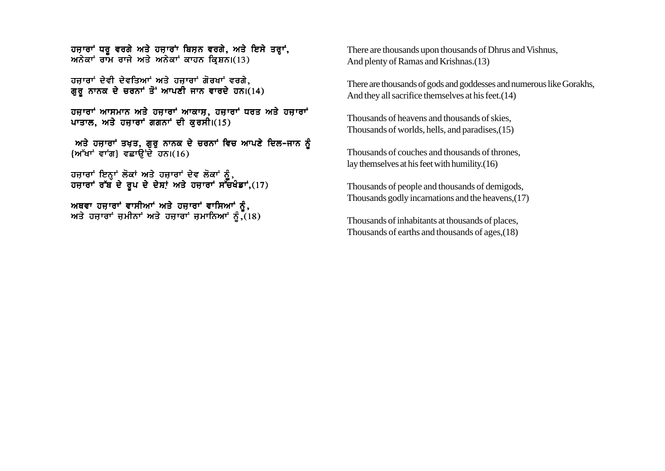ਹਜ਼ਾਰਾਂ ਧਰੁ ਵਰਗੇ ਅਤੇ ਹਜ਼ਾਰਾਂ ਬਿਸ਼ਨ ਵਰਗੇ, ਅਤੇ ਇਸੇ ਤਰ੍ਹਾਂ, ਅਨੇਕਾਂ ਰਾਮ ਰਾਜੇ ਅਤੇ ਅਨੇਕਾਂ ਕਾਹਨ ਕਿਸ਼ਨ।(13)

ਹਜਾਰਾਂ ਦੇਵੀ ਦੇਵਤਿਆਂ ਅਤੇ ਹਜਾਰਾਂ ਗੋਰਖਾਂ ਵਰਗੇ. ਗੁਰੂ ਨਾਨਕ ਦੇ ਚਰਨਾਂ ਤੋਂ ਆਪਣੀ ਜਾਨ ਵਾਰਦੇ ਹਨ।(14)

ਹਜ਼ਾਰਾਂ ਆਸਮਾਨ ਅਤੇ ਹਜ਼ਾਰਾਂ ਆਕਾਸ਼, ਹਜ਼ਾਰਾਂ ਧਰਤ ਅਤੇ ਹਜ਼ਾਰਾਂ ਪਾਤਾਲ, ਅਤੇ ਹਜ਼ਾਰਾਂ ਗਗਨਾਂ ਦੀ ਕਰਸੀ।(15)

ਅਤੇ ਹਜ਼ਾਰਾਂ ਤਖ਼ਤ, ਗੁਰੂ ਨਾਨਕ ਦੇ ਚਰਨਾਂ ਵਿਚ ਆਪਣੇ ਦਿਲ–ਜਾਨ ਨੂੰ  ${W<sup>+</sup>$ ਖਾਂ ਵਾਂਗ} ਵਛਾਉਂਦੇ ਹਨ।(16)

ਹਜ਼ਾਰਾਂ ਇਨ੍ਹਾਂ ਲੋਕਾਂ ਅਤੇ ਹਜ਼ਾਰਾਂ ਦੇਵ ਲੋਕਾਂ ਨੂੰ,<br>ਹਜ਼ਾਰਾਂ ਰੱਬ ਦੇ ਰੁਪ ਦੇ ਦੇਸ਼ਾਂ ਅਤੇ ਹਜ਼ਾਰਾਂ ਸੱਚਖੰਡਾਂ,(17)

ਅਥਵਾ ਹਜ਼ਾਰਾਂ ਵਾਸੀਆਂ ਅਤੇ ਹਜ਼ਾਰਾਂ ਵਾਸਿਆਂ ਨੂੰ,<br>ਅਤੇ ਹਜ਼ਾਰਾਂ ਜ਼ਮੀਨਾਂ ਅਤੇ ਹਜ਼ਾਰਾਂ ਜ਼ਮਾਨਿਆਂ ਨੂੰ,(18)

There are thousands upon thousands of Dhrus and Vishnus. And plenty of Ramas and Krishnas.(13)

There are thousands of gods and goddesses and numerous like Gorakhs, And they all sacrifice themselves at his feet. (14)

Thousands of heavens and thousands of skies. Thousands of worlds, hells, and paradises, (15)

Thousands of couches and thousands of thrones. lay themselves at his feet with humility. $(16)$ 

Thousands of people and thousands of demigods, Thousands godly incarnations and the heavens, (17)

Thousands of inhabitants at thousands of places, Thousands of earths and thousands of ages, (18)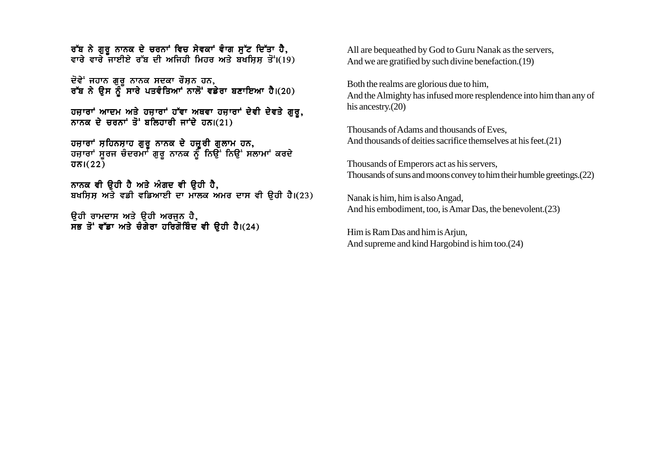ਰੱਬ ਨੇ ਗੁਰੂ ਨਾਨਕ ਦੇ ਚਰਨਾਂ ਵਿਚ ਸੇਵਕਾਂ ਵਾਗ ਸੁੱਟ ਦਿੱਤਾ ਹੈ, ਵਾਰੇ ਵਾਰੇ ਜਾਈਏ ਰੱਬ ਦੀ ਅਜਿਹੀ ਮਿਹਰ ਅਤੇ ਬਖਸਿਸ ਤੋਂ।(19)

ਦੋਵੇਂ ਜਹਾਨ ਗਰ ਨਾਨਕ ਸਦਕਾ ਰੌਸਨ ਹਨ. ਰੱਬ ਨੇ ੳਸ ਨੂੰ ਸਾਰੇ ਪਤਵੰਤਿਆਂ ਨਾਲੋਂ ਵਡੇਰਾ ਬਣਾਇਆ ਹੈ।(20)

ਹਜ਼ਾਰਾਂ ਆਦਮ ਅਤੇ ਹਜ਼ਾਰਾਂ ਹੱਵਾ ਅਥਵਾ ਹਜ਼ਾਰਾਂ ਦੇਵੀ ਦੇਵਤੇ ਗੁਰੂ, ਨਾਨਕ ਦੇ ਚਰਨਾਂ ਤੋਂ ਬਲਿਹਾਰੀ ਜਾਂਦੇ ਹਨ। $(21)$ 

ਹਜਾਰਾਂ ਸਹਿਨਸਾਹ ਗਰ ਨਾਨਕ ਦੇ ਹਜਰੀ ਗਲਾਮ ਹਨ**.** ਹਜਾਰਾਂ ਸਰਜ ਚੰਦਰਮਾਂ ਗਰ ਨਾਨਕ ਨੂੰ ਨਿੳਂ ਨਿੳਂ ਸਲਾਮਾਂ ਕਰਦੇ  $\overline{d} \overline{\delta}$ l $(22)$ 

ਨਾਨਕ ਵੀ ੳਹੀ ਹੈ ਅਤੇ ਅੰਗਦ ਵੀ ੳਹੀ ਹੈ. ਬਖਸਿਸ ਅਤੇ ਵਡੀ ਵਡਿਆਈ ਦਾ ਮਾਲਕ ਅਮਰ ਦਾਸ ਵੀ ੳਹੀ ਹੈ।(23)

ਓਹੀ ਰਾਮਦਾਸ ਅਤੇ **ੳਹੀ ਅਰਜਨ ਹੈ**, ਸਭ ਤੋਂ ਵੱਡਾ ਅਤੇ ਚੰਗੇਰਾ ਹਰਿਗੋਬਿੰਦ ਵੀ ਉਹੀ ਹੈ।(24) All are bequeathed by God to Guru Nanak as the servers, And we are gratified by such divine benefaction.(19)

Both the realms are glorious due to him, And the Almighty has infused more resplendence into him than any of his ancestry.(20)

Thousands of Adams and thousands of Eves, And thousands of deities sacrifice themselves at his feet.(21)

Thousands of Emperors act as his servers, Thousands of suns and moons convey to him their humble greetings.(22)

Nanak is him, him is also Angad, And his embodiment, too, is Amar Das, the benevolent.(23)

Him is Ram Das and him is Arjun, And supreme and kind Hargobind is him too.(24)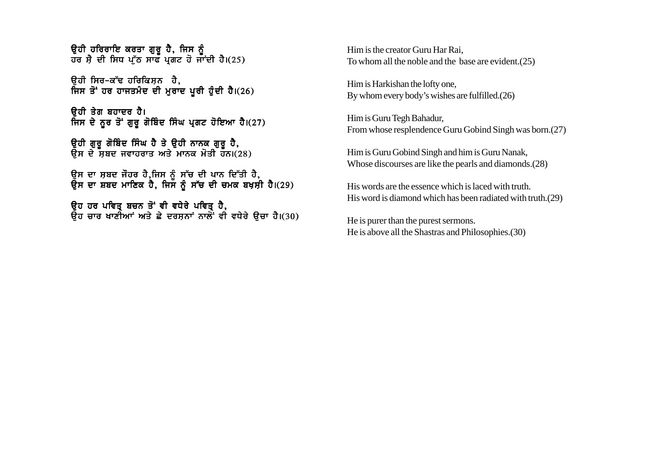ਓਹੀ ਹਰਿਰਾਇ ਕਰਤਾ ਗਰ ਹੈ. ਜਿਸ ਨ<u>ੰ</u> ਹਰ ਸੈ ਦੀ ਸਿਧ ਪੱਠ ਸਾਫ ਪਗਟ ਹੋ ਜਾਂਦੀ ਹੈ।(25)

 $\theta$ ਹੀ ਸਿਰ-ਕੱਢ ਹਰਿਕਿਸਨ ਹੈ. ਜਿਸ ਤੋਂ ਹਰ ਹਾਜਤਮੰਦ ਦੀ ਮੁਰਾਦ ਪੂਰੀ ਹੁੰਦੀ ਹੈ।(26)

ੳਹੀ ਤੇਗ ਬਹਾਦਰ ਹੈ। ਜਿਸ ਦੇ ਨੂਰ ਤੋਂ ਗੁਰੂ ਗੋਬਿੰਦ ਸਿੰਘ ਪ੍ਰਗਟ ਹੋਇਆ ਹੈ।(27)

ੳਹੀ ਗਰ ਗੋਬਿੰਦ ਸਿੰਘ ਹੈ ਤੇ ੳਹੀ ਨਾਨਕ ਗਰ ਹੈ. ੳਸ ਦੇ ਸਬਦ ਜਵਾਹਰਾਤ ਅਤੇ ਮਾਨਕ ਮੋਤੀ ਹਨ।(28)

ੳਸ ਦਾ ਸੂਬਦ ਜੌਹਰ ਹੈ.ਜਿਸ ਨੰ ਸੱਚ ਦੀ ਪਾਨ ਦਿੱਤੀ ਹੈ. ੳਸ ਦਾ ਸ਼ਬਦ ਮਾਣਿਕ ਹੈ. ਜਿਸ ਨੰ ਸੱਚ ਦੀ ਚਮਕ ਬਖਸੀ ਹੈ।(29)

ਓਹ ਹਰ ਪਵਿਤ ਬਚਨ ਤੋਂ ਵੀ ਵਧੇਰੇ ਪਵਿਤ ਹੈ. ੳਹ ਚਾਰ ਖਾਣੀਆਂ ਅਤੇ ਛੇ ਦਰਸ਼ਨਾਂ ਨਾਲੋਂ ਵੀ ਵਧੇਰੇ ੳਚਾ ਹੈ।(30) Him is the creator Guru Har Rai, To whom all the noble and the base are evident.(25)

Him is Harkishan the lofty one, By whom every body's wishes are fulfilled.(26)

Him is Guru Tegh Bahadur, From whose resplendence Guru Gobind Singh was born.(27)

Him is Guru Gobind Singh and him is Guru Nanak, Whose discourses are like the pearls and diamonds.(28)

His words are the essence which is laced with truth. His word is diamond which has been radiated with truth.(29)

He is purer than the purest sermons. He is above all the Shastras and Philosophies.(30)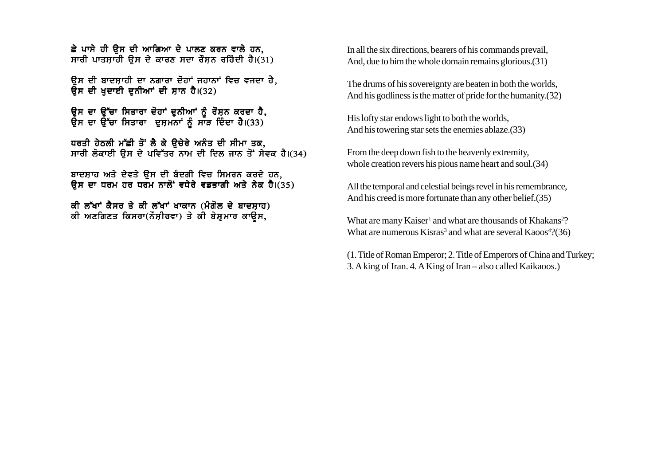ਛੇ ਪਾਸੇ ਹੀ ਉਸ ਦੀ ਆਗਿਆ ਦੇ ਪਾਲਣ ਕਰਨ ਵਾਲੇ ਹਨ. ਸਾਰੀ ਪਾਤਸਾਹੀ ਉਸ ਦੇ ਕਾਰਣ ਸਦਾ ਰੌਸਨ ਰਹਿੰਦੀ ਹੈ।(31)

ਉਸ ਦੀ ਬਾਦਸਾਹੀ ਦਾ ਨਗਾਰਾ ਦੋਹਾਂ ਜਹਾਨਾਂ ਵਿਚ ਵਜਦਾ ਹੈ. ਉਸ ਦੀ ਖਦਾਈ ਦੁਨੀਆਂ ਦੀ ਸਾਨ ਹੈ।(32)

ਉਸ ਦਾ ਉੱਚਾ ਸਿਤਾਰਾ ਦੋਹਾਂ ਦਨੀਆਂ ਨੰ ਰੌਸ਼ਨ ਕਰਦਾ ਹੈ, ਉਸ ਦਾ ਉੱਚਾ ਸਿਤਾਰਾ ਦੁਸ਼ਮਨਾਂ ਨੂੰ ਸਾੜ ਦਿੰਦਾ ਹੈ।(33)

ਧਰਤੀ ਹੇਠਲੀ ਮੱਛੀ ਤੋਂ ਲੈ ਕੇ ੳਚੇਰੇ ਅਨੰਤ ਦੀ ਸੀਮਾ ਤਕ, ਸਾਰੀ ਲੋਕਾਈ ਉਸ ਦੇ ਪਵਿੱਤਰ ਨਾਮ ਦੀ ਦਿਲ ਜਾਨ ਤੋਂ ਸੇਵਕ ਹੈ।(34)

ਬਾਦਸ਼ਾਹ ਅਤੇ ਦੇਵਤੇ ਉਸ ਦੀ ਬੰਦਗੀ ਵਿਚ ਸਿਮਰਨ ਕਰਦੇ ਹਨ, ਉਸ ਦਾ ਧਰਮ ਹਰ ਧਰਮ ਨਾਲੋਂ ਵਧੇਰੇ ਵਡਭਾਗੀ ਅਤੇ ਨੇਕ ਹੈ।(35)

ਕੀ ਲੱਖਾਂ ਕੈਸਰ ਤੇ ਕੀ ਲੱਖਾਂ ਖਾਕਾਨ (ਮੰਗੋਲ ਦੇ ਬਾਦਸ਼ਾਹ) ਕੀ ਅਣਗਿਣਤ ਕਿਸਰਾ(ਨੌਸ਼ੀਰਵਾ) ਤੇ ਕੀ ਬੇਸ਼ਮਾਰ ਕਾੳਸ.

In all the six directions, bearers of his commands prevail. And, due to him the whole domain remains glorious. (31)

The drums of his sovereignty are beaten in both the worlds, And his godliness is the matter of pride for the humanity. (32)

His lofty star endows light to both the worlds, And his towering star sets the enemies ablaze. (33)

From the deep down fish to the heavenly extremity. whole creation revers his pious name heart and soul.(34)

All the temporal and celestial beings revel in his remembrance, And his creed is more fortunate than any other belief. (35)

What are many Kaiser<sup>1</sup> and what are thousands of Khakans<sup>2</sup>? What are numerous Kisras<sup>3</sup> and what are several Kaoos<sup>4</sup>?(36)

(1. Title of Roman Emperor; 2. Title of Emperors of China and Turkey; 3. A king of Iran. 4. A King of Iran – also called Kaikaoos.)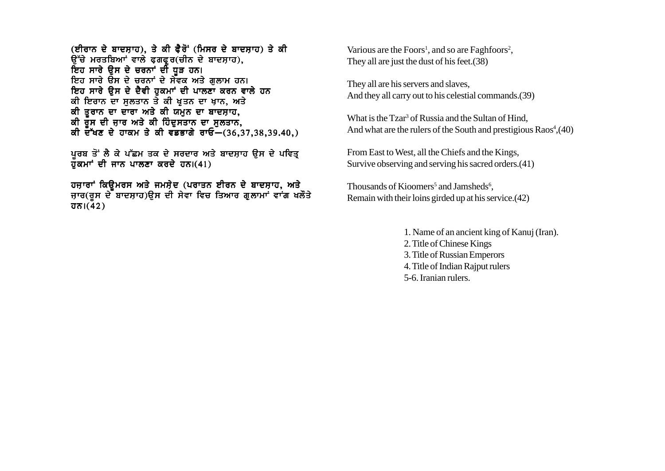(ਈਰਾਨ ਦੇ ਬਾਦਸ਼ਾਹ), ਤੇ ਕੀ ਫੈਰੋਂ (ਮਿਸਰ ਦੇ ਬਾਦਸ਼ਾਹ) ਤੇ ਕੀ ਉੱਚੇ ਮਰਤਬਿਆਂ ਵਾਲੇ ਫ਼ਗਫ਼ੂਰ(ਚੀਨ ਦੇ ਬਾਦਸ਼ਾਹ), ਇਹ ਸਾਰੇ ਉਸ ਦੇ ਚਰਨਾਂ ਦੀ ਧੁੜ ਹਨ। ਇਹ ਸਾਰੇ ਉਸ ਦੇ ਚਰਨਾਂ ਦੇ ਸੇਵਕ ਅਤੇ ਗਲਾਮ ਹਨ। ਇਹ ਸਾਰੇ ਉਸ ਦੇ ਦੈਵੀ ਹਕਮਾਂ ਦੀ ਪਾਲਣਾ ਕਰਨ ਵਾਲੇ ਹਨ ਕੀ ਇਰਾਨ ਦਾ ਸੁਲਤਾਨ ਤੇ ਕੀ ਖੂਤਨ ਦਾ ਖ਼ਾਨ, ਅਤੇ ਕੀ ਤੁਰਾਨ ਦਾ ਦਾਰਾ ਅਤੇ ਕੀ ਯਮੁਨ ਦਾ ਬਾਦਸ਼ਾਹ, ਕੀ ਰੂਸ ਦੀ ਜਾਰ ਅਤੇ ਕੀ ਹਿੰਦੁਸਤਾਨ ਦਾ ਸੁਲਤਾਨ, ਕੀ ਦੱਖਣ ਦੇ ਹਾਕਮ ਤੇ ਕੀ ਵਡਭਾਗੇ ਰਾਓ– $(36, 37, 38, 39, 40, )$ 

ਪੂਰਬ ਤੋਂ ਲੈ ਕੇ ਪੱਛਮ ਤਕ ਦੇ ਸਰਦਾਰ ਅਤੇ ਬਾਦਸ਼ਾਹ ਉਸ ਦੇ ਪਵਿਤ੍ਰ ਹ<sup>ੱ</sup>ਕਮਾਂ ਦੀ ਜਾਨ ਪਾਲਣਾ ਕਰਦੇ ਹਨ।(41)

ਹਜ਼ਾਰਾਂ ਕਿਉਮਰਸ ਅਤੇ ਜਮਸ਼ੇਦ (ਪਰਾਤਨ ਈਰਨ ਦੇ ਬਾਦਸ਼ਾਹ, ਅਤੇ ਜ਼ਾਰ(ਰਸ ਦੇ ਬਾਦਸ਼ਾਹ)ੳਸ ਦੀ ਸੇਵਾ ਵਿਚ ਤਿਆਰ ਗੁਲਾਮਾਂ ਵਾਂਗ ਖਲੌਤੇ  $\overline{d} \overline{\delta}$ l $(42)$ 

Various are the Foors<sup>1</sup>, and so are Faghfoors<sup>2</sup>. They all are just the dust of his feet. (38)

They all are his servers and slaves. And they all carry out to his celestial commands. (39)

What is the Tzar<sup>3</sup> of Russia and the Sultan of Hind. And what are the rulers of the South and prestigious Raos<sup>4</sup>, (40)

From East to West, all the Chiefs and the Kings, Survive observing and serving his sacred orders. (41)

Thousands of Kioomers<sup>5</sup> and Jamsheds<sup>6</sup>, Remain with their loins girded up at his service. (42)

1. Name of an ancient king of Kanuj (Iran).

- 2. Title of Chinese Kings
- 3. Title of Russian Emperors
- 4. Title of Indian Rajput rulers
- 5-6. Iranian rulers.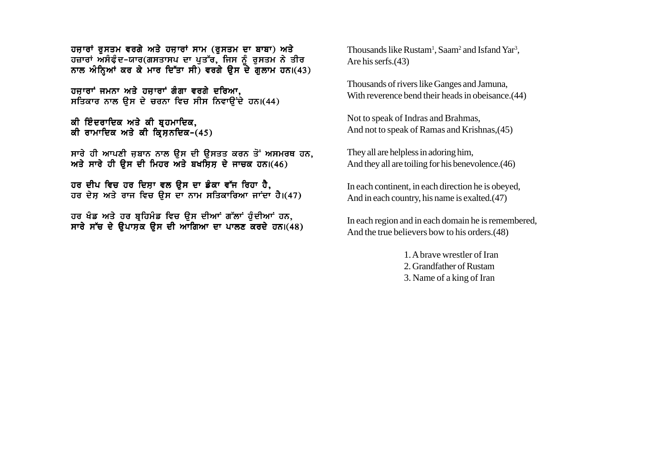ਹਜ਼ਾਰਾਂ ਰਸਤਮ ਵਰਗੇ ਅਤੇ ਹਜ਼ਾਰਾਂ ਸਾਮ (ਰਸਤਮ ਦਾ ਬਾਬਾ) ਅਤੇ ਹਜ਼ਾਰਾਂ ਅਸੰਫੰਦ-ਯਾਰ(ਗਸਤਾਸਪ ਦਾ ਪਤੱਰ, ਜਿਸ ਨੰ ਰਸਤਮ ਨੇ ਤੀਰ ਨਾਲ ਅੰਨ੍ਹਿਆਂ ਕਰ ਕੇ ਮਾਰ ਦਿੱਤਾ ਸੀ) ਵਰਗੇ ਉਸ ਦੇ ਗੁਲਾਮ ਹਨ।(43)

ਹਜ਼ਾਰਾਂ ਜਮਨਾ ਅਤੇ ਹਜ਼ਾਰਾਂ ਗੰਗਾ ਵਰਗੇ ਦਰਿਆ. ਸਤਿਕਾਰ ਨਾਲ ਉਸ ਦੇ ਚਰਨਾ ਵਿਚ ਸੀਸ ਨਿਵਾਉਂਦੇ ਹਨ।(44)

ਕੀ ਇੰਦਰਾਦਿਕ ਅਤੇ ਕੀ ਬ੍ਰਹਮਾਦਿਕ, ਕੀ ਰਾਮਾਦਿਕ ਅਤੇ ਕੀ ਕਿਸਨਦਿਕ-(45)

ਸਾਰੇ ਹੀ ਆਪਣੀ ਜ਼ਬਾਨ ਨਾਲ ਉਸ ਦੀ ਉਸਤਤ ਕਰਨ ਤੋਂ ਅਸਮਰਥ ਹਨ, ਅਤੇ ਸਾਰੇ ਹੀ ਉਸ ਦੀ ਮਿਹਰ ਅਤੇ ਬਖਸਿਸ ਦੇ ਜਾਚਕ ਹਨ।(46)

ਹਰ ਦੀਪ ਵਿਚ ਹਰ ਦਿਸ਼ਾ ਵਲ ਉਸ ਦਾ ਡੰਕਾ ਵੱਜ ਰਿਹਾ ਹੈ, ਹਰ ਦੇਸ ਅਤੇ ਰਾਜ ਵਿਚ ਉਸ ਦਾ ਨਾਮ ਸਤਿਕਾਰਿਆ ਜਾਂਦਾ ਹੈ।(47)

ਹਰ ਖੰਡ ਅਤੇ ਹਰ ਬਹਿਮੰਡ ਵਿਚ ਉਸ ਦੀਆਂ ਗੱਲਾਂ ਹੰਦੀਆਂ ਹਨ, ਸਾਰੇ ਸੱਚ ਦੇ ਉਪਾਸ਼ਕ ਉਸ ਦੀ ਆਗਿਆ ਦਾ ਪਾਲਣ ਕਰਦੇ ਹਨ।(48) Thousands like Rustam<sup>1</sup>, Saam<sup>2</sup> and Isfand Yar<sup>3</sup>. Are his serfs. $(43)$ 

Thousands of rivers like Ganges and Jamuna, With reverence bend their heads in obeisance. (44)

Not to speak of Indras and Brahmas, And not to speak of Ramas and Krishnas, (45)

They all are helpless in adoring him. And they all are toiling for his benevolence. (46)

In each continent, in each direction he is obeyed, And in each country, his name is exalted.(47)

In each region and in each domain he is remembered, And the true believers bow to his orders.(48)

1. A brave wrestler of Iran

- 2. Grandfather of Rustam
- 3. Name of a king of Iran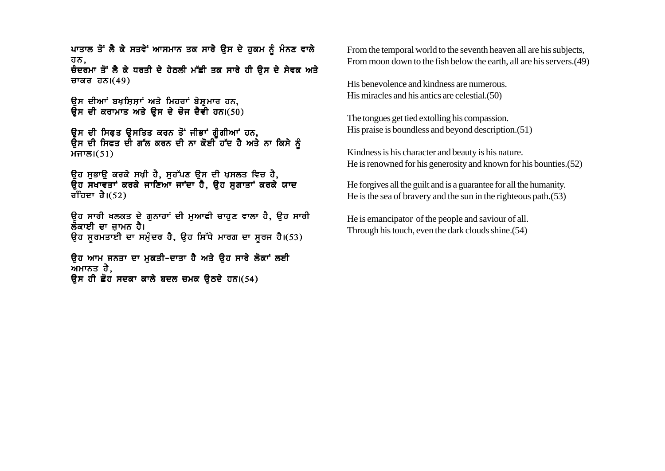ਪਾਤਾਲ ਤੋਂ ਲੈ ਕੇ ਸਤਵੇਂ ਆਸਮਾਨ ਤਕ ਸਾਰੇ ਉਸ ਦੇ ਹਕਮ ਨੂੰ ਮੰਨਣ ਵਾਲੇ ਹਨ, ਚੰਦਰਮਾ ਤੋਂ ਲੈ ਕੇ ਧਰਤੀ ਦੇ ਹੇਠਲੀ ਮੱਛੀ ਤਕ ਸਾਰੇ ਹੀ ਉਸ ਦੇ ਸੇਵਕ ਅਤੇ ਚਾਕਰ ਹਨ। $(49)$ 

ਉਸ ਦੀਆਂ ਬਖਸ਼ਿਸ਼ਾਂ ਅਤੇ ਮਿਹਰਾਂ ਬੇਸ਼ਮਾਰ ਹਨ. ਉਸ ਦੀ ਕਰਾਮਾਤ ਅਤੇ ਉਸ ਦੇ ਚੋਜ ਦੈਵੀ ਹਨ।(50)

ਉਸ ਦੀ ਸਿਫਤ ਉਸਤਿਤ ਕਰਨ ਤੋਂ ਜੀਭਾਂ ਗੰਗੀਆਂ ਹਨ, ਉਸ ਦੀ ਸਿਫਤ ਦੀ ਗੱਲ ਕਰਨ ਦੀ ਨਾ ਕੋਈ ਹੱਦ ਹੈ ਅਤੇ ਨਾ ਕਿਸੇ ਨੂੰ  $HTB(51)$ 

ਉਹ ਸੁਭਾਉ ਕਰਕੇ ਸਖ਼ੀ ਹੈ, ਸੁਹੱਪਣ ਉਸ ਦੀ ਖ਼ਸਲਤ ਵਿਚ ਹੈ, .<br>ਉਹ ਸਖਾਵਤਾਂ ਕਰਕੇ ਜਾਣਿਆਂ ਜਾਂਦਾ ਹੈ, ਉਹ ਸਗਾਤਾਂ ਕਰਕੇ ਯਾਦ ਰਹਿਦਾ ਹੈ। $(52)$ 

ੳਹ ਸਾਰੀ ਖਲਕਤ ਦੇ ਗਨਾਹਾਂ ਦੀ ਮਆਫੀ ਚਾਹਣ ਵਾਲਾ ਹੈ, ੳਹ ਸਾਰੀ ਲੌਕਾਈ ਦਾ ਜਾਮਨ ਹੈ। ਉਹ ਸੁਰਮਤਾਈ ਦਾ ਸਮੁੰਦਰ ਹੈ, ਉਹ ਸਿੱਧੇ ਮਾਰਗ ਦਾ ਸੁਰਜ ਹੈ।(53)

ਉਹ ਆਮ ਜਨਤਾ ਦਾ ਮੁਕਤੀ-ਦਾਤਾ ਹੈ ਅਤੇ ਉਹ ਸਾਰੇ ਲੋਕਾਂ ਲਈ ਅਮਾਨਤ ਹੈ. ਉਸ ਹੀ ਛੋਹ ਸਦਕਾ ਕਾਲੇ ਬਦਲ ਚਮਕ ਉਠਦੇ ਹਨ।(54)

From the temporal world to the seventh heaven all are his subjects. From moon down to the fish below the earth, all are his servers. (49)

His benevolence and kindness are numerous. His miracles and his antics are celestial. (50)

The tongues get tied extolling his compassion. His praise is boundless and beyond description. (51)

Kindness is his character and beauty is his nature. He is renowned for his generosity and known for his bounties. (52)

He forgives all the guilt and is a guarantee for all the humanity. He is the sea of bravery and the sun in the righteous path. $(53)$ 

He is emancipator of the people and saviour of all. Through his touch, even the dark clouds shine. (54)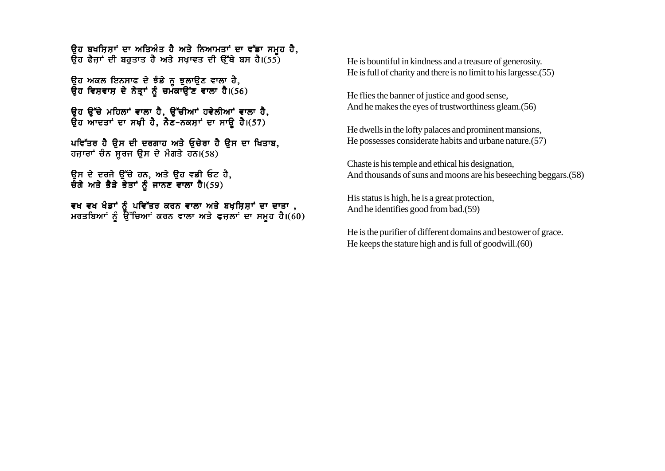ਉਹ ਬਖਸ਼ਿਸ਼ਾਂ ਦਾ ਅਤਿਅੰਤ ਹੈ ਅਤੇ ਨਿਆਮਤਾਂ ਦਾ ਵੱਡਾ ਸਮੂਹ ਹੈ, ਉਹ ਫੈਜਾਂ ਦੀ ਬਹਤਾਤ ਹੈ ਅਤੇ ਸਖਾਵਤ ਦੀ ਉੱਥੇ ਬਸ ਹੈ।(55)

ੳਹ ਅਕਲ ਇਨਸਾਫ ਦੇ ਝੰਡੇ ਨੂ ਝੁਲਾਉਣ ਵਾਲਾ ਹੈ, ਉਹ ਵਿਸ਼ਵਾਸ਼ ਦੇ ਨੇਤਾਂ ਨੰ ਚਮੱਕਾਉਂਣ ਵਾਲਾ ਹੈ।(56)

ਉਹ ਉੱਚੇ ਮਹਿਲਾਂ ਵਾਲਾ ਹੈ, ਉੱਚੀਆਂ ਹਵੇਲੀਆਂ ਵਾਲਾ ਹੈ, ਉਹ ਆਦਤਾਂ ਦਾ ਸਖ਼ੀ ਹੈ, ਨੈਣ-ਨਕਸ਼ਾਂ ਦਾ ਸਾਉ ਹੈ।(57)

ਪਵਿੱਤਰ ਹੈ ਉਸ ਦੀ ਦਰਗਾਹ ਅਤੇ ਓਚੇਰਾ ਹੈ ਉਸ ਦਾ ਖਿਤਾਬ, ਹਜ਼ਾਰਾਂ ਚੰਨ ਸੂਰਜ ਉਸ ਦੇ ਮੰਗਤੇ ਹਨ।(58)

ਉਸ ਦੇ ਦਰਜੇ ਉੱਚੇ ਹਨ, ਅਤੇ ਉਹ ਵਡੀ ਓਟ ਹੈ, ਚੌਗੇ ਅਤੇ ਭੈੜੇ ਭੇਤਾਂ ਨੂੰ ਜਾਨਣ ਵਾਲਾ ਹੈ।(59)

ਵਖ ਵਖ ਖੰਡਾਂ ਨੂੰ ਪਵਿੱਤਰ ਕਰਨ ਵਾਲਾ ਅਤੇ ਬਖ਼ਸ਼ਿਸ਼ਾਂ ਦਾ ਦਾਤਾ ,<br>ਮਰਤਬਿਆਂ ਨੂੰ ਉੱਚਿਆਂ ਕਰਨ ਵਾਲਾ ਅਤੇ ਫਜ਼ਲਾਂ ਦਾ ਸਮੂਹ ਹੈ।(60)

He is bountiful in kindness and a treasure of generosity. He is full of charity and there is no limit to his largesse. (55)

He flies the banner of justice and good sense, And he makes the eves of trustworthiness gleam. (56)

He dwells in the lofty palaces and prominent mansions, He possesses considerate habits and urbane nature. (57)

Chaste is his temple and ethical his designation, And thousands of suns and moons are his beseeching beggars. (58)

His status is high, he is a great protection, And he identifies good from bad.(59)

He is the purifier of different domains and bestower of grace. He keeps the stature high and is full of goodwill. (60)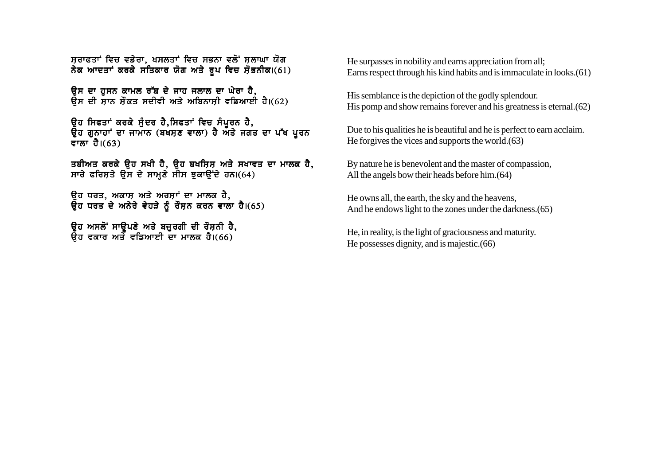ਸੁਰਾਫਤਾਂ ਵਿਚ ਵਡੇਰਾ, ਖਸਲਤਾਂ ਵਿਚ ਸਭਨਾ ਵਲੋਂ ਸਲਾਘਾ ਯੋਗ ਨੇਕ ਆਦਤਾਂ ਕਰਕੇ ਸਤਿਕਾਰ ਯੋਗ ਅਤੇ ਰੂਪ ਵਿਚ ਸੋਭਨੀਕ।(61)

ਉਸ ਦਾ ਹਸਨ ਕਾਮਲ ਰੱਬ ਦੇ ਜਾਹ ਜਲਾਲ ਦਾ ਘੇਰਾ ਹੈ. ਉਸ ਦੀ ਸਾਨ ਸੌਕਤ ਸਦੀਵੀ ਅਤੇ ਅਬਿਨਾਸੀ ਵਡਿਆਈ ਹੈ।(62)

ਉਹ ਸਿਫਤਾਂ ਕਰਕੇ ਸੁੰਦਰ ਹੈ,ਸਿਫਤਾਂ ਵਿਚ ਸੰਪੂਰਨ ਹੈ, ਉਹ ਗੁਨਾਹਾਂ ਦਾ ਜਾਮਾਨ (ਬਖਸਣ ਵਾਲਾ) ਹੈ ਅਤੇ ਜਗਤ ਦਾ ਪੱਖ ਪਰਨ ਵਾਲਾ $\overline{d}$ ।(63)

ਤਬੀਅਤ ਕਰਕੇ ਉਹ ਸਖੀ ਹੈ, ਉਹ ਬਖਸ਼ਿਸ਼ ਅਤੇ ਸਖਾਵਤ ਦਾ ਮਾਲਕ ਹੈ, ਸਾਰੇ ਫਰਿਸਤੇ ਉਸ ਦੇ ਸਾਮਣੇ ਸੀਸ ਝਕਾਉਂਦੇ ਹਨ।(64)

ਉਹ ਧਰਤ, ਅਕਾਸ਼ ਅਤੇ ਅਰਸ਼ਾਂ ਦਾ ਮਾਲਕ ਹੈ,  $\overline{Q}$ ਹ ਧਰਤ ਦੇ ਅਨੇਰੇ ਵੇਹੜੇ ਨੂੰ ਰੌਸਨ ਕਰਨ ਵਾਲਾ ਹੈ।(65)

ੳਹ ਅਸਲੋਂ ਸਾੳਪਣੇ ਅਤੇ ਬਜ਼ਰਗੀ ਦੀ ਰੌਸ਼ਨੀ ਹੈ. ੳਹ ਵਕਾਰ ਅਤੇ ਵਡਿਆਈ ਦਾ ਮਾਲਕ ਹੈ।(66)

He surpasses in nobility and earns appreciation from all; Earns respect through his kind habits and is immaculate in looks.(61)

His semblance is the depiction of the godly splendour. His pomp and show remains forever and his greatness is eternal.(62)

Due to his qualities he is beautiful and he is perfect to earn acclaim. He forgives the vices and supports the world.(63)

By nature he is benevolent and the master of compassion, All the angels bow their heads before him.(64)

He owns all, the earth, the sky and the heavens, And he endows light to the zones under the darkness.(65)

He, in reality, is the light of graciousness and maturity. He possesses dignity, and is majestic.(66)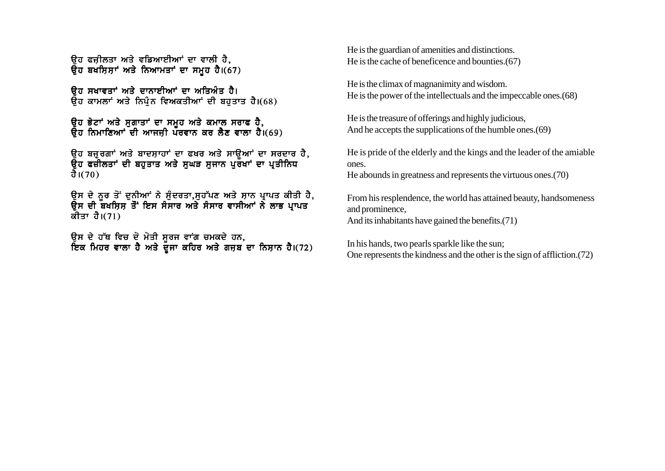ਓਹ ਫਜ਼ੀਲਤਾ ਅਤੇ ਵਡਿਆਈਆਂ ਦਾ ਵਾਲੀ ਹੈ<u>,</u> ਉਹ ਬਖਸ਼ਿਸ਼ਾਂ ਅਤੇ ਨਿਆਮਤਾਂ ਦਾ ਸਮੂਹ ਹੈ। $(67)$ 

ਉਹ ਸਖਾਵਤਾਂ ਅਤੇ ਦਾਨਾਈਆਂ ਦਾ ਅਤਿਅੰਤ ਹੈ। ਓਹ ਕਾਮਲਾਂ ਅਤੇ ਨਿਪੰਨ ਵਿਅਕਤੀਆਂ ਦੀ ਬਹਤਾਤ ਹੈ।(68)

ੳਹ ਭੇਟਾਂ ਅਤੇ ਸਗਾਤਾਂ ਦਾ ਸਮਹ ਅਤੇ ਕਮਾਲ ਸਰਾਫ ਹੈ. ੳਹ ਨਿਮਾਣਿਆਂ ਦੀ ਆਜਜੀ ਪੌਰਵਾਨ ਕਰ ਲੈਣ ਵਾਲਾ ਹੈ।(69)

ੳਹ ਬਜਰਗਾਂ ਅਤੇ ਬਾਦਸਾਹਾਂ ਦਾ ਫਖਰ ਅਤੇ ਸਾੳਆਂ ਦਾ ਸਰਦਾਰ ਹੈ. ੳਹ ਫਜ਼ੀਲਤਾਂ ਦੀ ਬਹਤਾਤ ਅਤੇ ਸਘੜ ਸਜਾਨ ਪਰ**ੱਖਾਂ ਦਾ ਪਤੀਨਿ**ਧ ਹੈ। $(70)$ 

ਉਸ ਦੇ ਨਰ ਤੋਂ ਦਨੀਆਂ ਨੇ ਸੰਦਰਤਾ,ਸਹੱਪਣ ਅਤੇ ਸ਼ਾਨ ਪ੍ਰਾਪਤ ਕੀਤੀ ਹੈ, ਉਸ ਦੀ ਬਖਸ਼ਿਸ਼ ਤੋਂ ਇਸ ਸੰਸਾਰ ਅਤੇ ਸੰਸਾਰ ਵਾਸੀਆਂ ਨੇ ਲਾਭ ਪ੍ਰਾਪਤ ਕੀਤਾ ਹੈ। $(71)$ 

ੳਸ ਦੇ ਹੱਥ ਵਿਚ ਦੋ ਮੋਤੀ ਸਰਜ ਵਾਂਗ ਚਮਕਦੇ ਹਨ. ਇਕ ਮਿਹਰ ਵਾਲਾ ਹੈ ਅਤੇ ਦੌਜਾ ਕਹਿਰ ਅਤੇ ਗਜਬ ਦਾ ਨਿਸਾਨ ਹੈ।(72) He is the guardian of amenities and distinctions. He is the cache of beneficence and bounties.(67)

He is the climax of magnanimity and wisdom. He is the power of the intellectuals and the impeccable ones.(68)

He is the treasure of offerings and highly judicious, And he accepts the supplications of the humble ones.(69)

He is pride of the elderly and the kings and the leader of the amiable ones. He abounds in greatness and represents the virtuous ones.(70)

From his resplendence, the world has attained beauty, handsomeness and prominence, And its inhabitants have gained the benefits.(71)

In his hands, two pearls sparkle like the sun; One represents the kindness and the other is the sign of affliction.(72)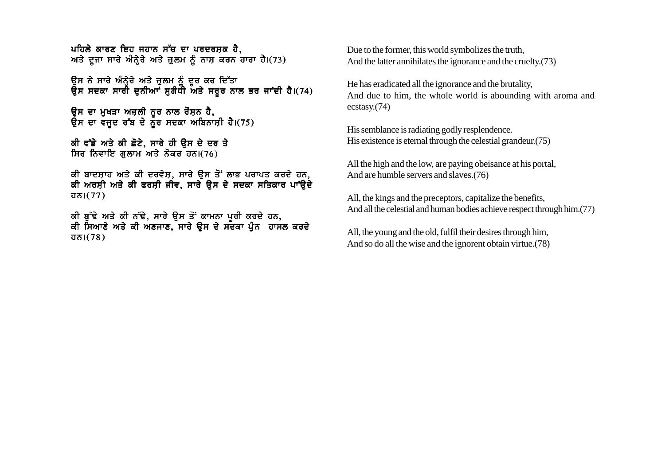ਪਹਿਲੇ ਕਾਰਣ ਇਹ ਜਹਾਨ ਸੱਚ ਦਾ ਪਰਦਰਸਕ ਹੈ. ਅਤੇ ਦੂਜਾ ਸਾਰੇ ਅੰਨ੍ਹੇਰੇ ਅਤੇ ਜ਼ੁਲਮ ਨੂੰ ਨਾਸ਼ ਕਰਨ ਹਾਰਾ ਹੈ।(73)

ਉਸ ਨੇ ਸਾਰੇ ਅੰਨ੍ਹੇਰੇ ਅਤੇ ਜੁਲਮ ਨੂੰ ਦੂਰ ਕਰ ਦਿੱਤਾ ਕੇਸ ਸਦਕਾ ਸਾਰੀ ਦੁਨੀਆਂ ਸਗੰਧੀ ਅਤੇ ਸਰਰ ਨਾਲ ਭਰ ਜਾਂਦੀ ਹੈ।(74)

ਉਸ ਦਾ ਮੁਖੜਾ ਅਜ਼ਲੀ ਨੂਰ ਨਾਲ ਰੌਸ਼ਨ ਹੈ, ਉਸ ਦਾ ਵਜੂਦ ਰੱਬ ਦੇ ਨੂੰਰ ਸਦਕਾ ਅਬਿਨਾਸ਼ੀ ਹੈ।(75)

ਕੀ ਵੱਡੇ ਅਤੇ ਕੀ ਛੋਟੇ, ਸਾਰੇ ਹੀ ੳਸ ਦੇ ਦਰ ਤੇ ਸਿਰ ਨਿਵਾਇ ਗਲਾਮ ਅਤੇ ਨੋਕਰ ਹਨ।(76)

ਕੀ ਬਾਦਸ਼ਾਹ ਅਤੇ ਕੀ ਦਰਵੇਸ਼, ਸਾਰੇ ਉਸ ਤੋਂ ਲਾਭ ਪਰਾਪਤ ਕਰਦੇ ਹਨ,<br>ਕੀ ਅਰਸ਼ੀ ਅਤੇ ਕੀ ਫਰਸ਼ੀ ਜੀਵ, ਸਾਰੇ ਉਸ ਦੇ ਸਦਕਾ ਸਤਿਕਾਰ ਪਾਂਉਦੇ  $\overline{d} \overline{b}$   $(77)$ 

ਕੀ ਬੁੱਢੇ ਅਤੇ ਕੀ ਨੱਢੇ, ਸਾਰੇ ਉਸ ਤੋਂ ਕਾਮਨਾ ਪੁਰੀ ਕਰਦੇ ਹਨ, ਕੀ ਸਿਆਣੇ ਅਤੇ ਕੀ ਅਣਜਾਣ, ਸਾਰੇ ਉਸ ਦੇ ਸਦਕਾ ਪੁੰਨ ਹਾਸਲ ਕਰਦੇ  $\overline{d} \overline{b}$  |  $(78)$ 

Due to the former, this world symbolizes the truth. And the latter annihilates the ignorance and the cruelty.(73)

He has eradicated all the ignorance and the brutality, And due to him, the whole world is abounding with aroma and  $ecstasv.$  $(74)$ 

His semblance is radiating godly resplendence. His existence is eternal through the celestial grandeur. (75)

All the high and the low, are paying obeisance at his portal, And are humble servers and slaves.(76)

All, the kings and the preceptors, capitalize the benefits, And all the celestial and human bodies achieve respect through him. (77)

All, the young and the old, fulfil their desires through him, And so do all the wise and the ignorent obtain virtue. (78)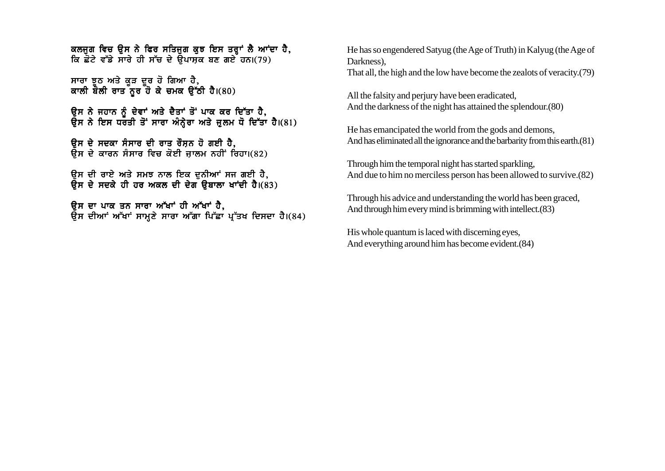ਕਲਜਗ ਵਿਚ ੳਸ ਨੇ ਫਿਰ ਸਤਿਜਗ ਕਝ ਇਸ ਤਰਾਂ ਲੈ ਆਂਦਾ ਹੈ. ਕਿ ਛੋਟੇ ਵੱਡੇ ਸਾਰੇ ਹੀ ਸੱਚ ਦੇ ਉਪਾਸਕ ਬਣ ਗਏ ਹਨ।(79)

ਸਾਰਾ ਝੂਠ ਅਤੇ ਕੂੜ ਦੂਰ ਹੋ ਗਿਆ ਹੈ, ਸਾਣੇ ਵੱਲੋਂ ਲੋਕ ਵਾਰ ਕੇ ਚਮਕ ਉੱਠੀ ਹੈ।(80)

ਉਸ ਨੇ ਜਹਾਨ ਨੂੰ ਦੇਵਾਂ ਅਤੇ ਦੈਤਾਂ ਤੋਂ ਪਾਕ ਕਰ ਦਿੱਤਾ ਹੈ, ਉਸ ਨੇ ਇਸ ਧਰਤੀ ਤੋਂ ਸਾਰਾ ਅੰਨ੍ਹੇਰਾ ਅਤੇ ਜ਼ੁਲਮ ਧੋ ਦਿੱਤਾ ਹੈ।(81)

<u>ਉਸ ਦੇ ਸਦਕਾ ਸੰਸਾਰ ਦੀ ਰਾਤ ਰੌਸਨ ਹੋ ਗਈ ਹੈ.</u>  $\bar{\mathbf{g}}$ ਸ ਦੇ ਕਾਰਨ ਸੰਸਾਰ ਵਿਚ ਕੋਈ ਜਾਲਮ ਨਹੀਂ ਰਿਹਾ।(82)

ਉਸ ਦੀ ਰਾਏ ਅਤੇ ਸਮਝ ਨਾਲ ਇਕ ਦੁਨੀਆਂ ਸਜ ਗਈ ਹੈ,  $\overline{R}$ ਸ ਦੇ ਸਦਕੇ ਹੀ ਹਰ ਅਕਲ ਦੀ ਦੇਗ ੳਬਾਲਾ ਖਾਂਦੀ ਹੈ।(83)

ਓਸ ਦਾ ਪਾਕ ਤਨ ਸਾਰਾ ਅੱਖਾਂ ਹੀ ਅੱਖਾਂ ਹੈ. ਉਸ ਦੀਆਂ ਅੱਖਾਂ ਸਾਮ੍ਹਣੇ ਸਾਰਾ ਅੱਗਾ ਪਿੱਛਾ ਪ੍ਰੱਤਖ ਦਿਸਦਾ ਹੈ।(84) He has so engendered Satyug (the Age of Truth) in Kalyug (the Age of Darkness),

That all, the high and the low have become the zealots of veracity.(79)

All the falsity and perjury have been eradicated, And the darkness of the night has attained the splendour. (80)

He has emancipated the world from the gods and demons, And has eliminated all the ignorance and the barbarity from this earth.(81)

Through him the temporal night has started sparkling, And due to him no merciless person has been allowed to survive.(82)

Through his advice and understanding the world has been graced, And through him every mind is brimming with intellect.(83)

His whole quantum is laced with discerning eyes, And everything around him has become evident.(84)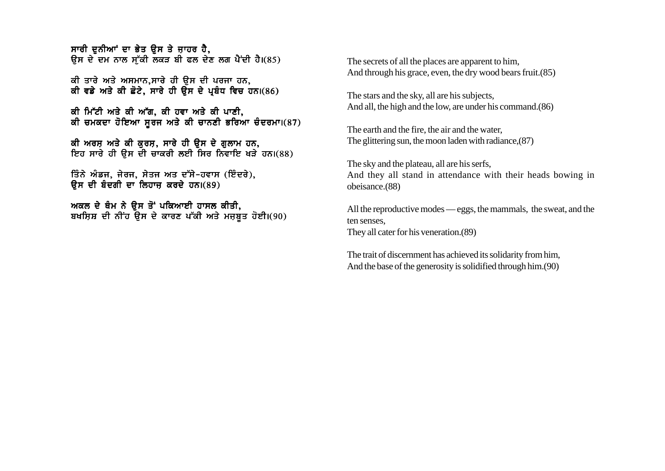ਸਾਰੀ ਦੁਨੀਆਂ ਦਾ ਭੇਤ ਉਸ ਤੇ ਜਾਹਰ ਹੈ. ਉਸ ਦੇ ਦਮ ਨਾਲ ਸੱਕੀ ਲੁਕੜ ਬੀ ਫਲ ਦੇਣ ਲਗ ਪੈਂਦੀ ਹੈ।(85)

ਕੀ ਤਾਰੇ ਅਤੇ ਅਸਮਾਨ,ਸਾਰੇ ਹੀ ਉਸ ਦੀ ਪਰਜਾ ਹਨ, ਕੀ ਵਡੇ ਅਤੇ ਕੀ ਛੋਟੇ, ਸਾਰੇ ਹੀ ਉਸ ਦੇ ਪਬੰਧ ਵਿਚ ਹਨ।(86)

ਕੀ ਮਿੱਟੀ ਅਤੇ ਕੀ ਅੱਗ, ਕੀ ਹਵਾ ਅਤੇ ਕੀ ਪਾਣੀ, ਕੀ ਚਮਕਦਾ ਹੋਇਆ ਸਰਜ ਅਤੇ ਕੀ ਚਾਨਣੀ ਭਰਿਆ ਚੰਦਰਮਾ।(87)

ਕੀ ਅਰਸ਼ ਅਤੇ ਕੀ ਕਰਸ਼, ਸਾਰੇ ਹੀ ੳਸ ਦੇ ਗਲਾਮ ਹਨ, ਇਹ ਸਾਰੇ ਹੀ ੳਸ ਦੀ ਚਾਕਰੀ ਲਈ ਸਿਰ ਨਿਵਾਇ ਖੜੇ ਹਨ।(88)

ਤਿੰਨੇ ਅੰਡਜ, ਜੇਰਜ, ਸੇਤਜ ਅਤ ਦੱਸੇ-ਹਵਾਸ (ਇੰਦਰੇ),  $\overline{B}$ ਸ ਦੀ ਬੰਦਗੀ ਦਾ ਲਿਹਾਜ ਕਰਦੇ ਹਨ। $(89)$ 

ਅਕਲ ਦੇ ਥੰਮ ਨੇ ਉਸ ਤੋਂ ਪਕਿਆਈ ਹਾਸਲ ਕੀਤੀ. ਬਖਸ਼ਿਸ਼ ਦੀ ਨੀਂਹ ਉਸ ਦੇ ਕਾਰਣ ਪੱਕੀ ਅਤੇ ਮਜ਼ਬਤ ਹੋਈ।(90) The secrets of all the places are apparent to him, And through his grace, even, the dry wood bears fruit.(85)

The stars and the sky, all are his subjects, And all, the high and the low, are under his command.(86)

The earth and the fire, the air and the water, The glittering sun, the moon laden with radiance,(87)

The sky and the plateau, all are his serfs, And they all stand in attendance with their heads bowing in obeisance.(88)

All the reproductive modes — eggs, the mammals, the sweat, and the ten senses, They all cater for his veneration.(89)

The trait of discernment has achieved its solidarity from him, And the base of the generosity is solidified through him.(90)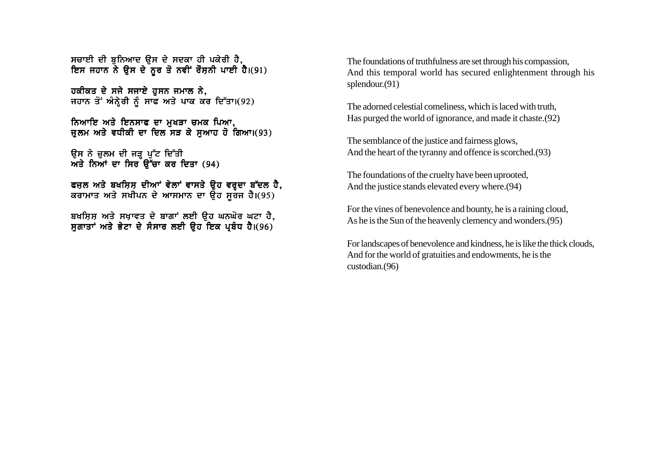ਸਚਾਈ ਦੀ ਬਨਿਆਦ ੳਸ ਦੇ ਸਦਕਾ ਹੀ ਪਕੇਰੀ ਹੈ. ਇਸ ਜਹਾਨ ਨੇ ਉਸ ਦੇ ਨੂਰ ਤੋ ਨਵੀਂ ਰੌਸ਼ਨੀ ਪਾਈ ਹੈ।(91)

ਹਕੀਕਤ ਦੇ ਸਜੇ ਸਜਾਏ ਹਸਨ ਜਮਾਲ ਨੇ. ਜਹਾਨ ਤੋਂ ਅੰਨ੍ਹੇਰੀ ਨੂੰ ਸਾਫ ਅਤੇ ਪਾਕ ਕਰ ਦਿੱਤਾ।(92)

ਨਿਆਇ ਅਤੇ ਇਨਸਾਫ ਦਾ ਮੁਖੜਾ ਚਮਕ ਪਿਆ, ਜਲਮ ਅਤੇ ਵਧੀਕੀ ਦਾ ਦਿਲ ਸੜ ਕੇ ਸਆਹ ਹੋ ਗਿਆ।(93)

ਉਸ ਨੇ ਜ਼ੁਲਮ ਦੀ ਜੜ੍ਹ ਪੁੱਟ ਦਿੱਤੀ ਅਤੇ ਨਿਆਂ ਦਾ ਸਿਰ ਉੱਚਾ ਕਰ ਦਿਤਾ  $(94)$ 

ਫਜਲ ਅਤੇ ਬਖਸਿਸ ਦੀਆਂ ਵੇਲਾਂ ਵਾਸਤੇ ੳਹ ਵਰਦਾ ਬੱਦਲ ਹੈ, ਕਰਾਮਾਤ ਅਤੇ ਸਖੀਪਨ ਦੇ ਆਸਮਾਨ ਦਾ ੳਹ ਸਰਜ ਹੈ।(95)

ਬਖਸ਼ਿਸ਼ ਅਤੇ ਸਖ਼ਾਵਤ ਦੇ ਬਾਗਾਂ ਲਈ ੳਹ ਘਨਘੋਰ ਘਟਾ ਹੈ, ਸ਼ਗਾਤਾਂ ਅਤੇ ਭੇਟਾ ਦੇ ਸੰਸਾਰ ਲਈ ਉਹ ਇਕ ਪ੍ਰਬੰਧ ਹੈ।(96)

The foundations of truthfulness are set through his compassion, And this temporal world has secured enlightenment through his splendour.(91)

The adorned celestial comeliness, which is laced with truth, Has purged the world of ignorance, and made it chaste.(92)

The semblance of the justice and fairness glows, And the heart of the tyranny and offence is scorched.(93)

The foundations of the cruelty have been uprooted, And the justice stands elevated every where.(94)

For the vines of benevolence and bounty, he is a raining cloud, As he is the Sun of the heavenly clemency and wonders.(95)

For landscapes of benevolence and kindness, he is like the thick clouds, And for the world of gratuities and endowments, he is the custodian.(96)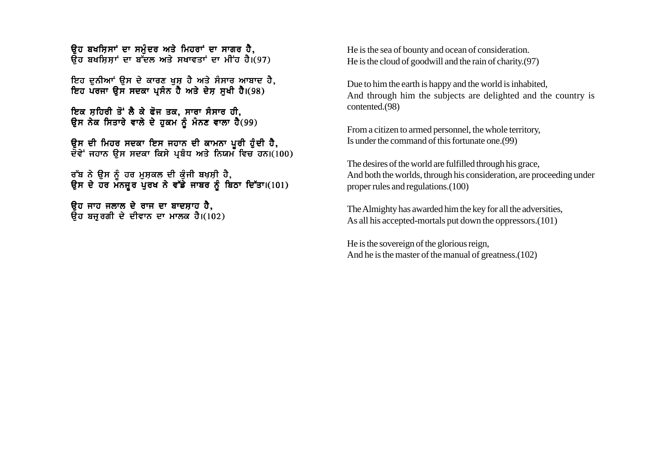ਉਹ ਬਖਸਿਸਾਂ ਦਾ ਸਮੰਦਰ ਅਤੇ ਮਿਹਰਾਂ ਦਾ ਸਾਗਰ ਹੈ.  $\overline{a}$ ਹ ਬਖਸਿਸਾਂ ਦਾ ਬੱਦਲ ਅਤੇ ਸਖਾਵਤਾਂ ਦਾ ਮੀਂਹ ਹੈ।(97)

ਇਹ ਦਨੀਆਂ ਉਸ ਦੇ ਕਾਰਣ ਖਸ ਹੈ ਅਤੇ ਸੰਸਾਰ ਆਬਾਦ ਹੈ. ਇਹ ਪਰਜਾ ੳਸ ਸਦਕਾ ਪਸੰਨ ਹੈ ਅਤੇ ਦੇਸ ਸਖੀ ਹੈ।(98)

ਇਕ ਸ਼ਹਿਰੀ ਤੋਂ ਲੈ ਕੇ ਫੋਜ ਤਕ, ਸਾਰਾ ਸੰਸਾਰ ਹੀ, ਉਸ ਨੇਕ ਸਿਤਾਰੇ ਵਾਲੇ ਦੇ ਹੁਕਮ ਨੂੰ ਮੰਨਣ ਵਾਲਾ ਹੈ(99)

ਉਸ ਦੀ ਮਿਹਰ ਸਦਕਾ ਇਸ ਜਹਾਨ ਦੀ ਕਾਮਨਾ ਪੂਰੀ ਹੁੰਦੀ ਹੈ, ਦੋਵੇਂ ਜਹਾਨ ਉਸ ਸਦਕਾ ਕਿਸੇ ਪ੍ਰਬੰਧ ਅਤੇ ਨਿਯਮ ਵਿਚ ਹਨ।(100)

ਰੱਬ ਨੇ ੳਸ ਨੰ ਹਰ ਮਸਕਲ ਦੀ ਕੰਜੀ ਬਖਸੀ ਹੈ. ੳਸ ਦੇ ਹਰ ਮੌਨਜਰ ਪਰਖ ਨੇ ਵੱਡੇ ਜਾਬਰ ਨੰ ਬਿਠਾ ਦਿੱਤਾ।(101)

ਉਹ ਜਾਹ ਜਲਾਲ ਦੇ ਰਾਜ ਦਾ ਬਾਦਸ਼ਾਹ ਹੈ.  $\overline{a}$ ਹ ਬਜ਼ਰਗੀ ਦੇ ਦੀਵਾਨ ਦਾ ਮਾਲਕ ਹੈ। $(102)$  He is the sea of bounty and ocean of consideration. He is the cloud of goodwill and the rain of charity.(97)

Due to him the earth is happy and the world is inhabited, And through him the subjects are delighted and the country is contented.(98)

From a citizen to armed personnel, the whole territory, Is under the command of this fortunate one.(99)

The desires of the world are fulfilled through his grace, And both the worlds, through his consideration, are proceeding under proper rules and regulations.(100)

The Almighty has awarded him the key for all the adversities, As all his accepted-mortals put down the oppressors.(101)

He is the sovereign of the glorious reign, And he is the master of the manual of greatness.(102)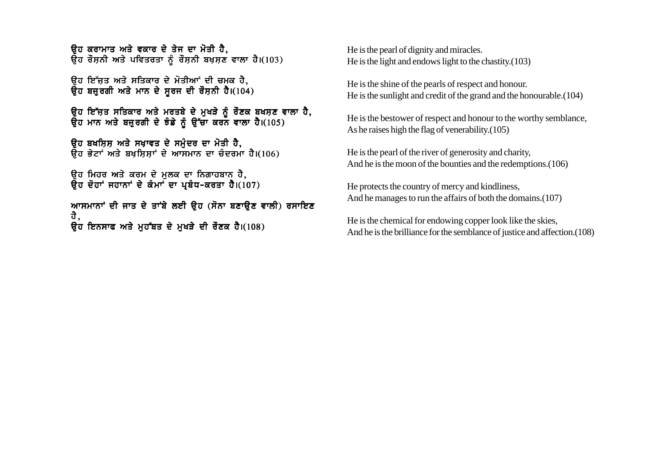<u>ਉਹ ਕਰਾਮਾਤ ਅਤੇ ਵਕਾਰ ਦੇ ਤੇਜ ਦਾ ਮੋਤੀ ਹੈ.</u>  $\overline{a}$ ਹ ਰੌਸ਼ਨੀ ਅਤੇ ਪਵਿਤਰਤਾ ਨੰ ਰੌਸ਼ਨੀ ਬਖ਼ਸ਼ਣ ਵਾਲਾ ਹੈ।(103)

<u>ਉਹ ਇੱਜਤ ਅਤੇ ਸਤਿਕਾਰ ਦੇ ਮੋਤੀਆਂ ਦੀ ਚਮਕ ਹੈ.</u>  $\theta$ ਹ ਬਜ਼ਰਗੀ ਅਤੇ ਮਾਨ ਦੇ ਸਰਜ ਦੀ ਰੌਸ਼ਨੀ ਹੈ।(104)

ਉਹ ਇੱਜਤ ਸਤਿਕਾਰ ਅਤੇ ਮਰਤਬੇ ਦੇ ਮੁਖੜੇ ਨੂੰ ਰੌਣਕ ਬਖਸ਼ਣ ਵਾਲਾ ਹੈ, ਉਹ ਮਾਨ ਅਤੇ ਬਜ਼ੁਰਗੀ ਦੇ ਝੰਡੇ ਨੂੰ ਉੱਚਾ ਕਰਨ ਵਾਲਾ ਹੈ।(105)

ਉਹ ਬਖਸ਼ਿਸ਼ ਅਤੇ ਸਖ਼ਾਵਤ ਦੇ ਸਮੁੰਦਰ ਦਾ ਮੋਤੀ ਹੈ,  $\overline{B}$ ਹ ਭੇਟਾਂ ਅਤੇ ਬਖਸਿਸਾਂ ਦੇ ਆਸਮਾਨ ਦਾ ਚੰਦਰਮਾ ਹੈ।(106)

ਉਹ ਮਿਹਰ ਅਤੇ ਕਰਮ ਦੇ ਮੁਲਕ ਦਾ ਨਿਗਾਹਬਾਨ ਹੈ,  $\overline{a}$ ਹ ਦੋਹਾਂ ਜਹਾਨਾਂ ਦੇ ਕੰਮਾਂ ਦਾ ਪਬੰਧ-ਕਰਤਾ ਹੈ।(107)

ਆਸਮਾਨਾਂ ਦੀ ਜਾਤ ਦੇ ਤਾਂਬੇ ਲਈ ਉਹ (ਸੋਨਾ ਬਣਾਉਣ ਵਾਲੀ) ਰਸਾਇਣ ਹੈ,  $\overline{a}$ ਹ ਇਨਸਾਫ ਅਤੇ ਮਹੱਬਤ ਦੇ ਮਖੜੇ ਦੀ ਰੌਣਕ ਹੈ।(108)

He is the pearl of dignity and miracles. He is the light and endows light to the chastity.(103)

He is the shine of the pearls of respect and honour. He is the sunlight and credit of the grand and the honourable.(104)

He is the bestower of respect and honour to the worthy semblance, As he raises high the flag of venerability.(105)

He is the pearl of the river of generosity and charity, And he is the moon of the bounties and the redemptions.(106)

He protects the country of mercy and kindliness, And he manages to run the affairs of both the domains.(107)

He is the chemical for endowing copper look like the skies, And he is the brilliance for the semblance of justice and affection.(108)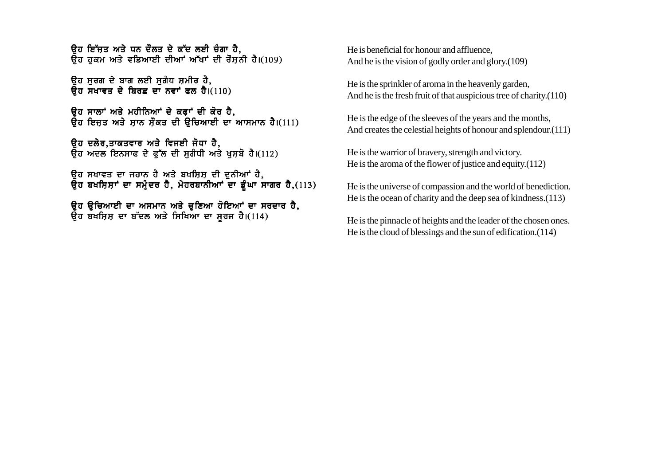<u>ਉਹ ਇੱਜਤ ਅਤੇ ਧਨ ਦੌਲਤ ਦੇ ਕੱਦ ਲਈ ਚੰਗਾ ਹੈ.</u>  $\bar{R}$ ਹ ਹਕਮ ਅਤੇ ਵਡਿਆਈ ਦੀਆਂ ਅੱਖਾਂ ਦੀ ਰੌਸ਼ਨੀ ਹੈ।(109)

<u>ਉਹ ਸਰਗ ਦੇ ਬਾਗ ਲਈ ਸਗੰਧ ਸਮੀਰ ਹੈ.</u>  $\overline{a}$ ਹ ਸਖਾਵਤ ਦੇ ਬਿਰਛ ਦਾ ਨਵਾਂ ਫਲ ਹੈ। $(110)$ 

ਉਹ ਸਾਲਾਂ ਅਤੇ ਮਹੀਨਿਆਂ ਦੇ ਕਫਾਂ ਦੀ ਕੋਰ ਹੈ, ਉਹ ਇਜੂਤ ਅਤੇ ਸਾਨ ਸੌਕਤ ਦੀ ਉਚਿਆਈ ਦਾ ਆਸਮਾਨ ਹੈ।(111)

ਓਹ ਦਲੇਰ,ਤਾਕਤਵਾਰ ਅਤੇ ਵਿਜਈ ਜੋਧਾ ਹੈ, ਉਹ ਅਦਲ ਇਨਸਾਫ ਦੇ ਫੁੱਲ ਦੀ ਸੁਗੰਧੀ ਅਤੇ ਖੁਸ਼ਬੋ ਹੈ।(112)

ਉਹ ਸਖਾਵਤ ਦਾ ਜਹਾਨ ਹੈ ਅਤੇ ਬਖਸ਼ਿਸ਼ ਦੀ ਦੁਨੀਆਂ ਹੈ, ਉਹ ਬਖਸ਼ਿਸ਼ਾਂ ਦਾ ਸਮੁੰਦਰ ਹੈ, ਮੇਹਰਬਾਨੀਆਂ ਦਾ ਡੂੰਘਾ ਸਾਗਰ ਹੈ,(113)

ਉਹ ਉਚਿਆਈ ਦਾ ਅਸਮਾਨ ਅਤੇ ਚੁਣਿਆ ਹੋਇਆਂ ਦਾ ਸਰਦਾਰ ਹੈ, ਉਹ ਬਖਸ਼ਿਸ਼ ਦਾ ਬੱਦਲ ਅਤੇ ਸਿਖਿਆ ਦਾ ਸੂਰਜ ਹੈ।(114)

He is beneficial for honour and affluence, And he is the vision of godly order and glory.(109)

He is the sprinkler of aroma in the heavenly garden, And he is the fresh fruit of that auspicious tree of charity.(110)

He is the edge of the sleeves of the years and the months, And creates the celestial heights of honour and splendour.(111)

He is the warrior of bravery, strength and victory. He is the aroma of the flower of justice and equity.(112)

He is the universe of compassion and the world of benediction. He is the ocean of charity and the deep sea of kindness.(113)

He is the pinnacle of heights and the leader of the chosen ones. He is the cloud of blessings and the sun of edification.(114)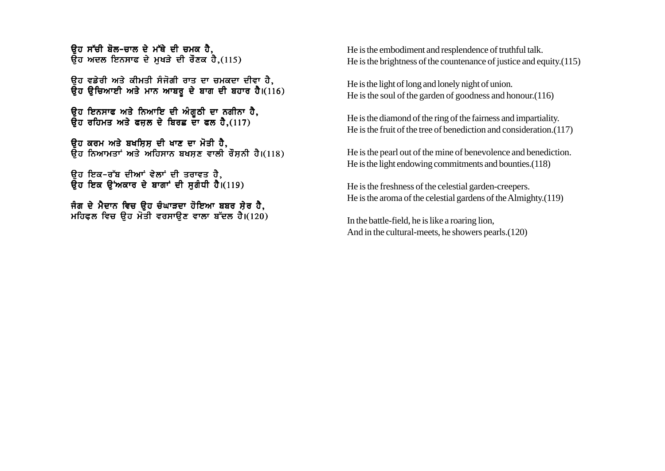<u>ਉਹ ਸੱਚੀ ਬੋਲ-ਚਾਲ ਦੇ ਮੱਥੇ ਦੀ ਚਮਕ ਹੈ.</u>  $\overline{a}$ ਹ ਅਦਲ ਇਨਸਾਫ ਦੇ ਮਖੜੇ ਦੀ ਰੌਣਕ ਹੈ,(115)

<u>ਉਹ ਵਡੇਰੀ ਅਤੇ ਕੀਮਤੀ ਸੰਜੋਗੀ ਰਾਤ ਦਾ ਚਮਕਦਾ ਦੀਵਾ ਹੈ.</u> ਉਹ ਉਚਿਆਈ ਅਤੇ ਮਾਨ ਆਬਰੂ ਦੇ ਬਾਗ ਦੀ ਬਹਾਰ ਹੈ।(116)

ਉਹ ਇਨਸਾਫ ਅਤੇ ਨਿਆਇ ਦੀ ਅੰਗੂਠੀ ਦਾ ਨਗੀਨਾ ਹੈ,  $\bar{R}$ ਹ ਰਹਿਮਤ ਅਤੇ ਫਜਲ ਦੇ ਬਿਰਛ ਦਾ ਫਲ ਹੈ.(117)

ਉਹ ਕਰਮ ਅਤੇ ਬਖਸ਼ਿਸ਼ ਦੀ ਖਾਣ ਦਾ ਮੋਤੀ ਹੈ,  $\overline{B}$ ਹ ਨਿਆਮਤਾਂ ਅਤੇ ਅਹਿਸਾਨ ਬਖਸ਼ਣ ਵਾਲੀ ਰੌਸ਼ਨੀ ਹੈ।(118)

ਉਹ ਇਕ-ਰੱਬ ਦੀਆਂ ਵੇਲਾਂ ਦੀ ਤਰਾਵਤ ਹੈ,  $\overline{a}$ ਹ ਇਕ ੳਂਅਕਾਰ ਦੇ ਬਾਗਾਂ ਦੀ ਸਗੰਧੀ ਹੈ।(119)

ਜੰਗ ਦੇ ਮੈਦਾਨ ਵਿਚ ਉਹ ਚੰਘਾੜਦਾ ਹੋਇਆ ਬਬਰ ਸ਼ੇਰ ਹੈ, ਮਹਿਫਲ ਵਿਚ ੳਹ ਮੋਤੀ ਵਰਸਾੳਣ ਵਾਲਾ ਬੱਦਲ ਹੈ।(120) He is the embodiment and resplendence of truthful talk. He is the brightness of the countenance of justice and equity.(115)

He is the light of long and lonely night of union. He is the soul of the garden of goodness and honour.(116)

He is the diamond of the ring of the fairness and impartiality. He is the fruit of the tree of benediction and consideration.(117)

He is the pearl out of the mine of benevolence and benediction. He is the light endowing commitments and bounties.(118)

He is the freshness of the celestial garden-creepers. He is the aroma of the celestial gardens of the Almighty.(119)

In the battle-field, he is like a roaring lion, And in the cultural-meets, he showers pearls.(120)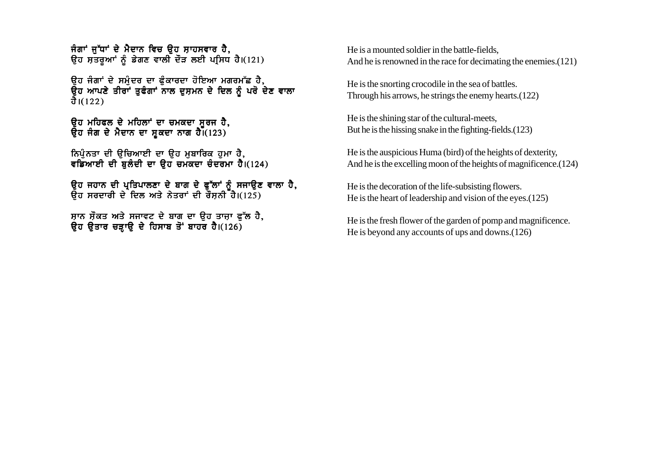ਜੰਗਾਂ ਜੱਧਾਂ ਦੇ ਮੈਦਾਨ ਵਿਚ ੳਹ ਸ਼ਾਹਸਵਾਰ ਹੈ. ਉਹ ਸਤਰੂਆਂ ਨੂੰ ਡੇਗਣ ਵਾਲੀ ਦੌੜ ਲਈ ਪਸਿਧ ਹੈ।(121)

<u>ਉਹ ਜੰਗਾਂ ਦੇ ਸਮੰਦਰ ਦਾ ਫੰਕਾਰਦਾ ਹੋਇਆ ਮਗਰਮੱਛ ਹੈ.</u> ਉਹ ਆਪਣੇ ਤੀਰਾਂ ਤੁਫੰਗਾਂ ਨਾਲ ਦੁਸ਼ਮਨ ਦੇ ਦਿਲ ਨੂੰ ਪਰੋ ਦੇਣ ਵਾਲਾ ਹੈ। $(122)$ 

ਉਹ ਮਹਿਫਲ ਦੇ ਮਹਿਲਾਂ ਦਾ ਚਮਕਦਾ ਸੂਰਜ ਹੈ, ਉਹ ਜੰਗ ਦੇ ਮੈਦਾਨ ਦਾ ਸ਼ਕਦਾ ਨਾਗ ਹੈ।  $(123)$ 

ਨਿਪੁੰਨਤਾ ਦੀ ਉਚਿਆਈ ਦਾ ਉਹ ਮੁਬਾਰਿਕ ਹੁਮਾ ਹੈ, ਵਡਿਆਈ ਦੀ ਬਲੰਦੀ ਦਾ ਉਹ ਚਮਕਦਾ ਚੰਦਰਮਾ ਹੈ।(124)

ਓਹ ਜਹਾਨ ਦੀ ਪਤਿਪਾਲਣਾ ਦੇ ਬਾਗ ਦੇ ਫੱਲਾਂ ਨੰ ਸਜਾਓਣ ਵਾਲਾ ਹੈ. ੳਹ ਸਰਦਾਰੀ ਦੇ ਦਿਲ ਅਤੇ ਨੇਤਰਾਂ ਦੀ ਰੌਸਨੀ ਹੈ।(125)

ਸ਼ਾਨ ਸੌਕਤ ਅਤੇ ਸਜਾਵਟ ਦੇ ਬਾਗ ਦਾ ਉਹ ਤਾਜ਼ਾ ਫੁੱਲ ਹੈ, ਉਹ ਉਤਾਰ ਚੜ੍ਹਾਉ ਦੇ ਹਿਸਾਬ ਤੋਂ ਬਾਹਰ ਹੈ। $(126)$ 

He is a mounted soldier in the battle-fields, And he is renowned in the race for decimating the enemies.(121)

He is the snorting crocodile in the sea of battles. Through his arrows, he strings the enemy hearts.(122)

He is the shining star of the cultural-meets, But he is the hissing snake in the fighting-fields.(123)

He is the auspicious Huma (bird) of the heights of dexterity, And he is the excelling moon of the heights of magnificence.(124)

He is the decoration of the life-subsisting flowers. He is the heart of leadership and vision of the eyes.(125)

He is the fresh flower of the garden of pomp and magnificence. He is beyond any accounts of ups and downs.(126)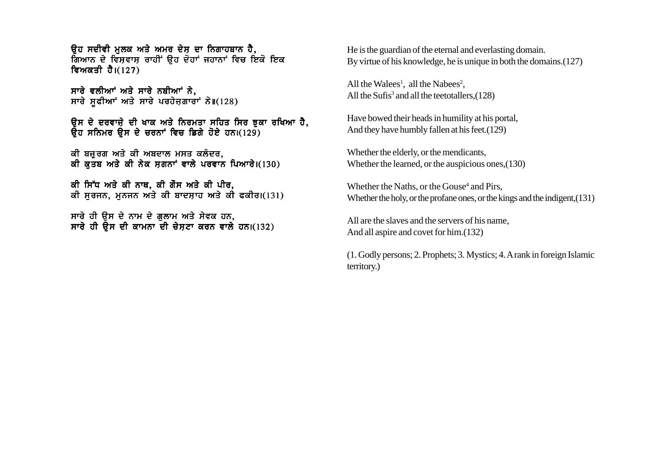ਉਹ ਸਦੀਵੀ ਮਲਕ ਅਤੇ ਅਮਰ ਦੇਸ਼ ਦਾ ਨਿਗਾਹਬਾਨ ਹੈ. ਗਿਆਨ ਦੇ ਵਿਸਵਾਸ ਰਾਹੀਂ ੳਹ ਦੋਹਾਂ ਜਹਾਨਾਂ ਵਿਚ ਇਕੋ ਇਕ ਵਿਅਕਤੀ ਹੈ। $(127)$ 

ਸਾਰੇ ਵਲੀਆਾਂ ਅਤੇ ਸਾਰੇ ਨਬੀਆਾਂ ਨੇ. ਸਾਰੇ ਸਫੀਆਾਂ ਅਤੇ ਸਾਰੇ ਪਰਹੇਜਗਾਰਾਂ ਨੇ $\mathfrak{u}(128)$ 

ਉਸ ਦੇ ਦਰਵਾਜ਼ੇ ਦੀ ਖਾਕ ਅਤੇ ਨਿਰਮਤਾ ਸਹਿਤ ਸਿਰ ਝੁਕਾ ਰਖਿਆ ਹੈ,  $\overline{a}$ ਰ ਸਨਿਮਰ ੳਸ ਦੇ ਚਰਨਾਂ ਵਿਚ ਡਿਗੇ ਹੋਏ ਹਨ।(129)

ਕੀ ਬਜੁਰਗ ਅਤੇ ਕੀ ਅਬਦਾਲ ਮਸਤ ਕਲੰਦਰ, ਕੀ ਕਤਬ ਅਤੇ ਕੀ ਨੇਕ ਸਗਨਾਂ ਵਾਲੇ ਪਰਵਾਨ ਪਿਆਰੇ।(130)

ਕੀ ਸਿੱਧ ਅਤੇ ਕੀ ਨਾਥ, ਕੀ ਗੌਸ ਅਤੇ ਕੀ ਪੀਰ, ਕੀ ਸਰਜਨ, ਮਨਜਨ ਅਤੇ ਕੀ ਬਾਦਸਾਹ ਅਤੇ ਕੀ ਫਕੀਰ।(131)

ਸਾਰੇ ਹੀ ੳਸ ਦੇ ਨਾਮ ਦੇ ਗਲਾਮ ਅਤੇ ਸੇਵਕ ਹਨ, ਸਾਰੇ ਹੀ ਉਸ ਦੀ ਕਾਮਨਾ ਦੀ ਚੇਸਟਾ ਕਰਨ ਵਾਲੇ ਹਨ।(132) He is the guardian of the eternal and everlasting domain. By virtue of his knowledge, he is unique in both the domains.(127)

All the Walees<sup>1</sup>, all the Nabees<sup>2</sup>, All the Sufis<sup>3</sup> and all the teetotallers,  $(128)$ 

Have bowed their heads in humility at his portal, And they have humbly fallen at his feet.(129)

Whether the elderly, or the mendicants, Whether the learned, or the auspicious ones,(130)

Whether the Naths, or the Gouse<sup>4</sup> and Pirs, Whether the holy, or the profane ones, or the kings and the indigent,(131)

All are the slaves and the servers of his name, And all aspire and covet for him.(132)

(1. Godly persons; 2. Prophets; 3. Mystics; 4. A rank in foreign Islamic territory.)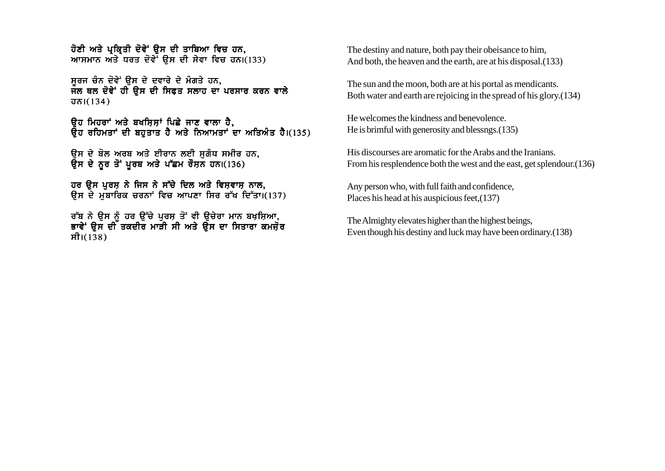ਹੋਣੀ ਅਤੇ ਪਕਿਤੀ ਦੋਵੇਂ ੳਸ ਦੀ ਤਾਬਿਆ ਵਿਚ ਹਨ. ਆਸਮਾਨ ਅਤੇ ਧਰਤ ਦੋਵੇਂ ਉਸ ਦੀ ਸੇਵਾ ਵਿਚ ਹਨ। $(133)$ 

ਸਰਜ ਚੈਨ ਦੋਵੇਂ ਉਸ ਦੇ ਦਵਾਰੇ ਦੇ ਮੰਗਤੇ ਹਨ. ਜਲ ਥਲ ਦੋਵੇਂ ਹੀ ਉਸ ਦੀ ਸਿਫਤ ਸਲਾਹ ਦਾ ਪਰਸਾਰ ਕਰਨ ਵਾਲੇ  $\overline{d}$  $\overline{b}$  $1(134)$ 

ਉਹ ਮਿਹਰਾਂ ਅਤੇ ਬਖਸ਼ਿਸ਼ਾਂ ਪਿਛੇ ਜਾਣ ਵਾਲਾ ਹੈ,  $\bar{R}$ ਹ ਰਹਿਮਤਾਂ ਦੀ ਬਹਤਾਤ ਹੈ ਅਤੇ ਨਿਆਮਤਾਂ ਦਾ ਅਤਿਅੰਤ ਹੈ।(135)

ਉਸ ਦੇ ਬੋਲ ਅਰਬ ਅਤੇ ਈਰਾਨ ਲਈ ਸੁਗੰਧ ਸਮੀਰ ਹਨ, ਉਸ ਦੇ ਨੂਰ ਤੋਂ ਪੂਰਬ ਅਤੇ ਪੱਛਮ ਰੌਸ਼ਨ ਹਨ।(136)

ਹਰ ੳਸ ਪਰਸ ਨੇ ਜਿਸ ਨੇ ਸੱਚੇ ਦਿਲ ਅਤੇ ਵਿਸ਼ਵਾਸ ਨਾਲ, ਉਸ ਦੇ ਮੁਬਾਰਿਕ ਚਰਨਾਂ ਵਿਚ ਆਪਣਾ ਸਿਰ ਰੱਖ ਦਿੱਤਾ।(137)

ਰੱਬ ਨੇ ਉਸ ਨੂੰ ਹਰ ਉੱਚੇ ਪੂਰਸ਼ ਤੋਂ ਵੀ ਉਚੇਰਾ ਮਾਨ ਬਖ਼ਸ਼ਿਆ, ਭਾਵੇਂ ੳਸ ਦੀ ਤਕਦੀਰ ਮਾੜੀ ਸੀ ਅਤੇ ੳਸ ਦਾ ਸਿਤਾਰਾ ਕਮਜੋਰ ਸੀ। $(138)$ 

The destiny and nature, both pay their obeisance to him, And both, the heaven and the earth, are at his disposal.(133)

The sun and the moon, both are at his portal as mendicants. Both water and earth are rejoicing in the spread of his glory.(134)

He welcomes the kindness and benevolence. He is brimful with generosity and blessngs.(135)

His discourses are aromatic for the Arabs and the Iranians. From his resplendence both the west and the east, get splendour.(136)

Any person who, with full faith and confidence, Places his head at his auspicious feet,(137)

The Almighty elevates higher than the highest beings, Even though his destiny and luck may have been ordinary.(138)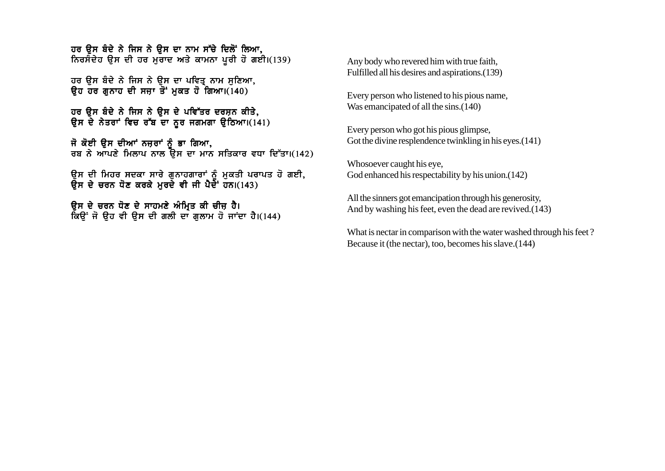ਹਰ ੳਸ ਬੰਦੇ ਨੇ ਜਿਸ ਨੇ ੳਸ ਦਾ ਨਾਮ ਸੱਚੇ ਦਿਲੋਂ ਲਿਆ. ਨਿਰਸੰਦੇਹ ੳਸ ਦੀ ਹਰ ਮਰਾਦ ਅਤੇ ਕਾਮਨਾ ਪਰੀ ਹੋ ਗਈ।(139)

ਹਰ ਉਸ ਬੰਦੇ ਨੇ ਜਿਸ ਨੇ ਉਸ ਦਾ ਪਵਿਤ੍ਰ ਨਾਮ ਸੁਣਿਆ, ਉਹ ਹਰ ਗਨਾਹ ਦੀ ਸਜ਼ਾ ਤੋਂ ਮਕਤ ਹੋ ਗਿਆ।(140)

ਹਰ ੳਸ ਬੰਦੇ ਨੇ ਜਿਸ ਨੇ ੳਸ ਦੇ ਪਵਿੱਤਰ ਦਰਸ਼ਨ ਕੀਤੇ, ਉਸ ਦੇ ਨੇਤਰਾਂ ਵਿਚ ਰੱਬ ਦਾ ਨਰ ਜਗਮਗਾ ਉਠਿਆ।(141)

ਜੋ ਕੋਈ ੳਸ ਦੀਆਂ ਨਜ਼ਰਾਂ ਨੰ ਭਾ ਗਿਆ, ਰਬ ਨੇ ਆਪਣੇ ਮਿਲਾਪ ਨਾਲ ਉਸ ਦਾ ਮਾਨ ਸਤਿਕਾਰ ਵਧਾ ਦਿੱਤਾ।(142)

ੳਸ ਦੀ ਮਿਹਰ ਸਦਕਾ ਸਾਰੇ ਗਨਾਹਗਾਰਾਂ ਨੰ ਮਕਤੀ ਪਰਾਪਤ ਹੋ ਗਈ**.** ੳਸ ਦੇ ਚਰਨ ਧੋਣ ਕਰਕੇ ਮਰਦੇ ਵੀ ਜੀ ਪੈਦੇੇਂ ਹਨ।(143)

ਉਸ ਦੇ ਚਰਨ ਧੋਣ ਦੇ ਸਾਹਮਣੇ ਅੰਮ੍ਰਿਤ ਕੀ ਚੀਜ਼ ਹੈ। ਕਿੳਂ ਜੋ ੳਹ ਵੀ ੳਸ ਦੀ ਗਲੀ ਦਾ ਗਲਾਮ ਹੋ ਜਾਂਦਾ ਹੈ।(144) Any body who revered him with true faith, Fulfilled all his desires and aspirations.(139)

Every person who listened to his pious name, Was emancipated of all the sins.(140)

Every person who got his pious glimpse, Got the divine resplendence twinkling in his eyes.(141)

Whosoever caught his eye, God enhanced his respectability by his union.(142)

All the sinners got emancipation through his generosity, And by washing his feet, even the dead are revived.(143)

What is nectar in comparison with the water washed through his feet? Because it (the nectar), too, becomes his slave.(144)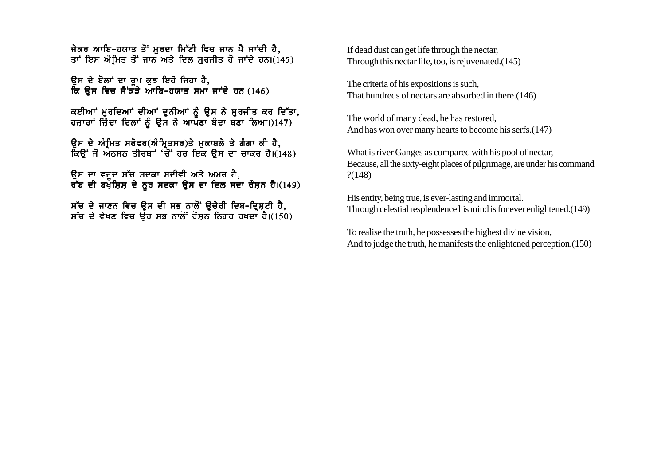ਜੇਕਰ ਆਬਿ-ਹਯਾਤ ਤੋਂ ਮਰਦਾ ਮਿੱਟੀ ਵਿਚ ਜਾਨ ਪੈ ਜਾਂਦੀ ਹੈ. ਤਾਂ ਇਸ ਅੰਮਿਤ ਤੋਂ ਜਾਨ ਅਤੇ ਦਿਲ ਸਰਜੀਤ ਹੋ ਜਾਂਦੇ ਹਨ।(145)

ਉਸ ਦੇ ਬੋਲਾਂ ਦਾ ਰਪ ਕੁਝ ਇਹੋ ਜਿਹਾ ਹੈ. ਕਿ ਉਸ ਵਿਚ ਸੈਂਕਤੇ ਆਬਿ-ਹਯਾਤ ਸਮਾ ਜਾਂਦੇ ਹਨ।(146)

ਕਈਆਂ ਮੁਰਦਿਆਂ ਦੀਆਂ ਦੁਨੀਆਂ ਨੂੰ ਉਸ ਨੇ ਸੁਰਜੀਤ ਕਰ ਦਿੱਤਾ,  $\frac{1}{2}$ ਹਜ਼ਾਰਾਂ ਜ਼ਿੰਦਾ ਦਿਲਾਂ ਨੂੰ ਉਸ ਨੇ ਆਪਣਾ ਬੰਦਾ ਬਣਾ ਲਿਆ।)147)

ਉਸ ਦੇ ਅੰਮਿਤ ਸਰੋਵਰ(ਅੰਮ੍ਰਿਤਸਰ)ਤੇ ਮੁਕਾਬਲੇ ਤੇ ਗੰਗਾ ਕੀ ਹੈ, ਕਿਉਂ ਜੋ ਅੇਠਸਠ ਤੀਰਥਾਂ 'ਚੋਂ ਹਰ ਇਕ ਉਸ ਦਾ ਚਾਕਰ ਹੈ। $(148)$ 

ੳਸ ਦਾ ਵਜਦ ਸੱਚ ਸਦਕਾ ਸਦੀਵੀ ਅਤੇ ਅਮਰ ਹੈ**.** ਰੱਬ ਦੀ ਬਖੌਸਿਸ ਦੇ ਨਰ ਸਦਕਾ ੳਸ ਦਾ ਦਿਲ ਸਦਾ ਰੌਸਨ ਹੈ।(149)

ਸੱਚ ਦੇ ਜਾਣਨ ਵਿਚ ਉਸ ਦੀ ਸਭ ਨਾਲੋਂ ਉਚੇਰੀ ਦਿਬ-ਦ੍ਰਿਸ਼ਟੀ ਹੈ, ਸੱਚ ਦੇ ਵੇਖਣ ਵਿਚ ਉਹ ਸਭ ਨਾਲੋਂ ਰੌਸ਼ਨ ਨਿਗਹ ਰਖਦਾ ਹੈ।(150) If dead dust can get life through the nectar, Through this nectar life, too, is rejuvenated.(145)

The criteria of his expositions is such, That hundreds of nectars are absorbed in there.(146)

The world of many dead, he has restored, And has won over many hearts to become his serfs.(147)

What is river Ganges as compared with his pool of nectar, Because, all the sixty-eight places of pilgrimage, are under his command ?(148)

His entity, being true, is ever-lasting and immortal. Through celestial resplendence his mind is for ever enlightened.(149)

To realise the truth, he possesses the highest divine vision, And to judge the truth, he manifests the enlightened perception.(150)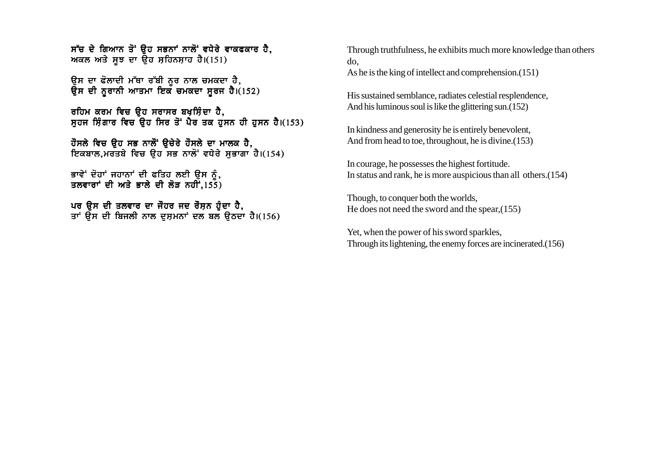$\vec{r}$ ਚ ਦੇ ਗਿਆਨ ਤੋਂ ੳਹ ਸਭਨਾਂ ਨਾਲੋਂ ਵਧੇਰੇ ਵਾਕਫਕਾਰ ਹੈ. ਅਕਲ ਅਤੇ ਸਝ ਦਾ ਉਹ ਸਹਿਨਸ਼ਾਹ ਹੈ।(151)

ਉਸ ਦਾ ਫੋਲਾਦੀ ਮੱਥਾ ਰੱਬੀ ਨੂਰ ਨਾਲ ਚਮਕਦਾ ਹੈ, ਉਸ ਦੀ ਨਰਾਨੀ ਆਤਮਾ ਇਕ ਚਮਕਦਾ ਸਰਜ ਹੈ।(152)

ਰਹਿਮ ਕਰਮ ਵਿਚ ੳਹ ਸਰਾਸਰ ਬਖੁਸ਼ਿੰਦਾ ਹੈ. ਸਹਜ ਸਿੰਗਾਰ ਵਿਚ ਉਹ ਸਿਰ ਤੋਂ ਪੈਰ ਤਕ ਹਸਨ ਹੀ ਹਸਨ ਹੈ।(153)

ਹੌਸਲੇ ਵਿਚ ੳਹ ਸਭ ਨਾਲੋਂ ੳਚੇਰੇ ਹੌਸਲੇ ਦਾ ਮਾਲਕ ਹੈ. ਇਕਬਾਲ ਮਰਤਬੇ ਵਿਚ ੳਹ ਸਭ ਨਾਲੋਂ ਵਧੇਰੇ ਸਭਾਗਾ ਹੈ।(154)

ਭਾਵੇਂ ਦੋਹਾਂ ਜਹਾਨਾਂ ਦੀ ਫਤਿਹ ਲਈ ੳਸ ਨੰ. ਤਲਵਾਰਾਂ ਦੀ ਅਤੇ ਭਾਲੇ ਦੀ ਲੋੜ ਨਹੀਂ.155)

ਪਰ ਉਸ ਦੀ ਤਲਵਾਰ ਦਾ ਜੌਹਰ ਜਦ ਰੌਸ਼ਨ ਹੁੰਦਾ ਹੈ, ਤਾਂ ਉਸ ਦੀ ਬਿਜਲੀ ਨਾਲ ਦਸ਼ਮਨਾਂ ਦਲ ਬਲ ੳਠਦਾ ਹੈ।(156) Through truthfulness, he exhibits much more knowledge than others do,

As he is the king of intellect and comprehension.(151)

His sustained semblance, radiates celestial resplendence, And his luminous soul is like the glittering sun.(152)

In kindness and generosity he is entirely benevolent, And from head to toe, throughout, he is divine.(153)

In courage, he possesses the highest fortitude. In status and rank, he is more auspicious than all others.(154)

Though, to conquer both the worlds, He does not need the sword and the spear,(155)

Yet, when the power of his sword sparkles, Through its lightening, the enemy forces are incinerated.(156)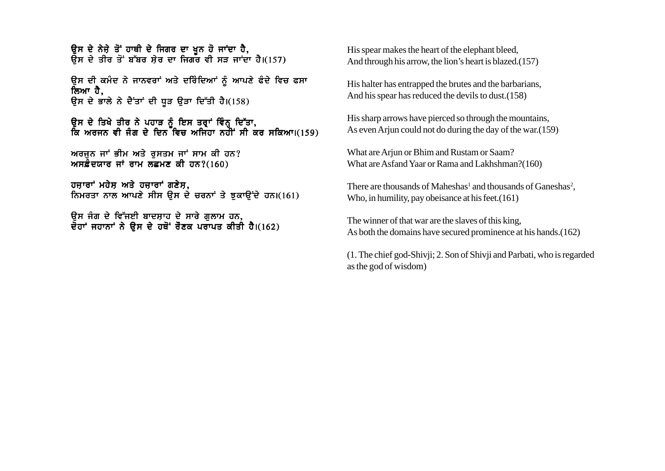ਉਸ ਦੇ ਨੇਜ਼ੇ ਤੋਂ ਹਾਥੀ ਦੇ ਜਿਗਰ ਦਾ ਖ਼ੂਨ ਹੋ ਜਾਂਦਾ ਹੈ,  $\overline{R}$ ਸ ਦੇ ਤੀਰ ਤੋਂ ਬੱਬਰ ਸੇਰ ਦਾ ਜਿਗਰ ਵੀ ਸੜ ਜਾਂਦਾ ਹੈ।(157)

ਉਸ ਦੀ ਕਮੰਦ ਨੇ ਜਾਨਵਰਾਂ ਅਤੇ ਦਰਿੰਦਿਆਂ ਨੂੰ ਆਪਣੇ ਫੰਦੇ ਵਿਚ ਫਸਾ ਲਿਆ ਹੈ. ਉਸ ਦੇ ਭਾਲੇ ਨੇ ਦੈਂਤਾਂ ਦੀ ਧੁੜ ਉੜਾ ਦਿੱਤੀ ਹੈ।(158)

ੳਸ ਦੇ ਤਿਖੇ ਤੀਰ ਨੇ ਪਹਾੜ ਨੰ ਇਸ ਤਰਾਂ ਵਿੰਨ ਦਿੱਤਾ. ਕਿ ਅਰਜਨ ਵੀ ਜੰਗ ਦੇ ਦਿਨ ਵਿਚ ਅਜਿਹਾ ਨਹੀਂ ਸੀ ਕਰ ਸਕਿਆ।(159)

ਅਰਜੁਨ ਜਾਂ ਭੀਮ ਅਤੇ ਰੁਸਤਮ ਜਾਂ ਸਾਮ ਕੀ ਹਨ? ਅਸਫ਼ੌਦਯਾਰ ਜਾਂ ਰਾਮ ਲਛਮਣ ਕੀ ਹਨ? $(160)$ 

ਹਜ਼ਾਰਾਂ ਮਹੇਸ਼ ਅਤੇ ਹਜ਼ਾਰਾਂ ਗਣੇਸ਼, ਨਿਮਰਤਾ ਨਾਲ ਆਪਣੇ ਸੀਸ ੳਸ ਦੇ ਚਰਨਾਂ ਤੇ ਝਕਾੳਂਦੇ ਹਨ।(161)

ਓਸ ਜੰਗ ਦੇ ਵਿੱਜਈ ਬਾਦਸ਼ਾਹ ਦੇ ਸਾਰੇ ਗਲਾਮ ਹਨ, ਦੋਹਾਂ ਜਹਾਨਾਂ ਨੇ ਉਸ ਦੇ ਹਥੋਂ ਰੋਣਕ ਪਰਾਪਤ ਕੀਤੀ ਹੈ।(162) His spear makes the heart of the elephant bleed, And through his arrow, the lion's heart is blazed.(157)

His halter has entrapped the brutes and the barbarians, And his spear has reduced the devils to dust.(158)

His sharp arrows have pierced so through the mountains, As even Arjun could not do during the day of the war.(159)

What are Arjun or Bhim and Rustam or Saam? What are Asfand Yaar or Rama and Lakhshman?(160)

There are thousands of Maheshas<sup>1</sup> and thousands of Ganeshas<sup>2</sup>, Who, in humility, pay obeisance at his feet.(161)

The winner of that war are the slaves of this king, As both the domains have secured prominence at his hands.(162)

(1. The chief god-Shivji; 2. Son of Shivji and Parbati, who is regarded as the god of wisdom)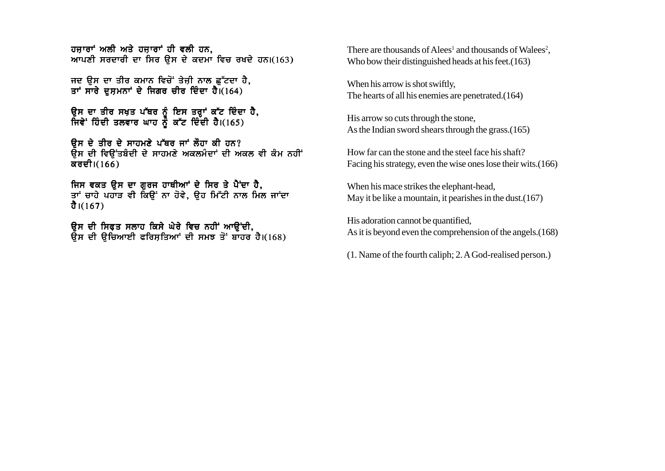ਹਜਾਰਾਂ ਅਲੀ ਅਤੇ ਹਜਾਰਾਂ ਹੀ ਵਲੀ ਹਨ. ਆਪਣੀ ਸਰਦਾਰੀ ਦਾ ਸਿਰ ਉਸ ਦੇ ਕਦਮਾ ਵਿਚ ਰਖਦੇ ਹਨ।(163)

ਜਦ ਉਸ ਦਾ ਤੀਰ ਕਮਾਨ ਵਿਚੋਂ ਤੇਜ਼ੀ ਨਾਲ ਛੱਟਦਾ ਹੈ, ਤਾਂ ਸਾਰੇ ਦਸ਼ਮਨਾਂ ਦੇ ਜਿਗਰ ਚੀਰ ਦਿੰਦਾ ਹੈ। $(164)$ 

ਉਸ ਦਾ ਤੀਰ ਸਖ਼ਤ ਪੱਥਰ ਨੂੰ ਇਸ ਤਰ੍ਹਾਂ ਕੱਟ ਦਿੰਦਾ ਹੈ, ਜਿਵੇਂ ਹਿੰਦੀ ਤਲਵਾਰ ਘਾਹ ਨੂੰ ਕੱਟ ਦਿੰਦੀ ਹੈ।(165)

 $R$ ਸ ਦੇ ਤੀਰ ਦੇ ਸਾਹਮਣੇ ਪੱਥਰ ਜਾਂ ਲੌਹਾ ਕੀ ਹਨ? ਉਸ ਦੀ ਵਿਉਂਤਬੰਦੀ ਦੇ ਸਾਹਮਣੇ ਅਕਲਮੰਦਾਂ ਦੀ ਅਕਲ ਵੀ ਕੰਮ ਨਹੀਂ ਕਰਦੀ।(166)

ਜਿਸ ਵਕਤ ੳਸ ਦਾ ਗਰਜ ਹਾਥੀਆਂ ਦੇ ਸਿਰ ਤੇ ਪੈਂਦਾ ਹੈ, ਤਾਂ ਚਾਹੇ ਪਹਾੜ ਵੀ ਕਿੳਂ ਨਾ ਹੋਵੇ, ੳਹ ਮਿੱਟੀ ਨਾਲ ਮਿਲ ਜਾਂਦਾ ਹੈ। $(167)$ 

ਉਸ ਦੀ ਸਿਫਤ ਸਲਾਹ ਕਿਸੇ ਘੇਰੇ ਵਿਚ ਨਹੀਂ ਆਉਂਦੀ, ਉਸ ਦੀ ਉਚਿਆਈ ਫਰਿਸਤਿਆਂ ਦੀ ਸਮਝ ਤੋਂ ਬਾਹਰ ਹੈ।(168)

There are thousands of Alees<sup>1</sup> and thousands of Walees<sup>2</sup>, Who bow their distinguished heads at his feet.(163)

When his arrow is shot swiftly, The hearts of all his enemies are penetrated.(164)

His arrow so cuts through the stone, As the Indian sword shears through the grass.(165)

How far can the stone and the steel face his shaft? Facing his strategy, even the wise ones lose their wits.(166)

When his mace strikes the elephant-head, May it be like a mountain, it pearishes in the dust.(167)

His adoration cannot be quantified, As it is beyond even the comprehension of the angels.(168)

(1. Name of the fourth caliph; 2. A God-realised person.)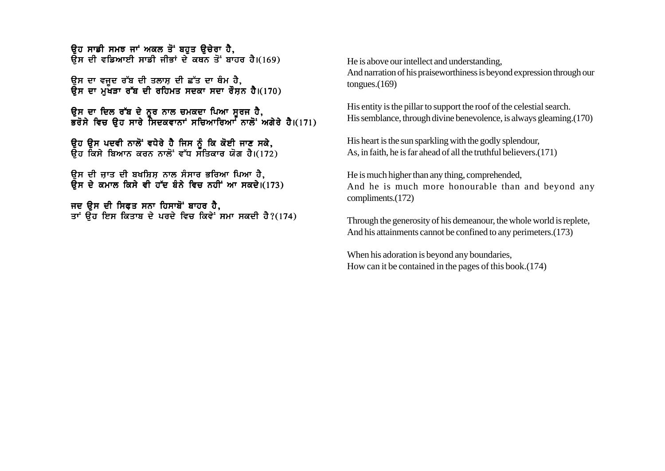<u>ਉਹ ਸਾਡੀ ਸਮਝ ਜਾਂ ਅਕਲ ਤੋਂ ਬਹੁਤ ਉਚੇਰਾ ਹੈ.</u>  $\overline{R}$ ਸ ਦੀ ਵਡਿਆਈ ਸਾਡੀ ਜੀਭਾਂ ਦੇ ਕਥਨ ਤੋਂ ਬਾਹਰ ਹੈ।(169)

ੳਸ ਦਾ ਵਜਦ ਰੱਬ ਦੀ ਤਲਾਸ ਦੀ ਛੱਤ ਦਾ ਥੰਮ ਹੈ. ੳਸ ਦਾ ਮੱਖੜਾ ਰੱਬ ਦੀ ਰਹਿਮਤ ਸਦਕਾ ਸਦਾ ਰੌਸਨ ਹੈ।(170)

ਉਸ ਦਾ ਦਿਲ ਰੱਬ ਦੇ ਨਰ ਨਾਲ ਚਮਕਦਾ ਪਿਆ ਸਰਜ ਹੈ, ਭਰੋਸੇ ਵਿਚ ੳਹ ਸਾਰੇ ਸਿਦਕਵਾਨਾਂ ਸਚਿਆਰਿਆ<sup>፣</sup> ਨਾਲੋਂ ਅਗੇਰੇ ਹੈ।(171)

ੳਹ ੳਸ ਪਦਵੀ ਨਾਲੋਂ ਵਧੇਰੇ ਹੈ ਜਿਸ ਨੂੰ ਕਿ ਕੋਈ ਜਾਣ ਸਕੇ. ੳਹ ਕਿਸੇ ਬਿਆਨ ਕਰਨ ਨਾਲੋਂ ਵੱਧ ਸਤਿਕਾਰ ਯੋਗ ਹੈ।(172)

ਉਸ ਦੀ ਜ਼ਾਤ ਦੀ ਬਖਸ਼ਿਸ਼ ਨਾਲ ਸੰਸਾਰ ਭਰਿਆ ਪਿਆ ਹੈ,  $\overline{R}$ ਸ ਦੇ ਕਮਾਲ ਕਿਸੇ ਵੀ ਹੱਦ ਬੰਨੇ ਵਿਚ ਨਹੀਂ ਆ ਸਕਦੇ।(173)

ਜਦ ਉਸ ਦੀ ਸਿਫ਼ਤ ਸਨਾ ਹਿਸਾਬੋਂ ਬਾਹਰ ਹੈ, ਤਾਂ ਉਹ ਇਸ ਕਿਤਾਬ ਦੇ ਪਰਦੇ ਵਿਚ ਕਿਵੇਂ ਸਮਾ ਸਕਦੀ ਹੈ?(174) He is above our intellect and understanding, And narration of his praiseworthiness is beyond expression through our tongues.(169)

His entity is the pillar to support the roof of the celestial search. His semblance, through divine benevolence, is always gleaming.(170)

His heart is the sun sparkling with the godly splendour, As, in faith, he is far ahead of all the truthful believers.(171)

He is much higher than any thing, comprehended, And he is much more honourable than and beyond any compliments.(172)

Through the generosity of his demeanour, the whole world is replete, And his attainments cannot be confined to any perimeters.(173)

When his adoration is beyond any boundaries, How can it be contained in the pages of this book.(174)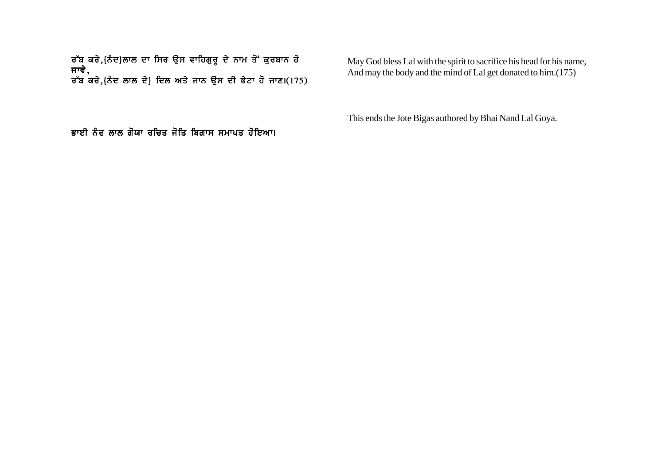ਰੱਬ ਕਰੇ.{ਨੰਦ}ਲਾਲ ਦਾ ਸਿਰ ੳਸ ਵਾਹਿਗਰ ਦੇ ਨਾਮ ਤੋਂ ਕਰਬਾਨ ਹੋ ਜਾਵੇ. ਰੱਬ ਕਰੇ.{ਨੰਦ ਲਾਲ ਦੇ} ਦਿਲ ਅਤੇ ਜਾਨ ੳਸ ਦੀ ਭੇਟਾ ਹੋ ਜਾਣ।(175)

May God bless Lal with the spirit to sacrifice his head for his name, And may the body and the mind of Lal get donated to him.(175)

This ends the Jote Bigas authored by Bhai Nand Lal Goya.

ਭਾਈ ਨੰਦ ਲਾਲ ਗੋਯਾ ਰਚਿਤ ਜੋਤਿ ਬਿਗਾਸ ਸਮਾਪਤ ਹੋਇਆ।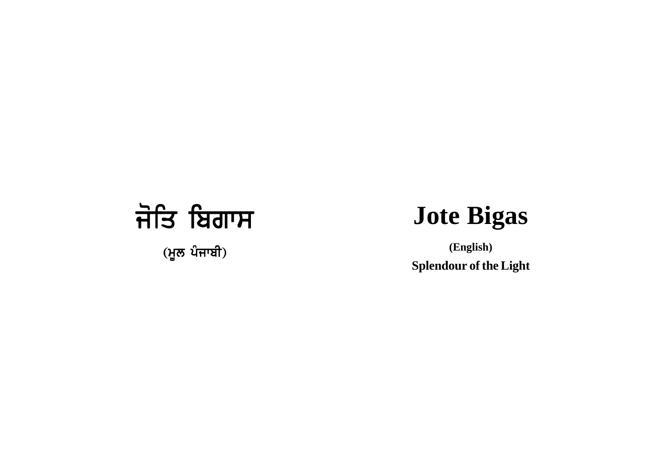## ਜੋਤਿ ਬਿਗਾਸ

 $(\frac{1}{2}$ ਲ ਪੰਜਾਬੀ)

## **Jote Bigas**

**(English) Splendour of the Light**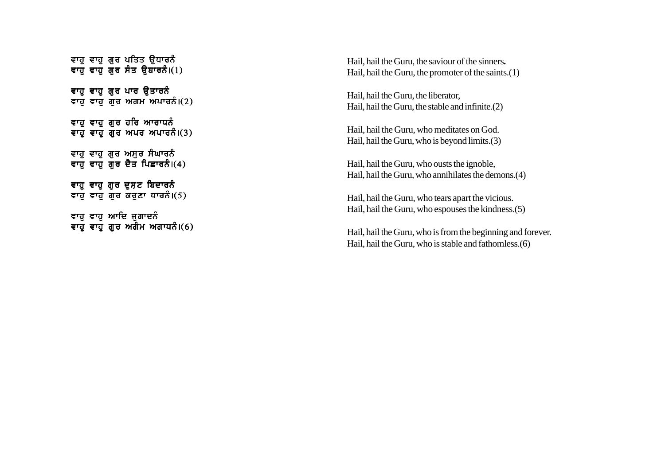```
ਵਾਹ ਵਾਹ ਗਰ ਪਤਿਤ ੳਧਾਰਨੰ
ਵਾਹੁੰ ਵਾਹੁੰ ਗੁਰ ਸੰਤ ਉਬਾਰਨੰ।(1)ਵਾਹੁ ਵਾਹੁ ਗੁਰ ਪਾਰ ਉਤਾਰਨੰ
ਵਾਹ ਵਾਹ ਗੁਰ ਅਗਮ ਅਪਾਰਨੰ।(2)ਵਾਹੁ ਵਾਹੁ ਗੁਰ ਹਰਿ ਆਰਾਧਨੰ
ਵਾਹ ਵਾਹ ਗੁਰ ਅਪਰ ਅਪਾਰਨੰ।(3)ਵਾਹੁ ਵਾਹੁ ਗੁਰ ਅਸੁਰ ਸੰਘਾਰਨੰ
ਵਾਹੁੰ ਵਾਹੁੰ ਗੁਰ ਦੈਤ ਪਿਛਾਰਨੰ।(4)
ਵਾਹ ਵਾਹ ਗਰ ਦਸ਼ਟ ਬਿਦਾਰਨੰ
ਵਾਹ ਵਾਹ ਗਰ ਕਰਣਾ ਧਾਰਨੰ।(5)ਵਾਹ ਵਾਹ ਆਦਿ ਜਗਾਦਨੰ
ਵਾਹ ਵਾਹ ਗਰ ਅਗੌਮ ਅਗਾਧਨੰ।(6)
```
Hail, hail the Guru, the saviour of the sinners **.** Hail, hail the Guru, the promoter of the saints.(1)

Hail, hail the Guru, the liberator, Hail, hail the Guru, the stable and infinite.(2)

Hail, hail the Guru, who meditates on God. Hail, hail the Guru, who is beyond limits.(3)

Hail, hail the Guru, who ousts the ignoble, Hail, hail the Guru, who annihilates the demons.(4)

Hail, hail the Guru, who tears apart the vicious. Hail, hail the Guru, who espouses the kindness.(5)

Hail, hail the Guru, who is from the beginning and forever. Hail, hail the Guru, who is stable and fathomless.(6)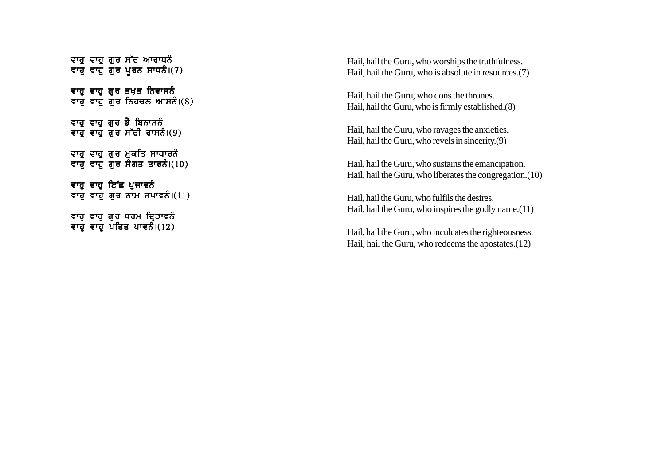```
ਵਾਹੁ ਵਾਹੁ ਗਰ ਸੱਚ ਆਰਾਧਨੰ
ਵਾਹੁੰ ਵਾਹੁੰ ਗੁਰ ਪੂਰਨ ਸਾਧਨੰ।(7)
ਵਾਹੁ ਵਾਹੁ ਗੁਰ ਤਖ਼ਤ ਨਿਵਾਸਨੰ
ਵਾਹ ਵਾਹ ਗੁਰ ਨਿਹਚਲ ਆਸਨੰ।(8)ਵਾਹ ਵਾਹ ਗੁਰ ਭੈ ਬਿਨਾਸਨੰ
ਵਾਹ ਵਾਹ ਗਰ ਸੱਚੀ ਰਾਸਨੰ।(9)
ਵਾਹੁ ਵਾਹੁ ਗੁਰ ਮੁਕਤਿ ਸਾਧਾਰਨੰ
ਵਾਹ ਵਾਹ ਗੌਰ ਸੰਗਤ ਤਾਰਨੰ।(10)
ਵਾਹ ਵਾਹ ਇੱਛ ਪਜਾਵਨੰ
ਵਾਹ ਵਾਹ ਗਰ ਨਾਮ ਜਪਾਵਨੰ।(11)
ਵਾਹ ਵਾਹ ਗਰ ਧਰਮ ਦਿੜਾਵਨੰ
ਵਾਹੁੰ ਵਾਹੁੰ ਪਤਿਤ ਪਾਵਨੰ।(12)
```
Hail, hail the Guru, who worships the truthfulness. Hail, hail the Guru, who is absolute in resources.(7)

Hail, hail the Guru, who dons the thrones. Hail, hail the Guru, who is firmly established.(8)

Hail, hail the Guru, who ravages the anxieties. Hail, hail the Guru, who revels in sincerity.(9)

Hail, hail the Guru, who sustains the emancipation. Hail, hail the Guru, who liberates the congregation.(10)

Hail, hail the Guru, who fulfils the desires. Hail, hail the Guru, who inspires the godly name.(11)

Hail, hail the Guru, who inculcates the righteousness. Hail, hail the Guru, who redeems the apostates.(12)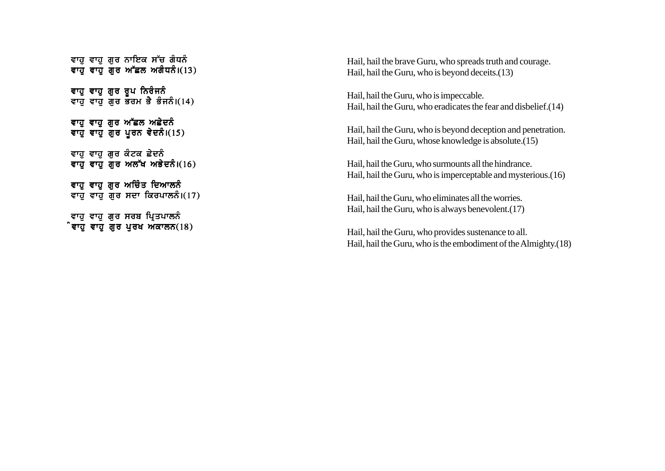```
ਵਾਹ ਵਾਹ ਗਰ ਨਾਇਕ ਸੱਚ ਗੰਧਨੰ
ਵਾਹ ਵਾਹ ਗੁਰ ਅੱਛਲ ਅਗੰਧਨੰ।(13)
ਵਾਹ ਵਾਹ ਗਰ ਰੂਪ ਨਿਰੰਜਨੰ
ਵਾਹ ਵਾਹ ਗਰ ਭਰਮ ਭੈ ਭੰਜਨੰ।(14)
ਵਾਹੂ ਵਾਹੂ ਗੁਰ ਅੱਛਲ ਅਛੇਦਨੰ
ਵਾਹੁ ਵਾਹੁ ਗੁਰ ਪੂਰਨ ਵੇਦਨੰ।(15)
ਵਾਹੁ ਵਾਹੁ ਗੁਰ ਕੰਟਕ ਛੇਦਨੰ
ਵਾਹ ਵਾਹ ਗਰ ਅਲੱਖ ਅਭੇਦਨੰ।(16)
ਵਾਹ ਵਾਹ ਗਰ ਅਚਿੰਤ ਦਿਆਲਨੰ
ਵਾਹ ਵਾਹ ਗਰ ਸਦਾ ਕਿਰਪਾਲਨੰ।(17)ਵਾਹ ਵਾਹ ਗਰ ਸਰਬ ਪ੍ਰਿਤਪਾਲਨੰ
ੰਵਾਹੁ ਵਾਹੁ ਗੁਰ ਪੁਰਖ ਅਕਾਲਨ(18)
```
Hail, hail the brave Guru, who spreads truth and courage. Hail, hail the Guru, who is beyond deceits.(13)

Hail, hail the Guru, who is impeccable. Hail, hail the Guru, who eradicates the fear and disbelief.(14)

Hail, hail the Guru, who is beyond deception and penetration. Hail, hail the Guru, whose knowledge is absolute.(15)

Hail, hail the Guru, who surmounts all the hindrance. Hail, hail the Guru, who is imperceptable and mysterious.(16)

Hail, hail the Guru, who eliminates all the worries. Hail, hail the Guru, who is always benevolent.(17)

Hail, hail the Guru, who provides sustenance to all. Hail, hail the Guru, who is the embodiment of the Almighty.(18)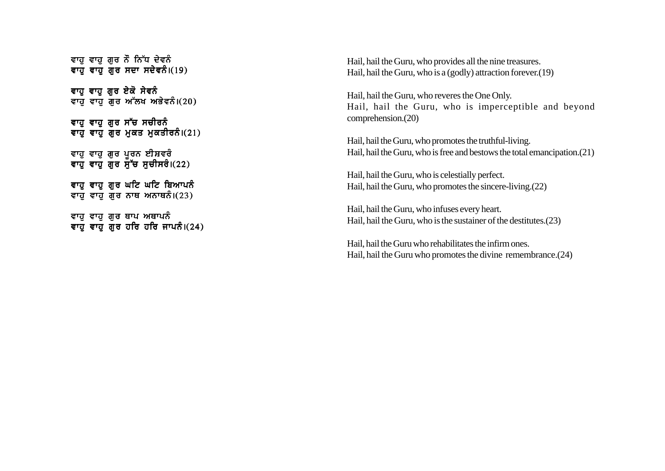```
ਵਾਹ ਵਾਹ ਗਰ ਨੌ ਨਿੱਧ ਦੇਵਨੰ
ਵਾਹ ਵਾਹ ਗੁਰ ਸਦਾ ਸਦੇਵਨੰ।(19)
```
ਵਾਹ ਵਾਹ ਗਰ ਏਕੋ ਸੇਵਨੰ ਵਾਹ ਵਾਹ ਗੁਰ ਅੱਲਖ ਅਭੇਵਨੰ। $(20)$ 

ਵਾਹੁ ਵਾਹੁ ਗੁਰ ਸੱਚ ਸਚੀਰਨੰ ਵਾਹ ਵਾਹ ਗਰ ਮਕਤ ਮਕਤੀਰਨੰ।(21)

ਵਾਹ ਵਾਹ ਗਰ ਪਰਨ ਈਸ਼ਵਰੰ ਵਾਹ ਵਾਹ ਗਰ ਸੱਚ ਸਚੀਸਰੈ।(22)

ਵਾਹ ਵਾਹ ਗਰ ਘਟਿ ਘਟਿ ਬਿਆਪਨੂੰ ਵਾਹ ਵਾਹ ਗਰ ਨਾਥ ਅਨਾਥਨੰ।(23)

ਵਾਹ ਵਾਹ ਗਰ ਥਾਪ ਅਥਾਪਨੰ ਵਾਹੁੰ ਵਾਹੁੰ ਗੁਰ ਹਰਿ ਹਰਿ ਜਾਪਨੰ।(24) Hail, hail the Guru, who provides all the nine treasures. Hail, hail the Guru, who is a (godly) attraction forever.(19)

Hail, hail the Guru, who reveres the One Only. Hail, hail the Guru, who is imperceptible and beyond comprehension.(20)

Hail, hail the Guru, who promotes the truthful-living. Hail, hail the Guru, who is free and bestows the total emancipation.(21)

Hail, hail the Guru, who is celestially perfect. Hail, hail the Guru, who promotes the sincere-living.(22)

Hail, hail the Guru, who infuses every heart. Hail, hail the Guru, who is the sustainer of the destitutes.(23)

Hail, hail the Guru who rehabilitates the infirm ones. Hail, hail the Guru who promotes the divine remembrance.(24)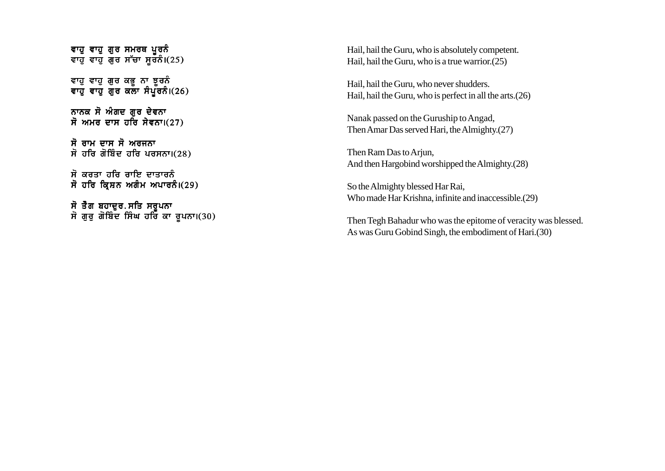```
ਵਾਹ ਵਾਹ ਗੁਰ ਸਮਰਥ ਪੂਰਨੰ
ਵਾਹੁੰ ਵਾਹੁੰ ਗੁਰ ਸੱਚਾ ਸੁਰਨੰ।(25)
```
ਵਾਹ ਵਾਹ ਗਰ ਕਭ ਨਾ ਝਰ**ਨੰ** ਵਾਹ ਵਾਹ ਗਰ ਕਲਾ ਸੈਪੱਰਨੈ।(26)

ਨਾਨਕ ਸੋ ਅੰਗਦ ਗਰ ਦੇਵਨਾ ਸੋ ਅਮਰ ਦਾਸ ਹਰਿ ਸੇਵਨਾ। $(27)$ 

ਸੋ ਰਾਮ ਦਾਸ ਸੋ ਅਰਜਨਾ ਸੋ ਹਰਿ ਗੋਬਿੰਦ ਹਰਿ ਪਰਸਨਾ। $(28)$ 

ਸੋ ਕਰਤਾ ਹਰਿ ਰਾਇ ਦਾਤਾਰਨੰ ਸੋ ਹਰਿ ਕ੍ਰਿਸ਼ਨ ਅਗੰਮ ਅਪਾਰਨੰ।(29)

ਸੋ ਤੈਗ ਬਹਾਦਰ.ਸਤਿ ਸਰਪਨਾ ਸੋ ਗਰ ਗੋਬਿੰਦ ਸਿੰਘ ਹਰਿ ਕਾ ਰਪਨਾ।(30) Hail, hail the Guru, who is absolutely competent. Hail, hail the Guru, who is a true warrior.(25)

Hail, hail the Guru, who never shudders. Hail, hail the Guru, who is perfect in all the arts.(26)

Nanak passed on the Guruship to Angad, Then Amar Das served Hari, the Almighty.(27)

Then Ram Das to Arjun, And then Hargobind worshipped the Almighty.(28)

So the Almighty blessed Har Rai, Who made Har Krishna, infinite and inaccessible.(29)

Then Tegh Bahadur who was the epitome of veracity was blessed. As was Guru Gobind Singh, the embodiment of Hari.(30)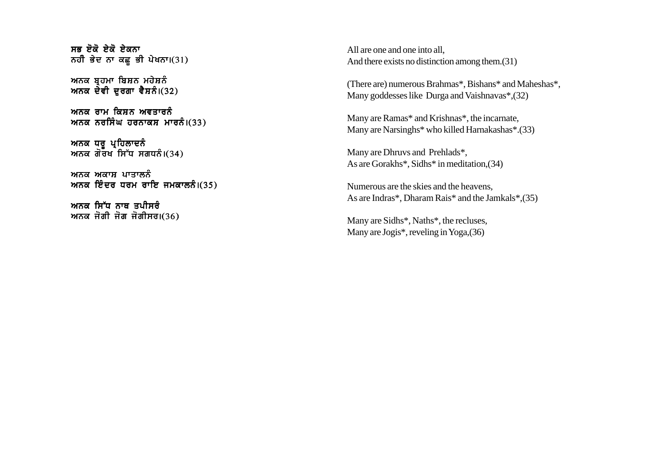```
ਸਕ ਏ\vec{a} ਏ\vec{a} ਏਹਨਾ
ਨਹੀ ਭੇਦ ਨਾ ਕਛੂ ਭੀ ਪੇਖਨਾ।(31)
```
ਅਨਕ ਬਹਮਾ ਬਿਸ਼ਨ ਮਹੇਸ਼ਨੰ ਅਨਕ ਦੇਵੀ ਦਰਗਾ ਵੈਸ਼ਨੰ। $(32)$ 

ਅਨੁਕ ਰਾਮ ਕਿਸ਼ਨ ਅਵਤਾਰਨੰ ਅਨਕ ਨਰਸਿੰਘ ਹਰਨਾਕਸ ਮਾਰਨੰ। $(33)$ 

ਅਨਕ ਧਰ ਪਹਿਲਾਦਨੰ ਅਨਕ ਗੋਰਖ ਸਿੱਧ ਸਗਧਨੰ।(34)

ਅਨਕ ਅਕਾਸ ਪਾਤਾਲਨੰ ਅਨਕ ਇੰਦਰ ਧਰਮ ਰਾਇ ਜਮਕਾਲਨੰ। $(35)$ 

ਅਨਕ ਸਿੱਧ ਨਾਥ ਤਪੀਸਰੰ ਅਨਕ ਜੋਗੀ ਜੋਗ ਜੋਗੀਸਰ। $(36)$  All are one and one into all, And there exists no distinction among them.(31)

(There are) numerous Brahmas\*, Bishans\* and Maheshas\*, Many goddesses like Durga and Vaishnavas\*,(32)

Many are Ramas\* and Krishnas\*, the incarnate, Many are Narsinghs\* who killed Harnakashas\*.(33)

Many are Dhruvs and Prehlads\*, As are Gorakhs\*, Sidhs\* in meditation,(34)

Numerous are the skies and the heavens, As are Indras\*, Dharam Rais\* and the Jamkals\*,(35)

Many are Sidhs\*, Naths\*, the recluses, Many are Jogis\*, reveling in Yoga,(36)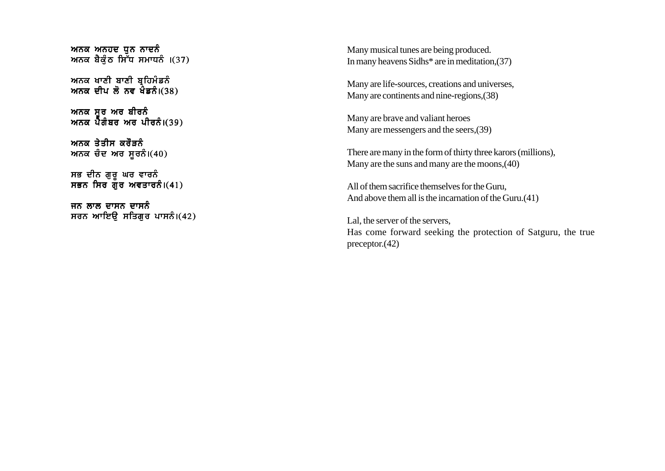```
ਅਨਕ ਅਨਹਦ ਧਨ ਨਾਦਨੰ
ਅਨਕ ਬੈਕੁੰਠ ਸਿ<sup>ੱ</sup>ਧ ਸਮਾਧਨੰ ।(37)
```
ਅਨਕ ਖਾਣੀ ਬਾਣੀ ਬਹਿਮੰਡਨੰ ਅਨਕ ਦੀਪ ਲੋ ਨਵ ਖੇਡਨੰ। $(38)$ 

ਅਨਕ ਸਰ ਅਰ ਬੀਰਨੰ ਅਨਕ ਪੈਗੰਬਰ ਅਰ ਪੀਰਨੰ।(39)

ਅਨਕ ਤੇਤੀਸ ਕਰੌਤਨੰ ਅਨਕ ਚੰਦ ਅਰ ਸੂਰਨੰ। $(40)$ 

ਸਭ ਦੀਨ ਗਰ ਘਰ ਵਾਰਨੰ ਸਭਨ ਸਿਰ ਗੌਰ ਅਵਤਾਰਨੰ।(41)

ਜਨ ਲਾਲ ਦਾਸਨ ਦਾਸਨੰ ਸਰਨ ਆਇਉ ਸਤਿਗੁਰ ਪਾਸਨੰ।(42) Many musical tunes are being produced. In many heavens Sidhs\* are in meditation,(37)

Many are life-sources, creations and universes, Many are continents and nine-regions,(38)

Many are brave and valiant heroes Many are messengers and the seers,(39)

There are many in the form of thirty three karors (millions), Many are the suns and many are the moons,(40)

All of them sacrifice themselves for the Guru, And above them all is the incarnation of the Guru.(41)

Lal, the server of the servers, Has come forward seeking the protection of Satguru, the true preceptor.(42)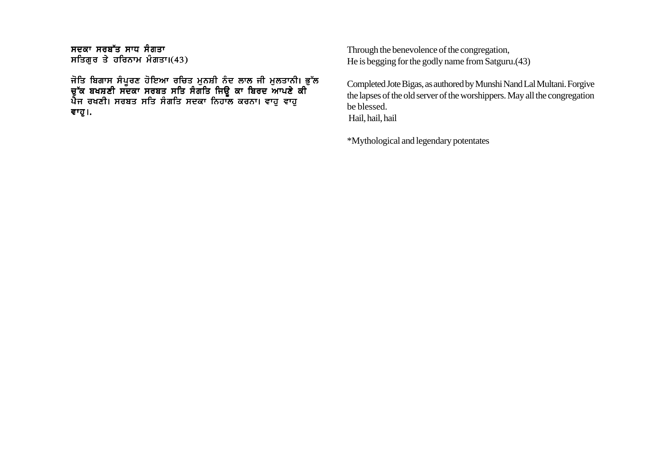ਸਦਕਾ ਸਰਬੱਤ ਸਾਧ ਸੰਗਤਾ ਸਤਿਗੁਰ ਤੇ ਹਰਿਨਾਮ ਮੰਗਤਾ। $(43)$ 

ਜੋਤਿ ਬਿਗਾਸ ਸੰਪਰਣ ਹੋਇਆ ਰਚਿਤ ਮਨਸ਼ੀ ਨੰਦ ਲਾਲ ਜੀ ਮਲਤਾਨੀ। ਭੱਲ ਚੱਕ ਬਖਸਣੀ ਸੁਦਕਾ ਸਰਬਤ ਸਤਿ ਸੰਗਤਿ ਜਿੳ ਕਾ ਬਿਰਦ ਆਪਣੇ ਕੀ ਪੈਜ ਰਖਣੀ। ਸਰਬਤ ਸਤਿ ਸੰਗਤਿ ਸਦਕਾ ਨਿਹਾਲ ਕਰਨਾ। ਵਾਹ ਵਾਹ ਵਾਹੁ।.

Through the benevolence of the congregation, He is begging for the godly name from Satguru.(43)

Completed Jote Bigas, as authored by Munshi Nand Lal Multani. Forgive the lapses of the old server of the worshippers. May all the congregation be blessed. Hail, hail, hail

\*Mythological and legendary potentates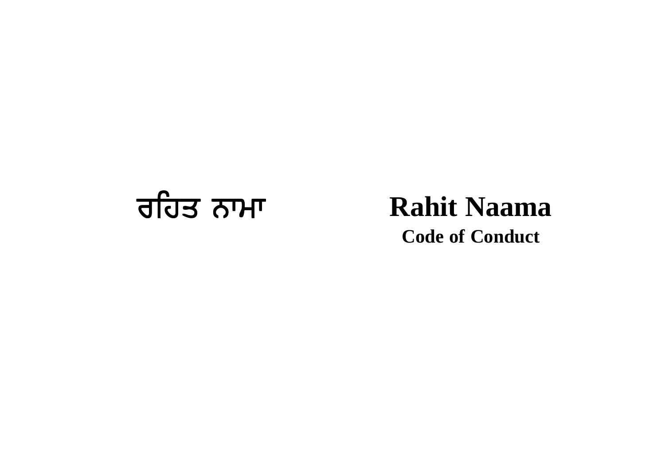

# **Code of Conduct**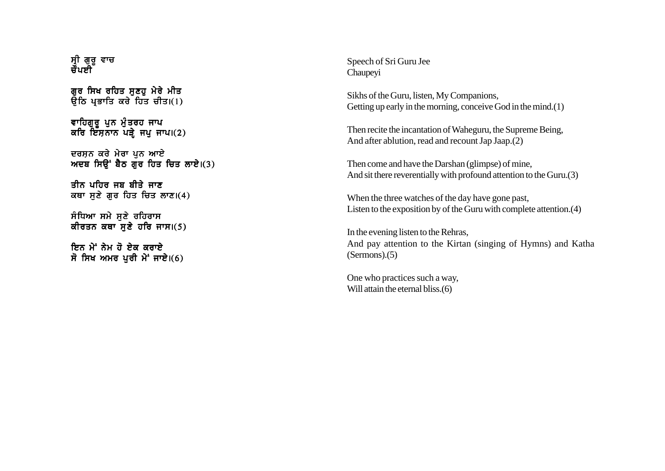ਸੀ ਗਰ ਵਾਚ ਚੌਪਈ

ਗਰ ਸਿਖ ਰਹਿਤ ਸਣਹ ਮੇਰੇ ਮੀਤ  $\overline{66}$  ਪਭਾਤਿ ਕਰੇ ਹਿਤ ਚੀਤ।(1)

ਵਾਹਿਗੁਰੂ ਪੁਨ ਮੁੰਤਰਹ ਜਾਪ ਕਰਿ ਇਸਨਾਨ ਪੜੇ ਜਪ ਜਾਪ। $(2)$ 

ਦਰਸ਼ਨ ਕਰੇ ਮੇਰਾ ਪੁਨ ਆਏ ਅਦਬ ਸਿੳਂ ਬੈਠ ਗੌਰ ਹਿਤ ਚਿਤ ਲਾਏ।(3)

ਤੀਨ ਪਹਿਰ ਜੂਬ ਬੀਤੇ ਜਾਣ ਕਥਾ ਸਣੇ ਗਰ ਹਿਤ ਚਿਤ ਲਾਣ।(4)

ਸੰਧਿਆ ਸਮੇ ਸਣੇ ਰਹਿਰਾਸ ਕੀਰਤਨ ਕਥਾ ਸਣੇ ਹਰਿ ਜਾਸ। $(5)$ 

ਸਿਨ ਮੇਂ ਨੇਮ ਹੋ ਏਕ ਕਰਾਏ ਸੋ ਸਿਖ ਅਮਰ ਪਰੀ ਮੇਂ ਜਾਏ। $(6)$  Speech of Sri Guru Jee Chaupeyi

Sikhs of the Guru, listen, My Companions, Getting up early in the morning, conceive God in the mind.(1)

Then recite the incantation of Waheguru, the Supreme Being, And after ablution, read and recount Jap Jaap.(2)

Then come and have the Darshan (glimpse) of mine, And sit there reverentially with profound attention to the Guru.(3)

When the three watches of the day have gone past, Listen to the exposition by of the Guru with complete attention.(4)

In the evening listen to the Rehras, And pay attention to the Kirtan (singing of Hymns) and Katha (Sermons).(5)

One who practices such a way, Will attain the eternal bliss.(6)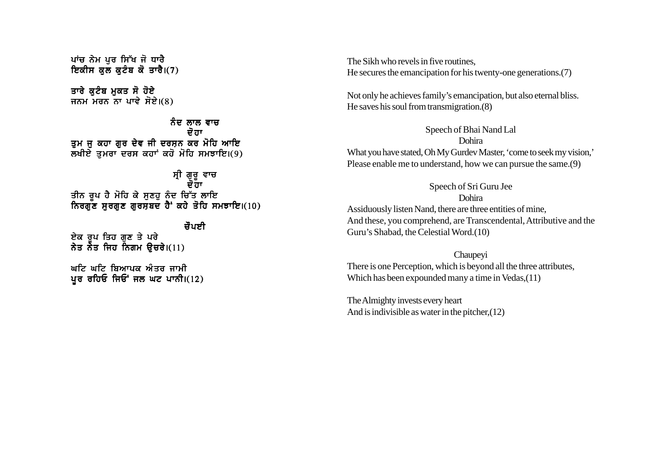ਪਾਂਚ ਨੇਮ ਪਰ ਸਿੱਖ ਜੋ ਧਾਰੈ ਇਕੀਸ ਕਲ ਕਟੰਬ ਕੋ ਤਾਰੈ। $(7)$ 

ਤਾਰੇ ਕਟੰਬ ਮਕਤ ਸੋ ਹੋਏ ਜਨਮ ਮਰਨ ਨਾ ਪਾਵੇ ਸੋਏ $(8)$ 

ਨੰਦ ਲਾਲ ਵਾਚ ਦੋ ਹਾ ਤੁਮ ਜੁ ਕਹਾ ਗੁਰ ਦੇਵ ਜੀ ਦਰਸ਼ਨ ਕਰ ਮੋਹਿ ਆਇ  $\overline{\mathbf{x}}$ ਖੀਏ ਤਮਰਾ ਦਰਸ ਕਹਾਂ ਕਹੋ ਮੋਹਿ ਸਮਝਾਇ।(9)

ਸੀ ਗਰ ਵਾਚ ਦੋਰਾ ਤੀਨ ਰਪ ਹੈ ਮੋਹਿ ਕੇ ਸਣਹ ਨੰਦ ਚਿੱਤ ਲਾਇ ਨਿਰਗੱਣ ਸਰਗਣ ਗਰਸਬਦ ਹੈਂ ਕਹੇ ਤੋਹਿ ਸਮਝਾਇ।(10)

ਜੌਪਈ ਏਕ ਰੂਪ ਤਿਹ ਗੁਣ ਤੇ ਪਰੇ ਨੇਤ ਨੇਤ ਜਿਹ ਨਿਗਮ ੳਚਰੇ।(11)

ਘਟਿ ਘਟਿ ਬਿਆਪਕ ਐਤਰ ਜਾਮੀ ਪੁਰ ਰਹਿਓ ਜਿਓਂ ਜਲ ਘਟ ਪਾਨੀ।(12) The Sikh who revels in five routines, He secures the emancipation for his twenty-one generations.(7)

Not only he achieves family's emancipation, but also eternal bliss. He saves his soul from transmigration.(8)

Speech of Bhai Nand Lal Dohira What you have stated, Oh My Gurdev Master, 'come to seek my vision,' Please enable me to understand, how we can pursue the same.(9)

Speech of Sri Guru Jee Dohira Assiduously listen Nand, there are three entities of mine, And these, you comprehend, are Transcendental, Attributive and the Guru's Shabad, the Celestial Word.(10)

Chaupeyi There is one Perception, which is beyond all the three attributes, Which has been expounded many a time in Vedas,(11)

The Almighty invests every heart And is indivisible as water in the pitcher,(12)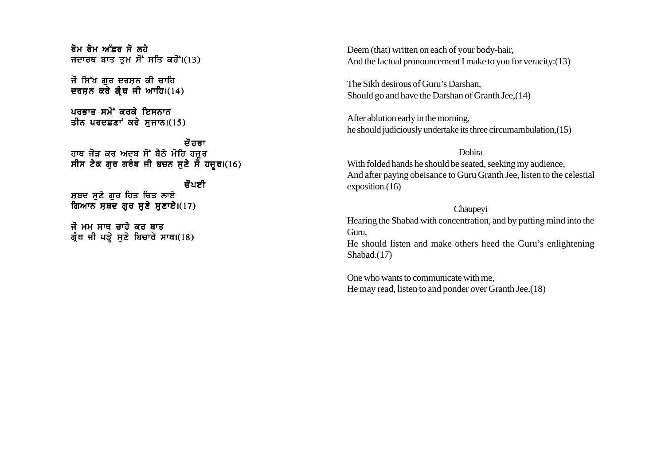

Deem (that) written on each of your body-hair, And the factual pronouncement I make to you for veracity:(13)

The Sikh desirous of Guru's Darshan, Should go and have the Darshan of Granth Jee,(14)

After ablution early in the morning, he should judiciously undertake its three circumambulation,(15)

#### Dohira

With folded hands he should be seated, seeking my audience, And after paying obeisance to Guru Granth Jee, listen to the celestial exposition.(16)

#### Chaupeyi

Hearing the Shabad with concentration, and by putting mind into the Guru,

He should listen and make others heed the Guru's enlightening Shabad.(17)

One who wants to communicate with me, He may read, listen to and ponder over Granth Jee.(18)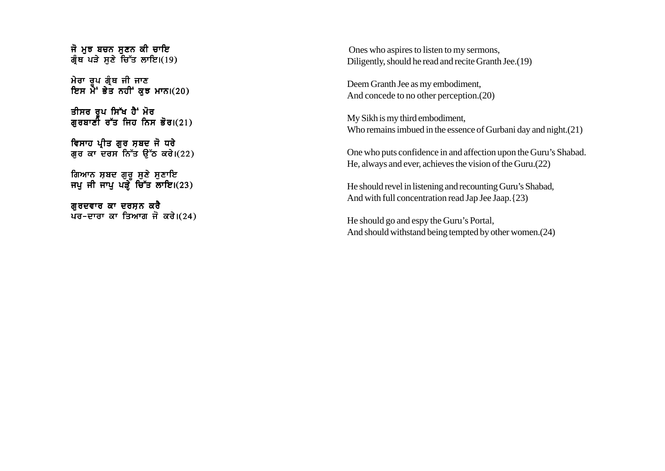ਜੋ ਮੁਝ ਬਚਨ ਸੁਣਨ ਕੀ ਚਾਇ ਗ੍ਰੰਥ ਪੜੇ ਸਣੇ ਚਿੱਤ ਲਾਇ। $(19)$ 

ਮੇਰਾ ਰਪ ਗੰਥ ਜੀ ਜਾਣ ਇਸ ਮੇਂ ਭੇਤ ਨਹੀਂ ਕਝ ਮਾਨ। $(20)$ 

ੜੀਸਰ ਰੂਪ ਸਿੱਖ ਹੈ<sup>:</sup> ਮੋਰ ਗੁਰਬਾਣੀ ਰੱਤ ਜਿਹ ਨਿਸ ਭੋਰ।(21)

ਵਿਸਾਹ ਪ੍ਰੀਤ ਗੁਰ ਸ਼ਬਦ ਜੋ ਧਰੇ ਗੁਰ ਕਾ ਦਰਸ ਨਿੱਤ ਉੱਠ ਕਰੇ। $(22)$ 

ਗਿਆਨ ਸ਼ਬਦ ਗਰ ਸਣੇ ਸਣਾਇ ਜਪ ਜੀ ਜਾਪ ਪੜੌ ਚਿੱਤ ਲਾਇ।(23)

ਗਰਦਵਾਰ ਕਾ ਦਰਸ਼ਨ ਕਰੈ ਪਰ-ਦਾਰਾ ਕਾ ਤਿਆਗ ਜੋ ਕਰੇ। $(24)$ 

 Ones who aspires to listen to my sermons, Diligently, should he read and recite Granth Jee.(19)

Deem Granth Jee as my embodiment, And concede to no other perception.(20)

My Sikh is my third embodiment, Who remains imbued in the essence of Gurbani day and night.(21)

One who puts confidence in and affection upon the Guru's Shabad. He, always and ever, achieves the vision of the Guru.(22)

He should revel in listening and recounting Guru's Shabad, And with full concentration read Jap Jee Jaap.{23)

He should go and espy the Guru's Portal, And should withstand being tempted by other women.(24)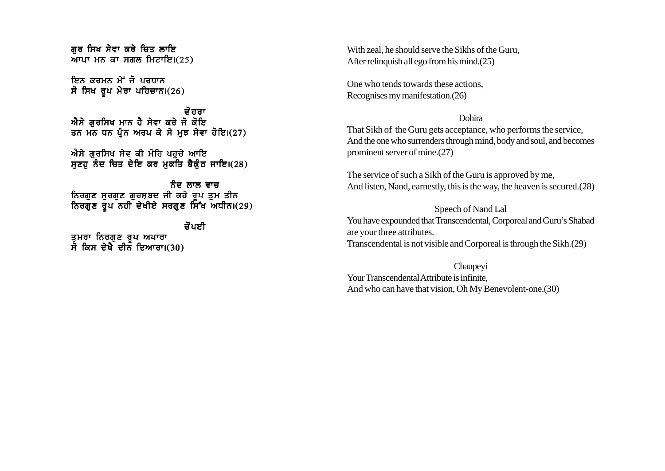ਗਰ ਸਿਖ ਸੇਵਾ ਕਰੇ ਚਿਤ ਲਾਇ ਆਪਾ ਮਨ ਕਾ ਸਗਲ ਮਿਟਾਇ $(25)$ 

ਇਨ ਕਰਮਨ ਮੇਂ ਜੋ ਪਰਧਾਨ ਸੋ ਸਿਖ ਰੂਪ ਮੇਰਾ ਪਹਿਚਾਨ। $(26)$ 

ਦੋ ਹਰਾ ਐਸੇ ਗਰਸਿਖ ਮਾਨ ਹੈ ਸੇਵਾ ਕਰੇ ਜੋ ਕੋਇ ਤਨ ਮਨ ਧਨ ਪੰਨ ਅਰਪ ਕੇ ਸੇ ਮੁਝ ਸੇਵਾ ਹੋਇ।(27)

ਐਸੇ ਗੁਰਸਿਖ ਸੇਵ ਕੀ ਮੋਹਿ ਪਹੁਚੇ ਆਇ  $H\bar{\epsilon}$ ਹ ਨੰਦ ਚਿਤ ਦੇਇ ਕਰ ਮਕਤਿ ਬੈਕੰਠ ਜਾਇ।(28)

ਨੰਦ ਲਾਲ ਵਾਜ ਨਿਰਗੁਣ ਸੁਰਗੁਣ ਗੁਰਸ਼ਬਦ ਜੀ ਕਹੇ ਰਪ ਤਮ ਤੀਨ  $\frac{1}{10}$ ਨਿਰਗੁਣ ਰੁਪ $\frac{1}{10}$ ਨਹੀ ਦੇਖੀਏ ਸਰਗੁਣ ਸਿੱਖ ਅਧੀਨ।(29)

ਜੌਪਣੀ

ਤਮਰਾ ਨਿਰਗਣ ਰਪ ਅਪਾਰਾ ਸੋ ਕਿਸ ਦੇਖੋ ਦੀਨ ਦਿਆਰਾ।(30) With zeal, he should serve the Sikhs of the Guru, After relinquish all ego from his mind.(25)

One who tends towards these actions, Recognises my manifestation.(26)

#### Dohira

That Sikh of the Guru gets acceptance, who performs the service, And the one who surrenders through mind, body and soul, and becomes prominent server of mine.(27)

The service of such a Sikh of the Guru is approved by me, And listen, Nand, earnestly, this is the way, the heaven is secured.(28)

Speech of Nand Lal You have expounded that Transcendental, Corporeal and Guru's Shabad are your three attributes. Transcendental is not visible and Corporeal is through the Sikh.(29)

Chaupeyi Your Transcendental Attribute is infinite, And who can have that vision, Oh My Benevolent-one.(30)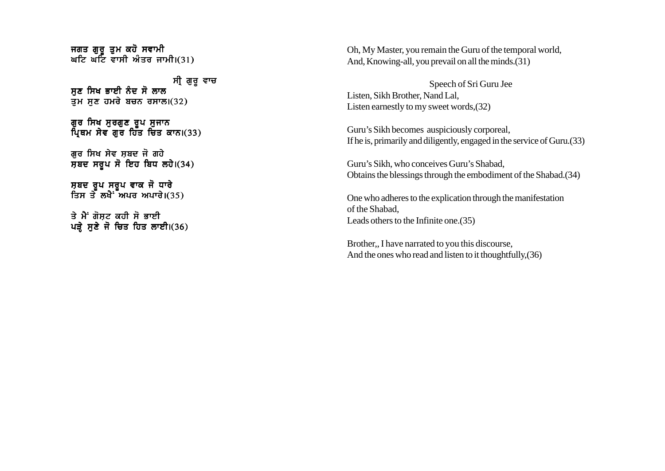ਜਗਤ ਗਰ ਤਮ ਕਹੋ ਸਵਾਮੀ ਘਟਿ ਘੱਟਿ ਵਾਸੀ ਅੰਤਰ ਜਾਮੀ। $(31)$ 

ਸੀ ਗੁਰੂ ਵਾਚ ਸਣ ਸਿਖ ਭਾਈ ਨੰਦ ਸੋ ਲਾਲ ਤਮ ਸੁਣ ਹਮਰੇ ਬਚਨ ਰਸਾਲ। $(32)$ 

ਗੁਰ ਸਿਖ ਸੁਰਗੁਣ ਰੂਪ ਸੁਜਾਨ ਪਿਥਮ ਸੇਵ ਗਰ ਹਿੱਤ ਚਿਤ ਕਾਨ।(33)

ਗੁਰ ਸਿਖ ਸੇਵ ਸ਼ਬਦ ਜੋ ਗਹੇ  $\overline{n}$ ਬਦ ਸਰੂਪ ਸੋ ਇਹ ਬਿਧ ਲਹੇ।(34)

ਸਬਦ ਰਪ ਸਰਪ ਵਾਕ ਜੋ ਧਾਰੇ ਤਿਸ ਤੋ<sup>ਂ</sup> ਲਖੈ<sup>-</sup> ਅਪਰ ਅਪਾਰੇ।(35)

ਤੇ ਮੈਂ ਗੋਸਟ ਕਹੀ ਸੋ ਭਾਈ ਪੜ੍ਹੇ ਸੁਣੇ ਜੋ ਚਿਤ ਹਿਤ ਲਾਈ।(36) Oh, My Master, you remain the Guru of the temporal world, And, Knowing-all, you prevail on all the minds.(31)

Speech of Sri Guru Jee Listen, Sikh Brother, Nand Lal, Listen earnestly to my sweet words,(32)

Guru's Sikh becomes auspiciously corporeal, If he is, primarily and diligently, engaged in the service of Guru.(33)

Guru's Sikh, who conceives Guru's Shabad, Obtains the blessings through the embodiment of the Shabad.(34)

One who adheres to the explication through the manifestation of the Shabad, Leads others to the Infinite one.(35)

Brother,, I have narrated to you this discourse, And the ones who read and listen to it thoughtfully,(36)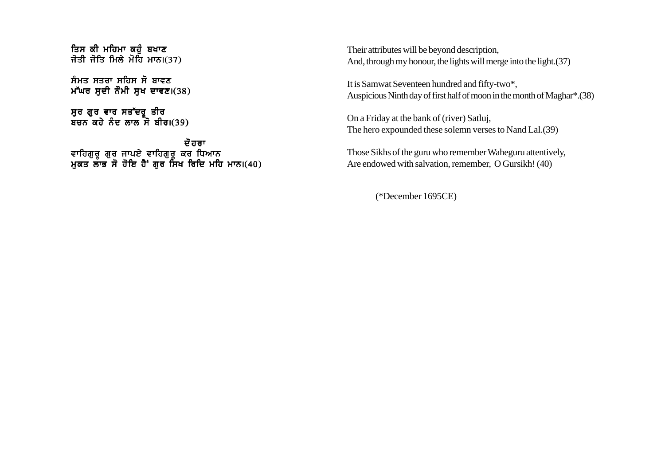ਤਿਸ ਕੀ ਮਹਿਮਾ ਕਹੋ ਬਖਾਣ ਜੋਤੀ ਜੋਤਿ ਮਿਲੇ ਮੋਹਿ ਮਾਨ।(37)

ਸੰਮਤ ਸਤਰਾ ਸਹਿਸ ਸੋ ਬਾਵਣ ਮੱਘਰ ਸਦੀ ਨੌਮੀ ਸਖ ਦਾਵਣ। $(38)$ 

ਸਰ ਗਰ ਵਾਰ ਸਤੱਦਰ **ਤੀ**ਰ ਬਚਨ ਕਹੇ ਨੰਦ ਲਾਲ ਸੋ ਬੀਰ।(39)

ਦੋ ਹਰਾ ਵਾਹਿਗਰ ਗਰ ਜਾਪਏ ਵਾਹਿਗਰ ਕਰ ਧਿਆਨ ਮਕਤ ਲਾਭ ਸੋ ਹੋਇ ਹੈ ਗਰ ਸਿਖ ਰਿਦਿ ਮਹਿ ਮਾਨ।(40) Their attributes will be beyond description, And, through my honour, the lights will merge into the light.(37)

It is Samwat Seventeen hundred and fifty-two\*, Auspicious Ninth day of first half of moon in the month of Maghar\*.(38)

On a Friday at the bank of (river) Satluj, The hero expounded these solemn verses to Nand Lal.(39)

Those Sikhs of the guru who remember Waheguru attentively, Are endowed with salvation, remember, O Gursikh! (40)

(\*December 1695CE)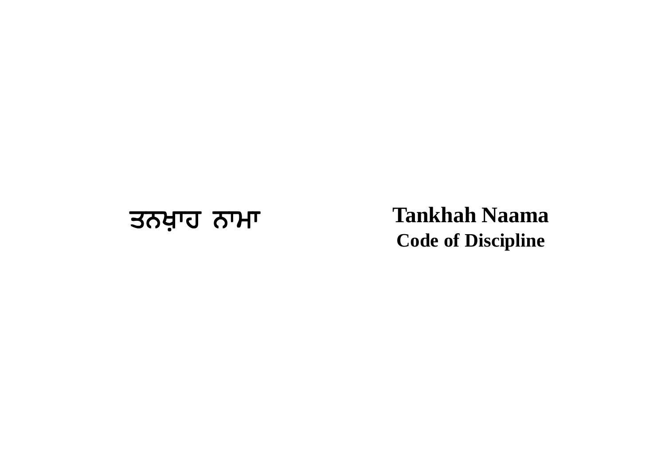## उत्त्र देश्मण प्रशासक विकास का प्रशासक विकास राज्य राज्य पर प्रशासक विकास राज्य पर प्रशासक विकास राज्य राज्य प<br>इतिहास राज्य राज्य राज्य राज्य राज्य राज्य राज्य राज्य राज्य राज्य राज्य राज्य राज्य राज्य राज्य राज्य राज्य र **Code of Discipline**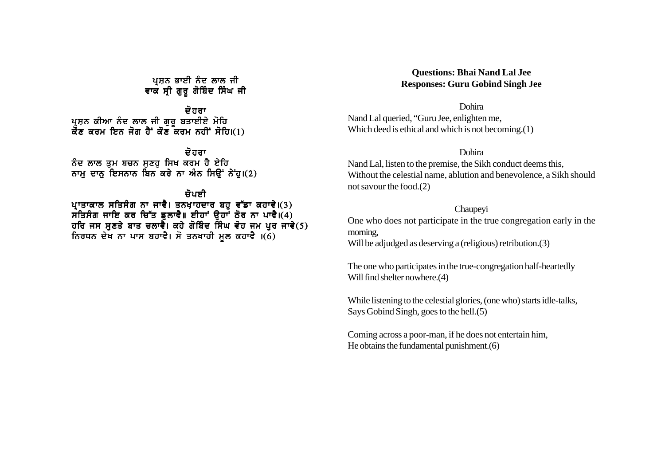ਪਸਨ ਭਾਈ ਨੰਦ ਲਾਲ ਜੀ ਵਾਕ ਸੀ ਗੁਰੂ ਗੋਬਿੰਦ ਸਿੰਘ ਜੀ

ਦੋ ਹਰਾ ਪਸਨ ਕੀਆ ਨੰਦ ਲਾਲ ਜੀ ਗਰ ਬਤਾਈਏ ਮੋਹਿ ਕੋਂਣ ਕਰਮ ਇਨ ਜੋਗ ਹੈ<sup>:</sup> ਕੋਂਣ ਕਰਮ ਨਹੀਂ ਸੋਹਿ।(1)

ਦੋ ਹਰਾ ਨੰਦ ਲਾਲ ਤਮ ਬਚਨ ਸਣਹ ਸਿਖ ਕਰਮ ਹੈ ਏਹਿ ਨਾਮ ਦਾਨ ਇਸਨਾਨ ਬਿਨ ਕਰੇ ਨਾ ਅੰਨ ਸਿੳਂ ਨੇਂਹ।(2)

ਜੋਪਸੀ ਪਾਤਾਕਾਲ ਸਤਿਸੰਗ ਨਾ ਜਾਵੈ। ਤਨਖ਼ਾਹਦਾਰ ਬਹੁ ਵੱਡਾ ਕਹਾਵੇ।(3) ਸੰਤਿਸੰਗ ਜਾਇ ਕਰ ਚਿੱਤ ਡੁਲਾਵੈ॥ ਈਹਾਂ ਉਹਾਂ ਠੋਰ ਨਾ ਪਾਵੈ।(4) ਹਰਿ ਜਸ ਸਣਤੇ ਬਾਤ ਚਲਾਵੇ। ਕਹੇ ਗੋਬਿੰਦ ਸਿੰਘ ਵੋਹ ਜਮ ਪਰ ਜਾਵੇ(5) ਨਿਰਧਨ ਦੇਖ ਨਾ ਪਾਸ ਬਹਾਵੈ। ਸੋ ਤਨਖਾਹੀ ਮੁਲ ਕਹਾਵੈ ।(6)

### **Questions: Bhai Nand Lal Jee Responses: Guru Gobind Singh Jee**

Dohira Nand Lal queried, "Guru Jee, enlighten me, Which deed is ethical and which is not becoming.(1)

#### Dohira

Nand Lal, listen to the premise, the Sikh conduct deems this, Without the celestial name, ablution and benevolence, a Sikh should not savour the food.(2)

Chaupeyi

One who does not participate in the true congregation early in the morning,

Will be adjudged as deserving a (religious) retribution.(3)

The one who participates in the true-congregation half-heartedly Will find shelter nowhere.(4)

While listening to the celestial glories, (one who) starts idle-talks, Says Gobind Singh, goes to the hell.(5)

Coming across a poor-man, if he does not entertain him, He obtains the fundamental punishment.(6)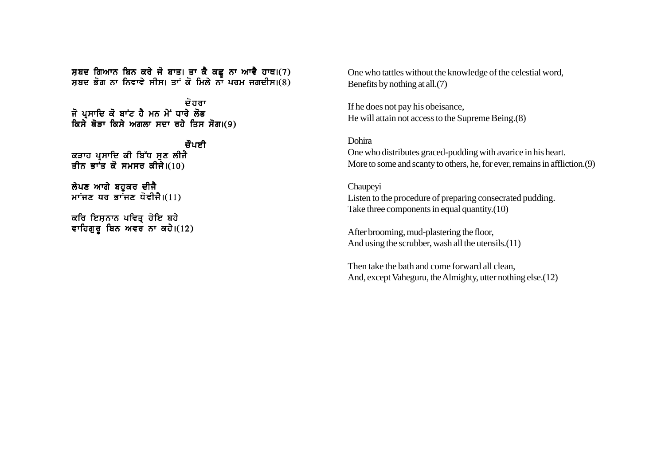ਸ਼ਬਦ ਗਿਆਨ ਬਿਨ ਕਰੇ ਜੋ ਬਾਤ। ਤਾ ਕੈ ਕਛ ਨਾ ਆਵੈ ਹਾਥ।(7) ਸਬਦ ਭੋਗ ਨਾ ਨਿਵਾਵੇ ਸੀਸ। ਤਾਂ ਕੋ ਮਿਲੇ ਨਾ ਪਰਮ ਜਗਦੀਸ।(8)

ਦੋ ਹਰਾ ਜੋ ਪੁਸਾਦਿ ਕੋ ਬਾਂਟ ਹੈ ਮਨ ਮੇਂ ਧਾਰੇ ਲੋਭ ਕਿਸੇ ਥੋਤਾ ਕਿਸੇ ਅਗਲਾ ਸਦਾ ਰਹੇ ਤਿਸ ਸੋਗ।(9)

ਜੌਪਈ ਕੜਾਹ ਪੁਸਾਦਿ ਕੀ ਬਿੱਧ ਸੁਣ ਲੀਜੈ ਤੀਨ ਭਾੰਤ ਕੋ ਸਮਸਰ ਕੀਜੇ। $(10)$ 

ਲੇਪਣ ਆਗੇ ਬਹਕਰ ਦੀਜੈ ਮਾਂਜਣ ਧਰ ਭਾਂਜਣ ਧੋਵੀਜੈ। $(11)$ 

ਕਰਿ ਇਸ਼ਨਾਨ ਪਵਿਤ੍ਰ ਹੋਇ ਬਹੇ ਵਾਹਿਗੁਰੂ ਬਿਨ ਅਵਰ ਨਾ ਕਹੇ। $(12)$  One who tattles without the knowledge of the celestial word, Benefits by nothing at all.(7)

If he does not pay his obeisance, He will attain not access to the Supreme Being.(8)

Dohira One who distributes graced-pudding with avarice in his heart. More to some and scanty to others, he, for ever, remains in affliction.(9)

Chaupeyi Listen to the procedure of preparing consecrated pudding. Take three components in equal quantity.(10)

After brooming, mud-plastering the floor, And using the scrubber, wash all the utensils.(11)

Then take the bath and come forward all clean, And, except Vaheguru, the Almighty, utter nothing else.(12)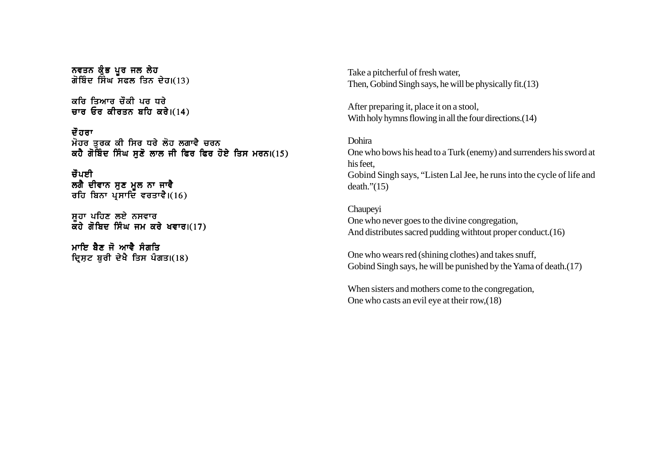```
ਨਵਤਨ ਕੁੰਭ ਪੂਰ ਜਲ ਲੇਹ
ਗੋਬਿੰਦ ਸਿੰਘ ਸਫਲ ਤਿਨ ਦੇਹ।(13)
```
ਕਰਿ ਤਿਆਰ ਚੌਕੀ ਪਰ ਧੂਰੇ ਚਾਰ ਓਰ ਕੀਰਤਨ ਬਹਿ ਕਰੇ। $(14)$ 

ਦੌਰਰਾ ਮੋਹਰ ਤੁਰਕ ਕੀ ਸਿਰ ਧਰੇ ਲੋਹ ਲਗਾਵੈ ਚਰਨ ਕਹੈ ਗੋਬਿੰਦ ਸਿੰਘ ਸਣੋ ਲਾਲ ਜੀ ਫਿਰ ਫਿਰ ਹੋਏ ਤਿਸ ਮਰਨ।(15)

ਚੌਪਈ ਲਗੈ ਦੀਵਾਨ ਸਣ ਮਲ ਨਾ ਜਾਵੈ ਰਹਿ ਬਿਨਾ ਪ੍ਰਸਾਦਿ ਵਰਤਾਵੈ। $(16)$ 

ਸਹਾ ਪਹਿਣ ਲਏ ਨਸਵਾਰ ਕਹੋ ਗੋਬਿਦ ਸਿੰਘ ਜਮ ਕਰੇ ਖਵਾਰ।(17)

ਮਾਇ ਸੈਣ ਜੋ ਆਵੈ ਸੰਗਤਿ ਦ੍ਰਿਸ਼ਟ ਬੁਰੀ ਦੇਖੈ ਤਿਸ ਪੰਗਤ। $(18)$  Take a pitcherful of fresh water, Then, Gobind Singh says, he will be physically fit.(13)

After preparing it, place it on a stool, With holy hymns flowing in all the four directions.(14)

Dohira One who bows his head to a Turk (enemy) and surrenders his sword at his feet, Gobind Singh says, "Listen Lal Jee, he runs into the cycle of life and  $death.'$ (15)

Chaupeyi One who never goes to the divine congregation, And distributes sacred pudding withtout proper conduct.(16)

One who wears red (shining clothes) and takes snuff, Gobind Singh says, he will be punished by the Yama of death.(17)

When sisters and mothers come to the congregation, One who casts an evil eye at their row,(18)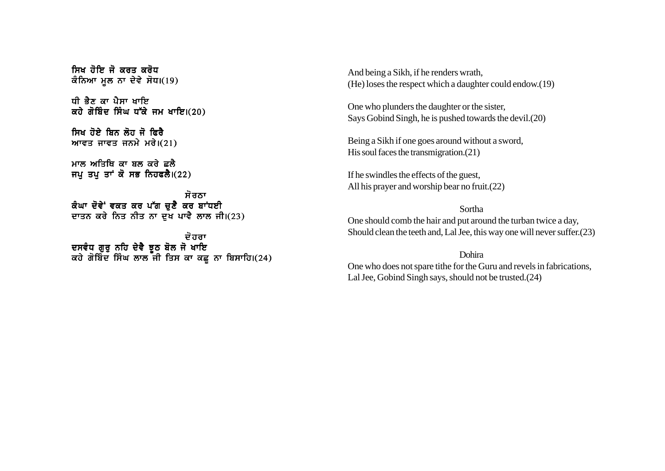ਸਿਖ ਹੋਇ ਜੋ ਕਰਤ ਕਰੋਧ ਕੰਨਿਆ ਮੂਲ ਨਾ ਦੇਵੇ ਸੋਧ।(19)

ਸੀ ਕੈਣ ਕਾ ਪੈਸਾ ਮਾਇ ਕਹੇ ਗੋਬਿੰਦ ਸਿੰਘ ਧੱਕੇ ਜਮ ਖਾਇ।(20)

ਸਿਖ ਹੋਏ ਸਿਨ ਲੋਹ ਜੋ ਫਿਰੈ ਆਵਤ ਜਾਵਤ ਜਨਮੇ ਮਰੇ। $(21)$ 

ਮਾਲ ਅਤਿਥਿ ਕਾ ਬਲ ਕਰੇ ਛਲੈ ਜਪੂ ਤਪੂ ਤਾਂ ਕੋ ਸਭ ਨਿਹਫਲੈ। $(22)$ 

ਸੋਰਨਾ ਕੰਘਾ ਦੋਵੇਂ ਵਕਤ ਕਰ ਪੱਗ ਚਣੈ ਕਰ ਬਾਂਧਈ ਦਾਤਨ ਕਰੇ ਨਿਤ ਨੀਤ ਨਾ ਦੱਖ ਪਾਵੈ ਲਾਲ ਜੀ।(23)

ਦੋ ਹਰਾ ਦਸਵੰਧ ਗੁਰੂ ਨਹਿ ਦੇਵੈ ਝੂਠ ਬੋਲ ਜੋ ਖਾਇ ਕਹੇ ਗੋਬਿੰਦ ਸਿੰਘ ਲਾਲ ਜੀ ਤਿਸ ਕਾ ਕਛੂ ਨਾ ਬਿਸਾਹਿ।(24) And being a Sikh, if he renders wrath, (He) loses the respect which a daughter could endow.(19)

One who plunders the daughter or the sister, Says Gobind Singh, he is pushed towards the devil.(20)

Being a Sikh if one goes around without a sword, His soul faces the transmigration.(21)

If he swindles the effects of the guest, All his prayer and worship bear no fruit.(22)

Sortha One should comb the hair and put around the turban twice a day, Should clean the teeth and, Lal Jee, this way one will never suffer.(23)

Dohira One who does not spare tithe for the Guru and revels in fabrications, Lal Jee, Gobind Singh says, should not be trusted.(24)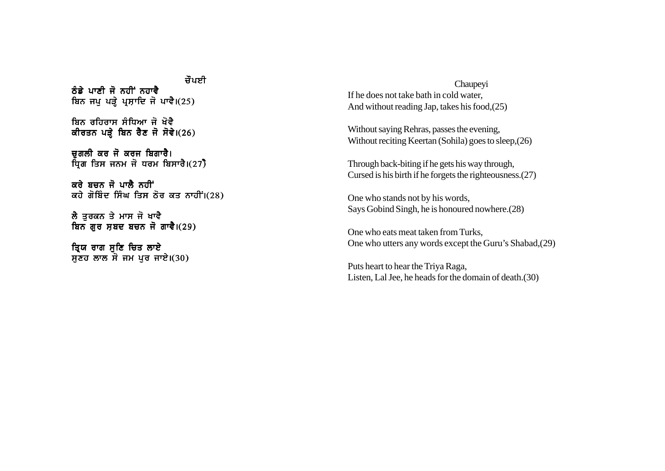ਜੌਪਸੀ ਨੰਡੇ ਪਾਣੀ ਜੋ ਨਹੀਂ ਨਹਾਵੈ ਬਿਨ ਜਪ ਪੜੇ ਪਸ਼ਾਦਿ ਜੋ ਪਾਵੈ।(25)

ਬਿਨ ਰਹਿਰਾਸ ਸੰਧਿਆ ਜੋ ਖੋਵੈ ਕੀਰਤਨ ਪੜ੍ਹੇ ਬਿਨ ਰੈਣ ਜੋ ਸੋਵੇ।(26)

ਚਗਲੀ ਕਰ ਜੋ ਕਰਜ ਬਿਗਾਰੈ। ਧਿਗ ਤਿਸ ਜਨਮ ਜੋ ਧਰਮ ਬਿਸਾਰੈ।(27)

ਕਰੇ ਬਚਨ ਜੋ ਪਾਲੈ ਨਹੀਂ ਕਹੇ ਗੋਬਿੰਦ ਸਿੰਘ ਤਿਸ ਠੋਰ ਕਤ ਨਾਹੀਂ।(28)

ਲੈ ਤਰਕਨ ਤੇ ਮਾਸ ਜੋ ਖਾਵੈ ਬਿਨ ਗੁਰ ਸ਼ਬਦ ਬਚਨ ਜੋ ਗਾਵੈ। $(29)$ 

ੜ੍ਰਿਯ ਰਾਗ ਸੁਣਿ ਚਿਤ ਲਾਏ ਸੁਣਹ ਲਾਲ ਸੌ ਜਮ ਪੂਰ ਜਾਏ। $(30)$ 

Chaupeyi If he does not take bath in cold water, And without reading Jap, takes his food,(25)

Without saying Rehras, passes the evening, Without reciting Keertan (Sohila) goes to sleep,(26)

Through back-biting if he gets his way through, Cursed is his birth if he forgets the righteousness.(27)

One who stands not by his words, Says Gobind Singh, he is honoured nowhere.(28)

One who eats meat taken from Turks, One who utters any words except the Guru's Shabad,(29)

Puts heart to hear the Triya Raga, Listen, Lal Jee, he heads for the domain of death.(30)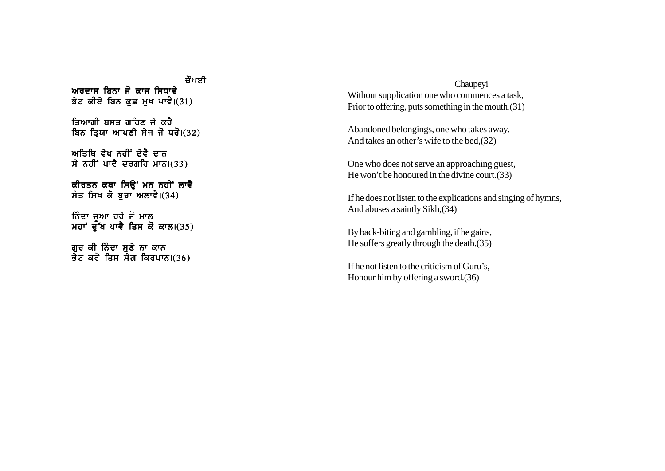ਜੌਪਸੀ ਅਰਦਾਸ ਬਿਨਾ ਜੋ ਕਾਜ ਸਿਧਾਵੇ ਭੇਟ ਕੀਏ ਬਿਨ ਕਛ ਮਖ ਪਾਵੈ।(31) ਤਿਆਗੀ ਬਸਤ ਗਹਿਣ ਜੇ ਕਰੈ ਬਿਨ ਤਿਯਾ ਆਪਣੀ ਸੇਜ ਜੋ ਧਰੋ।(32) ਅਤਿਥਿ ਵੇਖ ਨਹੀਂ ਦੇਵੈ ਦਾਨ  $\vec{r}$  ਨਹੀਂ ਪਾਵੈ ਦਰਗਹਿ ਮਾਨ।(33) ਕੀਰਤਨ ਕਥਾ ਸਿੳਂ ਮਨ ਨਹੀਂ ਲਾਵੈ ਸੰਤ ਸਿਖ ਕੋ ਬੁਰਾ ਅਲਾਵੈ। $(34)$ ਨਿੰਦਾ ਜੁਆ ਹਰੇ ਜੋ ਮਾਲ ਮਹਾਂ ਦੁੱਖ ਪਾਵੈ ਤਿਸ ਕੋ ਕਾਲ।(35) ਗਰ ਕੀ ਨਿੰਦਾ ਸਣੇ ਨਾ ਕਾਨ ਭੇਟ ਕਰੋ ਤਿਸ ਸੰਗ ਕਿਰਪਾਨ।(36)

Chaupeyi Without supplication one who commences a task, Prior to offering, puts something in the mouth.(31)

Abandoned belongings, one who takes away, And takes an other's wife to the bed,(32)

One who does not serve an approaching guest, He won't be honoured in the divine court.(33)

If he does not listen to the explications and singing of hymns, And abuses a saintly Sikh,(34)

By back-biting and gambling, if he gains, He suffers greatly through the death.(35)

If he not listen to the criticism of Guru's, Honour him by offering a sword.(36)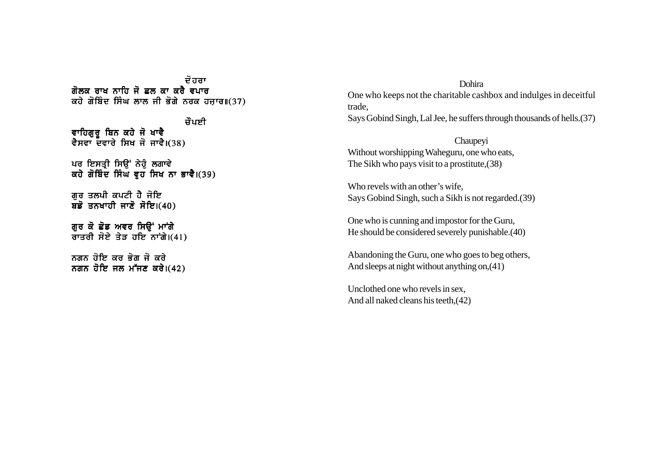ਦੋ ਹਰਾ ਗੋਲਕ ਰਾਖ ਨਾਹਿ ਜੋ ਛਲ ਕਾ ਕਰੈ ਵਪਾਰ  $\alpha$ ਹੇ ਗੋਬਿੰਦ ਸਿੰਘ ਲਾਲ ਜੀ ਭੋਗੇ ਨਰਕ ਹਜਾਰ॥(37)

ਜੌਪਈ ਵਾਹਿਗੁਰੂ ਬਿਨ ਕਹੇ ਜੋ ਖਾਵੈ ਵੈਸਵਾ ਦਵਾਰੇ ਸਿਖ ਜੋ ਜਾਵੈ।(38)

ਪਰ ਇਸਤ੍ਰੀ ਸਿਊਂ ਨੇਹੂੰ ਲਗਾਵੇ ਕਹੇ ਗੋਬਿੰਦ ਸਿੰਘ ਵ੍ਹ ਸਿਖ ਨਾ ਭਾਵੈ।(39)

ਗਰ ਤਲਪੀ ਕਪਟੀ ਹੈ ਜੋਇ ਬਡੋ ਤਨਖਾਹੀ ਜਾਣੋ ਸੋਇ। $(40)$ 

ਗੁਰ ਕੋ ਛੋਡ ਅਵਰ ਸਿਉਂ ਮਾਂਗੇ ਰਾਤਰੀ ਸੋਏ ਤੇੜ ਹਇ ਨਾਗੇ। $(41)$ 

ਨਗਨ ਹੋਇ ਕਰ ਭੋਗ ਜੋ ਕਰੇ ਨਗਨ ਹੋਇ ਜਲ ਮੱਜਣ ਕਰੇ। $(42)$ 

Dohira One who keeps not the charitable cashbox and indulges in deceitful trade, Says Gobind Singh, Lal Jee, he suffers through thousands of hells.(37)

Chaupeyi Without worshipping Waheguru, one who eats, The Sikh who pays visit to a prostitute,(38)

Who revels with an other's wife, Says Gobind Singh, such a Sikh is not regarded.(39)

One who is cunning and impostor for the Guru, He should be considered severely punishable.(40)

Abandoning the Guru, one who goes to beg others, And sleeps at night without anything on,(41)

Unclothed one who revels in sex, And all naked cleans his teeth,(42)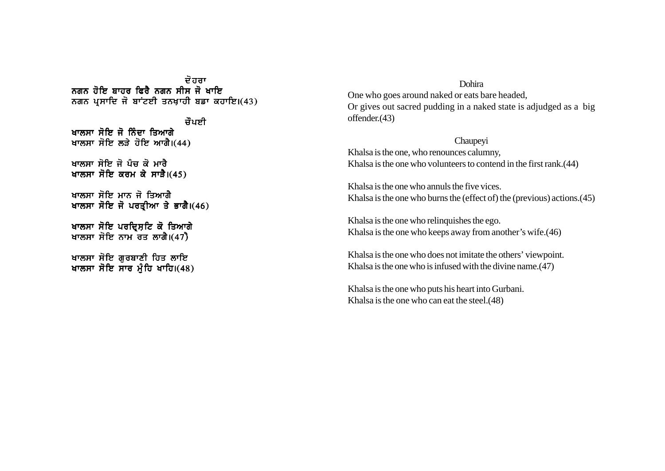ਦੋ ਹਰਾ ਨਗਨ ਹੋਇ ਬਾਹਰ ਫਿਰੈ ਨਗਨ ਸੀਸ ਜੋ ਖਾਇ ਨਗਨ ਪਸਾਦਿ ਜੋ ਬਾਂਟਈ ਤਨਖਾਹੀ ਬਡਾ ਕਹਾਇ।(43)

ਜੌਪਈ ਖਾਲਸਾ ਸੋਇ ਜੋ ਨਿੰਦਾ ਤਿਆਗੇ ਖਾਲਸਾ ਸੋਇ ਲੜੇ ਹੋਇ ਆਗੈ।(44)

ਖਾਲਸਾ ਸੋਇ ਜੋ ਪੰਜ ਕੋ ਮਾਰੈ ਖਾਲਸਾ ਸੋਇ ਕਰਮ ਕੇ ਸਾੜੈ।(45)

ਖਾਲਸਾ ਸੋਇ ਮਾਨ ਜੋ ਤਿਆਗੈ ਖਾਲਸਾ ਸੋਇ ਜੋ ਪਰਤੀਆ ਤੇ ਭਾਗੈ।(46)

ਖਾਲਸਾ ਸੋਇ ਪਰਦ੍ਰਿਸ਼ਟਿ ਕੋ ਤਿਆਗੇ ਖਾਲਸਾ ਸੋਇ ਨਾਮ ਰੌਤ ਲਾਗੈ। $(47)$ 

ਖਾਲਸਾ ਸੋਇ ਗਰਬਾਣੀ ਹਿਤ ਲਾਇ ਖਾਲਸਾ ਸੋਇ ਸਾਰ ਮੰਹਿ ਖਾਹਿ।(48)

## Dohira

One who goes around naked or eats bare headed, Or gives out sacred pudding in a naked state is adjudged as a big offender.(43)

Chaupeyi

Khalsa is the one, who renounces calumny, Khalsa is the one who volunteers to contend in the first rank.(44)

Khalsa is the one who annuls the five vices. Khalsa is the one who burns the (effect of) the (previous) actions.(45)

Khalsa is the one who relinquishes the ego. Khalsa is the one who keeps away from another's wife.(46)

Khalsa is the one who does not imitate the others' viewpoint. Khalsa is the one who is infused with the divine name.(47)

Khalsa is the one who puts his heart into Gurbani. Khalsa is the one who can eat the steel.(48)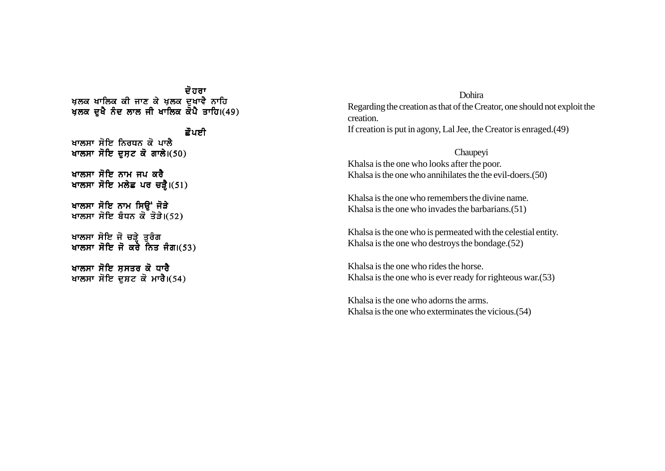ਦੋ ਹਰਾ ਖਲਕ ਖਾਲਿਕ ਕੀ ਜਾਣ ਕੇ ਖਲਕ ਦਖਾਵੈ ਨਾਹਿ ਖਲਕ ਦਖੈ ਨੰਦ ਲਾਲ ਜੀ ਖਾਲਿਕ ਕੋਪੈ ਤਾਹਿ।(49) ਛੋਪਈ ਖਾਲਸਾ ਸੋਇ ਨਿਰਧਨ ਕੋ ਪਾਲੈ ਖਾਲਸਾ ਸੋਇ ਦਸਟ ਕੋ ਗਾਲੇ। $(50)$ ਖਾਲਸਾ ਸੋਇ ਨਾਮ ਜਪ ਕਰੈ ਖਾਲਸਾ ਸੋਇ ਮਲੇਛ ਪਰ ਚੜ੍ਹੈ। $(51)$ ਖਾਲਸਾ ਸੋਇ ਨਾਮ ਸਿੳਂ ਜੋੜੇ ਖਾਲਸਾ ਸੋਇ ਬੰਧਨ ਕੋ ਤੋੜੇ। $(52)$ ਖਾਲਸਾ ਸੋਇ ਜੋ ਚੜ੍ਹੇ ਤਰੰਗ ਖਾਲਸਾ ਸੋਇ ਜੋ ਕਰੋ ਨਿਤ ਜੰਗ।(53) ਖਾਲਸਾ ਸੋਇ ਸਸਤਰ ਕੋ ਧਾਰੈ ਖਾਲਸਾ ਸੋਇ ਦੁਸ਼ਟ ਕੋ ਮਾਰੈ। $(54)$ 

Dohira Regarding the creation as that of the Creator, one should not exploit the creation. If creation is put in agony, Lal Jee, the Creator is enraged.(49)

Chaupeyi Khalsa is the one who looks after the poor. Khalsa is the one who annihilates the the evil-doers.(50)

Khalsa is the one who remembers the divine name. Khalsa is the one who invades the barbarians.(51)

Khalsa is the one who is permeated with the celestial entity. Khalsa is the one who destroys the bondage.(52)

Khalsa is the one who rides the horse. Khalsa is the one who is ever ready for righteous war.(53)

Khalsa is the one who adorns the arms. Khalsa is the one who exterminates the vicious.(54)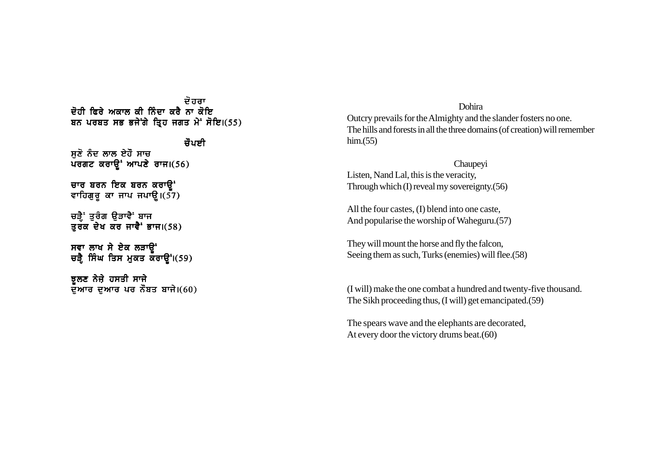ਦੋਹਰਾ <u>ਦੋਹੀ ਫਿਰੇ ਅਕਾਲ ਕੀ ਨਿੰਦਾ ਕਰੈ ਨਾ ਕੋਇ</u> ਬਨ ਪਰਬਤ ਸਭ ਭਜੇਂਗੇ ਤ੍ਰਿਹ ਜਗਤ ਮੇ<sup>:</sup> ਸੋਇ।(55)

ਜੌਪਸੀ ਸੁਣੋ ਨੰਦ ਲਾਲ ਏਹੌ ਸਾਚ  $\overline{u}$ ਰਗਟ ਕਰਾਉਂ ਆਪਣੇ ਰਾਜ।(56) ਚਾਰ ਬਰਨ ਇਕ ਬਰਨ ਕਰਾੳ<sup>-</sup> ਵਾਹਿਗੁਰੂ ਕਾ ਜਾਪ ਜਪਾਉ $I(57)$ ਚੜ੍ਹੈਂ ਤਰੰਗ ਉੜਾਵੈਂ ਬਾਜ ਤੁਰੱਕ ਦੇਖ ਕੌਰ ਜਾਵੈ $\cdot$  ਭਾਜ।(58)

ਸਵਾ ਲਾਖ ਸੇ ਏਕ ਲੜਾੳਂ ਚੜ੍ਹੈ ਸਿੰਘ ਤਿਸ ਮੁਕਤ ਕਰਾਉਂ।(59)

ਝੁਲਣ ਨੇਜ਼ੇ ਹਸਤੀ ਸਾਜੇ ਦੁਆਰ ਦੁਆਰ ਪਰ ਨੌਬਤ ਬਾਜੇ। $(60)$ 

Dohira Outcry prevails for the Almighty and the slander fosters no one. The hills and forests in all the three domains (of creation) will remember  $him.(55)$ 

Chaupeyi Listen, Nand Lal, this is the veracity, Through which (I) reveal my sovereignty.(56)

All the four castes, (I) blend into one caste, And popularise the worship of Waheguru.(57)

They will mount the horse and fly the falcon, Seeing them as such, Turks (enemies) will flee.(58)

(I will) make the one combat a hundred and twenty-five thousand. The Sikh proceeding thus, (I will) get emancipated.(59)

The spears wave and the elephants are decorated, At every door the victory drums beat.(60)